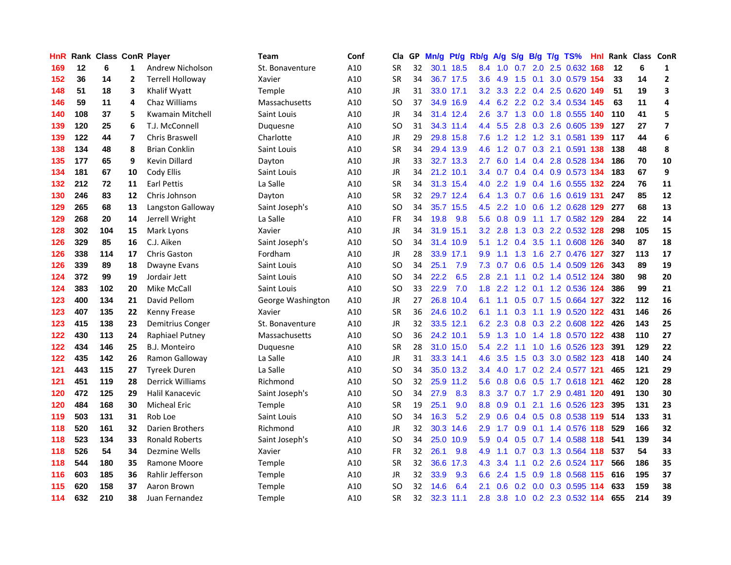| HnR |     | Rank Class ConR Player |                         |                         | Team              | Conf | Cla       |    | GP Mn/g Pt/g Rb/g |           |                  | A/g     | S/g             |     | B/g T/g TS%                   | Hnl  |      | Rank Class ConR |                         |
|-----|-----|------------------------|-------------------------|-------------------------|-------------------|------|-----------|----|-------------------|-----------|------------------|---------|-----------------|-----|-------------------------------|------|------|-----------------|-------------------------|
| 169 | 12  | 6                      | $\mathbf{1}$            | Andrew Nicholson        | St. Bonaventure   | A10  | <b>SR</b> | 32 |                   | 30.1 18.5 | 8.4              | 1.0     | 0.7             | 2.0 | 2.5 0.632                     | 168  | 12   | 6               | 1                       |
| 152 | 36  | 14                     | $\overline{2}$          | <b>Terrell Holloway</b> | Xavier            | A10  | <b>SR</b> | 34 |                   | 36.7 17.5 | 3.6 <sub>1</sub> | 4.9     | 1.5             | 0.1 | 3.0 0.579 154                 |      | 33   | 14              | $\mathbf{2}$            |
| 148 | 51  | 18                     | 3                       | Khalif Wyatt            | <b>Temple</b>     | A10  | <b>JR</b> | 31 |                   | 33.0 17.1 | 3.2              | 3.3     | $2.2^{\circ}$   |     | 0.4 2.5 0.620 149             |      | 51   | 19              | 3                       |
| 146 | 59  | 11                     | 4                       | Chaz Williams           | Massachusetts     | A10  | SO        | 37 |                   | 34.9 16.9 | 4.4              |         |                 |     | 6.2 2.2 0.2 3.4 0.534 145     |      | 63   | 11              | 4                       |
| 140 | 108 | 37                     | 5                       | <b>Kwamain Mitchell</b> | Saint Louis       | A10  | <b>JR</b> | 34 |                   | 31.4 12.4 | 2.6              |         |                 |     | 3.7 1.3 0.0 1.8 0.555 140     |      | 110  | 41              | 5                       |
| 139 | 120 | 25                     | 6                       | T.J. McConnell          | Duquesne          | A10  | <b>SO</b> | 31 |                   | 34.3 11.4 |                  |         |                 |     | 4.4 5.5 2.8 0.3 2.6 0.605 139 |      | 127  | 27              | $\overline{\mathbf{z}}$ |
| 139 | 122 | 44                     | $\overline{\mathbf{z}}$ | <b>Chris Braswell</b>   | Charlotte         | A10  | JR        | 29 |                   | 29.8 15.8 |                  |         |                 |     | 7.6 1.2 1.2 1.2 3.1 0.581 139 |      | 117  | 44              | 6                       |
| 138 | 134 | 48                     | 8                       | <b>Brian Conklin</b>    | Saint Louis       | A10  | <b>SR</b> | 34 |                   | 29.4 13.9 | 4.6              | 1.2     |                 |     | 0.7 0.3 2.1 0.591 138         |      | 138  | 48              | 8                       |
| 135 | 177 | 65                     | 9                       | Kevin Dillard           | Dayton            | A10  | JR        | 33 |                   | 32.7 13.3 | $2.7^{\circ}$    | 6.0     | 1.4             |     | 0.4 2.8 0.528 134             |      | 186  | 70              | 10                      |
| 134 | 181 | 67                     | 10                      | Cody Ellis              | Saint Louis       | A10  | <b>JR</b> | 34 |                   | 21.2 10.1 | 3.4              | 0.7     | 0.4             |     | 0.4 0.9 0.573 134             |      | 183  | 67              | 9                       |
| 132 | 212 | 72                     | 11                      | <b>Earl Pettis</b>      | La Salle          | A10  | <b>SR</b> | 34 |                   | 31.3 15.4 | 4.0              | 2.2     | 1.9             |     | 0.4 1.6 0.555 132             |      | -224 | 76              | 11                      |
| 130 | 246 | 83                     | 12                      | Chris Johnson           | Dayton            | A10  | <b>SR</b> | 32 |                   | 29.7 12.4 |                  | 6.4 1.3 | 0.7             |     | 0.6 1.6 0.619 131             |      | 247  | 85              | 12                      |
| 129 | 265 | 68                     | 13                      | Langston Galloway       | Saint Joseph's    | A10  | SO        | 34 |                   | 35.7 15.5 | 4.5              | 2.2     | 1.0             | 0.6 | 1.2 0.628                     | 129  | 277  | 68              | 13                      |
| 129 | 268 | 20                     | 14                      | Jerrell Wright          | La Salle          | A10  | <b>FR</b> | 34 | 19.8              | 9.8       | 5.6              | 0.8     | 0.9             |     | 1.1 1.7 0.582 129             |      | 284  | 22              | 14                      |
| 128 | 302 | 104                    | 15                      | Mark Lyons              | Xavier            | A10  | <b>JR</b> | 34 | 31.9              | 15.1      | 3.2              | 2.8     | 1.3             | 0.3 | 2.2 0.532 128                 |      | 298  | 105             | 15                      |
| 126 | 329 | 85                     | 16                      | C.J. Aiken              | Saint Joseph's    | A10  | <b>SO</b> | 34 |                   | 31.4 10.9 | 5.1              |         | $1.2 \quad 0.4$ | 3.5 | 1.1 0.608 126                 |      | 340  | 87              | 18                      |
| 126 | 338 | 114                    | 17                      | <b>Chris Gaston</b>     | Fordham           | A10  | JR        | 28 |                   | 33.9 17.1 | 9.9 <sup>°</sup> | 1.1     | 1.3             |     | 1.6 2.7 0.476 127             |      | 327  | 113             | 17                      |
| 126 | 339 | 89                     | 18                      | <b>Dwayne Evans</b>     | Saint Louis       | A10  | <b>SO</b> | 34 | 25.1              | 7.9       | 7.3              |         |                 |     | 0.7 0.6 0.5 1.4 0.509 126     |      | 343  | 89              | 19                      |
| 124 | 372 | 99                     | 19                      | Jordair Jett            | Saint Louis       | A10  | <b>SO</b> | 34 | 22.2              | 6.5       | 2.8              | 2.1     |                 |     | 1.1 0.2 1.4 0.512 124         |      | 380  | 98              | 20                      |
| 124 | 383 | 102                    | 20                      | Mike McCall             | Saint Louis       | A10  | <b>SO</b> | 33 | 22.9              | 7.0       | 1.8              |         |                 |     | 2.2 1.2 0.1 1.2 0.536 124     |      | 386  | 99              | 21                      |
| 123 | 400 | 134                    | 21                      | David Pellom            | George Washington | A10  | <b>JR</b> | 27 |                   | 26.8 10.4 | 6.1              | 1.1     |                 |     | 0.5 0.7 1.5 0.664 127         |      | 322  | 112             | 16                      |
| 123 | 407 | 135                    | 22                      | Kenny Frease            | Xavier            | A10  | <b>SR</b> | 36 |                   | 24.6 10.2 | 6.1              | 1.1     | 0.3             |     | 1.1 1.9 0.520 122             |      | 431  | 146             | 26                      |
| 123 | 415 | 138                    | 23                      | Demitrius Conger        | St. Bonaventure   | A10  | <b>JR</b> | 32 |                   | 33.5 12.1 | 6.2              | 2.3     | 0.8             |     | 0.3 2.2 0.608 122             |      | 426  | 143             | 25                      |
| 122 | 430 | 113                    | 24                      | Raphiael Putney         | Massachusetts     | A10  | SO        | 36 |                   | 24.2 10.1 | 5.9              | 1.3     | 1.0             |     | 1.4 1.8 0.570 122             |      | 438  | 110             | 27                      |
| 122 | 434 | 146                    | 25                      | <b>B.J. Monteiro</b>    | Duquesne          | A10  | <b>SR</b> | 28 |                   | 31.0 15.0 | 5.4              | 2.2     | 1.1             |     | 1.0 1.6 0.526 123             |      | 391  | 129             | 22                      |
| 122 | 435 | 142                    | 26                      | Ramon Galloway          | La Salle          | A10  | JR        | 31 |                   | 33.3 14.1 | 4.6              | 3.5     | 1.5             | 0.3 | 3.0 0.582 123                 |      | 418  | 140             | 24                      |
| 121 | 443 | 115                    | 27                      | <b>Tyreek Duren</b>     | La Salle          | A10  | SO        | 34 | 35.0              | 13.2      | $3.4^{\circ}$    | 4.0     | 1.7             |     | 0.2 2.4 0.577 121             |      | 465  | 121             | 29                      |
| 121 | 451 | 119                    | 28                      | <b>Derrick Williams</b> | Richmond          | A10  | <b>SO</b> | 32 | 25.9              | 11.2      | 5.6              | 0.8     | 0.6             |     | 0.5 1.7 0.618 121             |      | 462  | 120             | 28                      |
| 120 | 472 | 125                    | 29                      | Halil Kanacevic         | Saint Joseph's    | A10  | SO        | 34 | 27.9              | 8.3       | 8.3              | 3.7     | 0.7             |     | 1.7 2.9 0.481 120             |      | 491  | 130             | 30                      |
| 120 | 484 | 168                    | 30                      | <b>Micheal Eric</b>     | <b>Temple</b>     | A10  | SR        | 19 | 25.1              | 9.0       | 8.8 <sub>1</sub> | 0.9     | 0.1             |     | 2.1 1.6 0.526 123             |      | 395  | 131             | 23                      |
| 119 | 503 | 131                    | 31                      | Rob Loe                 | Saint Louis       | A10  | <b>SO</b> | 34 | 16.3              | 5.2       | 2.9              |         | $0.6 \quad 0.4$ |     | 0.5 0.8 0.538 119             |      | 514  | 133             | 31                      |
| 118 | 520 | 161                    | 32                      | Darien Brothers         | Richmond          | A10  | <b>JR</b> | 32 |                   | 30.3 14.6 | 2.9 <sup>°</sup> | 1.7     | 0.9             |     | 0.1 1.4 0.576 118             |      | 529  | 166             | 32                      |
| 118 | 523 | 134                    | 33                      | <b>Ronald Roberts</b>   | Saint Joseph's    | A10  | <b>SO</b> | 34 | 25.0              | 10.9      | 5.9              | 0.4     | 0.5             |     | 0.7 1.4 0.588 118             |      | 541  | 139             | 34                      |
| 118 | 526 | 54                     | 34                      | Dezmine Wells           | Xavier            | A10  | <b>FR</b> | 32 | 26.1              | 9.8       | 4.9              | 1.1     | 0.7             |     | 0.3 1.3 0.564 118             |      | 537  | 54              | 33                      |
| 118 | 544 | 180                    | 35                      | Ramone Moore            | <b>Temple</b>     | A10  | <b>SR</b> | 32 | 36.6              | 17.3      | 4.3              | 3.4     | 1.1             |     | 0.2 2.6 0.524 117             |      | 566  | 186             | 35                      |
| 116 | 603 | 185                    | 36                      | Rahlir Jefferson        | <b>Temple</b>     | A10  | <b>JR</b> | 32 | 33.9              | 9.3       | 6.6              | 2.4     | 1.5             | 0.9 | 1.8 0.568                     | -115 | 616  | 195             | 37                      |
| 115 | 620 | 158                    | 37                      | Aaron Brown             | <b>Temple</b>     | A10  | <b>SO</b> | 32 | 14.6              | 6.4       | 2.1              | 0.6     | 0.2             | 0.0 | 0.3 0.595                     | 114  | 633  | 159             | 38                      |
| 114 | 632 | 210                    | 38                      | Juan Fernandez          | Temple            | A10  | <b>SR</b> | 32 |                   | 32.3 11.1 | 2.8              |         |                 |     | 3.8 1.0 0.2 2.3 0.532 114     |      | 655  | 214             | 39                      |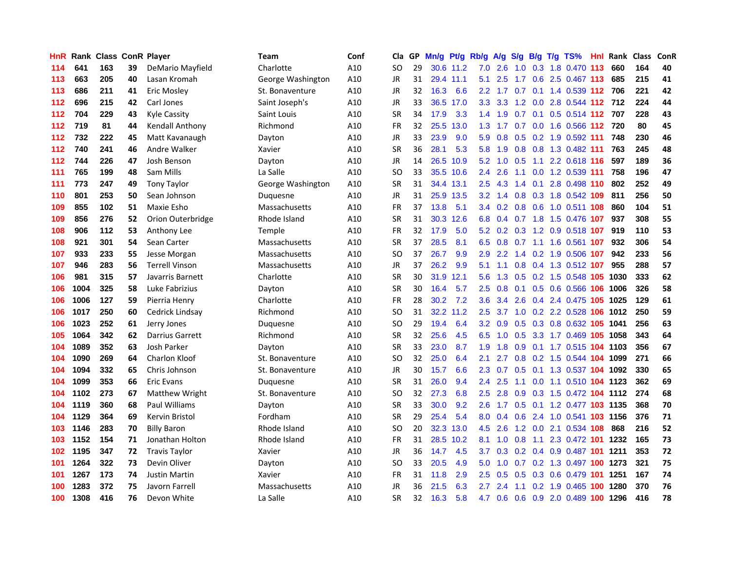| <b>HnR</b> |      | Rank Class ConR Player |    |                        | Team                 | Conf | Cla       |    | GP Mn/g | Pt/g      | Rb/g             | A/g                 | S/g             |     | B/g T/g TS%               | HnI. | Rank | <b>Class</b> | ConR |
|------------|------|------------------------|----|------------------------|----------------------|------|-----------|----|---------|-----------|------------------|---------------------|-----------------|-----|---------------------------|------|------|--------------|------|
| 114        | 641  | 163                    | 39 | DeMario Mayfield       | Charlotte            | A10  | SO        | 29 |         | 30.6 11.2 | 7.0              | 2.6                 | 1.0             | 0.3 | 1.8 0.470                 | 113  | 660  | 164          | 40   |
| 113        | 663  | 205                    | 40 | Lasan Kromah           | George Washington    | A10  | <b>JR</b> | 31 |         | 29.4 11.1 | 5.1              | 2.5                 | 1.7             | 0.6 | 2.5 0.467 113             |      | 685  | 215          | 41   |
| 113        | 686  | 211                    | 41 | Eric Mosley            | St. Bonaventure      | A10  | <b>JR</b> | 32 | 16.3    | 6.6       | 2.2              | 1.7                 | 0.7             | 0.1 | 1.4 0.539 112 706         |      |      | 221          | 42   |
| 112        | 696  | 215                    | 42 | Carl Jones             | Saint Joseph's       | A10  | <b>JR</b> | 33 |         | 36.5 17.0 |                  | $3.3\quad 3.3$      |                 |     | 1.2 0.0 2.8 0.544 112 712 |      |      | 224          | 44   |
| 112        | 704  | 229                    | 43 | <b>Kyle Cassity</b>    | Saint Louis          | A10  | <b>SR</b> | 34 | 17.9    | 3.3       |                  | $1.4$ 1.9           |                 |     | 0.7 0.1 0.5 0.514 112 707 |      |      | 228          | 43   |
| 112        | 719  | 81                     | 44 | Kendall Anthony        | Richmond             | A10  | FR        | 32 | 25.5    | 13.0      | 1.3              | 1.7                 |                 |     | 0.7 0.0 1.6 0.566 112 720 |      |      | 80           | 45   |
| 112        | 732  | 222                    | 45 | Matt Kavanaugh         | Dayton               | A10  | JR        | 33 | 23.9    | 9.0       | 5.9              | 0.8                 |                 |     | 0.5 0.2 1.9 0.592 111     |      | 748  | 230          | 46   |
| 112        | 740  | 241                    | 46 | Andre Walker           | Xavier               | A10  | <b>SR</b> | 36 | 28.1    | 5.3       | 5.8              | 1.9                 | 0.8             |     | 0.8 1.3 0.482 111         |      | 763  | 245          | 48   |
| 112        | 744  | 226                    | 47 | Josh Benson            | Dayton               | A10  | <b>JR</b> | 14 | 26.5    | 10.9      | 5.2              | 1.0                 | 0.5             | 1.1 | 2.2 0.618 116             |      | 597  | 189          | 36   |
| 111        | 765  | 199                    | 48 | Sam Mills              | La Salle             | A10  | <b>SO</b> | 33 |         | 35.5 10.6 | $2.4^{\circ}$    | 2.6                 | 1.1             |     | 0.0 1.2 0.539 111         |      | 758  | 196          | 47   |
| 111        | 773  | 247                    | 49 | <b>Tony Taylor</b>     | George Washington    | A10  | <b>SR</b> | 31 |         | 34.4 13.1 | $2.5\,$          | 4.3                 | 1.4             | 0.1 | 2.8 0.498 110             |      | 802  | 252          | 49   |
| 110        | 801  | 253                    | 50 | Sean Johnson           | Duquesne             | A10  | <b>JR</b> | 31 |         | 25.9 13.5 | 3.2 <sub>2</sub> | 1.4                 | 0.8             |     | 0.3 1.8 0.542             | 109  | 811  | 256          | 50   |
| 109        | 855  | 102                    | 51 | Maxie Esho             | <b>Massachusetts</b> | A10  | FR        | 37 | 13.8    | 5.1       | 3.4              | 0.2                 | 0.8             | 0.6 | 1.0 0.511 108             |      | 860  | 104          | 51   |
| 109        | 856  | 276                    | 52 | Orion Outerbridge      | Rhode Island         | A10  | <b>SR</b> | 31 | 30.3    | 12.6      | 6.8              | 0.4                 | 0.7             | 1.8 | 1.5 0.476 107             |      | 937  | 308          | 55   |
| 108        | 906  | 112                    | 53 | Anthony Lee            | Temple               | A10  | <b>FR</b> | 32 | 17.9    | 5.0       | 5.2              | 0.2                 | 0.3             | 1.2 | 0.9 0.518 107             |      | 919  | 110          | 53   |
| 108        | 921  | 301                    | 54 | Sean Carter            | Massachusetts        | A10  | <b>SR</b> | 37 | 28.5    | 8.1       | 6.5              | 0.8                 | 0.7             | 1.1 | 1.6 0.561 107             |      | 932  | 306          | 54   |
| 107        | 933  | 233                    | 55 | Jesse Morgan           | <b>Massachusetts</b> | A10  | SO        | 37 | 26.7    | 9.9       | 2.9 <sup>°</sup> |                     | $2.2 \quad 1.4$ |     | 0.2 1.9 0.506 107         |      | 942  | 233          | 56   |
| 107        | 946  | 283                    | 56 | <b>Terrell Vinson</b>  | Massachusetts        | A10  | JR        | 37 | 26.2    | 9.9       | 5.1              | 1.1                 | 0.8             |     | 0.4 1.3 0.512 107         |      | 955  | 288          | 57   |
| 106        | 981  | 315                    | 57 | Javarris Barnett       | Charlotte            | A10  | <b>SR</b> | 30 | 31.9    | 12.1      | 5.6              |                     |                 |     | 1.3 0.5 0.2 1.5 0.548 105 |      | 1030 | 333          | 62   |
| 106        | 1004 | 325                    | 58 | Luke Fabrizius         | Dayton               | A10  | <b>SR</b> | 30 | 16.4    | 5.7       | $2.5^{\circ}$    | 0.8                 | 0.1             |     | 0.5 0.6 0.566 106         |      | 1006 | 326          | 58   |
| 106        | 1006 | 127                    | 59 | Pierria Henry          | Charlotte            | A10  | FR        | 28 | 30.2    | 7.2       | 3.6 <sup>2</sup> | 3.4                 | 2.6             |     | 0.4 2.4 0.475 105         |      | 1025 | 129          | 61   |
| 106        | 1017 | 250                    | 60 | Cedrick Lindsay        | Richmond             | A10  | SO        | 31 | 32.2    | 11.2      | $2.5^{\circ}$    | 3.7                 | 1.0             |     | 0.2 2.2 0.528 106         |      | 1012 | 250          | 59   |
| 106        | 1023 | 252                    | 61 | Jerry Jones            | Duquesne             | A10  | <b>SO</b> | 29 | 19.4    | 6.4       | 3.2              | 0.9                 | 0.5             |     | 0.3 0.8 0.632 105         |      | 1041 | 256          | 63   |
| 105        | 1064 | 342                    | 62 | <b>Darrius Garrett</b> | Richmond             | A10  | <b>SR</b> | 32 | 25.6    | 4.5       | 6.5              | 1.0                 | 0.5             |     | 3.3 1.7 0.469 105         |      | 1058 | 343          | 64   |
| 104        | 1089 | 352                    | 63 | Josh Parker            | Dayton               | A10  | <b>SR</b> | 33 | 23.0    | 8.7       | 1.9              | 1.8                 | 0.9             | 0.1 | 1.7 0.515 104 1103        |      |      | 356          | 67   |
| 104        | 1090 | 269                    | 64 | Charlon Kloof          | St. Bonaventure      | A10  | SO        | 32 | 25.0    | 6.4       | 2.1              | 2.7                 | 0.8             |     | 0.2 1.5 0.544 104         |      | 1099 | 271          | 66   |
| 104        | 1094 | 332                    | 65 | Chris Johnson          | St. Bonaventure      | A10  | <b>JR</b> | 30 | 15.7    | 6.6       | 2.3              | 0.7                 | 0.5             |     | 0.1 1.3 0.537 104         |      | 1092 | 330          | 65   |
| 104        | 1099 | 353                    | 66 | <b>Eric Evans</b>      | Duquesne             | A10  | <b>SR</b> | 31 | 26.0    | 9.4       | $2.4\phantom{0}$ | 2.5                 | 1.1             |     | 0.0 1.1 0.510 104 1123    |      |      | 362          | 69   |
| 104        | 1102 | 273                    | 67 | Matthew Wright         | St. Bonaventure      | A10  | SO        | 32 | 27.3    | 6.8       | 2.5              | 2.8                 | 0.9             | 0.3 | 1.5 0.472 104             |      | 1112 | 274          | 68   |
| 104        | 1119 | 360                    | 68 | <b>Paul Williams</b>   | Dayton               | A10  | <b>SR</b> | 33 | 30.0    | 9.2       | 2.6              | 1.7                 | 0.5             | 0.1 | 1.2 0.477 103 1135        |      |      | 368          | 70   |
| 104        | 1129 | 364                    | 69 | Kervin Bristol         | Fordham              | A10  | <b>SR</b> | 29 | 25.4    | 5.4       | 8.0              | 0.4                 | 0.6             |     | 2.4 1.0 0.541 103 1156    |      |      | 376          | 71   |
| 103        | 1146 | 283                    | 70 | <b>Billy Baron</b>     | Rhode Island         | A10  | SO        | 20 | 32.3    | 13.0      | 4.5              | 2.6                 |                 |     | 1.2 0.0 2.1 0.534 108     |      | 868  | 216          | 52   |
| 103        | 1152 | 154                    | 71 | Jonathan Holton        | Rhode Island         | A10  | <b>FR</b> | 31 | 28.5    | 10.2      | 8.1              |                     | $1.0 \t0.8$     |     | 1.1 2.3 0.472 101 1232    |      |      | 165          | 73   |
| 102        | 1195 | 347                    | 72 | <b>Travis Taylor</b>   | Xavier               | A10  | JR        | 36 | 14.7    | 4.5       | 3.7              | 0.3                 |                 |     | 0.2 0.4 0.9 0.487 101     |      | 1211 | 353          | 72   |
| 101        | 1264 | 322                    | 73 | Devin Oliver           | Dayton               | A10  | SO        | 33 | 20.5    | 4.9       | 5.0              | 1.0                 | 0.7             |     | 0.2 1.3 0.497 100 1273    |      |      | 321          | 75   |
| 101        | 1267 | 173                    | 74 | <b>Justin Martin</b>   | Xavier               | A10  | FR        | 31 | 11.8    | 2.9       | $2.5\,$          | 0.5                 | 0.5             | 0.3 | 0.6 0.479                 | 101  | 1251 | 167          | 74   |
| 100        | 1283 | 372                    | 75 | Javorn Farrell         | Massachusetts        | A10  | <b>JR</b> | 36 | 21.5    | 6.3       | 2.7              | $\overline{2}$<br>4 | 1.1             | 0.2 | 1.9 0.465                 | 100  | 1280 | 370          | 76   |
| 100        | 1308 | 416                    | 76 | Devon White            | La Salle             | A10  | SR        | 32 | 16.3    | 5.8       | 4.7              | 0.6                 | 0.6             |     | 0.9 2.0 0.489 100         |      | 1296 | 416          | 78   |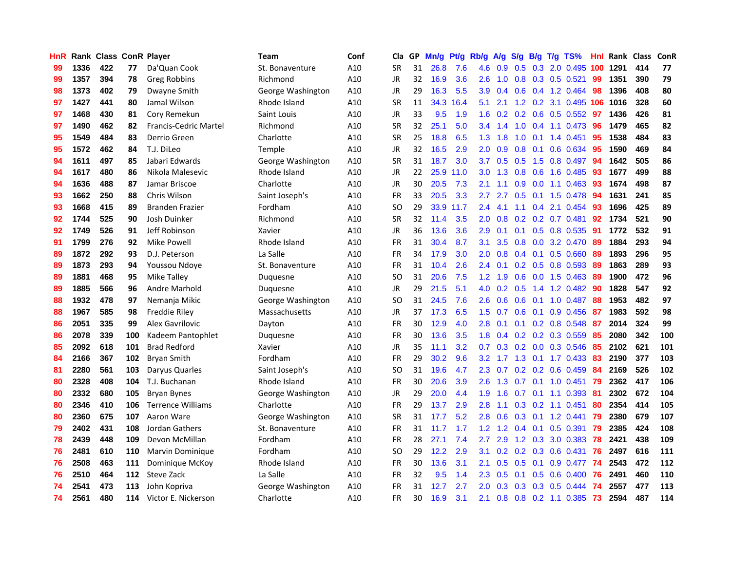| HnR |      | Rank Class ConR Player |     |                              | Team              | Conf | Cla       | GP | Mn/g | Pt/g | Rb/g             | A/g            | S/g                       | B/g             | $T/g$ TS%                       | Hnl | Rank Class |     | <b>ConR</b> |
|-----|------|------------------------|-----|------------------------------|-------------------|------|-----------|----|------|------|------------------|----------------|---------------------------|-----------------|---------------------------------|-----|------------|-----|-------------|
| 99  | 1336 | 422                    | 77  | Da'Quan Cook                 | St. Bonaventure   | A10  | <b>SR</b> | 31 | 26.8 | 7.6  | 4.6              | 0.9            | 0.5                       | 0.3             | 2.0 0.495                       | 100 | 1291       | 414 | 77          |
| 99  | 1357 | 394                    | 78  | <b>Greg Robbins</b>          | Richmond          | A10  | <b>JR</b> | 32 | 16.9 | 3.6  | 2.6              | 1.0            | 0.8                       | 0.3             | $0.5$ 0.521                     | 99  | 1351       | 390 | 79          |
| 98  | 1373 | 402                    | 79  | Dwayne Smith                 | George Washington | A10  | <b>JR</b> | 29 | 16.3 | 5.5  | 3.9              | 0.4            | 0.6                       |                 | 0.4 1.2 0.464                   | 98  | 1396       | 408 | 80          |
| 97  | 1427 | 441                    | 80  | Jamal Wilson                 | Rhode Island      | A10  | SR        | 11 | 34.3 | 16.4 | 5.1              | 2.1            |                           |                 | $1.2$ 0.2 3.1 0.495             | 106 | 1016       | 328 | 60          |
| 97  | 1468 | 430                    | 81  | Cory Remekun                 | Saint Louis       | A10  | <b>JR</b> | 33 | 9.5  | 1.9  | 1.6 <sup>1</sup> |                |                           |                 | $0.2$ 0.2 0.6 0.5 0.552         | -97 | 1436       | 426 | 81          |
| 97  | 1490 | 462                    | 82  | <b>Francis-Cedric Martel</b> | Richmond          | A10  | <b>SR</b> | 32 | 25.1 | 5.0  | 3.4              | 1.4            |                           |                 | 1.0 0.4 1.1 0.473               | 96  | 1479       | 465 | 82          |
| 95  | 1549 | 484                    | 83  | Derrio Green                 | Charlotte         | A10  | <b>SR</b> | 25 | 18.8 | 6.5  | 1.3 <sup>°</sup> | 1.8            | 1.0                       |                 | $0.1$ 1.4 $0.451$               | 95  | 1538       | 484 | 83          |
| 95  | 1572 | 462                    | 84  | T.J. DiLeo                   | Temple            | A10  | <b>JR</b> | 32 | 16.5 | 2.9  | 2.0              | 0.9            | 0.8                       | 0.1             | 0.6 0.634                       | 95  | 1590       | 469 | 84          |
| 94  | 1611 | 497                    | 85  | Jabari Edwards               | George Washington | A10  | <b>SR</b> | 31 | 18.7 | 3.0  | 3.7              | 0.5            | 0.5                       | 1.5             | 0.8 0.497                       | 94  | 1642       | 505 | 86          |
| 94  | 1617 | 480                    | 86  | Nikola Malesevic             | Rhode Island      | A10  | <b>JR</b> | 22 | 25.9 | 11.0 | 3.0              | 1.3            | 0.8                       | 0.6             | 1.6 0.485                       | 93  | 1677       | 499 | 88          |
| 94  | 1636 | 488                    | 87  | Jamar Briscoe                | Charlotte         | A10  | <b>JR</b> | 30 | 20.5 | 7.3  | 2.1              | 1.1            | 0.9                       | 0.0             | 1.1 0.463                       | 93  | 1674       | 498 | 87          |
| 93  | 1662 | 250                    | 88  | Chris Wilson                 | Saint Joseph's    | A10  | <b>FR</b> | 33 | 20.5 | 3.3  | 2.7              | 2.7            | 0.5                       | 0.1             | 1.5 0.478                       | 94  | 1631       | 241 | 85          |
| 93  | 1668 | 415                    | 89  | <b>Branden Frazier</b>       | Fordham           | A10  | SO        | 29 | 33.9 | 11.7 | 2.4              | 4.1            | 1.1                       | 0.4             | 2.1 0.454                       | 93  | 1696       | 425 | 89          |
| 92  | 1744 | 525                    | 90  | Josh Duinker                 | Richmond          | A10  | <b>SR</b> | 32 | 11.4 | 3.5  | 2.0              | 0.8            | 0.2                       | 0.2             | $0.7$ 0.481                     | 92  | 1734       | 521 | 90          |
| 92  | 1749 | 526                    | 91  | Jeff Robinson                | Xavier            | A10  | <b>JR</b> | 36 | 13.6 | 3.6  | 2.9              | 0.1            | 0.1                       | 0.5             | 0.8 0.535                       | -91 | 1772       | 532 | 91          |
| 91  | 1799 | 276                    | 92  | <b>Mike Powell</b>           | Rhode Island      | A10  | <b>FR</b> | 31 | 30.4 | 8.7  | 3.1              | 3.5            | 0.8                       | 0.0             | 3.2 0.470                       | -89 | 1884       | 293 | 94          |
| 89  | 1872 | 292                    | 93  | D.J. Peterson                | La Salle          | A10  | <b>FR</b> | 34 | 17.9 | 3.0  | 2.0 <sub>1</sub> | 0.8            |                           | $0.4\quad 0.1$  | 0.5 0.660                       | -89 | 1893       | 296 | 95          |
| 89  | 1873 | 293                    | 94  | Youssou Ndoye                | St. Bonaventure   | A10  | FR        | 31 | 10.4 | 2.6  |                  | $2.4\quad 0.1$ |                           |                 | $0.2$ 0.5 0.8 0.593             | -89 | 1863       | 289 | 93          |
| 89  | 1881 | 468                    | 95  | Mike Talley                  | Duquesne          | A10  | <b>SO</b> | 31 | 20.6 | 7.5  | 1.2 <sub>1</sub> | 1.9            |                           |                 | $0.6$ 0.0 1.5 0.463             | -89 | 1900       | 472 | 96          |
| 89  | 1885 | 566                    | 96  | Andre Marhold                | Duguesne          | A10  | JR        | 29 | 21.5 | 5.1  | 4.0              |                | $0.2 \quad 0.5$           |                 | 1.4 1.2 0.482                   | 90  | 1828       | 547 | 92          |
| 88  | 1932 | 478                    | 97  | Nemanja Mikic                | George Washington | A10  | <b>SO</b> | 31 | 24.5 | 7.6  | $2.6\,$          | 0.6            | 0.6                       |                 | $0.1$ 1.0 0.487                 | 88  | 1953       | 482 | 97          |
| 88  | 1967 | 585                    | 98  | Freddie Riley                | Massachusetts     | A10  | <b>JR</b> | 37 | 17.3 | 6.5  | $1.5^{\circ}$    | 0.7            | 0.6                       | 0.1             | 0.9 0.456                       | 87  | 1983       | 592 | 98          |
| 86  | 2051 | 335                    | 99  | Alex Gavrilovic              | Dayton            | A10  | <b>FR</b> | 30 | 12.9 | 4.0  | 2.8              | 0.1            | 0.1                       |                 | $0.2$ 0.8 0.548                 | 87  | 2014       | 324 | 99          |
| 86  | 2078 | 339                    | 100 | Kadeem Pantophlet            | Duquesne          | A10  | <b>FR</b> | 30 | 13.6 | 3.5  | 1.8              | 0.4            |                           |                 | $0.2$ 0.2 0.3 0.559             | 85  | 2080       | 342 | 100         |
| 85  | 2092 | 618                    | 101 | <b>Brad Redford</b>          | Xavier            | A10  | <b>JR</b> | 35 | 11.1 | 3.2  | 0.7              | 0.3            |                           |                 | 0.2 0.0 0.3 0.546               | 85  | 2102       | 621 | 101         |
| 84  | 2166 | 367                    | 102 | <b>Bryan Smith</b>           | Fordham           | A10  | FR        | 29 | 30.2 | 9.6  | $3.2\phantom{0}$ | 1.7            |                           | $1.3 \quad 0.1$ | 1.7 0.433                       | 83  | 2190       | 377 | 103         |
| 81  | 2280 | 561                    | 103 | Daryus Quarles               | Saint Joseph's    | A10  | SO        | 31 | 19.6 | 4.7  | 2.3              | 0.7            |                           |                 | $0.2$ 0.2 0.6 0.459             | 84  | 2169       | 526 | 102         |
| 80  | 2328 | 408                    | 104 | T.J. Buchanan                | Rhode Island      | A10  | <b>FR</b> | 30 | 20.6 | 3.9  | 2.6              | 1.3            | 0.7                       |                 | $0.1$ 1.0 $0.451$               | 79  | 2362       | 417 | 106         |
| 80  | 2332 | 680                    | 105 | <b>Bryan Bynes</b>           | George Washington | A10  | <b>JR</b> | 29 | 20.0 | 4.4  | 1.9              | 1.6            | 0.7                       | 0.1             | 1.1 0.393                       | 81  | 2302       | 672 | 104         |
| 80  | 2346 | 410                    | 106 | <b>Terrence Williams</b>     | Charlotte         | A10  | <b>FR</b> | 29 | 13.7 | 2.9  | 2.8              | 1.1            | 0.3                       | 0.2             | 1.1 0.451                       | 80  | 2354       | 414 | 105         |
| 80  | 2360 | 675                    | 107 | Aaron Ware                   | George Washington | A10  | <b>SR</b> | 31 | 17.7 | 5.2  | 2.8              | 0.6            | 0.3                       | 0.1             | $1.2 \quad 0.441$               | 79  | 2380       | 679 | 107         |
| 79  | 2402 | 431                    | 108 | Jordan Gathers               | St. Bonaventure   | A10  | <b>FR</b> | 31 | 11.7 | 1.7  | 1.2 <sub>1</sub> |                | $1.2 \quad 0.4 \quad 0.1$ |                 | 0.5 0.391                       | 79  | 2385       | 424 | 108         |
| 78  | 2439 | 448                    | 109 | Devon McMillan               | Fordham           | A10  | <b>FR</b> | 28 | 27.1 | 7.4  | 2.7              | 2.9            |                           |                 | 1.2 0.3 3.0 0.383               | 78  | 2421       | 438 | 109         |
| 76  | 2481 | 610                    | 110 | <b>Marvin Dominique</b>      | Fordham           | A10  | SO        | 29 | 12.2 | 2.9  | 3.1              |                |                           |                 | $0.2$ $0.2$ $0.3$ $0.6$ $0.431$ | 76  | 2497       | 616 | 111         |
| 76  | 2508 | 463                    | 111 | Dominique McKoy              | Rhode Island      | A10  | <b>FR</b> | 30 | 13.6 | 3.1  | 2.1              | 0.5            | 0.5                       |                 | $0.1$ 0.9 0.477                 | 74  | 2543       | 472 | 112         |
| 76  | 2510 | 464                    | 112 | Steve Zack                   | La Salle          | A10  | FR        | 32 | 9.5  | 1.4  | $2.3\phantom{0}$ | 0.5            | 0.1                       | 0.5             | $0.6$ 0.400                     | 76  | 2491       | 460 | 110         |
| 74  | 2541 | 473                    | 113 | John Kopriva                 | George Washington | A10  | <b>FR</b> | 31 | 12.7 | 2.7  | 2.0              | 0.3            | 0.3                       | 0.3             | 0.5 0.444                       |     | 2557       | 477 | 113         |
| 74  | 2561 | 480                    | 114 | Victor E. Nickerson          | Charlotte         | A10  | FR        | 30 | 16.9 | 3.1  | 2.1              | 0.8            |                           |                 | $0.8$ 0.2 1.1 0.385             | 73  | 2594       | 487 | 114         |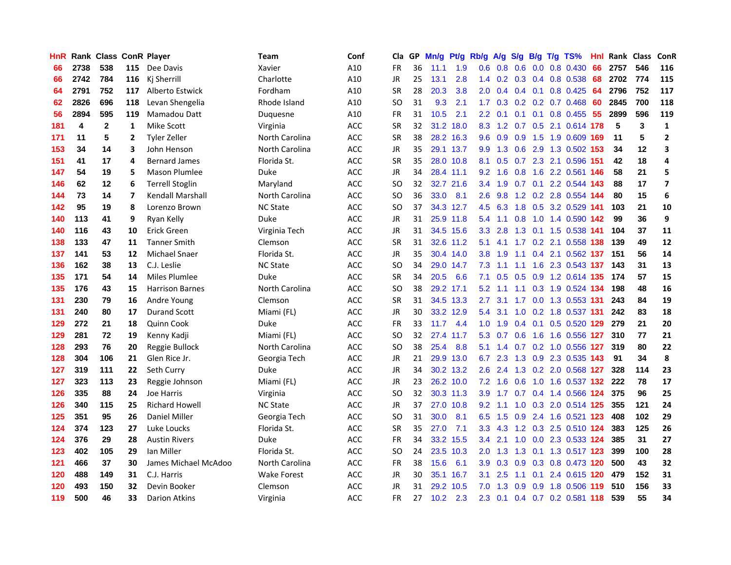| HnR |      | <b>Rank Class ConR Player</b> |     |                        | Team               | Conf       | Cla           |    | GP Mn/g | Pt/g      | Rb/g             | A/g             |                 |                 | S/g B/g T/g TS%               | Hnl | Rank Class |     | ConR           |
|-----|------|-------------------------------|-----|------------------------|--------------------|------------|---------------|----|---------|-----------|------------------|-----------------|-----------------|-----------------|-------------------------------|-----|------------|-----|----------------|
| 66  | 2738 | 538                           | 115 | Dee Davis              | Xavier             | A10        | FR            | 36 | 11.1    | 1.9       | 0.6              | 0.8             | 0.6             | 0.0             | 0.8 0.430                     | 66  | 2757       | 546 | 116            |
| 66  | 2742 | 784                           | 116 | Ki Sherrill            | Charlotte          | A10        | <b>JR</b>     | 25 | 13.1    | 2.8       | $1.4^{\circ}$    |                 | $0.2$ 0.3 0.4   |                 | 0.8 0.538                     | 68  | 2702       | 774 | 115            |
| 64  | 2791 | 752                           | 117 | Alberto Estwick        | Fordham            | A10        | <b>SR</b>     | 28 | 20.3    | 3.8       | 2.0 <sub>1</sub> | 0.4             | $0.4 \quad 0.1$ |                 | 0.8 0.425                     | -64 | 2796       | 752 | 117            |
| 62  | 2826 | 696                           | 118 | Levan Shengelia        | Rhode Island       | A10        | SO            | 31 | 9.3     | 2.1       |                  |                 |                 |                 | 1.7 0.3 0.2 0.2 0.7 0.468     | -60 | 2845       | 700 | 118            |
| 56  | 2894 | 595                           | 119 | Mamadou Datt           | Duquesne           | A10        | <b>FR</b>     | 31 | 10.5    | 2.1       |                  | $2.2 \quad 0.1$ |                 |                 | 0.1 0.1 0.8 0.455 55          |     | 2899       | 596 | 119            |
| 181 | 4    | $\mathbf{2}$                  | 1   | Mike Scott             | Virginia           | ACC        | <b>SR</b>     | 32 |         | 31.2 18.0 |                  |                 |                 |                 | 8.3 1.2 0.7 0.5 2.1 0.614 178 |     | 5          | 3   | $\mathbf{1}$   |
| 171 | 11   | 5                             | 2   | <b>Tyler Zeller</b>    | North Carolina     | ACC        | <b>SR</b>     | 38 |         | 28.2 16.3 | 9.6              | 0.9             |                 |                 | 0.9 1.5 1.9 0.609 169         |     | 11         | 5   | $\overline{2}$ |
| 153 | 34   | 14                            | 3   | John Henson            | North Carolina     | ACC        | <b>JR</b>     | 35 |         | 29.1 13.7 | 9.9 <sup>°</sup> | 1.3             | 0.6             |                 | 2.9 1.3 0.502 153             |     | 34         | 12  | 3              |
| 151 | 41   | 17                            | 4   | <b>Bernard James</b>   | Florida St.        | <b>ACC</b> | <b>SR</b>     | 35 |         | 28.0 10.8 | 8.1              | 0.5             |                 |                 | 0.7 2.3 2.1 0.596 151         |     | 42         | 18  | 4              |
| 147 | 54   | 19                            | 5   | <b>Mason Plumlee</b>   | Duke               | <b>ACC</b> | JR            | 34 |         | 28.4 11.1 | 9.2              | 1.6             | 0.8             |                 | 1.6 2.2 0.561                 | 146 | 58         | 21  | 5              |
| 146 | 62   | 12                            | 6   | <b>Terrell Stoglin</b> | Maryland           | ACC        | SO            | 32 |         | 32.7 21.6 |                  | $3.4$ 1.9       |                 |                 | 0.7 0.1 2.2 0.544 143         |     | 88         | 17  | $\overline{7}$ |
| 144 | 73   | 14                            | 7   | Kendall Marshall       | North Carolina     | ACC        | SO            | 36 | 33.0    | 8.1       | 2.6              | 9.8             |                 |                 | 1.2 0.2 2.8 0.554 144         |     | 80         | 15  | 6              |
| 142 | 95   | 19                            | 8   | Lorenzo Brown          | <b>NC State</b>    | <b>ACC</b> | <b>SO</b>     | 37 |         | 34.3 12.7 | 4.5              | 6.3             | 1.8             | 0.5             | 3.2 0.529 141                 |     | 103        | 21  | 10             |
| 140 | 113  | 41                            | 9   | Ryan Kelly             | Duke               | ACC        | JR            | 31 |         | 25.9 11.8 | 5.4              | 1.1             | 0.8             | 1.0             | 1.4 0.590 142                 |     | 99         | 36  | 9              |
| 140 | 116  | 43                            | 10  | Erick Green            | Virginia Tech      | <b>ACC</b> | <b>JR</b>     | 31 |         | 34.5 15.6 | 3.3 <sub>2</sub> | 2.8             | 1.3             | 0.1             | 1.5 0.538 141                 |     | 104        | 37  | 11             |
| 138 | 133  | 47                            | 11  | <b>Tanner Smith</b>    | Clemson            | <b>ACC</b> | <b>SR</b>     | 31 |         | 32.6 11.2 | 5.1              | 4.1             | 1.7             |                 | 0.2 2.1 0.558 138             |     | 139        | 49  | 12             |
| 137 | 141  | 53                            | 12  | Michael Snaer          | Florida St.        | <b>ACC</b> | JR            | 35 |         | 30.4 14.0 | 3.8 <sup>°</sup> | 1.9             |                 |                 | 1.1 0.4 2.1 0.562 137         |     | 151        | 56  | ${\bf 14}$     |
| 136 | 162  | 38                            | 13  | C.J. Leslie            | <b>NC State</b>    | ACC        | SO            | 34 |         | 29.0 14.7 | 7.3              | 1.1             | 1.1             |                 | 1.6 2.3 0.543 137             |     | 143        | 31  | 13             |
| 135 | 171  | 54                            | 14  | <b>Miles Plumlee</b>   | <b>Duke</b>        | ACC        | <b>SR</b>     | 34 | 20.5    | 6.6       | 7.1              | 0.5             |                 |                 | 0.5 0.9 1.2 0.614 135         |     | 174        | 57  | 15             |
| 135 | 176  | 43                            | 15  | <b>Harrison Barnes</b> | North Carolina     | ACC        | <b>SO</b>     | 38 |         | 29.2 17.1 | 5.2              | 1.1             |                 |                 | 1.1 0.3 1.9 0.524 134         |     | 198        | 48  | 16             |
| 131 | 230  | 79                            | 16  | Andre Young            | Clemson            | <b>ACC</b> | <b>SR</b>     | 31 |         | 34.5 13.3 | 2.7              | 3.1             |                 |                 | 1.7 0.0 1.3 0.553 131         |     | 243        | 84  | 19             |
| 131 | 240  | 80                            | 17  | <b>Durand Scott</b>    | Miami (FL)         | ACC        | JR            | 30 |         | 33.2 12.9 | 5.4              | 3.1             | 1.0             |                 | 0.2 1.8 0.537 131             |     | 242        | 83  | 18             |
| 129 | 272  | 21                            | 18  | <b>Quinn Cook</b>      | Duke               | <b>ACC</b> | <b>FR</b>     | 33 | 11.7    | 4.4       | 1.0 <sub>1</sub> | 1.9             | 0.4             | 0.1             | 0.5 0.520 129                 |     | 279        | 21  | 20             |
| 129 | 281  | 72                            | 19  | Kenny Kadji            | Miami (FL)         | ACC        | SO            | 32 | 27.4    | 11.7      | 5.3              | 0.7             | 0.6             |                 | 1.6 1.6 0.556 127             |     | 310        | 77  | 21             |
| 128 | 293  | 76                            | 20  | Reggie Bullock         | North Carolina     | ACC        | <b>SO</b>     | 38 | 25.4    | 8.8       | 5.1              | 1.4             |                 |                 | 0.7 0.2 1.0 0.556 127         |     | 319        | 80  | 22             |
| 128 | 304  | 106                           | 21  | Glen Rice Jr.          | Georgia Tech       | <b>ACC</b> | JR            | 21 |         | 29.9 13.0 | 6.7              | 2.3             |                 | $1.3 \quad 0.9$ | 2.3 0.535 143                 |     | 91         | 34  | 8              |
| 127 | 319  | 111                           | 22  | Seth Curry             | Duke               | <b>ACC</b> | JR            | 34 |         | 30.2 13.2 | 2.6              | 2.4             | 1.3             | 0.2             | 2.0 0.568 127                 |     | 328        | 114 | 23             |
| 127 | 323  | 113                           | 23  | Reggie Johnson         | Miami (FL)         | ACC        | JR            | 23 |         | 26.2 10.0 | 7.2              | 1.6             | 0.6             | 1.0             | 1.6 0.537 132                 |     | 222        | 78  | 17             |
| 126 | 335  | 88                            | 24  | Joe Harris             | Virginia           | <b>ACC</b> | <sub>SO</sub> | 32 |         | 30.3 11.3 | 3.9              | 1.7             |                 |                 | 0.7 0.4 1.4 0.566 124         |     | 375        | 96  | 25             |
| 126 | 340  | 115                           | 25  | <b>Richard Howell</b>  | <b>NC State</b>    | ACC        | JR            | 37 |         | 27.0 10.8 |                  | $9.2 \quad 1.1$ |                 |                 | 1.0 0.3 2.0 0.514 125         |     | 355        | 121 | 24             |
| 125 | 351  | 95                            | 26  | Daniel Miller          | Georgia Tech       | ACC        | SO            | 31 | 30.0    | 8.1       | 6.5              | 1.5             |                 |                 | 0.9 2.4 1.6 0.521 123         |     | 408        | 102 | 29             |
| 124 | 374  | 123                           | 27  | Luke Loucks            | Florida St.        | <b>ACC</b> | <b>SR</b>     | 35 | 27.0    | 7.1       | 3.3 <sub>1</sub> | 4.3             |                 |                 | 1.2 0.3 2.5 0.510 124         |     | 383        | 125 | 26             |
| 124 | 376  | 29                            | 28  | <b>Austin Rivers</b>   | <b>Duke</b>        | <b>ACC</b> | FR            | 34 |         | 33.2 15.5 | $3.4^{\circ}$    | 2.1             | 1.0             |                 | 0.0 2.3 0.533 124             |     | 385        | 31  | 27             |
| 123 | 402  | 105                           | 29  | Ian Miller             | Florida St.        | <b>ACC</b> | SO            | 24 |         | 23.5 10.3 | 2.0              | 1.3             | 1.3             |                 | 0.1 1.3 0.517 123             |     | 399        | 100 | 28             |
| 121 | 466  | 37                            | 30  | James Michael McAdoo   | North Carolina     | ACC        | <b>FR</b>     | 38 | 15.6    | 6.1       | 3.9              | 0.3             |                 |                 | 0.9 0.3 0.8 0.473 120         |     | 500        | 43  | 32             |
| 120 | 488  | 149                           | 31  | C.J. Harris            | <b>Wake Forest</b> | ACC        | JR            | 30 | 35.1    | 16.7      | 3.1              | 2.5             | 1.1             | 0.1             | 2.4 0.615 120                 |     | 479        | 152 | 31             |
| 120 | 493  | 150                           | 32  | Devin Booker           | Clemson            | <b>ACC</b> | <b>JR</b>     | 31 |         | 29.2 10.5 | 7.0              | 1.3             | 0.9             | 0.9             | 1.8 0.506                     | 119 | 510        | 156 | 33             |
| 119 | 500  | 46                            | 33  | <b>Darion Atkins</b>   | Virginia           | <b>ACC</b> | <b>FR</b>     | 27 | 10.2    | 2.3       |                  | $2.3 \quad 0.1$ |                 |                 | 0.4 0.7 0.2 0.581 118         |     | 539        | 55  | 34             |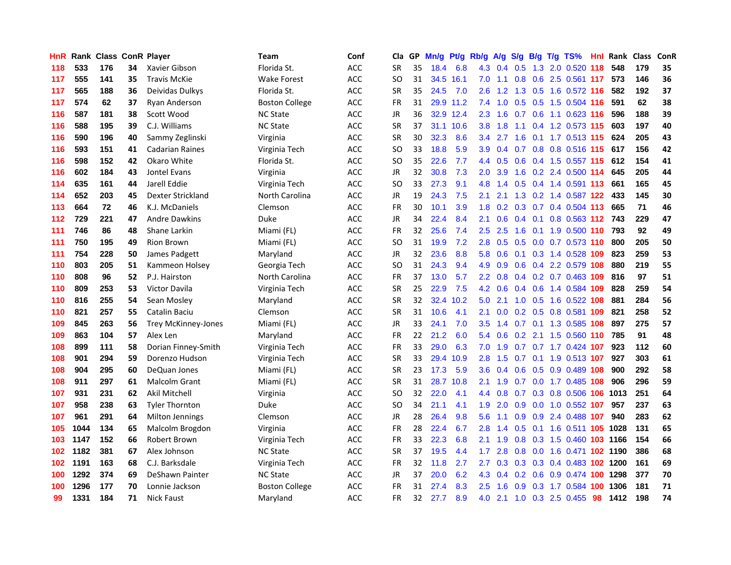| HnR |      | <b>Rank Class ConR Player</b> |    |                            | Team                  | Conf       | Cla           | GP | Mn/g | Pt/g      | Rb/g             | A/g | S/g | B/g             | $T/g$ TS%                     | Hnl | Rank Class |     | ConR |
|-----|------|-------------------------------|----|----------------------------|-----------------------|------------|---------------|----|------|-----------|------------------|-----|-----|-----------------|-------------------------------|-----|------------|-----|------|
| 118 | 533  | 176                           | 34 | Xavier Gibson              | Florida St.           | ACC        | <b>SR</b>     | 35 | 18.4 | 6.8       | 4.3              | 0.4 | 0.5 | 1.3             | 2.0 0.520                     | 118 | 548        | 179 | 35   |
| 117 | 555  | 141                           | 35 | <b>Travis McKie</b>        | Wake Forest           | ACC        | SO            | 31 |      | 34.5 16.1 | 7.0              | 1.1 | 0.8 | 0.6             | 2.5 0.561 117                 |     | 573        | 146 | 36   |
| 117 | 565  | 188                           | 36 | Deividas Dulkys            | Florida St.           | <b>ACC</b> | <b>SR</b>     | 35 | 24.5 | 7.0       | 2.6              | 1.2 | 1.3 | 0.5             | 1.6 0.572 116                 |     | 582        | 192 | 37   |
| 117 | 574  | 62                            | 37 | Ryan Anderson              | <b>Boston College</b> | <b>ACC</b> | FR            | 31 |      | 29.9 11.2 | 7.4              |     |     |                 | 1.0 0.5 0.5 1.5 0.504 116     |     | 591        | 62  | 38   |
| 116 | 587  | 181                           | 38 | Scott Wood                 | <b>NC State</b>       | ACC        | <b>JR</b>     | 36 |      | 32.9 12.4 | 2.3              | 1.6 |     |                 | 0.7 0.6 1.1 0.623 116         |     | 596        | 188 | 39   |
| 116 | 588  | 195                           | 39 | C.J. Williams              | <b>NC State</b>       | ACC        | <b>SR</b>     | 37 |      | 31.1 10.6 | 3.8 <sup>°</sup> | 1.8 | 1.1 |                 | 0.4 1.2 0.573 115             |     | 603        | 197 | 40   |
| 116 | 590  | 196                           | 40 | Sammy Zeglinski            | Virginia              | ACC        | <b>SR</b>     | 30 | 32.3 | 8.6       | $3.4^{\circ}$    | 2.7 | 1.6 |                 | 0.1 1.7 0.513 115             |     | 624        | 205 | 43   |
| 116 | 593  | 151                           | 41 | <b>Cadarian Raines</b>     | Virginia Tech         | <b>ACC</b> | <sub>SO</sub> | 33 | 18.8 | 5.9       | 3.9              | 0.4 |     |                 | 0.7 0.8 0.8 0.516 115         |     | 617        | 156 | 42   |
| 116 | 598  | 152                           | 42 | Okaro White                | Florida St.           | <b>ACC</b> | <sub>SO</sub> | 35 | 22.6 | 7.7       | $4.4^{\circ}$    | 0.5 | 0.6 |                 | 0.4 1.5 0.557 115             |     | 612        | 154 | 41   |
| 116 | 602  | 184                           | 43 | Jontel Evans               | Virginia              | ACC        | JR            | 32 | 30.8 | 7.3       | 2.0              | 3.9 | 1.6 |                 | 0.2 2.4 0.500 114             |     | 645        | 205 | 44   |
| 114 | 635  | 161                           | 44 | Jarell Eddie               | Virginia Tech         | ACC        | <b>SO</b>     | 33 | 27.3 | 9.1       | 4.8              | 1.4 | 0.5 |                 | 0.4 1.4 0.591 113             |     | 661        | 165 | 45   |
| 114 | 652  | 203                           | 45 | Dexter Strickland          | North Carolina        | ACC        | JR            | 19 | 24.3 | 7.5       | 2.1              | 2.1 | 1.3 |                 | 0.2 1.4 0.587 122             |     | 433        | 145 | 30   |
| 113 | 664  | 72                            | 46 | K.J. McDaniels             | Clemson               | <b>ACC</b> | <b>FR</b>     | 30 | 10.1 | 3.9       | 1.8              | 0.2 | 0.3 | 0.7             | 0.4 0.504 113                 |     | 665        | 71  | 46   |
| 112 | 729  | 221                           | 47 | <b>Andre Dawkins</b>       | Duke                  | <b>ACC</b> | <b>JR</b>     | 34 | 22.4 | 8.4       | 2.1              | 0.6 | 0.4 | 0.1             | 0.8 0.563 112                 |     | 743        | 229 | 47   |
| 111 | 746  | 86                            | 48 | Shane Larkin               | Miami (FL)            | <b>ACC</b> | <b>FR</b>     | 32 | 25.6 | 7.4       | 2.5              | 2.5 | 1.6 | 0.1             | 1.9 0.500 110                 |     | 793        | 92  | 49   |
| 111 | 750  | 195                           | 49 | <b>Rion Brown</b>          | Miami (FL)            | ACC        | SO            | 31 | 19.9 | 7.2       | 2.8              | 0.5 |     |                 | 0.5 0.0 0.7 0.573 110         |     | 800        | 205 | 50   |
| 111 | 754  | 228                           | 50 | James Padgett              | Maryland              | ACC        | JR            | 32 | 23.6 | 8.8       | 5.8              | 0.6 |     |                 | 0.1 0.3 1.4 0.528 109         |     | 823        | 259 | 53   |
| 110 | 803  | 205                           | 51 | Kammeon Holsey             | Georgia Tech          | <b>ACC</b> | <b>SO</b>     | 31 | 24.3 | 9.4       | 4.9              | 0.9 |     |                 | 0.6 0.4 2.2 0.579 108         |     | 880        | 219 | 55   |
| 110 | 808  | 96                            | 52 | P.J. Hairston              | North Carolina        | <b>ACC</b> | FR            | 37 | 13.0 | 5.7       | 2.2 <sub>2</sub> | 0.8 |     |                 | 0.4 0.2 0.7 0.463 109         |     | 816        | 97  | 51   |
| 110 | 809  | 253                           | 53 | Victor Davila              | Virginia Tech         | ACC        | SR            | 25 | 22.9 | 7.5       | 4.2              | 0.6 |     |                 | 0.4 0.6 1.4 0.584 109         |     | 828        | 259 | 54   |
| 110 | 816  | 255                           | 54 | Sean Mosley                | Maryland              | ACC        | <b>SR</b>     | 32 | 32.4 | 10.2      | 5.0              | 2.1 |     |                 | 1.0 0.5 1.6 0.522 108         |     | 881        | 284 | 56   |
| 110 | 821  | 257                           | 55 | Catalin Baciu              | Clemson               | ACC        | <b>SR</b>     | 31 | 10.6 | 4.1       | 2.1              | 0.0 |     | $0.2 \quad 0.5$ | 0.8 0.581                     | 109 | 821        | 258 | 52   |
| 109 | 845  | 263                           | 56 | <b>Trey McKinney-Jones</b> | Miami (FL)            | <b>ACC</b> | <b>JR</b>     | 33 | 24.1 | 7.0       | 3.5              | 1.4 |     |                 | 0.7 0.1 1.3 0.585 108         |     | 897        | 275 | 57   |
| 109 | 863  | 104                           | 57 | Alex Len                   | Maryland              | ACC        | FR            | 22 | 21.2 | 6.0       | 5.4              | 0.6 | 0.2 | 2.1             | 1.5 0.560 110                 |     | 785        | 91  | 48   |
| 108 | 899  | 111                           | 58 | Dorian Finney-Smith        | Virginia Tech         | ACC        | <b>FR</b>     | 33 | 29.0 | 6.3       | 7.0              | 1.9 | 0.7 |                 | $0.7$ 1.7 $0.424$ 107         |     | 923        | 112 | 60   |
| 108 | 901  | 294                           | 59 | Dorenzo Hudson             | Virginia Tech         | ACC        | SR            | 33 | 29.4 | 10.9      | 2.8              | 1.5 | 0.7 | 0.1             | 1.9 0.513 107                 |     | 927        | 303 | 61   |
| 108 | 904  | 295                           | 60 | DeQuan Jones               | Miami (FL)            | ACC        | SR            | 23 | 17.3 | 5.9       | 3.6              | 0.4 | 0.6 | 0.5             | 0.9 0.489 108                 |     | 900        | 292 | 58   |
| 108 | 911  | 297                           | 61 | Malcolm Grant              | Miami (FL)            | <b>ACC</b> | <b>SR</b>     | 31 | 28.7 | 10.8      | 2.1              | 1.9 | 0.7 |                 | 0.0 1.7 0.485 108             |     | 906        | 296 | 59   |
| 107 | 931  | 231                           | 62 | Akil Mitchell              | Virginia              | <b>ACC</b> | SO            | 32 | 22.0 | 4.1       | $4.4^{\circ}$    | 0.8 | 0.7 | 0.3             | 0.8 0.506 106                 |     | 1013       | 251 | 64   |
| 107 | 958  | 238                           | 63 | <b>Tyler Thornton</b>      | Duke                  | ACC        | SO            | 34 | 21.1 | 4.1       | 1.9              | 2.0 |     |                 | 0.9 0.0 1.0 0.552 107         |     | 957        | 237 | 63   |
| 107 | 961  | 291                           | 64 | <b>Milton Jennings</b>     | Clemson               | ACC        | <b>JR</b>     | 28 | 26.4 | 9.8       | 5.6              | 1.1 |     |                 | 0.9 0.9 2.4 0.488 107         |     | 940        | 283 | 62   |
| 105 | 1044 | 134                           | 65 | Malcolm Brogdon            | Virginia              | ACC        | FR            | 28 | 22.4 | 6.7       | 2.8              | 1.4 | 0.5 |                 | 0.1 1.6 0.511 <b>105 1028</b> |     |            | 131 | 65   |
| 103 | 1147 | 152                           | 66 | Robert Brown               | Virginia Tech         | <b>ACC</b> | <b>FR</b>     | 33 | 22.3 | 6.8       | 2.1              | 1.9 | 0.8 |                 | 0.3 1.5 0.460 103 1166        |     |            | 154 | 66   |
| 102 | 1182 | 381                           | 67 | Alex Johnson               | <b>NC State</b>       | <b>ACC</b> | <b>SR</b>     | 37 | 19.5 | 4.4       | 1.7              | 2.8 | 0.8 |                 | 0.0 1.6 0.471 102 1190        |     |            | 386 | 68   |
| 102 | 1191 | 163                           | 68 | C.J. Barksdale             | Virginia Tech         | ACC        | <b>FR</b>     | 32 | 11.8 | 2.7       | 2.7              | 0.3 | 0.3 |                 | 0.3 0.4 0.483 102 1200        |     |            | 161 | 69   |
| 100 | 1292 | 374                           | 69 | DeShawn Painter            | <b>NC State</b>       | ACC        | JR            | 37 | 20.0 | 6.2       | 4.3              | 0.4 | 0.2 | 0.6             | 0.9 0.474                     | 100 | 1298       | 377 | 70   |
| 100 | 1296 | 177                           | 70 | Lonnie Jackson             | <b>Boston College</b> | ACC        | FR            | 31 | 27.4 | 8.3       | 2.5              | 1.6 | 0.9 | 0.3             | 1.7 0.584                     | 100 | 1306       | 181 | 71   |
| 99  | 1331 | 184                           | 71 | <b>Nick Faust</b>          | Maryland              | <b>ACC</b> | <b>FR</b>     | 32 | 27.7 | 8.9       | 4.0              | 2.1 |     |                 | 1.0 0.3 2.5 0.455             | 98  | 1412       | 198 | 74   |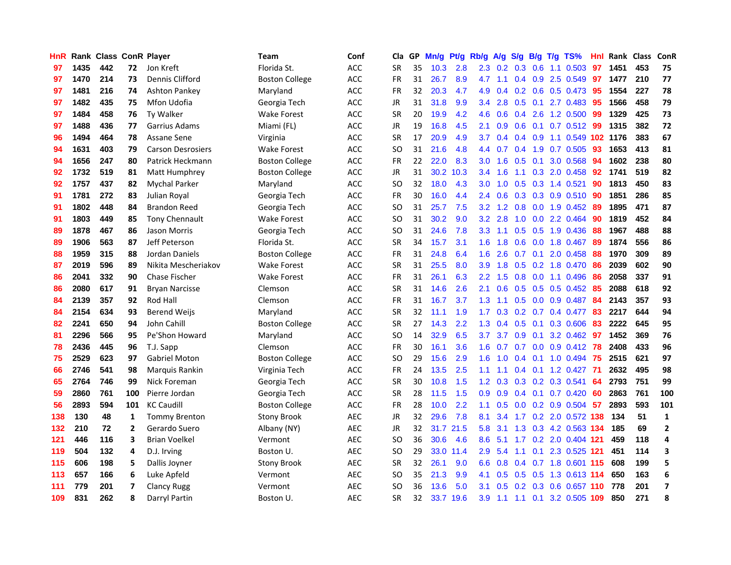| <b>HnR</b> |      |     |                | <b>Rank Class ConR Player</b> | <b>Team</b>           | Conf       | Cla       |    | GP Mn/g | Pt/g      | Rb/g             | A/g             |                  |                 | S/g B/g T/g TS%            | Hnl | Rank Class |     | ConR           |
|------------|------|-----|----------------|-------------------------------|-----------------------|------------|-----------|----|---------|-----------|------------------|-----------------|------------------|-----------------|----------------------------|-----|------------|-----|----------------|
| 97         | 1435 | 442 | 72             | Jon Kreft                     | Florida St.           | <b>ACC</b> | <b>SR</b> | 35 | 10.3    | 2.8       | 2.3              | 0.2             | 0.3              | 0.6             | 1.1 0.503                  | 97  | 1451       | 453 | 75             |
| 97         | 1470 | 214 | 73             | Dennis Clifford               | <b>Boston College</b> | ACC        | <b>FR</b> | 31 | 26.7    | 8.9       | 4.7              | 1.1             |                  | $0.4 \quad 0.9$ | 2.5 0.549                  | 97  | 1477       | 210 | 77             |
| 97         | 1481 | 216 | 74             | <b>Ashton Pankey</b>          | Maryland              | ACC        | <b>FR</b> | 32 | 20.3    | 4.7       | 4.9              | 0.4             |                  | $0.2 \quad 0.6$ | 0.5 0.473                  | 95  | 1554       | 227 | 78             |
| 97         | 1482 | 435 | 75             | Mfon Udofia                   | Georgia Tech          | <b>ACC</b> | JR        | 31 | 31.8    | 9.9       | 3.4              | 2.8             |                  |                 | $0.5$ $0.1$ 2.7 $0.483$    | -95 | 1566       | 458 | 79             |
| 97         | 1484 | 458 | 76             | Ty Walker                     | Wake Forest           | <b>ACC</b> | <b>SR</b> | 20 | 19.9    | 4.2       | 4.6              | 0.6             |                  |                 | $0.4$ 2.6 1.2 0.500        | -99 | 1329       | 425 | 73             |
| 97         | 1488 | 436 | 77             | Garrius Adams                 | Miami (FL)            | ACC        | JR        | 19 | 16.8    | 4.5       | 2.1              | 0.9             |                  |                 | $0.6$ $0.1$ $0.7$ $0.512$  | -99 | 1315       | 382 | 72             |
| 96         | 1494 | 464 | 78             | Assane Sene                   | Virginia              | ACC        | <b>SR</b> | 17 | 20.9    | 4.9       | 3.7              | 0.4             |                  |                 | 0.4 0.9 1.1 0.549 102 1176 |     |            | 383 | 67             |
| 94         | 1631 | 403 | 79             | <b>Carson Desrosiers</b>      | <b>Wake Forest</b>    | ACC        | SO.       | 31 | 21.6    | 4.8       | $4.4^{\circ}$    | 0.7             |                  |                 | $0.4$ 1.9 0.7 0.505        | 93  | 1653       | 413 | 81             |
| 94         | 1656 | 247 | 80             | Patrick Heckmann              | Boston College        | <b>ACC</b> | <b>FR</b> | 22 | 22.0    | 8.3       | 3.0 <sub>2</sub> | 1.6             | 0.5              | 0.1             | 3.0 0.568                  | 94  | 1602       | 238 | 80             |
| 92         | 1732 | 519 | 81             | Matt Humphrey                 | <b>Boston College</b> | <b>ACC</b> | JR        | 31 | 30.2    | 10.3      | 3.4              | 1.6             | 1.1              |                 | 0.3 2.0 0.458              | 92  | 1741       | 519 | 82             |
| 92         | 1757 | 437 | 82             | <b>Mychal Parker</b>          | Maryland              | ACC        | <b>SO</b> | 32 | 18.0    | 4.3       | 3.0              | 1.0             |                  |                 | 0.5 0.3 1.4 0.521          | 90  | 1813       | 450 | 83             |
| 91         | 1781 | 272 | 83             | Julian Royal                  | Georgia Tech          | ACC        | <b>FR</b> | 30 | 16.0    | 4.4       | $2.4^{\circ}$    | 0.6             |                  |                 | $0.3$ $0.3$ $0.9$ $0.510$  | -90 | 1851       | 286 | 85             |
| 91         | 1802 | 448 | 84             | <b>Brandon Reed</b>           | Georgia Tech          | <b>ACC</b> | SO.       | 31 | 25.7    | 7.5       | 3.2              | 1.2             | 0.8              | 0.0             | 1.9 0.452                  | -89 | 1895       | 471 | 87             |
| 91         | 1803 | 449 | 85             | <b>Tony Chennault</b>         | Wake Forest           | ACC        | SO        | 31 | 30.2    | 9.0       | 3.2 <sub>2</sub> | 2.8             | 1.0              | 0.0             | 2.2 0.464                  | 90  | 1819       | 452 | 84             |
| 89         | 1878 | 467 | 86             | Jason Morris                  | Georgia Tech          | <b>ACC</b> | <b>SO</b> | 31 | 24.6    | 7.8       | 3.3              | 1.1             | 0.5              | 0.5             | 1.9 0.436                  | 88  | 1967       | 488 | 88             |
| 89         | 1906 | 563 | 87             | Jeff Peterson                 | Florida St.           | <b>ACC</b> | <b>SR</b> | 34 | 15.7    | 3.1       | 1.6              | 1.8             | 0.6              |                 | $0.0$ 1.8 $0.467$          | -89 | 1874       | 556 | 86             |
| 88         | 1959 | 315 | 88             | Jordan Daniels                | <b>Boston College</b> | ACC        | FR        | 31 | 24.8    | 6.4       | 1.6              | 2.6             |                  | $0.7 \quad 0.1$ | 2.0 0.458                  | -88 | 1970       | 309 | 89             |
| 87         | 2019 | 596 | 89             | Nikita Mescheriakov           | <b>Wake Forest</b>    | <b>ACC</b> | <b>SR</b> | 31 | 25.5    | 8.0       | 3.9              | 1.8             |                  |                 | 0.5 0.2 1.8 0.470 86       |     | 2039       | 602 | 90             |
| 86         | 2041 | 332 | 90             | Chase Fischer                 | Wake Forest           | ACC        | <b>FR</b> | 31 | 26.1    | 6.3       |                  | $2.2 \quad 1.5$ |                  |                 | $0.8$ 0.0 1.1 0.496        | -86 | 2058       | 337 | 91             |
| 86         | 2080 | 617 | 91             | <b>Bryan Narcisse</b>         | Clemson               | ACC        | <b>SR</b> | 31 | 14.6    | 2.6       | 2.1              | 0.6             |                  |                 | $0.5$ $0.5$ $0.5$ $0.452$  | -85 | 2088       | 618 | 92             |
| 84         | 2139 | 357 | 92             | Rod Hall                      | Clemson               | <b>ACC</b> | FR        | 31 | 16.7    | 3.7       | 1.3              | 1.1             |                  |                 | $0.5$ 0.0 0.9 0.487        | 84  | 2143       | 357 | 93             |
| 84         | 2154 | 634 | 93             | <b>Berend Weijs</b>           | Maryland              | <b>ACC</b> | <b>SR</b> | 32 | 11.1    | 1.9       | 1.7              | 0.3             |                  |                 | 0.2 0.7 0.4 0.477          | 83  | 2217       | 644 | 94             |
| 82         | 2241 | 650 | 94             | John Cahill                   | <b>Boston College</b> | <b>ACC</b> | <b>SR</b> | 27 | 14.3    | 2.2       | 1.3              | 0.4             | 0.5              | 0.1             | 0.3 0.606                  | 83  | 2222       | 645 | 95             |
| 81         | 2296 | 566 | 95             | Pe'Shon Howard                | Maryland              | ACC        | SO.       | 14 | 32.9    | 6.5       | 3.7              | 3.7             | 0.9              | 0.1             | 3.2 0.462                  | -97 | 1452       | 369 | 76             |
| 78         | 2436 | 445 | 96             | T.J. Sapp                     | Clemson               | ACC        | FR        | 30 | 16.1    | 3.6       | 1.6              | 0.7             | 0.7              |                 | $0.0$ $0.9$ $0.412$        | -78 | 2408       | 433 | 96             |
| 75         | 2529 | 623 | 97             | <b>Gabriel Moton</b>          | <b>Boston College</b> | <b>ACC</b> | <b>SO</b> | 29 | 15.6    | 2.9       | 1.6              | 1.0             | $0.4^{\circ}$    | 0.1             | 1.0 0.494                  | -75 | 2515       | 621 | 97             |
| 66         | 2746 | 541 | 98             | Marquis Rankin                | Virginia Tech         | <b>ACC</b> | FR        | 24 | 13.5    | 2.5       | 1.1              | 1.1             |                  |                 | $0.4$ 0.1 1.2 0.427        | -71 | 2632       | 495 | 98             |
| 65         | 2764 | 746 | 99             | Nick Foreman                  | Georgia Tech          | ACC        | <b>SR</b> | 30 | 10.8    | 1.5       | 1.2 <sub>1</sub> | 0.3             |                  |                 | 0.3 0.2 0.3 0.541          | 64  | 2793       | 751 | 99             |
| 59         | 2860 | 761 | 100            | Pierre Jordan                 | Georgia Tech          | <b>ACC</b> | <b>SR</b> | 28 | 11.5    | 1.5       | 0.9              | 0.9             |                  | $0.4 \quad 0.1$ | $0.7$ 0.420                | -60 | 2863       | 761 | 100            |
| 56         | 2893 | 594 | 101            | <b>KC Caudill</b>             | <b>Boston College</b> | ACC        | <b>FR</b> | 28 | 10.0    | 2.2       | 1.1              | 0.5             |                  |                 | $0.0$ $0.2$ $0.9$ $0.504$  | -57 | 2893       | 593 | 101            |
| 138        | 130  | 48  | 1              | <b>Tommy Brenton</b>          | <b>Stony Brook</b>    | AEC        | JR        | 32 | 29.6    | 7.8       | 8.1              | 3.4             |                  |                 | 1.7 0.2 2.0 0.572 138      |     | 134        | 51  | 1              |
| 132        | 210  | 72  | $\overline{2}$ | Gerardo Suero                 | Albany (NY)           | <b>AEC</b> | JR        | 32 |         | 31.7 21.5 | 5.8              | 3.1             |                  |                 | 1.3 0.3 4.2 0.563 134      |     | 185        | 69  | $\overline{2}$ |
| 121        | 446  | 116 | 3              | <b>Brian Voelkel</b>          | Vermont               | <b>AEC</b> | SO.       | 36 | 30.6    | 4.6       | 8.6              | 5.1             |                  |                 | 1.7 0.2 2.0 0.404 121      |     | 459        | 118 | 4              |
| 119        | 504  | 132 | 4              | D.J. Irving                   | Boston U.             | AEC        | <b>SO</b> | 29 |         | 33.0 11.4 | 2.9              | 5.4             | 1.1              |                 | 0.1 2.3 0.525 121          |     | 451        | 114 | 3              |
| 115        | 606  | 198 | 5              | Dallis Joyner                 | <b>Stony Brook</b>    | <b>AEC</b> | <b>SR</b> | 32 | 26.1    | 9.0       | 6.6              | 0.8             |                  |                 | 0.4 0.7 1.8 0.601 115      |     | 608        | 199 | 5              |
| 113        | 657  | 166 | 6              | Luke Apfeld                   | Vermont               | AEC        | SO.       | 35 | 21.3    | 9.9       | 4.1              | 0.5             | 0.5              | 0.5             | 1.3 0.613 114              |     | 650        | 163 | 6              |
| 111        | 779  | 201 | 7              | <b>Clancy Rugg</b>            | Vermont               | <b>AEC</b> | SO        | 36 | 13.6    | 5.0       | 3.1              | 0.5             | 0.2 <sub>0</sub> | 0.3             | 0.6 0.657                  | 110 | 778        | 201 | 7              |
| 109        | 831  | 262 | 8              | Darryl Partin                 | Boston U.             | <b>AEC</b> | <b>SR</b> | 32 |         | 33.7 19.6 | 3.9              | 1.1             | $1.1 \quad 0.1$  |                 | 3.2 0.505 109              |     | 850        | 271 | 8              |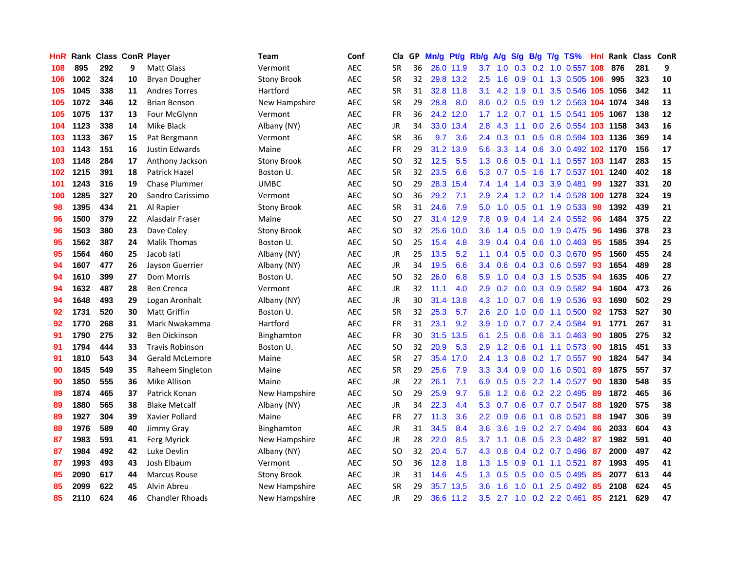| <b>HnR</b> |      | <b>Rank Class ConR Player</b> |    |                        | Team               | Conf       | Cla       |    | GP Mn/g Pt/g Rb/g |           |                  | A/g            |               |                 | S/g B/g T/g TS%                    | Hnl | Rank Class ConR |     |    |
|------------|------|-------------------------------|----|------------------------|--------------------|------------|-----------|----|-------------------|-----------|------------------|----------------|---------------|-----------------|------------------------------------|-----|-----------------|-----|----|
| 108        | 895  | 292                           | 9  | <b>Matt Glass</b>      | Vermont            | AEC        | <b>SR</b> | 36 |                   | 26.0 11.9 | 3.7              | 1.0            | 0.3           | 0.2             | 1.0 0.557                          | 108 | 876             | 281 | 9  |
| 106        | 1002 | 324                           | 10 | Bryan Dougher          | <b>Stony Brook</b> | <b>AEC</b> | <b>SR</b> | 32 |                   | 29.8 13.2 | 2.5              | 1.6            | 0.9           | 0.1             | 1.3 0.505 106                      |     | 995             | 323 | 10 |
| 105        | 1045 | 338                           | 11 | <b>Andres Torres</b>   | Hartford           | <b>AEC</b> | <b>SR</b> | 31 |                   | 32.8 11.8 | 3.1              | 4.2            | 1.9           | 0.1             | 3.5 0.546 105                      |     | 1056            | 342 | 11 |
| 105        | 1072 | 346                           | 12 | <b>Brian Benson</b>    | New Hampshire      | <b>AEC</b> | <b>SR</b> | 29 | 28.8              | 8.0       | 8.6              |                | $0.2$ 0.5 0.9 |                 | 1.2 0.563 104 1074                 |     |                 | 348 | 13 |
| 105        | 1075 | 137                           | 13 | Four McGlynn           | Vermont            | <b>AEC</b> | FR        | 36 |                   | 24.2 12.0 |                  |                |               |                 | 1.7 1.2 0.7 0.1 1.5 0.541 105 1067 |     |                 | 138 | 12 |
| 104        | 1123 | 338                           | 14 | Mike Black             | Albany (NY)        | AEC        | JR        | 34 |                   | 33.0 13.4 | 2.8              | 4.3            | 1.1           |                 | 0.0 2.6 0.554 103 1158             |     |                 | 343 | 16 |
| 103        | 1133 | 367                           | 15 | Pat Bergmann           | Vermont            | AEC        | <b>SR</b> | 36 | 9.7               | 3.6       |                  | $2.4\quad 0.3$ |               |                 | 0.1 0.5 0.8 0.594 103 1136         |     |                 | 369 | 14 |
| 103        | 1143 | 151                           | 16 | <b>Justin Edwards</b>  | Maine              | <b>AEC</b> | <b>FR</b> | 29 |                   | 31.2 13.9 | 5.6              | 3.3            |               |                 | 1.4 0.6 3.0 0.492 102 1170         |     |                 | 156 | 17 |
| 103        | 1148 | 284                           | 17 | Anthony Jackson        | <b>Stony Brook</b> | <b>AEC</b> | <b>SO</b> | 32 | 12.5              | 5.5       | 1.3              | 0.6            | 0.5           | 0.1             | 1.1 0.557 103 1147                 |     |                 | 283 | 15 |
| 102        | 1215 | 391                           | 18 | Patrick Hazel          | Boston U.          | <b>AEC</b> | <b>SR</b> | 32 | 23.5              | 6.6       | 5.3              | 0.7            | 0.5           | 1.6             | 1.7 0.537                          | 101 | 1240            | 402 | 18 |
| 101        | 1243 | 316                           | 19 | <b>Chase Plummer</b>   | <b>UMBC</b>        | <b>AEC</b> | SO.       | 29 |                   | 28.3 15.4 | 7.4              | 1.4            | $1.4^{\circ}$ | 0.3             | 3.9 0.481                          | -99 | 1327            | 331 | 20 |
| 100        | 1285 | 327                           | 20 | Sandro Carissimo       | Vermont            | <b>AEC</b> | SO.       | 36 | 29.2              | 7.1       | 2.9              | 2.4            | $1.2^{\circ}$ | 0.2             | 1.4 0.528                          | 100 | 1278            | 324 | 19 |
| 98         | 1395 | 434                           | 21 | Al Rapier              | <b>Stony Brook</b> | <b>AEC</b> | <b>SR</b> | 31 | 24.6              | 7.9       | 5.0              | 1.0            | 0.5           | 0.1             | 1.9 0.533                          | 98  | 1392            | 439 | 21 |
| 96         | 1500 | 379                           | 22 | Alasdair Fraser        | Maine              | <b>AEC</b> | <b>SO</b> | 27 |                   | 31.4 12.9 | 7.8              | 0.9            | 0.4           | 1.4             | 2.4 0.552                          | 96  | 1484            | 375 | 22 |
| 96         | 1503 | 380                           | 23 | Dave Coley             | <b>Stony Brook</b> | <b>AEC</b> | <b>SO</b> | 32 |                   | 25.6 10.0 | 3.6              | 1.4            | 0.5           | 0.0             | 1.9 0.475                          | 96  | 1496            | 378 | 23 |
| 95         | 1562 | 387                           | 24 | <b>Malik Thomas</b>    | Boston U.          | AEC        | SO.       | 25 | 15.4              | 4.8       | 3.9              | 0.4            |               | $0.4\quad 0.6$  | 1.0 0.463                          | -95 | 1585            | 394 | 25 |
| 95         | 1564 | 460                           | 25 | Jacob lati             | Albany (NY)        | <b>AEC</b> | JR        | 25 | 13.5              | 5.2       | 1.1              | $0.4^{\circ}$  |               |                 | 0.5 0.0 0.3 0.670                  | -95 | 1560            | 455 | 24 |
| 94         | 1607 | 477                           | 26 | Jayson Guerrier        | Albany (NY)        | <b>AEC</b> | JR        | 34 | 19.5              | 6.6       |                  | $3.4\quad 0.6$ |               |                 | $0.4$ $0.3$ $0.6$ $0.597$          | -93 | 1654            | 489 | 28 |
| 94         | 1610 | 399                           | 27 | Dom Morris             | Boston U.          | <b>AEC</b> | SO.       | 32 | 26.0              | 6.8       | 5.9              | 1.0            |               |                 | 0.4 0.3 1.5 0.535                  | 94  | 1635            | 406 | 27 |
| 94         | 1632 | 487                           | 28 | <b>Ben Crenca</b>      | Vermont            | <b>AEC</b> | JR        | 32 | 11.1              | 4.0       | 2.9              | 0.2            |               |                 | $0.0$ $0.3$ $0.9$ $0.582$          | -94 | 1604            | 473 | 26 |
| 94         | 1648 | 493                           | 29 | Logan Aronhalt         | Albany (NY)        | AEC        | JR        | 30 | 31.4              | 13.8      | 4.3              | 1.0            | 0.7           |                 | 0.6 1.9 0.536                      | 93  | 1690            | 502 | 29 |
| 92         | 1731 | 520                           | 30 | <b>Matt Griffin</b>    | Boston U.          | <b>AEC</b> | <b>SR</b> | 32 | 25.3              | 5.7       | 2.6              | 2.0            | 1.0           |                 | $0.0$ 1.1 $0.500$                  | 92  | 1753            | 527 | 30 |
| 92         | 1770 | 268                           | 31 | Mark Nwakamma          | Hartford           | <b>AEC</b> | FR        | 31 | 23.1              | 9.2       | 3.9              | 1.0            | 0.7           |                 | 0.7 2.4 0.584                      | 91  | 1771            | 267 | 31 |
| 91         | 1790 | 275                           | 32 | Ben Dickinson          | Binghamton         | <b>AEC</b> | FR        | 30 |                   | 31.5 13.5 | 6.1              | 2.5            | 0.6           | 0.6             | 3.1 0.463                          | 90  | 1805            | 275 | 32 |
| 91         | 1794 | 444                           | 33 | <b>Travis Robinson</b> | Boston U.          | <b>AEC</b> | <b>SO</b> | 32 | 20.9              | 5.3       | 2.9              | 1.2            | 0.6           | 0.1             | 1.1 0.573                          | 90  | 1815            | 451 | 33 |
| 91         | 1810 | 543                           | 34 | Gerald McLemore        | Maine              | <b>AEC</b> | <b>SR</b> | 27 |                   | 35.4 17.0 | 2.4              | 1.3            | 0.8           | 0.2             | 1.7 0.557                          | 90  | 1824            | 547 | 34 |
| 90         | 1845 | 549                           | 35 | Raheem Singleton       | Maine              | AEC        | <b>SR</b> | 29 | 25.6              | 7.9       | 3.3 <sub>2</sub> | 3.4            | 0.9           | 0.0             | 1.6 0.501                          | 89  | 1875            | 557 | 37 |
| 90         | 1850 | 555                           | 36 | Mike Allison           | Maine              | <b>AEC</b> | JR        | 22 | 26.1              | 7.1       | 6.9              | 0.5            | 0.5           |                 | 2.2 1.4 0.527                      | 90  | 1830            | 548 | 35 |
| 89         | 1874 | 465                           | 37 | Patrick Konan          | New Hampshire      | <b>AEC</b> | <b>SO</b> | 29 | 25.9              | 9.7       | 5.8              | 1.2            | 0.6           |                 | 0.2 2.2 0.495                      | 89  | 1872            | 465 | 36 |
| 89         | 1880 | 565                           | 38 | <b>Blake Metcalf</b>   | Albany (NY)        | AEC        | JR        | 34 | 22.3              | 4.4       | 5.3              | 0.7            | 0.6           |                 | 0.7 0.7 0.547                      | 88  | 1920            | 575 | 38 |
| 89         | 1927 | 304                           | 39 | Xavier Pollard         | Maine              | AEC        | <b>FR</b> | 27 | 11.3              | 3.6       | $2.2^{\circ}$    | 0.9            |               | $0.6 \quad 0.1$ | 0.8 0.521                          | 88  | 1947            | 306 | 39 |
| 88         | 1976 | 589                           | 40 | Jimmy Gray             | Binghamton         | <b>AEC</b> | JR        | 31 | 34.5              | 8.4       | 3.6              | 3.6            |               |                 | 1.9 0.2 2.7 0.494                  | 86  | 2033            | 604 | 43 |
| 87         | 1983 | 591                           | 41 | Ferg Myrick            | New Hampshire      | <b>AEC</b> | JR        | 28 | 22.0              | 8.5       | 3.7              | 1.1            |               |                 | 0.8 0.5 2.3 0.482                  | -87 | 1982            | 591 | 40 |
| 87         | 1984 | 492                           | 42 | Luke Devlin            | Albany (NY)        | <b>AEC</b> | SO.       | 32 | 20.4              | 5.7       | 4.3              | 0.8            |               |                 | $0.4$ 0.2 0.7 0.496                | 87  | 2000            | 497 | 42 |
| 87         | 1993 | 493                           | 43 | Josh Elbaum            | Vermont            | <b>AEC</b> | <b>SO</b> | 36 | 12.8              | 1.8       | 1.3              | 1.5            | 0.9           |                 | $0.1$ 1.1 0.521                    | 87  | 1993            | 495 | 41 |
| 85         | 2090 | 617                           | 44 | <b>Marcus Rouse</b>    | <b>Stony Brook</b> | AEC        | <b>JR</b> | 31 | 14.6              | 4.5       | 1.3              | 0.5            | 0.5           | 0.0             | 0.5 0.495                          | 85  | 2077            | 613 | 44 |
| 85         | 2099 | 622                           | 45 | Alvin Abreu            | New Hampshire      | AEC        | <b>SR</b> | 29 | 35.7              | 13.5      | 3.6              | 1.6            | 1.0           | 0.1             | 2.5 0.492                          | 85  | 2108            | 624 | 45 |
| 85         | 2110 | 624                           | 46 | <b>Chandler Rhoads</b> | New Hampshire      | <b>AEC</b> | <b>JR</b> | 29 |                   | 36.6 11.2 | 3.5              | 2.7            |               |                 | 1.0 0.2 2.2 0.461                  | 85  | 2121            | 629 | 47 |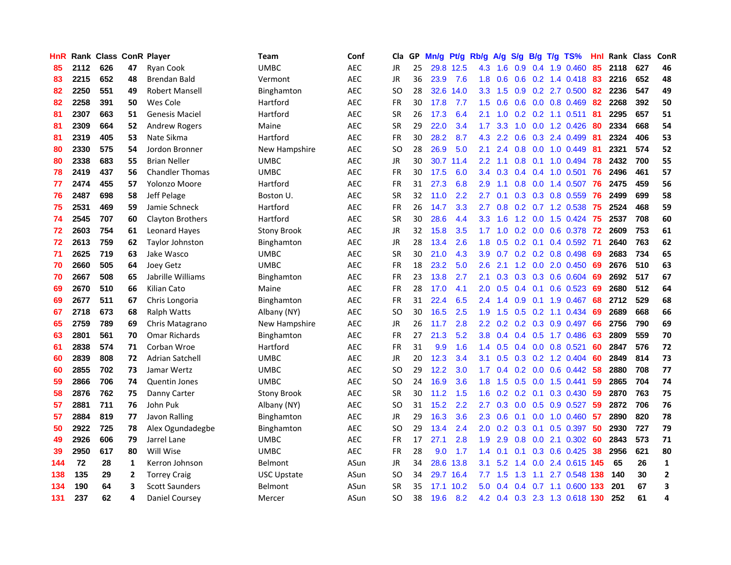| <b>HnR</b> |      | Rank Class ConR Player |    |                         | <b>Team</b>        | Conf       | Cla       |    | GP Mn/g Pt/g |           | Rb/g             | A/g |               |                 | S/g B/g T/g TS%               | Hnl | Rank Class |     | ConR         |
|------------|------|------------------------|----|-------------------------|--------------------|------------|-----------|----|--------------|-----------|------------------|-----|---------------|-----------------|-------------------------------|-----|------------|-----|--------------|
| 85         | 2112 | 626                    | 47 | <b>Ryan Cook</b>        | UMBC               | <b>AEC</b> | JR        | 25 |              | 29.8 12.5 | 4.3              | 1.6 | 0.9           | 0.4             | 1.9 0.460                     | 85  | 2118       | 627 | 46           |
| 83         | 2215 | 652                    | 48 | Brendan Bald            | Vermont            | <b>AEC</b> | JR        | 36 | 23.9         | 7.6       | 1.8              | 0.6 | 0.6           | 0.2             | 1.4 0.418                     | 83  | 2216       | 652 | 48           |
| 82         | 2250 | 551                    | 49 | <b>Robert Mansell</b>   | Binghamton         | AEC        | SO.       | 28 | 32.6         | 14.0      | 3.3 <sub>2</sub> | 1.5 | 0.9           |                 | 0.2 2.7 0.500                 | 82  | 2236       | 547 | 49           |
| 82         | 2258 | 391                    | 50 | Wes Cole                | Hartford           | <b>AEC</b> | <b>FR</b> | 30 | 17.8         | 7.7       | 1.5              | 0.6 |               |                 | 0.6 0.0 0.8 0.469             | 82  | 2268       | 392 | 50           |
| 81         | 2307 | 663                    | 51 | <b>Genesis Maciel</b>   | Hartford           | <b>AEC</b> | <b>SR</b> | 26 | 17.3         | 6.4       | 2.1              | 1.0 |               |                 | $0.2$ 0.2 1.1 0.511           | -81 | 2295       | 657 | 51           |
| 81         | 2309 | 664                    | 52 | <b>Andrew Rogers</b>    | Maine              | <b>AEC</b> | <b>SR</b> | 29 | 22.0         | 3.4       | 1.7 <sub>z</sub> | 3.3 |               |                 | 1.0 0.0 1.2 0.426             | 80  | 2334       | 668 | 54           |
| 81         | 2319 | 405                    | 53 | Nate Sikma              | Hartford           | AEC        | FR        | 30 | 28.2         | 8.7       | 4.3              | 2.2 | 0.6           |                 | $0.3$ 2.4 0.499               | 81  | 2324       | 406 | 53           |
| 80         | 2330 | 575                    | 54 | Jordon Bronner          | New Hampshire      | <b>AEC</b> | SO.       | 28 | 26.9         | 5.0       | 2.1              | 2.4 | 0.8           |                 | $0.0$ 1.0 $0.449$             | 81  | 2321       | 574 | 52           |
| 80         | 2338 | 683                    | 55 | <b>Brian Neller</b>     | <b>UMBC</b>        | <b>AEC</b> | JR        | 30 | 30.7         | 11.4      | 2.2              | 1.1 | 0.8           | 0.1             | 1.0 0.494                     | -78 | 2432       | 700 | 55           |
| 78         | 2419 | 437                    | 56 | <b>Chandler Thomas</b>  | <b>UMBC</b>        | <b>AEC</b> | <b>FR</b> | 30 | 17.5         | 6.0       | 3.4              | 0.3 |               |                 | $0.4$ 0.4 1.0 0.501           | 76  | 2496       | 461 | 57           |
| 77         | 2474 | 455                    | 57 | Yolonzo Moore           | Hartford           | <b>AEC</b> | FR        | 31 | 27.3         | 6.8       | 2.9              | 1.1 | 0.8           |                 | 0.0 1.4 0.507                 | 76  | 2475       | 459 | 56           |
| 76         | 2487 | 698                    | 58 | Jeff Pelage             | Boston U.          | <b>AEC</b> | <b>SR</b> | 32 | 11.0         | 2.2       | 2.7              | 0.1 | 0.3           |                 | 0.3 0.8 0.559                 | 76  | 2499       | 699 | 58           |
| 75         | 2531 | 469                    | 59 | Jamie Schneck           | Hartford           | <b>AEC</b> | FR        | 26 | 14.7         | 3.3       | 2.7              | 0.8 | 0.2           |                 | $0.7$ 1.2 0.538               | 75  | 2524       | 468 | 59           |
| 74         | 2545 | 707                    | 60 | <b>Clayton Brothers</b> | Hartford           | <b>AEC</b> | <b>SR</b> | 30 | 28.6         | 4.4       | 3.3 <sub>2</sub> | 1.6 | 1.2           | 0.0             | 1.5 0.424                     | -75 | 2537       | 708 | 60           |
| 72         | 2603 | 754                    | 61 | <b>Leonard Hayes</b>    | <b>Stony Brook</b> | <b>AEC</b> | <b>JR</b> | 32 | 15.8         | 3.5       | 1.7              | 1.0 | 0.2           | 0.0             | 0.6 0.378                     | 72  | 2609       | 753 | 61           |
| 72         | 2613 | 759                    | 62 | <b>Taylor Johnston</b>  | Binghamton         | <b>AEC</b> | JR        | 28 | 13.4         | 2.6       | 1.8              | 0.5 |               | $0.2 \quad 0.1$ | 0.4 0.592                     | -71 | 2640       | 763 | 62           |
| 71         | 2625 | 719                    | 63 | Jake Wasco              | <b>UMBC</b>        | AEC        | <b>SR</b> | 30 | 21.0         | 4.3       | 3.9              | 0.7 |               |                 | $0.2$ 0.2 0.8 0.498           | -69 | 2683       | 734 | 65           |
| 70         | 2660 | 505                    | 64 | <b>Joey Getz</b>        | UMBC               | <b>AEC</b> | <b>FR</b> | 18 | 23.2         | 5.0       | 2.6              | 2.1 |               |                 | 1.2 0.0 2.0 0.450 69          |     | 2676       | 510 | 63           |
| 70         | 2667 | 508                    | 65 | Jabrille Williams       | Binghamton         | AEC        | FR        | 23 | 13.8         | 2.7       | 2.1              | 0.3 |               |                 | $0.3$ 0.3 0.6 0.604           | 69  | 2692       | 517 | 67           |
| 69         | 2670 | 510                    | 66 | Kilian Cato             | Maine              | AEC        | FR        | 28 | 17.0         | 4.1       | 2.0 <sub>2</sub> | 0.5 |               |                 | $0.4$ 0.1 0.6 0.523           | -69 | 2680       | 512 | 64           |
| 69         | 2677 | 511                    | 67 | Chris Longoria          | Binghamton         | <b>AEC</b> | FR        | 31 | 22.4         | 6.5       | 2.4              | 1.4 | 0.9           |                 | 0.1 1.9 0.467                 | 68  | 2712       | 529 | 68           |
| 67         | 2718 | 673                    | 68 | <b>Ralph Watts</b>      | Albany (NY)        | <b>AEC</b> | <b>SO</b> | 30 | 16.5         | 2.5       | 1.9              | 1.5 | 0.5           |                 | 0.2 1.1 0.434                 | 69  | 2689       | 668 | 66           |
| 65         | 2759 | 789                    | 69 | Chris Matagrano         | New Hampshire      | AEC        | JR        | 26 | 11.7         | 2.8       | 2.2 <sub>2</sub> | 0.2 |               |                 | 0.2 0.3 0.9 0.497             | 66  | 2756       | 790 | 69           |
| 63         | 2801 | 561                    | 70 | <b>Omar Richards</b>    | Binghamton         | <b>AEC</b> | FR        | 27 | 21.3         | 5.2       | 3.8              | 0.4 |               |                 | $0.4$ 0.5 1.7 0.486           | 63  | 2809       | 559 | 70           |
| 61         | 2838 | 574                    | 71 | Corban Wroe             | Hartford           | <b>AEC</b> | <b>FR</b> | 31 | 9.9          | 1.6       | $1.4^{\circ}$    | 0.5 |               |                 | $0.4$ 0.0 0.8 0.521           | 60  | 2847       | 576 | 72           |
| 60         | 2839 | 808                    | 72 | <b>Adrian Satchell</b>  | <b>UMBC</b>        | <b>AEC</b> | <b>JR</b> | 20 | 12.3         | 3.4       | 3.1              | 0.5 |               |                 | $0.3$ $0.2$ 1.2 $0.404$       | 60  | 2849       | 814 | 73           |
| 60         | 2855 | 702                    | 73 | Jamar Wertz             | <b>UMBC</b>        | <b>AEC</b> | SO.       | 29 | 12.2         | 3.0       | 1.7              | 0.4 |               | $0.2 \quad 0.0$ | $0.6$ $0.442$                 | 58  | 2880       | 708 | 77           |
| 59         | 2866 | 706                    | 74 | <b>Quentin Jones</b>    | <b>UMBC</b>        | <b>AEC</b> | <b>SO</b> | 24 | 16.9         | 3.6       | 1.8              | 1.5 | 0.5           | 0.0             | 1.5 0.441                     | 59  | 2865       | 704 | 74           |
| 58         | 2876 | 762                    | 75 | Danny Carter            | <b>Stony Brook</b> | <b>AEC</b> | <b>SR</b> | 30 | 11.2         | 1.5       | 1.6              |     | $0.2$ 0.2 0.1 |                 | 0.3 0.430                     | -59 | 2870       | 763 | 75           |
| 57         | 2881 | 711                    | 76 | John Puk                | Albany (NY)        | AEC        | SO.       | 31 | 15.2         | 2.2       | 2.7              | 0.3 |               |                 | $0.0$ $0.5$ $0.9$ $0.527$     | -59 | 2872       | 706 | 76           |
| 57         | 2884 | 819                    | 77 | Javon Ralling           | Binghamton         | AEC        | JR        | 29 | 16.3         | 3.6       | $2.3^{\circ}$    | 0.6 |               |                 | $0.1$ 0.0 1.0 0.460 57        |     | 2890       | 820 | 78           |
| 50         | 2922 | 725                    | 78 | Alex Ogundadegbe        | Binghamton         | <b>AEC</b> | <b>SO</b> | 29 | 13.4         | 2.4       | 2.0              | 0.2 |               |                 | $0.3$ 0.1 0.5 0.397           | 50  | 2930       | 727 | 79           |
| 49         | 2926 | 606                    | 79 | Jarrel Lane             | UMBC               | <b>AEC</b> | FR        | 17 | 27.1         | 2.8       | 1.9              | 2.9 |               |                 | 0.8 0.0 2.1 0.302             | 60  | 2843       | 573 | 71           |
| 39         | 2950 | 617                    | 80 | Will Wise               | <b>UMBC</b>        | <b>AEC</b> | FR        | 28 | 9.0          | 1.7       | 1.4              | 0.1 | 0.1           |                 | 0.3 0.6 0.425                 | 38  | 2956       | 621 | 80           |
| 144        | 72   | 28                     | 1  | Kerron Johnson          | Belmont            | ASun       | JR        | 34 | 28.6         | 13.8      | 3.1              | 5.2 | 1.4           | 0.0             | 2.4 0.615 145                 |     | 65         | 26  | 1            |
| 138        | 135  | 29                     | 2  | <b>Torrey Craig</b>     | <b>USC Upstate</b> | ASun       | SO.       | 34 | 29.7         | 16.4      | 7.7              | 1.5 | 1.3           | 1.1             | 2.7 0.548                     | 138 | 140        | 30  | $\mathbf{2}$ |
| 134        | 190  | 64                     | 3  | <b>Scott Saunders</b>   | Belmont            | ASun       | <b>SR</b> | 35 | 17.1         | 10.2      | 5.0              | 0.4 | 0.4           | 0.7             | 1.1 0.600                     | 133 | 201        | 67  | 3            |
| 131        | 237  | 62                     | 4  | Daniel Coursey          | Mercer             | ASun       | <b>SO</b> | 38 | 19.6         | 8.2       |                  |     |               |                 | 4.2 0.4 0.3 2.3 1.3 0.618 130 |     | 252        | 61  | 4            |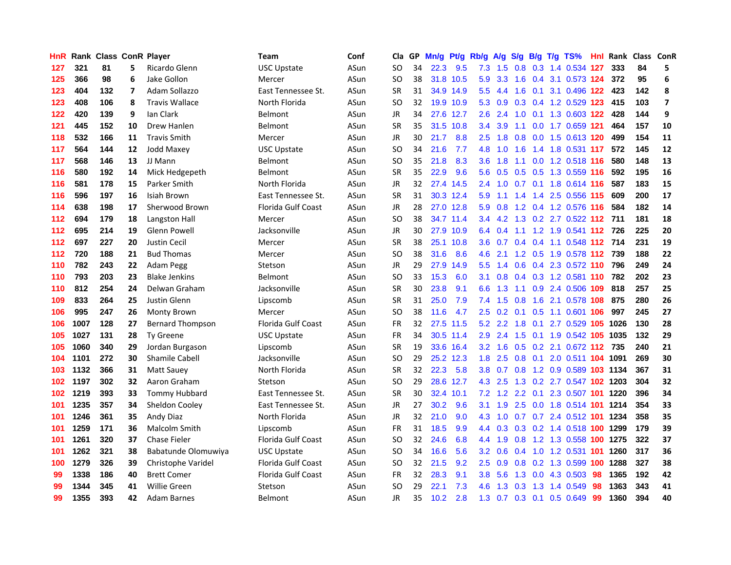| HnR. |      | Rank Class ConR Player |                         |                         | <b>Team</b>               | Conf | Cla       |    | GP Mn/g | Pt/g      | Rb/g             | <b>A/g</b> | <b>S/g</b> |     | B/g T/g TS%                        | Hnl |      | Rank Class ConR |                         |
|------|------|------------------------|-------------------------|-------------------------|---------------------------|------|-----------|----|---------|-----------|------------------|------------|------------|-----|------------------------------------|-----|------|-----------------|-------------------------|
| 127  | 321  | 81                     | 5.                      | Ricardo Glenn           | <b>USC Upstate</b>        | ASun | SO        | 34 | 22.3    | 9.5       | 7.3              | 1.5        | 0.8        | 0.3 | 1.4 0.534                          | 127 | 333  | 84              | 5                       |
| 125  | 366  | 98                     | 6                       | Jake Gollon             | Mercer                    | ASun | SO        | 38 | 31.8    | 10.5      | 5.9              | 3.3        | 1.6        | 0.4 | 3.1 0.573 124                      |     | 372  | 95              | 6                       |
| 123  | 404  | 132                    | $\overline{\mathbf{z}}$ | Adam Sollazzo           | East Tennessee St.        | ASun | <b>SR</b> | 31 |         | 34.9 14.9 | 5.5 <sub>1</sub> | 4.4        | 1.6        | 0.1 | 3.1 0.496 122                      |     | 423  | 142             | 8                       |
| 123  | 408  | 106                    | 8                       | <b>Travis Wallace</b>   | North Florida             | ASun | <b>SO</b> | 32 |         | 19.9 10.9 |                  | 5.3 0.9    |            |     | 0.3 0.4 1.2 0.529 123              |     | 415  | 103             | $\overline{\mathbf{z}}$ |
| 122  | 420  | 139                    | 9                       | lan Clark               | <b>Belmont</b>            | ASun | JR        | 34 |         | 27.6 12.7 | $2.6^{\circ}$    | 2.4        |            |     | 1.0 0.1 1.3 0.603 122              |     | 428  | 144             | 9                       |
| 121  | 445  | 152                    | 10                      | Drew Hanlen             | <b>Belmont</b>            | ASun | <b>SR</b> | 35 |         | 31.5 10.8 | $3.4^{\circ}$    | 3.9        | 1.1        |     | 0.0 1.7 0.659 121                  |     | 464  | 157             | 10                      |
| 118  | 532  | 166                    | 11                      | <b>Travis Smith</b>     | Mercer                    | ASun | JR        | 30 | 21.7    | 8.8       | 2.5              | 1.8        |            |     | 0.8 0.0 1.5 0.613 120              |     | 499  | 154             | 11                      |
| 117  | 564  | 144                    | 12                      | <b>Jodd Maxey</b>       | <b>USC Upstate</b>        | ASun | SO        | 34 | 21.6    | 7.7       | 4.8              | 1.0        | 1.6        |     | 1.4 1.8 0.531 117                  |     | 572  | 145             | 12                      |
| 117  | 568  | 146                    | 13                      | JJ Mann                 | Belmont                   | ASun | SO        | 35 | 21.8    | 8.3       | 3.6 <sup>°</sup> | 1.8        | 1.1        |     | 0.0 1.2 0.518 116                  |     | 580  | 148             | 13                      |
| 116  | 580  | 192                    | 14                      | Mick Hedgepeth          | <b>Belmont</b>            | ASun | <b>SR</b> | 35 | 22.9    | 9.6       | 5.6              | 0.5        | 0.5        |     | 0.5 1.3 0.559 116                  |     | 592  | 195             | 16                      |
| 116  | 581  | 178                    | 15                      | Parker Smith            | North Florida             | ASun | <b>JR</b> | 32 |         | 27.4 14.5 | $2.4^{\circ}$    | 1.0        |            |     | 0.7 0.1 1.8 0.614 116              |     | 587  | 183             | 15                      |
| 116  | 596  | 197                    | 16                      | Isiah Brown             | East Tennessee St.        | ASun | <b>SR</b> | 31 |         | 30.3 12.4 | 5.9              | 1.1        | 1.4        |     | 1.4 2.5 0.556 115                  |     | 609  | 200             | 17                      |
| 114  | 638  | 198                    | 17                      | Sherwood Brown          | Florida Gulf Coast        | ASun | JR        | 28 |         | 27.0 12.8 | 5.9              | 0.8        |            |     | 1.2 0.4 1.2 0.576 116              |     | 584  | 182             | 14                      |
| 112  | 694  | 179                    | 18                      | Langston Hall           | Mercer                    | ASun | SO        | 38 |         | 34.7 11.4 | 3.4              | 4.2        | 1.3        |     | 0.2 2.7 0.522 112 711              |     |      | 181             | 18                      |
| 112  | 695  | 214                    | 19                      | Glenn Powell            | Jacksonville              | ASun | JR        | 30 | 27.9    | 10.9      | 6.4              | 0.4        | 1.1        |     | 1.2 1.9 0.541 112                  |     | 726  | 225             | 20                      |
| 112  | 697  | 227                    | 20                      | <b>Justin Cecil</b>     | Mercer                    | ASun | <b>SR</b> | 38 | 25.1    | 10.8      | 3.6              | 0.7        | 0.4        |     | 0.4 1.1 0.548 112 714              |     |      | 231             | 19                      |
| 112  | 720  | 188                    | 21                      | <b>Bud Thomas</b>       | Mercer                    | ASun | SO        | 38 | 31.6    | 8.6       | 4.6              | 2.1        |            |     | 1.2 0.5 1.9 0.578 112 739          |     |      | 188             | 22                      |
| 110  | 782  | 243                    | 22                      | Adam Pegg               | Stetson                   | ASun | JR        | 29 | 27.9    | 14.9      | $5.5^{\circ}$    |            |            |     | 1.4 0.6 0.4 2.3 0.572 110          |     | 796  | 249             | 24                      |
| 110  | 793  | 203                    | 23                      | <b>Blake Jenkins</b>    | <b>Belmont</b>            | ASun | <b>SO</b> | 33 | 15.3    | 6.0       |                  |            |            |     | 3.1 0.8 0.4 0.3 1.2 0.581 110      |     | 782  | 202             | 23                      |
| 110  | 812  | 254                    | 24                      | Delwan Graham           | Jacksonville              | ASun | <b>SR</b> | 30 | 23.8    | 9.1       | 6.6              | 1.3        |            |     | 1.1 0.9 2.4 0.506 109              |     | 818  | 257             | 25                      |
| 109  | 833  | 264                    | 25                      | Justin Glenn            | Lipscomb                  | ASun | <b>SR</b> | 31 | 25.0    | 7.9       | 7.4              | 1.5        | 0.8        |     | 1.6 2.1 0.578 108                  |     | 875  | 280             | 26                      |
| 106  | 995  | 247                    | 26                      | Monty Brown             | Mercer                    | ASun | SO        | 38 | 11.6    | 4.7       | $2.5\,$          | 0.2        |            |     | 0.1 0.5 1.1 0.601 106              |     | 997  | 245             | 27                      |
| 106  | 1007 | 128                    | 27                      | <b>Bernard Thompson</b> | Florida Gulf Coast        | ASun | <b>FR</b> | 32 | 27.5    | 11.5      | 5.2              | 2.2        | 1.8        |     | 0.1 2.7 0.529 105                  |     | 1026 | 130             | 28                      |
| 105  | 1027 | 131                    | 28                      | <b>Ty Greene</b>        | <b>USC Upstate</b>        | ASun | <b>FR</b> | 34 |         | 30.5 11.4 | 2.9              | 2.4        | 1.5        |     | 0.1 1.9 0.542 105                  |     | 1035 | 132             | 29                      |
| 105  | 1060 | 340                    | 29                      | Jordan Burgason         | Lipscomb                  | ASun | <b>SR</b> | 19 |         | 33.6 16.4 | 3.2 <sub>2</sub> | 1.6        |            |     | 0.5 0.2 2.1 0.672 112 735          |     |      | 240             | 21                      |
| 104  | 1101 | 272                    | 30                      | <b>Shamile Cabell</b>   | Jacksonville              | ASun | <b>SO</b> | 29 |         | 25.2 12.3 | 1.8              | 2.5        | 0.8        |     | 0.1 2.0 0.511 104 1091             |     |      | 269             | 30                      |
| 103  | 1132 | 366                    | 31                      | Matt Sauev              | North Florida             | ASun | <b>SR</b> | 32 | 22.3    | 5.8       | 3.8 <sup>°</sup> | 0.7        | 0.8        |     | 1.2 0.9 0.589 103                  |     | 1134 | 367             | 31                      |
| 102  | 1197 | 302                    | 32                      | Aaron Graham            | Stetson                   | ASun | SO        | 29 |         | 28.6 12.7 | 4.3              | 2.5        | 1.3        |     | 0.2 2.7 0.547 102 1203             |     |      | 304             | 32                      |
| 102  | 1219 | 393                    | 33                      | <b>Tommy Hubbard</b>    | East Tennessee St.        | ASun | <b>SR</b> | 30 |         | 32.4 10.1 | 7.2              | 1.2        | 2.2        | 0.1 | 2.3 0.507 101                      |     | 1220 | 396             | 34                      |
| 101  | 1235 | 357                    | 34                      | Sheldon Cooley          | East Tennessee St.        | ASun | JR        | 27 | 30.2    | 9.6       | 3.1              | 1.9        | 2.5        |     | 0.0 1.8 0.514 101                  |     | 1214 | 354             | 33                      |
| 101  | 1246 | 361                    | 35                      | <b>Andy Diaz</b>        | North Florida             | ASun | JR        | 32 | 21.0    | 9.0       | 4.3              | 1.0        |            |     | 0.7 0.7 2.4 0.512 101 1234         |     |      | 358             | 35                      |
| 101  | 1259 | 171                    | 36                      | Malcolm Smith           | Lipscomb                  | ASun | <b>FR</b> | 31 | 18.5    | 9.9       |                  |            |            |     | 4.4 0.3 0.3 0.2 1.4 0.518 100 1299 |     |      | 179             | 39                      |
| 101  | 1261 | 320                    | 37                      | <b>Chase Fieler</b>     | Florida Gulf Coast        | ASun | SO        | 32 | 24.6    | 6.8       |                  | 4.4 1.9    | 0.8        |     | 1.2 1.3 0.558 100 1275             |     |      | 322             | 37                      |
| 101  | 1262 | 321                    | 38                      | Babatunde Olomuwiya     | <b>USC Upstate</b>        | ASun | SO        | 34 | 16.6    | 5.6       | 3.2              | 0.6        | 0.4        |     | 1.0 1.2 0.531 101                  |     | 1260 | 317             | 36                      |
| 100  | 1279 | 326                    | 39                      | Christophe Varidel      | <b>Florida Gulf Coast</b> | ASun | SO        | 32 | 21.5    | 9.2       | $2.5\,$          | 0.9        | 0.8        |     | 0.2 1.3 0.599 100                  |     | 1288 | 327             | 38                      |
| 99   | 1338 | 186                    | 40                      | <b>Brett Comer</b>      | <b>Florida Gulf Coast</b> | ASun | <b>FR</b> | 32 | 28.3    | 9.1       | 3.8              | 5.6        | 1.3        | 0.0 | 4.3 0.503                          | 98  | 1365 | 192             | 42                      |
| 99   | 1344 | 345                    | 41                      | <b>Willie Green</b>     | Stetson                   | ASun | <b>SO</b> | 29 | 22.1    | 7.3       | 4.6              | 1.3        | 0.3        | 1.3 | 1.4 0.549                          | 98  | 1363 | 343             | 41                      |
| 99   | 1355 | 393                    | 42                      | Adam Barnes             | <b>Belmont</b>            | ASun | JR        | 35 | 10.2    | 2.8       | 1.3 <sup>°</sup> |            |            |     | 0.7 0.3 0.1 0.5 0.649              | -99 | 1360 | 394             | 40                      |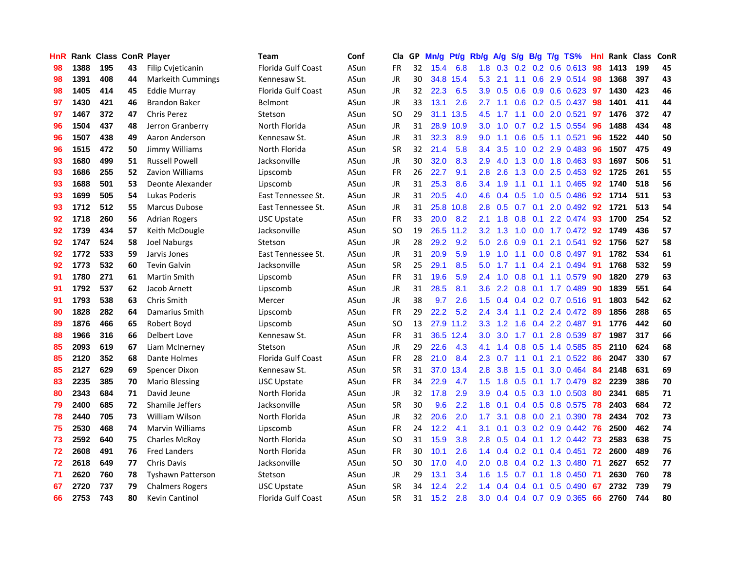| HnR |      | <b>Rank Class ConR Player</b> |    |                          | Team                      | Conf | Cla           |    | GP Mn/g | Pt/g      | Rb/g             | A/g             | S/g |     | B/g T/g TS%               | Hnl | Rank Class |     | ConR |
|-----|------|-------------------------------|----|--------------------------|---------------------------|------|---------------|----|---------|-----------|------------------|-----------------|-----|-----|---------------------------|-----|------------|-----|------|
| 98  | 1388 | 195                           | 43 | <b>Filip Cvieticanin</b> | Florida Gulf Coast        | ASun | FR            | 32 | 15.4    | 6.8       | 1.8              | 0.3             | 0.2 | 0.2 | $0.6$ $0.613$             | 98  | 1413       | 199 | 45   |
| 98  | 1391 | 408                           | 44 | <b>Markeith Cummings</b> | Kennesaw St.              | ASun | <b>JR</b>     | 30 | 34.8    | 15.4      | 5.3              | 2.1             | 1.1 | 0.6 | 2.9 0.514                 | 98  | 1368       | 397 | 43   |
| 98  | 1405 | 414                           | 45 | <b>Eddie Murray</b>      | <b>Florida Gulf Coast</b> | ASun | <b>JR</b>     | 32 | 22.3    | 6.5       | 3.9              | 0.5             | 0.6 | 0.9 | $0.6$ $0.623$             | 97  | 1430       | 423 | 46   |
| 97  | 1430 | 421                           | 46 | <b>Brandon Baker</b>     | Belmont                   | ASun | <b>JR</b>     | 33 | 13.1    | 2.6       | $2.7^{\circ}$    | 1.1             |     |     | $0.6$ $0.2$ $0.5$ $0.437$ | 98  | 1401       | 411 | 44   |
| 97  | 1467 | 372                           | 47 | <b>Chris Perez</b>       | Stetson                   | ASun | <b>SO</b>     | 29 |         | 31.1 13.5 | 4.5              | 1.7             |     |     | 1.1 0.0 2.0 0.521         | 97  | 1476       | 372 | 47   |
| 96  | 1504 | 437                           | 48 | Jerron Granberry         | North Florida             | ASun | JR            | 31 | 28.9    | 10.9      | 3.0 <sub>1</sub> | 1.0             |     |     | $0.7$ $0.2$ 1.5 $0.554$   | 96  | 1488       | 434 | 48   |
| 96  | 1507 | 438                           | 49 | Aaron Anderson           | Kennesaw St.              | ASun | JR            | 31 | 32.3    | 8.9       | $9.0^{\circ}$    | 1.1             | 0.6 |     | $0.5$ 1.1 0.521           | 96  | 1522       | 440 | 50   |
| 96  | 1515 | 472                           | 50 | Jimmy Williams           | North Florida             | ASun | <b>SR</b>     | 32 | 21.4    | 5.8       | 3.4              | 3.5             | 1.0 |     | 0.2 2.9 0.483             | 96  | 1507       | 475 | 49   |
| 93  | 1680 | 499                           | 51 | <b>Russell Powell</b>    | Jacksonville              | ASun | <b>JR</b>     | 30 | 32.0    | 8.3       | 2.9              | 4.0             | 1.3 |     | $0.0$ 1.8 $0.463$         | 93  | 1697       | 506 | 51   |
| 93  | 1686 | 255                           | 52 | Zavion Williams          | Lipscomb                  | ASun | <b>FR</b>     | 26 | 22.7    | 9.1       | 2.8              | 2.6             | 1.3 |     | $0.0$ 2.5 $0.453$         | 92  | 1725       | 261 | 55   |
| 93  | 1688 | 501                           | 53 | Deonte Alexander         | Lipscomb                  | ASun | <b>JR</b>     | 31 | 25.3    | 8.6       | 3.4              | 1.9             | 1.1 | 0.1 | 1.1 0.465                 | 92  | 1740       | 518 | 56   |
| 93  | 1699 | 505                           | 54 | Lukas Poderis            | East Tennessee St.        | ASun | JR            | 31 | 20.5    | 4.0       | 4.6              | 0.4             | 0.5 | 1.0 | $0.5$ 0.486               | 92  | 1714       | 511 | 53   |
| 93  | 1712 | 512                           | 55 | <b>Marcus Dubose</b>     | East Tennessee St.        | ASun | <b>JR</b>     | 31 | 25.8    | 10.8      | 2.8              | 0.5             | 0.7 | 0.1 | 2.0 0.492                 | 92  | 1721       | 513 | 54   |
| 92  | 1718 | 260                           | 56 | <b>Adrian Rogers</b>     | <b>USC Upstate</b>        | ASun | FR            | 33 | 20.0    | 8.2       | 2.1              | 1.8             | 0.8 | 0.1 | 2.2 0.474                 | 93  | 1700       | 254 | 52   |
| 92  | 1739 | 434                           | 57 | Keith McDougle           | Jacksonville              | ASun | SO            | 19 |         | 26.5 11.2 | 3.2              | 1.3             | 1.0 | 0.0 | 1.7 0.472                 | 92  | 1749       | 436 | 57   |
| 92  | 1747 | 524                           | 58 | Joel Naburgs             | Stetson                   | ASun | JR            | 28 | 29.2    | 9.2       | 5.0              | 2.6             | 0.9 | 0.1 | 2.1 0.541                 | 92  | 1756       | 527 | 58   |
| 92  | 1772 | 533                           | 59 | Jarvis Jones             | East Tennessee St.        | ASun | JR            | 31 | 20.9    | 5.9       | 1.9              | 1.0             | 1.1 |     | $0.0$ 0.8 0.497           | -91 | 1782       | 534 | 61   |
| 92  | 1773 | 532                           | 60 | <b>Tevin Galvin</b>      | Jacksonville              | ASun | <b>SR</b>     | 25 | 29.1    | 8.5       | 5.0              | 1.7             |     |     | 1.1 0.4 2.1 0.494 91      |     | 1768       | 532 | 59   |
| 91  | 1780 | 271                           | 61 | <b>Martin Smith</b>      | Lipscomb                  | ASun | <b>FR</b>     | 31 | 19.6    | 5.9       | 2.4              | 1.0             |     |     | 0.8 0.1 1.1 0.579         | -90 | 1820       | 279 | 63   |
| 91  | 1792 | 537                           | 62 | Jacob Arnett             | Lipscomb                  | ASun | JR            | 31 | 28.5    | 8.1       | 3.6 <sup>2</sup> |                 |     |     | 2.2 0.8 0.1 1.7 0.489     | -90 | 1839       | 551 | 64   |
| 91  | 1793 | 538                           | 63 | Chris Smith              | Mercer                    | ASun | JR            | 38 | 9.7     | 2.6       | 1.5              | 0.4             |     |     | $0.4$ 0.2 0.7 0.516       | -91 | 1803       | 542 | 62   |
| 90  | 1828 | 282                           | 64 | Damarius Smith           | Lipscomb                  | ASun | <b>FR</b>     | 29 | 22.2    | 5.2       | 2.4              | 3.4             |     |     | $1.1$ 0.2 2.4 0.472       | -89 | 1856       | 288 | 65   |
| 89  | 1876 | 466                           | 65 | Robert Boyd              | Lipscomb                  | ASun | <sub>SO</sub> | 13 | 27.9    | 11.2      | 3.3 <sub>1</sub> | 1.2             | 1.6 |     | 0.4 2.2 0.487             | 91  | 1776       | 442 | 60   |
| 88  | 1966 | 316                           | 66 | Delbert Love             | Kennesaw St.              | ASun | FR            | 31 |         | 36.5 12.4 | 3.0              | 3.0             | 1.7 | 0.1 | 2.8 0.539                 | 87  | 1987       | 317 | 66   |
| 85  | 2093 | 619                           | 67 | Liam McInerney           | Stetson                   | ASun | JR            | 29 | 22.6    | 4.3       | 4.1              | 1.4             | 0.8 |     | 0.5 1.4 0.585             | 85  | 2110       | 624 | 68   |
| 85  | 2120 | 352                           | 68 | Dante Holmes             | <b>Florida Gulf Coast</b> | ASun | <b>FR</b>     | 28 | 21.0    | 8.4       | 2.3              | 0.7             | 1.1 | 0.1 | 2.1 0.522                 | 86  | 2047       | 330 | 67   |
| 85  | 2127 | 629                           | 69 | Spencer Dixon            | Kennesaw St.              | ASun | <b>SR</b>     | 31 | 37.0    | 13.4      | 2.8              | 3.8             | 1.5 | 0.1 | 3.0 0.464                 | 84  | 2148       | 631 | 69   |
| 83  | 2235 | 385                           | 70 | <b>Mario Blessing</b>    | <b>USC Upstate</b>        | ASun | <b>FR</b>     | 34 | 22.9    | 4.7       | $1.5^{\circ}$    | 1.8             | 0.5 |     | 0.1 1.7 0.479             | 82  | 2239       | 386 | 70   |
| 80  | 2343 | 684                           | 71 | David Jeune              | North Florida             | ASun | <b>JR</b>     | 32 | 17.8    | 2.9       | 3.9              | 0.4             | 0.5 | 0.3 | $1.0$ $0.503$             | 80  | 2341       | 685 | 71   |
| 79  | 2400 | 685                           | 72 | Shamile Jeffers          | Jacksonville              | ASun | <b>SR</b>     | 30 | 9.6     | 2.2       | 1.8              | 0.1             |     |     | 0.4 0.5 0.8 0.575         | 78  | 2403       | 684 | 72   |
| 78  | 2440 | 705                           | 73 | <b>William Wilson</b>    | North Florida             | ASun | JR            | 32 | 20.6    | 2.0       | 1.7 <sup>2</sup> | 3.1             |     |     | 0.8 0.0 2.1 0.390         | 78  | 2434       | 702 | 73   |
| 75  | 2530 | 468                           | 74 | <b>Marvin Williams</b>   | Lipscomb                  | ASun | FR            | 24 | 12.2    | 4.1       | 3.1              | 0.1             |     |     | $0.3$ $0.2$ $0.9$ $0.442$ | -76 | 2500       | 462 | 74   |
| 73  | 2592 | 640                           | 75 | <b>Charles McRov</b>     | North Florida             | ASun | <b>SO</b>     | 31 | 15.9    | 3.8       | 2.8              | 0.5             |     |     | $0.4$ 0.1 1.2 0.442       | -73 | 2583       | 638 | 75   |
| 72  | 2608 | 491                           | 76 | <b>Fred Landers</b>      | North Florida             | ASun | FR            | 30 | 10.1    | 2.6       |                  | $1.4 \quad 0.4$ |     |     | $0.2$ 0.1 0.4 0.451       | 72  | 2600       | 489 | 76   |
| 72  | 2618 | 649                           | 77 | Chris Davis              | Jacksonville              | ASun | SO            | 30 | 17.0    | 4.0       | 2.0              | 0.8             |     |     | $0.4$ 0.2 1.3 0.480       | -71 | 2627       | 652 | 77   |
| 71  | 2620 | 760                           | 78 | <b>Tyshawn Patterson</b> | Stetson                   | ASun | <b>JR</b>     | 29 | 13.1    | 3.4       | 1.6              | 1.5             | 0.7 | 0.1 | 1.8 0.450                 | -71 | 2630       | 760 | 78   |
| 67  | 2720 | 737                           | 79 | <b>Chalmers Rogers</b>   | <b>USC Upstate</b>        | ASun | <b>SR</b>     | 34 | 12.4    | 2.2       | 1.4              | 0.4             | 0.4 | 0.1 | 0.5 0.490                 | 67  | 2732       | 739 | 79   |
| 66  | 2753 | 743                           | 80 | Kevin Cantinol           | <b>Florida Gulf Coast</b> | ASun | <b>SR</b>     | 31 | 15.2    | 2.8       | 3.0              |                 |     |     | 0.4 0.4 0.7 0.9 0.365     | 66  | 2760       | 744 | 80   |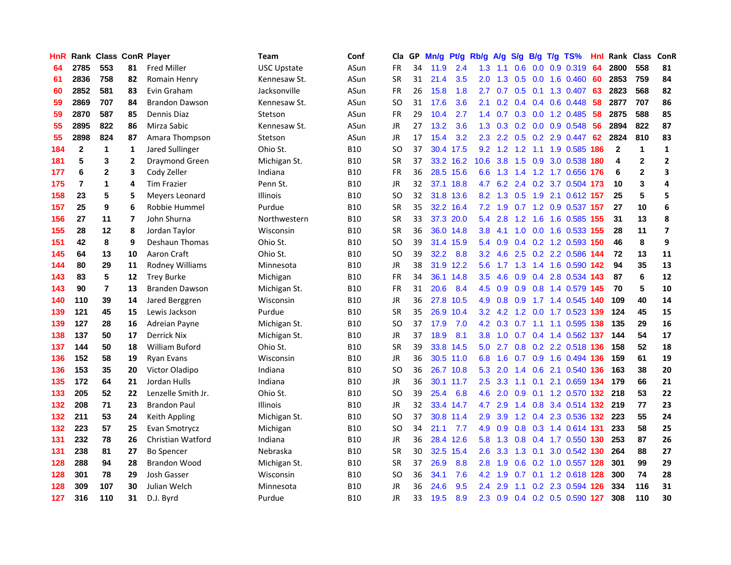| HnR |                | Rank Class ConR Player |                |                       | Team               | Conf       | Cla           |    | GP Mn/g | Pt/g      | Rb/g             | <b>A/g</b>      |     |     | S/g B/g T/g TS%               | Hnl | Rank Class   |              | ConR                    |
|-----|----------------|------------------------|----------------|-----------------------|--------------------|------------|---------------|----|---------|-----------|------------------|-----------------|-----|-----|-------------------------------|-----|--------------|--------------|-------------------------|
| 64  | 2785           | 553                    | 81             | Fred Miller           | <b>USC Upstate</b> | ASun       | FR            | 34 | 11.9    | 2.4       | 1.3              | 1.1             | 0.6 | 0.0 | 0.9 0.319                     | 64  | 2800         | 558          | 81                      |
| 61  | 2836           | 758                    | 82             | Romain Henry          | Kennesaw St.       | ASun       | <b>SR</b>     | 31 | 21.4    | 3.5       | 2.0              | 1.3             | 0.5 | 0.0 | $1.6 \quad 0.460$             | 60  | 2853         | 759          | 84                      |
| 60  | 2852           | 581                    | 83             | Evin Graham           | Jacksonville       | ASun       | <b>FR</b>     | 26 | 15.8    | 1.8       | 2.7              | 0.7             | 0.5 | 0.1 | 1.3 0.407                     | 63  | 2823         | 568          | 82                      |
| 59  | 2869           | 707                    | 84             | <b>Brandon Dawson</b> | Kennesaw St.       | ASun       | SO            | 31 | 17.6    | 3.6       | 2.1              |                 |     |     | 0.2 0.4 0.4 0.6 0.448         | 58  | 2877         | 707          | 86                      |
| 59  | 2870           | 587                    | 85             | Dennis Diaz           | Stetson            | ASun       | <b>FR</b>     | 29 | 10.4    | 2.7       |                  |                 |     |     | 1.4 0.7 0.3 0.0 1.2 0.485     | 58  | 2875         | 588          | 85                      |
| 55  | 2895           | 822                    | 86             | Mirza Sabic           | Kennesaw St.       | ASun       | <b>JR</b>     | 27 | 13.2    | 3.6       |                  |                 |     |     | 1.3 0.3 0.2 0.0 0.9 0.548     | 56  | 2894         | 822          | 87                      |
| 55  | 2898           | 824                    | 87             | Amara Thompson        | Stetson            | ASun       | JR            | 17 | 15.4    | 3.2       | $2.3^{\circ}$    | $2.2^{\circ}$   |     |     | $0.5$ $0.2$ $2.9$ $0.447$     | 62  | 2824         | 810          | 83                      |
| 184 | $\overline{2}$ | $\mathbf{1}$           | 1              | Jared Sullinger       | Ohio St.           | <b>B10</b> | <b>SO</b>     | 37 |         | 30.4 17.5 | 9.2              | 1.2             | 1.2 |     | 1.1 1.9 0.585                 | 186 | $\mathbf{2}$ | $\mathbf{1}$ | $\mathbf{1}$            |
| 181 | 5              | 3                      | $\overline{2}$ | Draymond Green        | Michigan St.       | <b>B10</b> | <b>SR</b>     | 37 |         | 33.2 16.2 | 10.6             | 3.8             | 1.5 |     | 0.9 3.0 0.538                 | 180 | 4            | $\mathbf{2}$ | $\overline{\mathbf{c}}$ |
| 177 | 6              | $\mathbf{2}$           | 3              | Cody Zeller           | Indiana            | <b>B10</b> | <b>FR</b>     | 36 |         | 28.5 15.6 | 6.6              | 1.3             | 1.4 |     | 1.2 1.7 0.656                 | 176 | 6            | $\mathbf{2}$ | 3                       |
| 175 | $\overline{7}$ | 1                      | 4              | <b>Tim Frazier</b>    | Penn St.           | <b>B10</b> | <b>JR</b>     | 32 |         | 37.1 18.8 | 4.7              |                 |     |     | 6.2 2.4 0.2 3.7 0.504 173     |     | 10           | 3            | 4                       |
| 158 | 23             | 5                      | 5              | Meyers Leonard        | <b>Illinois</b>    | <b>B10</b> | <b>SO</b>     | 32 |         | 31.8 13.6 |                  | 8.2 1.3         | 0.5 |     | 1.9 2.1 0.612 157             |     | 25           | 5            | 5                       |
| 157 | 25             | 9                      | 6              | Robbie Hummel         | Purdue             | <b>B10</b> | <b>SR</b>     | 35 |         | 32.2 16.4 | 7.2              | 1.9             | 0.7 |     | 1.2 0.9 0.537                 | 157 | -27          | 10           | 6                       |
| 156 | 27             | 11                     | 7              | John Shurna           | Northwestern       | <b>B10</b> | <b>SR</b>     | 33 |         | 37.3 20.0 | 5.4              | 2.8             | 1.2 | 1.6 | 1.6 0.585                     | 155 | 31           | 13           | 8                       |
| 155 | 28             | 12                     | 8              | Jordan Taylor         | Wisconsin          | <b>B10</b> | <b>SR</b>     | 36 |         | 36.0 14.8 | 3.8              | 4.1             | 1.0 | 0.0 | 1.6 0.533 155                 |     | 28           | 11           | $\overline{7}$          |
| 151 | 42             | 8                      | 9              | <b>Deshaun Thomas</b> | Ohio St.           | <b>B10</b> | <sub>SO</sub> | 39 |         | 31.4 15.9 |                  | 5.4 0.9         |     |     | 0.4 0.2 1.2 0.593 150         |     | 46           | 8            | 9                       |
| 145 | 64             | 13                     | 10             | Aaron Craft           | Ohio St.           | <b>B10</b> | SO            | 39 | 32.2    | 8.8       |                  |                 |     |     | 3.2 4.6 2.5 0.2 2.2 0.586 144 |     | 72           | 13           | 11                      |
| 144 | 80             | 29                     | 11             | Rodney Williams       | Minnesota          | <b>B10</b> | <b>JR</b>     | 38 |         | 31.9 12.2 | 5.6              |                 |     |     | 1.7 1.3 1.4 1.6 0.590 142     |     | 94           | 35           | 13                      |
| 143 | 83             | 5                      | 12             | <b>Trey Burke</b>     | Michigan           | <b>B10</b> | <b>FR</b>     | 34 |         | 36.1 14.8 | 3.5              | 4.6             |     |     | 0.9 0.4 2.8 0.534 143         |     | 87           | 6            | 12                      |
| 143 | 90             | $\overline{7}$         | 13             | Branden Dawson        | Michigan St.       | <b>B10</b> | <b>FR</b>     | 31 | 20.6    | 8.4       |                  | 4.5 0.9         |     |     | 0.9 0.8 1.4 0.579 145         |     | 70           | 5            | 10                      |
| 140 | 110            | 39                     | 14             | Jared Berggren        | Wisconsin          | <b>B10</b> | <b>JR</b>     | 36 |         | 27.8 10.5 | 4.9              | 0.8             | 0.9 |     | 1.7 1.4 0.545 140             |     | 109          | 40           | 14                      |
| 139 | 121            | 45                     | 15             | Lewis Jackson         | Purdue             | <b>B10</b> | <b>SR</b>     | 35 | 26.9    | 10.4      |                  | $3.2$ 4.2       |     |     | 1.2 0.0 1.7 0.523 139         |     | 124          | 45           | 15                      |
| 139 | 127            | 28                     | 16             | Adreian Payne         | Michigan St.       | <b>B10</b> | <b>SO</b>     | 37 | 17.9    | 7.0       |                  | $4.2 \quad 0.3$ | 0.7 |     | 1.1 1.1 0.595 138             |     | 135          | 29           | 16                      |
| 138 | 137            | 50                     | 17             | <b>Derrick Nix</b>    | Michigan St.       | <b>B10</b> | <b>JR</b>     | 37 | 18.9    | 8.1       | 3.8 <sub>1</sub> | 1.0             |     |     | 0.7 0.4 1.4 0.562 137         |     | 144          | 54           | 17                      |
| 137 | 144            | 50                     | 18             | <b>William Buford</b> | Ohio St.           | <b>B10</b> | <b>SR</b>     | 39 |         | 33.8 14.5 | 5.0              | 2.7             |     |     | 0.8 0.2 2.2 0.518 136         |     | 158          | 52           | 18                      |
| 136 | 152            | 58                     | 19             | <b>Ryan Evans</b>     | Wisconsin          | <b>B10</b> | JR.           | 36 |         | 30.5 11.0 | 6.8              | 1.6             | 0.7 | 0.9 | 1.6 0.494 136                 |     | 159          | 61           | 19                      |
| 136 | 153            | 35                     | 20             | Victor Oladipo        | Indiana            | <b>B10</b> | <b>SO</b>     | 36 |         | 26.7 10.8 | 5.3              | 2.0             | 1.4 | 0.6 | 2.1 0.540                     | 136 | 163          | 38           | 20                      |
| 135 | 172            | 64                     | 21             | Jordan Hulls          | Indiana            | <b>B10</b> | <b>JR</b>     | 36 |         | 30.1 11.7 | 2.5              | 3.3             | 1.1 | 0.1 | 2.1 0.659 134                 |     | 179          | 66           | 21                      |
| 133 | 205            | 52                     | 22             | Lenzelle Smith Jr.    | Ohio St.           | <b>B10</b> | <sub>SO</sub> | 39 | 25.4    | 6.8       | 4.6              | 2.0             | 0.9 | 0.1 | 1.2 0.570 132                 |     | 218          | 53           | 22                      |
| 132 | 208            | 71                     | 23             | <b>Brandon Paul</b>   | <b>Illinois</b>    | <b>B10</b> | <b>JR</b>     | 32 |         | 33.4 14.7 | 4.7              | 2.9             |     |     | 1.4 0.8 3.4 0.514 132 219     |     |              | 77           | 23                      |
| 132 | 211            | 53                     | 24             | Keith Appling         | Michigan St.       | <b>B10</b> | SO            | 37 |         | 30.8 11.4 | 2.9              | 3.9             |     |     | 1.2 0.4 2.3 0.536 132 223     |     |              | 55           | 24                      |
| 132 | 223            | 57                     | 25             | Evan Smotrycz         | Michigan           | <b>B10</b> | <sub>SO</sub> | 34 | 21.1    | 7.7       | 4.9              | 0.9             |     |     | 0.8 0.3 1.4 0.614 131         |     | 233          | 58           | 25                      |
| 131 | 232            | 78                     | 26             | Christian Watford     | Indiana            | <b>B10</b> | JR            | 36 |         | 28.4 12.6 | 5.8              | 1.3             |     |     | 0.8 0.4 1.7 0.550 130         |     | 253          | 87           | 26                      |
| 131 | 238            | 81                     | 27             | <b>Bo Spencer</b>     | Nebraska           | <b>B10</b> | <b>SR</b>     | 30 |         | 32.5 15.4 | 2.6              | 3.3             | 1.3 | 0.1 | 3.0 0.542 130                 |     | 264          | 88           | 27                      |
| 128 | 288            | 94                     | 28             | <b>Brandon Wood</b>   | Michigan St.       | <b>B10</b> | <b>SR</b>     | 37 | 26.9    | 8.8       | 2.8              | 1.9             | 0.6 |     | 0.2 1.0 0.557 128             |     | 301          | 99           | 29                      |
| 128 | 301            | 78                     | 29             | Josh Gasser           | Wisconsin          | <b>B10</b> | <b>SO</b>     | 36 | 34.1    | 7.6       | 4.2              | 1.9             | 0.7 | 0.1 | 1.2 0.618                     | 128 | 300          | 74           | 28                      |
| 128 | 309            | 107                    | 30             | Julian Welch          | Minnesota          | B10        | JR            | 36 | 24.6    | 9.5       | $2.4^{\circ}$    | 2.9             | 1.1 |     | 0.2 2.3 0.594                 | 126 | 334          | 116          | 31                      |
| 127 | 316            | 110                    | 31             | D.J. Byrd             | Purdue             | <b>B10</b> | <b>JR</b>     | 33 | 19.5    | 8.9       |                  | $2.3 \quad 0.9$ |     |     | 0.4 0.2 0.5 0.590 127         |     | 308          | 110          | 30                      |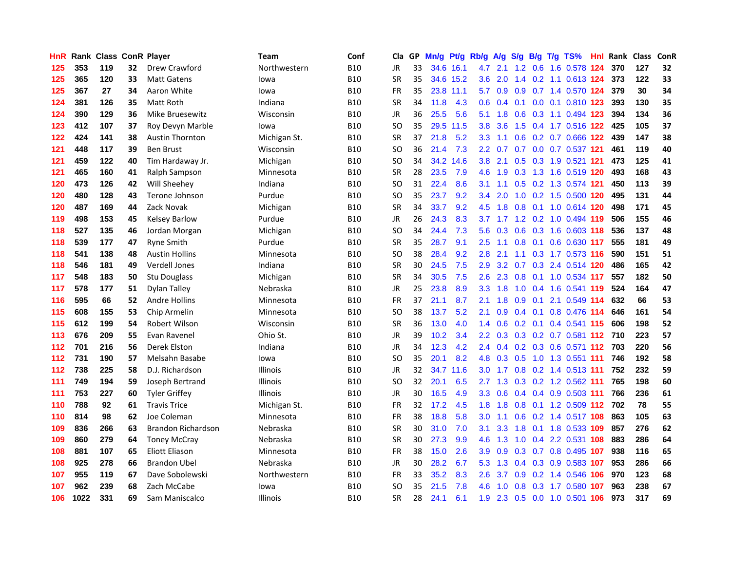| HnR |      | <b>Rank Class ConR Player</b> |    |                       | Team            | Conf       | Cla           |    | GP Mn/g | Pt/g      | Rb/g             | A/g             | S/g           | B/g             | $T/g$ TS%                     | Hnl. | Rank Class |     | ConR |
|-----|------|-------------------------------|----|-----------------------|-----------------|------------|---------------|----|---------|-----------|------------------|-----------------|---------------|-----------------|-------------------------------|------|------------|-----|------|
| 125 | 353  | 119                           | 32 | Drew Crawford         | Northwestern    | <b>B10</b> | <b>JR</b>     | 33 |         | 34.6 16.1 | 4.7              | 2.1             | 1.2           | 0.6             | 1.6 0.578                     | 124  | 370        | 127 | 32   |
| 125 | 365  | 120                           | 33 | <b>Matt Gatens</b>    | lowa            | <b>B10</b> | <b>SR</b>     | 35 |         | 34.6 15.2 | 3.6              | 2.0             | $1.4^{\circ}$ |                 | 0.2 1.1 0.613 124             |      | 373        | 122 | 33   |
| 125 | 367  | 27                            | 34 | Aaron White           | lowa            | <b>B10</b> | <b>FR</b>     | 35 |         | 23.8 11.1 | 5.7              | 0.9             | 0.9           |                 | 0.7 1.4 0.570 124             |      | 379        | 30  | 34   |
| 124 | 381  | 126                           | 35 | Matt Roth             | Indiana         | <b>B10</b> | <b>SR</b>     | 34 | 11.8    | 4.3       |                  |                 |               |                 | 0.6 0.4 0.1 0.0 0.1 0.810 123 |      | 393        | 130 | 35   |
| 124 | 390  | 129                           | 36 | Mike Bruesewitz       | Wisconsin       | <b>B10</b> | <b>JR</b>     | 36 | 25.5    | 5.6       |                  | $5.1 \quad 1.8$ |               |                 | 0.6 0.3 1.1 0.494 123         |      | 394        | 134 | 36   |
| 123 | 412  | 107                           | 37 | Roy Devyn Marble      | lowa            | <b>B10</b> | <b>SO</b>     | 35 |         | 29.5 11.5 | 3.8              | 3.6             |               |                 | 1.5 0.4 1.7 0.516 122         |      | 425        | 105 | 37   |
| 122 | 424  | 141                           | 38 | Austin Thornton       | Michigan St.    | <b>B10</b> | <b>SR</b>     | 37 | 21.8    | 5.2       | 3.3 <sub>1</sub> | 1.1             |               |                 | 0.6 0.2 0.7 0.666 122         |      | 439        | 147 | 38   |
| 121 | 448  | 117                           | 39 | <b>Ben Brust</b>      | Wisconsin       | <b>B10</b> | <sub>SO</sub> | 36 | 21.4    | 7.3       | $2.2^{\circ}$    | 0.7             |               |                 | 0.7 0.0 0.7 0.537 121         |      | 461        | 119 | 40   |
| 121 | 459  | 122                           | 40 | Tim Hardaway Jr.      | Michigan        | <b>B10</b> | <sub>SO</sub> | 34 |         | 34.2 14.6 | 3.8              | 2.1             | 0.5           |                 | 0.3 1.9 0.521                 | 121  | 473        | 125 | 41   |
| 121 | 465  | 160                           | 41 | Ralph Sampson         | Minnesota       | <b>B10</b> | <b>SR</b>     | 28 | 23.5    | 7.9       | 4.6              | 1.9             | 0.3           |                 | 1.3 1.6 0.519 120             |      | 493        | 168 | 43   |
| 120 | 473  | 126                           | 42 | Will Sheehey          | Indiana         | <b>B10</b> | SO            | 31 | 22.4    | 8.6       | 3.1              | 1.1             |               |                 | 0.5 0.2 1.3 0.574 121         |      | 450        | 113 | 39   |
| 120 | 480  | 128                           | 43 | Terone Johnson        | Purdue          | <b>B10</b> | SO            | 35 | 23.7    | 9.2       | $3.4^{\circ}$    | 2.0             | 1.0           |                 | 0.2 1.5 0.500 120             |      | 495        | 131 | 44   |
| 120 | 487  | 169                           | 44 | Zack Novak            | Michigan        | <b>B10</b> | <b>SR</b>     | 34 | 33.7    | 9.2       | 4.5              | 1.8             | 0.8           |                 | 0.1 1.0 0.614 120             |      | 498        | 171 | 45   |
| 119 | 498  | 153                           | 45 | <b>Kelsey Barlow</b>  | Purdue          | <b>B10</b> | <b>JR</b>     | 26 | 24.3    | 8.3       | 3.7              | 1.7             | 1.2           | 0.2             | 1.0 0.494 119                 |      | 506        | 155 | 46   |
| 118 | 527  | 135                           | 46 | Jordan Morgan         | Michigan        | <b>B10</b> | SO            | 34 | 24.4    | 7.3       | 5.6              | 0.3             | 0.6           | 0.3             | 1.6 0.603 118                 |      | 536        | 137 | 48   |
| 118 | 539  | 177                           | 47 | <b>Ryne Smith</b>     | Purdue          | <b>B10</b> | <b>SR</b>     | 35 | 28.7    | 9.1       | 2.5              | 1.1             | 0.8           | 0.1             | $0.6$ $0.630$ 117             |      | 555        | 181 | 49   |
| 118 | 541  | 138                           | 48 | <b>Austin Hollins</b> | Minnesota       | <b>B10</b> | SO            | 38 | 28.4    | 9.2       | 2.8              | 2.1             |               |                 | 1.1 0.3 1.7 0.573 116         |      | 590        | 151 | 51   |
| 118 | 546  | 181                           | 49 | <b>Verdell Jones</b>  | Indiana         | <b>B10</b> | <b>SR</b>     | 30 | 24.5    | 7.5       | 2.9              |                 |               |                 | 3.2 0.7 0.3 2.4 0.514 120     |      | 486        | 165 | 42   |
| 117 | 548  | 183                           | 50 | Stu Douglass          | Michigan        | <b>B10</b> | <b>SR</b>     | 34 | 30.5    | 7.5       | 2.6              | 2.3             |               |                 | 0.8 0.1 1.0 0.534 117         |      | 557        | 182 | 50   |
| 117 | 578  | 177                           | 51 | Dylan Talley          | Nebraska        | <b>B10</b> | JR            | 25 | 23.8    | 8.9       | 3.3 <sup>°</sup> | 1.8             |               |                 | 1.0 0.4 1.6 0.541 119         |      | 524        | 164 | 47   |
| 116 | 595  | 66                            | 52 | <b>Andre Hollins</b>  | Minnesota       | <b>B10</b> | FR            | 37 | 21.1    | 8.7       | 2.1              | 1.8             | 0.9           | 0.1             | 2.1 0.549 114                 |      | 632        | 66  | 53   |
| 115 | 608  | 155                           | 53 | Chip Armelin          | Minnesota       | <b>B10</b> | <b>SO</b>     | 38 | 13.7    | 5.2       | 2.1              | 0.9             | 0.4           | 0.1             | 0.8 0.476 114                 |      | 646        | 161 | 54   |
| 115 | 612  | 199                           | 54 | Robert Wilson         | Wisconsin       | <b>B10</b> | <b>SR</b>     | 36 | 13.0    | 4.0       | $1.4^{\circ}$    | 0.6             |               | $0.2 \quad 0.1$ | 0.4 0.541 115                 |      | 606        | 198 | 52   |
| 113 | 676  | 209                           | 55 | Evan Ravenel          | Ohio St.        | <b>B10</b> | JR            | 39 | 10.2    | 3.4       | $2.2\phantom{0}$ | 0.3             |               |                 | 0.3 0.2 0.7 0.581 112         |      | 710        | 223 | 57   |
| 112 | 701  | 216                           | 56 | <b>Derek Elston</b>   | Indiana         | <b>B10</b> | <b>JR</b>     | 34 | 12.3    | 4.2       | $2.4^{\circ}$    | 0.4             |               |                 | 0.2 0.3 0.6 0.571 112         |      | 703        | 220 | 56   |
| 112 | 731  | 190                           | 57 | Melsahn Basabe        | lowa            | <b>B10</b> | SO            | 35 | 20.1    | 8.2       | 4.8              | 0.3             | 0.5           |                 | 1.0 1.3 0.551 111             |      | 746        | 192 | 58   |
| 112 | 738  | 225                           | 58 | D.J. Richardson       | <b>Illinois</b> | <b>B10</b> | <b>JR</b>     | 32 |         | 34.7 11.6 | 3.0 <sub>2</sub> | 1.7             | 0.8           |                 | 0.2 1.4 0.513 111             |      | 752        | 232 | 59   |
| 111 | 749  | 194                           | 59 | Joseph Bertrand       | Illinois        | <b>B10</b> | <sub>SO</sub> | 32 | 20.1    | 6.5       | $2.7^{\circ}$    | 1.3             | 0.3           |                 | 0.2 1.2 0.562 111             |      | 765        | 198 | 60   |
| 111 | 753  | 227                           | 60 | <b>Tyler Griffey</b>  | Illinois        | <b>B10</b> | <b>JR</b>     | 30 | 16.5    | 4.9       | 3.3 <sub>2</sub> | 0.6             |               |                 | 0.4 0.4 0.9 0.503 111         |      | 766        | 236 | 61   |
| 110 | 788  | 92                            | 61 | <b>Travis Trice</b>   | Michigan St.    | <b>B10</b> | <b>FR</b>     | 32 | 17.2    | 4.5       | 1.8              | 1.8             |               |                 | 0.8 0.1 1.2 0.509 112 702     |      |            | 78  | 55   |
| 110 | 814  | 98                            | 62 | Joe Coleman           | Minnesota       | <b>B10</b> | <b>FR</b>     | 38 | 18.8    | 5.8       | 3.0              | 1.1             |               |                 | 0.6 0.2 1.4 0.517 108         |      | 863        | 105 | 63   |
| 109 | 836  | 266                           | 63 | Brandon Richardson    | Nebraska        | <b>B10</b> | <b>SR</b>     | 30 | 31.0    | 7.0       | 3.1              | 3.3             |               |                 | 1.8 0.1 1.8 0.533 109         |      | 857        | 276 | 62   |
| 109 | 860  | 279                           | 64 | <b>Toney McCray</b>   | Nebraska        | <b>B10</b> | <b>SR</b>     | 30 | 27.3    | 9.9       | 4.6              | 1.3             | 1.0           |                 | 0.4 2.2 0.531 108             |      | 883        | 286 | 64   |
| 108 | 881  | 107                           | 65 | Eliott Eliason        | Minnesota       | <b>B10</b> | FR            | 38 | 15.0    | 2.6       | 3.9              | 0.9             | 0.3           |                 | 0.7 0.8 0.495 107             |      | 938        | 116 | 65   |
| 108 | 925  | 278                           | 66 | <b>Brandon Ubel</b>   | Nebraska        | <b>B10</b> | <b>JR</b>     | 30 | 28.2    | 6.7       | 5.3              | 1.3             |               |                 | 0.4 0.3 0.9 0.583 107         |      | 953        | 286 | 66   |
| 107 | 955  | 119                           | 67 | Dave Sobolewski       | Northwestern    | <b>B10</b> | <b>FR</b>     | 33 | 35.2    | 8.3       | 2.6              | 3.7             | 0.9           |                 | 0.2 1.4 0.546                 | 106  | 970        | 123 | 68   |
| 107 | 962  | 239                           | 68 | Zach McCabe           | lowa            | B10        | SO            | 35 | 21.5    | 7.8       | 4.6              | 1.0             | 0.8           | 0.3             | 1.7 0.580                     | 107  | 963        | 238 | 67   |
| 106 | 1022 | 331                           | 69 | Sam Maniscalco        | <b>Illinois</b> | <b>B10</b> | <b>SR</b>     | 28 | 24.1    | 6.1       | 1.9              |                 |               |                 | 2.3 0.5 0.0 1.0 0.501 106     |      | 973        | 317 | 69   |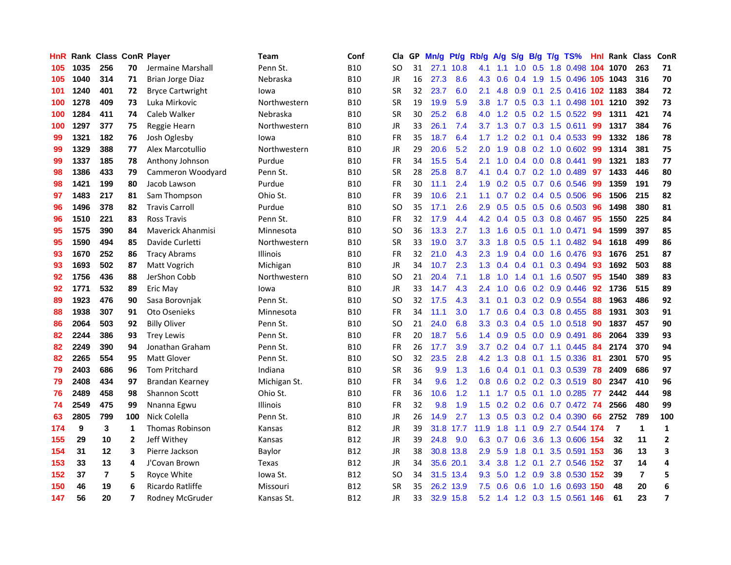| HnR |      | Rank Class ConR Player |                |                          | <b>Team</b>     | Conf       | Cla       |    | GP Mn/g Pt/g |           | Rb/g             | A/g             |                 |                 | S/g B/g T/g TS%                    | Hnl | <b>Rank Class</b> |                | ConR                    |
|-----|------|------------------------|----------------|--------------------------|-----------------|------------|-----------|----|--------------|-----------|------------------|-----------------|-----------------|-----------------|------------------------------------|-----|-------------------|----------------|-------------------------|
| 105 | 1035 | 256                    | 70             | Jermaine Marshall        | Penn St.        | <b>B10</b> | SO.       | 31 |              | 27.1 10.8 | 4.1              | 1.1             | 1.0             | 0.5             | 1.8 0.498                          | 104 | 1070              | 263            | 71                      |
| 105 | 1040 | 314                    | 71             | Brian Jorge Diaz         | Nebraska        | <b>B10</b> | JR        | 16 | 27.3         | 8.6       | 4.3              | 0.6             | 0.4             | 1.9             | 1.5 0.496 105 1043                 |     |                   | 316            | 70                      |
| 101 | 1240 | 401                    | 72             | <b>Bryce Cartwright</b>  | lowa            | <b>B10</b> | <b>SR</b> | 32 | 23.7         | 6.0       | 2.1              | 4.8             | 0.9             | 0.1             | 2.5 0.416 102 1183                 |     |                   | 384            | 72                      |
| 100 | 1278 | 409                    | 73             | Luka Mirkovic            | Northwestern    | <b>B10</b> | <b>SR</b> | 19 | 19.9         | 5.9       |                  |                 |                 |                 | 3.8 1.7 0.5 0.3 1.1 0.498 101 1210 |     |                   | 392            | 73                      |
| 100 | 1284 | 411                    | 74             | Caleb Walker             | Nebraska        | <b>B10</b> | <b>SR</b> | 30 | 25.2         | 6.8       |                  |                 |                 |                 | 4.0 1.2 0.5 0.2 1.5 0.522          | -99 | 1311              | 421            | 74                      |
| 100 | 1297 | 377                    | 75             | Reggie Hearn             | Northwestern    | <b>B10</b> | <b>JR</b> | 33 | 26.1         | 7.4       |                  | $3.7 \quad 1.3$ |                 |                 | $0.7$ $0.3$ 1.5 $0.611$            | -99 | 1317              | 384            | 76                      |
| 99  | 1321 | 182                    | 76             | Josh Oglesby             | lowa            | <b>B10</b> | FR        | 35 | 18.7         | 6.4       |                  |                 |                 |                 | 1.7 1.2 0.2 0.1 0.4 0.533          | -99 | 1332              | 186            | 78                      |
| 99  | 1329 | 388                    | 77             | Alex Marcotullio         | Northwestern    | <b>B10</b> | JR        | 29 | 20.6         | 5.2       | 2.0              | 1.9             |                 |                 | $0.8$ $0.2$ 1.0 $0.602$            | 99  | 1314              | 381            | 75                      |
| 99  | 1337 | 185                    | 78             | Anthony Johnson          | Purdue          | <b>B10</b> | <b>FR</b> | 34 | 15.5         | 5.4       | 2.1              | 1.0             |                 |                 | $0.4$ 0.0 0.8 0.441                | 99  | 1321              | 183            | 77                      |
| 98  | 1386 | 433                    | 79             | Cammeron Woodyard        | Penn St.        | <b>B10</b> | <b>SR</b> | 28 | 25.8         | 8.7       | 4.1              | 0.4             |                 |                 | 0.7 0.2 1.0 0.489                  | 97  | 1433              | 446            | 80                      |
| 98  | 1421 | 199                    | 80             | Jacob Lawson             | Purdue          | <b>B10</b> | FR        | 30 | 11.1         | 2.4       | 1.9              | 0.2             |                 |                 | 0.5 0.7 0.6 0.546                  | -99 | 1359              | 191            | 79                      |
| 97  | 1483 | 217                    | 81             | Sam Thompson             | Ohio St.        | <b>B10</b> | <b>FR</b> | 39 | 10.6         | 2.1       | 1.1              | 0.7             |                 |                 | $0.2$ 0.4 0.5 0.506                | 96  | 1506              | 215            | 82                      |
| 96  | 1496 | 378                    | 82             | <b>Travis Carroll</b>    | Purdue          | <b>B10</b> | SO.       | 35 | 17.1         | 2.6       | 2.9              | 0.5             | 0.5             | 0.5             | 0.6 0.503                          | 96  | 1498              | 380            | 81                      |
| 96  | 1510 | 221                    | 83             | Ross Travis              | Penn St.        | <b>B10</b> | <b>FR</b> | 32 | 17.9         | 4.4       | 4.2              | 0.4             | 0.5             |                 | 0.3 0.8 0.467                      | 95  | 1550              | 225            | 84                      |
| 95  | 1575 | 390                    | 84             | <b>Maverick Ahanmisi</b> | Minnesota       | <b>B10</b> | <b>SO</b> | 36 | 13.3         | 2.7       | 1.3              | 1.6             | 0.5             | 0.1             | 1.0 0.471                          | 94  | 1599              | 397            | 85                      |
| 95  | 1590 | 494                    | 85             | Davide Curletti          | Northwestern    | <b>B10</b> | <b>SR</b> | 33 | 19.0         | 3.7       | 3.3 <sub>2</sub> | 1.8             | 0.5             | 0.5             | 1.1 0.482                          | -94 | 1618              | 499            | 86                      |
| 93  | 1670 | 252                    | 86             | <b>Tracy Abrams</b>      | <b>Illinois</b> | <b>B10</b> | FR        | 32 | 21.0         | 4.3       |                  | $2.3$ 1.9       |                 |                 | $0.4$ 0.0 1.6 0.476                | -93 | 1676              | 251            | 87                      |
| 93  | 1693 | 502                    | 87             | Matt Vogrich             | Michigan        | <b>B10</b> | JR        | 34 | 10.7         | 2.3       |                  | $1.3 \quad 0.4$ |                 |                 | 0.4 0.1 0.3 0.494 93               |     | 1692              | 503            | 88                      |
| 92  | 1756 | 436                    | 88             | JerShon Cobb             | Northwestern    | <b>B10</b> | SO.       | 21 | 20.4         | 7.1       |                  | $1.8 \quad 1.0$ |                 |                 | 1.4 0.1 1.6 0.507                  | 95  | 1540              | 389            | 83                      |
| 92  | 1771 | 532                    | 89             | Eric May                 | lowa            | <b>B10</b> | JR        | 33 | 14.7         | 4.3       |                  | $2.4$ 1.0       |                 |                 | $0.6$ $0.2$ $0.9$ $0.446$          | 92  | 1736              | 515            | 89                      |
| 89  | 1923 | 476                    | 90             | Sasa Borovnjak           | Penn St.        | <b>B10</b> | SO.       | 32 | 17.5         | 4.3       | 3.1              | 0.1             |                 |                 | 0.3 0.2 0.9 0.554                  | 88  | 1963              | 486            | 92                      |
| 88  | 1938 | 307                    | 91             | Oto Osenieks             | Minnesota       | <b>B10</b> | <b>FR</b> | 34 | 11.1         | 3.0       | 1.7              | 0.6             |                 |                 | 0.4 0.3 0.8 0.455                  | 88  | 1931              | 303            | 91                      |
| 86  | 2064 | 503                    | 92             | <b>Billy Oliver</b>      | Penn St.        | <b>B10</b> | <b>SO</b> | 21 | 24.0         | 6.8       | 3.3 <sub>2</sub> | 0.3             |                 |                 | $0.4$ $0.5$ 1.0 $0.518$            | 90  | 1837              | 457            | 90                      |
| 82  | 2244 | 386                    | 93             | <b>Trey Lewis</b>        | Penn St.        | <b>B10</b> | FR        | 20 | 18.7         | 5.6       | $1.4^{\circ}$    | 0.9             |                 |                 | $0.5$ 0.0 0.9 0.491                | 86  | 2064              | 339            | 93                      |
| 82  | 2249 | 390                    | 94             | Jonathan Graham          | Penn St.        | <b>B10</b> | <b>FR</b> | 26 | 17.7         | 3.9       | 3.7              | 0.2             |                 |                 | $0.4$ 0.7 1.1 0.445                | 84  | 2174              | 370            | 94                      |
| 82  | 2265 | 554                    | 95             | <b>Matt Glover</b>       | Penn St.        | <b>B10</b> | <b>SO</b> | 32 | 23.5         | 2.8       | 4.2              | 1.3             | 0.8             | 0.1             | 1.5 0.336                          | -81 | 2301              | 570            | 95                      |
| 79  | 2403 | 686                    | 96             | <b>Tom Pritchard</b>     | Indiana         | <b>B10</b> | <b>SR</b> | 36 | 9.9          | 1.3       | 1.6              | 0.4             |                 | $0.1 \quad 0.1$ | 0.3 0.539                          | 78  | 2409              | 686            | 97                      |
| 79  | 2408 | 434                    | 97             | Brandan Kearney          | Michigan St.    | <b>B10</b> | FR        | 34 | 9.6          | 1.2       | 0.8              | 0.6             |                 |                 | $0.2$ $0.2$ $0.3$ $0.519$          | 80  | 2347              | 410            | 96                      |
| 76  | 2489 | 458                    | 98             | Shannon Scott            | Ohio St.        | <b>B10</b> | <b>FR</b> | 36 | 10.6         | 1.2       | 1.1              | 1.7             |                 |                 | 0.5 0.1 1.0 0.285                  | 77  | 2442              | 444            | 98                      |
| 74  | 2549 | 475                    | 99             | Nnanna Egwu              | <b>Illinois</b> | <b>B10</b> | <b>FR</b> | 32 | 9.8          | 1.9       | 1.5              |                 |                 |                 | 0.2 0.2 0.6 0.7 0.472 74           |     | 2566              | 480            | 99                      |
| 63  | 2805 | 799                    | 100            | Nick Colella             | Penn St.        | <b>B10</b> | JR        | 26 | 14.9         | 2.7       |                  |                 |                 |                 | 1.3 0.5 0.3 0.2 0.4 0.390          | 66  | 2752              | 789            | 100                     |
| 174 | 9    | 3                      | 1              | <b>Thomas Robinson</b>   | Kansas          | <b>B12</b> | JR        | 39 |              | 31.8 17.7 | 11.9             | 1.8             |                 |                 | 1.1 0.9 2.7 0.544 174              |     | $\overline{7}$    | $\mathbf{1}$   | $\mathbf{1}$            |
| 155 | 29   | 10                     | $\overline{2}$ | Jeff Withey              | Kansas          | <b>B12</b> | JR        | 39 | 24.8         | 9.0       | 6.3              |                 | $0.7 \quad 0.6$ |                 | 3.6 1.3 0.606 154                  |     | 32                | 11             | $\mathbf{2}$            |
| 154 | 31   | 12                     | 3              | Pierre Jackson           | Baylor          | <b>B12</b> | JR        | 38 |              | 30.8 13.8 | 2.9              | 5.9             | 1.8             | 0.1             | 3.5 0.591 153                      |     | 36                | 13             | 3                       |
| 153 | 33   | 13                     | 4              | J'Covan Brown            | Texas           | <b>B12</b> | JR        | 34 |              | 35.6 20.1 | 3.4              | 3.8             |                 | $1.2 \quad 0.1$ | 2.7 0.546 152                      |     | 37                | 14             | 4                       |
| 152 | 37   | $\overline{7}$         | 5              | Royce White              | lowa St.        | <b>B12</b> | <b>SO</b> | 34 |              | 31.5 13.4 | 9.3              | 5.0             |                 | $1.2$ 0.9       | 3.8 0.530                          | 152 | -39               | $\overline{7}$ | 5                       |
| 150 | 46   | 19                     | 6              | Ricardo Ratliffe         | Missouri        | B12        | <b>SR</b> | 35 |              | 26.2 13.9 | 7.5              | 0.6             | 0.6             | 1.0             | 1.6 0.693                          | 150 | 48                | 20             | 6                       |
| 147 | 56   | 20                     | $\overline{7}$ | Rodney McGruder          | Kansas St.      | <b>B12</b> | <b>JR</b> | 33 |              | 32.9 15.8 |                  |                 |                 |                 | 5.2 1.4 1.2 0.3 1.5 0.561 146      |     | 61                | 23             | $\overline{\mathbf{z}}$ |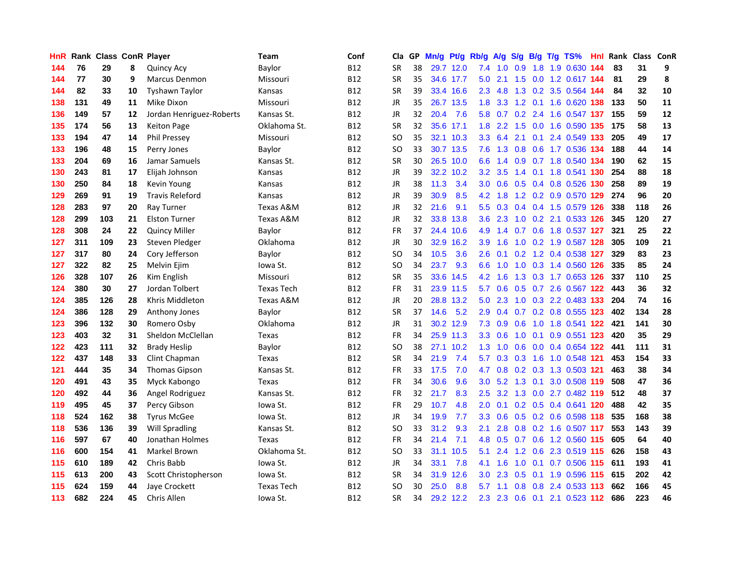| <b>HnR</b> |     | Rank Class ConR Player |    |                          | Team              | Conf       | Cla       |    | GP Mn/g Pt/g Rb/g A/g S/g B/g T/g TS% |           |                  |                 |                  |                 |                               | Hnl  | Rank Class ConR |     |            |
|------------|-----|------------------------|----|--------------------------|-------------------|------------|-----------|----|---------------------------------------|-----------|------------------|-----------------|------------------|-----------------|-------------------------------|------|-----------------|-----|------------|
| 144        | 76  | 29                     | 8  | <b>Quincy Acy</b>        | Baylor            | <b>B12</b> | <b>SR</b> | 38 |                                       | 29.7 12.0 | 7.4              | 1.0             | 0.9              | 1.8             | 1.9 0.630                     | 144  | 83              | 31  | 9          |
| 144        | 77  | 30                     | 9  | <b>Marcus Denmon</b>     | Missouri          | <b>B12</b> | <b>SR</b> | 35 |                                       | 34.6 17.7 | 5.0              | 2.1             | 1.5              | 0.0             | 1.2 0.617 144                 |      | 81              | 29  | 8          |
| 144        | 82  | 33                     | 10 | <b>Tyshawn Taylor</b>    | Kansas            | <b>B12</b> | <b>SR</b> | 39 |                                       | 33.4 16.6 | $2.3\phantom{0}$ | 4.8             |                  |                 | 1.3 0.2 3.5 0.564 144         |      | 84              | 32  | 10         |
| 138        | 131 | 49                     | 11 | Mike Dixon               | Missouri          | <b>B12</b> | <b>JR</b> | 35 |                                       | 26.7 13.5 | 1.8              | 3.3             |                  |                 | 1.2 0.1 1.6 0.620 138         |      | 133             | 50  | 11         |
| 136        | 149 | 57                     | 12 | Jordan Henriguez-Roberts | Kansas St.        | <b>B12</b> | JR        | 32 | 20.4                                  | 7.6       |                  |                 |                  |                 | 5.8 0.7 0.2 2.4 1.6 0.547 137 |      | 155             | 59  | ${\bf 12}$ |
| 135        | 174 | 56                     | 13 | <b>Keiton Page</b>       | Oklahoma St.      | <b>B12</b> | <b>SR</b> | 32 |                                       | 35.6 17.1 |                  | $1.8$ 2.2       |                  |                 | 1.5 0.0 1.6 0.590 135         |      | 175             | 58  | 13         |
| 133        | 194 | 47                     | 14 | <b>Phil Pressey</b>      | Missouri          | B12        | <b>SO</b> | 35 |                                       | 32.1 10.3 |                  | $3.3 \quad 6.4$ |                  |                 | 2.1 0.1 2.4 0.549 133         |      | 205             | 49  | 17         |
| 133        | 196 | 48                     | 15 | Perry Jones              | Baylor            | <b>B12</b> | SO.       | 33 |                                       | 30.7 13.5 |                  | $7.6$ 1.3       |                  |                 | 0.8 0.6 1.7 0.536 134         |      | 188             | 44  | 14         |
| 133        | 204 | 69                     | 16 | Jamar Samuels            | Kansas St.        | <b>B12</b> | <b>SR</b> | 30 |                                       | 26.5 10.0 | 6.6              | 1.4             |                  |                 | 0.9 0.7 1.8 0.540 134         |      | 190             | 62  | 15         |
| 130        | 243 | 81                     | 17 | Elijah Johnson           | Kansas            | B12        | JR        | 39 |                                       | 32.2 10.2 | 3.2              | 3.5             |                  |                 | 1.4 0.1 1.8 0.541 130         |      | 254             | 88  | 18         |
| 130        | 250 | 84                     | 18 | Kevin Young              | Kansas            | B12        | JR        | 38 | 11.3                                  | 3.4       | 3.0 <sub>2</sub> | 0.6             |                  |                 | 0.5 0.4 0.8 0.526 130         |      | 258             | 89  | 19         |
| 129        | 269 | 91                     | 19 | <b>Travis Releford</b>   | Kansas            | <b>B12</b> | <b>JR</b> | 39 | 30.9                                  | 8.5       | 4.2              | 1.8             |                  |                 | 1.2 0.2 0.9 0.570 129         |      | 274             | 96  | 20         |
| 128        | 283 | 97                     | 20 | Ray Turner               | Texas A&M         | <b>B12</b> | JR        | 32 | 21.6                                  | 9.1       | 5.5              | 0.3             |                  |                 | 0.4 0.4 1.5 0.579 126         |      | 338             | 118 | 26         |
| 128        | 299 | 103                    | 21 | <b>Elston Turner</b>     | Texas A&M         | <b>B12</b> | <b>JR</b> | 32 |                                       | 33.8 13.8 | 3.6              | 2.3             | 1.0              | 0.2             | 2.1 0.533 126                 |      | 345             | 120 | 27         |
| 128        | 308 | 24                     | 22 | <b>Quincy Miller</b>     | Baylor            | <b>B12</b> | <b>FR</b> | 37 |                                       | 24.4 10.6 | 4.9              | 1.4             | 0.7              | 0.6             | 1.8 0.537 127                 |      | 321             | 25  | 22         |
| 127        | 311 | 109                    | 23 | Steven Pledger           | Oklahoma          | <b>B12</b> | JR        | 30 |                                       | 32.9 16.2 | 3.9              | 1.6             |                  |                 | 1.0 0.2 1.9 0.587 128         |      | 305             | 109 | 21         |
| 127        | 317 | 80                     | 24 | Cory Jefferson           | Baylor            | B12        | <b>SO</b> | 34 | 10.5                                  | 3.6       | $2.6\,$          | 0.1             |                  |                 | 0.2 1.2 0.4 0.538 127         |      | 329             | 83  | 23         |
| 127        | 322 | 82                     | 25 | Melvin Ejim              | lowa St.          | <b>B12</b> | SO.       | 34 | 23.7                                  | 9.3       |                  | $6.6$ 1.0       |                  |                 | 1.0 0.3 1.4 0.560 126         |      | 335             | 85  | 24         |
| 126        | 328 | 107                    | 26 | Kim English              | Missouri          | B12        | <b>SR</b> | 35 |                                       | 33.6 14.5 |                  | $4.2 \quad 1.6$ |                  |                 | 1.3 0.3 1.7 0.653 126         |      | 337             | 110 | 25         |
| 124        | 380 | 30                     | 27 | Jordan Tolbert           | <b>Texas Tech</b> | B12        | <b>FR</b> | 31 |                                       | 23.9 11.5 | 5.7              | 0.6             |                  |                 | 0.5 0.7 2.6 0.567 122         |      | 443             | 36  | 32         |
| 124        | 385 | 126                    | 28 | Khris Middleton          | Texas A&M         | B12        | <b>JR</b> | 20 |                                       | 28.8 13.2 | 5.0              | 2.3             |                  |                 | 1.0 0.3 2.2 0.483 133         |      | 204             | 74  | 16         |
| 124        | 386 | 128                    | 29 | Anthony Jones            | Baylor            | B12        | <b>SR</b> | 37 | 14.6                                  | 5.2       | 2.9              | 0.4             |                  |                 | 0.7 0.2 0.8 0.555 123         |      | 402             | 134 | 28         |
| 123        | 396 | 132                    | 30 | Romero Osby              | Oklahoma          | <b>B12</b> | JR        | 31 |                                       | 30.2 12.9 | 7.3              | 0.9             | 0.6              |                 | 1.0 1.8 0.541 122             |      | 421             | 141 | 30         |
| 123        | 403 | 32                     | 31 | Sheldon McClellan        | Texas             | <b>B12</b> | <b>FR</b> | 34 |                                       | 25.9 11.3 | 3.3 <sub>2</sub> | 0.6             |                  | $1.0 \quad 0.1$ | 0.9 0.551 123                 |      | 420             | 35  | 29         |
| 122        | 423 | 111                    | 32 | <b>Brady Heslip</b>      | Baylor            | <b>B12</b> | <b>SO</b> | 38 |                                       | 27.1 10.2 |                  | $1.3 \quad 1.0$ | 0.6              |                 | 0.0 0.4 0.654 122             |      | 441             | 111 | 31         |
| 122        | 437 | 148                    | 33 | Clint Chapman            | Texas             | <b>B12</b> | <b>SR</b> | 34 | 21.9                                  | 7.4       | 5.7              | 0.3             | 0.3              | 1.6             | 1.0 0.548                     | -121 | 453             | 154 | 33         |
| 121        | 444 | 35                     | 34 | <b>Thomas Gipson</b>     | Kansas St.        | <b>B12</b> | <b>FR</b> | 33 | 17.5                                  | 7.0       | 4.7              | 0.8             |                  |                 | 0.2 0.3 1.3 0.503 121         |      | 463             | 38  | 34         |
| 120        | 491 | 43                     | 35 | Myck Kabongo             | <b>Texas</b>      | <b>B12</b> | <b>FR</b> | 34 | 30.6                                  | 9.6       | 3.0              | 5.2             | 1.3              | 0.1             | 3.0 0.508 119                 |      | 508             | 47  | 36         |
| 120        | 492 | 44                     | 36 | Angel Rodriguez          | Kansas St.        | <b>B12</b> | <b>FR</b> | 32 | 21.7                                  | 8.3       | 2.5              | 3.2             |                  |                 | 1.3 0.0 2.7 0.482 119         |      | 512             | 48  | 37         |
| 119        | 495 | 45                     | 37 | Percy Gibson             | lowa St.          | B12        | <b>FR</b> | 29 | 10.7                                  | 4.8       | 2.0              | 0.1             |                  |                 | 0.2 0.5 0.4 0.641 120         |      | 488             | 42  | 35         |
| 118        | 524 | 162                    | 38 | <b>Tyrus McGee</b>       | lowa St.          | <b>B12</b> | JR        | 34 | 19.9                                  | 7.7       | 3.3 <sub>2</sub> | 0.6             |                  |                 | 0.5 0.2 0.6 0.598 118         |      | 535             | 168 | 38         |
| 118        | 536 | 136                    | 39 | <b>Will Spradling</b>    | Kansas St.        | <b>B12</b> | <b>SO</b> | 33 | 31.2                                  | 9.3       | 2.1              | 2.8             |                  |                 | 0.8 0.2 1.6 0.507 117         |      | 553             | 143 | 39         |
| 116        | 597 | 67                     | 40 | Jonathan Holmes          | <b>Texas</b>      | <b>B12</b> | <b>FR</b> | 34 | 21.4                                  | 7.1       | 4.8              | 0.5             |                  |                 | 0.7 0.6 1.2 0.560 115         |      | 605             | 64  | 40         |
| 116        | 600 | 154                    | 41 | Markel Brown             | Oklahoma St.      | <b>B12</b> | <b>SO</b> | 33 |                                       | 31.1 10.5 | 5.1              | 2.4             |                  |                 | 1.2 0.6 2.3 0.519 115         |      | 626             | 158 | 43         |
| 115        | 610 | 189                    | 42 | Chris Babb               | lowa St.          | <b>B12</b> | <b>JR</b> | 34 | 33.1                                  | 7.8       | 4.1              | 1.6             | 1.0              | 0.1             | 0.7 0.506 115                 |      | 611             | 193 | 41         |
| 115        | 613 | 200                    | 43 | Scott Christopherson     | lowa St.          | B12        | <b>SR</b> | 34 | 31.9                                  | 12.6      | 3.0              | 2.3             | 0.5              | 0.1             | 1.9 0.596                     | 115  | 615             | 202 | 42         |
| 115        | 624 | 159                    | 44 | Jaye Crockett            | <b>Texas Tech</b> | <b>B12</b> | <b>SO</b> | 30 | 25.0                                  | 8.8       | 5.7              | 1.1             | 0.8 <sub>0</sub> | 0.8             | 2.4 0.533                     | 113  | 662             | 166 | 45         |
| 113        | 682 | 224                    | 45 | Chris Allen              | Iowa St.          | <b>B12</b> | <b>SR</b> | 34 |                                       | 29.2 12.2 |                  |                 |                  |                 | 2.3 2.3 0.6 0.1 2.1 0.523 112 |      | 686             | 223 | 46         |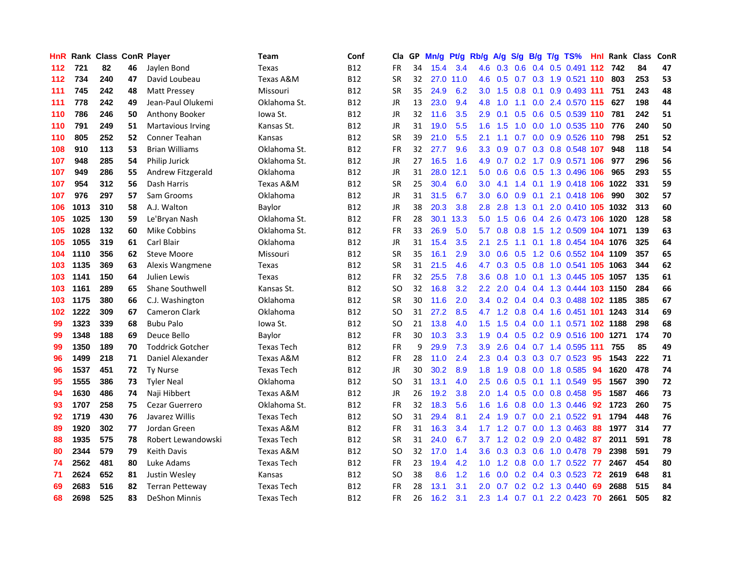| <b>HnR</b> |      | <b>Rank Class ConR Player</b> |    |                          | Team              | Conf       | Cla       |    | GP Mn/g | Pt/g      | Rb/g             | A/g             |                 |                 | $S/g$ B/g T/g TS%              | HnI. | Rank Class |     | ConR |
|------------|------|-------------------------------|----|--------------------------|-------------------|------------|-----------|----|---------|-----------|------------------|-----------------|-----------------|-----------------|--------------------------------|------|------------|-----|------|
| 112        | 721  | 82                            | 46 | Jaylen Bond              | Texas             | <b>B12</b> | <b>FR</b> | 34 | 15.4    | 3.4       | 4.6              | 0.3             | $0.6 \quad 0.4$ |                 | $0.5$ 0.491                    | 112  | 742        | 84  | 47   |
| 112        | 734  | 240                           | 47 | David Loubeau            | Texas A&M         | <b>B12</b> | <b>SR</b> | 32 | 27.0    | 11.0      | 4.6              | 0.5             | 0.7             |                 | 0.3 1.9 0.521 110              |      | 803        | 253 | 53   |
| 111        | 745  | 242                           | 48 | <b>Matt Pressey</b>      | Missouri          | <b>B12</b> | <b>SR</b> | 35 | 24.9    | 6.2       | 3.0 <sub>2</sub> | 1.5             | 0.8             | 0.1             | 0.9 0.493 111                  |      | 751        | 243 | 48   |
| 111        | 778  | 242                           | 49 | Jean-Paul Olukemi        | Oklahoma St.      | <b>B12</b> | JR        | 13 | 23.0    | 9.4       |                  | 4.8 1.0         |                 |                 | 1.1 0.0 2.4 0.570 115          |      | 627        | 198 | 44   |
| 110        | 786  | 246                           | 50 | Anthony Booker           | lowa St.          | <b>B12</b> | JR        | 32 | 11.6    | 3.5       | 2.9              | 0.1             |                 |                 | 0.5 0.6 0.5 0.539 110          |      | 781        | 242 | 51   |
| 110        | 791  | 249                           | 51 | <b>Martavious Irving</b> | Kansas St.        | <b>B12</b> | JR        | 31 | 19.0    | 5.5       | 1.6              | 1.5             | 1.0             |                 | 0.0 1.0 0.535 110              |      | 776        | 240 | 50   |
| 110        | 805  | 252                           | 52 | Conner Teahan            | Kansas            | <b>B12</b> | <b>SR</b> | 39 | 21.0    | 5.5       | 2.1              | 1.1             |                 |                 | 0.7 0.0 0.9 0.526 110          |      | 798        | 251 | 52   |
| 108        | 910  | 113                           | 53 | <b>Brian Williams</b>    | Oklahoma St.      | <b>B12</b> | FR        | 32 | 27.7    | 9.6       | 3.3 <sub>2</sub> | 0.9             |                 |                 | 0.7 0.3 0.8 0.548 107          |      | 948        | 118 | 54   |
| 107        | 948  | 285                           | 54 | Philip Jurick            | Oklahoma St.      | <b>B12</b> | JR        | 27 | 16.5    | 1.6       | 4.9              | 0.7             |                 |                 | 0.2 1.7 0.9 0.571 106          |      | 977        | 296 | 56   |
| 107        | 949  | 286                           | 55 | Andrew Fitzgerald        | Oklahoma          | <b>B12</b> | JR        | 31 | 28.0    | 12.1      | 5.0              | 0.6             |                 |                 | 0.6 0.5 1.3 0.496 106          |      | 965        | 293 | 55   |
| 107        | 954  | 312                           | 56 | Dash Harris              | Texas A&M         | <b>B12</b> | <b>SR</b> | 25 | 30.4    | 6.0       | 3.0              | 4.1             | 1.4             | 0.1             | 1.9 0.418 106                  |      | 1022       | 331 | 59   |
| 107        | 976  | 297                           | 57 | Sam Grooms               | Oklahoma          | B12        | JR        | 31 | 31.5    | 6.7       | 3.0              | 6.0             | 0.9             | 0.1             | 2.1 0.418 106                  |      | 990        | 302 | 57   |
| 106        | 1013 | 310                           | 58 | A.J. Walton              | Baylor            | <b>B12</b> | JR        | 38 | 20.3    | 3.8       | 2.8              | 2.8             | 1.3             | 0.1             | 2.0 0.410 105                  |      | 1032       | 313 | 60   |
| 105        | 1025 | 130                           | 59 | Le'Bryan Nash            | Oklahoma St.      | <b>B12</b> | <b>FR</b> | 28 |         | 30.1 13.3 | 5.0              | 1.5             | 0.6             | 0.4             | 2.6 0.473 106                  |      | 1020       | 128 | 58   |
| 105        | 1028 | 132                           | 60 | Mike Cobbins             | Oklahoma St.      | <b>B12</b> | <b>FR</b> | 33 | 26.9    | 5.0       | 5.7              | 0.8             | 0.8             | 1.5             | 1.2 0.509 104 1071             |      |            | 139 | 63   |
| 105        | 1055 | 319                           | 61 | Carl Blair               | Oklahoma          | <b>B12</b> | JR        | 31 | 15.4    | 3.5       | 2.1              | 2.5             |                 |                 | 1.1 0.1 1.8 0.454 104 1076     |      |            | 325 | 64   |
| 104        | 1110 | 356                           | 62 | Steve Moore              | Missouri          | <b>B12</b> | <b>SR</b> | 35 | 16.1    | 2.9       | 3.0              | 0.6             |                 |                 | 0.5 1.2 0.6 0.552 104 1109     |      |            | 357 | 65   |
| 103        | 1135 | 369                           | 63 | Alexis Wangmene          | Texas             | <b>B12</b> | <b>SR</b> | 31 | 21.5    | 4.6       | 4.7              |                 |                 |                 | 0.3 0.5 0.8 1.0 0.541 105 1063 |      |            | 344 | 62   |
| 103        | 1141 | 150                           | 64 | Julien Lewis             | Texas             | <b>B12</b> | FR        | 32 | 25.5    | 7.8       | 3.6              | 0.8             |                 |                 | 1.0 0.1 1.3 0.445 105 1057     |      |            | 135 | 61   |
| 103        | 1161 | 289                           | 65 | <b>Shane Southwell</b>   | Kansas St.        | <b>B12</b> | SO.       | 32 | 16.8    | 3.2       | $2.2^{\circ}$    | 2.0             |                 |                 | 0.4 0.4 1.3 0.444 103 1150     |      |            | 284 | 66   |
| 103        | 1175 | 380                           | 66 | C.J. Washington          | Oklahoma          | <b>B12</b> | <b>SR</b> | 30 | 11.6    | 2.0       |                  | $3.4 \quad 0.2$ |                 |                 | 0.4 0.4 0.3 0.488 102 1185     |      |            | 385 | 67   |
| 102        | 1222 | 309                           | 67 | <b>Cameron Clark</b>     | Oklahoma          | <b>B12</b> | SO.       | 31 | 27.2    | 8.5       | 4.7              | 1.2             |                 |                 | 0.8 0.4 1.6 0.451 101 1243     |      |            | 314 | 69   |
| 99         | 1323 | 339                           | 68 | <b>Bubu Palo</b>         | Iowa St.          | <b>B12</b> | <b>SO</b> | 21 | 13.8    | 4.0       | 1.5              | 1.5             |                 |                 | 0.4 0.0 1.1 0.571 102 1188     |      |            | 298 | 68   |
| 99         | 1348 | 188                           | 69 | Deuce Bello              | Baylor            | <b>B12</b> | FR        | 30 | 10.3    | 3.3       | 1.9              | 0.4             |                 |                 | 0.5 0.2 0.9 0.516 100 1271     |      |            | 174 | 70   |
| 99         | 1350 | 189                           | 70 | <b>Toddrick Gotcher</b>  | <b>Texas Tech</b> | <b>B12</b> | <b>FR</b> | 9  | 29.9    | 7.3       | 3.9              | 2.6             |                 |                 | 0.4 0.7 1.4 0.595 111          |      | 755        | 85  | 49   |
| 96         | 1499 | 218                           | 71 | Daniel Alexander         | Texas A&M         | <b>B12</b> | FR        | 28 | 11.0    | 2.4       | 2.3              | 0.4             |                 |                 | $0.3$ $0.3$ $0.7$ $0.523$      | 95   | 1543       | 222 | 71   |
| 96         | 1537 | 451                           | 72 | <b>Ty Nurse</b>          | <b>Texas Tech</b> | <b>B12</b> | <b>JR</b> | 30 | 30.2    | 8.9       | 1.8 <sup>°</sup> | 1.9             | 0.8             | 0.0             | 1.8 0.585                      | -94  | 1620       | 478 | 74   |
| 95         | 1555 | 386                           | 73 | <b>Tyler Neal</b>        | Oklahoma          | <b>B12</b> | <b>SO</b> | 31 | 13.1    | 4.0       | 2.5              | 0.6             | 0.5             | 0.1             | 1.1 0.549                      | 95   | 1567       | 390 | 72   |
| 94         | 1630 | 486                           | 74 | Naji Hibbert             | Texas A&M         | <b>B12</b> | JR        | 26 | 19.2    | 3.8       | 2.0 <sub>1</sub> | 1.4             | 0.5             | 0.0             | $0.8$ 0.458                    | 95   | 1587       | 466 | 73   |
| 93         | 1707 | 258                           | 75 | Cezar Guerrero           | Oklahoma St.      | <b>B12</b> | FR        | 32 | 18.3    | 5.6       | 1.6 <sup>°</sup> | 1.6             |                 |                 | 0.8 0.0 1.3 0.446              | 92   | 1723       | 260 | 75   |
| 92         | 1719 | 430                           | 76 | Javarez Willis           | <b>Texas Tech</b> | <b>B12</b> | SO.       | 31 | 29.4    | 8.1       |                  | 2.4 1.9         |                 |                 | $0.7$ $0.0$ 2.1 $0.522$        | -91  | 1794       | 448 | 76   |
| 89         | 1920 | 302                           | 77 | Jordan Green             | Texas A&M         | <b>B12</b> | FR        | 31 | 16.3    | 3.4       |                  | $1.7$ $1.2$     |                 |                 | 0.7 0.0 1.3 0.463              | 88   | 1977       | 314 | 77   |
| 88         | 1935 | 575                           | 78 | Robert Lewandowski       | <b>Texas Tech</b> | <b>B12</b> | <b>SR</b> | 31 | 24.0    | 6.7       | 3.7              |                 |                 |                 | 1.2 0.2 0.9 2.0 0.482          | -87  | 2011       | 591 | 78   |
| 80         | 2344 | 579                           | 79 | <b>Keith Davis</b>       | Texas A&M         | <b>B12</b> | SO.       | 32 | 17.0    | 1.4       | 3.6 <sup>°</sup> | 0.3             |                 |                 | 0.3 0.6 1.0 0.478              | -79  | 2398       | 591 | 79   |
| 74         | 2562 | 481                           | 80 | Luke Adams               | <b>Texas Tech</b> | <b>B12</b> | <b>FR</b> | 23 | 19.4    | 4.2       | 1.0              | 1.2             | 0.8             |                 | $0.0$ 1.7 0.522                | -77  | 2467       | 454 | 80   |
| 71         | 2624 | 652                           | 81 | Justin Wesley            | Kansas            | <b>B12</b> | SO.       | 38 | 8.6     | 1.2       | 1.6              | 0.0             |                 | $0.2 \quad 0.4$ | 0.3 0.523                      | 72   | 2619       | 648 | 81   |
| 69         | 2683 | 516                           | 82 | <b>Terran Petteway</b>   | <b>Texas Tech</b> | B12        | FR        | 28 | 13.1    | 3.1       | 2.0              | 0.7             |                 |                 | $0.2$ $0.2$ 1.3 $0.440$        | 69   | 2688       | 515 | 84   |
| 68         | 2698 | 525                           | 83 | <b>DeShon Minnis</b>     | <b>Texas Tech</b> | <b>B12</b> | <b>FR</b> | 26 | 16.2    | 3.1       |                  |                 |                 |                 | 2.3 1.4 0.7 0.1 2.2 0.423 70   |      | 2661       | 505 | 82   |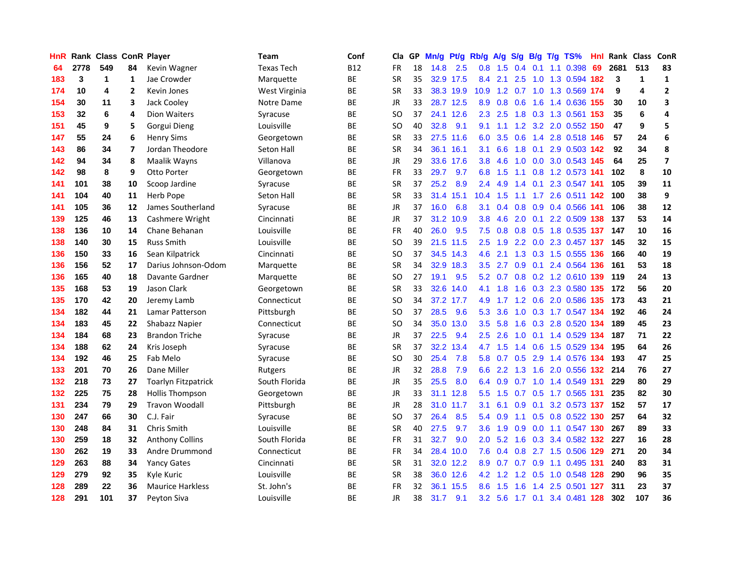| <b>HnR</b> |      | <b>Rank Class ConR Player</b> |                |                            | Team              | Conf       | Cla       |    | GP Mn/g Pt/g |           | Rb/g             | <b>A/g</b>      | S/g B/g          |                 |     | T/g TS%                   | Hnl  | Rank Class |                         | ConR           |
|------------|------|-------------------------------|----------------|----------------------------|-------------------|------------|-----------|----|--------------|-----------|------------------|-----------------|------------------|-----------------|-----|---------------------------|------|------------|-------------------------|----------------|
| 64         | 2778 | 549                           | 84             | Kevin Wagner               | <b>Texas Tech</b> | <b>B12</b> | <b>FR</b> | 18 | 14.8         | 2.5       | 0.8              | 1.5             | 0.4              | 0.1             |     | 1.1 0.398                 | 69   | 2681       | 513                     | 83             |
| 183        | 3    | 1                             | 1              | Jae Crowder                | Marquette         | ВE         | <b>SR</b> | 35 |              | 32.9 17.5 | 8.4              | 2.1             | 2.5              | 1.0             |     | 1.3 0.594                 | 182  | 3          | $\mathbf{1}$            | $\mathbf{1}$   |
| 174        | 10   | 4                             | $\overline{2}$ | Kevin Jones                | West Virginia     | ВE         | <b>SR</b> | 33 |              | 38.3 19.9 | 10.9             |                 | $1.2 \quad 0.7$  | 1.0             |     | 1.3 0.569 174             |      | 9          | $\overline{\mathbf{4}}$ | $\mathbf{2}$   |
| 154        | 30   | 11                            | 3              | Jack Cooley                | Notre Dame        | BE         | JR        | 33 |              | 28.7 12.5 | 8.9              | 0.8             | 0.6              | 1.6             |     | 1.4 0.636 155             |      | 30         | 10                      | 3              |
| 153        | 32   | 6                             | 4              | <b>Dion Waiters</b>        | Syracuse          | BE         | SO.       | 37 |              | 24.1 12.6 |                  | $2.3$ 2.5       |                  |                 |     | 1.8 0.3 1.3 0.561         | -153 | 35         | 6                       | 4              |
| 151        | 45   | 9                             | 5              | Gorgui Dieng               | Louisville        | <b>BE</b>  | <b>SO</b> | 40 | 32.8         | 9.1       | 9.1              |                 |                  |                 |     | 1.1 1.2 3.2 2.0 0.552 150 |      | 47         | 9                       | 5              |
| 147        | 55   | 24                            | 6              | <b>Henry Sims</b>          | Georgetown        | BE         | <b>SR</b> | 33 |              | 27.5 11.6 | 6.0              | 3.5             | 0.6              |                 |     | 1.4 2.8 0.518 146         |      | 57         | 24                      | 6              |
| 143        | 86   | 34                            | 7              | Jordan Theodore            | Seton Hall        | BE         | <b>SR</b> | 34 |              | 36.1 16.1 | 3.1              | 6.6             | 1.8              | 0.1             |     | 2.9 0.503 142             |      | 92         | 34                      | 8              |
| 142        | 94   | 34                            | 8              | Maalik Wayns               | Villanova         | BE         | JR        | 29 |              | 33.6 17.6 | 3.8              | 4.6             | 1.0              | 0.0             |     | 3.0 0.543 145             |      | 64         | 25                      | $\overline{ }$ |
| 142        | 98   | 8                             | 9              | Otto Porter                | Georgetown        | ВE         | <b>FR</b> | 33 | 29.7         | 9.7       | 6.8              | 1.5             | 1.1              |                 |     | 0.8 1.2 0.573 141         |      | 102        | 8                       | 10             |
| 141        | 101  | 38                            | 10             | Scoop Jardine              | Syracuse          | BE         | <b>SR</b> | 37 | 25.2         | 8.9       | 2.4              | 4.9             | 1.4              | 0.1             |     | 2.3 0.547 141             |      | 105        | 39                      | 11             |
| 141        | 104  | 40                            | 11             | Herb Pope                  | Seton Hall        | BE         | <b>SR</b> | 33 | 31.4         | 15.1      | 10.4             | 1.5             | 1.1              | 1.7             |     | 2.6 0.511 142             |      | 100        | 38                      | 9              |
| 141        | 105  | 36                            | 12             | James Southerland          | Syracuse          | <b>BE</b>  | JR        | 37 | 16.0         | 6.8       | 3.1              | 0.4             | 0.8 <sub>0</sub> | 0.9             |     | 0.4 0.566                 | -141 | 106        | 38                      | 12             |
| 139        | 125  | 46                            | 13             | Cashmere Wright            | Cincinnati        | BE         | <b>JR</b> | 37 |              | 31.2 10.9 | 3.8              | 4.6             | 2.0              | 0.1             |     | 2.2 0.509                 | 138  | 137        | 53                      | 14             |
| 138        | 136  | 10                            | 14             | Chane Behanan              | Louisville        | BE         | <b>FR</b> | 40 | 26.0         | 9.5       | 7.5              | 0.8             | 0.8              | 0.5             |     | 1.8 0.535 137             |      | 147        | 10                      | 16             |
| 138        | 140  | 30                            | 15             | <b>Russ Smith</b>          | Louisville        | <b>BE</b>  | <b>SO</b> | 39 | 21.5         | 11.5      | 2.5              | 1.9             |                  |                 |     | 2.2 0.0 2.3 0.457 137     |      | 145        | 32                      | 15             |
| 136        | 150  | 33                            | 16             | Sean Kilpatrick            | Cincinnati        | ВE         | SO.       | 37 |              | 34.5 14.3 | 4.6              | 2.1             |                  |                 |     | 1.3 0.3 1.5 0.555 136     |      | 166        | 40                      | 19             |
| 136        | 156  | 52                            | 17             | Darius Johnson-Odom        | Marquette         | ВE         | <b>SR</b> | 34 |              | 32.9 18.3 | 3.5              | 2.7             |                  |                 |     | 0.9 0.1 2.4 0.564 136     |      | 161        | 53                      | 18             |
| 136        | 165  | 40                            | 18             | Davante Gardner            | Marquette         | ВE         | <b>SO</b> | 27 | 19.1         | 9.5       |                  | $5.2 \quad 0.7$ |                  |                 |     | 0.8 0.2 1.2 0.610 139     |      | 119        | 24                      | 13             |
| 135        | 168  | 53                            | 19             | <b>Jason Clark</b>         | Georgetown        | <b>BE</b>  | <b>SR</b> | 33 | 32.6         | 14.0      | 4.1              | 1.8             |                  |                 |     | 1.6 0.3 2.3 0.580 135     |      | 172        | 56                      | 20             |
| 135        | 170  | 42                            | 20             | Jeremy Lamb                | Connecticut       | <b>BE</b>  | SO.       | 34 |              | 37.2 17.7 | 4.9              | 1.7             |                  |                 |     | 1.2 0.6 2.0 0.586 135     |      | 173        | 43                      | 21             |
| 134        | 182  | 44                            | 21             | Lamar Patterson            | Pittsburgh        | BE         | <b>SO</b> | 37 | 28.5         | 9.6       | 5.3              | 3.6             | 1.0              |                 |     | 0.3 1.7 0.547 134         |      | 192        | 46                      | 24             |
| 134        | 183  | 45                            | 22             | Shabazz Napier             | Connecticut       | BE         | <b>SO</b> | 34 | 35.0         | 13.0      | 3.5              | 5.8             | 1.6              |                 |     | 0.3 2.8 0.520 134         |      | 189        | 45                      | 23             |
| 134        | 184  | 68                            | 23             | <b>Brandon Triche</b>      | Syracuse          | ВE         | JR        | 37 | 22.5         | 9.4       | 2.5              | 2.6             | 1.0              | 0.1             |     | 1.4 0.529 134             |      | 187        | 71                      | 22             |
| 134        | 188  | 62                            | 24             | Kris Joseph                | Syracuse          | BE         | <b>SR</b> | 37 |              | 32.2 13.4 | 4.7              | 1.5             | 1.4              | 0.6             |     | 1.5 0.529 134             |      | 195        | 64                      | 26             |
| 134        | 192  | 46                            | 25             | Fab Melo                   | Syracuse          | BE         | SO.       | 30 | 25.4         | 7.8       | 5.8              | 0.7             | 0.5              | 2.9             |     | 1.4 0.576 134             |      | 193        | 47                      | 25             |
| 133        | 201  | 70                            | 26             | Dane Miller                | Rutgers           | ВE         | <b>JR</b> | 32 | 28.8         | 7.9       | 6.6              | 2.2             | 1.3              | 1.6             |     | 2.0 0.556                 | 132  | 214        | 76                      | 27             |
| 132        | 218  | 73                            | 27             | <b>Toarlyn Fitzpatrick</b> | South Florida     | ВE         | JR        | 35 | 25.5         | 8.0       | 6.4              | 0.9             | 0.7              | 1.0             |     | 1.4 0.549 131             |      | 229        | 80                      | 29             |
| 132        | 225  | 75                            | 28             | <b>Hollis Thompson</b>     | Georgetown        | BE         | JR        | 33 |              | 31.1 12.8 | 5.5 <sub>1</sub> | 1.5             | 0.7              | 0.5             |     | 1.7 0.565 131             |      | 235        | 82                      | 30             |
| 131        | 234  | 79                            | 29             | <b>Travon Woodall</b>      | Pittsburgh        | BE         | <b>JR</b> | 28 | 31.0         | 11.7      | 3.1              | 6.1             | 0.9              | 0.1             |     | 3.2 0.573 137             |      | 152        | 57                      | 17             |
| 130        | 247  | 66                            | 30             | C.J. Fair                  | Syracuse          | ВE         | <b>SO</b> | 37 | 26.4         | 8.5       | 5.4              | 0.9             | 1.1              | 0.5             |     | 0.8 0.522 130             |      | 257        | 64                      | 32             |
| 130        | 248  | 84                            | 31             | Chris Smith                | Louisville        | BE         | <b>SR</b> | 40 | 27.5         | 9.7       | 3.6 <sup>°</sup> | 1.9             | 0.9              |                 |     | 0.0 1.1 0.547 130         |      | 267        | 89                      | 33             |
| 130        | 259  | 18                            | 32             | <b>Anthony Collins</b>     | South Florida     | BE         | FR        | 31 | 32.7         | 9.0       | $2.0^{\circ}$    | 5.2             |                  |                 |     | 1.6 0.3 3.4 0.582 132     |      | 227        | 16                      | 28             |
| 130        | 262  | 19                            | 33             | Andre Drummond             | Connecticut       | BE         | FR        | 34 |              | 28.4 10.0 | 7.6              | 0.4             | 0.8              |                 |     | 2.7 1.5 0.506 129         |      | 271        | 20                      | 34             |
| 129        | 263  | 88                            | 34             | <b>Yancy Gates</b>         | Cincinnati        | BE         | <b>SR</b> | 31 |              | 32.0 12.2 | 8.9              | 0.7             |                  | $0.7 \quad 0.9$ |     | 1.1 0.495 131             |      | 240        | 83                      | 31             |
| 129        | 279  | 92                            | 35             | Kyle Kuric                 | Louisville        | BE         | <b>SR</b> | 38 |              | 36.0 12.6 | 4.2              | 1.2             | 1.2              | 0.5             |     | 1.0 0.548                 | 128  | 290        | 96                      | 35             |
| 128        | 289  | 22                            | 36             | <b>Maurice Harkless</b>    | St. John's        | <b>BE</b>  | <b>FR</b> | 32 | 36.1         | 15.5      | 8.6              | 1.5             | 1.6              | 1.4             | 2.5 | 0.501                     | 127  | 311        | 23                      | 37             |
| 128        | 291  | 101                           | 37             | Peyton Siva                | Louisville        | BE         | JR        | 38 | 31.7         | 9.1       | 3.2 <sub>2</sub> | 5.6             |                  | $1.7 \quad 0.1$ |     | 3.4 0.481 128             |      | 302        | 107                     | 36             |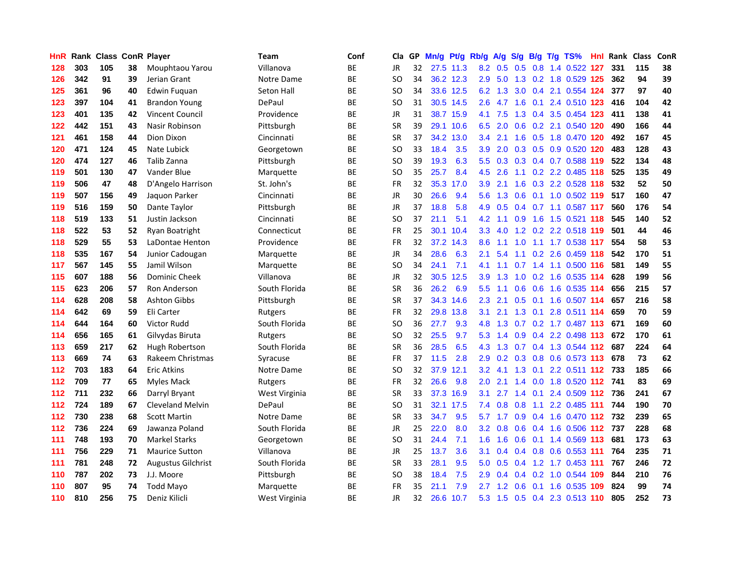| HnR |     | <b>Rank Class ConR Player</b> |    |                           | Team              | Conf      | Cla           |    | GP Mn/g | Pt/g      | Rb/g             | A/g                | S/g | B/g             | $T/g$ TS%                         | Hnl. | Rank Class |     | ConR |
|-----|-----|-------------------------------|----|---------------------------|-------------------|-----------|---------------|----|---------|-----------|------------------|--------------------|-----|-----------------|-----------------------------------|------|------------|-----|------|
| 128 | 303 | 105                           | 38 | Mouphtaou Yarou           | Villanova         | BE        | <b>JR</b>     | 32 |         | 27.5 11.3 | 8.2              | 0.5                |     | $0.5\quad 0.8$  | 1.4 0.522                         | 127  | 331        | 115 | 38   |
| 126 | 342 | 91                            | 39 | Jerian Grant              | Notre Dame        | ВE        | <sub>SO</sub> | 34 |         | 36.2 12.3 | 2.9              | 5.0                | 1.3 |                 | 0.2 1.8 0.529 125                 |      | 362        | 94  | 39   |
| 125 | 361 | 96                            | 40 | Edwin Fuquan              | <b>Seton Hall</b> | ВE        | <sub>SO</sub> | 34 |         | 33.6 12.5 | 6.2              | 1.3                | 3.0 |                 | 0.4 2.1 0.554 124                 |      | 377        | 97  | 40   |
| 123 | 397 | 104                           | 41 | <b>Brandon Young</b>      | DePaul            | BE        | <sub>SO</sub> | 31 |         | 30.5 14.5 | 2.6              | 4.7                |     | $1.6 \quad 0.1$ | 2.4 0.510 123                     |      | 416        | 104 | 42   |
| 123 | 401 | 135                           | 42 | <b>Vincent Council</b>    | Providence        | BE        | <b>JR</b>     | 31 |         | 38.7 15.9 |                  | 4.1 7.5            |     |                 | 1.3 0.4 3.5 0.454 123             |      | 411        | 138 | 41   |
| 122 | 442 | 151                           | 43 | Nasir Robinson            | Pittsburgh        | ВE        | <b>SR</b>     | 39 |         | 29.1 10.6 | 6.5              | 2.0                |     |                 | 0.6 0.2 2.1 0.540 120             |      | 490        | 166 | 44   |
| 121 | 461 | 158                           | 44 | Dion Dixon                | Cincinnati        | BE        | <b>SR</b>     | 37 |         | 34.2 13.0 | 3.4              | 2.1                | 1.6 |                 | 0.5 1.8 0.470 120                 |      | 492        | 167 | 45   |
| 120 | 471 | 124                           | 45 | Nate Lubick               | Georgetown        | <b>BE</b> | <sub>SO</sub> | 33 | 18.4    | 3.5       | 3.9              | 2.0                |     |                 | 0.3 0.5 0.9 0.520 120             |      | 483        | 128 | 43   |
| 120 | 474 | 127                           | 46 | Talib Zanna               | Pittsburgh        | BE        | <sub>SO</sub> | 39 | 19.3    | 6.3       | 5.5 <sub>1</sub> | 0.3                |     |                 | 0.3 0.4 0.7 0.588 119             |      | 522        | 134 | 48   |
| 119 | 501 | 130                           | 47 | Vander Blue               | Marquette         | ВE        | <b>SO</b>     | 35 | 25.7    | 8.4       | 4.5              | 2.6                | 1.1 |                 | 0.2 2.2 0.485 118                 |      | 525        | 135 | 49   |
| 119 | 506 | 47                            | 48 | D'Angelo Harrison         | St. John's        | BE        | <b>FR</b>     | 32 |         | 35.3 17.0 | 3.9              | 2.1                | 1.6 |                 | 0.3 2.2 0.528 118                 |      | 532        | 52  | 50   |
| 119 | 507 | 156                           | 49 | Jaquon Parker             | Cincinnati        | BE        | <b>JR</b>     | 30 | 26.6    | 9.4       | 5.6              | 1.3                | 0.6 |                 | 0.1 1.0 0.502 119                 |      | 517        | 160 | 47   |
| 119 | 516 | 159                           | 50 | Dante Taylor              | Pittsburgh        | <b>BE</b> | <b>JR</b>     | 37 | 18.8    | 5.8       | 4.9              | 0.5                | 0.4 |                 | 0.7 1.1 0.587 117                 |      | 560        | 176 | 54   |
| 118 | 519 | 133                           | 51 | Justin Jackson            | Cincinnati        | BE        | SO            | 37 | 21.1    | 5.1       | 4.2 <sub>1</sub> | 1.1                | 0.9 | 1.6             | 1.5 0.521 118                     |      | 545        | 140 | 52   |
| 118 | 522 | 53                            | 52 | Ryan Boatright            | Connecticut       | BE        | <b>FR</b>     | 25 |         | 30.1 10.4 | 3.3 <sub>2</sub> | 4.0                | 1.2 |                 | 0.2 2.2 0.518 119                 |      | 501        | 44  | 46   |
| 118 | 529 | 55                            | 53 | LaDontae Henton           | Providence        | <b>BE</b> | <b>FR</b>     | 32 |         | 37.2 14.3 | 8.6              | 1.1                | 1.0 |                 | 1.1 1.7 0.538 117                 |      | 554        | 58  | 53   |
| 118 | 535 | 167                           | 54 | Junior Cadougan           | Marquette         | ВE        | JR            | 34 | 28.6    | 6.3       | 2.1              | 5.4                | 1.1 |                 | 0.2 2.6 0.459 118                 |      | 542        | 170 | 51   |
| 117 | 567 | 145                           | 55 | Jamil Wilson              | Marquette         | ВE        | <b>SO</b>     | 34 | 24.1    | 7.1       | 4.1              | 1.1                |     |                 | 0.7 1.4 1.1 0.500 116             |      | 581        | 149 | 55   |
| 115 | 607 | 188                           | 56 | <b>Dominic Cheek</b>      | Villanova         | ВE        | JR            | 32 |         | 30.5 12.5 | 3.9              | 1.3                |     |                 | 1.0 0.2 1.6 0.535 114             |      | 628        | 199 | 56   |
| 115 | 623 | 206                           | 57 | Ron Anderson              | South Florida     | <b>BE</b> | <b>SR</b>     | 36 | 26.2    | 6.9       | $5.5^{\circ}$    | 1.1                |     |                 | 0.6 0.6 1.6 0.535 114             |      | 656        | 215 | 57   |
| 114 | 628 | 208                           | 58 | <b>Ashton Gibbs</b>       | Pittsburgh        | BE        | <b>SR</b>     | 37 |         | 34.3 14.6 | $2.3^{\circ}$    | 2.1                |     |                 | 0.5 0.1 1.6 0.507 114             |      | 657        | 216 | 58   |
| 114 | 642 | 69                            | 59 | Eli Carter                | Rutgers           | BE        | <b>FR</b>     | 32 |         | 29.8 13.8 | 3.1              | 2.1                |     |                 | 1.3 0.1 2.8 0.511 114             |      | 659        | 70  | 59   |
| 114 | 644 | 164                           | 60 | Victor Rudd               | South Florida     | ВE        | <sub>SO</sub> | 36 | 27.7    | 9.3       | 4.8              | 1.3                |     |                 | 0.7 0.2 1.7 0.487 113             |      | 671        | 169 | 60   |
| 114 | 656 | 165                           | 61 | Gilvydas Biruta           | Rutgers           | ВE        | SO            | 32 | 25.5    | 9.7       | 5.3              | 1.4                | 0.9 |                 | 0.4 2.2 0.498 113                 |      | 672        | 170 | 61   |
| 113 | 659 | 217                           | 62 | Hugh Robertson            | South Florida     | BE        | <b>SR</b>     | 36 | 28.5    | 6.5       | 4.3              | 1.3                |     |                 | 0.7 0.4 1.3 0.544 112             |      | 687        | 224 | 64   |
| 113 | 669 | 74                            | 63 | Rakeem Christmas          | Syracuse          | BE        | <b>FR</b>     | 37 | 11.5    | 2.8       | 2.9              | 0.2                |     | $0.3 \quad 0.8$ | 0.6 0.573 113                     |      | 678        | 73  | 62   |
| 112 | 703 | 183                           | 64 | <b>Eric Atkins</b>        | Notre Dame        | ВE        | <b>SO</b>     | 32 |         | 37.9 12.1 | 3.2 <sub>2</sub> | 4.1                | 1.3 | 0.1             | 2.2 0.511 112                     |      | 733        | 185 | 66   |
| 112 | 709 | 77                            | 65 | Myles Mack                | Rutgers           | ВE        | FR            | 32 | 26.6    | 9.8       | 2.0              | 2.1                | 1.4 |                 | 0.0 1.8 0.520 112 741             |      |            | 83  | 69   |
| 112 | 711 | 232                           | 66 | Darryl Bryant             | West Virginia     | BE        | <b>SR</b>     | 33 | 37.3    | 16.9      | 3.1              | 2.7                | 1.4 | 0.1             | 2.4 0.509 112                     |      | 736        | 241 | 67   |
| 112 | 724 | 189                           | 67 | <b>Cleveland Melvin</b>   | DePaul            | ВE        | <b>SO</b>     | 31 |         | 32.1 17.5 | 7.4              | 0.8                | 0.8 | 1.1             | 2.2 0.485 111                     |      | 744        | 190 | 70   |
| 112 | 730 | 238                           | 68 | <b>Scott Martin</b>       | Notre Dame        | ВE        | <b>SR</b>     | 33 | 34.7    | 9.5       | 5.7              | 1.7                | 0.9 |                 | 0.4 1.6 0.470 112 732             |      |            | 239 | 65   |
| 112 | 736 | 224                           | 69 | Jawanza Poland            | South Florida     | BE        | <b>JR</b>     | 25 | 22.0    | 8.0       |                  |                    |     |                 | 3.2 0.8 0.6 0.4 1.6 0.506 112 737 |      |            | 228 | 68   |
| 111 | 748 | 193                           | 70 | <b>Markel Starks</b>      | Georgetown        | BE        | <b>SO</b>     | 31 | 24.4    | 7.1       | 1.6 <sup>1</sup> | 1.6                |     |                 | 0.6 0.1 1.4 0.569 113             |      | 681        | 173 | 63   |
| 111 | 756 | 229                           | 71 | <b>Maurice Sutton</b>     | Villanova         | BE        | JR            | 25 | 13.7    | 3.6       | 3.1              | 0.4                |     |                 | 0.4 0.8 0.6 0.553 111             |      | 764        | 235 | 71   |
| 111 | 781 | 248                           | 72 | <b>Augustus Gilchrist</b> | South Florida     | BE        | <b>SR</b>     | 33 | 28.1    | 9.5       | 5.0              | 0.5                | 0.4 |                 | 1.2 1.7 0.453 111                 |      | 767        | 246 | 72   |
| 110 | 787 | 202                           | 73 | J.J. Moore                | Pittsburgh        | ВE        | <sub>SO</sub> | 38 | 18.4    | 7.5       | 2.9              | 0.4                | 0.4 |                 | 0.2 1.0 0.544                     | 109  | 844        | 210 | 76   |
| 110 | 807 | 95                            | 74 | <b>Todd Mayo</b>          | Marquette         | <b>BE</b> | <b>FR</b>     | 35 | 21.1    | 7.9       | 2.7              | $\mathbf{2}$<br>-1 | 0.6 | 0.1             | 1.6 0.535                         | 109  | 824        | 99  | 74   |
| 110 | 810 | 256                           | 75 | Deniz Kilicli             | West Virginia     | ВE        | JR            | 32 | 26.6    | 10.7      | 5.3              | 1.5                |     |                 | 0.5 0.4 2.3 0.513 110             |      | 805        | 252 | 73   |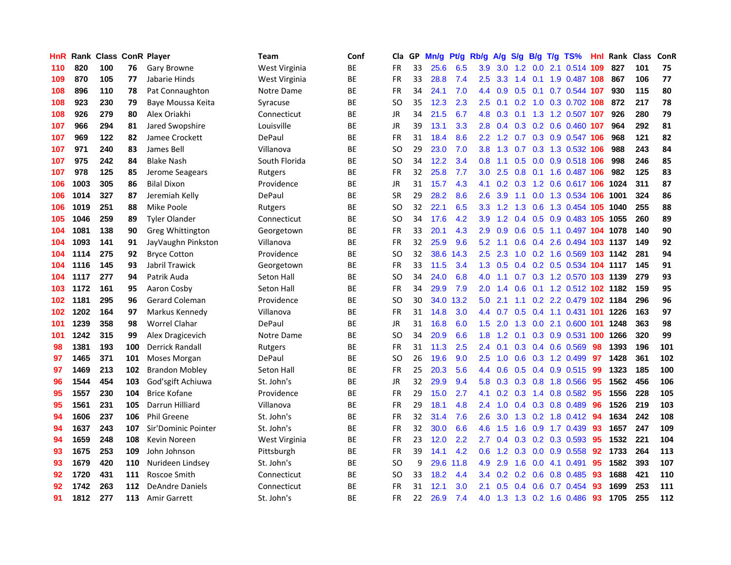| HnR |      | Rank Class ConR Player |     |                        | Team          | Conf      | Cla       | GP | Mn/g | Pt/g | Rb/g             | A/g             | S/g             | B/g | $T/g$ TS%                     | Hnl | Rank Class |     | ConR |
|-----|------|------------------------|-----|------------------------|---------------|-----------|-----------|----|------|------|------------------|-----------------|-----------------|-----|-------------------------------|-----|------------|-----|------|
| 110 | 820  | 100                    | 76  | Gary Browne            | West Virginia | ВE        | <b>FR</b> | 33 | 25.6 | 6.5  | 3.9              | 3.0             | 1.2             | 0.0 | 2.1 0.514                     | 109 | 827        | 101 | 75   |
| 109 | 870  | 105                    | 77  | Jabarie Hinds          | West Virginia | ВE        | <b>FR</b> | 33 | 28.8 | 7.4  | $2.5^{\circ}$    | 3.3             | 1.4             | 0.1 | 1.9 0.487 108                 |     | 867        | 106 | 77   |
| 108 | 896  | 110                    | 78  | Pat Connaughton        | Notre Dame    | ВE        | <b>FR</b> | 34 | 24.1 | 7.0  | 4.4              | 0.9             | 0.5             | 0.1 | 0.7 0.544 107                 |     | 930        | 115 | 80   |
| 108 | 923  | 230                    | 79  | Baye Moussa Keita      | Syracuse      | BE        | SO        | 35 | 12.3 | 2.3  | 2.5              | 0.1             |                 |     | 0.2 1.0 0.3 0.702 108         |     | 872        | 217 | 78   |
| 108 | 926  | 279                    | 80  | Alex Oriakhi           | Connecticut   | ВE        | JR        | 34 | 21.5 | 6.7  |                  |                 |                 |     | 4.8 0.3 0.1 1.3 1.2 0.507 107 |     | 926        | 280 | 79   |
| 107 | 966  | 294                    | 81  | Jared Swopshire        | Louisville    | ВE        | JR        | 39 | 13.1 | 3.3  | 2.8 <sub>1</sub> | 0.4             |                 |     | 0.3 0.2 0.6 0.460 107         |     | 964        | 292 | 81   |
| 107 | 969  | 122                    | 82  | Jamee Crockett         | DePaul        | BE        | <b>FR</b> | 31 | 18.4 | 8.6  | $2.2^{\circ}$    | 1.2             |                 |     | 0.7 0.3 0.9 0.547 106         |     | 968        | 121 | 82   |
| 107 | 971  | 240                    | 83  | James Bell             | Villanova     | BE        | SO        | 29 | 23.0 | 7.0  | 3.8              | 1.3             |                 |     | 0.7 0.3 1.3 0.532 106         |     | 988        | 243 | 84   |
| 107 | 975  | 242                    | 84  | <b>Blake Nash</b>      | South Florida | ВE        | <b>SO</b> | 34 | 12.2 | 3.4  | 0.8 <sub>0</sub> | 1.1             | 0.5             |     | 0.0 0.9 0.518 106             |     | 998        | 246 | 85   |
| 107 | 978  | 125                    | 85  | Jerome Seagears        | Rutgers       | ВE        | <b>FR</b> | 32 | 25.8 | 7.7  | 3.0 <sub>1</sub> | 2.5             | 0.8             |     | 0.1 1.6 0.487 106             |     | 982        | 125 | 83   |
| 106 | 1003 | 305                    | 86  | <b>Bilal Dixon</b>     | Providence    | ВE        | JR        | 31 | 15.7 | 4.3  | 4.1              | 0.2             | 0.3             |     | 1.2 0.6 0.617 106             |     | 1024       | 311 | 87   |
| 106 | 1014 | 327                    | 87  | Jeremiah Kelly         | DePaul        | BE        | SR        | 29 | 28.2 | 8.6  | 2.6              | 3.9             | 1.1             | 0.0 | 1.3 0.534 106                 |     | 1001       | 324 | 86   |
| 106 | 1019 | 251                    | 88  | Mike Poole             | Rutgers       | ВE        | <b>SO</b> | 32 | 22.1 | 6.5  | 3.3 <sub>2</sub> | 1.2             | 1.3             | 0.6 | 1.3 0.454 105                 |     | 1040       | 255 | 88   |
| 105 | 1046 | 259                    | 89  | <b>Tyler Olander</b>   | Connecticut   | BE        | SO        | 34 | 17.6 | 4.2  | 3.9              | 1.2             | 0.4             | 0.5 | 0.9 0.483 105                 |     | 1055       | 260 | 89   |
| 104 | 1081 | 138                    | 90  | Greg Whittington       | Georgetown    | ВE        | <b>FR</b> | 33 | 20.1 | 4.3  | 2.9              | 0.9             | 0.6             | 0.5 | 1.1 0.497 104 1078            |     |            | 140 | 90   |
| 104 | 1093 | 141                    | 91  | JayVaughn Pinkston     | Villanova     | ВE        | <b>FR</b> | 32 | 25.9 | 9.6  | 5.2              | 1.1             | 0.6             |     | 0.4 2.6 0.494 103 1137        |     |            | 149 | 92   |
| 104 | 1114 | 275                    | 92  | <b>Bryce Cotton</b>    | Providence    | ВE        | SO        | 32 | 38.6 | 14.3 | 2.5              | 2.3             |                 |     | 1.0 0.2 1.6 0.569 103 1142    |     |            | 281 | 94   |
| 104 | 1116 | 145                    | 93  | Jabril Trawick         | Georgetown    | BE        | <b>FR</b> | 33 | 11.5 | 3.4  |                  | $1.3 \quad 0.5$ |                 |     | 0.4 0.2 0.5 0.534 104 1117    |     |            | 145 | 91   |
| 104 | 1117 | 277                    | 94  | Patrik Auda            | Seton Hall    | ВE        | SO        | 34 | 24.0 | 6.8  | 4.0              | 1.1             |                 |     | 0.7 0.3 1.2 0.570 103 1139    |     |            | 279 | 93   |
| 103 | 1172 | 161                    | 95  | Aaron Cosby            | Seton Hall    | ВE        | FR        | 34 | 29.9 | 7.9  | $2.0^{\circ}$    | 1.4             | 0.6             |     | 0.1 1.2 0.512 102 1182        |     |            | 159 | 95   |
| 102 | 1181 | 295                    | 96  | <b>Gerard Coleman</b>  | Providence    | ВE        | SO        | 30 | 34.0 | 13.2 | 5.0              | 2.1             | 1.1             |     | 0.2 2.2 0.479 102 1184        |     |            | 296 | 96   |
| 102 | 1202 | 164                    | 97  | Markus Kennedy         | Villanova     | BE        | FR        | 31 | 14.8 | 3.0  | 4.4              | 0.7             | 0.5             |     | 0.4 1.1 0.431 101             |     | 1226       | 163 | 97   |
| 101 | 1239 | 358                    | 98  | <b>Worrel Clahar</b>   | DePaul        | ВE        | <b>JR</b> | 31 | 16.8 | 6.0  | 1.5              | 2.0             | 1.3             |     | 0.0 2.1 0.600 101             |     | 1248       | 363 | 98   |
| 101 | 1242 | 315                    | 99  | Alex Dragicevich       | Notre Dame    | BE        | <b>SO</b> | 34 | 20.9 | 6.6  | 1.8              | 1.2             | 0.1             |     | 0.3 0.9 0.531 100             |     | 1266       | 320 | 99   |
| 98  | 1381 | 193                    | 100 | Derrick Randall        | Rutgers       | ВE        | <b>FR</b> | 31 | 11.3 | 2.5  | 2.4              | 0.1             | 0.3             |     | $0.4$ 0.6 0.569               | 98  | 1393       | 196 | 101  |
| 97  | 1465 | 371                    | 101 | Moses Morgan           | DePaul        | ВE        | SΟ        | 26 | 19.6 | 9.0  | $2.5^{\circ}$    | 1.0             | 0.6             |     | $0.3$ 1.2 0.499               | -97 | 1428       | 361 | 102  |
| 97  | 1469 | 213                    | 102 | <b>Brandon Mobley</b>  | Seton Hall    | BE        | <b>FR</b> | 25 | 20.3 | 5.6  | $4.4^{\circ}$    | 0.6             | 0.5             | 0.4 | 0.9 0.515                     | -99 | 1323       | 185 | 100  |
| 96  | 1544 | 454                    | 103 | God'sgift Achiuwa      | St. John's    | BE        | <b>JR</b> | 32 | 29.9 | 9.4  | 5.8              | 0.3             | 0.3             | 0.8 | 1.8 0.566                     | 95  | 1562       | 456 | 106  |
| 95  | 1557 | 230                    | 104 | <b>Brice Kofane</b>    | Providence    | ВE        | <b>FR</b> | 29 | 15.0 | 2.7  | 4.1              |                 | $0.2 \quad 0.3$ | 1.4 | 0.8 0.582                     | -95 | 1556       | 228 | 105  |
| 95  | 1561 | 231                    | 105 | Darrun Hilliard        | Villanova     | ВE        | FR        | 29 | 18.1 | 4.8  | $2.4^{\circ}$    |                 |                 |     | 1.0 0.4 0.3 0.8 0.489         | 96  | 1526       | 219 | 103  |
| 94  | 1606 | 237                    | 106 | <b>Phil Greene</b>     | St. John's    | ВE        | FR        | 32 | 31.4 | 7.6  | 2.6              | 3.0             |                 |     | $1.3$ 0.2 1.8 0.412           | -94 | 1634       | 242 | 108  |
| 94  | 1637 | 243                    | 107 | Sir'Dominic Pointer    | St. John's    | <b>BE</b> | FR        | 32 | 30.0 | 6.6  | 4.6              | 1.5             | 1.6             |     | $0.9$ 1.7 0.439               | 93  | 1657       | 247 | 109  |
| 94  | 1659 | 248                    | 108 | <b>Kevin Noreen</b>    | West Virginia | ВE        | FR        | 23 | 12.0 | 2.2  | 2.7              | 0.4             |                 |     | $0.3$ $0.2$ $0.3$ $0.593$     | 95  | 1532       | 221 | 104  |
| 93  | 1675 | 253                    | 109 | John Johnson           | Pittsburgh    | ВE        | FR        | 39 | 14.1 | 4.2  | 0.6              | 1.2             | 0.3             | 0.0 | 0.9 0.558                     | 92  | 1733       | 264 | 113  |
| 93  | 1679 | 420                    | 110 | Nurideen Lindsey       | St. John's    | ВE        | SO        | 9  | 29.6 | 11.8 | 4.9              | 2.9             | 1.6             | 0.0 | 4.1 0.491                     | 95  | 1582       | 393 | 107  |
| 92  | 1720 | 431                    | 111 | Roscoe Smith           | Connecticut   | ВE        | SO        | 33 | 18.2 | 4.4  | 3.4              | 0.2             | 0.2             | 0.6 | 0.8 0.485                     | 93  | 1688       | 421 | 110  |
| 92  | 1742 | 263                    | 112 | <b>DeAndre Daniels</b> | Connecticut   | ВE        | FR        | 31 | 12.1 | 3.0  | 2.1              | 0.5             | $0.4^{\circ}$   | 0.6 | 0.7 0.454                     | 93  | 1699       | 253 | 111  |
| 91  | 1812 | 277                    | 113 | Amir Garrett           | St. John's    | <b>BE</b> | <b>FR</b> | 22 | 26.9 | 7.4  | 4.0              |                 |                 |     | 1.3 1.3 0.2 1.6 0.486         | 93  | 1705       | 255 | 112  |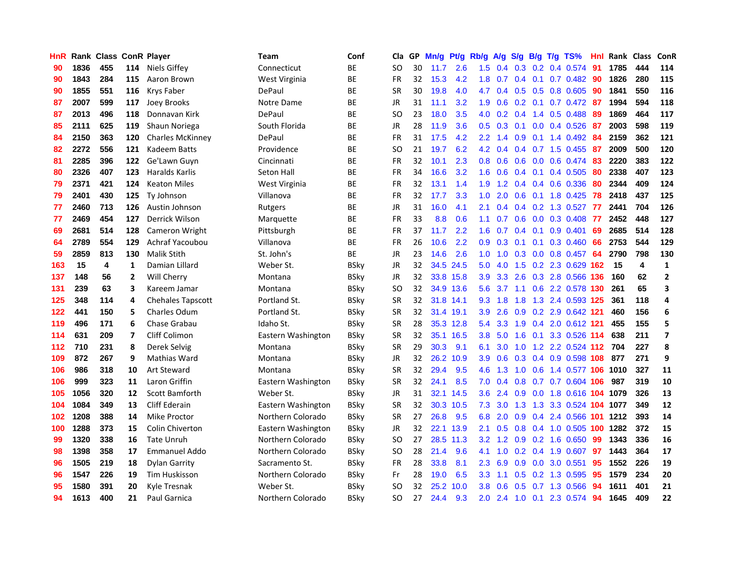| HnR |      | Rank Class ConR Player |     |                         | Team               | Conf        | Cla       | GP | Mn/g      | Pt/g      | Rb/g             | A/g | S/g           | B/g             | T/g TS%                    | Hnl | Rank Class |     | ConR                    |
|-----|------|------------------------|-----|-------------------------|--------------------|-------------|-----------|----|-----------|-----------|------------------|-----|---------------|-----------------|----------------------------|-----|------------|-----|-------------------------|
| 90  | 1836 | 455                    | 114 | Niels Giffey            | Connecticut        | BE          | SO.       | 30 | 11.7      | 2.6       | 1.5              | 0.4 |               | $0.3 \quad 0.2$ | 0.4 0.574                  | 91  | 1785       | 444 | 114                     |
| 90  | 1843 | 284                    | 115 | Aaron Brown             | West Virginia      | BE          | <b>FR</b> | 32 | 15.3      | 4.2       | 1.8              | 0.7 | $0.4^{\circ}$ | 0.1             | $0.7$ 0.482                | 90  | 1826       | 280 | 115                     |
| 90  | 1855 | 551                    | 116 | Krys Faber              | DePaul             | BE          | <b>SR</b> | 30 | 19.8      | 4.0       | 4.7              | 0.4 |               | $0.5\quad 0.5$  | 0.8 0.605                  | 90  | 1841       | 550 | 116                     |
| 87  | 2007 | 599                    | 117 | Joey Brooks             | Notre Dame         | <b>BE</b>   | JR        | 31 | 11.1      | 3.2       | 1.9 <sup>°</sup> | 0.6 |               |                 | $0.2$ 0.1 0.7 0.472        | -87 | 1994       | 594 | 118                     |
| 87  | 2013 | 496                    | 118 | Donnavan Kirk           | DePaul             | BE          | <b>SO</b> | 23 | 18.0      | 3.5       | 4.0              | 0.2 | 0.4           |                 | 1.4 0.5 0.488              | -89 | 1869       | 464 | 117                     |
| 85  | 2111 | 625                    | 119 | Shaun Noriega           | South Florida      | ВE          | JR        | 28 | 11.9      | 3.6       | 0.5              | 0.3 |               |                 | $0.1$ 0.0 0.4 0.526        | -87 | 2003       | 598 | 119                     |
| 84  | 2150 | 363                    | 120 | <b>Charles McKinney</b> | DePaul             | BE          | FR        | 31 | 17.5      | 4.2       | $2.2^{\circ}$    | 1.4 | 0.9           |                 | $0.1$ 1.4 $0.492$          | 84  | 2159       | 362 | 121                     |
| 82  | 2272 | 556                    | 121 | Kadeem Batts            | Providence         | <b>BE</b>   | SO.       | 21 | 19.7      | 6.2       | 4.2              | 0.4 |               |                 | 0.4 0.7 1.5 0.455          | 87  | 2009       | 500 | 120                     |
| 81  | 2285 | 396                    | 122 | Ge'Lawn Guyn            | Cincinnati         | BE          | FR        | 32 | 10.1      | 2.3       | 0.8 <sub>0</sub> | 0.6 | 0.6           | 0.0             | 0.6 0.474                  | 83  | 2220       | 383 | 122                     |
| 80  | 2326 | 407                    | 123 | <b>Haralds Karlis</b>   | <b>Seton Hall</b>  | <b>BE</b>   | <b>FR</b> | 34 | 16.6      | 3.2       | 1.6              | 0.6 |               | $0.4 \quad 0.1$ | 0.4 0.505                  | 80  | 2338       | 407 | 123                     |
| 79  | 2371 | 421                    | 124 | <b>Keaton Miles</b>     | West Virginia      | ВE          | FR        | 32 | 13.1      | 1.4       | 1.9              | 1.2 |               |                 | 0.4 0.4 0.6 0.336          | 80  | 2344       | 409 | 124                     |
| 79  | 2401 | 430                    | 125 | <b>Ty Johnson</b>       | Villanova          | <b>BE</b>   | <b>FR</b> | 32 | 17.7      | 3.3       | 1.0              | 2.0 | 0.6           | 0.1             | 1.8 0.425                  | 78  | 2418       | 437 | 125                     |
| 77  | 2460 | 713                    | 126 | Austin Johnson          | Rutgers            | <b>BE</b>   | JR        | 31 | 16.0      | 4.1       | 2.1              | 0.4 | 0.4           | 0.2             | 1.3 0.527                  | -77 | 2441       | 704 | 126                     |
| 77  | 2469 | 454                    | 127 | <b>Derrick Wilson</b>   | Marquette          | BE          | <b>FR</b> | 33 | 8.8       | 0.6       | 1.1              | 0.7 | 0.6           | 0.0             | 0.3 0.408                  | 77  | 2452       | 448 | 127                     |
| 69  | 2681 | 514                    | 128 | Cameron Wright          | Pittsburgh         | ВE          | FR        | 37 | 11.7      | 2.2       | 1.6              | 0.7 | 0.4           | 0.1             | 0.9 0.401                  | 69  | 2685       | 514 | 128                     |
| 64  | 2789 | 554                    | 129 | Achraf Yacoubou         | Villanova          | <b>BE</b>   | FR        | 26 | 10.6      | 2.2       | 0.9              | 0.3 | 0.1           | 0.1             | $0.3$ 0.460                | 66  | 2753       | 544 | 129                     |
| 59  | 2859 | 813                    | 130 | <b>Malik Stith</b>      | St. John's         | ВE          | JR        | 23 | 14.6      | 2.6       | 1.0 <sub>1</sub> | 1.0 |               |                 | 0.3 0.0 0.8 0.457 64       |     | 2790       | 798 | 130                     |
| 163 | 15   | 4                      | 1   | Damian Lillard          | Weber St.          | <b>BSky</b> | JR        | 32 |           | 34.5 24.5 | 5.0              | 4.0 |               |                 | 1.5 0.2 2.3 0.629 162      |     | -15        | 4   | $\mathbf{1}$            |
| 137 | 148  | 56                     | 2   | Will Cherry             | Montana            | <b>BSky</b> | JR        | 32 |           | 33.8 15.8 | 3.9              | 3.3 |               |                 | 2.6 0.3 2.8 0.566 136      |     | 160        | 62  | $\mathbf{2}$            |
| 131 | 239  | 63                     | 3   | Kareem Jamar            | Montana            | BSky        | SO.       | 32 |           | 34.9 13.6 | $5.6^{\circ}$    | 3.7 |               |                 | 1.1 0.6 2.2 0.578 130      |     | 261        | 65  | 3                       |
| 125 | 348  | 114                    | 4   | Chehales Tapscott       | Portland St.       | BSkv        | <b>SR</b> | 32 | 31.8 14.1 |           | 9.3              | 1.8 | 1.8           |                 | 1.3 2.4 0.593 125          |     | 361        | 118 | 4                       |
| 122 | 441  | 150                    | 5   | Charles Odum            | Portland St.       | <b>BSky</b> | <b>SR</b> | 32 | 31.4 19.1 |           | 3.9              | 2.6 |               |                 | 0.9 0.2 2.9 0.642 121      |     | 460        | 156 | 6                       |
| 119 | 496  | 171                    | 6   | Chase Grabau            | Idaho St.          | <b>BSky</b> | <b>SR</b> | 28 |           | 35.3 12.8 | 5.4              | 3.3 | 1.9           |                 | 0.4 2.0 0.612 121          |     | 455        | 155 | 5                       |
| 114 | 631  | 209                    | 7   | Cliff Colimon           | Eastern Washington | BSky        | <b>SR</b> | 32 |           | 35.1 16.5 | 3.8 <sub>2</sub> | 5.0 | 1.6           | 0.1             | 3.3 0.526 114              |     | 638        | 211 | $\overline{\mathbf{z}}$ |
| 112 | 710  | 231                    | 8   | Derek Selvig            | Montana            | <b>BSky</b> | <b>SR</b> | 29 | 30.3      | 9.1       | 6.1              | 3.0 | 1.0           |                 | 1.2 2.2 0.524 112          |     | 704        | 227 | 8                       |
| 109 | 872  | 267                    | 9   | Mathias Ward            | Montana            | <b>BSky</b> | JR        | 32 |           | 26.2 10.9 | 3.9              | 0.6 | 0.3           |                 | 0.4 0.9 0.598 108          |     | 877        | 271 | 9                       |
| 106 | 986  | 318                    | 10  | <b>Art Steward</b>      | Montana            | <b>BSky</b> | <b>SR</b> | 32 | 29.4      | 9.5       | 4.6              | 1.3 | 1.0           | 0.6             | 1.4 0.577 106              |     | 1010       | 327 | 11                      |
| 106 | 999  | 323                    | 11  | Laron Griffin           | Eastern Washington | <b>BSky</b> | <b>SR</b> | 32 | 24.1      | 8.5       | 7.0              | 0.4 | 0.8           | 0.7             | 0.7 0.604 106              |     | 987        | 319 | 10                      |
| 105 | 1056 | 320                    | 12  | <b>Scott Bamforth</b>   | Weber St.          | <b>BSky</b> | JR        | 31 |           | 32.1 14.5 | 3.6              | 2.4 | 0.9           | 0.0             | 1.8 0.616 104 1079         |     |            | 326 | 13                      |
| 104 | 1084 | 349                    | 13  | <b>Cliff Ederain</b>    | Eastern Washington | <b>BSky</b> | <b>SR</b> | 32 |           | 30.3 10.5 | 7.3              | 3.0 | 1.3           | 1.3             | 3.3 0.524 104 1077         |     |            | 349 | 12                      |
| 102 | 1208 | 388                    | 14  | <b>Mike Proctor</b>     | Northern Colorado  | <b>BSky</b> | <b>SR</b> | 27 | 26.8      | 9.5       | 6.8              | 2.0 | 0.9           |                 | 0.4 2.4 0.566 101 1212     |     |            | 393 | 14                      |
| 100 | 1288 | 373                    | 15  | <b>Colin Chiverton</b>  | Eastern Washington | <b>BSky</b> | JR        | 32 |           | 22.1 13.9 | 2.1              | 0.5 |               |                 | 0.8 0.4 1.0 0.505 100 1282 |     |            | 372 | 15                      |
| 99  | 1320 | 338                    | 16  | <b>Tate Unruh</b>       | Northern Colorado  | <b>BSky</b> | SO.       | 27 |           | 28.5 11.3 | 3.2 <sub>2</sub> | 1.2 |               |                 | $0.9$ $0.2$ 1.6 0.650      | -99 | 1343       | 336 | 16                      |
| 98  | 1398 | 358                    | 17  | <b>Emmanuel Addo</b>    | Northern Colorado  | <b>BSky</b> | SO.       | 28 | 21.4      | 9.6       | 4.1              | 1.0 |               |                 | $0.2$ 0.4 1.9 0.607        | 97  | 1443       | 364 | 17                      |
| 96  | 1505 | 219                    | 18  | <b>Dylan Garrity</b>    | Sacramento St.     | BSky        | FR        | 28 | 33.8      | 8.1       | $2.3\,$          | 6.9 | 0.9           | 0.0             | 3.0 0.551                  | 95  | 1552       | 226 | 19                      |
| 96  | 1547 | 226                    | 19  | <b>Tim Huskisson</b>    | Northern Colorado  | <b>BSky</b> | Fr        | 28 | 19.0      | 6.5       | 3.3              | 1.1 | 0.5           |                 | 0.2 1.3 0.595              | 95  | 1579       | 234 | 20                      |
| 95  | 1580 | 391                    | 20  | Kyle Tresnak            | Weber St.          | BSkv        | SO.       | 32 | 25.2      | 10.0      | 3.8              | 0.6 | 0.5           |                 | 0.7 1.3 0.566              | 94  | 1611       | 401 | 21                      |
| 94  | 1613 | 400                    | 21  | Paul Garnica            | Northern Colorado  | BSkv        | SΟ        | 27 | 24.4      | 9.3       | 2.0              | 2.4 |               |                 | 1.0 0.1 2.3 0.574          | 94  | 1645       | 409 | 22                      |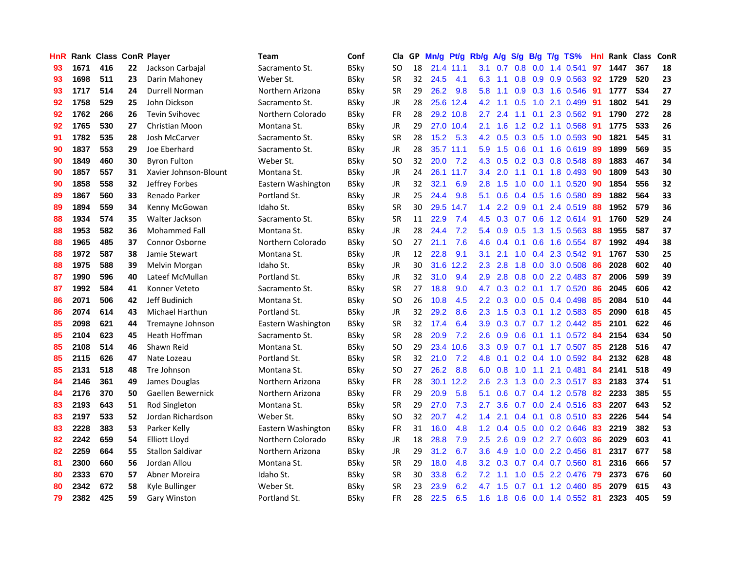| <b>HnR</b> |      |     |    | Rank Class ConR Player  | <b>Team</b>        | Conf        | Cla       |    | GP Mn/g Pt/g |           | Rb/g          | A/g             |                  |                | S/g B/g T/g TS%                 | Hnl | Rank Class |     | ConR |
|------------|------|-----|----|-------------------------|--------------------|-------------|-----------|----|--------------|-----------|---------------|-----------------|------------------|----------------|---------------------------------|-----|------------|-----|------|
| 93         | 1671 | 416 | 22 | Jackson Carbajal        | Sacramento St.     | <b>BSky</b> | SO.       | 18 |              | 21.4 11.1 | 3.1           | 0.7             | 0.8              | 0.0            | 1.4 0.541                       | 97  | 1447       | 367 | 18   |
| 93         | 1698 | 511 | 23 | Darin Mahoney           | Weber St.          | <b>BSky</b> | <b>SR</b> | 32 | 24.5         | 4.1       | 6.3           | 1.1             | 0.8              | 0.9            | 0.9 0.563                       | 92  | 1729       | 520 | 23   |
| 93         | 1717 | 514 | 24 | Durrell Norman          | Northern Arizona   | <b>BSky</b> | <b>SR</b> | 29 | 26.2         | 9.8       | 5.8           | 1.1             | 0.9 <sub>0</sub> | 0.3            | 1.6 0.546                       | 91  | 1777       | 534 | 27   |
| 92         | 1758 | 529 | 25 | John Dickson            | Sacramento St.     | <b>BSky</b> | JR        | 28 |              | 25.6 12.4 |               | $4.2 \quad 1.1$ | 0.5              |                | 1.0 2.1 0.499                   | -91 | 1802       | 541 | 29   |
| 92         | 1762 | 266 | 26 | <b>Tevin Svihovec</b>   | Northern Colorado  | <b>BSky</b> | FR        | 28 |              | 29.2 10.8 | 2.7           | 2.4             |                  |                | 1.1 0.1 2.3 0.562               | -91 | 1790       | 272 | 28   |
| 92         | 1765 | 530 | 27 | <b>Christian Moon</b>   | Montana St.        | <b>BSky</b> | JR        | 29 |              | 27.0 10.4 | 2.1           | 1.6             |                  |                | 1.2 0.2 1.1 0.568               | -91 | 1775       | 533 | 26   |
| 91         | 1782 | 535 | 28 | Josh McCarver           | Sacramento St.     | <b>BSky</b> | <b>SR</b> | 28 | 15.2         | 5.3       |               | 4.2 0.5         |                  |                | $0.3$ 0.5 1.0 0.593             | 90  | 1821       | 545 | 31   |
| 90         | 1837 | 553 | 29 | Joe Eberhard            | Sacramento St.     | <b>BSkv</b> | <b>JR</b> | 28 |              | 35.7 11.1 | 5.9           | 1.5             |                  |                | $0.6$ $0.1$ 1.6 $0.619$         | 89  | 1899       | 569 | 35   |
| 90         | 1849 | 460 | 30 | <b>Byron Fulton</b>     | Weber St.          | <b>BSky</b> | <b>SO</b> | 32 | 20.0         | 7.2       | 4.3           | 0.5             |                  |                | 0.2 0.3 0.8 0.548               | 89  | 1883       | 467 | 34   |
| 90         | 1857 | 557 | 31 | Xavier Johnson-Blount   | Montana St.        | <b>BSky</b> | JR        | 24 | 26.1         | 11.7      | 3.4           | 2.0             | 1.1              | 0.1            | 1.8 0.493                       | -90 | 1809       | 543 | 30   |
| 90         | 1858 | 558 | 32 | Jeffrey Forbes          | Eastern Washington | <b>BSky</b> | JR        | 32 | 32.1         | 6.9       | 2.8           | 1.5             | 1.0              |                | $0.0$ 1.1 $0.520$               | 90  | 1854       | 556 | 32   |
| 89         | 1867 | 560 | 33 | Renado Parker           | Portland St.       | <b>BSky</b> | JR        | 25 | 24.4         | 9.8       | 5.1           | 0.6             |                  | $0.4\quad 0.5$ | 1.6 0.580                       | -89 | 1882       | 564 | 33   |
| 89         | 1894 | 559 | 34 | Kenny McGowan           | Idaho St.          | <b>BSky</b> | <b>SR</b> | 30 | 29.5         | 14.7      | $1.4^{\circ}$ | 2.2             | 0.9              | 0.1            | 2.4 0.519                       | 88  | 1952       | 579 | 36   |
| 88         | 1934 | 574 | 35 | Walter Jackson          | Sacramento St.     | <b>BSky</b> | <b>SR</b> | 11 | 22.9         | 7.4       | 4.5           | 0.3             | 0.7              | 0.6            | 1.2 0.614                       | 91  | 1760       | 529 | 24   |
| 88         | 1953 | 582 | 36 | <b>Mohammed Fall</b>    | Montana St.        | <b>BSky</b> | JR        | 28 | 24.4         | 7.2       | 5.4           | 0.9             | 0.5              | 1.3            | 1.5 0.563                       | 88  | 1955       | 587 | 37   |
| 88         | 1965 | 485 | 37 | <b>Connor Osborne</b>   | Northern Colorado  | <b>BSky</b> | SO.       | 27 | 21.1         | 7.6       | 4.6           | 0.4             | 0.1              | 0.6            | 1.6 0.554                       | -87 | 1992       | 494 | 38   |
| 88         | 1972 | 587 | 38 | Jamie Stewart           | Montana St.        | <b>BSky</b> | JR        | 12 | 22.8         | 9.1       | 3.1           | 2.1             |                  |                | 1.0 0.4 2.3 0.542               | -91 | 1767       | 530 | 25   |
| 88         | 1975 | 588 | 39 | Melvin Morgan           | Idaho St.          | <b>BSky</b> | JR        | 30 |              | 31.6 12.2 | $2.3^{\circ}$ | 2.8             |                  |                | 1.8 0.0 3.0 0.508               | -86 | 2028       | 602 | 40   |
| 87         | 1990 | 596 | 40 | Lateef McMullan         | Portland St.       | <b>BSky</b> | JR        | 32 | 31.0         | 9.4       | 2.9           | 2.8             |                  |                | $0.8$ 0.0 2.2 0.483             | -87 | 2006       | 599 | 39   |
| 87         | 1992 | 584 | 41 | Konner Veteto           | Sacramento St.     | <b>BSky</b> | <b>SR</b> | 27 | 18.8         | 9.0       | 4.7           |                 |                  |                | $0.3$ $0.2$ $0.1$ $1.7$ $0.520$ | -86 | 2045       | 606 | 42   |
| 86         | 2071 | 506 | 42 | Jeff Budinich           | Montana St.        | <b>BSky</b> | <b>SO</b> | 26 | 10.8         | 4.5       | 2.2           | 0.3             |                  |                | $0.0$ $0.5$ $0.4$ $0.498$       | 85  | 2084       | 510 | 44   |
| 86         | 2074 | 614 | 43 | Michael Harthun         | Portland St.       | <b>BSky</b> | <b>JR</b> | 32 | 29.2         | 8.6       |               | $2.3$ 1.5       |                  |                | $0.3$ 0.1 1.2 0.583             | 85  | 2090       | 618 | 45   |
| 85         | 2098 | 621 | 44 | Tremayne Johnson        | Eastern Washington | <b>BSky</b> | <b>SR</b> | 32 | 17.4         | 6.4       | 3.9           | 0.3             |                  |                | 0.7 0.7 1.2 0.442               | 85  | 2101       | 622 | 46   |
| 85         | 2104 | 623 | 45 | Heath Hoffman           | Sacramento St.     | <b>BSky</b> | <b>SR</b> | 28 | 20.9         | 7.2       | 2.6           | 0.9             | 0.6              |                | $0.1$ 1.1 0.572                 | -84 | 2154       | 634 | 50   |
| 85         | 2108 | 514 | 46 | Shawn Reid              | Montana St.        | <b>BSky</b> | <b>SO</b> | 29 | 23.4         | 10.6      | 3.3           | 0.9             |                  |                | 0.7 0.1 1.7 0.507               | 85  | 2128       | 516 | 47   |
| 85         | 2115 | 626 | 47 | Nate Lozeau             | Portland St.       | <b>BSky</b> | <b>SR</b> | 32 | 21.0         | 7.2       | 4.8           | 0.1             |                  |                | $0.2$ 0.4 1.0 0.592             | 84  | 2132       | 628 | 48   |
| 85         | 2131 | 518 | 48 | Tre Johnson             | Montana St.        | <b>BSky</b> | <b>SO</b> | 27 | 26.2         | 8.8       | 6.0           | 0.8             | 1.0              | 1.1            | 2.1 0.481                       | 84  | 2141       | 518 | 49   |
| 84         | 2146 | 361 | 49 | James Douglas           | Northern Arizona   | <b>BSky</b> | <b>FR</b> | 28 |              | 30.1 12.2 | 2.6           | 2.3             | 1.3              | 0.0            | 2.3 0.517                       | 83  | 2183       | 374 | 51   |
| 84         | 2176 | 370 | 50 | Gaellen Bewernick       | Northern Arizona   | <b>BSky</b> | <b>FR</b> | 29 | 20.9         | 5.8       | 5.1           | 0.6             | 0.7              |                | 0.4 1.2 0.578                   | 82  | 2233       | 385 | 55   |
| 83         | 2193 | 643 | 51 | Rod Singleton           | Montana St.        | <b>BSky</b> | <b>SR</b> | 29 | 27.0         | 7.3       | 2.7           | 3.6             |                  |                | 0.7 0.0 2.4 0.516               | 83  | 2207       | 643 | 52   |
| 83         | 2197 | 533 | 52 | Jordan Richardson       | Weber St.          | <b>BSky</b> | <b>SO</b> | 32 | 20.7         | 4.2       | $1.4^{\circ}$ | 2.1             |                  |                | $0.4$ 0.1 0.8 0.510 83          |     | 2226       | 544 | 54   |
| 83         | 2228 | 383 | 53 | Parker Kelly            | Eastern Washington | <b>BSky</b> | <b>FR</b> | 31 | 16.0         | 4.8       |               | $1.2 \quad 0.4$ |                  |                | 0.5 0.0 0.2 0.646               | 83  | 2219       | 382 | 53   |
| 82         | 2242 | 659 | 54 | <b>Elliott Lloyd</b>    | Northern Colorado  | <b>BSky</b> | JR        | 18 | 28.8         | 7.9       | 2.5           | 2.6             |                  |                | 0.9 0.2 2.7 0.603               | 86  | 2029       | 603 | 41   |
| 82         | 2259 | 664 | 55 | <b>Stallon Saldivar</b> | Northern Arizona   | <b>BSky</b> | JR        | 29 | 31.2         | 6.7       | 3.6           | 4.9             | 1.0              |                | $0.0$ 2.2 0.456                 | -81 | 2317       | 677 | 58   |
| 81         | 2300 | 660 | 56 | Jordan Allou            | Montana St.        | <b>BSky</b> | <b>SR</b> | 29 | 18.0         | 4.8       | 3.2           | 0.3             |                  |                | 0.7 0.4 0.7 0.560               | 81  | 2316       | 666 | 57   |
| 80         | 2333 | 670 | 57 | Abner Moreira           | Idaho St.          | BSkv        | <b>SR</b> | 30 | 33.8         | 6.2       | 7.2           | 1.1             | 1.0              | 0.5            | 2.2 0.476                       | 79  | 2373       | 676 | 60   |
| 80         | 2342 | 672 | 58 | Kyle Bullinger          | Weber St.          | BSkv        | <b>SR</b> | 23 | 23.9         | 6.2       | 4.7           | 1.5             | 0.7              | 0.1            | 1.2 0.460                       | 85  | 2079       | 615 | 43   |
| 79         | 2382 | 425 | 59 | Gary Winston            | Portland St.       | <b>BSkv</b> | FR        | 28 | 22.5         | 6.5       |               |                 |                  |                | 1.6 1.8 0.6 0.0 1.4 0.552 81    |     | 2323       | 405 | 59   |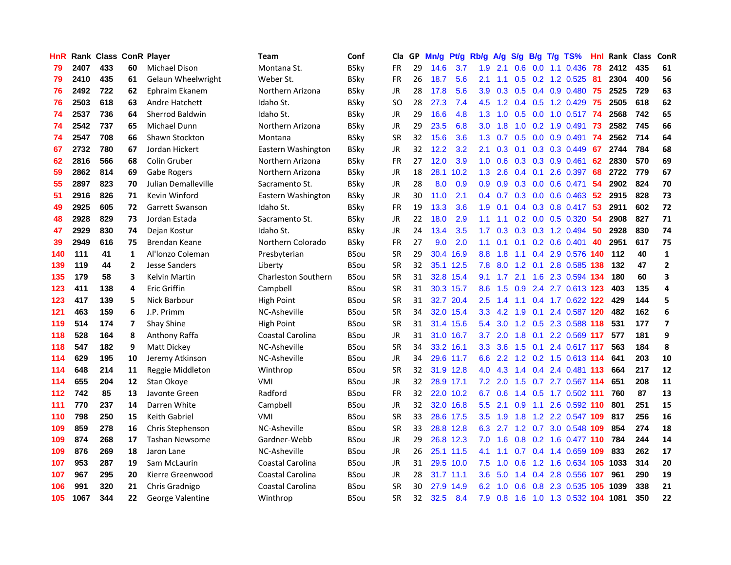| HnR |      | <b>Rank Class ConR Player</b> |    |                         | Team                       | Conf        | Cla           |    | GP Mn/g | Pt/g      | Rb/g             | A/g             | S/g           |                  | B/g T/g TS%               | Hnl  | Rank Class |     | ConR                    |
|-----|------|-------------------------------|----|-------------------------|----------------------------|-------------|---------------|----|---------|-----------|------------------|-----------------|---------------|------------------|---------------------------|------|------------|-----|-------------------------|
| 79  | 2407 | 433                           | 60 | <b>Michael Dison</b>    | Montana St.                | <b>BSky</b> | FR            | 29 | 14.6    | 3.7       | 1.9              | 2.1             | 0.6           | 0.0              | 1.1 0.436                 | 78   | 2412       | 435 | 61                      |
| 79  | 2410 | 435                           | 61 | Gelaun Wheelwright      | Weber St.                  | <b>BSky</b> | <b>FR</b>     | 26 | 18.7    | 5.6       | 2.1              | 1.1             | 0.5           | 0.2              | 1.2 0.525                 | 81   | 2304       | 400 | 56                      |
| 76  | 2492 | 722                           | 62 | Ephraim Ekanem          | Northern Arizona           | <b>BSky</b> | <b>JR</b>     | 28 | 17.8    | 5.6       | 3.9              | 0.3             | 0.5           | 0.4              | 0.9 0.480 75              |      | 2525       | 729 | 63                      |
| 76  | 2503 | 618                           | 63 | Andre Hatchett          | Idaho St.                  | <b>BSky</b> | <sub>SO</sub> | 28 | 27.3    | 7.4       | 4.5              |                 |               |                  | 1.2 0.4 0.5 1.2 0.429 75  |      | 2505       | 618 | 62                      |
| 74  | 2537 | 736                           | 64 | Sherrod Baldwin         | Idaho St.                  | <b>BSky</b> | <b>JR</b>     | 29 | 16.6    | 4.8       | 1.3              |                 |               |                  | 1.0 0.5 0.0 1.0 0.517 74  |      | 2568       | 742 | 65                      |
| 74  | 2542 | 737                           | 65 | Michael Dunn            | Northern Arizona           | <b>BSky</b> | JR            | 29 | 23.5    | 6.8       | 3.0 <sub>1</sub> | 1.8             |               |                  | 1.0 0.2 1.9 0.491         | - 73 | 2582       | 745 | 66                      |
| 74  | 2547 | 708                           | 66 | Shawn Stockton          | Montana                    | <b>BSky</b> | <b>SR</b>     | 32 | 15.6    | 3.6       | 1.3 <sup>°</sup> | 0.7             |               |                  | $0.5$ 0.0 0.9 0.491       | -74  | 2562       | 714 | 64                      |
| 67  | 2732 | 780                           | 67 | Jordan Hickert          | Eastern Washington         | <b>BSky</b> | <b>JR</b>     | 32 | 12.2    | 3.2       | 2.1              | 0.3             | 0.1           |                  | 0.3 0.3 0.449             | 67   | 2744       | 784 | 68                      |
| 62  | 2816 | 566                           | 68 | Colin Gruber            | Northern Arizona           | <b>BSky</b> | <b>FR</b>     | 27 | 12.0    | 3.9       | 1.0              | 0.6             |               |                  | 0.3 0.3 0.9 0.461         | 62   | 2830       | 570 | 69                      |
| 59  | 2862 | 814                           | 69 | Gabe Rogers             | Northern Arizona           | <b>BSky</b> | JR            | 18 | 28.1    | 10.2      | 1.3              | 2.6             | $0.4^{\circ}$ | 0.1              | 2.6 0.397                 | 68   | 2722       | 779 | 67                      |
| 55  | 2897 | 823                           | 70 | Julian Demalleville     | Sacramento St.             | <b>BSky</b> | <b>JR</b>     | 28 | 8.0     | 0.9       | 0.9              | 0.9             |               |                  | $0.3$ 0.0 0.6 0.471       | 54   | 2902       | 824 | 70                      |
| 51  | 2916 | 826                           | 71 | Kevin Winford           | Eastern Washington         | <b>BSky</b> | JR            | 30 | 11.0    | 2.1       | 0.4              | 0.7             | 0.3           |                  | $0.0\quad 0.6\quad 0.463$ | 52   | 2915       | 828 | 73                      |
| 49  | 2925 | 605                           | 72 | <b>Garrett Swanson</b>  | Idaho St.                  | <b>BSky</b> | <b>FR</b>     | 19 | 13.3    | 3.6       | 1.9              | 0.1             | 0.4           | 0.3              | 0.8 0.417                 | 53   | 2911       | 602 | 72                      |
| 48  | 2928 | 829                           | 73 | Jordan Estada           | Sacramento St.             | <b>BSky</b> | JR            | 22 | 18.0    | 2.9       | 1.1              | 1.1             | 0.2           | 0.0 <sub>1</sub> | 0.5 0.320                 | 54   | 2908       | 827 | 71                      |
| 47  | 2929 | 830                           | 74 | Dejan Kostur            | Idaho St.                  | <b>BSky</b> | <b>JR</b>     | 24 | 13.4    | 3.5       | 1.7 <sup>2</sup> | 0.3             | 0.3           |                  | 0.3 1.2 0.494             | 50   | 2928       | 830 | 74                      |
| 39  | 2949 | 616                           | 75 | Brendan Keane           | Northern Colorado          | <b>BSky</b> | <b>FR</b>     | 27 | 9.0     | 2.0       | 1.1              | 0.1             | 0.1           |                  | $0.2\quad 0.6\quad 0.401$ | 40   | 2951       | 617 | 75                      |
| 140 | 111  | 41                            | 1  | Al'Ionzo Coleman        | Presbyterian               | <b>BSou</b> | <b>SR</b>     | 29 | 30.4    | 16.9      | 8.8 <sub>1</sub> | 1.8             | 1.1           |                  | 0.4 2.9 0.576 140         |      | 112        | 40  | 1                       |
| 139 | 119  | 44                            | 2  | <b>Jesse Sanders</b>    | Liberty                    | <b>BSou</b> | <b>SR</b>     | 32 |         | 35.1 12.5 |                  | 7.8 8.0         |               | $1.2 \quad 0.1$  | 2.8 0.585 138             |      | 132        | 47  | $\mathbf{2}$            |
| 135 | 179  | 58                            | 3  | <b>Kelvin Martin</b>    | <b>Charleston Southern</b> | <b>BSou</b> | <b>SR</b>     | 31 |         | 32.8 15.4 |                  | $9.1 \quad 1.7$ | 2.1           |                  | 1.6 2.3 0.594 134         |      | 180        | 60  | 3                       |
| 123 | 411  | 138                           | 4  | Eric Griffin            | Campbell                   | <b>BSou</b> | <b>SR</b>     | 31 |         | 30.3 15.7 | 8.6              | 1.5             |               |                  | 0.9 2.4 2.7 0.613 123     |      | 403        | 135 | 4                       |
| 123 | 417  | 139                           | 5  | Nick Barbour            | High Point                 | <b>BSou</b> | <b>SR</b>     | 31 |         | 32.7 20.4 | $2.5^{\circ}$    | 1.4             |               |                  | 1.1 0.4 1.7 0.622 122     |      | 429        | 144 | 5                       |
| 121 | 463  | 159                           | 6  | J.P. Primm              | NC-Asheville               | <b>BSou</b> | <b>SR</b>     | 34 |         | 32.0 15.4 |                  | $3.3 \quad 4.2$ | 1.9           |                  | 0.1 2.4 0.587 120         |      | 482        | 162 | 6                       |
| 119 | 514  | 174                           | 7  | Shay Shine              | High Point                 | <b>BSou</b> | <b>SR</b>     | 31 |         | 31.4 15.6 | 5.4              | 3.0             |               |                  | 1.2 0.5 2.3 0.588 118     |      | 531        | 177 | $\overline{\mathbf{z}}$ |
| 118 | 528  | 164                           | 8  | Anthony Raffa           | Coastal Carolina           | <b>BSou</b> | <b>JR</b>     | 31 |         | 31.0 16.7 | 3.7              | 2.0             | 1.8           | 0.1              | 2.2 0.569 117             |      | 577        | 181 | 9                       |
| 118 | 547  | 182                           | 9  | Matt Dickey             | NC-Asheville               | <b>BSou</b> | <b>SR</b>     | 34 |         | 33.2 16.1 | 3.3              | 3.6             | 1.5           | 0.1              | 2.4 0.617 117             |      | 563        | 184 | 8                       |
| 114 | 629  | 195                           | 10 | Jeremy Atkinson         | NC-Asheville               | <b>BSou</b> | <b>JR</b>     | 34 |         | 29.6 11.7 | 6.6              | 2.2             | 1.2           |                  | 0.2 1.5 0.613 114         |      | 641        | 203 | 10                      |
| 114 | 648  | 214                           | 11 | Reggie Middleton        | Winthrop                   | <b>BSou</b> | <b>SR</b>     | 32 |         | 31.9 12.8 | 4.0              | 4.3             |               |                  | 1.4 0.4 2.4 0.481 113     |      | 664        | 217 | 12                      |
| 114 | 655  | 204                           | 12 | Stan Okove              | VMI                        | <b>BSou</b> | <b>JR</b>     | 32 |         | 28.9 17.1 | 7.2              | 2.0             | 1.5           |                  | 0.7 2.7 0.567 114         |      | 651        | 208 | 11                      |
| 112 | 742  | 85                            | 13 | Javonte Green           | Radford                    | <b>BSou</b> | <b>FR</b>     | 32 |         | 22.0 10.2 | 6.7              | 0.6             | 1.4           | 0.5              | 1.7 0.502 111             |      | 760        | 87  | 13                      |
| 111 | 770  | 237                           | 14 | Darren White            | Campbell                   | <b>BSou</b> | JR            | 32 |         | 32.0 16.8 | $5.5^{\circ}$    | 2.1             | 0.9           | 1.1              | 2.6 0.592 110             |      | 801        | 251 | 15                      |
| 110 | 798  | 250                           | 15 | Keith Gabriel           | VMI                        | <b>BSou</b> | <b>SR</b>     | 33 |         | 28.6 17.5 | $3.5^{\circ}$    | 1.9             | 1.8           |                  | 1.2 2.2 0.547 109         |      | 817        | 256 | 16                      |
| 109 | 859  | 278                           | 16 | Chris Stephenson        | NC-Asheville               | <b>BSou</b> | <b>SR</b>     | 33 |         | 28.8 12.8 | 6.3              | 2.7             |               |                  | 1.2 0.7 3.0 0.548 109     |      | 854        | 274 | 18                      |
| 109 | 874  | 268                           | 17 | Tashan Newsome          | Gardner-Webb               | <b>BSou</b> | <b>JR</b>     | 29 |         | 26.8 12.3 | 7.0              | 1.6             |               |                  | 0.8 0.2 1.6 0.477 110     |      | 784        | 244 | 14                      |
| 109 | 876  | 269                           | 18 | Jaron Lane              | NC-Asheville               | <b>BSou</b> | <b>JR</b>     | 26 |         | 25.1 11.5 | 4.1              | 1.1             |               |                  | 0.7 0.4 1.4 0.659 109     |      | 833        | 262 | 17                      |
| 107 | 953  | 287                           | 19 | Sam McLaurin            | Coastal Carolina           | <b>BSou</b> | <b>JR</b>     | 31 |         | 29.5 10.0 | 7.5              | 1.0             | 0.6           |                  | 1.2 1.6 0.634 105         |      | 1033       | 314 | 20                      |
| 107 | 967  | 295                           | 20 | Kierre Greenwood        | Coastal Carolina           | <b>BSou</b> | <b>JR</b>     | 28 |         | 31.7 11.1 | 3.6 <sup>°</sup> | 5.0             | 1.4           | 0.4              | 2.8 0.556                 | 107  | 961        | 290 | 19                      |
| 106 | 991  | 320                           | 21 | Chris Gradnigo          | Coastal Carolina           | <b>BSou</b> | <b>SR</b>     | 30 | 27.9    | 14.9      | 6.2              | 1.0             | 0.6           | 0.8              | 2.3 0.535                 | 105  | 1039       | 338 | 21                      |
| 105 | 1067 | 344                           | 22 | <b>George Valentine</b> | Winthrop                   | <b>BSou</b> | <b>SR</b>     | 32 | 32.5    | 8.4       | 7.9              | 0.8             | 1.6           |                  | 1.0 1.3 0.532 104 1081    |      |            | 350 | 22                      |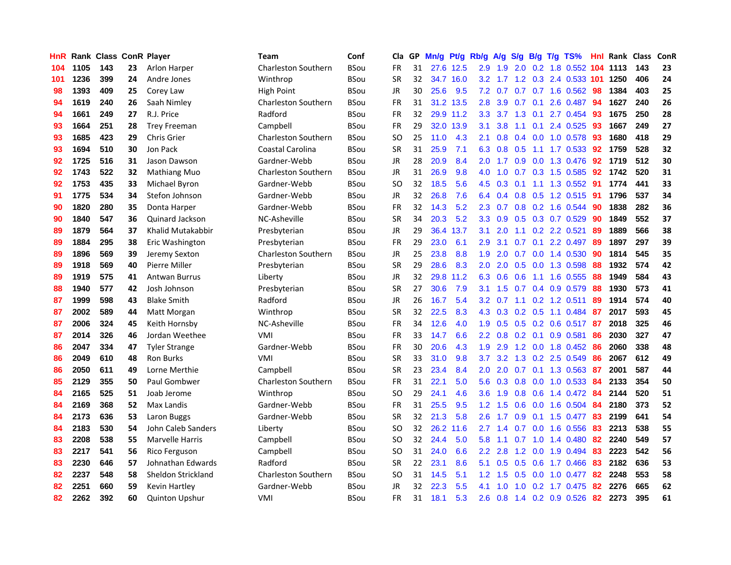| <b>HnR</b> |      | <b>Rank Class ConR Player</b> |    |                        | <b>Team</b>                | Conf        | Cla       |    | GP Mn/g Pt/g Rb/g |           |                  | A/g             |                 |                 | S/g B/g T/g TS%         | Hnl | Rank Class |     | ConR |
|------------|------|-------------------------------|----|------------------------|----------------------------|-------------|-----------|----|-------------------|-----------|------------------|-----------------|-----------------|-----------------|-------------------------|-----|------------|-----|------|
| 104        | 1105 | 143                           | 23 | Arlon Harper           | <b>Charleston Southern</b> | BSou        | FR        | 31 |                   | 27.6 12.5 | 2.9              | 1.9             | 2.0             | 0.2             | 1.8 0.552               | 104 | 1113       | 143 | 23   |
| 101        | 1236 | 399                           | 24 | Andre Jones            | Winthrop                   | <b>BSou</b> | <b>SR</b> | 32 |                   | 34.7 16.0 | 3.2              | 1.7             | 1.2             | 0.3             | 2.4 0.533 101           |     | 1250       | 406 | 24   |
| 98         | 1393 | 409                           | 25 | Corey Law              | <b>High Point</b>          | <b>BSou</b> | JR        | 30 | 25.6              | 9.5       | 7.2              | 0.7             | 0.7             | 0.7             | 1.6 0.562               | 98  | 1384       | 403 | 25   |
| 94         | 1619 | 240                           | 26 | Saah Nimley            | <b>Charleston Southern</b> | <b>BSou</b> | FR        | 31 |                   | 31.2 13.5 | 2.8              | 3.9             | $0.7 \quad 0.1$ |                 | 2.6 0.487               | -94 | 1627       | 240 | 26   |
| 94         | 1661 | 249                           | 27 | R.J. Price             | Radford                    | <b>BSou</b> | <b>FR</b> | 32 |                   | 29.9 11.2 |                  | $3.3 \quad 3.7$ |                 | $1.3 \quad 0.1$ | 2.7 0.454               | -93 | 1675       | 250 | 28   |
| 93         | 1664 | 251                           | 28 | <b>Trey Freeman</b>    | Campbell                   | <b>BSou</b> | <b>FR</b> | 29 |                   | 32.0 13.9 | 3.1              | 3.8             | 1.1             | 0.1             | 2.4 0.525               | -93 | 1667       | 249 | 27   |
| 93         | 1685 | 423                           | 29 | <b>Chris Grier</b>     | <b>Charleston Southern</b> | <b>BSou</b> | <b>SO</b> | 25 | 11.0              | 4.3       | 2.1              | 0.8             |                 |                 | 0.4 0.0 1.0 0.578       | 93  | 1680       | 418 | 29   |
| 93         | 1694 | 510                           | 30 | Jon Pack               | Coastal Carolina           | <b>BSou</b> | <b>SR</b> | 31 | 25.9              | 7.1       | 6.3              | 0.8             | 0.5             |                 | $1.1$ 1.7 0.533         | 92  | 1759       | 528 | 32   |
| 92         | 1725 | 516                           | 31 | Jason Dawson           | Gardner-Webb               | <b>BSou</b> | JR        | 28 | 20.9              | 8.4       | 2.0              | 1.7             | 0.9             |                 | 0.0 1.3 0.476           | 92  | 1719       | 512 | 30   |
| 92         | 1743 | 522                           | 32 | Mathiang Muo           | <b>Charleston Southern</b> | <b>BSou</b> | JR        | 31 | 26.9              | 9.8       | 4.0              | 1.0             | 0.7             |                 | 0.3 1.5 0.585           | 92  | 1742       | 520 | 31   |
| 92         | 1753 | 435                           | 33 | Michael Byron          | Gardner-Webb               | <b>BSou</b> | <b>SO</b> | 32 | 18.5              | 5.6       | 4.5              | 0.3             | 0.1             | 1.1             | 1.3 0.552               | 91  | 1774       | 441 | 33   |
| 91         | 1775 | 534                           | 34 | Stefon Johnson         | Gardner-Webb               | <b>BSou</b> | JR        | 32 | 26.8              | 7.6       | 6.4              | 0.4             |                 |                 | 0.8 0.5 1.2 0.515       | -91 | 1796       | 537 | 34   |
| 90         | 1820 | 280                           | 35 | Donta Harper           | Gardner-Webb               | BSou        | <b>FR</b> | 32 | 14.3              | 5.2       | $2.3^{\circ}$    | 0.7             | 0.8             | 0.2             | 1.6 0.544               | 90  | 1838       | 282 | 36   |
| 90         | 1840 | 547                           | 36 | Quinard Jackson        | NC-Asheville               | <b>BSou</b> | <b>SR</b> | 34 | 20.3              | 5.2       | 3.3 <sub>2</sub> | 0.9             | 0.5             |                 | $0.3$ 0.7 0.529         | 90  | 1849       | 552 | 37   |
| 89         | 1879 | 564                           | 37 | Khalid Mutakabbir      | Presbyterian               | <b>BSou</b> | JR        | 29 |                   | 36.4 13.7 | 3.1              | 2.0             | 1.1             | 0.2             | 2.2 0.521               | 89  | 1889       | 566 | 38   |
| 89         | 1884 | 295                           | 38 | Eric Washington        | Presbyterian               | <b>BSou</b> | FR        | 29 | 23.0              | 6.1       | 2.9              | 3.1             | 0.7             | 0.1             | 2.2 0.497               | -89 | 1897       | 297 | 39   |
| 89         | 1896 | 569                           | 39 | Jeremy Sexton          | <b>Charleston Southern</b> | BSou        | JR        | 25 | 23.8              | 8.8       | 1.9              | 2.0             | 0.7             | 0.0             | 1.4 0.530               | -90 | 1814       | 545 | 35   |
| 89         | 1918 | 569                           | 40 | Pierre Miller          | Presbyterian               | <b>BSou</b> | <b>SR</b> | 29 | 28.6              | 8.3       | 2.0 <sub>1</sub> | 2.0             |                 |                 | 0.5 0.0 1.3 0.598       | -88 | 1932       | 574 | 42   |
| 89         | 1919 | 575                           | 41 | <b>Antwan Burrus</b>   | Liberty                    | <b>BSou</b> | JR        | 32 |                   | 29.8 11.2 |                  | 6.3 0.6         | 0.6             |                 | 1.1 1.6 0.555           | -88 | 1949       | 584 | 43   |
| 88         | 1940 | 577                           | 42 | Josh Johnson           | Presbyterian               | <b>BSou</b> | <b>SR</b> | 27 | 30.6              | 7.9       |                  | $3.1 \quad 1.5$ |                 |                 | 0.7 0.4 0.9 0.579       | 88  | 1930       | 573 | 41   |
| 87         | 1999 | 598                           | 43 | <b>Blake Smith</b>     | Radford                    | <b>BSou</b> | JR        | 26 | 16.7              | 5.4       | 3.2 <sub>2</sub> | 0.7             |                 |                 | $1.1$ 0.2 1.2 0.511     | 89  | 1914       | 574 | 40   |
| 87         | 2002 | 589                           | 44 | Matt Morgan            | Winthrop                   | BSou        | <b>SR</b> | 32 | 22.5              | 8.3       | 4.3              | 0.3             |                 |                 | $0.2$ $0.5$ 1.1 $0.484$ | -87 | 2017       | 593 | 45   |
| 87         | 2006 | 324                           | 45 | Keith Hornsby          | NC-Asheville               | <b>BSou</b> | FR        | 34 | 12.6              | 4.0       | 1.9              | 0.5             |                 |                 | 0.5 0.2 0.6 0.517 87    |     | 2018       | 325 | 46   |
| 87         | 2014 | 326                           | 46 | Jordan Weethee         | VMI                        | <b>BSou</b> | FR        | 33 | 14.7              | 6.6       | $2.2\phantom{0}$ | 0.8             |                 | $0.2 \quad 0.1$ | 0.9 0.581               | 86  | 2030       | 327 | 47   |
| 86         | 2047 | 334                           | 47 | <b>Tyler Strange</b>   | Gardner-Webb               | <b>BSou</b> | <b>FR</b> | 30 | 20.6              | 4.3       | 1.9              | 2.9             |                 |                 | 1.2 0.0 1.8 0.452       | -86 | 2060       | 338 | 48   |
| 86         | 2049 | 610                           | 48 | <b>Ron Burks</b>       | VMI                        | <b>BSou</b> | <b>SR</b> | 33 | 31.0              | 9.8       | 3.7              | 3.2             |                 |                 | 1.3 0.2 2.5 0.549       | 86  | 2067       | 612 | 49   |
| 86         | 2050 | 611                           | 49 | Lorne Merthie          | Campbell                   | <b>BSou</b> | <b>SR</b> | 23 | 23.4              | 8.4       | 2.0              | 2.0             | 0.7             | 0.1             | 1.3 0.563               | 87  | 2001       | 587 | 44   |
| 85         | 2129 | 355                           | 50 | Paul Gombwer           | <b>Charleston Southern</b> | <b>BSou</b> | <b>FR</b> | 31 | 22.1              | 5.0       | 5.6              | 0.3             | 0.8             | 0.0             | 1.0 0.533               | 84  | 2133       | 354 | 50   |
| 84         | 2165 | 525                           | 51 | Joab Jerome            | Winthrop                   | <b>BSou</b> | SO.       | 29 | 24.1              | 4.6       | 3.6              | 1.9             | 0.8             | 0.6             | 1.4 0.472               | 84  | 2144       | 520 | 51   |
| 84         | 2169 | 368                           | 52 | Max Landis             | Gardner-Webb               | BSou        | <b>FR</b> | 31 | 25.5              | 9.5       | 1.2              | 1.5             | 0.6             | 0.0             | 1.6 0.504               | 84  | 2180       | 373 | 52   |
| 84         | 2173 | 636                           | 53 | Laron Buggs            | Gardner-Webb               | <b>BSou</b> | <b>SR</b> | 32 | 21.3              | 5.8       | 2.6              | 1.7             | 0.9             | 0.1             | 1.5 0.477               | 83  | 2199       | 641 | 54   |
| 84         | 2183 | 530                           | 54 | John Caleb Sanders     | Liberty                    | <b>BSou</b> | <b>SO</b> | 32 |                   | 26.2 11.6 | 2.7              | 1.4             |                 | $0.7\ 0.0$      | 1.6 0.556               | 83  | 2213       | 538 | 55   |
| 83         | 2208 | 538                           | 55 | <b>Marvelle Harris</b> | Campbell                   | <b>BSou</b> | SO.       | 32 | 24.4              | 5.0       | 5.8              | 1.1             | 0.7             |                 | 1.0 1.4 0.480           | 82  | 2240       | 549 | 57   |
| 83         | 2217 | 541                           | 56 | Rico Ferguson          | Campbell                   | <b>BSou</b> | SO.       | 31 | 24.0              | 6.6       | $2.2^{\circ}$    | 2.8             |                 | $1.2 \quad 0.0$ | 1.9 0.494               | 83  | 2223       | 542 | 56   |
| 83         | 2230 | 646                           | 57 | Johnathan Edwards      | Radford                    | <b>BSou</b> | <b>SR</b> | 22 | 23.1              | 8.6       | 5.1              | 0.5             | 0.5             | 0.6             | 1.7 0.466               | 83  | 2182       | 636 | 53   |
| 82         | 2237 | 548                           | 58 | Sheldon Strickland     | <b>Charleston Southern</b> | BSou        | <b>SO</b> | 31 | 14.5              | 5.1       | 1.2 <sub>1</sub> | 1.5             | 0.5             | 0.0             | 1.0 0.477               | 82  | 2248       | 553 | 58   |
| 82         | 2251 | 660                           | 59 | Kevin Hartley          | Gardner-Webb               | BSou        | JR        | 32 | 22.3              | 5.5       | 4.1              | 1.0             | 1.0             | 0.2             | 1.7 0.475               | 82  | 2276       | 665 | 62   |
| 82         | 2262 | 392                           | 60 | <b>Quinton Upshur</b>  | VMI                        | <b>BSou</b> | FR        | 31 | 18.1              | 5.3       | 2.6              | 0.8             |                 |                 | 1.4 0.2 0.9 0.526       | 82  | 2273       | 395 | 61   |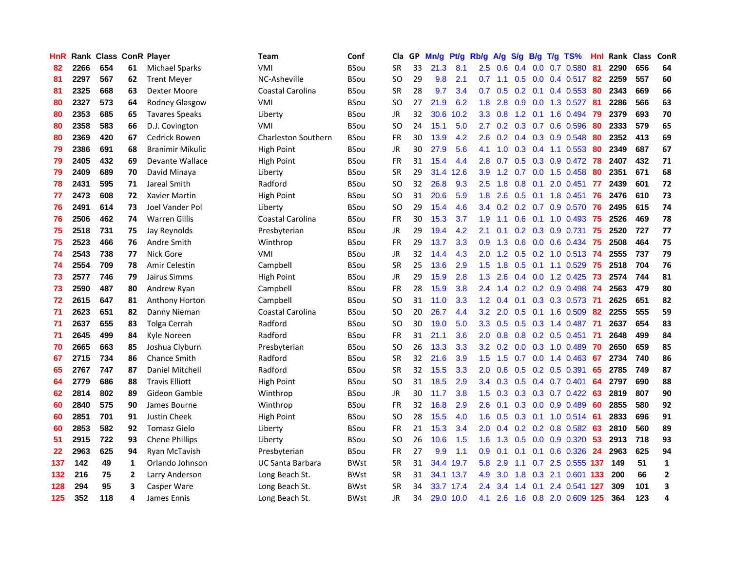| <b>HnR</b> |      | <b>Rank Class ConR Player</b> |    |                         | <b>Team</b>                | Conf        | Cla       |    | GP Mn/g | Pt/g      | Rb/g             | A/g             |                 |                 | S/g B/g T/g TS%           | Hnl | Rank Class |     | ConR         |
|------------|------|-------------------------------|----|-------------------------|----------------------------|-------------|-----------|----|---------|-----------|------------------|-----------------|-----------------|-----------------|---------------------------|-----|------------|-----|--------------|
| 82         | 2266 | 654                           | 61 | <b>Michael Sparks</b>   | VMI                        | BSou        | <b>SR</b> | 33 | 21.3    | 8.1       | $2.5\,$          | 0.6             | 0.4             | 0.0             | 0.7 0.580                 | 81  | 2290       | 656 | 64           |
| 81         | 2297 | 567                           | 62 | <b>Trent Meyer</b>      | NC-Asheville               | <b>BSou</b> | SO.       | 29 | 9.8     | 2.1       | 0.7              | 1.1             | 0.5             | 0.0             | 0.4 0.517                 | -82 | 2259       | 557 | 60           |
| 81         | 2325 | 668                           | 63 | Dexter Moore            | <b>Coastal Carolina</b>    | BSou        | <b>SR</b> | 28 | 9.7     | 3.4       | 0.7              | 0.5             | $0.2 \quad 0.1$ |                 | 0.4 0.553                 | 80  | 2343       | 669 | 66           |
| 80         | 2327 | 573                           | 64 | Rodney Glasgow          | VMI                        | <b>BSou</b> | SO.       | 27 | 21.9    | 6.2       | 1.8              | 2.8             |                 |                 | 0.9 0.0 1.3 0.527         | -81 | 2286       | 566 | 63           |
| 80         | 2353 | 685                           | 65 | <b>Tavares Speaks</b>   | Liberty                    | <b>BSou</b> | JR        | 32 |         | 30.6 10.2 |                  | $3.3 \quad 0.8$ |                 |                 | 1.2 0.1 1.6 0.494         | -79 | 2379       | 693 | 70           |
| 80         | 2358 | 583                           | 66 | D.J. Covington          | VMI                        | <b>BSou</b> | SO.       | 24 | 15.1    | 5.0       | $2.7^{\circ}$    |                 |                 |                 | 0.2 0.3 0.7 0.6 0.596     | 80  | 2333       | 579 | 65           |
| 80         | 2369 | 420                           | 67 | Cedrick Bowen           | <b>Charleston Southern</b> | BSou        | <b>FR</b> | 30 | 13.9    | 4.2       | 2.6              | 0.2             |                 |                 | $0.4$ 0.3 0.9 0.548       | 80  | 2352       | 413 | 69           |
| 79         | 2386 | 691                           | 68 | <b>Branimir Mikulic</b> | High Point                 | BSou        | JR        | 30 | 27.9    | 5.6       | 4.1              | 1.0             |                 |                 | $0.3$ $0.4$ 1.1 $0.553$   | 80  | 2349       | 687 | 67           |
| 79         | 2405 | 432                           | 69 | Devante Wallace         | High Point                 | <b>BSou</b> | <b>FR</b> | 31 | 15.4    | 4.4       | 2.8              | 0.7             |                 |                 | 0.5 0.3 0.9 0.472         | -78 | 2407       | 432 | 71           |
| 79         | 2409 | 689                           | 70 | David Minaya            | Liberty                    | <b>BSou</b> | <b>SR</b> | 29 | 31.4    | 12.6      | 3.9              | 1.2             | 0.7             |                 | 0.0 1.5 0.458             | 80  | 2351       | 671 | 68           |
| 78         | 2431 | 595                           | 71 | Jareal Smith            | Radford                    | <b>BSou</b> | SO        | 32 | 26.8    | 9.3       | 2.5              | 1.8             | 0.8             | 0.1             | 2.0 0.451                 | 77  | 2439       | 601 | 72           |
| 77         | 2473 | 608                           | 72 | Xavier Martin           | <b>High Point</b>          | <b>BSou</b> | SO.       | 31 | 20.6    | 5.9       | 1.8              | 2.6             | 0.5             |                 | $0.1$ 1.8 $0.451$         | 76  | 2476       | 610 | 73           |
| 76         | 2491 | 614                           | 73 | Joel Vander Pol         | Liberty                    | <b>BSou</b> | SO.       | 29 | 15.4    | 4.6       | $3.4^{\circ}$    | 0.2             |                 | $0.2 \quad 0.7$ | 0.9 0.570                 | -76 | 2495       | 615 | 74           |
| 76         | 2506 | 462                           | 74 | <b>Warren Gillis</b>    | Coastal Carolina           | BSou        | <b>FR</b> | 30 | 15.3    | 3.7       | 1.9              | 1.1             | 0.6             |                 | $0.1$ 1.0 0.493           | -75 | 2526       | 469 | 78           |
| 75         | 2518 | 731                           | 75 | Jay Reynolds            | Presbyterian               | <b>BSou</b> | <b>JR</b> | 29 | 19.4    | 4.2       | 2.1              | 0.1             | 0.2             | 0.3             | 0.9 0.731                 | 75  | 2520       | 727 | 77           |
| 75         | 2523 | 466                           | 76 | Andre Smith             | Winthrop                   | <b>BSou</b> | <b>FR</b> | 29 | 13.7    | 3.3       | 0.9              | 1.3             | 0.6             |                 | $0.0\quad 0.6\quad 0.434$ | -75 | 2508       | 464 | 75           |
| 74         | 2543 | 738                           | 77 | Nick Gore               | VMI                        | <b>BSou</b> | JR        | 32 | 14.4    | 4.3       | 2.0              |                 |                 |                 | 1.2 0.5 0.2 1.0 0.513 74  |     | 2555       | 737 | 79           |
| 74         | 2554 | 709                           | 78 | <b>Amir Celestin</b>    | Campbell                   | <b>BSou</b> | <b>SR</b> | 25 | 13.6    | 2.9       |                  | $1.5$ $1.8$     |                 |                 | 0.5 0.1 1.1 0.529 75      |     | 2518       | 704 | 76           |
| 73         | 2577 | 746                           | 79 | Jairus Simms            | High Point                 | BSou        | JR        | 29 | 15.9    | 2.8       | 1.3              | 2.6             |                 |                 | $0.4$ 0.0 1.2 0.425       | -73 | 2574       | 744 | 81           |
| 73         | 2590 | 487                           | 80 | Andrew Ryan             | Campbell                   | <b>BSou</b> | FR        | 28 | 15.9    | 3.8       |                  | $2.4 \quad 1.4$ |                 |                 | $0.2$ 0.2 0.9 0.498 74    |     | 2563       | 479 | 80           |
| 72         | 2615 | 647                           | 81 | <b>Anthony Horton</b>   | Campbell                   | <b>BSou</b> | SO.       | 31 | 11.0    | 3.3       | 1.2 <sub>1</sub> | 0.4             |                 |                 | $0.1$ $0.3$ $0.3$ $0.573$ | -71 | 2625       | 651 | 82           |
| 71         | 2623 | 651                           | 82 | Danny Nieman            | Coastal Carolina           | <b>BSou</b> | <b>SO</b> | 20 | 26.7    | 4.4       | 3.2              | 2.0             | 0.5             | 0.1             | 1.6 0.509                 | 82  | 2255       | 555 | 59           |
| 71         | 2637 | 655                           | 83 | <b>Tolga Cerrah</b>     | Radford                    | <b>BSou</b> | <b>SO</b> | 30 | 19.0    | 5.0       | 3.3 <sub>1</sub> | 0.5             |                 |                 | 0.5 0.3 1.4 0.487         | -71 | 2637       | 654 | 83           |
| 71         | 2645 | 499                           | 84 | Kyle Noreen             | Radford                    | <b>BSou</b> | FR        | 31 | 21.1    | 3.6       | 2.0              | 0.8             |                 |                 | 0.8 0.2 0.5 0.451         | -71 | 2648       | 499 | 84           |
| 70         | 2665 | 663                           | 85 | Joshua Clyburn          | Presbyterian               | <b>BSou</b> | SO.       | 26 | 13.3    | 3.3       | 3.2 <sub>2</sub> | 0.2             | 0.0             |                 | 0.3 1.0 0.489             | -70 | 2650       | 659 | 85           |
| 67         | 2715 | 734                           | 86 | <b>Chance Smith</b>     | Radford                    | <b>BSou</b> | <b>SR</b> | 32 | 21.6    | 3.9       | $1.5^{\circ}$    | 1.5             | 0.7             | 0.0             | 1.4 0.463                 | 67  | 2734       | 740 | 86           |
| 65         | 2767 | 747                           | 87 | Daniel Mitchell         | Radford                    | <b>BSou</b> | <b>SR</b> | 32 | 15.5    | 3.3       | 2.0              | 0.6             | 0.5             |                 | 0.2 0.5 0.391             | 65  | 2785       | 749 | 87           |
| 64         | 2779 | 686                           | 88 | <b>Travis Elliott</b>   | High Point                 | <b>BSou</b> | <b>SO</b> | 31 | 18.5    | 2.9       | 3.4              | 0.3             |                 |                 | $0.5$ $0.4$ $0.7$ $0.401$ | 64  | 2797       | 690 | 88           |
| 62         | 2814 | 802                           | 89 | Gideon Gamble           | Winthrop                   | <b>BSou</b> | JR        | 30 | 11.7    | 3.8       | $1.5^{\circ}$    | 0.3             |                 |                 | $0.3$ $0.3$ $0.7$ $0.422$ | -63 | 2819       | 807 | 90           |
| 60         | 2840 | 575                           | 90 | James Bourne            | Winthrop                   | <b>BSou</b> | <b>FR</b> | 32 | 16.8    | 2.9       | 2.6              | 0.1             |                 |                 | $0.3$ 0.0 0.9 0.489       | -60 | 2855       | 580 | 92           |
| 60         | 2851 | 701                           | 91 | <b>Justin Cheek</b>     | <b>High Point</b>          | <b>BSou</b> | SO.       | 28 | 15.5    | 4.0       | 1.6              | 0.5             |                 |                 | 0.3 0.1 1.0 0.514 61      |     | 2833       | 696 | 91           |
| 60         | 2853 | 582                           | 92 | <b>Tomasz Gielo</b>     | Liberty                    | <b>BSou</b> | <b>FR</b> | 21 | 15.3    | 3.4       | 2.0 <sub>1</sub> | 0.4             |                 |                 | $0.2$ $0.2$ $0.8$ $0.582$ | 63  | 2810       | 560 | 89           |
| 51         | 2915 | 722                           | 93 | <b>Chene Phillips</b>   | Liberty                    | <b>BSou</b> | SO.       | 26 | 10.6    | 1.5       | 1.6              | 1.3             |                 |                 | 0.5 0.0 0.9 0.320         | 53  | 2913       | 718 | 93           |
| 22         | 2963 | 625                           | 94 | Ryan McTavish           | Presbyterian               | BSou        | FR        | 27 | 9.9     | 1.1       | 0.9              | 0.1             | 0.1             |                 | 0.1 0.6 0.326             | 24  | 2963       | 625 | 94           |
| 137        | 142  | 49                            | 1  | Orlando Johnson         | UC Santa Barbara           | <b>BWst</b> | <b>SR</b> | 31 |         | 34.4 19.7 | 5.8              | 2.9             | 1.1             |                 | 0.7 2.5 0.555 137         |     | 149        | 51  | $\mathbf{1}$ |
| 132        | 216  | 75                            | 2  | Larry Anderson          | Long Beach St.             | <b>BWst</b> | <b>SR</b> | 31 |         | 34.1 13.7 | 4.9              | 3.0             | 1.8             | 0.3             | 2.1 0.601                 | 133 | 200        | 66  | $\mathbf{2}$ |
| 128        | 294  | 95                            | 3  | Casper Ware             | Long Beach St.             | BWst        | <b>SR</b> | 34 | 33.7    | 17.4      | $2.4^{\circ}$    | 3.4             | 1.4             | 0.1             | 2.4 0.541                 | 127 | 309        | 101 | 3            |
| 125        | 352  | 118                           | 4  | James Ennis             | Long Beach St.             | <b>BWst</b> | <b>JR</b> | 34 |         | 29.0 10.0 | 4.1              | 2.6             |                 |                 | 1.6 0.8 2.0 0.609 125     |     | 364        | 123 | 4            |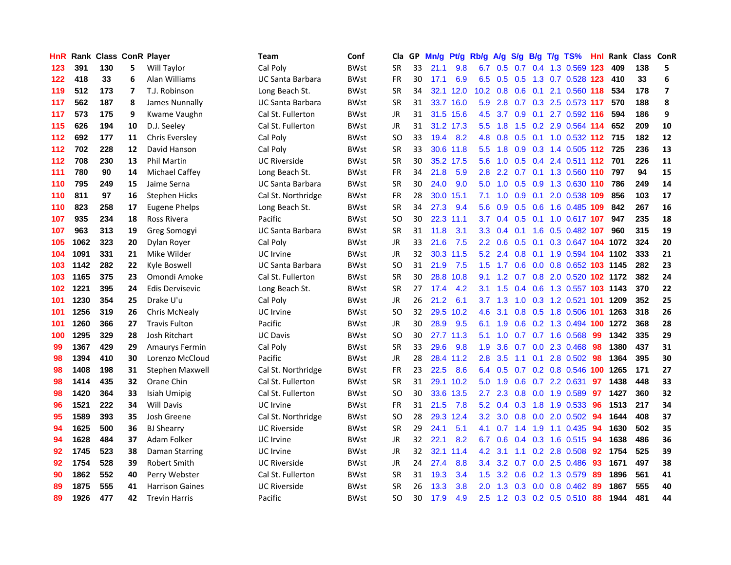| HnR. |      |     |    | Rank Class ConR Player | <b>Team</b>             | Conf        | Cla       |    | GP Mn/g | Pt/g      | Rb/g A/g          |                           |     |     | S/g B/g T/g TS%                    | Hnl | Rank Class ConR |     |                         |
|------|------|-----|----|------------------------|-------------------------|-------------|-----------|----|---------|-----------|-------------------|---------------------------|-----|-----|------------------------------------|-----|-----------------|-----|-------------------------|
| 123  | 391  | 130 | 5. | Will Taylor            | Cal Poly                | <b>BWst</b> | SR        | 33 | 21.1    | 9.8       | 6.7               | 0.5                       | 0.7 | 0.4 | 1.3 0.569                          | 123 | 409             | 138 | 5                       |
| 122  | 418  | 33  | 6  | Alan Williams          | <b>UC Santa Barbara</b> | <b>BWst</b> | <b>FR</b> | 30 | 17.1    | 6.9       | 6.5               | 0.5                       | 0.5 | 1.3 | 0.7 0.528 123                      |     | 410             | 33  | 6                       |
| 119  | 512  | 173 | 7  | T.J. Robinson          | Long Beach St.          | <b>BWst</b> | <b>SR</b> | 34 | 32.1    | 12.0      | 10.2 <sub>2</sub> | 0.8                       | 0.6 | 0.1 | 2.1 0.560 118                      |     | 534             | 178 | $\overline{\mathbf{z}}$ |
| 117  | 562  | 187 | 8  | James Nunnally         | <b>UC Santa Barbara</b> | <b>BWst</b> | <b>SR</b> | 31 |         | 33.7 16.0 | 5.9               |                           |     |     | 2.8 0.7 0.3 2.5 0.573 117          |     | 570             | 188 | 8                       |
| 117  | 573  | 175 | 9  | Kwame Vaughn           | Cal St. Fullerton       | <b>BWst</b> | JR        | 31 |         | 31.5 15.6 |                   |                           |     |     | 4.5 3.7 0.9 0.1 2.7 0.592 116      |     | 594             | 186 | 9                       |
| 115  | 626  | 194 | 10 | D.J. Seeley            | Cal St. Fullerton       | <b>BWst</b> | JR        | 31 |         | 31.2 17.3 |                   | $5.5$ 1.8                 |     |     | 1.5 0.2 2.9 0.564 114              |     | 652             | 209 | 10                      |
| 112  | 692  | 177 | 11 | <b>Chris Eversley</b>  | Cal Poly                | <b>BWst</b> | SO        | 33 | 19.4    | 8.2       | 4.8               | 0.8                       |     |     | 0.5 0.1 1.0 0.532 112 715          |     |                 | 182 | 12                      |
| 112  | 702  | 228 | 12 | David Hanson           | Cal Poly                | <b>BWst</b> | <b>SR</b> | 33 |         | 30.6 11.8 | 5.5 <sub>1</sub>  | 1.8                       |     |     | 0.9 0.3 1.4 0.505 112 725          |     |                 | 236 | 13                      |
| 112  | 708  | 230 | 13 | <b>Phil Martin</b>     | <b>UC Riverside</b>     | <b>BWst</b> | <b>SR</b> | 30 |         | 35.2 17.5 | 5.6               | 1.0                       | 0.5 |     | 0.4 2.4 0.511 112                  |     | 701             | 226 | 11                      |
| 111  | 780  | 90  | 14 | <b>Michael Caffey</b>  | Long Beach St.          | BWst        | <b>FR</b> | 34 | 21.8    | 5.9       | 2.8               |                           |     |     | 2.2 0.7 0.1 1.3 0.560 110          |     | 797             | 94  | 15                      |
| 110  | 795  | 249 | 15 | Jaime Serna            | UC Santa Barbara        | BWst        | <b>SR</b> | 30 | 24.0    | 9.0       | 5.0               | 1.0                       |     |     | 0.5 0.9 1.3 0.630 110              |     | 786             | 249 | 14                      |
| 110  | 811  | 97  | 16 | <b>Stephen Hicks</b>   | Cal St. Northridge      | BWst        | <b>FR</b> | 28 | 30.0    | 15.1      | 7.1               | 1.0                       | 0.9 | 0.1 | 2.0 0.538 109                      |     | 856             | 103 | 17                      |
| 110  | 823  | 258 | 17 | Eugene Phelps          | Long Beach St.          | <b>BWst</b> | <b>SR</b> | 34 | 27.3    | 9.4       | 5.6               | 0.9                       | 0.5 | 0.6 | 1.6 0.485 109                      |     | 842             | 267 | 16                      |
| 107  | 935  | 234 | 18 | Ross Rivera            | Pacific                 | <b>BWst</b> | SO        | 30 |         | 22.3 11.1 | 3.7               | 0.4                       | 0.5 |     | 0.1 1.0 0.617 107                  |     | 947             | 235 | 18                      |
| 107  | 963  | 313 | 19 | Greg Somogyi           | UC Santa Barbara        | BWst        | <b>SR</b> | 31 | 11.8    | 3.1       | 3.3               | 0.4                       | 0.1 | 1.6 | 0.5 0.482 107                      |     | 960             | 315 | 19                      |
| 105  | 1062 | 323 | 20 | Dylan Royer            | Cal Poly                | <b>BWst</b> | JR        | 33 | 21.6    | 7.5       | $2.2^{\circ}$     | 0.6                       | 0.5 | 0.1 | 0.3 0.647 104 1072                 |     |                 | 324 | 20                      |
| 104  | 1091 | 331 | 21 | Mike Wilder            | UC Irvine               | <b>BWst</b> | JR.       | 32 |         | 30.3 11.5 |                   | $5.2$ 2.4 0.8             |     | 0.1 | 1.9 0.594 104 1102                 |     |                 | 333 | 21                      |
| 103  | 1142 | 282 | 22 | Kyle Boswell           | <b>UC Santa Barbara</b> | <b>BWst</b> | <b>SO</b> | 31 | 21.9    | 7.5       |                   |                           |     |     | 1.5 1.7 0.6 0.0 0.8 0.652 103 1145 |     |                 | 282 | 23                      |
| 103  | 1165 | 375 | 23 | Omondi Amoke           | Cal St. Fullerton       | <b>BWst</b> | <b>SR</b> | 30 | 28.8    | 10.8      | 9.1               |                           |     |     | 1.2 0.7 0.8 2.0 0.520 102 1172     |     |                 | 382 | 24                      |
| 102  | 1221 | 395 | 24 | Edis Dervisevic        | Long Beach St.          | BWst        | SR        | 27 | 17.4    | 4.2       | 3.1               | 1.5                       |     |     | 0.4 0.6 1.3 0.557 103 1143         |     |                 | 370 | 22                      |
| 101  | 1230 | 354 | 25 | Drake U'u              | Cal Poly                | <b>BWst</b> | JR.       | 26 | 21.2    | 6.1       |                   | $3.7 \quad 1.3$           |     |     | 1.0 0.3 1.2 0.521 101 1209         |     |                 | 352 | 25                      |
| 101  | 1256 | 319 | 26 | <b>Chris McNealy</b>   | UC Irvine               | <b>BWst</b> | SO        | 32 | 29.5    | 10.2      | 4.6               | 3.1                       |     |     | 0.8 0.5 1.8 0.506 101              |     | 1263            | 318 | 26                      |
| 101  | 1260 | 366 | 27 | <b>Travis Fulton</b>   | Pacific                 | <b>BWst</b> | JR.       | 30 | 28.9    | 9.5       | 6.1               | 1.9                       | 0.6 |     | 0.2 1.3 0.494 100                  |     | 1272            | 368 | 28                      |
| 100  | 1295 | 329 | 28 | Josh Ritchart          | <b>UC Davis</b>         | BWst        | SO        | 30 |         | 27.7 11.3 | 5.1               | 1.0                       |     |     | 0.7 0.7 1.6 0.568                  | 99  | 1342            | 335 | 29                      |
| 99   | 1367 | 429 | 29 | <b>Amaurys Fermin</b>  | Cal Poly                | <b>BWst</b> | <b>SR</b> | 33 | 29.6    | 9.8       | 1.9               | 3.6                       |     |     | 0.7 0.0 2.3 0.468                  | 98  | 1380            | 437 | 31                      |
| 98   | 1394 | 410 | 30 | Lorenzo McCloud        | Pacific                 | <b>BWst</b> | JR.       | 28 |         | 28.4 11.2 | 2.8               | 3.5                       | 1.1 | 0.1 | 2.8 0.502                          | 98  | 1364            | 395 | 30                      |
| 98   | 1408 | 198 | 31 | Stephen Maxwell        | Cal St. Northridge      | <b>BWst</b> | <b>FR</b> | 23 | 22.5    | 8.6       | 6.4               | 0.5                       |     |     | 0.7 0.2 0.8 0.546 100              |     | 1265            | 171 | 27                      |
| 98   | 1414 | 435 | 32 | Orane Chin             | Cal St. Fullerton       | <b>BWst</b> | <b>SR</b> | 31 |         | 29.1 10.2 | 5.0               | 1.9                       | 0.6 |     | 0.7 2.2 0.631                      | 97  | 1438            | 448 | 33                      |
| 98   | 1420 | 364 | 33 | Isiah Umipig           | Cal St. Fullerton       | <b>BWst</b> | <b>SO</b> | 30 | 33.6    | 13.5      | 2.7               | 2.3                       | 0.8 | 0.0 | 1.9 0.589                          | 97  | 1427            | 360 | 32                      |
| 96   | 1521 | 222 | 34 | <b>Will Davis</b>      | UC Irvine               | <b>BWst</b> | FR        | 31 | 21.5    | 7.8       |                   | $5.2 \quad 0.4 \quad 0.3$ |     | 1.8 | 1.9 0.533                          | -96 | 1513            | 217 | 34                      |
| 95   | 1589 | 393 | 35 | <b>Josh Greene</b>     | Cal St. Northridge      | <b>BWst</b> | SO        | 28 |         | 29.3 12.4 | 3.2               |                           |     |     | 3.0 0.8 0.0 2.0 0.502              | 94  | 1644            | 408 | 37                      |
| 94   | 1625 | 500 | 36 | <b>BJ Shearry</b>      | <b>UC Riverside</b>     | <b>BWst</b> | <b>SR</b> | 29 | 24.1    | 5.1       |                   |                           |     |     | 4.1 0.7 1.4 1.9 1.1 0.435 94       |     | 1630            | 502 | 35                      |
| 94   | 1628 | 484 | 37 | Adam Folker            | <b>UC</b> Irvine        | <b>BWst</b> | JR        | 32 | 22.1    | 8.2       | 6.7               | 0.6                       |     |     | $0.4$ $0.3$ 1.6 $0.515$            | -94 | 1638            | 486 | 36                      |
| 92   | 1745 | 523 | 38 | Daman Starring         | <b>UC</b> Irvine        | <b>BWst</b> | JR        | 32 |         | 32.1 11.4 | 4.2               | 3.1                       |     |     | 1.1 0.2 2.8 0.508                  | 92  | 1754            | 525 | 39                      |
| 92   | 1754 | 528 | 39 | Robert Smith           | <b>UC Riverside</b>     | BWst        | JR        | 24 | 27.4    | 8.8       | 3.4               | 3.2                       | 0.7 |     | 0.0 2.5 0.486                      | 93  | 1671            | 497 | 38                      |
| 90   | 1862 | 552 | 40 | Perry Webster          | Cal St. Fullerton       | <b>BWst</b> | <b>SR</b> | 31 | 19.3    | 3.4       | 1.5 <sub>1</sub>  | 3.2                       | 0.6 |     | 0.2 1.3 0.579                      | 89  | 1896            | 561 | 41                      |
| 89   | 1875 | 555 | 41 | <b>Harrison Gaines</b> | <b>UC Riverside</b>     | <b>BWst</b> | SR        | 26 | 13.3    | 3.8       | 2.0               | 1.3                       | 0.3 | 0.0 | 0.8 0.462                          | 89  | 1867            | 555 | 40                      |
| 89   | 1926 | 477 | 42 | <b>Trevin Harris</b>   | Pacific                 | <b>BWst</b> | SO        | 30 | 17.9    | 4.9       | $2.5^{\circ}$     |                           |     |     | 1.2 0.3 0.2 0.5 0.510              | 88  | 1944            | 481 | 44                      |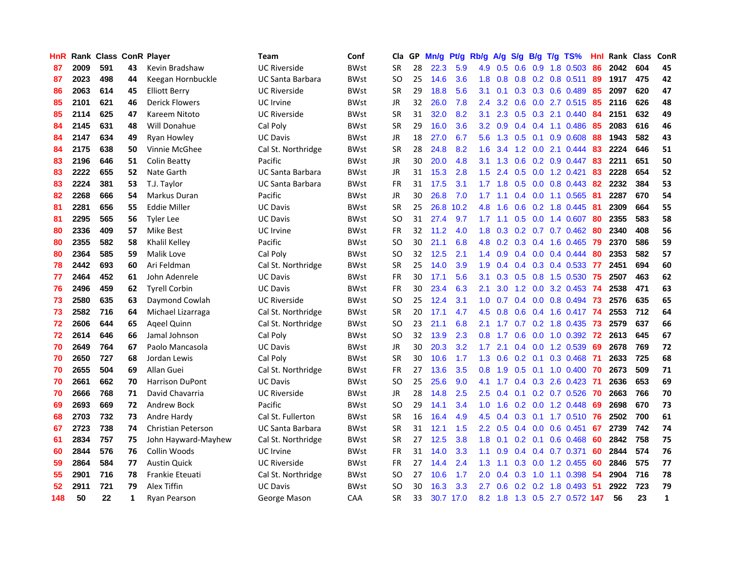| <b>HnR</b> |      | Rank Class ConR Player |    |                           | <b>Team</b>             | Conf        | Cla       |    | GP Mn/g | Pt/g      | Rb/g             | A/g             |     |                 | S/g B/g T/g TS%           | Hnl | Rank Class |     | ConR |
|------------|------|------------------------|----|---------------------------|-------------------------|-------------|-----------|----|---------|-----------|------------------|-----------------|-----|-----------------|---------------------------|-----|------------|-----|------|
| 87         | 2009 | 591                    | 43 | Kevin Bradshaw            | <b>UC Riverside</b>     | <b>BWst</b> | <b>SR</b> | 28 | 22.3    | 5.9       | 4.9              | 0.5             | 0.6 | 0.9             | 1.8 0.503                 | 86  | 2042       | 604 | 45   |
| 87         | 2023 | 498                    | 44 | Keegan Hornbuckle         | <b>UC Santa Barbara</b> | <b>BWst</b> | SO.       | 25 | 14.6    | 3.6       | 1.8              | 0.8             |     |                 | $0.8$ 0.2 0.8 0.511       | 89  | 1917       | 475 | 42   |
| 86         | 2063 | 614                    | 45 | <b>Elliott Berry</b>      | <b>UC Riverside</b>     | <b>BWst</b> | <b>SR</b> | 29 | 18.8    | 5.6       | 3.1              | 0.1             |     |                 | $0.3$ $0.3$ $0.6$ $0.489$ | 85  | 2097       | 620 | 47   |
| 85         | 2101 | 621                    | 46 | <b>Derick Flowers</b>     | <b>UC</b> Irvine        | <b>BWst</b> | JR        | 32 | 26.0    | 7.8       | $2.4^{\circ}$    | 3.2             |     |                 | 0.6 0.0 2.7 0.515         | 85  | 2116       | 626 | 48   |
| 85         | 2114 | 625                    | 47 | Kareem Nitoto             | <b>UC Riverside</b>     | <b>BWst</b> | <b>SR</b> | 31 | 32.0    | 8.2       | 3.1              |                 |     |                 | 2.3 0.5 0.3 2.1 0.440     | 84  | 2151       | 632 | 49   |
| 84         | 2145 | 631                    | 48 | Will Donahue              | Cal Poly                | <b>BWst</b> | <b>SR</b> | 29 | 16.0    | 3.6       | 3.2              | 0.9             |     |                 | $0.4$ 0.4 1.1 0.486       | -85 | 2083       | 616 | 46   |
| 84         | 2147 | 634                    | 49 | Ryan Howley               | <b>UC Davis</b>         | <b>BWst</b> | JR        | 18 | 27.0    | 6.7       | 5.6              |                 |     |                 | 1.3 0.5 0.1 0.9 0.608     | 88  | 1943       | 582 | 43   |
| 84         | 2175 | 638                    | 50 | Vinnie McGhee             | Cal St. Northridge      | <b>BWst</b> | <b>SR</b> | 28 | 24.8    | 8.2       | 1.6              | 3.4             |     |                 | 1.2 0.0 2.1 0.444         | 83  | 2224       | 646 | 51   |
| 83         | 2196 | 646                    | 51 | <b>Colin Beatty</b>       | Pacific                 | <b>BWst</b> | JR        | 30 | 20.0    | 4.8       | 3.1              | 1.3             | 0.6 |                 | $0.2$ 0.9 0.447           | 83  | 2211       | 651 | 50   |
| 83         | 2222 | 655                    | 52 | Nate Garth                | UC Santa Barbara        | <b>BWst</b> | JR        | 31 | 15.3    | 2.8       | 1.5              | 2.4             | 0.5 |                 | $0.0$ 1.2 0.421           | 83  | 2228       | 654 | 52   |
| 83         | 2224 | 381                    | 53 | T.J. Taylor               | UC Santa Barbara        | <b>BWst</b> | FR        | 31 | $17.5$  | 3.1       | 1.7 <sup>2</sup> | 1.8             | 0.5 |                 | $0.0$ 0.8 0.443           | 82  | 2232       | 384 | 53   |
| 82         | 2268 | 666                    | 54 | Markus Duran              | Pacific                 | <b>BWst</b> | JR        | 30 | 26.8    | 7.0       | 1.7              | 1.1             | 0.4 |                 | 0.0 1.1 0.565             | 81  | 2287       | 670 | 54   |
| 81         | 2281 | 656                    | 55 | <b>Eddie Miller</b>       | <b>UC Davis</b>         | <b>BWst</b> | <b>SR</b> | 25 | 26.8    | 10.2      | 4.8              | 1.6             | 0.6 | 0.2             | 1.8 0.445                 | -81 | 2309       | 664 | 55   |
| 81         | 2295 | 565                    | 56 | <b>Tyler Lee</b>          | <b>UC Davis</b>         | <b>BWst</b> | SO.       | 31 | 27.4    | 9.7       | 1.7 <sup>2</sup> | 1.1             | 0.5 | 0.0             | 1.4 0.607                 | 80  | 2355       | 583 | 58   |
| 80         | 2336 | 409                    | 57 | Mike Best                 | UC Irvine               | <b>BWst</b> | FR        | 32 | 11.2    | 4.0       | 1.8              | 0.3             | 0.2 |                 | $0.7$ 0.7 0.462           | 80  | 2340       | 408 | 56   |
| 80         | 2355 | 582                    | 58 | Khalil Kelley             | Pacific                 | <b>BWst</b> | <b>SO</b> | 30 | 21.1    | 6.8       | 4.8              | 0.2             |     |                 | $0.3$ $0.4$ 1.6 $0.465$   | -79 | 2370       | 586 | 59   |
| 80         | 2364 | 585                    | 59 | Malik Love                | Cal Poly                | <b>BWst</b> | <b>SO</b> | 32 | 12.5    | 2.1       |                  | $1.4 \quad 0.9$ |     |                 | $0.4$ 0.0 0.4 0.444       | 80  | 2353       | 582 | 57   |
| 78         | 2442 | 693                    | 60 | Ari Feldman               | Cal St. Northridge      | <b>BWst</b> | <b>SR</b> | 25 | 14.0    | 3.9       | 1.9              | 0.4             |     |                 | $0.4$ 0.3 0.4 0.533       | 77  | 2451       | 694 | 60   |
| 77         | 2464 | 452                    | 61 | John Adenrele             | UC Davis                | <b>BWst</b> | FR        | 30 | 17.1    | 5.6       | 3.1              | 0.3             |     |                 | 0.5 0.8 1.5 0.530 75      |     | 2507       | 463 | 62   |
| 76         | 2496 | 459                    | 62 | <b>Tyrell Corbin</b>      | <b>UC Davis</b>         | <b>BWst</b> | FR        | 30 | 23.4    | 6.3       | 2.1              | 3.0             |     |                 | 1.2 0.0 3.2 0.453 74      |     | 2538       | 471 | 63   |
| 73         | 2580 | 635                    | 63 | Daymond Cowlah            | <b>UC Riverside</b>     | <b>BWst</b> | SO.       | 25 | 12.4    | 3.1       | 1.0 <sub>1</sub> |                 |     |                 | 0.7 0.4 0.0 0.8 0.494 73  |     | 2576       | 635 | 65   |
| 73         | 2582 | 716                    | 64 | Michael Lizarraga         | Cal St. Northridge      | <b>BWst</b> | <b>SR</b> | 20 | 17.1    | 4.7       | 4.5              | 0.8             |     |                 | 0.6 0.4 1.6 0.417 74      |     | 2553       | 712 | 64   |
| 72         | 2606 | 644                    | 65 | Ageel Quinn               | Cal St. Northridge      | <b>BWst</b> | SO.       | 23 | 21.1    | 6.8       | 2.1              | 1.7             |     |                 | $0.7$ $0.2$ 1.8 $0.435$   | -73 | 2579       | 637 | 66   |
| 72         | 2614 | 646                    | 66 | Jamal Johnson             | Cal Poly                | <b>BWst</b> | <b>SO</b> | 32 | 13.9    | 2.3       | 0.8              | 1.7             | 0.6 |                 | $0.0$ 1.0 0.392           | -72 | 2613       | 645 | 67   |
| 70         | 2649 | 764                    | 67 | Paolo Mancasola           | <b>UC Davis</b>         | <b>BWst</b> | <b>JR</b> | 30 | 20.3    | 3.2       | 1.7              | 2.1             |     |                 | 0.4 0.0 1.2 0.539         | -69 | 2678       | 769 | 72   |
| 70         | 2650 | 727                    | 68 | Jordan Lewis              | Cal Poly                | <b>BWst</b> | <b>SR</b> | 30 | 10.6    | 1.7       | 1.3              | 0.6             |     | $0.2 \quad 0.1$ | 0.3 0.468                 | -71 | 2633       | 725 | 68   |
| 70         | 2655 | 504                    | 69 | Allan Guei                | Cal St. Northridge      | <b>BWst</b> | FR.       | 27 | 13.6    | 3.5       | 0.8              | 1.9             | 0.5 |                 | $0.1$ 1.0 0.400           | -70 | 2673       | 509 | 71   |
| 70         | 2661 | 662                    | 70 | <b>Harrison DuPont</b>    | <b>UC Davis</b>         | <b>BWst</b> | <b>SO</b> | 25 | 25.6    | 9.0       | 4.1              | 1.7             |     |                 | $0.4$ $0.3$ 2.6 0.423     | -71 | 2636       | 653 | 69   |
| 70         | 2666 | 768                    | 71 | David Chavarria           | <b>UC Riverside</b>     | <b>BWst</b> | <b>JR</b> | 28 | 14.8    | 2.5       | 2.5              | 0.4             | 0.1 |                 | 0.2 0.7 0.526             | 70  | 2663       | 766 | 70   |
| 69         | 2693 | 669                    | 72 | Andrew Bock               | Pacific                 | <b>BWst</b> | <b>SO</b> | 29 | 14.1    | 3.4       | 1.0              | 1.6             |     |                 | $0.2$ $0.0$ 1.2 $0.448$   | 69  | 2698       | 670 | 73   |
| 68         | 2703 | 732                    | 73 | Andre Hardy               | Cal St. Fullerton       | <b>BWst</b> | <b>SR</b> | 16 | 16.4    | 4.9       | 4.5              | 0.4             |     | $0.3 \quad 0.1$ | 1.7 0.510 76              |     | 2502       | 700 | 61   |
| 67         | 2723 | 738                    | 74 | <b>Christian Peterson</b> | UC Santa Barbara        | <b>BWst</b> | <b>SR</b> | 31 | 12.1    | 1.5       |                  | $2.2 \quad 0.5$ |     |                 | 0.4 0.0 0.6 0.451         | 67  | 2739       | 742 | 74   |
| 61         | 2834 | 757                    | 75 | John Hayward-Mayhew       | Cal St. Northridge      | <b>BWst</b> | <b>SR</b> | 27 | 12.5    | 3.8       | 1.8              | 0.1             |     |                 | $0.2$ 0.1 0.6 0.468       | 60  | 2842       | 758 | 75   |
| 60         | 2844 | 576                    | 76 | Collin Woods              | UC Irvine               | <b>BWst</b> | <b>FR</b> | 31 | 14.0    | 3.3       | 1.1 <sup>1</sup> | 0.9             |     |                 | 0.4 0.4 0.7 0.371         | 60  | 2844       | 574 | 76   |
| 59         | 2864 | 584                    | 77 | <b>Austin Quick</b>       | <b>UC Riverside</b>     | <b>BWst</b> | FR        | 27 | 14.4    | 2.4       | 1.3              | 1.1             |     |                 | $0.3$ 0.0 1.2 0.455       | 60  | 2846       | 575 | 77   |
| 55         | 2901 | 716                    | 78 | Frankie Eteuati           | Cal St. Northridge      | <b>BWst</b> | SO.       | 27 | 10.6    | 1.7       | 2.0              | 0.4             | 0.3 | 1.0             | 1.1 0.398                 | 54  | 2904       | 716 | 78   |
| 52         | 2911 | 721                    | 79 | Alex Tiffin               | UC Davis                | <b>BWst</b> | SO.       | 30 | 16.3    | 3.3       | 2.7              | 0.6             |     |                 | $0.2$ 0.2 1.8 0.493       | -51 | 2922       | 723 | 79   |
| 148        | 50   | 22                     | 1  | Ryan Pearson              | George Mason            | CAA         | <b>SR</b> | 33 |         | 30.7 17.0 |                  | $8.2 \quad 1.8$ |     |                 | 1.3 0.5 2.7 0.572 147     |     | 56         | 23  | 1    |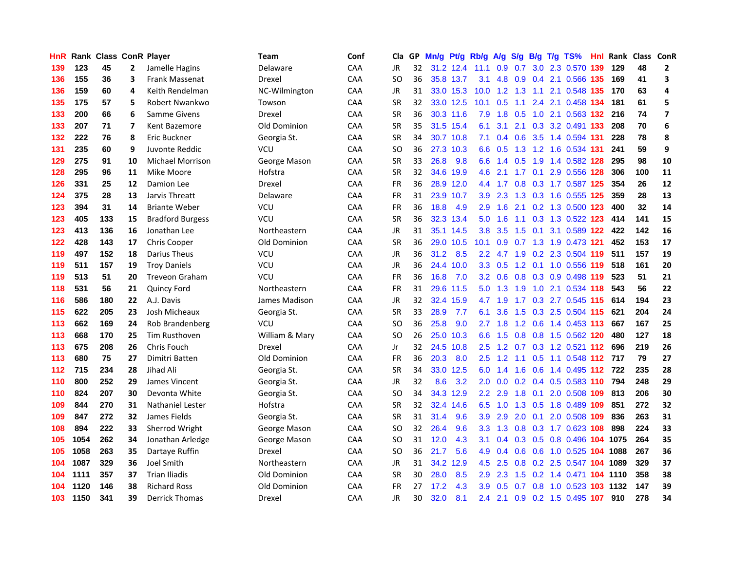| HnR |      | Rank Class ConR Player |                         |                         | Team           | Conf       | Cla       |    | GP Mn/g | Pt/g      | Rb/g             | A/g             |                 |                 | S/g B/g T/g TS%               | Hnl |      | Rank Class ConR |              |
|-----|------|------------------------|-------------------------|-------------------------|----------------|------------|-----------|----|---------|-----------|------------------|-----------------|-----------------|-----------------|-------------------------------|-----|------|-----------------|--------------|
| 139 | 123  | 45                     | $\mathbf{2}$            | Jamelle Hagins          | Delaware       | CAA        | JR.       | 32 |         | 31.2 12.4 | 11.1             | 0.9             | 0.7             | 3.0             | 2.3 0.570                     | 139 | 129  | 48              | $\mathbf{2}$ |
| 136 | 155  | 36                     | 3                       | <b>Frank Massenat</b>   | Drexel         | CAA        | SO        | 36 |         | 35.8 13.7 | 3.1              | 4.8             | 0.9             | 0.4             | 2.1 0.566 135                 |     | 169  | 41              | 3            |
| 136 | 159  | 60                     | 4                       | Keith Rendelman         | NC-Wilmington  | CAA        | JR        | 31 |         | 33.0 15.3 | 10.0             |                 | $1.2$ 1.3       | 1.1             | 2.1 0.548 135                 |     | 170  | 63              | 4            |
| 135 | 175  | 57                     | 5                       | Robert Nwankwo          | Towson         | CAA        | <b>SR</b> | 32 |         | 33.0 12.5 | 10.1             | 0.5             | 1.1             |                 | 2.4 2.1 0.458 134             |     | 181  | 61              | 5            |
| 133 | 200  | 66                     | 6                       | <b>Samme Givens</b>     | Drexel         | CAA        | <b>SR</b> | 36 |         | 30.3 11.6 | 7.9              |                 | $1.8 \quad 0.5$ |                 | 1.0 2.1 0.563 132 216         |     |      | 74              | 7            |
| 133 | 207  | 71                     | $\overline{\mathbf{z}}$ | Kent Bazemore           | Old Dominion   | CAA        | <b>SR</b> | 35 |         | 31.5 15.4 | 6.1              | 3.1             | 2.1             |                 | 0.3 3.2 0.491 133             |     | 208  | 70              | 6            |
| 132 | 222  | 76                     | 8                       | Eric Buckner            | Georgia St.    | <b>CAA</b> | SR        | 34 |         | 30.7 10.8 | 7.1              |                 | $0.4\quad 0.6$  |                 | 3.5 1.4 0.594 131             |     | 228  | 78              | 8            |
| 131 | 235  | 60                     | 9                       | Juvonte Reddic          | VCU            | CAA        | SO        | 36 |         | 27.3 10.3 | 6.6              | 0.5             |                 |                 | 1.3 1.2 1.6 0.534 131         |     | 241  | 59              | 9            |
| 129 | 275  | 91                     | 10                      | <b>Michael Morrison</b> | George Mason   | CAA        | <b>SR</b> | 33 | 26.8    | 9.8       | 6.6              | 1.4             | 0.5             |                 | 1.9 1.4 0.582 128             |     | 295  | 98              | 10           |
| 128 | 295  | 96                     | 11                      | Mike Moore              | Hofstra        | CAA        | <b>SR</b> | 32 |         | 34.6 19.9 | 4.6              | 2.1             | 1.7             |                 | 0.1 2.9 0.556 128             |     | 306  | 100             | 11           |
| 126 | 331  | 25                     | 12                      | Damion Lee              | Drexel         | CAA        | <b>FR</b> | 36 |         | 28.9 12.0 | 4.4              | 1.7             | 0.8             |                 | 0.3 1.7 0.587 125             |     | 354  | 26              | 12           |
| 124 | 375  | 28                     | 13                      | Jarvis Threatt          | Delaware       | CAA        | FR        | 31 |         | 23.9 10.7 | 3.9 <sup>°</sup> | 2.3             | 1.3             | 0.3             | 1.6 0.555 125                 |     | 359  | 28              | 13           |
| 123 | 394  | 31                     | 14                      | <b>Briante Weber</b>    | <b>VCU</b>     | CAA        | <b>FR</b> | 36 | 18.8    | 4.9       | $2.9^{\circ}$    | 1.6             | 2.1             |                 | 0.2 1.3 0.500 123             |     | 400  | 32              | 14           |
| 123 | 405  | 133                    | 15                      | <b>Bradford Burgess</b> | VCU            | CAA        | SR        | 36 |         | 32.3 13.4 | 5.0              | 1.6             | 1.1             | 0.3             | 1.3 0.522 123                 |     | 414  | 141             | 15           |
| 123 | 413  | 136                    | 16                      | Jonathan Lee            | Northeastern   | CAA        | <b>JR</b> | 31 |         | 35.1 14.5 | 3.8              | 3.5             | 1.5             | 0.1             | 3.1 0.589 122                 |     | 422  | 142             | 16           |
| 122 | 428  | 143                    | 17                      | Chris Cooper            | Old Dominion   | CAA        | <b>SR</b> | 36 | 29.0    | 10.5      | 10.1             | 0.9             | $0.7$ 1.3       |                 | 1.9 0.473 121                 |     | 452  | 153             | 17           |
| 119 | 497  | 152                    | 18                      | Darius Theus            | VCU            | CAA        | JR        | 36 | 31.2    | 8.5       |                  |                 |                 |                 | 2.2 4.7 1.9 0.2 2.3 0.504 119 |     | 511  | 157             | 19           |
| 119 | 511  | 157                    | 19                      | <b>Troy Daniels</b>     | VCU            | CAA        | JR        | 36 | 24.4    | 10.0      |                  |                 |                 |                 | 3.3 0.5 1.2 0.1 1.0 0.556 119 |     | 518  | 161             | 20           |
| 119 | 513  | 51                     | 20                      | <b>Treveon Graham</b>   | <b>VCU</b>     | <b>CAA</b> | FR        | 36 | 16.8    | 7.0       |                  | $3.2 \quad 0.6$ |                 |                 | 0.8 0.3 0.9 0.498 119         |     | 523  | 51              | 21           |
| 118 | 531  | 56                     | 21                      | Quincy Ford             | Northeastern   | <b>CAA</b> | FR        | 31 |         | 29.6 11.5 | 5.0              | 1.3             | 1.9             |                 | 1.0 2.1 0.534 118             |     | 543  | 56              | 22           |
| 116 | 586  | 180                    | 22                      | A.J. Davis              | James Madison  | CAA        | <b>JR</b> | 32 |         | 32.4 15.9 | 4.7              | 1.9             |                 |                 | 1.7 0.3 2.7 0.545 115         |     | 614  | 194             | 23           |
| 115 | 622  | 205                    | 23                      | Josh Micheaux           | Georgia St.    | CAA        | <b>SR</b> | 33 | 28.9    | 7.7       | 6.1              | 3.6             | 1.5             |                 | 0.3 2.5 0.504 115             |     | 621  | 204             | 24           |
| 113 | 662  | 169                    | 24                      | Rob Brandenberg         | VCU            | CAA        | <b>SO</b> | 36 | 25.8    | 9.0       | 2.7              | 1.8             |                 | $1.2 \quad 0.6$ | 1.4 0.453 113                 |     | 667  | 167             | 25           |
| 113 | 668  | 170                    | 25                      | <b>Tim Rusthoven</b>    | William & Mary | CAA        | SO        | 26 |         | 25.0 10.3 | 6.6              | 1.5             | 0.8             |                 | 0.8 1.5 0.562 120             |     | 480  | 127             | 18           |
| 113 | 675  | 208                    | 26                      | Chris Fouch             | Drexel         | CAA        | Jr.       | 32 |         | 24.5 10.8 | $2.5^{\circ}$    | 1.2             |                 |                 | 0.7 0.3 1.2 0.521 112         |     | 696  | 219             | 26           |
| 113 | 680  | 75                     | 27                      | Dimitri Batten          | Old Dominion   | CAA        | <b>FR</b> | 36 | 20.3    | 8.0       | 2.5              | 1.2             | 1.1             | 0.5             | 1.1 0.548 112                 |     | 717  | 79              | 27           |
| 112 | 715  | 234                    | 28                      | Jihad Ali               | Georgia St.    | CAA        | <b>SR</b> | 34 |         | 33.0 12.5 | 6.0              | 1.4             | 1.6             | 0.6             | 1.4 0.495 112                 |     | 722  | 235             | 28           |
| 110 | 800  | 252                    | 29                      | James Vincent           | Georgia St.    | CAA        | <b>JR</b> | 32 | 8.6     | 3.2       | 2.0              | 0.0             | 0.2             | 0.4             | 0.5 0.583 110                 |     | 794  | 248             | 29           |
| 110 | 824  | 207                    | 30                      | Devonta White           | Georgia St.    | CAA        | SO        | 34 |         | 34.3 12.9 | $2.2^{\circ}$    | 2.9             | 1.8             | 0.1             | 2.0 0.508 109                 |     | 813  | 206             | 30           |
| 109 | 844  | 270                    | 31                      | <b>Nathaniel Lester</b> | Hofstra        | <b>CAA</b> | SR        | 32 | 32.4    | 14.6      | 6.5              | 1.0             |                 |                 | 1.3 0.5 1.8 0.489 109         |     | 851  | 272             | 32           |
| 109 | 847  | 272                    | 32                      | James Fields            | Georgia St.    | CAA        | SR        | 31 | 31.4    | 9.6       | 3.9              | 2.9             | 2.0             | 0.1             | 2.0 0.508 109                 |     | 836  | 263             | 31           |
| 108 | 894  | 222                    | 33                      | Sherrod Wright          | George Mason   | CAA        | SO        | 32 | 26.4    | 9.6       | 3.3 <sub>1</sub> |                 |                 |                 | 1.3 0.8 0.3 1.7 0.623 108     |     | 898  | 224             | 33           |
| 105 | 1054 | 262                    | 34                      | Jonathan Arledge        | George Mason   | CAA        | SO        | 31 | 12.0    | 4.3       | 3.1              | 0.4             |                 |                 | 0.3 0.5 0.8 0.496 104 1075    |     |      | 264             | 35           |
| 105 | 1058 | 263                    | 35                      | Dartaye Ruffin          | Drexel         | CAA        | SO        | 36 | 21.7    | 5.6       | 4.9              | 0.4             | 0.6             |                 | 0.6 1.0 0.525 104 1088        |     |      | 267             | 36           |
| 104 | 1087 | 329                    | 36                      | <b>Joel Smith</b>       | Northeastern   | CAA        | JR        | 31 | 34.2    | 12.9      | 4.5              | 2.5             | 0.8             |                 | 0.2 2.5 0.547 104             |     | 1089 | 329             | 37           |
| 104 | 1111 | 357                    | 37                      | <b>Trian Iliadis</b>    | Old Dominion   | CAA        | <b>SR</b> | 30 | 28.0    | 8.5       | 2.9              | 2.3             | 1.5             |                 | $0.2$ 1.4 $0.471$             | 104 | 1110 | 358             | 38           |
| 104 | 1120 | 146                    | 38                      | <b>Richard Ross</b>     | Old Dominion   | CAA        | FR        | 27 | 17.2    | 4.3       | 3.9              | 0.5             | 0.7             | 0.8             | 1.0 0.523                     | 103 | 1132 | 147             | 39           |
| 103 | 1150 | 341                    | 39                      | <b>Derrick Thomas</b>   | Drexel         | CAA        | <b>JR</b> | 30 | 32.0    | 8.1       | $2.4^{\circ}$    | 2.1             |                 |                 | 0.9 0.2 1.5 0.495 107         |     | 910  | 278             | 34           |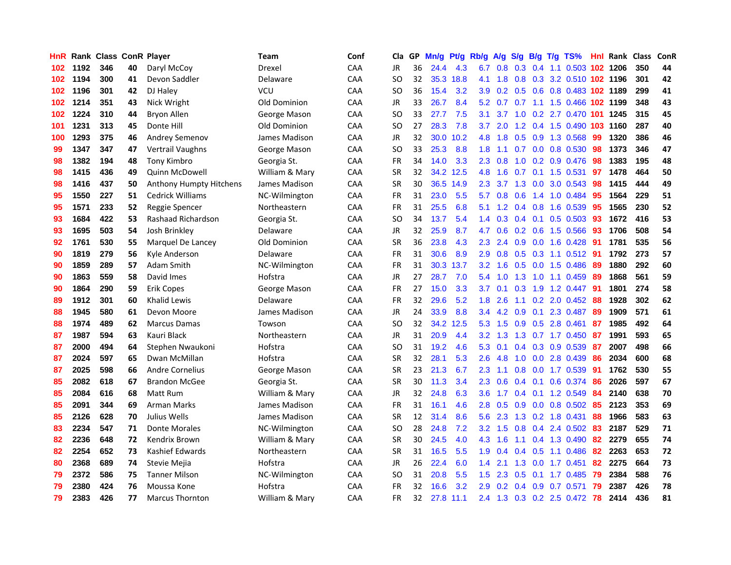| HnR |      | <b>Rank Class ConR Player</b> |    |                         | <b>Team</b>    | Conf       | Cla           |    | GP Mn/g Pt/g Rb/g A/g S/g B/g T/g TS% |           |                  |         |               |                 |                            | Hnl | Rank Class |     | ConR |
|-----|------|-------------------------------|----|-------------------------|----------------|------------|---------------|----|---------------------------------------|-----------|------------------|---------|---------------|-----------------|----------------------------|-----|------------|-----|------|
| 102 | 1192 | 346                           | 40 | Daryl McCoy             | Drexel         | CAA        | JR            | 36 | 24.4                                  | 4.3       | 6.7              | 0.8     | 0.3           | 0.4             | 1.1 0.503 102 1206         |     |            | 350 | 44   |
| 102 | 1194 | 300                           | 41 | Devon Saddler           | Delaware       | CAA        | <b>SO</b>     | 32 |                                       | 35.3 18.8 | 4.1              | 1.8     | 0.8           | 0.3             | 3.2 0.510 102 1196         |     |            | 301 | 42   |
| 102 | 1196 | 301                           | 42 | DJ Haley                | <b>VCU</b>     | CAA        | <b>SO</b>     | 36 | 15.4                                  | 3.2       | 3.9              | 0.2     |               | $0.5 \quad 0.6$ | 0.8 0.483 102 1189         |     |            | 299 | 41   |
| 102 | 1214 | 351                           | 43 | Nick Wright             | Old Dominion   | CAA        | JR            | 33 | 26.7                                  | 8.4       |                  | 5.2 0.7 | 0.7           |                 | 1.1 1.5 0.466 102 1199     |     |            | 348 | 43   |
| 102 | 1224 | 310                           | 44 | Bryon Allen             | George Mason   | CAA        | <sub>SO</sub> | 33 | 27.7                                  | 7.5       | 3.1              | 3.7     |               |                 | 1.0 0.2 2.7 0.470 101 1245 |     |            | 315 | 45   |
| 101 | 1231 | 313                           | 45 | Donte Hill              | Old Dominion   | CAA        | SO.           | 27 | 28.3                                  | 7.8       | 3.7              | 2.0     |               |                 | 1.2 0.4 1.5 0.490 103      |     | 1160       | 287 | 40   |
| 100 | 1293 | 375                           | 46 | Andrey Semenov          | James Madison  | CAA        | <b>JR</b>     | 32 |                                       | 30.0 10.2 | 4.8              | 1.8     |               |                 | 0.5 0.9 1.3 0.568          | 99  | 1320       | 386 | 46   |
| 99  | 1347 | 347                           | 47 | <b>Vertrail Vaughns</b> | George Mason   | CAA        | <b>SO</b>     | 33 | 25.3                                  | 8.8       | 1.8              | 1.1     | 0.7           |                 | 0.0 0.8 0.530              | 98  | 1373       | 346 | 47   |
| 98  | 1382 | 194                           | 48 | <b>Tony Kimbro</b>      | Georgia St.    | CAA        | <b>FR</b>     | 34 | 14.0                                  | 3.3       | 2.3              | 0.8     | 1.0           |                 | 0.2 0.9 0.476              | 98  | 1383       | 195 | 48   |
| 98  | 1415 | 436                           | 49 | <b>Quinn McDowell</b>   | William & Mary | CAA        | <b>SR</b>     | 32 |                                       | 34.2 12.5 | 4.8              | 1.6     | 0.7           |                 | $0.1$ 1.5 0.531            | 97  | 1478       | 464 | 50   |
| 98  | 1416 | 437                           | 50 | Anthony Humpty Hitchens | James Madison  | CAA        | <b>SR</b>     | 30 |                                       | 36.5 14.9 | 2.3              | 3.7     | 1.3           | 0.0             | 3.0 0.543                  | 98  | 1415       | 444 | 49   |
| 95  | 1550 | 227                           | 51 | Cedrick Williams        | NC-Wilmington  | CAA        | <b>FR</b>     | 31 | 23.0                                  | 5.5       | 5.7              | 0.8     | 0.6           | 1.4             | 1.0 0.484                  | 95  | 1564       | 229 | 51   |
| 95  | 1571 | 233                           | 52 | Reggie Spencer          | Northeastern   | CAA        | <b>FR</b>     | 31 | 25.5                                  | 6.8       | 5.1              | 1.2     |               | $0.4$ 0.8       | 1.6 0.539                  | 95  | 1565       | 230 | 52   |
| 93  | 1684 | 422                           | 53 | Rashaad Richardson      | Georgia St.    | <b>CAA</b> | <b>SO</b>     | 34 | 13.7                                  | 5.4       | 1.4              | 0.3     |               | $0.4 \quad 0.1$ | $0.5$ 0.503                | 93  | 1672       | 416 | 53   |
| 93  | 1695 | 503                           | 54 | Josh Brinkley           | Delaware       | <b>CAA</b> | JR            | 32 | 25.9                                  | 8.7       | 4.7              | 0.6     | 0.2           | 0.6             | 1.5 0.566                  | 93  | 1706       | 508 | 54   |
| 92  | 1761 | 530                           | 55 | Marquel De Lancey       | Old Dominion   | CAA        | <b>SR</b>     | 36 | 23.8                                  | 4.3       | 2.3              | 2.4     |               | $0.9\quad 0.0$  | 1.6 0.428                  | -91 | 1781       | 535 | 56   |
| 90  | 1819 | 279                           | 56 | Kyle Anderson           | Delaware       | CAA        | <b>FR</b>     | 31 | 30.6                                  | 8.9       | 2.9              | 0.8     |               | $0.5 \quad 0.3$ | $1.1 \t0.512$              | -91 | 1792       | 273 | 57   |
| 90  | 1859 | 289                           | 57 | <b>Adam Smith</b>       | NC-Wilmington  | CAA        | <b>FR</b>     | 31 |                                       | 30.3 13.7 | 3.2              | 1.6     |               |                 | 0.5 0.0 1.5 0.486          | -89 | 1880       | 292 | 60   |
| 90  | 1863 | 559                           | 58 | David Imes              | Hofstra        | <b>CAA</b> | JR            | 27 | 28.7                                  | 7.0       | $5.4^{\circ}$    | 1.0     |               |                 | 1.3 1.0 1.1 0.459          | -89 | 1868       | 561 | 59   |
| 90  | 1864 | 290                           | 59 | Erik Copes              | George Mason   | <b>CAA</b> | <b>FR</b>     | 27 | 15.0                                  | 3.3       | 3.7 <sup>2</sup> | 0.1     |               | $0.3$ 1.9       | 1.2 0.447                  | -91 | 1801       | 274 | 58   |
| 89  | 1912 | 301                           | 60 | <b>Khalid Lewis</b>     | Delaware       | CAA        | <b>FR</b>     | 32 | 29.6                                  | 5.2       | 1.8              | 2.6     |               |                 | $1.1$ 0.2 2.0 0.452        | -88 | 1928       | 302 | 62   |
| 88  | 1945 | 580                           | 61 | Devon Moore             | James Madison  | CAA        | JR            | 24 | 33.9                                  | 8.8       | 3.4              | 4.2     | 0.9           |                 | 0.1 2.3 0.487              | 89  | 1909       | 571 | 61   |
| 88  | 1974 | 489                           | 62 | <b>Marcus Damas</b>     | Towson         | CAA        | SO.           | 32 | 34.2                                  | 12.5      | 5.3              | 1.5     |               |                 | 0.9 0.5 2.8 0.461          | 87  | 1985       | 492 | 64   |
| 87  | 1987 | 594                           | 63 | Kauri Black             | Northeastern   | CAA        | JR            | 31 | 20.9                                  | 4.4       | 3.2              | 1.3     | 1.3           |                 | $0.7$ 1.7 0.450            | -87 | 1991       | 593 | 65   |
| 87  | 2000 | 494                           | 64 | Stephen Nwaukoni        | Hofstra        | CAA        | SO.           | 31 | 19.2                                  | 4.6       | 5.3              | 0.1     |               |                 | 0.4 0.3 0.9 0.539          | -87 | 2007       | 498 | 66   |
| 87  | 2024 | 597                           | 65 | Dwan McMillan           | Hofstra        | CAA        | <b>SR</b>     | 32 | 28.1                                  | 5.3       | 2.6              | 4.8     |               | $1.0 \ 0.0$     | 2.8 0.439                  | 86  | 2034       | 600 | 68   |
| 87  | 2025 | 598                           | 66 | <b>Andre Cornelius</b>  | George Mason   | CAA        | <b>SR</b>     | 23 | 21.3                                  | 6.7       | 2.3              | 1.1     | 0.8           | 0.0             | 1.7 0.539                  | 91  | 1762       | 530 | 55   |
| 85  | 2082 | 618                           | 67 | <b>Brandon McGee</b>    | Georgia St.    | <b>CAA</b> | <b>SR</b>     | 30 | 11.3                                  | 3.4       | 2.3              | 0.6     |               | $0.4 \quad 0.1$ | 0.6 0.374                  | 86  | 2026       | 597 | 67   |
| 85  | 2084 | 616                           | 68 | Matt Rum                | William & Mary | CAA        | <b>JR</b>     | 32 | 24.8                                  | 6.3       | 3.6              | 1.7     |               | $0.4 \quad 0.1$ | 1.2 0.549                  | 84  | 2140       | 638 | 70   |
| 85  | 2091 | 344                           | 69 | <b>Arman Marks</b>      | James Madison  | CAA        | <b>FR</b>     | 31 | 16.1                                  | 4.6       | 2.8              | 0.5     |               | $0.9\quad 0.0$  | 0.8 0.502                  | 85  | 2123       | 353 | 69   |
| 85  | 2126 | 628                           | 70 | Julius Wells            | James Madison  | CAA        | <b>SR</b>     | 12 | 31.4                                  | 8.6       | 5.6              | 2.3     |               |                 | 1.3 0.2 1.8 0.431          | 88  | 1966       | 583 | 63   |
| 83  | 2234 | 547                           | 71 | <b>Donte Morales</b>    | NC-Wilmington  | CAA        | SO            | 28 | 24.8                                  | 7.2       | 3.2              | 1.5     |               |                 | $0.8$ 0.4 2.4 0.502        | 83  | 2187       | 529 | 71   |
| 82  | 2236 | 648                           | 72 | Kendrix Brown           | William & Mary | CAA        | <b>SR</b>     | 30 | 24.5                                  | 4.0       | 4.3              | 1.6     | 1.1           |                 | 0.4 1.3 0.490              | 82  | 2279       | 655 | 74   |
| 82  | 2254 | 652                           | 73 | Kashief Edwards         | Northeastern   | CAA        | <b>SR</b>     | 31 | 16.5                                  | 5.5       | 1.9              | 0.4     |               | $0.4 \quad 0.5$ | 1.1 0.486                  | 82  | 2263       | 653 | 72   |
| 80  | 2368 | 689                           | 74 | Stevie Mejia            | Hofstra        | CAA        | JR            | 26 | 22.4                                  | 6.0       | $1.4^{\circ}$    | 2.1     | 1.3           | 0.0             | 1.7 0.451                  | 82  | 2275       | 664 | 73   |
| 79  | 2372 | 586                           | 75 | <b>Tanner Milson</b>    | NC-Wilmington  | <b>CAA</b> | <b>SO</b>     | 31 | 20.8                                  | 5.5       | 1.5              | 2.3     | 0.5           | 0.1             | 1.7 0.485                  | 79  | 2384       | 588 | 76   |
| 79  | 2380 | 424                           | 76 | Moussa Kone             | Hofstra        | CAA        | <b>FR</b>     | 32 | 16.6                                  | 3.2       | 2.9              | 0.2     | $0.4^{\circ}$ | 0.9             | 0.7 0.571                  | 79  | 2387       | 426 | 78   |
| 79  | 2383 | 426                           | 77 | <b>Marcus Thornton</b>  | William & Mary | CAA        | FR            | 32 | 27.8                                  | 11.1      | 2.4              | 1.3     |               |                 | $0.3$ $0.2$ $2.5$ $0.472$  | -78 | 2414       | 436 | 81   |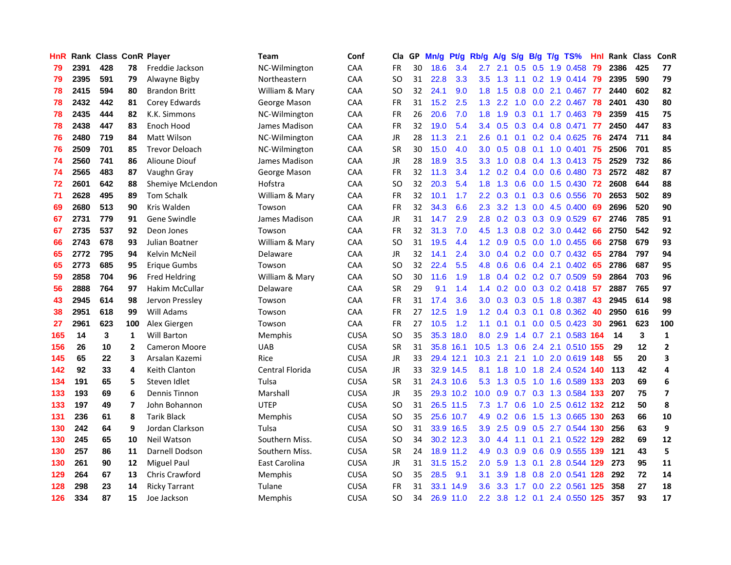| <b>HnR</b> |      | Rank Class ConR Player |                |                       | Team            | Conf        | Cla       |    | GP Mn/g Pt/g |           | Rb/g             | A/g             |                 |                 | S/g B/g T/g TS%           | Hnl | Rank Class |     | ConR         |
|------------|------|------------------------|----------------|-----------------------|-----------------|-------------|-----------|----|--------------|-----------|------------------|-----------------|-----------------|-----------------|---------------------------|-----|------------|-----|--------------|
| 79         | 2391 | 428                    | 78             | Freddie Jackson       | NC-Wilmington   | CAA         | FR        | 30 | 18.6         | 3.4       | 2.7              | 2.1             | 0.5             | 0.5             | 1.9 0.458                 | 79  | 2386       | 425 | 77           |
| 79         | 2395 | 591                    | 79             | Alwayne Bigby         | Northeastern    | CAA         | SO.       | 31 | 22.8         | 3.3       | 3.5              | 1.3             | 1.1             | 0.2             | 1.9 0.414                 | -79 | 2395       | 590 | 79           |
| 78         | 2415 | 594                    | 80             | <b>Brandon Britt</b>  | William & Mary  | CAA         | SO.       | 32 | 24.1         | 9.0       | 1.8              | 1.5             | 0.8             | 0.0             | 2.1 0.467                 | -77 | 2440       | 602 | 82           |
| 78         | 2432 | 442                    | 81             | Corey Edwards         | George Mason    | CAA         | FR        | 31 | 15.2         | 2.5       |                  | $1.3$ 2.2       | 1.0             |                 | 0.0 2.2 0.467             | 78  | 2401       | 430 | 80           |
| 78         | 2435 | 444                    | 82             | K.K. Simmons          | NC-Wilmington   | CAA         | FR        | 26 | 20.6         | 7.0       | 1.8 <sup>1</sup> | 1.9             |                 |                 | $0.3$ 0.1 1.7 0.463       | -79 | 2359       | 415 | 75           |
| 78         | 2438 | 447                    | 83             | Enoch Hood            | James Madison   | <b>CAA</b>  | FR        | 32 | 19.0         | 5.4       |                  | $3.4\quad 0.5$  |                 |                 | 0.3 0.4 0.8 0.471 77      |     | 2450       | 447 | 83           |
| 76         | 2480 | 719                    | 84             | <b>Matt Wilson</b>    | NC-Wilmington   | <b>CAA</b>  | JR        | 28 | 11.3         | 2.1       | $2.6^{\circ}$    | 0.1             |                 |                 | $0.1$ $0.2$ $0.4$ $0.625$ | -76 | 2474       | 711 | 84           |
| 76         | 2509 | 701                    | 85             | <b>Trevor Deloach</b> | NC-Wilmington   | CAA         | <b>SR</b> | 30 | 15.0         | 4.0       | 3.0 <sub>2</sub> | 0.5             | 0.8             |                 | $0.1$ 1.0 0.401           | 75  | 2506       | 701 | 85           |
| 74         | 2560 | 741                    | 86             | Alioune Diouf         | James Madison   | CAA         | JR        | 28 | 18.9         | 3.5       | 3.3 <sub>1</sub> | 1.0             | 0.8             |                 | 0.4 1.3 0.413             | -75 | 2529       | 732 | 86           |
| 74         | 2565 | 483                    | 87             | Vaughn Gray           | George Mason    | CAA         | <b>FR</b> | 32 | 11.3         | 3.4       | 1.2              | 0.2             |                 |                 | $0.4$ 0.0 0.6 0.480       | 73  | 2572       | 482 | 87           |
| 72         | 2601 | 642                    | 88             | Shemiye McLendon      | Hofstra         | CAA         | <b>SO</b> | 32 | 20.3         | 5.4       | 1.8              | 1.3             | 0.6             |                 | $0.0$ 1.5 $0.430$         | 72  | 2608       | 644 | 88           |
| 71         | 2628 | 495                    | 89             | <b>Tom Schalk</b>     | William & Mary  | CAA         | FR        | 32 | 10.1         | 1.7       | $2.2^{\circ}$    | 0.3             | 0.1             | 0.3             | 0.6 0.556                 | 70  | 2653       | 502 | 89           |
| 69         | 2680 | 513                    | 90             | Kris Walden           | Towson          | <b>CAA</b>  | FR        | 32 | 34.3         | 6.6       | 2.3              | 3.2             | 1.3             | 0.0             | 4.5 0.400                 | 69  | 2696       | 520 | 90           |
| 67         | 2731 | 779                    | 91             | Gene Swindle          | James Madison   | CAA         | JR        | 31 | 14.7         | 2.9       | 2.8              | 0.2             | 0.3             | 0.3             | 0.9 0.529                 | 67  | 2746       | 785 | 91           |
| 67         | 2735 | 537                    | 92             | Deon Jones            | Towson          | CAA         | <b>FR</b> | 32 | 31.3         | 7.0       | 4.5              | 1.3             | 0.8             | 0.2             | 3.0 0.442                 | 66  | 2750       | 542 | 92           |
| 66         | 2743 | 678                    | 93             | Julian Boatner        | William & Mary  | CAA         | <b>SO</b> | 31 | 19.5         | 4.4       |                  | $1.2 \quad 0.9$ | 0.5             |                 | 0.0 1.0 0.455             | 66  | 2758       | 679 | 93           |
| 65         | 2772 | 795                    | 94             | Kelvin McNeil         | Delaware        | CAA         | JR        | 32 | 14.1         | 2.4       | 3.0 <sub>1</sub> |                 |                 |                 | $0.4$ 0.2 0.0 0.7 0.432   | -65 | 2784       | 797 | 94           |
| 65         | 2773 | 685                    | 95             | Erigue Gumbs          | Towson          | CAA         | SO.       | 32 | 22.4         | 5.5       | 4.8              | 0.6             |                 |                 | $0.6$ $0.4$ 2.1 $0.402$   | -65 | 2786       | 687 | 95           |
| 59         | 2858 | 704                    | 96             | <b>Fred Heldring</b>  | William & Mary  | <b>CAA</b>  | SO.       | 30 | 11.6         | 1.9       | 1.8 <sup>°</sup> | 0.4             |                 |                 | $0.2$ $0.2$ $0.7$ $0.509$ | -59 | 2864       | 703 | 96           |
| 56         | 2888 | 764                    | 97             | <b>Hakim McCullar</b> | Delaware        | <b>CAA</b>  | <b>SR</b> | 29 | 9.1          | 1.4       |                  | $1.4 \quad 0.2$ |                 |                 | $0.0$ 0.3 0.2 0.418 57    |     | 2887       | 765 | 97           |
| 43         | 2945 | 614                    | 98             | Jervon Pressley       | Towson          | CAA         | FR        | 31 | 17.4         | 3.6       | 3.0              | 0.3             |                 |                 | 0.3 0.5 1.8 0.387         | 43  | 2945       | 614 | 98           |
| 38         | 2951 | 618                    | 99             | Will Adams            | Towson          | CAA         | FR        | 27 | 12.5         | 1.9       | 1.2 <sub>2</sub> | 0.4             |                 | $0.3 \quad 0.1$ | 0.8 0.362                 | 40  | 2950       | 616 | 99           |
| 27         | 2961 | 623                    | 100            | Alex Giergen          | Towson          | CAA         | FR        | 27 | 10.5         | 1.2       | 1.1              | 0.1             | 0.1             |                 | $0.0$ $0.5$ $0.423$       | 30  | 2961       | 623 | 100          |
| 165        | 14   | 3                      | 1              | <b>Will Barton</b>    | Memphis         | <b>CUSA</b> | SO.       | 35 |              | 35.3 18.0 | 8.0              | 2.9             |                 |                 | 1.4 0.7 2.1 0.583 164     |     | -14        | 3   | $\mathbf{1}$ |
| 156        | 26   | 10                     | $\overline{2}$ | <b>Cameron Moore</b>  | <b>UAB</b>      | <b>CUSA</b> | <b>SR</b> | 31 |              | 35.8 16.1 | 10.5             | 1.3             | 0.6             |                 | 2.4 2.1 0.510 155         |     | 29         | 12  | $\mathbf{2}$ |
| 145        | 65   | 22                     | 3              | Arsalan Kazemi        | Rice            | <b>CUSA</b> | <b>JR</b> | 33 |              | 29.4 12.1 | 10.3             | 2.1             | 2.1             | 1.0             | 2.0 0.619 148             |     | 55         | 20  | 3            |
| 142        | 92   | 33                     | 4              | Keith Clanton         | Central Florida | <b>CUSA</b> | JR        | 33 |              | 32.9 14.5 | 8.1              | 1.8             | 1.0             | 1.8             | 2.4 0.524 140             |     | 113        | 42  | 4            |
| 134        | 191  | 65                     | 5              | Steven Idlet          | Tulsa           | <b>CUSA</b> | <b>SR</b> | 31 |              | 24.3 10.6 | 5.3              | 1.3             | 0.5             | 1.0             | 1.6 0.589 133             |     | 203        | 69  | 6            |
| 133        | 193  | 69                     | 6              | Dennis Tinnon         | Marshall        | <b>CUSA</b> | JR        | 35 |              | 29.3 10.2 | 10.0             | 0.9             | 0.7             |                 | 0.3 1.3 0.584 133         |     | 207        | 75  | 7            |
| 133        | 197  | 49                     | 7              | John Bohannon         | <b>UTEP</b>     | <b>CUSA</b> | <b>SO</b> | 31 |              | 26.5 11.5 | 7.3              | 1.7             | 0.6             |                 | 1.0 2.5 0.612 132 212     |     |            | 50  | 8            |
| 131        | 236  | 61                     | 8              | <b>Tarik Black</b>    | Memphis         | <b>CUSA</b> | SO.       | 35 |              | 25.6 10.7 | 4.9              |                 | $0.2 \quad 0.6$ |                 | 1.5 1.3 0.665 130         |     | 263        | 66  | 10           |
| 130        | 242  | 64                     | 9              | Jordan Clarkson       | Tulsa           | <b>CUSA</b> | <b>SO</b> | 31 |              | 33.9 16.5 | 3.9              | 2.5             |                 |                 | 0.9 0.5 2.7 0.544 130     |     | 256        | 63  | 9            |
| 130        | 245  | 65                     | 10             | <b>Neil Watson</b>    | Southern Miss.  | <b>CUSA</b> | <b>SO</b> | 34 |              | 30.2 12.3 | 3.0 <sub>1</sub> | 4.4             | 1.1             |                 | 0.1 2.1 0.522 129         |     | 282        | 69  | 12           |
| 130        | 257  | 86                     | 11             | Darnell Dodson        | Southern Miss.  | <b>CUSA</b> | <b>SR</b> | 24 |              | 18.9 11.2 | 4.9              | 0.3             | 0.9             |                 | 0.6 0.9 0.555 139         |     | 121        | 43  | 5            |
| 130        | 261  | 90                     | 12             | Miguel Paul           | East Carolina   | <b>CUSA</b> | JR        | 31 |              | 31.5 15.2 | 2.0              | 5.9             | 1.3             | 0.1             | 2.8 0.544 129             |     | 273        | 95  | 11           |
| 129        | 264  | 67                     | 13             | <b>Chris Crawford</b> | <b>Memphis</b>  | <b>CUSA</b> | SO.       | 35 | 28.5         | 9.1       | 3.1              | 3.9             | 1.8             | 0.8             | 2.0 0.541 128             |     | 292        | 72  | 14           |
| 128        | 298  | 23                     | 14             | <b>Ricky Tarrant</b>  | Tulane          | <b>CUSA</b> | FR        | 31 | 33.1         | 14.9      | 3.6              | 3.3             | 1.7             | 0.0             | 2.2 0.561                 | 125 | 358        | 27  | 18           |
| 126        | 334  | 87                     | 15             | Joe Jackson           | Memphis         | <b>CUSA</b> | <b>SO</b> | 34 |              | 26.9 11.0 | 2.2              | 3.8             |                 |                 | 1.2 0.1 2.4 0.550 125     |     | 357        | 93  | 17           |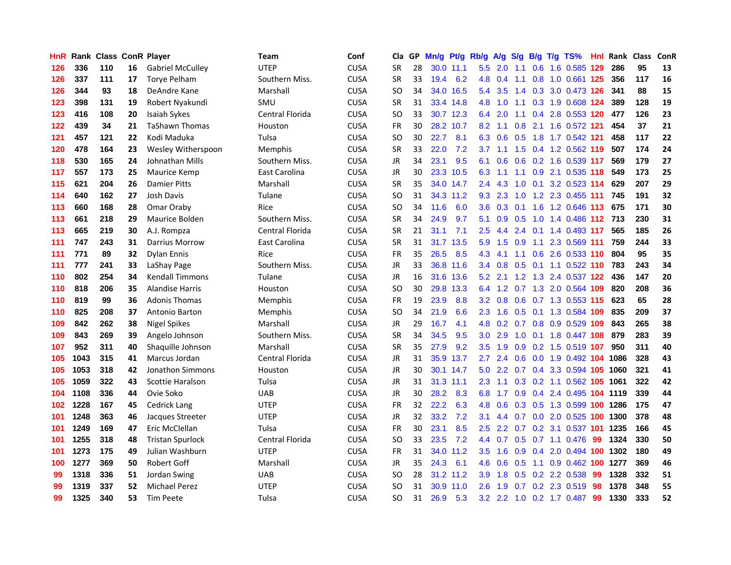| HnR. |      | Rank Class ConR Player |    |                         | Team            | Conf        | Cla           |    | GP Mn/g | Pt/g      | Rb/g             | A/g             | <b>S/g</b> |     | B/g T/g TS%                   | Hnl | Rank Class |     | ConR |
|------|------|------------------------|----|-------------------------|-----------------|-------------|---------------|----|---------|-----------|------------------|-----------------|------------|-----|-------------------------------|-----|------------|-----|------|
| 126  | 336  | 110                    | 16 | <b>Gabriel McCulley</b> | <b>UTEP</b>     | <b>CUSA</b> | <b>SR</b>     | 28 |         | 30.0 11.1 | 5.5              | 2.0             | 1.1        | 0.6 | 1.6 0.585                     | 129 | 286        | 95  | 13   |
| 126  | 337  | 111                    | 17 | <b>Torve Pelham</b>     | Southern Miss.  | <b>CUSA</b> | <b>SR</b>     | 33 | 19.4    | 6.2       | 4.8              | 0.4             | 1.1        | 0.8 | 1.0 0.661 125                 |     | 356        | 117 | 16   |
| 126  | 344  | 93                     | 18 | DeAndre Kane            | Marshall        | <b>CUSA</b> | <b>SO</b>     | 34 | 34.0    | 16.5      | 5.4              | 3.5             | 1.4        | 0.3 | 3.0 0.473 126                 |     | 341        | 88  | 15   |
| 123  | 398  | 131                    | 19 | Robert Nyakundi         | SMU             | <b>CUSA</b> | <b>SR</b>     | 31 |         | 33.4 14.8 | 4.8              | 1.0             |            |     | 1.1 0.3 1.9 0.608 124         |     | 389        | 128 | 19   |
| 123  | 416  | 108                    | 20 | Isaiah Sykes            | Central Florida | <b>CUSA</b> | <sub>SO</sub> | 33 |         | 30.7 12.3 |                  | 6.4 2.0         |            |     | 1.1 0.4 2.8 0.553 120         |     | 477        | 126 | 23   |
| 122  | 439  | 34                     | 21 | <b>TaShawn Thomas</b>   | Houston         | <b>CUSA</b> | <b>FR</b>     | 30 |         | 28.2 10.7 | 8.2              | 1.1             |            |     | 0.8 2.1 1.6 0.572 121         |     | 454        | 37  | 21   |
| 121  | 457  | 121                    | 22 | Kodi Maduka             | Tulsa           | <b>CUSA</b> | <b>SO</b>     | 30 | 22.7    | 8.1       | 6.3              | 0.6             | 0.5        |     | 1.8 1.7 0.542 121             |     | 458        | 117 | 22   |
| 120  | 478  | 164                    | 23 | Wesley Witherspoon      | Memphis         | <b>CUSA</b> | <b>SR</b>     | 33 | 22.0    | 7.2       | 3.7 <sub>2</sub> | 1.1             |            |     | 1.5 0.4 1.2 0.562 119         |     | 507        | 174 | 24   |
| 118  | 530  | 165                    | 24 | Johnathan Mills         | Southern Miss.  | <b>CUSA</b> | JR            | 34 | 23.1    | 9.5       | 6.1              | 0.6             | 0.6        |     | 0.2 1.6 0.539 117             |     | 569        | 179 | 27   |
| 117  | 557  | 173                    | 25 | Maurice Kemp            | East Carolina   | <b>CUSA</b> | JR            | 30 |         | 23.3 10.5 | 6.3              | 1.1             | 1.1        |     | 0.9 2.1 0.535 118             |     | 549        | 173 | 25   |
| 115  | 621  | 204                    | 26 | <b>Damier Pitts</b>     | Marshall        | <b>CUSA</b> | <b>SR</b>     | 35 |         | 34.0 14.7 | $2.4^{\circ}$    | 4.3             | 1.0        | 0.1 | 3.2 0.523 114                 |     | 629        | 207 | 29   |
| 114  | 640  | 162                    | 27 | Josh Davis              | Tulane          | <b>CUSA</b> | <b>SO</b>     | 31 |         | 34.3 11.2 | 9.3              | 2.3             | 1.0        | 1.2 | 2.3 0.455 111                 |     | 745        | 191 | 32   |
| 113  | 660  | 168                    | 28 | Omar Oraby              | Rice            | <b>CUSA</b> | <b>SO</b>     | 34 | 11.6    | 6.0       | 3.6 <sup>2</sup> | 0.3             | 0.1        | 1.6 | 1.2 0.646 113                 |     | 675        | 171 | 30   |
| 113  | 661  | 218                    | 29 | Maurice Bolden          | Southern Miss.  | <b>CUSA</b> | SR            | 34 | 24.9    | 9.7       | 5.1              | 0.9             | 0.5        | 1.0 | 1.4 0.486 112                 |     | 713        | 230 | 31   |
| 113  | 665  | 219                    | 30 | A.J. Rompza             | Central Florida | <b>CUSA</b> | <b>SR</b>     | 21 | 31.1    | 7.1       | 2.5              | 4.4             | 2.4        | 0.1 | 1.4 0.493 117                 |     | 565        | 185 | 26   |
| 111  | 747  | 243                    | 31 | Darrius Morrow          | East Carolina   | <b>CUSA</b> | <b>SR</b>     | 31 |         | 31.7 13.5 | 5.9              | 1.5             | 0.9        | 1.1 | 2.3 0.569 111                 |     | 759        | 244 | 33   |
| 111  | 771  | 89                     | 32 | Dylan Ennis             | Rice            | <b>CUSA</b> | FR            | 35 | 26.5    | 8.5       | 4.3              | 4.1             |            |     | 1.1 0.6 2.6 0.533 110         |     | 804        | 95  | 35   |
| 111  | 777  | 241                    | 33 | LaShay Page             | Southern Miss.  | <b>CUSA</b> | <b>JR</b>     | 33 |         | 36.8 11.6 |                  |                 |            |     | 3.4 0.8 0.5 0.1 1.1 0.522 110 |     | 783        | 243 | 34   |
| 110  | 802  | 254                    | 34 | <b>Kendall Timmons</b>  | Tulane          | <b>CUSA</b> | JR            | 16 |         | 31.6 13.6 | 5.2              | 2.1             |            |     | 1.2 1.3 2.4 0.537 122         |     | 436        | 147 | 20   |
| 110  | 818  | 206                    | 35 | <b>Alandise Harris</b>  | Houston         | <b>CUSA</b> | <b>SO</b>     | 30 |         | 29.8 13.3 |                  |                 |            |     | 6.4 1.2 0.7 1.3 2.0 0.564 109 |     | 820        | 208 | 36   |
| 110  | 819  | 99                     | 36 | <b>Adonis Thomas</b>    | Memphis         | <b>CUSA</b> | <b>FR</b>     | 19 | 23.9    | 8.8       |                  | $3.2 \quad 0.8$ |            |     | 0.6 0.7 1.3 0.553 115         |     | 623        | 65  | 28   |
| 110  | 825  | 208                    | 37 | Antonio Barton          | Memphis         | <b>CUSA</b> | <sub>SO</sub> | 34 | 21.9    | 6.6       | 2.3              | 1.6             | 0.5        | 0.1 | 1.3 0.584 109                 |     | 835        | 209 | 37   |
| 109  | 842  | 262                    | 38 | Nigel Spikes            | Marshall        | <b>CUSA</b> | JR            | 29 | 16.7    | 4.1       | 4.8              | 0.2             |            |     | 0.7 0.8 0.9 0.529 109         |     | 843        | 265 | 38   |
| 109  | 843  | 269                    | 39 | Angelo Johnson          | Southern Miss.  | <b>CUSA</b> | <b>SR</b>     | 34 | 34.5    | 9.5       | 3.0              | 2.9             | 1.0        | 0.1 | 1.8 0.447 108                 |     | 879        | 283 | 39   |
| 107  | 952  | 311                    | 40 | Shaquille Johnson       | Marshall        | <b>CUSA</b> | <b>SR</b>     | 35 | 27.9    | 9.2       | 3.5              | 1.9             | 0.9        |     | 0.2 1.5 0.519 107             |     | 950        | 311 | 40   |
| 105  | 1043 | 315                    | 41 | Marcus Jordan           | Central Florida | <b>CUSA</b> | <b>JR</b>     | 31 | 35.9    | 13.7      | 2.7              | 2.4             | 0.6        | 0.0 | 1.9 0.492 104                 |     | 1086       | 328 | 43   |
| 105  | 1053 | 318                    | 42 | Jonathon Simmons        | Houston         | <b>CUSA</b> | <b>JR</b>     | 30 |         | 30.1 14.7 | 5.0              | 2.2             | 0.7        | 0.4 | 3.3 0.594 105                 |     | 1060       | 321 | 41   |
| 105  | 1059 | 322                    | 43 | Scottie Haralson        | Tulsa           | <b>CUSA</b> | JR            | 31 |         | 31.3 11.1 | 2.3              | 1.1             | 0.3        |     | 0.2 1.1 0.562 105             |     | 1061       | 322 | 42   |
| 104  | 1108 | 336                    | 44 | Ovie Soko               | <b>UAB</b>      | <b>CUSA</b> | <b>JR</b>     | 30 | 28.2    | 8.3       | 6.8              | 1.7             | 0.9        |     | 0.4 2.4 0.495 104 1119        |     |            | 339 | 44   |
| 102  | 1228 | 167                    | 45 | Cedrick Lang            | <b>UTEP</b>     | <b>CUSA</b> | <b>FR</b>     | 32 | 22.2    | 6.3       | 4.8              | 0.6             |            |     | 0.3 0.5 1.3 0.599 100 1286    |     |            | 175 | 47   |
| 101  | 1248 | 363                    | 46 | Jacques Streeter        | <b>UTEP</b>     | <b>CUSA</b> | <b>JR</b>     | 32 | 33.2    | 7.2       | 3.1              | 4.4             |            |     | 0.7 0.0 2.0 0.525 100         |     | 1300       | 378 | 48   |
| 101  | 1249 | 169                    | 47 | Eric McClellan          | Tulsa           | <b>CUSA</b> | <b>FR</b>     | 30 | 23.1    | 8.5       | 2.5              | 2.2             |            |     | 0.7 0.2 3.1 0.537 101         |     | 1235       | 166 | 45   |
| 101  | 1255 | 318                    | 48 | <b>Tristan Spurlock</b> | Central Florida | <b>CUSA</b> | <sub>SO</sub> | 33 | 23.5    | 7.2       |                  | 4.4 0.7         |            |     | $0.5$ 0.7 1.1 0.476           | -99 | 1324       | 330 | 50   |
| 101  | 1273 | 175                    | 49 | Julian Washburn         | <b>UTEP</b>     | <b>CUSA</b> | FR            | 31 |         | 34.0 11.2 | $3.5^{\circ}$    | 1.6             | 0.9        |     | 0.4 2.0 0.494 100             |     | 1302       | 180 | 49   |
| 100  | 1277 | 369                    | 50 | <b>Robert Goff</b>      | Marshall        | <b>CUSA</b> | <b>JR</b>     | 35 | 24.3    | 6.1       | 4.6              | 0.6             | 0.5        | 1.1 | 0.9 0.462                     | 100 | 1277       | 369 | 46   |
| 99   | 1318 | 336                    | 51 | Jordan Swing            | <b>UAB</b>      | <b>CUSA</b> | <b>SO</b>     | 28 |         | 31.2 11.2 | 3.9              | 1.8             | 0.5        |     | 0.2 2.2 0.538                 | -99 | 1328       | 332 | 51   |
| 99   | 1319 | 337                    | 52 | <b>Michael Perez</b>    | <b>UTEP</b>     | <b>CUSA</b> | SO            | 31 |         | 30.9 11.0 | 2.6              | 1.9             | 0.7        |     | 0.2 2.3 0.519                 | 98  | 1378       | 348 | 55   |
| 99   | 1325 | 340                    | 53 | <b>Tim Peete</b>        | Tulsa           | <b>CUSA</b> | SO.           | 31 | 26.9    | 5.3       |                  |                 |            |     | 3.2 2.2 1.0 0.2 1.7 0.487     | 99  | 1330       | 333 | 52   |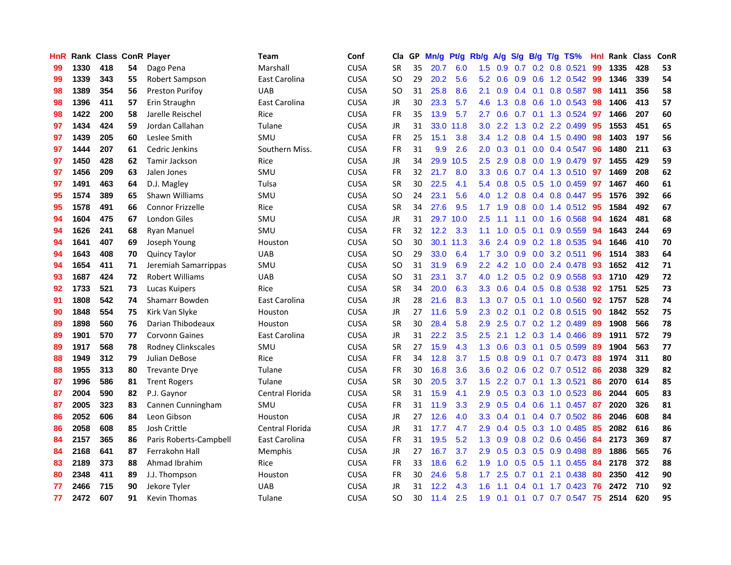| HnR |      | Rank Class ConR Player |    |                           | <b>Team</b>     | Conf        | Cla       | GP. | Mn/g | Pt/g Rb/g |                  | A/g S/g         |                  |                | B/g T/g TS%         | Hnl | Rank Class |     | ConR |
|-----|------|------------------------|----|---------------------------|-----------------|-------------|-----------|-----|------|-----------|------------------|-----------------|------------------|----------------|---------------------|-----|------------|-----|------|
| 99  | 1330 | 418                    | 54 | Dago Pena                 | Marshall        | <b>CUSA</b> | <b>SR</b> | 35  | 20.7 | 6.0       | 1.5              | 0.9             | 0.7              | 0.2            | $0.8$ 0.521         | 99  | 1335       | 428 | 53   |
| 99  | 1339 | 343                    | 55 | Robert Sampson            | East Carolina   | <b>CUSA</b> | <b>SO</b> | 29  | 20.2 | 5.6       | 5.2              | 0.6             | 0.9              | 0.6            | 1.2 0.542           | -99 | 1346       | 339 | 54   |
| 98  | 1389 | 354                    | 56 | <b>Preston Purifoy</b>    | <b>UAB</b>      | <b>CUSA</b> | <b>SO</b> | 31  | 25.8 | 8.6       | 2.1              | 0.9             | 0.4              | 0.1            | 0.8 0.587           | 98  | 1411       | 356 | 58   |
| 98  | 1396 | 411                    | 57 | Erin Straughn             | East Carolina   | <b>CUSA</b> | JR        | 30  | 23.3 | 5.7       | 4.6              | 1.3             |                  | $0.8\ 0.6$     | 1.0 0.543           | 98  | 1406       | 413 | 57   |
| 98  | 1422 | 200                    | 58 | Jarelle Reischel          | Rice            | <b>CUSA</b> | <b>FR</b> | 35  | 13.9 | 5.7       | $2.7^{\circ}$    | 0.6             |                  |                | 0.7 0.1 1.3 0.524   | -97 | 1466       | 207 | 60   |
| 97  | 1434 | 424                    | 59 | Jordan Callahan           | Tulane          | <b>CUSA</b> | JR        | 31  |      | 33.0 11.8 | 3.0 <sub>1</sub> | $2.2^{\circ}$   |                  |                | 1.3 0.2 2.2 0.499   | 95  | 1553       | 451 | 65   |
| 97  | 1439 | 205                    | 60 | Leslee Smith              | SMU             | <b>CUSA</b> | <b>FR</b> | 25  | 15.1 | 3.8       | $3.4^{\circ}$    | 1.2             | 0.8              |                | $0.4$ 1.5 0.490     | 98  | 1403       | 197 | 56   |
| 97  | 1444 | 207                    | 61 | Cedric Jenkins            | Southern Miss.  | <b>CUSA</b> | <b>FR</b> | 31  | 9.9  | 2.6       | 2.0              | 0.3             | 0.1              |                | 0.0 0.4 0.547       | 96  | 1480       | 211 | 63   |
| 97  | 1450 | 428                    | 62 | Tamir Jackson             | Rice            | <b>CUSA</b> | <b>JR</b> | 34  | 29.9 | 10.5      | 2.5              | 2.9             | 0.8              | 0.0            | 1.9 0.479           | 97  | 1455       | 429 | 59   |
| 97  | 1456 | 209                    | 63 | Jalen Jones               | SMU             | <b>CUSA</b> | <b>FR</b> | 32  | 21.7 | 8.0       | 3.3              | 0.6             | 0.7              |                | 0.4 1.3 0.510       | 97  | 1469       | 208 | 62   |
| 97  | 1491 | 463                    | 64 | D.J. Magley               | Tulsa           | <b>CUSA</b> | <b>SR</b> | 30  | 22.5 | 4.1       | 5.4              | 0.8             |                  |                | 0.5 0.5 1.0 0.459   | 97  | 1467       | 460 | 61   |
| 95  | 1574 | 389                    | 65 | Shawn Williams            | SMU             | <b>CUSA</b> | <b>SO</b> | 24  | 23.1 | 5.6       | 4.0              | 1.2             | 0.8              |                | 0.4 0.8 0.447       | 95  | 1576       | 392 | 66   |
| 95  | 1578 | 491                    | 66 | <b>Connor Frizzelle</b>   | Rice            | <b>CUSA</b> | <b>SR</b> | 34  | 27.6 | 9.5       | 1.7 <sup>2</sup> | 1.9             | 0.8              | 0.0            | 1.4 0.512           | 95  | 1584       | 492 | 67   |
| 94  | 1604 | 475                    | 67 | London Giles              | SMU             | <b>CUSA</b> | JR        | 31  |      | 29.7 10.0 | 2.5              | 1.1             | 1.1              | 0.0            | 1.6 0.568           | 94  | 1624       | 481 | 68   |
| 94  | 1626 | 241                    | 68 | <b>Ryan Manuel</b>        | SMU             | <b>CUSA</b> | <b>FR</b> | 32  | 12.2 | 3.3       | 1.1              | 1.0             | 0.5              | 0.1            | 0.9 0.559           | 94  | 1643       | 244 | 69   |
| 94  | 1641 | 407                    | 69 | Joseph Young              | Houston         | <b>CUSA</b> | <b>SO</b> | 30  |      | 30.1 11.3 | 3.6              | 2.4             | 0.9 <sub>0</sub> |                | 0.2 1.8 0.535       | 94  | 1646       | 410 | 70   |
| 94  | 1643 | 408                    | 70 | <b>Quincy Taylor</b>      | <b>UAB</b>      | <b>CUSA</b> | <b>SO</b> | 29  | 33.0 | 6.4       | 1.7              | 3.0             |                  |                | 0.9 0.0 3.2 0.511   | -96 | 1514       | 383 | 64   |
| 94  | 1654 | 411                    | 71 | Jeremiah Samarrippas      | SMU             | <b>CUSA</b> | <b>SO</b> | 31  | 31.9 | 6.9       |                  | $2.2 \quad 4.2$ |                  |                | 1.0 0.0 2.4 0.478   | -93 | 1652       | 412 | 71   |
| 93  | 1687 | 424                    | 72 | <b>Robert Williams</b>    | <b>UAB</b>      | <b>CUSA</b> | <b>SO</b> | 31  | 23.1 | 3.7       |                  | $4.0 \t1.2$     |                  |                | $0.5$ 0.2 0.9 0.558 | 93  | 1710       | 429 | 72   |
| 92  | 1733 | 521                    | 73 | Lucas Kuipers             | Rice            | <b>CUSA</b> | <b>SR</b> | 34  | 20.0 | 6.3       | 3.3 <sub>1</sub> | 0.6             |                  |                | $0.4$ 0.5 0.8 0.538 | 92  | 1751       | 525 | 73   |
| 91  | 1808 | 542                    | 74 | Shamarr Bowden            | East Carolina   | <b>CUSA</b> | JR        | 28  | 21.6 | 8.3       | 1.3              | 0.7             |                  |                | $0.5$ 0.1 1.0 0.560 | 92  | 1757       | 528 | 74   |
| 90  | 1848 | 554                    | 75 | Kirk Van Slyke            | Houston         | <b>CUSA</b> | <b>JR</b> | 27  | 11.6 | 5.9       | 2.3              | 0.2             | 0.1              |                | 0.2 0.8 0.515       | 90  | 1842       | 552 | 75   |
| 89  | 1898 | 560                    | 76 | Darian Thibodeaux         | Houston         | <b>CUSA</b> | <b>SR</b> | 30  | 28.4 | 5.8       | 2.9              | 2.5             |                  |                | 0.7 0.2 1.2 0.489   | -89 | 1908       | 566 | 78   |
| 89  | 1901 | 570                    | 77 | <b>Corvonn Gaines</b>     | East Carolina   | <b>CUSA</b> | JR        | 31  | 22.2 | 3.5       | 2.5              | 2.1             |                  |                | 1.2 0.3 1.4 0.466   | -89 | 1911       | 572 | 79   |
| 89  | 1917 | 568                    | 78 | <b>Rodney Clinkscales</b> | SMU             | <b>CUSA</b> | <b>SR</b> | 27  | 15.9 | 4.3       | 1.3              | 0.6             | 0.3              | 0.1            | 0.5 0.599           | -89 | 1904       | 563 | 77   |
| 88  | 1949 | 312                    | 79 | Julian DeBose             | Rice            | <b>CUSA</b> | <b>FR</b> | 34  | 12.8 | 3.7       | 1.5              | 0.8             | 0.9 <sub>0</sub> | 0.1            | 0.7 0.473           | 88  | 1974       | 311 | 80   |
| 88  | 1955 | 313                    | 80 | <b>Trevante Drye</b>      | Tulane          | <b>CUSA</b> | FR        | 30  | 16.8 | 3.6       | 3.6              | 0.2             | 0.6              |                | $0.2$ 0.7 0.512     | 86  | 2038       | 329 | 82   |
| 87  | 1996 | 586                    | 81 | <b>Trent Rogers</b>       | Tulane          | <b>CUSA</b> | SR        | 30  | 20.5 | 3.7       | 1.5              | 2.2             | 0.7              |                | $0.1$ 1.3 0.521     | 86  | 2070       | 614 | 85   |
| 87  | 2004 | 590                    | 82 | P.J. Gaynor               | Central Florida | <b>CUSA</b> | <b>SR</b> | 31  | 15.9 | 4.1       | 2.9              | 0.5             |                  |                | 0.3 0.3 1.0 0.523   | -86 | 2044       | 605 | 83   |
| 87  | 2005 | 323                    | 83 | Cannen Cunningham         | SMU             | <b>CUSA</b> | <b>FR</b> | 31  | 11.9 | 3.3       | 2.9              | 0.5             |                  | $0.4\quad 0.6$ | 1.1 0.457           | -87 | 2020       | 326 | 81   |
| 86  | 2052 | 606                    | 84 | Leon Gibson               | Houston         | <b>CUSA</b> | JR        | 27  | 12.6 | 4.0       |                  | $3.3 \quad 0.4$ | 0.1              |                | 0.4 0.7 0.502       | -86 | 2046       | 608 | 84   |
| 86  | 2058 | 608                    | 85 | Josh Crittle              | Central Florida | <b>CUSA</b> | <b>JR</b> | 31  | 17.7 | 4.7       | 2.9              | 0.4             |                  |                | 0.5 0.3 1.0 0.485   | -85 | 2082       | 616 | 86   |
| 84  | 2157 | 365                    | 86 | Paris Roberts-Campbell    | East Carolina   | <b>CUSA</b> | <b>FR</b> | 31  | 19.5 | 5.2       | 1.3              | 0.9             |                  |                | 0.8 0.2 0.6 0.456   | 84  | 2173       | 369 | 87   |
| 84  | 2168 | 641                    | 87 | Ferrakohn Hall            | Memphis         | <b>CUSA</b> | JR        | 27  | 16.7 | 3.7       | 2.9              | 0.5             |                  |                | 0.3 0.5 0.9 0.498   | 89  | 1886       | 565 | 76   |
| 83  | 2189 | 373                    | 88 | Ahmad Ibrahim             | Rice            | <b>CUSA</b> | <b>FR</b> | 33  | 18.6 | 6.2       | 1.9              | 1.0             |                  | $0.5$ 0.5      | 1.1 0.455           | 84  | 2178       | 372 | 88   |
| 80  | 2348 | 411                    | 89 | J.J. Thompson             | Houston         | <b>CUSA</b> | <b>FR</b> | 30  | 24.6 | 5.8       | 1.7              | 2.5             | 0.7              | 0.1            | 2.1 0.438           | 80  | 2350       | 412 | 90   |
| 77  | 2466 | 715                    | 90 | Jekore Tyler              | <b>UAB</b>      | <b>CUSA</b> | JR        | 31  | 12.2 | 4.3       | 1.6              | 1.1             | $0.4^{\circ}$    | 0.1            | 1.7 0.423           | 76  | 2472       | 710 | 92   |
| 77  | 2472 | 607                    | 91 | <b>Kevin Thomas</b>       | Tulane          | <b>CUSA</b> | <b>SO</b> | 30  | 11.4 | 2.5       | 1.9              | 0.1             |                  |                | 0.1 0.7 0.7 0.547   | 75  | 2514       | 620 | 95   |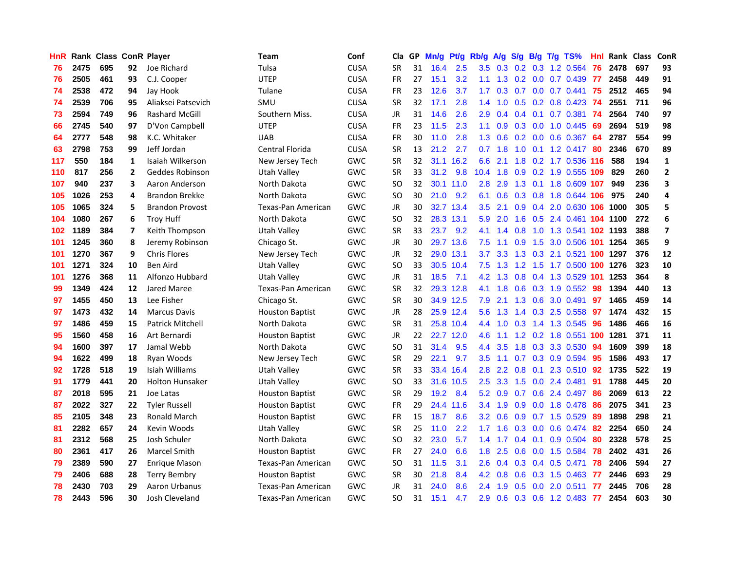| <b>HnR</b> |      | <b>Rank Class ConR Player</b> |                |                         | <b>Team</b>               | Conf        | Cla       |    | GP Mn/g Pt/g |           | Rb/g             | A/g             |                  |                 | S/g B/g T/g TS%            | Hnl  | Rank Class |     | ConR           |
|------------|------|-------------------------------|----------------|-------------------------|---------------------------|-------------|-----------|----|--------------|-----------|------------------|-----------------|------------------|-----------------|----------------------------|------|------------|-----|----------------|
| 76         | 2475 | 695                           | 92             | Joe Richard             | Tulsa                     | <b>CUSA</b> | <b>SR</b> | 31 | 16.4         | 2.5       | 3.5              | 0.3             | 0.2              | 0.3             | 1.2 0.564                  | 76   | 2478       | 697 | 93             |
| 76         | 2505 | 461                           | 93             | C.J. Cooper             | <b>UTEP</b>               | <b>CUSA</b> | <b>FR</b> | 27 | 15.1         | 3.2       | 1.1              | 1.3             |                  | $0.2 \quad 0.0$ | 0.7 0.439                  | 77   | 2458       | 449 | 91             |
| 74         | 2538 | 472                           | 94             | Jay Hook                | Tulane                    | <b>CUSA</b> | <b>FR</b> | 23 | 12.6         | 3.7       | 1.7              | 0.3             | 0.7              |                 | $0.0$ 0.7 0.441            | -75  | 2512       | 465 | 94             |
| 74         | 2539 | 706                           | 95             | Aliaksei Patsevich      | SMU                       | <b>CUSA</b> | <b>SR</b> | 32 | 17.1         | 2.8       |                  | $1.4$ 1.0       |                  |                 | $0.5$ 0.2 0.8 0.423        | -74  | 2551       | 711 | 96             |
| 73         | 2594 | 749                           | 96             | <b>Rashard McGill</b>   | Southern Miss.            | <b>CUSA</b> | JR        | 31 | 14.6         | 2.6       | 2.9              | 0.4             |                  |                 | $0.4$ 0.1 0.7 0.381        | -74  | 2564       | 740 | 97             |
| 66         | 2745 | 540                           | 97             | D'Von Campbell          | <b>UTEP</b>               | <b>CUSA</b> | <b>FR</b> | 23 | 11.5         | 2.3       | 1.1              | 0.9             |                  |                 | $0.3$ 0.0 1.0 0.445        | -69  | 2694       | 519 | 98             |
| 64         | 2777 | 548                           | 98             | K.C. Whitaker           | <b>UAB</b>                | <b>CUSA</b> | <b>FR</b> | 30 | 11.0         | 2.8       | 1.3              | 0.6             |                  |                 | $0.2$ $0.0$ $0.6$ $0.367$  | -64  | 2787       | 554 | 99             |
| 63         | 2798 | 753                           | 99             | Jeff Jordan             | Central Florida           | <b>CUSA</b> | <b>SR</b> | 13 | 21.2         | 2.7       | 0.7              | 1.8             | 1.0              |                 | $0.1$ 1.2 0.417            | 80   | 2346       | 670 | 89             |
| 117        | 550  | 184                           | $\mathbf{1}$   | Isaiah Wilkerson        | New Jersey Tech           | <b>GWC</b>  | <b>SR</b> | 32 |              | 31.1 16.2 | 6.6              | 2.1             | 1.8              |                 | 0.2 1.7 0.536 116          |      | 588        | 194 | $\mathbf 1$    |
| 110        | 817  | 256                           | $\overline{2}$ | Geddes Robinson         | Utah Valley               | GWC         | <b>SR</b> | 33 | 31.2         | 9.8       | 10.4             | 1.8             | 0.9              |                 | 0.2 1.9 0.555              | 109  | 829        | 260 | $\overline{2}$ |
| 107        | 940  | 237                           | 3              | Aaron Anderson          | North Dakota              | GWC         | SO.       | 32 |              | 30.1 11.0 | 2.8              | 2.9             |                  | $1.3 \quad 0.1$ | 1.8 0.609 107              |      | 949        | 236 | 3              |
| 105        | 1026 | 253                           | 4              | <b>Brandon Brekke</b>   | North Dakota              | <b>GWC</b>  | SO.       | 30 | 21.0         | 9.2       | 6.1              | 0.6             |                  | $0.3 \quad 0.8$ | 1.8 0.644                  | 106  | 975        | 240 | 4              |
| 105        | 1065 | 324                           | 5              | <b>Brandon Provost</b>  | <b>Texas-Pan American</b> | <b>GWC</b>  | JR        | 30 |              | 32.7 13.4 | 3.5              | 2.1             | 0.9 <sub>0</sub> | 0.4             | 2.0 0.630 106              |      | 1000       | 305 | 5              |
| 104        | 1080 | 267                           | 6              | <b>Troy Huff</b>        | North Dakota              | GWC         | SO.       | 32 |              | 28.3 13.1 | 5.9              | 2.0             | 1.6              | 0.5             | 2.4 0.461 104 1100         |      |            | 272 | 6              |
| 102        | 1189 | 384                           | 7              | Keith Thompson          | <b>Utah Valley</b>        | GWC         | <b>SR</b> | 33 | 23.7         | 9.2       | 4.1              | 1.4             | 0.8              | 1.0             | 1.3 0.541 102 1193         |      |            | 388 | $\overline{7}$ |
| 101        | 1245 | 360                           | 8              | Jeremy Robinson         | Chicago St.               | GWC         | JR        | 30 |              | 29.7 13.6 | 7.5              | 1.1             | 0.9              | 1.5             | 3.0 0.506                  | -101 | 1254       | 365 | 9              |
| 101        | 1270 | 367                           | 9              | <b>Chris Flores</b>     | New Jersey Tech           | GWC         | JR        | 32 |              | 29.0 13.1 | 3.7              | 3.3             | 1.3              |                 | 0.3 2.1 0.521 100 1297     |      |            | 376 | 12             |
| 101        | 1271 | 324                           | 10             | <b>Ben Aird</b>         | Utah Valley               | GWC         | SO.       | 33 |              | 30.5 10.4 |                  | $7.5$ 1.3       | 1.2              |                 | 1.5 1.7 0.500 100 1276     |      |            | 323 | 10             |
| 101        | 1276 | 368                           | 11             | Alfonzo Hubbard         | Utah Vallev               | GWC         | JR        | 31 | 18.5         | 7.1       |                  | $4.2$ 1.3       |                  |                 | 0.8 0.4 1.3 0.529 101      |      | 1253       | 364 | 8              |
| 99         | 1349 | 424                           | 12             | Jared Maree             | Texas-Pan American        | GWC         | <b>SR</b> | 32 |              | 29.3 12.8 |                  | $4.1 \quad 1.8$ |                  |                 | 0.6 0.3 1.9 0.552          | -98  | 1394       | 440 | 13             |
| 97         | 1455 | 450                           | 13             | Lee Fisher              | Chicago St.               | GWC         | <b>SR</b> | 30 |              | 34.9 12.5 | 7.9              | 2.1             |                  |                 | 1.3 0.6 3.0 0.491          | 97   | 1465       | 459 | 14             |
| 97         | 1473 | 432                           | 14             | <b>Marcus Davis</b>     | Houston Baptist           | GWC         | JR        | 28 |              | 25.9 12.4 | 5.6              | 1.3             |                  |                 | 1.4 0.3 2.5 0.558          | 97   | 1474       | 432 | 15             |
| 97         | 1486 | 459                           | 15             | <b>Patrick Mitchell</b> | North Dakota              | <b>GWC</b>  | <b>SR</b> | 31 |              | 25.8 10.4 |                  | $4.4$ 1.0       | 0.3              |                 | 1.4 1.3 0.545              | 96   | 1486       | 466 | 16             |
| 95         | 1560 | 458                           | 16             | Art Bernardi            | <b>Houston Baptist</b>    | GWC         | JR        | 22 |              | 22.7 12.0 | 4.6              | 1.1             |                  |                 | 1.2 0.2 1.8 0.551 100 1281 |      |            | 371 | 11             |
| 94         | 1600 | 397                           | 17             | Jamal Webb              | North Dakota              | <b>GWC</b>  | SO        | 31 | 31.4         | 9.5       | $4.4^{\circ}$    | 3.5             |                  |                 | 1.8 0.3 3.3 0.530          | -94  | 1609       | 399 | 18             |
| 94         | 1622 | 499                           | 18             | Ryan Woods              | New Jersey Tech           | <b>GWC</b>  | <b>SR</b> | 29 | 22.1         | 9.7       | 3.5              | 1.1             | 0.7              |                 | 0.3 0.9 0.594              | 95   | 1586       | 493 | 17             |
| 92         | 1728 | 518                           | 19             | Isiah Williams          | <b>Utah Valley</b>        | <b>GWC</b>  | <b>SR</b> | 33 |              | 33.4 16.4 | 2.8              | 2.2             | 0.8              | 0.1             | 2.3 0.510                  | 92   | 1735       | 522 | 19             |
| 91         | 1779 | 441                           | 20             | <b>Holton Hunsaker</b>  | Utah Valley               | GWC         | SO.       | 33 | 31.6         | 10.5      | 2.5              | 3.3             | 1.5              | 0.0             | 2.4 0.481                  | 91   | 1788       | 445 | 20             |
| 87         | 2018 | 595                           | 21             | Joe Latas               | <b>Houston Baptist</b>    | GWC         | <b>SR</b> | 29 | 19.2         | 8.4       | 5.2              | 0.9             | 0.7              | 0.6             | 2.4 0.497                  | 86   | 2069       | 613 | 22             |
| 87         | 2022 | 327                           | 22             | <b>Tyler Russell</b>    | <b>Houston Baptist</b>    | GWC         | <b>FR</b> | 29 |              | 24.4 11.6 |                  | $3.4$ 1.9       | 0.9              | 0.0             | 1.8 0.478                  | 86   | 2075       | 341 | 23             |
| 85         | 2105 | 348                           | 23             | Ronald March            | <b>Houston Baptist</b>    | GWC         | <b>FR</b> | 15 | 18.7         | 8.6       | 3.2              | 0.6             | 0.9              |                 | $0.7$ 1.5 $0.529$          | -89  | 1898       | 298 | 21             |
| 81         | 2282 | 657                           | 24             | Kevin Woods             | Utah Vallev               | GWC         | <b>SR</b> | 25 | 11.0         | 2.2       | 1.7 <sub>z</sub> | 1.6             |                  |                 | $0.3$ 0.0 0.6 0.474        | -82  | 2254       | 650 | 24             |
| 81         | 2312 | 568                           | 25             | Josh Schuler            | North Dakota              | GWC         | SO.       | 32 | 23.0         | 5.7       |                  | $1.4$ 1.7       |                  | $0.4 \quad 0.1$ | 0.9 0.504                  | 80   | 2328       | 578 | 25             |
| 80         | 2361 | 417                           | 26             | <b>Marcel Smith</b>     | Houston Baptist           | GWC         | <b>FR</b> | 27 | 24.0         | 6.6       | 1.8 <sup>1</sup> | 2.5             | 0.6              |                 | 0.0 1.5 0.584              | 78   | 2402       | 431 | 26             |
| 79         | 2389 | 590                           | 27             | <b>Enrique Mason</b>    | Texas-Pan American        | GWC         | <b>SO</b> | 31 | 11.5         | 3.1       | $2.6\,$          | 0.4             |                  |                 | 0.3 0.4 0.5 0.471          | 78   | 2406       | 594 | 27             |
| 79         | 2406 | 688                           | 28             | <b>Terry Bembry</b>     | <b>Houston Baptist</b>    | GWC         | <b>SR</b> | 30 | 21.8         | 8.4       | 4.2              | 0.8             | 0.6              |                 | $0.3$ 1.5 $0.463$          | 77   | 2446       | 693 | 29             |
| 78         | 2430 | 703                           | 29             | Aaron Urbanus           | Texas-Pan American        | GWC         | JR        | 31 | 24.0         | 8.6       | 2.4              | 1.9             | 0.5              | 0.0             | 2.0 0.511                  | 77   | 2445       | 706 | 28             |
| 78         | 2443 | 596                           | 30             | Josh Cleveland          | Texas-Pan American        | GWC         | SΟ        | 31 | 15.1         | 4.7       | 2.9              | 0.6             |                  |                 | $0.3$ 0.6 1.2 0.483        | 77   | 2454       | 603 | 30             |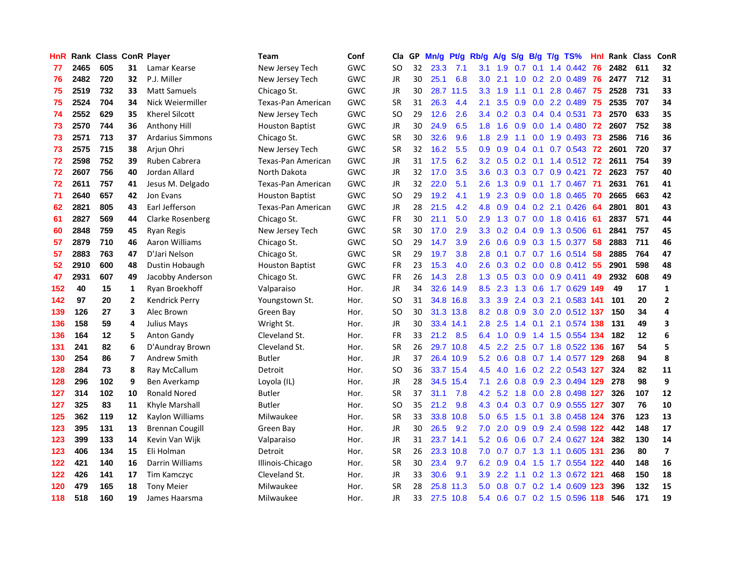| <b>HnR</b> |      | Rank Class ConR Player |                |                         | <b>Team</b>            | Conf       | Cla       |    | GP Mn/g   | Pt/g      | Rb/g             | A/g             | <b>S/g</b>    |                 | B/g T/g TS%               | Hnl | Rank Class ConR |     |                         |
|------------|------|------------------------|----------------|-------------------------|------------------------|------------|-----------|----|-----------|-----------|------------------|-----------------|---------------|-----------------|---------------------------|-----|-----------------|-----|-------------------------|
| 77         | 2465 | 605                    | 31             | Lamar Kearse            | New Jersey Tech        | <b>GWC</b> | SO.       | 32 | 23.3      | 7.1       | 3.1              | 1.9             | 0.7           | 0.1             | 1.4 0.442                 | 76  | 2482            | 611 | 32                      |
| 76         | 2482 | 720                    | 32             | P.J. Miller             | New Jersey Tech        | <b>GWC</b> | JR        | 30 | 25.1      | 6.8       | 3.0              | 2.1             | 1.0           | 0.2             | 2.0 0.489                 | 76  | 2477            | 712 | 31                      |
| 75         | 2519 | 732                    | 33             | <b>Matt Samuels</b>     | Chicago St.            | GWC        | JR        | 30 | 28.7      | 11.5      | 3.3              | 1.9             | 1.1           | 0.1             | 2.8 0.467                 | -75 | 2528            | 731 | 33                      |
| 75         | 2524 | 704                    | 34             | Nick Weiermiller        | Texas-Pan American     | <b>GWC</b> | <b>SR</b> | 31 | 26.3      | 4.4       | 2.1              | 3.5             | 0.9           |                 | 0.0 2.2 0.489             | 75  | 2535            | 707 | 34                      |
| 74         | 2552 | 629                    | 35             | <b>Kherel Silcott</b>   | New Jersey Tech        | GWC        | SO.       | 29 | 12.6      | 2.6       |                  |                 |               |                 | 3.4 0.2 0.3 0.4 0.4 0.531 | 73  | 2570            | 633 | 35                      |
| 73         | 2570 | 744                    | 36             | Anthony Hill            | <b>Houston Baptist</b> | GWC        | JR        | 30 | 24.9      | 6.5       | 1.8 <sup>1</sup> | 1.6             | 0.9           |                 | 0.0 1.4 0.480 72          |     | 2607            | 752 | 38                      |
| 73         | 2571 | 713                    | 37             | <b>Ardarius Simmons</b> | Chicago St.            | GWC        | <b>SR</b> | 30 | 32.6      | 9.6       | 1.8 <sup>°</sup> | 2.9             | 1.1           |                 | $0.0$ 1.9 $0.493$         | -73 | 2586            | 716 | 36                      |
| 73         | 2575 | 715                    | 38             | Arjun Ohri              | New Jersey Tech        | GWC        | <b>SR</b> | 32 | 16.2      | 5.5       | 0.9              | 0.9             | 0.4           | 0.1             | $0.7$ $0.543$             | 72  | 2601            | 720 | 37                      |
| 72         | 2598 | 752                    | 39             | Ruben Cabrera           | Texas-Pan American     | <b>GWC</b> | JR        | 31 | 17.5      | 6.2       | 3.2              | 0.5             | 0.2           | 0.1             | 1.4 0.512                 | 72  | 2611            | 754 | 39                      |
| 72         | 2607 | 756                    | 40             | Jordan Allard           | North Dakota           | GWC        | JR        | 32 | 17.0      | 3.5       | 3.6              | 0.3             | 0.3           |                 | $0.7$ 0.9 0.421           | 72  | 2623            | 757 | 40                      |
| 72         | 2611 | 757                    | 41             | Jesus M. Delgado        | Texas-Pan American     | GWC        | JR        | 32 | 22.0      | 5.1       | 2.6              | 1.3             | 0.9           | 0.1             | 1.7 0.467                 | 71  | 2631            | 761 | 41                      |
| 71         | 2640 | 657                    | 42             | Jon Evans               | <b>Houston Baptist</b> | <b>GWC</b> | <b>SO</b> | 29 | 19.2      | 4.1       | 1.9              | 2.3             | 0.9           | 0.0             | 1.8 0.465                 | 70  | 2665            | 663 | 42                      |
| 62         | 2821 | 805                    | 43             | Earl Jefferson          | Texas-Pan American     | <b>GWC</b> | <b>JR</b> | 28 | 21.5      | 4.2       | 4.8              | 0.9             | 0.4           | 0.2             | 2.1 0.426                 | 64  | 2801            | 801 | 43                      |
| 61         | 2827 | 569                    | 44             | Clarke Rosenberg        | Chicago St.            | GWC        | FR        | 30 | 21.1      | 5.0       | 2.9              | 1.3             | 0.7           | 0.0             | 1.8 0.416                 | -61 | 2837            | 571 | 44                      |
| 60         | 2848 | 759                    | 45             | Ryan Regis              | New Jersey Tech        | GWC        | <b>SR</b> | 30 | 17.0      | 2.9       | 3.3 <sub>2</sub> | 0.2             | $0.4^{\circ}$ | 0.9             | 1.3 0.506                 | -61 | 2841            | 757 | 45                      |
| 57         | 2879 | 710                    | 46             | Aaron Williams          | Chicago St.            | GWC        | <b>SO</b> | 29 | 14.7      | 3.9       | 2.6              | 0.6             | 0.9           | 0.3             | 1.5 0.377                 | 58  | 2883            | 711 | 46                      |
| 57         | 2883 | 763                    | 47             | D'Jari Nelson           | Chicago St.            | GWC        | <b>SR</b> | 29 | 19.7      | 3.8       | 2.8              | 0.1             |               |                 | 0.7 0.7 1.6 0.514         | 58  | 2885            | 764 | 47                      |
| 52         | 2910 | 600                    | 48             | Dustin Hobaugh          | <b>Houston Baptist</b> | GWC        | FR        | 23 | 15.3      | 4.0       | 2.6              |                 |               |                 | 0.3 0.2 0.0 0.8 0.412 55  |     | 2901            | 598 | 48                      |
| 47         | 2931 | 607                    | 49             | Jacobby Anderson        | Chicago St.            | GWC        | FR        | 26 | 14.3      | 2.8       |                  | $1.3 \quad 0.5$ |               |                 | 0.3 0.0 0.9 0.411 49      |     | 2932            | 608 | 49                      |
| 152        | 40   | 15                     | 1              | Ryan Broekhoff          | Valparaiso             | Hor.       | JR        | 34 | 32.6      | 14.9      | 8.5              | 2.3             |               |                 | 1.3 0.6 1.7 0.629 149     |     | 49              | 17  | $\mathbf{1}$            |
| 142        | 97   | 20                     | $\overline{2}$ | Kendrick Perry          | Youngstown St.         | Hor.       | <b>SO</b> | 31 |           | 34.8 16.8 | 3.3 <sub>°</sub> | 3.9             |               |                 | 2.4 0.3 2.1 0.583 141     |     | 101             | 20  | $\overline{2}$          |
| 139        | 126  | 27                     | 3              | Alec Brown              | Green Bay              | Hor.       | <b>SO</b> | 30 |           | 31.3 13.8 | 8.2              | 0.8             |               |                 | 0.9 3.0 2.0 0.512 137     |     | 150             | 34  | 4                       |
| 136        | 158  | 59                     | 4              | <b>Julius Mays</b>      | Wright St.             | Hor.       | <b>JR</b> | 30 | 33.4 14.1 |           | 2.8              | 2.5             | 1.4           | 0.1             | 2.1 0.574 138             |     | 131             | 49  | 3                       |
| 136        | 164  | 12                     | 5              | <b>Anton Gandy</b>      | Cleveland St.          | Hor.       | FR        | 33 | 21.2      | 8.5       | 6.4              | 1.0             | 0.9           |                 | 1.4 1.5 0.554 134         |     | 182             | 12  | 6                       |
| 131        | 241  | 82                     | 6              | D'Aundray Brown         | Cleveland St.          | Hor.       | <b>SR</b> | 26 |           | 29.7 10.8 | 4.5              | 2.2             |               |                 | 2.5 0.7 1.8 0.522 136     |     | 167             | 54  | 5                       |
| 130        | 254  | 86                     | 7              | Andrew Smith            | Butler                 | Hor.       | <b>JR</b> | 37 |           | 26.4 10.9 | 5.2              | 0.6             |               |                 | 0.8 0.7 1.4 0.577 129     |     | 268             | 94  | 8                       |
| 128        | 284  | 73                     | 8              | Ray McCallum            | Detroit                | Hor.       | SO.       | 36 |           | 33.7 15.4 | 4.5              | 4.0             | 1.6           |                 | 0.2 2.2 0.543 127         |     | 324             | 82  | 11                      |
| 128        | 296  | 102                    | 9              | Ben Averkamp            | Loyola (IL)            | Hor.       | JR        | 28 | 34.5      | 15.4      | 7.1              | 2.6             | 0.8           | 0.9             | 2.3 0.494 129             |     | 278             | 98  | 9                       |
| 127        | 314  | 102                    | 10             | <b>Ronald Nored</b>     | Butler                 | Hor.       | <b>SR</b> | 37 | 31.1      | 7.8       | 4.2              | 5.2             | 1.8           | 0.0             | 2.8 0.498 127             |     | 326             | 107 | 12                      |
| 127        | 325  | 83                     | 11             | Khyle Marshall          | <b>Butler</b>          | Hor.       | <b>SO</b> | 35 | 21.2      | 9.8       | 4.3              | 0.4             |               | $0.3 \quad 0.7$ | 0.9 0.555 127             |     | 307             | 76  | 10                      |
| 125        | 362  | 119                    | 12             | Kaylon Williams         | Milwaukee              | Hor.       | <b>SR</b> | 33 | 33.8      | 10.8      | 5.0              | 6.5             | 1.5           | 0.1             | 3.8 0.458 124             |     | 376             | 123 | 13                      |
| 123        | 395  | 131                    | 13             | <b>Brennan Cougill</b>  | Green Bay              | Hor.       | JR        | 30 | 26.5      | 9.2       | 7.0              | 2.0             |               |                 | 0.9 0.9 2.4 0.598 122     |     | 442             | 148 | 17                      |
| 123        | 399  | 133                    | 14             | Kevin Van Wijk          | Valparaiso             | Hor.       | JR        | 31 |           | 23.7 14.1 | 5.2              | 0.6             |               |                 | 0.6 0.7 2.4 0.627 124     |     | 382             | 130 | 14                      |
| 123        | 406  | 134                    | 15             | Eli Holman              | Detroit                | Hor.       | <b>SR</b> | 26 |           | 23.3 10.8 | 7.0              | 0.7             |               |                 | 0.7 1.3 1.1 0.605 131     |     | 236             | 80  | $\overline{\mathbf{z}}$ |
| 122        | 421  | 140                    | 16             | Darrin Williams         | Illinois-Chicago       | Hor.       | <b>SR</b> | 30 | 23.4      | 9.7       | 6.2              | 0.9             | 0.4           | 1.5             | 1.7 0.554 122             |     | 440             | 148 | 16                      |
| 122        | 426  | 141                    | 17             | Tim Kamczyc             | Cleveland St.          | Hor.       | JR        | 33 | 30.6      | 9.1       | 3.9              | 2.2             | 1.1           |                 | 0.2 1.3 0.672 121         |     | 468             | 150 | 18                      |
| 120        | 479  | 165                    | 18             | <b>Tony Meier</b>       | Milwaukee              | Hor.       | <b>SR</b> | 28 | 25.8      | 11.3      | 5.0              | 0.8             | 0.7           | 0.2             | 1.4 0.609                 | 123 | 396             | 132 | 15                      |
| 118        | 518  | 160                    | 19             | James Haarsma           | Milwaukee              | Hor.       | JR        | 33 | 27.5      | 10.8      | 5.4              | 0.6             |               |                 | 0.7 0.2 1.5 0.596 118     |     | 546             | 171 | 19                      |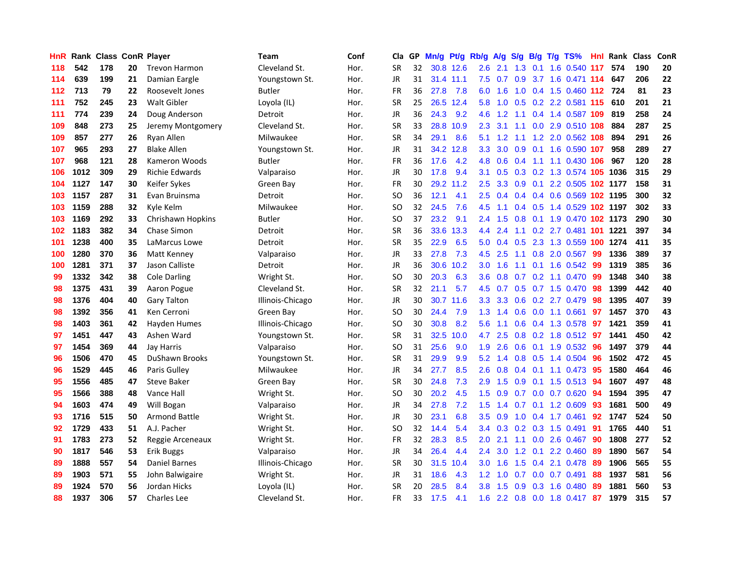| HnR. |      | <b>Rank Class ConR Player</b> |    |                       | Team             | Conf | Cla           |    | GP Mn/g | Pt/g      | Rb/g             | <b>A/g</b> | S/g              |     | B/g T/g TS%                | Hnl  | Rank Class |     | ConR |
|------|------|-------------------------------|----|-----------------------|------------------|------|---------------|----|---------|-----------|------------------|------------|------------------|-----|----------------------------|------|------------|-----|------|
| 118  | 542  | 178                           | 20 | <b>Trevon Harmon</b>  | Cleveland St.    | Hor. | <b>SR</b>     | 32 |         | 30.8 12.6 | 2.6              | 2.1        | 1.3              | 0.1 | 1.6 0.540                  | 117  | 574        | 190 | 20   |
| 114  | 639  | 199                           | 21 | Damian Eargle         | Youngstown St.   | Hor. | <b>JR</b>     | 31 |         | 31.4 11.1 | 7.5              | 0.7        | 0.9              | 3.7 | 1.6 0.471 114              |      | 647        | 206 | 22   |
| 112  | 713  | 79                            | 22 | Roosevelt Jones       | <b>Butler</b>    | Hor. | <b>FR</b>     | 36 | 27.8    | 7.8       | 6.0              | 1.6        | 1.0              |     | 0.4 1.5 0.460 112 724      |      |            | 81  | 23   |
| 111  | 752  | 245                           | 23 | <b>Walt Gibler</b>    | Loyola (IL)      | Hor. | <b>SR</b>     | 25 |         | 26.5 12.4 | 5.8              | 1.0        |                  |     | 0.5 0.2 2.2 0.581 115      |      | 610        | 201 | 21   |
| 111  | 774  | 239                           | 24 | Doug Anderson         | Detroit          | Hor. | <b>JR</b>     | 36 | 24.3    | 9.2       | 4.6              | 1.2        | 1.1              |     | 0.4 1.4 0.587 109          |      | 819        | 258 | 24   |
| 109  | 848  | 273                           | 25 | Jeremy Montgomery     | Cleveland St.    | Hor. | <b>SR</b>     | 33 |         | 28.8 10.9 | 2.3              | 3.1        | 1.1              |     | 0.0 2.9 0.510 108          |      | 884        | 287 | 25   |
| 109  | 857  | 277                           | 26 | Ryan Allen            | Milwaukee        | Hor. | <b>SR</b>     | 34 | 29.1    | 8.6       | 5.1              | 1.2        | 1.1              |     | 1.2 2.0 0.562 108          |      | 894        | 291 | 26   |
| 107  | 965  | 293                           | 27 | <b>Blake Allen</b>    | Youngstown St.   | Hor. | <b>JR</b>     | 31 |         | 34.2 12.8 | 3.3 <sub>2</sub> | 3.0        | 0.9              |     | 0.1 1.6 0.590 107          |      | 958        | 289 | 27   |
| 107  | 968  | 121                           | 28 | Kameron Woods         | <b>Butler</b>    | Hor. | <b>FR</b>     | 36 | 17.6    | 4.2       | 4.8              | 0.6        | 0.4              | 1.1 | 1.1 0.430 106              |      | 967        | 120 | 28   |
| 106  | 1012 | 309                           | 29 | <b>Richie Edwards</b> | Valparaiso       | Hor. | JR            | 30 | 17.8    | 9.4       | 3.1              | 0.5        |                  |     | 0.3 0.2 1.3 0.574 105 1036 |      |            | 315 | 29   |
| 104  | 1127 | 147                           | 30 | Keifer Sykes          | Green Bay        | Hor. | FR            | 30 |         | 29.2 11.2 | 2.5              | 3.3        | 0.9              | 0.1 | 2.2 0.505 102 1177         |      |            | 158 | 31   |
| 103  | 1157 | 287                           | 31 | Evan Bruinsma         | Detroit          | Hor. | <b>SO</b>     | 36 | 12.1    | 4.1       | 2.5              | 0.4        | 0.4              |     | 0.4 0.6 0.569 102 1195     |      |            | 300 | 32   |
| 103  | 1159 | 288                           | 32 | Kyle Kelm             | Milwaukee        | Hor. | SO            | 32 | 24.5    | 7.6       | 4.5              | 1.1        | 0.4              | 0.5 | 1.4 0.529 102 1197         |      |            | 302 | 33   |
| 103  | 1169 | 292                           | 33 | Chrishawn Hopkins     | Butler           | Hor. | SO            | 37 | 23.2    | 9.1       | $2.4^{\circ}$    | 1.5        | 0.8              | 0.1 | 1.9 0.470                  |      | 102 1173   | 290 | 30   |
| 102  | 1183 | 382                           | 34 | Chase Simon           | Detroit          | Hor. | <b>SR</b>     | 36 | 33.6    | 13.3      | $4.4^{\circ}$    | 2.4        | 1.1              | 0.2 | 2.7 0.481                  | -101 | 1221       | 397 | 34   |
| 101  | 1238 | 400                           | 35 | LaMarcus Lowe         | Detroit          | Hor. | <b>SR</b>     | 35 | 22.9    | 6.5       | 5.0              | 0.4        | 0.5              |     | 2.3 1.3 0.559 100          |      | 1274       | 411 | 35   |
| 100  | 1280 | 370                           | 36 | Matt Kenney           | Valparaiso       | Hor. | JR            | 33 | 27.8    | 7.3       | 4.5              | 2.5        | 1.1              |     | 0.8 2.0 0.567              | -99  | 1336       | 389 | 37   |
| 100  | 1281 | 371                           | 37 | Jason Calliste        | Detroit          | Hor. | JR            | 36 | 30.6    | 10.2      | 3.0 <sub>1</sub> | 1.6        |                  |     | 1.1 0.1 1.6 0.542          | -99  | 1319       | 385 | 36   |
| 99   | 1332 | 342                           | 38 | <b>Cole Darling</b>   | Wright St.       | Hor. | <b>SO</b>     | 30 | 20.3    | 6.3       | 3.6 <sup>2</sup> | 0.8        |                  |     | $0.7$ $0.2$ 1.1 $0.470$    | -99  | 1348       | 340 | 38   |
| 98   | 1375 | 431                           | 39 | Aaron Pogue           | Cleveland St.    | Hor. | <b>SR</b>     | 32 | 21.1    | 5.7       | 4.5              |            |                  |     | 0.7 0.5 0.7 1.5 0.470      | -98  | 1399       | 442 | 40   |
| 98   | 1376 | 404                           | 40 | <b>Gary Talton</b>    | Illinois-Chicago | Hor. | <b>JR</b>     | 30 |         | 30.7 11.6 | 3.3 <sub>1</sub> | 3.3        |                  |     | 0.6 0.2 2.7 0.479          | 98   | 1395       | 407 | 39   |
| 98   | 1392 | 356                           | 41 | Ken Cerroni           | Green Bay        | Hor. | <sub>SO</sub> | 30 | 24.4    | 7.9       | 1.3              | 1.4        | 0.6              |     | $0.0$ 1.1 $0.661$          | 97   | 1457       | 370 | 43   |
| 98   | 1403 | 361                           | 42 | Hayden Humes          | Illinois-Chicago | Hor. | <sub>SO</sub> | 30 | 30.8    | 8.2       | 5.6              | 1.1        | 0.6              |     | 0.4 1.3 0.578              | -97  | 1421       | 359 | 41   |
| 97   | 1451 | 447                           | 43 | Ashen Ward            | Youngstown St.   | Hor. | <b>SR</b>     | 31 | 32.5    | 10.0      | 4.7              | 2.5        | 0.8              |     | 0.2 1.8 0.512              | -97  | 1441       | 450 | 42   |
| 97   | 1454 | 369                           | 44 | Jay Harris            | Valparaiso       | Hor. | SO            | 31 | 25.6    | 9.0       | 1.9              | 2.6        | 0.6              | 0.1 | 1.9 0.532                  | 96   | 1497       | 379 | 44   |
| 96   | 1506 | 470                           | 45 | <b>DuShawn Brooks</b> | Youngstown St.   | Hor. | <b>SR</b>     | 31 | 29.9    | 9.9       | 5.2              | 1.4        | 0.8 <sub>0</sub> | 0.5 | 1.4 0.504                  | 96   | 1502       | 472 | 45   |
| 96   | 1529 | 445                           | 46 | Paris Gulley          | Milwaukee        | Hor. | <b>JR</b>     | 34 | 27.7    | 8.5       | 2.6              | 0.8        | 0.4              | 0.1 | 1.1 0.473                  | 95   | 1580       | 464 | 46   |
| 95   | 1556 | 485                           | 47 | <b>Steve Baker</b>    | Green Bay        | Hor. | <b>SR</b>     | 30 | 24.8    | 7.3       | 2.9              | 1.5        | 0.9              | 0.1 | $1.5 \t0.513$              | 94   | 1607       | 497 | 48   |
| 95   | 1566 | 388                           | 48 | Vance Hall            | Wright St.       | Hor. | SO            | 30 | 20.2    | 4.5       | $1.5^{\circ}$    | 0.9        | 0.7              | 0.0 | $0.7$ $0.620$              | -94  | 1594       | 395 | 47   |
| 94   | 1603 | 474                           | 49 | Will Bogan            | Valparaiso       | Hor. | JR            | 34 | 27.8    | 7.2       | 1.5 <sub>1</sub> | 1.4        |                  |     | $0.7$ 0.1 1.2 0.609        | 93   | 1681       | 500 | 49   |
| 93   | 1716 | 515                           | 50 | <b>Armond Battle</b>  | Wright St.       | Hor. | JR            | 30 | 23.1    | 6.8       | $3.5^{\circ}$    | 0.9        |                  |     | 1.0 0.4 1.7 0.461          | 92   | 1747       | 524 | 50   |
| 92   | 1729 | 433                           | 51 | A.J. Pacher           | Wright St.       | Hor. | <b>SO</b>     | 32 | 14.4    | 5.4       |                  |            |                  |     | 3.4 0.3 0.2 0.3 1.5 0.491  | 91   | 1765       | 440 | 51   |
| 91   | 1783 | 273                           | 52 | Reggie Arceneaux      | Wright St.       | Hor. | FR            | 32 | 28.3    | 8.5       | 2.0 <sub>1</sub> | 2.1        | 1.1              |     | $0.0$ 2.6 $0.467$          | 90   | 1808       | 277 | 52   |
| 90   | 1817 | 546                           | 53 | Erik Buggs            | Valparaiso       | Hor. | JR            | 34 | 26.4    | 4.4       | $2.4^{\circ}$    | 3.0        | 1.2              | 0.1 | 2.2 0.460                  | 89   | 1890       | 567 | 54   |
| 89   | 1888 | 557                           | 54 | <b>Daniel Barnes</b>  | Illinois-Chicago | Hor. | <b>SR</b>     | 30 | 31.5    | 10.4      | 3.0              | 1.6        | 1.5              | 0.4 | 2.1 0.478                  | 89   | 1906       | 565 | 55   |
| 89   | 1903 | 571                           | 55 | John Balwigaire       | Wright St.       | Hor. | JR            | 31 | 18.6    | 4.3       | 1.2 <sub>1</sub> | 1.0        | 0.7              | 0.0 | $0.7$ 0.491                | 88   | 1937       | 581 | 56   |
| 89   | 1924 | 570                           | 56 | Jordan Hicks          | Loyola (IL)      | Hor. | <b>SR</b>     | 20 | 28.5    | 8.4       | 3.8              | 1.5        | 0.9              | 0.3 | 1.6 0.480                  | 89   | 1881       | 560 | 53   |
| 88   | 1937 | 306                           | 57 | Charles Lee           | Cleveland St.    | Hor. | <b>FR</b>     | 33 | 17.5    | 4.1       | 1.6              |            |                  |     | 2.2 0.8 0.0 1.8 0.417      | 87   | 1979       | 315 | 57   |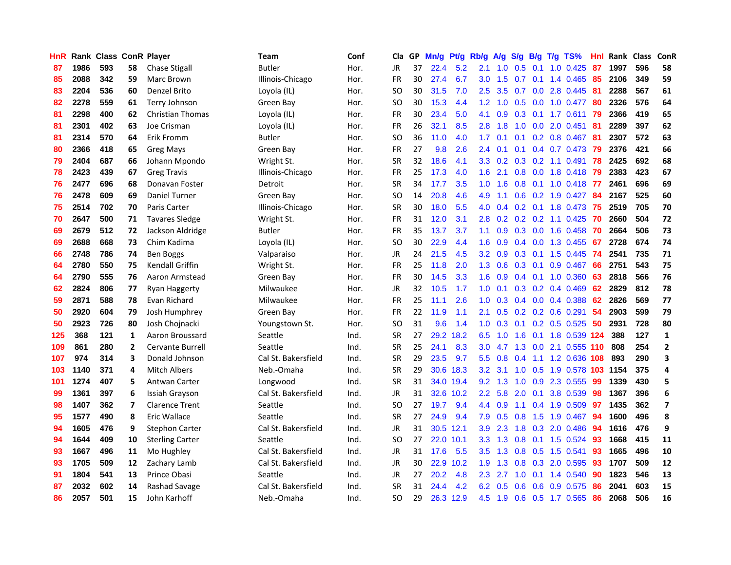| <b>HnR</b> |      | Rank Class ConR Player |                |                         | Team                | Conf | Cla       |    | GP Mn/g | Pt/g      | Rb/g             | A/g             |                  |                |     | S/g B/g T/g TS%           | Hnl | Rank Class |     | ConR                    |
|------------|------|------------------------|----------------|-------------------------|---------------------|------|-----------|----|---------|-----------|------------------|-----------------|------------------|----------------|-----|---------------------------|-----|------------|-----|-------------------------|
| 87         | 1986 | 593                    | 58             | <b>Chase Stigall</b>    | Butler              | Hor. | JR        | 37 | 22.4    | 5.2       | 2.1              | 1.0             | 0.5              | 0.1            | 1.0 | 0.425                     | 87  | 1997       | 596 | 58                      |
| 85         | 2088 | 342                    | 59             | Marc Brown              | Illinois-Chicago    | Hor. | <b>FR</b> | 30 | 27.4    | 6.7       | 3.0              | 1.5             | 0.7              | 0.1            |     | 1.4 0.465                 | 85  | 2106       | 349 | 59                      |
| 83         | 2204 | 536                    | 60             | Denzel Brito            | Loyola (IL)         | Hor. | <b>SO</b> | 30 | 31.5    | 7.0       | 2.5              | 3.5             | 0.7              | 0.0            |     | 2.8 0.445                 | -81 | 2288       | 567 | 61                      |
| 82         | 2278 | 559                    | 61             | Terry Johnson           | Green Bay           | Hor. | SO.       | 30 | 15.3    | 4.4       | 1.2              | 1.0             |                  | $0.5\ 0.0$     |     | 1.0 0.477                 | 80  | 2326       | 576 | 64                      |
| 81         | 2298 | 400                    | 62             | <b>Christian Thomas</b> | Loyola (IL)         | Hor. | FR        | 30 | 23.4    | 5.0       | 4.1              | 0.9             |                  |                |     | 0.3 0.1 1.7 0.611 79      |     | 2366       | 419 | 65                      |
| 81         | 2301 | 402                    | 63             | Joe Crisman             | Loyola (IL)         | Hor. | FR        | 26 | 32.1    | 8.5       | 2.8              | 1.8             | 1.0              |                |     | $0.0$ 2.0 $0.451$         | -81 | 2289       | 397 | 62                      |
| 81         | 2314 | 570                    | 64             | Erik Fromm              | <b>Butler</b>       | Hor. | <b>SO</b> | 36 | 11.0    | 4.0       | $1.7^{\circ}$    | 0.1             |                  |                |     | $0.1$ $0.2$ $0.8$ $0.467$ | -81 | 2307       | 572 | 63                      |
| 80         | 2366 | 418                    | 65             | <b>Greg Mays</b>        | Green Bay           | Hor. | <b>FR</b> | 27 | 9.8     | 2.6       | $2.4^{\circ}$    | 0.1             | 0.1              |                |     | 0.4 0.7 0.473             | 79  | 2376       | 421 | 66                      |
| 79         | 2404 | 687                    | 66             | Johann Mpondo           | Wright St.          | Hor. | <b>SR</b> | 32 | 18.6    | 4.1       | 3.3 <sub>2</sub> | 0.2             |                  |                |     | $0.3$ $0.2$ 1.1 $0.491$   | 78  | 2425       | 692 | 68                      |
| 78         | 2423 | 439                    | 67             | <b>Greg Travis</b>      | Illinois-Chicago    | Hor. | <b>FR</b> | 25 | 17.3    | 4.0       | 1.6              | 2.1             | 0.8              |                |     | 0.0 1.8 0.418             | -79 | 2383       | 423 | 67                      |
| 76         | 2477 | 696                    | 68             | Donavan Foster          | Detroit             | Hor. | <b>SR</b> | 34 | 17.7    | 3.5       | 1.0              | 1.6             | 0.8              | 0.1            |     | 1.0 0.418                 | -77 | 2461       | 696 | 69                      |
| 76         | 2478 | 609                    | 69             | <b>Daniel Turner</b>    | Green Bay           | Hor. | <b>SO</b> | 14 | 20.8    | 4.6       | 4.9              | 1.1             | 0.6 <sub>0</sub> |                |     | 0.2 1.9 0.427             | 84  | 2167       | 525 | 60                      |
| 75         | 2514 | 702                    | 70             | Paris Carter            | Illinois-Chicago    | Hor. | <b>SR</b> | 30 | 18.0    | 5.5       | 4.0              | 0.4             | 0.2 <sub>0</sub> | 0.1            |     | 1.8 0.473                 | 75  | 2519       | 705 | 70                      |
| 70         | 2647 | 500                    | 71             | <b>Tavares Sledge</b>   | Wright St.          | Hor. | FR        | 31 | 12.0    | 3.1       | 2.8              | 0.2             | 0.2              | 0.2            |     | 1.1 0.425                 | 70  | 2660       | 504 | 72                      |
| 69         | 2679 | 512                    | 72             | Jackson Aldridge        | Butler              | Hor. | <b>FR</b> | 35 | 13.7    | 3.7       | 1.1              | 0.9             | 0.3              | 0.0            |     | 1.6 0.458                 | 70  | 2664       | 506 | 73                      |
| 69         | 2688 | 668                    | 73             | Chim Kadima             | Loyola (IL)         | Hor. | <b>SO</b> | 30 | 22.9    | 4.4       | 1.6              | 0.9             |                  | $0.4\quad 0.0$ |     | 1.3 0.455                 | -67 | 2728       | 674 | 74                      |
| 66         | 2748 | 786                    | 74             | <b>Ben Boggs</b>        | Valparaiso          | Hor. | JR        | 24 | 21.5    | 4.5       |                  | $3.2 \quad 0.9$ | $0.3 \quad 0.1$  |                |     | 1.5 0.445                 | 74  | 2541       | 735 | 71                      |
| 64         | 2780 | 550                    | 75             | <b>Kendall Griffin</b>  | Wright St.          | Hor. | FR        | 25 | 11.8    | 2.0       |                  | $1.3 \quad 0.6$ | $0.3 \quad 0.1$  |                |     | 0.9 0.467                 | -66 | 2751       | 543 | 75                      |
| 64         | 2790 | 555                    | 76             | Aaron Armstead          | Green Bav           | Hor. | FR        | 30 | 14.5    | 3.3       | 1.6              | 0.9             |                  |                |     | $0.4$ 0.1 1.0 0.360       | 63  | 2818       | 566 | 76                      |
| 62         | 2824 | 806                    | 77             | <b>Ryan Haggerty</b>    | Milwaukee           | Hor. | JR        | 32 | 10.5    | 1.7       | 1.0 <sub>1</sub> | 0.1             |                  |                |     | $0.3$ 0.2 0.4 0.469       | 62  | 2829       | 812 | 78                      |
| 59         | 2871 | 588                    | 78             | Evan Richard            | Milwaukee           | Hor. | <b>FR</b> | 25 | 11.1    | 2.6       | 1.0 <sub>1</sub> | 0.3             |                  |                |     | $0.4$ 0.0 0.4 0.388       | 62  | 2826       | 569 | 77                      |
| 50         | 2920 | 604                    | 79             | Josh Humphrey           | Green Bay           | Hor. | FR        | 22 | 11.9    | 1.1       | 2.1              | 0.5             |                  |                |     | $0.2$ 0.2 0.6 0.291       | 54  | 2903       | 599 | 79                      |
| 50         | 2923 | 726                    | 80             | Josh Chojnacki          | Youngstown St.      | Hor. | <b>SO</b> | 31 | 9.6     | 1.4       | 1.0              | 0.3             | 0.1              |                |     | $0.2$ 0.5 0.525           | 50  | 2931       | 728 | 80                      |
| 125        | 368  | 121                    | 1              | Aaron Broussard         | Seattle             | Ind. | <b>SR</b> | 27 |         | 29.2 18.2 | 6.5              | 1.0             | 1.6              | 0.1            |     | 1.8 0.539 124             |     | 388        | 127 | $\mathbf{1}$            |
| 109        | 861  | 280                    | $\overline{2}$ | Cervante Burrell        | Seattle             | Ind. | <b>SR</b> | 25 | 24.1    | 8.3       | 3.0              | 4.7             | 1.3              | 0.0            |     | 2.1 0.555 110             |     | 808        | 254 | $\mathbf{2}$            |
| 107        | 974  | 314                    | 3              | Donald Johnson          | Cal St. Bakersfield | Ind. | <b>SR</b> | 29 | 23.5    | 9.7       | 5.5              | 0.8             | 0.4              | 1.1            |     | 1.2 0.636 108             |     | 893        | 290 | 3                       |
| 103        | 1140 | 371                    | 4              | Mitch Albers            | Neb.-Omaha          | Ind. | <b>SR</b> | 29 | 30.6    | 18.3      | 3.2              | 3.1             | 1.0              | 0.5            |     | 1.9 0.578                 | 103 | 1154       | 375 | 4                       |
| 101        | 1274 | 407                    | 5              | <b>Antwan Carter</b>    | Longwood            | Ind. | <b>SR</b> | 31 |         | 34.0 19.4 | 9.2              | 1.3             | 1.0              | 0.9            |     | 2.3 0.555                 | -99 | 1339       | 430 | 5                       |
| 99         | 1361 | 397                    | 6              | Issiah Grayson          | Cal St. Bakersfield | Ind. | <b>JR</b> | 31 | 32.6    | 10.2      | $2.2^{\circ}$    | 5.8             | 2.0              | 0.1            |     | 3.8 0.539                 | 98  | 1367       | 396 | 6                       |
| 98         | 1407 | 362                    | $\overline{ }$ | <b>Clarence Trent</b>   | Seattle             | Ind. | <b>SO</b> | 27 | 19.7    | 9.4       | $4.4^{\circ}$    | 0.9             | 1.1              | 0.4            |     | 1.9 0.509                 | 97  | 1435       | 362 | $\overline{\mathbf{z}}$ |
| 95         | 1577 | 490                    | 8              | Eric Wallace            | Seattle             | Ind. | <b>SR</b> | 27 | 24.9    | 9.4       | 7.9              | 0.5             | 0.8              | 1.5            |     | 1.9 0.467                 | -94 | 1600       | 496 | 8                       |
| 94         | 1605 | 476                    | 9              | <b>Stephon Carter</b>   | Cal St. Bakersfield | Ind. | JR        | 31 |         | 30.5 12.1 | 3.9              | 2.3             |                  |                |     | 1.8 0.3 2.0 0.486         | -94 | 1616       | 476 | 9                       |
| 94         | 1644 | 409                    | 10             | <b>Sterling Carter</b>  | Seattle             | Ind. | SO.       | 27 |         | 22.0 10.1 | 3.3              | 1.3             |                  |                |     | 0.8 0.1 1.5 0.524         | 93  | 1668       | 415 | 11                      |
| 93         | 1667 | 496                    | 11             | Mo Hughley              | Cal St. Bakersfield | Ind. | JR        | 31 | 17.6    | 5.5       | $3.5^{\circ}$    | 1.3             | 0.8              | 0.5            |     | 1.5 0.541                 | 93  | 1665       | 496 | 10                      |
| 93         | 1705 | 509                    | 12             | Zachary Lamb            | Cal St. Bakersfield | Ind. | JR        | 30 | 22.9    | 10.2      | 1.9              | 1.3             | 0.8              | 0.3            |     | 2.0 0.595                 | 93  | 1707       | 509 | 12                      |
| 91         | 1804 | 541                    | 13             | Prince Obasi            | Seattle             | Ind. | JR        | 27 | 20.2    | 4.8       | 2.3              | 2.7             | 1.0              | 0.1            |     | 1.4 0.540                 | 90  | 1823       | 546 | 13                      |
| 87         | 2032 | 602                    | 14             | Rashad Savage           | Cal St. Bakersfield | Ind. | <b>SR</b> | 31 | 24.4    | 4.2       | 6.2              | 0.5             | 0.6              | 0.6            |     | 0.9 0.575                 | 86  | 2041       | 603 | 15                      |
| 86         | 2057 | 501                    | 15             | John Karhoff            | Neb.-Omaha          | Ind. | SΟ        | 29 | 26.3    | 12.9      | 4.5              | 1.9             |                  |                |     | 0.6 0.5 1.7 0.565         | 86  | 2068       | 506 | 16                      |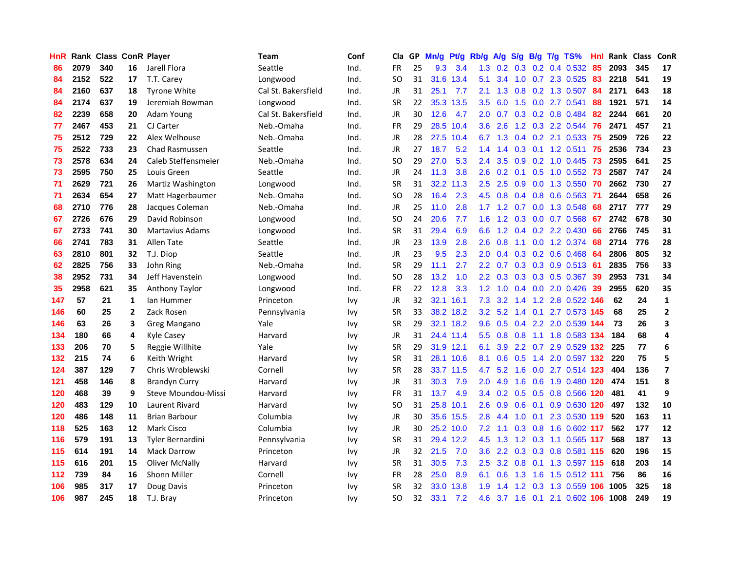| HnR |      | Rank Class ConR Player |                |                            | Team                | Conf       | Cla       |    | GP Mn/g Pt/g |           | Rb/g             | A/g             | S/g             | B/g             | $T/g$ TS%                 | Hnl | Rank Class |     | ConR                    |
|-----|------|------------------------|----------------|----------------------------|---------------------|------------|-----------|----|--------------|-----------|------------------|-----------------|-----------------|-----------------|---------------------------|-----|------------|-----|-------------------------|
| 86  | 2079 | 340                    | 16             | Jarell Flora               | Seattle             | Ind.       | <b>FR</b> | 25 | 9.3          | 3.4       | 1.3              | 0.2             |                 | $0.3 \quad 0.2$ | 0.4 0.532                 | 85  | 2093       | 345 | 17                      |
| 84  | 2152 | 522                    | 17             | T.T. Carey                 | Longwood            | Ind.       | SO.       | 31 | 31.6         | 13.4      | 5.1              | 3.4             | 1.0             | 0.7             | 2.3 0.525                 | 83  | 2218       | 541 | 19                      |
| 84  | 2160 | 637                    | 18             | <b>Tyrone White</b>        | Cal St. Bakersfield | Ind.       | JR        | 31 | 25.1         | 7.7       | 2.1              | 1.3             | 0.8             |                 | 0.2 1.3 0.507             | 84  | 2171       | 643 | 18                      |
| 84  | 2174 | 637                    | 19             | Jeremiah Bowman            | Longwood            | Ind.       | <b>SR</b> | 22 |              | 35.3 13.5 |                  | $3.5\quad 6.0$  |                 |                 | 1.5 0.0 2.7 0.541         | 88  | 1921       | 571 | 14                      |
| 82  | 2239 | 658                    | 20             | <b>Adam Young</b>          | Cal St. Bakersfield | Ind.       | JR        | 30 | 12.6         | 4.7       | 2.0              | 0.7             |                 |                 | $0.3$ $0.2$ $0.8$ $0.484$ | 82  | 2244       | 661 | 20                      |
| 77  | 2467 | 453                    | 21             | CJ Carter                  | Neb.-Omaha          | Ind.       | <b>FR</b> | 29 |              | 28.5 10.4 | 3.6              | 2.6             |                 |                 | 1.2 0.3 2.2 0.544         | 76  | 2471       | 457 | 21                      |
| 75  | 2512 | 729                    | 22             | Alex Welhouse              | Neb.-Omaha          | Ind.       | <b>JR</b> | 28 | 27.5         | 10.4      | 6.7              | 1.3             |                 |                 | 0.4 0.2 2.1 0.533         | 75  | 2509       | 726 | 22                      |
| 75  | 2522 | 733                    | 23             | <b>Chad Rasmussen</b>      | Seattle             | Ind.       | <b>JR</b> | 27 | 18.7         | 5.2       | 1.4              | $\mathbf{.4}$   | 0.3             |                 | $0.1$ 1.2 0.511           | 75  | 2536       | 734 | 23                      |
| 73  | 2578 | 634                    | 24             | Caleb Steffensmeier        | Neb.-Omaha          | Ind.       | <b>SO</b> | 29 | 27.0         | 5.3       | 2.4              | 3.5             | 0.9             |                 | 0.2 1.0 0.445             | 73  | 2595       | 641 | 25                      |
| 73  | 2595 | 750                    | 25             | Louis Green                | Seattle             | Ind.       | JR        | 24 | 11.3         | 3.8       | 2.6              | 0.2             | 0.1             | 0.5             | 1.0 0.552                 | 73  | 2587       | 747 | 24                      |
| 71  | 2629 | 721                    | 26             | Martiz Washington          | Longwood            | Ind.       | <b>SR</b> | 31 | 32.2         | 11.3      | 2.5              | 2.5             | 0.9             | 0.0             | 1.3 0.550                 | 70  | 2662       | 730 | 27                      |
| 71  | 2634 | 654                    | 27             | Matt Hagerbaumer           | Neb.-Omaha          | Ind.       | SO.       | 28 | 16.4         | 2.3       | 4.5              | 0.8             | $0.4^{\circ}$   | 0.8             | 0.6 0.563                 | -71 | 2644       | 658 | 26                      |
| 68  | 2710 | 776                    | 28             | Jacques Coleman            | Neb.-Omaha          | Ind.       | <b>JR</b> | 25 | 11.0         | 2.8       | 1.7 <sub>z</sub> | 1.2             | 0.7             | 0.0             | 1.3 0.548                 | 68  | 2717       | 777 | 29                      |
| 67  | 2726 | 676                    | 29             | David Robinson             | Longwood            | Ind.       | <b>SO</b> | 24 | 20.6         | 7.7       | 1.6              | 1.2             | 0.3             | 0.0             | 0.7 0.568                 | 67  | 2742       | 678 | 30                      |
| 67  | 2733 | 741                    | 30             | <b>Martavius Adams</b>     | Longwood            | Ind.       | <b>SR</b> | 31 | 29.4         | 6.9       | 6.6              | 1.2             |                 |                 | $0.4$ $0.2$ 2.2 0.430     | 66  | 2766       | 745 | 31                      |
| 66  | 2741 | 783                    | 31             | Allen Tate                 | Seattle             | Ind.       | JR        | 23 | 13.9         | 2.8       | 2.6              | 0.8             | 1.1             |                 | 0.0 1.2 0.374             | -68 | 2714       | 776 | 28                      |
| 63  | 2810 | 801                    | 32             | T.J. Diop                  | Seattle             | Ind.       | JR        | 23 | 9.5          | 2.3       | 2.0              | 0.4             |                 |                 | $0.3$ 0.2 0.6 0.468       | -64 | 2806       | 805 | 32                      |
| 62  | 2825 | 756                    | 33             | John Ring                  | Neb.-Omaha          | Ind.       | <b>SR</b> | 29 | 11.1         | 2.7       |                  | $2.2 \quad 0.7$ |                 |                 | 0.3 0.3 0.9 0.513 61      |     | 2835       | 756 | 33                      |
| 38  | 2952 | 731                    | 34             | Jeff Havenstein            | Longwood            | Ind.       | <b>SO</b> | 28 | 13.2         | 1.0       | $2.2^{\circ}$    | 0.3             |                 |                 | 0.3 0.3 0.5 0.367         | -39 | 2953       | 731 | 34                      |
| 35  | 2958 | 621                    | 35             | Anthony Taylor             | Longwood            | Ind.       | FR        | 22 | 12.8         | 3.3       | 1.2 <sub>1</sub> | 1.0             |                 |                 | $0.4$ 0.0 2.0 0.426       | 39  | 2955       | 620 | 35                      |
| 147 | 57   | 21                     | 1              | lan Hummer                 | Princeton           | <b>Ivy</b> | JR        | 32 |              | 32.1 16.1 | 7.3              | 3.2             | 1.4             |                 | 1.2 2.8 0.522 146         |     | 62         | 24  | $\mathbf{1}$            |
| 146 | 60   | 25                     | $\overline{2}$ | Zack Rosen                 | Pennsylvania        | <b>Ivy</b> | <b>SR</b> | 33 |              | 38.2 18.2 | 3.2              | 5.2             | 1.4             | 0.1             | 2.7 0.573 145             |     | 68         | 25  | $\mathbf{2}$            |
| 146 | 63   | 26                     | 3              | Greg Mangano               | Yale                | <b>Ivy</b> | <b>SR</b> | 29 |              | 32.1 18.2 | 9.6              | 0.5             |                 |                 | 0.4 2.2 2.0 0.539 144     |     | 73         | 26  | 3                       |
| 134 | 180  | 66                     | 4              | <b>Kyle Casey</b>          | Harvard             | <b>Ivy</b> | JR        | 31 |              | 24.4 11.4 | 5.5              | 0.8             | 0.8             | 1.1             | 1.8 0.583 134             |     | 184        | 68  | 4                       |
| 133 | 206  | 70                     | 5              | Reggie Willhite            | Yale                | <b>Ivy</b> | <b>SR</b> | 29 |              | 31.9 12.1 | 6.1              | 3.9             |                 | $2.2 \quad 0.7$ | 2.9 0.529 132             |     | 225        | 77  | 6                       |
| 132 | 215  | 74                     | 6              | Keith Wright               | Harvard             | <b>Ivy</b> | <b>SR</b> | 31 |              | 28.1 10.6 | 8.1              | 0.6             | 0.5             | 1.4             | 2.0 0.597 132             |     | 220        | 75  | 5                       |
| 124 | 387  | 129                    | $\overline{7}$ | Chris Wroblewski           | Cornell             | <b>Ivy</b> | <b>SR</b> | 28 |              | 33.7 11.5 | 4.7              | 5.2             | 1.6             | 0.0             | 2.7 0.514 123             |     | 404        | 136 | $\overline{\mathbf{z}}$ |
| 121 | 458  | 146                    | 8              | <b>Brandyn Curry</b>       | Harvard             | <b>Ivy</b> | <b>JR</b> | 31 | 30.3         | 7.9       | 2.0              | 4.9             | 1.6             | 0.6             | 1.9 0.480 120             |     | 474        | 151 | 8                       |
| 120 | 468  | 39                     | 9              | <b>Steve Moundou-Missi</b> | Harvard             | <b>Ivy</b> | <b>FR</b> | 31 | 13.7         | 4.9       |                  |                 | 3.4 0.2 0.5 0.5 |                 | 0.8 0.566 120             |     | 481        | 41  | 9                       |
| 120 | 483  | 129                    | 10             | Laurent Rivard             | Harvard             | <b>Ivy</b> | SO.       | 31 |              | 25.8 10.1 | 2.6              | 0.9             |                 | $0.6 \quad 0.1$ | 0.9 0.630 120             |     | 497        | 132 | 10                      |
| 120 | 486  | 148                    | 11             | <b>Brian Barbour</b>       | Columbia            | <b>Ivy</b> | JR        | 30 |              | 35.6 15.5 | 2.8              | 4.4             |                 | $1.0 \quad 0.1$ | 2.3 0.530 119             |     | 520        | 163 | 11                      |
| 118 | 525  | 163                    | 12             | <b>Mark Cisco</b>          | Columbia            | <b>Ivy</b> | JR        | 30 |              | 25.2 10.0 | 7.2              | 1.1             |                 |                 | 0.3 0.8 1.6 0.602 117     |     | 562        | 177 | 12                      |
| 116 | 579  | 191                    | 13             | <b>Tyler Bernardini</b>    | Pennsylvania        | <b>Ivy</b> | <b>SR</b> | 31 |              | 29.4 12.2 | 4.5              | 1.3             |                 |                 | 1.2 0.3 1.1 0.565 117     |     | 568        | 187 | 13                      |
| 115 | 614  | 191                    | 14             | <b>Mack Darrow</b>         | Princeton           | <b>Ivy</b> | JR        | 32 | 21.5         | 7.0       | 3.6              | 2.2             |                 |                 | 0.3 0.3 0.8 0.581 115     |     | 620        | 196 | 15                      |
| 115 | 616  | 201                    | 15             | <b>Oliver McNally</b>      | Harvard             | Ivy        | <b>SR</b> | 31 | 30.5         | 7.3       | 2.5              | 3.2             | 0.8             | 0.1             | 1.3 0.597 115             |     | 618        | 203 | 14                      |
| 112 | 739  | 84                     | 16             | <b>Shonn Miller</b>        | Cornell             | Ivy        | FR        | 28 | 25.0         | 8.9       | 6.1              | 0.6             | 1.3             | 1.6             | 1.5 0.512 111             |     | 756        | 86  | 16                      |
| 106 | 985  | 317                    | 17             | Doug Davis                 | Princeton           | Ivy        | <b>SR</b> | 32 | 33.0         | 13.8      | 1.9              | 4               | 1.2             | 0.3             | 1.3 0.559                 |     | 1005       | 325 | 18                      |
| 106 | 987  | 245                    | 18             | T.J. Bray                  | Princeton           | <b>Ivy</b> | <b>SO</b> | 32 | 33.1         | 7.2       | 4.6              |                 |                 |                 | 3.7 1.6 0.1 2.1 0.602 106 |     | 1008       | 249 | 19                      |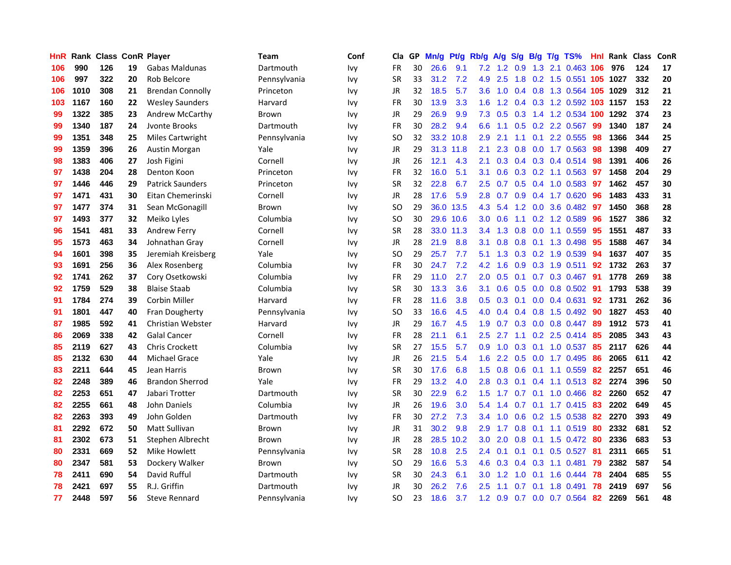| HnR | Rank |     |    | <b>Class ConR Player</b> | Team         | Conf       | Cla           |    | GP Mn/g | Pt/g      | Rb/g             | A/g                                  | S/g            | B/g             | T/g | TS%                        | Hnl | Rank Class |     | ConR |
|-----|------|-----|----|--------------------------|--------------|------------|---------------|----|---------|-----------|------------------|--------------------------------------|----------------|-----------------|-----|----------------------------|-----|------------|-----|------|
| 106 | 990  | 126 | 19 | Gabas Maldunas           | Dartmouth    | <b>Ivy</b> | <b>FR</b>     | 30 | 26.6    | 9.1       | 7.2              | $1.2^{\circ}$                        | 0.9            | 1.3             |     | 2.1 0.463                  | 106 | 976        | 124 | 17   |
| 106 | 997  | 322 | 20 | Rob Belcore              | Pennsylvania | <b>Ivy</b> | <b>SR</b>     | 33 | 31.2    | 7.2       | 4.9              | 2.5                                  | 1.8            |                 |     | 0.2 1.5 0.551 105 1027     |     |            | 332 | 20   |
| 106 | 1010 | 308 | 21 | <b>Brendan Connolly</b>  | Princeton    | Ivy        | JR            | 32 | 18.5    | 5.7       | 3.6 <sup>°</sup> | 1.0                                  |                |                 |     | 0.4 0.8 1.3 0.564 105 1029 |     |            | 312 | 21   |
| 103 | 1167 | 160 | 22 | <b>Wesley Saunders</b>   | Harvard      | <b>Ivy</b> | <b>FR</b>     | 30 | 13.9    | 3.3       |                  | $1.6$ 1.2                            |                |                 |     | 0.4 0.3 1.2 0.592 103 1157 |     |            | 153 | 22   |
| 99  | 1322 | 385 | 23 | <b>Andrew McCarthy</b>   | Brown        | <b>Ivy</b> | JR            | 29 | 26.9    | 9.9       | 7.3              | 0.5                                  |                |                 |     | 0.3 1.4 1.2 0.534          | 100 | 1292       | 374 | 23   |
| 99  | 1340 | 187 | 24 | Jvonte Brooks            | Dartmouth    | <b>Ivy</b> | FR            | 30 | 28.2    | 9.4       | 6.6              | 1.1                                  |                |                 |     | 0.5 0.2 2.2 0.567          | -99 | 1340       | 187 | 24   |
| 99  | 1351 | 348 | 25 | <b>Miles Cartwright</b>  | Pennsylvania | Ivy        | <sub>SO</sub> | 32 |         | 33.2 10.8 | 2.9              | 2.1                                  | 1.1            | 0.1             |     | 2.2 0.555                  | 98  | 1366       | 344 | 25   |
| 99  | 1359 | 396 | 26 | <b>Austin Morgan</b>     | Yale         | Ivy        | JR            | 29 |         | 31.3 11.8 | 2.1              | 2.3                                  | 0.8            | 0.0             |     | 1.7 0.563                  | 98  | 1398       | 409 | 27   |
| 98  | 1383 | 406 | 27 | Josh Figini              | Cornell      | <b>Ivy</b> | JR            | 26 | 12.1    | 4.3       | 2.1              | 0.3                                  |                |                 |     | $0.4$ 0.3 0.4 0.514        | 98  | 1391       | 406 | 26   |
| 97  | 1438 | 204 | 28 | Denton Koon              | Princeton    | <b>Ivy</b> | <b>FR</b>     | 32 | 16.0    | 5.1       | 3.1              | 0.6                                  |                |                 |     | $0.3$ $0.2$ 1.1 $0.563$    | 97  | 1458       | 204 | 29   |
| 97  | 1446 | 446 | 29 | <b>Patrick Saunders</b>  | Princeton    | <b>Ivy</b> | <b>SR</b>     | 32 | 22.8    | 6.7       | 2.5              | 0.7                                  | 0.5            | 0.4             |     | $1.0$ $0.583$              | 97  | 1462       | 457 | 30   |
| 97  | 1471 | 431 | 30 | Eitan Chemerinski        | Cornell      | <b>Ivy</b> | JR            | 28 | 17.6    | 5.9       | 2.8              | 0.7                                  | 0.9            | 0.4             |     | 1.7 0.620                  | 96  | 1483       | 433 | 31   |
| 97  | 1477 | 374 | 31 | Sean McGonagill          | Brown        | <b>Ivy</b> | SO.           | 29 |         | 36.0 13.5 | 4.3              | 5.4                                  | 1.2            | 0.0             |     | 3.6 0.482                  | 97  | 1450       | 368 | 28   |
| 97  | 1493 | 377 | 32 | Meiko Lyles              | Columbia     | <b>Ivy</b> | <b>SO</b>     | 30 | 29.6    | 10.6      | 3.0              | 0.6                                  | 1.1            | 0.2             |     | 1.2 0.589                  | 96  | 1527       | 386 | 32   |
| 96  | 1541 | 481 | 33 | Andrew Ferry             | Cornell      | <b>Ivy</b> | <b>SR</b>     | 28 | 33.0    | 11.3      | $3.4^{\circ}$    | 1.3                                  | 0.8            | 0.0             |     | 1.1 0.559                  | -95 | 1551       | 487 | 33   |
| 95  | 1573 | 463 | 34 | Johnathan Gray           | Cornell      | Ivy        | JR            | 28 | 21.9    | 8.8       | 3.1              | 0.8                                  | $0.8\quad 0.1$ |                 |     | 1.3 0.498                  | 95  | 1588       | 467 | 34   |
| 94  | 1601 | 398 | 35 | Jeremiah Kreisberg       | Yale         | <b>Ivy</b> | <b>SO</b>     | 29 | 25.7    | 7.7       | 5.1              |                                      |                |                 |     | 1.3 0.3 0.2 1.9 0.539      | -94 | 1637       | 407 | 35   |
| 93  | 1691 | 256 | 36 | Alex Rosenberg           | Columbia     | <b>Ivy</b> | <b>FR</b>     | 30 | 24.7    | 7.2       | 4.2              | 1.6                                  |                |                 |     | 0.9 0.3 1.9 0.511          | 92  | 1732       | 263 | 37   |
| 92  | 1741 | 262 | 37 | Cory Osetkowski          | Columbia     | <b>Ivy</b> | FR            | 29 | 11.0    | 2.7       | 2.0 <sub>1</sub> | 0.5                                  |                |                 |     | $0.1$ 0.7 0.3 0.467        | -91 | 1778       | 269 | 38   |
| 92  | 1759 | 529 | 38 | <b>Blaise Staab</b>      | Columbia     | <b>Ivy</b> | <b>SR</b>     | 30 | 13.3    | 3.6       | 3.1              | 0.6                                  |                |                 |     | $0.5$ 0.0 0.8 0.502        | 91  | 1793       | 538 | 39   |
| 91  | 1784 | 274 | 39 | <b>Corbin Miller</b>     | Harvard      | <b>Ivy</b> | FR            | 28 | 11.6    | 3.8       | 0.5 <sub>0</sub> | 0.3                                  | 0.1            |                 |     | $0.0$ $0.4$ $0.631$        | 92  | 1731       | 262 | 36   |
| 91  | 1801 | 447 | 40 | Fran Dougherty           | Pennsylvania | <b>Ivy</b> | <b>SO</b>     | 33 | 16.6    | 4.5       | 4.0              | 0.4                                  |                |                 |     | $0.4$ 0.8 1.5 0.492        | -90 | 1827       | 453 | 40   |
| 87  | 1985 | 592 | 41 | Christian Webster        | Harvard      | <b>Ivy</b> | JR            | 29 | 16.7    | 4.5       | 1.9              | 0.7                                  |                |                 |     | $0.3$ 0.0 0.8 0.447        | -89 | 1912       | 573 | 41   |
| 86  | 2069 | 338 | 42 | <b>Galal Cancer</b>      | Cornell      | <b>Ivy</b> | <b>FR</b>     | 28 | 21.1    | 6.1       | 2.5              | 2.7                                  | 1.1            |                 |     | 0.2 2.5 0.414              | 85  | 2085       | 343 | 43   |
| 85  | 2119 | 627 | 43 | <b>Chris Crockett</b>    | Columbia     | <b>Ivy</b> | <b>SR</b>     | 27 | 15.5    | 5.7       | 0.9              | 1.0                                  | 0.3            | 0.1             |     | 1.0 0.537                  | 85  | 2117       | 626 | 44   |
| 85  | 2132 | 630 | 44 | <b>Michael Grace</b>     | Yale         | <b>Ivy</b> | JR            | 26 | 21.5    | 5.4       | 1.6              | 2.2                                  | 0.5            | 0.0             |     | 1.7 0.495                  | 86  | 2065       | 611 | 42   |
| 83  | 2211 | 644 | 45 | Jean Harris              | Brown        | <b>Ivy</b> | <b>SR</b>     | 30 | 17.6    | 6.8       | 1.5              | 0.8                                  | 0.6            | 0.1             |     | 1.1 0.559                  | 82  | 2257       | 651 | 46   |
| 82  | 2248 | 389 | 46 | <b>Brandon Sherrod</b>   | Yale         | <b>Ivy</b> | <b>FR</b>     | 29 | 13.2    | 4.0       | 2.8              | 0.3                                  | 0.1            | 0.4             |     | 1.1 0.513                  | 82  | 2274       | 396 | 50   |
| 82  | 2253 | 651 | 47 | Jabari Trotter           | Dartmouth    | <b>Ivy</b> | <b>SR</b>     | 30 | 22.9    | 6.2       | 1.5              | 1.7                                  |                | $0.7 \quad 0.1$ |     | 1.0 0.466                  | 82  | 2260       | 652 | 47   |
| 82  | 2255 | 661 | 48 | <b>John Daniels</b>      | Columbia     | Ivy        | JR            | 26 | 19.6    | 3.0       |                  | $5.4 \quad 1.4$                      |                |                 |     | 0.7 0.1 1.7 0.415          | 83  | 2202       | 649 | 45   |
| 82  | 2263 | 393 | 49 | John Golden              | Dartmouth    | <b>Ivy</b> | <b>FR</b>     | 30 | 27.2    | 7.3       | $3.4^{\circ}$    | 1.0                                  |                |                 |     | $0.6$ $0.2$ 1.5 0.538      | -82 | 2270       | 393 | 49   |
| 81  | 2292 | 672 | 50 | Matt Sullivan            | Brown        | <b>Ivy</b> | JR            | 31 | 30.2    | 9.8       | 2.9              | 1.7                                  |                |                 |     | $0.8$ 0.1 1.1 0.519        | 80  | 2332       | 681 | 52   |
| 81  | 2302 | 673 | 51 | Stephen Albrecht         | Brown        | <b>Ivy</b> | JR            | 28 | 28.5    | 10.2      | 3.0              | 2.0                                  |                |                 |     | 0.8 0.1 1.5 0.472          | -80 | 2336       | 683 | 53   |
| 80  | 2331 | 669 | 52 | Mike Howlett             | Pennsylvania | Ivy        | <b>SR</b>     | 28 | 10.8    | 2.5       | $2.4^{\circ}$    | 0.1                                  | 0.1            | 0.1             |     | $0.5$ 0.527                | 81  | 2311       | 665 | 51   |
| 80  | 2347 | 581 | 53 | Dockery Walker           | Brown        | Ivy        | <b>SO</b>     | 29 | 16.6    | 5.3       | 4.6              | 0.3                                  |                | $0.4$ 0.3       |     | 1.1 0.481                  | 79  | 2382       | 587 | 54   |
| 78  | 2411 | 690 | 54 | David Rufful             | Dartmouth    | lvy        | <b>SR</b>     | 30 | 24.3    | 6.1       | 3.0              | $\mathbf{2}$<br>$\blacktriangleleft$ | 1.0            | 0.1             |     | 1.6 0.444                  | 78  | 2404       | 685 | 55   |
| 78  | 2421 | 697 | 55 | R.J. Griffin             | Dartmouth    | lvy        | JR            | 30 | 26.2    | 7.6       | 2.5              | 1.1                                  | 0.7            | 0.1             |     | 1.8 0.491                  | 78  | 2419       | 697 | 56   |
| 77  | 2448 | 597 | 56 | <b>Steve Rennard</b>     | Pennsylvania | <b>Ivy</b> | <b>SO</b>     | 23 | 18.6    | 3.7       |                  | $1.2 \quad 0.9$                      |                |                 |     | 0.7 0.0 0.7 0.564          | 82  | 2269       | 561 | 48   |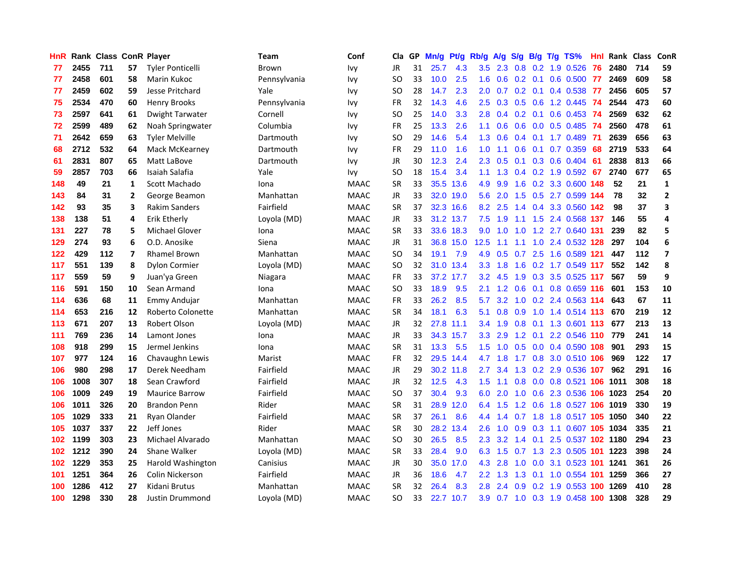| <b>HnR</b> |      | <b>Rank Class ConR Player</b> |                |                         | Team         | Conf        | Cla       |    | GP Mn/g   | Pt/g      | Rb/g             | A/g             | S/g             | B/g             | $T/g$ TS%                      | Hnl | Rank Class |     | ConR                    |
|------------|------|-------------------------------|----------------|-------------------------|--------------|-------------|-----------|----|-----------|-----------|------------------|-----------------|-----------------|-----------------|--------------------------------|-----|------------|-----|-------------------------|
| 77         | 2455 | 711                           | 57             | <b>Tyler Ponticelli</b> | Brown        | <b>Ivy</b>  | <b>JR</b> | 31 | 25.7      | 4.3       | 3.5              | 2.3             | 0.8             | 0.2             | 1.9 0.526                      | 76  | 2480       | 714 | 59                      |
| 77         | 2458 | 601                           | 58             | Marin Kukoc             | Pennsylvania | <b>Ivy</b>  | SO.       | 33 | 10.0      | 2.5       | 1.6              | 0.6             | $0.2 \quad 0.1$ |                 | 0.6 0.500                      | -77 | 2469       | 609 | 58                      |
| 77         | 2459 | 602                           | 59             | <b>Jesse Pritchard</b>  | Yale         | <b>Ivy</b>  | <b>SO</b> | 28 | 14.7      | 2.3       | 2.0 <sub>1</sub> | 0.7             | $0.2 \quad 0.1$ |                 | 0.4 0.538                      | 77  | 2456       | 605 | 57                      |
| 75         | 2534 | 470                           | 60             | <b>Henry Brooks</b>     | Pennsylvania | <b>Ivy</b>  | FR        | 32 | 14.3      | 4.6       |                  |                 |                 |                 | 2.5 0.3 0.5 0.6 1.2 0.445      | -74 | 2544       | 473 | 60                      |
| 73         | 2597 | 641                           | 61             | Dwight Tarwater         | Cornell      | <b>Ivy</b>  | SO.       | 25 | 14.0      | 3.3       | 2.8              | 0.4             |                 | $0.2 \quad 0.1$ | 0.6 0.453 74                   |     | 2569       | 632 | 62                      |
| 72         | 2599 | 489                           | 62             | Noah Springwater        | Columbia     | <b>Ivy</b>  | FR        | 25 | 13.3      | 2.6       | 1.1              | 0.6             |                 |                 | $0.6$ $0.0$ $0.5$ $0.485$      | -74 | 2560       | 478 | 61                      |
| 71         | 2642 | 659                           | 63             | <b>Tyler Melville</b>   | Dartmouth    | <b>Ivy</b>  | SO.       | 29 | 14.6      | 5.4       | 1.3 <sub>1</sub> | 0.6             |                 |                 | $0.4$ 0.1 1.7 0.489            | -71 | 2639       | 656 | 63                      |
| 68         | 2712 | 532                           | 64             | Mack McKearney          | Dartmouth    | <b>Ivy</b>  | FR        | 29 | 11.0      | 1.6       | 1.0              | 1.1             | 0.6             |                 | 0.1 0.7 0.359                  | 68  | 2719       | 533 | 64                      |
| 61         | 2831 | 807                           | 65             | Matt LaBove             | Dartmouth    | <b>Ivy</b>  | JR        | 30 | 12.3      | 2.4       | 2.3              | 0.5             | 0.1             |                 | 0.3 0.6 0.404                  | 61  | 2838       | 813 | 66                      |
| 59         | 2857 | 703                           | 66             | Isaiah Salafia          | Yale         | <b>Ivy</b>  | SO.       | 18 | 15.4      | 3.4       | 1.1              | 1.3             |                 |                 | $0.4$ 0.2 1.9 0.592            | 67  | 2740       | 677 | 65                      |
| 148        | 49   | 21                            | $\mathbf{1}$   | Scott Machado           | Iona         | <b>MAAC</b> | <b>SR</b> | 33 | 35.5      | 13.6      | 4.9              | 9.9             | 1.6             | 0.2             | 3.3 0.600 148                  |     | 52         | 21  | $\mathbf 1$             |
| 143        | 84   | 31                            | $\overline{2}$ | George Beamon           | Manhattan    | <b>MAAC</b> | JR        | 33 |           | 32.0 19.0 | 5.6              | 2.0             | $1.5^{\circ}$   | 0.5             | 2.7 0.599 144                  |     | 78         | 32  | $\mathbf{2}$            |
| 142        | 93   | 35                            | 3              | <b>Rakim Sanders</b>    | Fairfield    | <b>MAAC</b> | <b>SR</b> | 37 |           | 32.3 16.6 | 8.2              | 2.5             | 1.4             | 0.4             | 3.3 0.560 142                  |     | 98         | 37  | 3                       |
| 138        | 138  | 51                            | 4              | Erik Etherly            | Loyola (MD)  | <b>MAAC</b> | <b>JR</b> | 33 | 31.2 13.7 |           | 7.5              | 1.9             | 1.1             | 1.5             | 2.4 0.568 137                  |     | 146        | 55  | 4                       |
| 131        | 227  | 78                            | 5              | <b>Michael Glover</b>   | Iona         | <b>MAAC</b> | <b>SR</b> | 33 |           | 33.6 18.3 | 9.0              | 1.0             | 1.0             |                 | 1.2 2.7 0.640 131              |     | 239        | 82  | 5                       |
| 129        | 274  | 93                            | 6              | O.D. Anosike            | Siena        | <b>MAAC</b> | JR        | 31 |           | 36.8 15.0 | 12.5             | 1.1             | 1.1             |                 | 1.0 2.4 0.532 128              |     | 297        | 104 | 6                       |
| 122        | 429  | 112                           | $\overline{7}$ | <b>Rhamel Brown</b>     | Manhattan    | <b>MAAC</b> | SO        | 34 | 19.1      | 7.9       | 4.9              | 0.5             |                 | $0.7$ 2.5       | 1.6 0.589 121                  |     | 447        | 112 | $\overline{\mathbf{z}}$ |
| 117        | 551  | 139                           | 8              | <b>Dylon Cormier</b>    | Loyola (MD)  | <b>MAAC</b> | <b>SO</b> | 32 |           | 31.0 13.4 |                  | $3.3 \quad 1.8$ |                 |                 | 1.6 0.2 1.7 0.549 117          |     | 552        | 142 | 8                       |
| 117        | 559  | 59                            | 9              | Juan'ya Green           | Niagara      | <b>MAAC</b> | <b>FR</b> | 33 |           | 37.2 17.7 |                  | $3.2$ 4.5       |                 |                 | 1.9 0.3 3.5 0.525 117          |     | 567        | 59  | 9                       |
| 116        | 591  | 150                           | 10             | Sean Armand             | Iona         | <b>MAAC</b> | SO.       | 33 | 18.9      | 9.5       | 2.1              | 1.2             |                 |                 | 0.6 0.1 0.8 0.659 116          |     | 601        | 153 | 10                      |
| 114        | 636  | 68                            | 11             | Emmy Andujar            | Manhattan    | <b>MAAC</b> | FR        | 33 | 26.2      | 8.5       | 5.7              | 3.2             |                 |                 | 1.0 0.2 2.4 0.563 114          |     | 643        | 67  | 11                      |
| 114        | 653  | 216                           | 12             | Roberto Colonette       | Manhattan    | <b>MAAC</b> | <b>SR</b> | 34 | 18.1      | 6.3       | 5.1              | 0.8             | 0.9             | 1.0             | 1.4 0.514 113                  |     | 670        | 219 | 12                      |
| 113        | 671  | 207                           | 13             | Robert Olson            | Loyola (MD)  | <b>MAAC</b> | <b>JR</b> | 32 | 27.8      | 11.1      | 3.4              | 1.9             | 0.8             | 0.1             | 1.3 0.601 113                  |     | 677        | 213 | 13                      |
| 111        | 769  | 236                           | 14             | Lamont Jones            | Iona         | <b>MAAC</b> | JR        | 33 |           | 34.3 15.7 | $3.3\phantom{0}$ | 2.9             | 1.2             | 0.1             | 2.2 0.546 110                  |     | 779        | 241 | 14                      |
| 108        | 918  | 299                           | 15             | Jermel Jenkins          | Iona         | <b>MAAC</b> | <b>SR</b> | 31 | 13.3      | 5.5       | 1.5 <sub>1</sub> | 1.0             | 0.5             |                 | 0.0 0.4 0.590 108              |     | 901        | 293 | 15                      |
| 107        | 977  | 124                           | 16             | Chavaughn Lewis         | Marist       | <b>MAAC</b> | <b>FR</b> | 32 |           | 29.5 14.4 | 4.7              | 1.8             | 1.7             | 0.8             | 3.0 0.510 106                  |     | 969        | 122 | 17                      |
| 106        | 980  | 298                           | 17             | Derek Needham           | Fairfield    | <b>MAAC</b> | JR        | 29 |           | 30.2 11.8 | 2.7              | 3.4             | 1.3             | 0.2             | 2.9 0.536 107                  |     | 962        | 291 | 16                      |
| 106        | 1008 | 307                           | 18             | Sean Crawford           | Fairfield    | <b>MAAC</b> | JR        | 32 | 12.5      | 4.3       | 1.5              | 1.1             | 0.8             | 0.0             | 0.8 0.521 106                  |     | 1011       | 308 | 18                      |
| 106        | 1009 | 249                           | 19             | <b>Maurice Barrow</b>   | Fairfield    | <b>MAAC</b> | <b>SO</b> | 37 | 30.4      | 9.3       | 6.0              | 2.0             | 1.0             |                 | 0.6 2.3 0.536 106              |     | 1023       | 254 | 20                      |
| 106        | 1011 | 326                           | 20             | <b>Brandon Penn</b>     | Rider        | <b>MAAC</b> | <b>SR</b> | 31 |           | 28.9 12.0 |                  | 6.4 1.5         |                 |                 | 1.2 0.6 1.8 0.527 106 1019     |     |            | 330 | 19                      |
| 105        | 1029 | 333                           | 21             | Ryan Olander            | Fairfield    | <b>MAAC</b> | <b>SR</b> | 37 | 26.1      | 8.6       |                  | 4.4 1.4         | 0.7             |                 | 1.8 1.8 0.517 105 1050         |     |            | 340 | 22                      |
| 105        | 1037 | 337                           | 22             | Jeff Jones              | Rider        | <b>MAAC</b> | <b>SR</b> | 30 |           | 28.2 13.4 | $2.6^{\circ}$    | 1.0             |                 |                 | 0.9 0.3 1.1 0.607 105 1034     |     |            | 335 | 21                      |
| 102        | 1199 | 303                           | 23             | Michael Alvarado        | Manhattan    | <b>MAAC</b> | <b>SO</b> | 30 | 26.5      | 8.5       | $2.3^{\circ}$    | 3.2             |                 |                 | 1.4 0.1 2.5 0.537 102 1180     |     |            | 294 | 23                      |
| 102        | 1212 | 390                           | 24             | Shane Walker            | Loyola (MD)  | <b>MAAC</b> | <b>SR</b> | 33 | 28.4      | 9.0       | 6.3              | 1.5             | 0.7             |                 | 1.3 2.3 0.505 101 1223         |     |            | 398 | 24                      |
| 102        | 1229 | 353                           | 25             | Harold Washington       | Canisius     | <b>MAAC</b> | JR        | 30 | 35.0      | 17.0      | 4.3              | 2.8             | 1.0             | 0.0             | 3.1 0.523 101                  |     | 1241       | 361 | 26                      |
| 101        | 1251 | 364                           | 26             | Colin Nickerson         | Fairfield    | <b>MAAC</b> | JR        | 36 | 18.6      | 4.7       | $2.2^{\circ}$    | 1.3             | 1.3             | 0.1             | 1.0 0.554                      | 101 | 1259       | 366 | 27                      |
| 100        | 1286 | 412                           | 27             | Kidani Brutus           | Manhattan    | <b>MAAC</b> | <b>SR</b> | 32 | 26.4      | 8.3       | 2.8              | 2.4             | 0.9             | 0.2             | 1.9 0.553                      | 100 | 1269       | 410 | 28                      |
| 100        | 1298 | 330                           | 28             | Justin Drummond         | Loyola (MD)  | <b>MAAC</b> | <b>SO</b> | 33 |           | 22.7 10.7 | 3.9              |                 |                 |                 | 0.7 1.0 0.3 1.9 0.458 100 1308 |     |            | 328 | 29                      |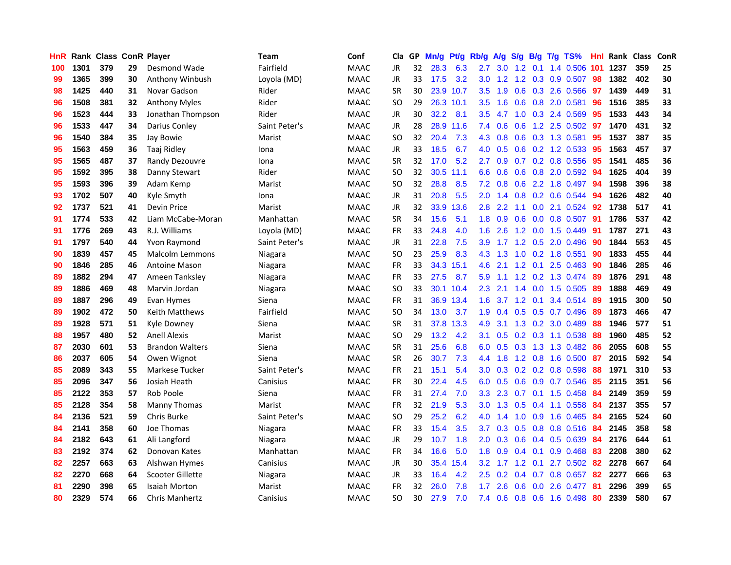| HnR |      | Rank Class ConR Player |    |                        | <b>Team</b>   | Conf        | Cla       | GP. | Mn/g | Pt/g Rb/g |                  | A/g S/g          |     |                 | B/g T/g TS%               | Hnl | Rank Class |     | ConR |
|-----|------|------------------------|----|------------------------|---------------|-------------|-----------|-----|------|-----------|------------------|------------------|-----|-----------------|---------------------------|-----|------------|-----|------|
| 100 | 1301 | 379                    | 29 | Desmond Wade           | Fairfield     | <b>MAAC</b> | JR        | 32  | 28.3 | 6.3       | 2.7              | 3.0 <sub>2</sub> | 1.2 | 0.1             | 1.4 0.506                 | 101 | 1237       | 359 | 25   |
| 99  | 1365 | 399                    | 30 | Anthony Winbush        | Loyola (MD)   | <b>MAAC</b> | <b>JR</b> | 33  | 17.5 | 3.2       | 3.0              | 1.2              | 1.2 | 0.3             | 0.9 0.507                 | 98  | 1382       | 402 | 30   |
| 98  | 1425 | 440                    | 31 | Novar Gadson           | Rider         | <b>MAAC</b> | <b>SR</b> | 30  | 23.9 | 10.7      | 3.5              | 1.9              | 0.6 |                 | 0.3 2.6 0.566             | 97  | 1439       | 449 | 31   |
| 96  | 1508 | 381                    | 32 | <b>Anthony Myles</b>   | Rider         | <b>MAAC</b> | <b>SO</b> | 29  |      | 26.3 10.1 | 3.5              | 1.6              |     |                 | 0.6 0.8 2.0 0.581         | 96  | 1516       | 385 | 33   |
| 96  | 1523 | 444                    | 33 | Jonathan Thompson      | Rider         | <b>MAAC</b> | JR        | 30  | 32.2 | 8.1       | 3.5              | 4.7              |     |                 | 1.0 0.3 2.4 0.569         | 95  | 1533       | 443 | 34   |
| 96  | 1533 | 447                    | 34 | Darius Conley          | Saint Peter's | <b>MAAC</b> | JR        | 28  |      | 28.9 11.6 | 7.4              | 0.6              |     |                 | 0.6 1.2 2.5 0.502         | 97  | 1470       | 431 | 32   |
| 96  | 1540 | 384                    | 35 | Jay Bowie              | Marist        | <b>MAAC</b> | <b>SO</b> | 32  | 20.4 | 7.3       | 4.3              | 0.8              |     |                 | 0.6 0.3 1.3 0.581         | 95  | 1537       | 387 | 35   |
| 95  | 1563 | 459                    | 36 | Taaj Ridley            | Iona          | <b>MAAC</b> | JR        | 33  | 18.5 | 6.7       | 4.0              | 0.5              |     |                 | 0.6 0.2 1.2 0.533         | 95  | 1563       | 457 | 37   |
| 95  | 1565 | 487                    | 37 | Randy Dezouvre         | Iona          | <b>MAAC</b> | <b>SR</b> | 32  | 17.0 | 5.2       | 2.7              | 0.9              | 0.7 |                 | 0.2 0.8 0.556             | 95  | 1541       | 485 | 36   |
| 95  | 1592 | 395                    | 38 | Danny Stewart          | Rider         | <b>MAAC</b> | <b>SO</b> | 32  |      | 30.5 11.1 | 6.6              | 0.6              |     |                 | 0.6 0.8 2.0 0.592         | 94  | 1625       | 404 | 39   |
| 95  | 1593 | 396                    | 39 | Adam Kemp              | Marist        | <b>MAAC</b> | <b>SO</b> | 32  | 28.8 | 8.5       | 7.2              | 0.8              | 0.6 |                 | 2.2 1.8 0.497             | 94  | 1598       | 396 | 38   |
| 93  | 1702 | 507                    | 40 | Kyle Smyth             | Iona          | <b>MAAC</b> | JR.       | 31  | 20.8 | 5.5       | 2.0              | 1.4              |     |                 | 0.8 0.2 0.6 0.544         | 94  | 1626       | 482 | 40   |
| 92  | 1737 | 521                    | 41 | Devin Price            | Marist        | <b>MAAC</b> | JR.       | 32  |      | 33.9 13.6 | 2.8              | 2.2              | 1.1 | 0.0             | 2.1 0.524                 | 92  | 1738       | 517 | 41   |
| 91  | 1774 | 533                    | 42 | Liam McCabe-Moran      | Manhattan     | <b>MAAC</b> | <b>SR</b> | 34  | 15.6 | 5.1       | 1.8              | 0.9              | 0.6 | 0.0             | 0.8 0.507                 | 91  | 1786       | 537 | 42   |
| 91  | 1776 | 269                    | 43 | R.J. Williams          | Loyola (MD)   | <b>MAAC</b> | <b>FR</b> | 33  | 24.8 | 4.0       | 1.6              | 2.6              | 1.2 | 0.0             | 1.5 0.449                 | 91  | 1787       | 271 | 43   |
| 91  | 1797 | 540                    | 44 | Yvon Raymond           | Saint Peter's | <b>MAAC</b> | <b>JR</b> | 31  | 22.8 | 7.5       | 3.9              | 1.7              |     | $1.2 \quad 0.5$ | 2.0 0.496                 | 90  | 1844       | 553 | 45   |
| 90  | 1839 | 457                    | 45 | <b>Malcolm Lemmons</b> | Niagara       | <b>MAAC</b> | SO.       | 23  | 25.9 | 8.3       | 4.3              | 1.3              |     |                 | 1.0 0.2 1.8 0.551         | -90 | 1833       | 455 | 44   |
| 90  | 1846 | 285                    | 46 | <b>Antoine Mason</b>   | Niagara       | <b>MAAC</b> | <b>FR</b> | 33  |      | 34.3 15.1 | 4.6              | 2.1              |     |                 | $1.2$ 0.1 2.5 0.463       | -90 | 1846       | 285 | 46   |
| 89  | 1882 | 294                    | 47 | Ameen Tanksley         | Niagara       | <b>MAAC</b> | <b>FR</b> | 33  | 27.5 | 8.7       | 5.9              | 1.1              |     |                 | 1.2 0.2 1.3 0.474         | -89 | 1876       | 291 | 48   |
| 89  | 1886 | 469                    | 48 | Marvin Jordan          | Niagara       | <b>MAAC</b> | <b>SO</b> | 33  |      | 30.1 10.4 | $2.3\,$          | 2.1              |     |                 | 1.4 0.0 1.5 0.505         | -89 | 1888       | 469 | 49   |
| 89  | 1887 | 296                    | 49 | Evan Hymes             | Siena         | <b>MAAC</b> | <b>FR</b> | 31  |      | 36.9 13.4 | 1.6              | 3.7              |     |                 | 1.2 0.1 3.4 0.514         | -89 | 1915       | 300 | 50   |
| 89  | 1902 | 472                    | 50 | Keith Matthews         | Fairfield     | <b>MAAC</b> | <b>SO</b> | 34  | 13.0 | 3.7       | 1.9              | 0.4              |     |                 | 0.5 0.5 0.7 0.496         | 89  | 1873       | 466 | 47   |
| 89  | 1928 | 571                    | 51 | Kyle Downey            | Siena         | <b>MAAC</b> | <b>SR</b> | 31  | 37.8 | 13.3      | 4.9              | 3.1              |     |                 | 1.3 0.2 3.0 0.489         | 88  | 1946       | 577 | 51   |
| 88  | 1957 | 480                    | 52 | <b>Anell Alexis</b>    | Marist        | <b>MAAC</b> | <b>SO</b> | 29  | 13.2 | 4.2       | 3.1              | 0.5              |     |                 | 0.2 0.3 1.1 0.538         | 88  | 1960       | 485 | 52   |
| 87  | 2030 | 601                    | 53 | <b>Brandon Walters</b> | Siena         | <b>MAAC</b> | <b>SR</b> | 31  | 25.6 | 6.8       | 6.0              | 0.5              | 0.3 |                 | 1.3 1.3 0.482             | 86  | 2055       | 608 | 55   |
| 86  | 2037 | 605                    | 54 | Owen Wignot            | Siena         | <b>MAAC</b> | <b>SR</b> | 26  | 30.7 | 7.3       | 4.4              | 1.8              |     | $1.2 \quad 0.8$ | 1.6 0.500                 | -87 | 2015       | 592 | 54   |
| 85  | 2089 | 343                    | 55 | Markese Tucker         | Saint Peter's | <b>MAAC</b> | <b>FR</b> | 21  | 15.1 | 5.4       | 3.0              | 0.3              |     |                 | $0.2$ 0.2 0.8 0.598       | 88  | 1971       | 310 | 53   |
| 85  | 2096 | 347                    | 56 | Josiah Heath           | Canisius      | <b>MAAC</b> | <b>FR</b> | 30  | 22.4 | 4.5       | 6.0              | 0.5              | 0.6 | 0.9             | 0.7 0.546                 | 85  | 2115       | 351 | 56   |
| 85  | 2122 | 353                    | 57 | Rob Poole              | Siena         | <b>MAAC</b> | <b>FR</b> | 31  | 27.4 | 7.0       | 3.3              | 2.3              | 0.7 | 0.1             | 1.5 0.458                 | -84 | 2149       | 359 | 59   |
| 85  | 2128 | 354                    | 58 | Manny Thomas           | Marist        | <b>MAAC</b> | <b>FR</b> | 32  | 21.9 | 5.3       | 3.0 <sub>1</sub> | 1.3              |     |                 | $0.5$ 0.4 1.1 0.558       | -84 | 2137       | 355 | 57   |
| 84  | 2136 | 521                    | 59 | <b>Chris Burke</b>     | Saint Peter's | <b>MAAC</b> | <b>SO</b> | 29  | 25.2 | 6.2       | 4.0              | 1.4              |     |                 | 1.0 0.9 1.6 0.465         | -84 | 2165       | 524 | 60   |
| 84  | 2141 | 358                    | 60 | Joe Thomas             | Niagara       | <b>MAAC</b> | <b>FR</b> | 33  | 15.4 | 3.5       | 3.7 <sup>2</sup> | 0.3              |     |                 | $0.5$ $0.8$ $0.8$ $0.516$ | -84 | 2145       | 358 | 58   |
| 84  | 2182 | 643                    | 61 | Ali Langford           | Niagara       | <b>MAAC</b> | <b>JR</b> | 29  | 10.7 | 1.8       | 2.0 <sub>1</sub> | 0.3              |     |                 | 0.6 0.4 0.5 0.639         | 84  | 2176       | 644 | 61   |
| 83  | 2192 | 374                    | 62 | Donovan Kates          | Manhattan     | <b>MAAC</b> | FR        | 34  | 16.6 | 5.0       | 1.8              | 0.9              |     | $0.4 \quad 0.1$ | $0.9$ 0.468               | 83  | 2208       | 380 | 62   |
| 82  | 2257 | 663                    | 63 | Alshwan Hymes          | Canisius      | <b>MAAC</b> | <b>JR</b> | 30  |      | 35.4 15.4 | 3.2              | 1.7              |     | $1.2 \quad 0.1$ | 2.7 0.502                 | 82  | 2278       | 667 | 64   |
| 82  | 2270 | 668                    | 64 | Scooter Gillette       | Niagara       | <b>MAAC</b> | JR        | 33  | 16.4 | 4.2       | 2.5              | 0.2              | 0.4 | 0.7             | 0.8 0.657                 | 82  | 2277       | 666 | 63   |
| 81  | 2290 | 398                    | 65 | Isaiah Morton          | Marist        | MAAC        | FR        | 32  | 26.0 | 7.8       | 1.7              | 2.6              | 0.6 | 0.0             | 2.6 0.477                 | 81  | 2296       | 399 | 65   |
| 80  | 2329 | 574                    | 66 | <b>Chris Manhertz</b>  | Canisius      | <b>MAAC</b> | SO.       | 30  | 27.9 | 7.0       | 7.4              | 0.6              |     |                 | 0.8 0.6 1.6 0.498         | 80  | 2339       | 580 | 67   |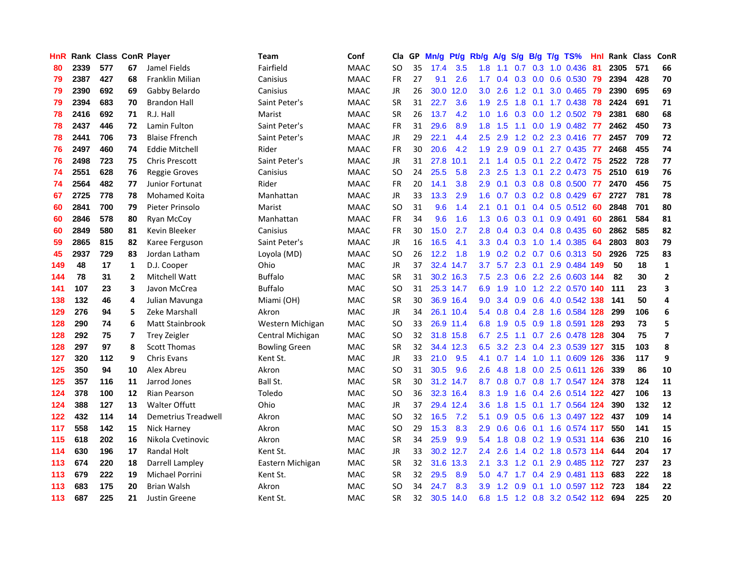| <b>HnR</b> |      | Rank Class ConR Player |    |                        | <b>Team</b>      | Conf        | Cla       |    | GP Mn/g Pt/g |           | Rb/g             | A/g             |               |                 | S/g B/g T/g TS%                   | Hnl  | Rank Class |     | <b>ConR</b>    |
|------------|------|------------------------|----|------------------------|------------------|-------------|-----------|----|--------------|-----------|------------------|-----------------|---------------|-----------------|-----------------------------------|------|------------|-----|----------------|
| 80         | 2339 | 577                    | 67 | Jamel Fields           | Fairfield        | <b>MAAC</b> | SO        | 35 | 17.4         | 3.5       | 1.8              | 1.1             | 0.7           | 0.3             | 1.0 0.436                         | -81  | 2305       | 571 | 66             |
| 79         | 2387 | 427                    | 68 | Franklin Milian        | Canisius         | <b>MAAC</b> | <b>FR</b> | 27 | 9.1          | 2.6       | 1.7              | 0.4             | 0.3           | 0.0             | 0.6 0.530                         | -79  | 2394       | 428 | 70             |
| 79         | 2390 | 692                    | 69 | Gabby Belardo          | Canisius         | <b>MAAC</b> | JR        | 26 | 30.0         | 12.0      | 3.0              | 2.6             |               | $1.2 \quad 0.1$ | 3.0 0.465                         | -79  | 2390       | 695 | 69             |
| 79         | 2394 | 683                    | 70 | <b>Brandon Hall</b>    | Saint Peter's    | <b>MAAC</b> | <b>SR</b> | 31 | 22.7         | 3.6       | 1.9              | 2.5             |               |                 | 1.8 0.1 1.7 0.438 78              |      | 2424       | 691 | 71             |
| 78         | 2416 | 692                    | 71 | R.J. Hall              | Marist           | <b>MAAC</b> | <b>SR</b> | 26 | 13.7         | 4.2       |                  | $1.0 \t1.6$     |               |                 | 0.3 0.0 1.2 0.502                 | -79  | 2381       | 680 | 68             |
| 78         | 2437 | 446                    | 72 | Lamin Fulton           | Saint Peter's    | <b>MAAC</b> | FR        | 31 | 29.6         | 8.9       |                  | $1.8$ 1.5       |               |                 | 1.1 0.0 1.9 0.482 77              |      | 2462       | 450 | 73             |
| 78         | 2441 | 706                    | 73 | <b>Blaise Ffrench</b>  | Saint Peter's    | <b>MAAC</b> | JR        | 29 | 22.1         | 4.4       | $2.5^{\circ}$    | 2.9             |               |                 | 1.2 0.2 2.3 0.416 77              |      | 2457       | 709 | 72             |
| 76         | 2497 | 460                    | 74 | Eddie Mitchell         | Rider            | <b>MAAC</b> | <b>FR</b> | 30 | 20.6         | 4.2       | 1.9              | 2.9             |               |                 | 0.9 0.1 2.7 0.435 77              |      | 2468       | 455 | 74             |
| 76         | 2498 | 723                    | 75 | Chris Prescott         | Saint Peter's    | <b>MAAC</b> | <b>JR</b> | 31 | 27.8         | 10.1      | 2.1              | 1.4             | 0.5           | 0.1             | 2.2 0.472                         | -75  | 2522       | 728 | 77             |
| 74         | 2551 | 628                    | 76 | <b>Reggie Groves</b>   | Canisius         | <b>MAAC</b> | <b>SO</b> | 24 | 25.5         | 5.8       | 2.3              | 2.5             | 1.3           | 0.1             | 2.2 0.473                         | 75   | 2510       | 619 | 76             |
| 74         | 2564 | 482                    | 77 | Junior Fortunat        | Rider            | <b>MAAC</b> | FR        | 20 | 14.1         | 3.8       | 2.9              | 0.1             |               |                 | 0.3 0.8 0.8 0.500 77              |      | 2470       | 456 | 75             |
| 67         | 2725 | 778                    | 78 | <b>Mohamed Koita</b>   | Manhattan        | <b>MAAC</b> | <b>JR</b> | 33 | 13.3         | 2.9       | 1.6              | 0.7             |               |                 | $0.3$ $0.2$ $0.8$ $0.429$         | -67  | 2727       | 781 | 78             |
| 60         | 2841 | 700                    | 79 | Pieter Prinsolo        | Marist           | <b>MAAC</b> | <b>SO</b> | 31 | 9.6          | 1.4       | 2.1              | 0.1             | 0.1           |                 | $0.4$ 0.5 0.512                   | -60  | 2848       | 701 | 80             |
| 60         | 2846 | 578                    | 80 | Ryan McCoy             | Manhattan        | <b>MAAC</b> | FR        | 34 | 9.6          | 1.6       | 1.3 <sub>1</sub> | 0.6             | 0.3           | 0.1             | 0.9 0.491                         | -60  | 2861       | 584 | 81             |
| 60         | 2849 | 580                    | 81 | Kevin Bleeker          | Canisius         | <b>MAAC</b> | <b>FR</b> | 30 | 15.0         | 2.7       | 2.8              | 0.4             |               |                 | $0.3$ $0.4$ $0.8$ $0.435$         | 60   | 2862       | 585 | 82             |
| 59         | 2865 | 815                    | 82 | Karee Ferguson         | Saint Peter's    | <b>MAAC</b> | <b>JR</b> | 16 | 16.5         | 4.1       |                  | $3.3 \quad 0.4$ | 0.3           |                 | 1.0 1.4 0.385                     | -64  | 2803       | 803 | 79             |
| 45         | 2937 | 729                    | 83 | Jordan Latham          | Loyola (MD)      | <b>MAAC</b> | <b>SO</b> | 26 | 12.2         | 1.8       | 1.9              |                 |               |                 | 0.2 0.2 0.7 0.6 0.313 50          |      | 2926       | 725 | 83             |
| 149        | 48   | 17                     | 1  | D.J. Cooper            | Ohio             | <b>MAC</b>  | JR        | 37 |              | 32.4 14.7 | 3.7              |                 |               |                 | 5.7 2.3 0.1 2.9 0.484 149         |      | 50         | 18  | $\mathbf{1}$   |
| 144        | 78   | 31                     | 2  | Mitchell Watt          | <b>Buffalo</b>   | <b>MAC</b>  | <b>SR</b> | 31 |              | 30.2 16.3 |                  |                 |               |                 | 7.5 2.3 0.6 2.2 2.6 0.603 144     |      | 82         | 30  | $\mathbf{2}$   |
| 141        | 107  | 23                     | 3  | Javon McCrea           | <b>Buffalo</b>   | <b>MAC</b>  | <b>SO</b> | 31 |              | 25.3 14.7 | 6.9              | 1.9             |               |                 | 1.0 1.2 2.2 0.570 140             |      | 111        | 23  | 3              |
| 138        | 132  | 46                     | 4  | Julian Mavunga         | Miami (OH)       | MAC         | <b>SR</b> | 30 |              | 36.9 16.4 | 9.0              | 3.4             |               |                 | 0.9 0.6 4.0 0.542 138             |      | 141        | 50  | 4              |
| 129        | 276  | 94                     | 5  | Zeke Marshall          | Akron            | <b>MAC</b>  | JR        | 34 |              | 26.1 10.4 |                  | 5.4 0.8         |               |                 | 0.4 2.8 1.6 0.584 128             |      | 299        | 106 | 6              |
| 128        | 290  | 74                     | 6  | <b>Matt Stainbrook</b> | Western Michigan | <b>MAC</b>  | <b>SO</b> | 33 |              | 26.9 11.4 | 6.8              | 1.9             |               |                 | 0.5 0.9 1.8 0.591 128             |      | 293        | 73  | 5              |
| 128        | 292  | 75                     | 7  | <b>Trey Zeigler</b>    | Central Michigan | MAC         | SO.       | 32 |              | 31.8 15.8 | 6.7              | 2.5             |               |                 | 1.1 0.7 2.6 0.478 128             |      | 304        | 75  | $\overline{ }$ |
| 128        | 297  | 97                     | 8  | Scott Thomas           | Bowling Green    | MAC         | <b>SR</b> | 32 |              | 34.4 12.3 | 6.5              | 3.2             |               |                 | 2.3 0.4 2.3 0.539 127             |      | 315        | 103 | 8              |
| 127        | 320  | 112                    | 9  | <b>Chris Evans</b>     | Kent St.         | <b>MAC</b>  | <b>JR</b> | 33 | 21.0         | 9.5       | 4.1              | 0.7             | 1.4           |                 | 1.0 1.1 0.609 126                 |      | 336        | 117 | 9              |
| 125        | 350  | 94                     | 10 | Alex Abreu             | Akron            | MAC         | SO.       | 31 | 30.5         | 9.6       | 2.6              | 4.8             | 1.8           | 0.0             | 2.5 0.611 126                     |      | 339        | 86  | 10             |
| 125        | 357  | 116                    | 11 | Jarrod Jones           | Ball St.         | MAC         | <b>SR</b> | 30 |              | 31.2 14.7 | 8.7              | 0.8             |               | $0.7\quad 0.8$  | 1.7 0.547 124                     |      | 378        | 124 | ${\bf 11}$     |
| 124        | 378  | 100                    | 12 | Rian Pearson           | Toledo           | <b>MAC</b>  | <b>SO</b> | 36 |              | 32.3 16.4 | 8.3              | 1.9             | 1.6           |                 | 0.4 2.6 0.514 122                 |      | 427        | 106 | 13             |
| 124        | 388  | 127                    | 13 | <b>Walter Offutt</b>   | Ohio             | <b>MAC</b>  | JR        | 37 |              | 29.4 12.4 | 3.6 <sup>°</sup> | 1.8             |               |                 | 1.5 0.1 1.7 0.564 124             |      | 390        | 132 | 12             |
| 122        | 432  | 114                    | 14 | Demetrius Treadwell    | Akron            | <b>MAC</b>  | SO.       | 32 | 16.5         | 7.2       | 5.1              | 0.9             |               |                 | 0.5 0.6 1.3 0.497 122 437         |      |            | 109 | 14             |
| 117        | 558  | 142                    | 15 | Nick Harney            | Akron            | <b>MAC</b>  | <b>SO</b> | 29 | 15.3         | 8.3       | 2.9              | 0.6             |               |                 | 0.6 0.1 1.6 0.574 117             |      | 550        | 141 | 15             |
| 115        | 618  | 202                    | 16 | Nikola Cvetinovic      | Akron            | <b>MAC</b>  | <b>SR</b> | 34 | 25.9         | 9.9       |                  | $5.4$ 1.8       |               |                 | 0.8 0.2 1.9 0.531 114             |      | 636        | 210 | 16             |
| 114        | 630  | 196                    | 17 | Randal Holt            | Kent St.         | <b>MAC</b>  | JR        | 33 |              | 30.2 12.7 | 2.4              | 2.6             |               |                 | 1.4 0.2 1.8 0.573 114             |      | 644        | 204 | 17             |
| 113        | 674  | 220                    | 18 | Darrell Lampley        | Eastern Michigan | MAC         | <b>SR</b> | 32 |              | 31.6 13.3 | 2.1              | 3.3             | $1.2^{\circ}$ | 0.1             | 2.9 0.485 112                     |      | 727        | 237 | 23             |
| 113        | 679  | 222                    | 19 | <b>Michael Porrini</b> | Kent St.         | <b>MAC</b>  | <b>SR</b> | 32 | 29.5         | 8.9       | 5.0              | 4.7             | 1.7           | 0.4             | 2.9 0.481                         | -113 | 683        | 222 | 18             |
| 113        | 683  | 175                    | 20 | <b>Brian Walsh</b>     | Akron            | MAC         | SO        | 34 | 24.7         | 8.3       | 3.9              | .2<br>-1        | 0.9           | 0.1             | 1.0 0.597 112                     |      | 723        | 184 | 22             |
| 113        | 687  | 225                    | 21 | Justin Greene          | Kent St.         | <b>MAC</b>  | <b>SR</b> | 32 |              | 30.5 14.0 |                  |                 |               |                 | 6.8 1.5 1.2 0.8 3.2 0.542 112 694 |      |            | 225 | 20             |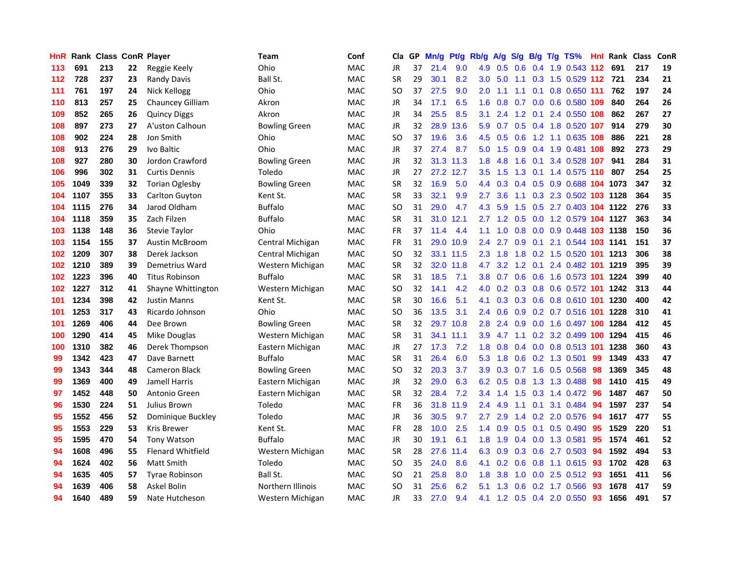| HnR I |      | <b>Rank Class ConR Player</b> |    |                          | Team                 | Conf       | Cla       | GP. | Mn/g | Pt/g      | Rb/g          | <b>A/g</b>      |               |                 | S/g B/g T/g TS%                    | Hnl | Rank Class |     | ConR |
|-------|------|-------------------------------|----|--------------------------|----------------------|------------|-----------|-----|------|-----------|---------------|-----------------|---------------|-----------------|------------------------------------|-----|------------|-----|------|
| 113   | 691  | 213                           | 22 | Reggie Keely             | Ohio                 | <b>MAC</b> | JR        | 37  | 21.4 | 9.0       | 4.9           | 0.5             | 0.6           | 0.4             | 1.9 0.543 112                      |     | 691        | 217 | 19   |
| 112   | 728  | 237                           | 23 | Randy Davis              | Ball St.             | <b>MAC</b> | <b>SR</b> | 29  | 30.1 | 8.2       | 3.0           | 5.0             | 1.1           | 0.3             | 1.5 0.529 112                      |     | 721        | 234 | 21   |
| 111   | 761  | 197                           | 24 | Nick Kellogg             | Ohio                 | <b>MAC</b> | <b>SO</b> | 37  | 27.5 | 9.0       | 2.0           | 1.1             | 1.1           | 0.1             | 0.8 0.650 111                      |     | 762        | 197 | 24   |
| 110   | 813  | 257                           | 25 | Chauncey Gilliam         | Akron                | <b>MAC</b> | <b>JR</b> | 34  | 17.1 | 6.5       | 1.6           | 0.8             | 0.7           |                 | 0.0 0.6 0.580 109                  |     | 840        | 264 | 26   |
| 109   | 852  | 265                           | 26 | <b>Quincy Diggs</b>      | Akron                | <b>MAC</b> | JR        | 34  | 25.5 | 8.5       | 3.1           | 2.4             |               |                 | 1.2 0.1 2.4 0.550 108              |     | 862        | 267 | 27   |
| 108   | 897  | 273                           | 27 | A'uston Calhoun          | <b>Bowling Green</b> | MAC        | <b>JR</b> | 32  | 28.9 | 13.6      | 5.9           |                 |               |                 | 0.7 0.5 0.4 1.8 0.520 107          |     | 914        | 279 | 30   |
| 108   | 902  | 224                           | 28 | Jon Smith                | Ohio                 | <b>MAC</b> | <b>SO</b> | 37  | 19.6 | 3.6       | 4.5           | 0.5             | 0.6           |                 | 1.2 1.1 0.635 108                  |     | 886        | 221 | 28   |
| 108   | 913  | 276                           | 29 | Ivo Baltic               | Ohio                 | <b>MAC</b> | JR        | 37  | 27.4 | 8.7       | 5.0           | 1.5             | 0.9           |                 | 0.4 1.9 0.481 108                  |     | 892        | 273 | 29   |
| 108   | 927  | 280                           | 30 | Jordon Crawford          | <b>Bowling Green</b> | <b>MAC</b> | <b>JR</b> | 32  |      | 31.3 11.3 | 1.8           | 4.8             | 1.6           | 0.1             | 3.4 0.528 107                      |     | 941        | 284 | 31   |
| 106   | 996  | 302                           | 31 | <b>Curtis Dennis</b>     | Toledo               | <b>MAC</b> | <b>JR</b> | 27  |      | 27.2 12.7 | 3.5           | 1.5             | 1.3           | 0.1             | 1.4 0.575 110                      |     | 807        | 254 | 25   |
| 105   | 1049 | 339                           | 32 | <b>Torian Oglesby</b>    | <b>Bowling Green</b> | MAC        | <b>SR</b> | 32  | 16.9 | 5.0       | $4.4^{\circ}$ | 0.3             |               |                 | $0.4$ $0.5$ $0.9$ $0.688$          |     | 104 1073   | 347 | 32   |
| 104   | 1107 | 355                           | 33 | Carlton Guyton           | Kent St.             | MAC        | SR        | 33  | 32.1 | 9.9       | 2.7           | 3.6             | 1.1           |                 | 0.3 2.3 0.502 103                  |     | 1128       | 364 | 35   |
| 104   | 1115 | 276                           | 34 | Jarod Oldham             | <b>Buffalo</b>       | MAC        | SO        | 31  | 29.0 | 4.7       | 4.3           | 5.9             | $1.5^{\circ}$ | 0.5             | 2.7 0.403 104                      |     | 1122       | 276 | 33   |
| 104   | 1118 | 359                           | 35 | Zach Filzen              | <b>Buffalo</b>       | <b>MAC</b> | <b>SR</b> | 31  | 31.0 | 12.1      | $2.7^{\circ}$ | 1.2             | 0.5           | 0.0             | 1.2 0.579 104                      |     | 1127       | 363 | 34   |
| 103   | 1138 | 148                           | 36 | Stevie Taylor            | Ohio                 | <b>MAC</b> | FR        | 37  | 11.4 | 4.4       | 1.1           | 1.0             | 0.8           | 0.0             | 0.9 0.448                          | 103 | 1138       | 150 | 36   |
| 103   | 1154 | 155                           | 37 | <b>Austin McBroom</b>    | Central Michigan     | <b>MAC</b> | <b>FR</b> | 31  | 29.0 | 10.9      | 2.4           | 2.7             | 0.9           | 0.1             | 2.1 0.544 103 1141                 |     |            | 151 | 37   |
| 102   | 1209 | 307                           | 38 | Derek Jackson            | Central Michigan     | <b>MAC</b> | <b>SO</b> | 32  |      | 33.1 11.5 | $2.3^{\circ}$ | 1.8             | 1.8           |                 | 0.2 1.5 0.520 101                  |     | 1213       | 306 | 38   |
| 102   | 1210 | 389                           | 39 | Demetrius Ward           | Western Michigan     | <b>MAC</b> | <b>SR</b> | 32  | 32.0 | 11.8      | 4.7           | 3.2             |               | $1.2 \quad 0.1$ | 2.4 0.482 101 1219                 |     |            | 395 | 39   |
| 102   | 1223 | 396                           | 40 | <b>Titus Robinson</b>    | <b>Buffalo</b>       | <b>MAC</b> | <b>SR</b> | 31  | 18.5 | 7.1       |               |                 |               |                 | 3.8 0.7 0.6 0.6 1.6 0.573 101 1224 |     |            | 399 | 40   |
| 102   | 1227 | 312                           | 41 | Shayne Whittington       | Western Michigan     | MAC        | SO        | 32  | 14.1 | 4.2       | 4.0           |                 |               |                 | 0.2 0.3 0.8 0.6 0.572 101 1242     |     |            | 313 | 44   |
| 101   | 1234 | 398                           | 42 | <b>Justin Manns</b>      | Kent St.             | <b>MAC</b> | <b>SR</b> | 30  | 16.6 | 5.1       | 4.1           |                 |               |                 | 0.3 0.3 0.6 0.8 0.610 101 1230     |     |            | 400 | 42   |
| 101   | 1253 | 317                           | 43 | Ricardo Johnson          | Ohio                 | <b>MAC</b> | SO        | 36  | 13.5 | 3.1       | $2.4^{\circ}$ | 0.6             |               |                 | 0.9 0.2 0.7 0.516 101              |     | 1228       | 310 | 41   |
| 101   | 1269 | 406                           | 44 | Dee Brown                | <b>Bowling Green</b> | MAC        | <b>SR</b> | 32  |      | 29.7 10.8 | 2.8           | 2.4             | 0.9           |                 | 0.0 1.6 0.497 100                  |     | 1284       | 412 | 45   |
| 100   | 1290 | 414                           | 45 | Mike Douglas             | Western Michigan     | <b>MAC</b> | <b>SR</b> | 31  | 34.1 | 11.1      | 3.9           | 4.7             | 1.1           |                 | 0.2 3.2 0.499 100                  |     | 1294       | 415 | 46   |
| 100   | 1310 | 382                           | 46 | Derek Thompson           | Eastern Michigan     | MAC        | JR        | 27  | 17.3 | 7.2       | 1.8           | 0.8             |               |                 | 0.4 0.0 0.8 0.513 101              |     | 1238       | 360 | 43   |
| 99    | 1342 | 423                           | 47 | Dave Barnett             | <b>Buffalo</b>       | <b>MAC</b> | SR        | 31  | 26.4 | 6.0       | 5.3           | 1.8             | 0.6           |                 | 0.2 1.3 0.501                      | 99  | 1349       | 433 | 47   |
| 99    | 1343 | 344                           | 48 | <b>Cameron Black</b>     | <b>Bowling Green</b> | MAC        | SO        | 32  | 20.3 | 3.7       | 3.9           | 0.3             | 0.7           | 1.6             | 0.5 0.568                          | 98  | 1369       | 345 | 48   |
| 99    | 1369 | 400                           | 49 | Jamell Harris            | Eastern Michigan     | <b>MAC</b> | JR        | 32  | 29.0 | 6.3       | 6.2           | 0.5             | 0.8           | 1.3             | 1.3 0.488                          | 98  | 1410       | 415 | 49   |
| 97    | 1452 | 448                           | 50 | Antonio Green            | Eastern Michigan     | <b>MAC</b> | <b>SR</b> | 32  | 28.4 | 7.2       | 3.4           | 1.4             | 1.5           | 0.3             | 1.4 0.472                          | 96  | 1487       | 467 | 50   |
| 96    | 1530 | 224                           | 51 | Julius Brown             | Toledo               | <b>MAC</b> | FR        | 36  | 31.8 | 11.9      | 2.4           | 4.9             | 1.1           | 0.1             | 3.1 0.484                          | 94  | 1597       | 237 | 54   |
| 95    | 1552 | 456                           | 52 | Dominique Buckley        | Toledo               | <b>MAC</b> | JR        | 36  | 30.5 | 9.7       | $2.7^{\circ}$ | 2.9             | 1.4           |                 | 0.2 2.0 0.576                      | 94  | 1617       | 477 | 55   |
| 95    | 1553 | 229                           | 53 | <b>Kris Brewer</b>       | Kent St.             | MAC        | <b>FR</b> | 28  | 10.0 | 2.5       |               | $1.4 \quad 0.9$ |               | $0.5 \quad 0.1$ | $0.5 \, 0.490$                     | 95  | 1529       | 220 | 51   |
| 95    | 1595 | 470                           | 54 | <b>Tony Watson</b>       | <b>Buffalo</b>       | MAC        | JR        | 30  | 19.1 | 6.1       |               | $1.8$ 1.9       |               |                 | $0.4$ 0.0 1.3 0.581                | 95  | 1574       | 461 | 52   |
| 94    | 1608 | 496                           | 55 | <b>Flenard Whitfield</b> | Western Michigan     | <b>MAC</b> | <b>SR</b> | 28  | 27.6 | 11.4      | 6.3           | 0.9             |               |                 | 0.3 0.6 2.7 0.503                  | 94  | 1592       | 494 | 53   |
| 94    | 1624 | 402                           | 56 | Matt Smith               | Toledo               | MAC        | SO        | 35  | 24.0 | 8.6       | 4.1           | 0.2             | 0.6           |                 | 0.8 1.1 0.615                      | 93  | 1702       | 428 | 63   |
| 94    | 1635 | 405                           | 57 | <b>Tyrae Robinson</b>    | Ball St.             | <b>MAC</b> | SO        | 21  | 25.8 | 8.0       | 1.8           | 3.8             | 1.0           |                 | $0.0$ 2.5 $0.512$                  | 93  | 1651       | 411 | 56   |
| 94    | 1639 | 406                           | 58 | Askel Bolin              | Northern Illinois    | <b>MAC</b> | SO        | 31  | 25.6 | 6.2       | 5.1           | 1.3             | 0.6           | 0.2             | 1.7 0.566                          | 93  | 1678       | 417 | 59   |
| 94    | 1640 | 489                           | 59 | Nate Hutcheson           | Western Michigan     | <b>MAC</b> | JR        | 33  | 27.0 | 9.4       |               |                 |               |                 | 4.1 1.2 0.5 0.4 2.0 0.550          | 93  | 1656       | 491 | 57   |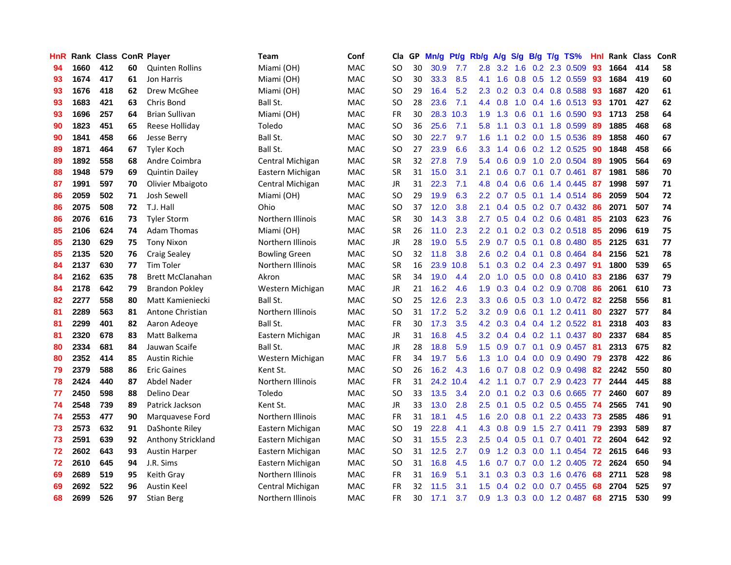| <b>HnR</b> |      | Rank Class ConR Player |    |                         | Team                     | Conf       | Cla       |    | GP Mn/g Pt/g Rb/g |           |                  |                   |                  |                 | $A/g$ S/g B/g T/g TS%     | Hnl | Rank Class |     | <b>ConR</b> |
|------------|------|------------------------|----|-------------------------|--------------------------|------------|-----------|----|-------------------|-----------|------------------|-------------------|------------------|-----------------|---------------------------|-----|------------|-----|-------------|
| 94         | 1660 | 412                    | 60 | <b>Quinten Rollins</b>  | Miami (OH)               | <b>MAC</b> | SO        | 30 | 30.9              | 7.7       | 2.8              | 3.2               | 1.6              | 0.2             | 2.3 0.509                 | 93  | 1664       | 414 | 58          |
| 93         | 1674 | 417                    | 61 | Jon Harris              | Miami (OH)               | <b>MAC</b> | SO.       | 30 | 33.3              | 8.5       | 4.1              | 1.6               | 0.8              | 0.5             | 1.2 0.559                 | 93  | 1684       | 419 | 60          |
| 93         | 1676 | 418                    | 62 | Drew McGhee             | Miami (OH)               | <b>MAC</b> | <b>SO</b> | 29 | 16.4              | 5.2       | 2.3              | 0.2               |                  | $0.3 \quad 0.4$ | 0.8 0.588                 | -93 | 1687       | 420 | 61          |
| 93         | 1683 | 421                    | 63 | Chris Bond              | Ball St.                 | <b>MAC</b> | <b>SO</b> | 28 | 23.6              | 7.1       |                  | 4.4 0.8           |                  |                 | 1.0 0.4 1.6 0.513         | 93  | 1701       | 427 | 62          |
| 93         | 1696 | 257                    | 64 | <b>Brian Sullivan</b>   | Miami (OH)               | <b>MAC</b> | <b>FR</b> | 30 |                   | 28.3 10.3 |                  | $1.9$ $1.3$       |                  |                 | $0.6$ $0.1$ 1.6 $0.590$   | -93 | 1713       | 258 | 64          |
| 90         | 1823 | 451                    | 65 | Reese Holliday          | Toledo                   | <b>MAC</b> | <b>SO</b> | 36 | 25.6              | 7.1       | 5.8              | 1.1               |                  |                 | $0.3$ 0.1 1.8 0.599       | 89  | 1885       | 468 | 68          |
| 90         | 1841 | 458                    | 66 | Jesse Berry             | Ball St.                 | <b>MAC</b> | <b>SO</b> | 30 | 22.7              | 9.7       | 1.6              | 1.1               |                  |                 | $0.2$ 0.0 1.5 0.536       | 89  | 1858       | 460 | 67          |
| 89         | 1871 | 464                    | 67 | <b>Tyler Koch</b>       | Ball St.                 | <b>MAC</b> | <b>SO</b> | 27 | 23.9              | 6.6       | 3.3 <sub>2</sub> | 1.4               |                  |                 | 0.6 0.2 1.2 0.525         | 90  | 1848       | 458 | 66          |
| 89         | 1892 | 558                    | 68 | Andre Coimbra           | Central Michigan         | <b>MAC</b> | <b>SR</b> | 32 | 27.8              | 7.9       | 5.4              | 0.6               | 0.9              |                 | 1.0 2.0 0.504             | 89  | 1905       | 564 | 69          |
| 88         | 1948 | 579                    | 69 | <b>Quintin Dailey</b>   | Eastern Michigan         | MAC        | <b>SR</b> | 31 | 15.0              | 3.1       | 2.1              | 0.6               | 0.7              | 0.1             | $0.7$ $0.461$             | 87  | 1981       | 586 | 70          |
| 87         | 1991 | 597                    | 70 | Olivier Mbaigoto        | Central Michigan         | MAC        | JR        | 31 | 22.3              | 7.1       | 4.8              | 0.4               | 0.6              | 0.6             | 1.4 0.445                 | -87 | 1998       | 597 | 71          |
| 86         | 2059 | 502                    | 71 | Josh Sewell             | Miami (OH)               | <b>MAC</b> | <b>SO</b> | 29 | 19.9              | 6.3       | $2.2\phantom{0}$ | 0.7               |                  |                 | $0.5$ 0.1 1.4 0.514       | 86  | 2059       | 504 | 72          |
| 86         | 2075 | 508                    | 72 | T.J. Hall               | Ohio                     | <b>MAC</b> | <b>SO</b> | 37 | 12.0              | 3.8       | 2.1              | 0.4               | 0.5              |                 | 0.2 0.7 0.432             | 86  | 2071       | 507 | 74          |
| 86         | 2076 | 616                    | 73 | <b>Tyler Storm</b>      | <b>Northern Illinois</b> | <b>MAC</b> | <b>SR</b> | 30 | 14.3              | 3.8       | 2.7              | 0.5               |                  |                 | $0.4$ 0.2 0.6 0.481       | 85  | 2103       | 623 | 76          |
| 85         | 2106 | 624                    | 74 | Adam Thomas             | Miami (OH)               | <b>MAC</b> | <b>SR</b> | 26 | 11.0              | 2.3       | $2.2\phantom{0}$ | 0.1               |                  |                 | 0.2 0.3 0.2 0.518         | 85  | 2096       | 619 | 75          |
| 85         | 2130 | 629                    | 75 | <b>Tony Nixon</b>       | <b>Northern Illinois</b> | <b>MAC</b> | <b>JR</b> | 28 | 19.0              | 5.5       | 2.9              | 0.7               |                  | $0.5 \quad 0.1$ | 0.8 0.480                 | -85 | 2125       | 631 | 77          |
| 85         | 2135 | 520                    | 76 | <b>Craig Sealey</b>     | <b>Bowling Green</b>     | <b>MAC</b> | <b>SO</b> | 32 | 11.8              | 3.8       | 2.6              | 0.2               | $0.4 \quad 0.1$  |                 | 0.8 0.464                 | -84 | 2156       | 521 | 78          |
| 84         | 2137 | 630                    | 77 | <b>Tim Toler</b>        | Northern Illinois        | <b>MAC</b> | <b>SR</b> | 16 | 23.9              | 10.8      | 5.1              | 0.3               |                  |                 | 0.2 0.4 2.3 0.497         | -91 | 1800       | 539 | 65          |
| 84         | 2162 | 635                    | 78 | <b>Brett McClanahan</b> | Akron                    | <b>MAC</b> | <b>SR</b> | 34 | 19.0              | 4.4       | $2.0^{\circ}$    | 1.0               |                  |                 | 0.5 0.0 0.8 0.410 83      |     | 2186       | 637 | 79          |
| 84         | 2178 | 642                    | 79 | <b>Brandon Pokley</b>   | Western Michigan         | <b>MAC</b> | JR        | 21 | 16.2              | 4.6       | 1.9              | 0.3               |                  |                 | $0.4$ 0.2 0.9 0.708       | -86 | 2061       | 610 | 73          |
| 82         | 2277 | 558                    | 80 | Matt Kamieniecki        | Ball St.                 | <b>MAC</b> | <b>SO</b> | 25 | 12.6              | 2.3       | 3.3 <sub>2</sub> | 0.6               |                  |                 | 0.5 0.3 1.0 0.472 82      |     | 2258       | 556 | 81          |
| 81         | 2289 | 563                    | 81 | Antone Christian        | Northern Illinois        | <b>MAC</b> | <b>SO</b> | 31 | 17.2              | 5.2       | $3.2\phantom{0}$ | 0.9               |                  |                 | $0.6$ $0.1$ 1.2 $0.411$   | -80 | 2327       | 577 | 84          |
| 81         | 2299 | 401                    | 82 | Aaron Adeoye            | Ball St.                 | <b>MAC</b> | <b>FR</b> | 30 | 17.3              | 3.5       | 4.2              | 0.3               |                  |                 | 0.4 0.4 1.2 0.522         | -81 | 2318       | 403 | 83          |
| 81         | 2320 | 678                    | 83 | Matt Balkema            | Eastern Michigan         | MAC        | JR        | 31 | 16.8              | 4.5       | 3.2 <sub>1</sub> | 0.4               |                  |                 | $0.4$ 0.2 1.1 0.437       | -80 | 2337       | 684 | 85          |
| 80         | 2334 | 681                    | 84 | Jauwan Scaife           | Ball St.                 | <b>MAC</b> | JR        | 28 | 18.8              | 5.9       | 1.5              | 0.9               |                  | $0.7 \quad 0.1$ | $0.9$ 0.457               | -81 | 2313       | 675 | 82          |
| 80         | 2352 | 414                    | 85 | <b>Austin Richie</b>    | Western Michigan         | <b>MAC</b> | FR        | 34 | 19.7              | 5.6       | 1.3              | 1.0               |                  |                 | $0.4$ 0.0 0.9 0.490       | -79 | 2378       | 422 | 86          |
| 79         | 2379 | 588                    | 86 | <b>Eric Gaines</b>      | Kent St.                 | MAC        | <b>SO</b> | 26 | 16.2              | 4.3       | 1.6              | 0.7               |                  |                 | $0.8$ 0.2 0.9 0.498       | 82  | 2242       | 550 | 80          |
| 78         | 2424 | 440                    | 87 | Abdel Nader             | Northern Illinois        | <b>MAC</b> | <b>FR</b> | 31 |                   | 24.2 10.4 | 4.2              | 1.1               | 0.7              |                 | 0.7 2.9 0.423             | 77  | 2444       | 445 | 88          |
| 77         | 2450 | 598                    | 88 | Delino Dear             | Toledo                   | <b>MAC</b> | <b>SO</b> | 33 | 13.5              | 3.4       | 2.0              | 0.1               |                  |                 | 0.2 0.3 0.6 0.665         | 77  | 2460       | 607 | 89          |
| 74         | 2548 | 739                    | 89 | Patrick Jackson         | Kent St.                 | <b>MAC</b> | <b>JR</b> | 33 | 13.0              | 2.8       | 2.5              | 0.1               |                  |                 | $0.5$ $0.2$ $0.5$ $0.455$ | -74 | 2565       | 741 | 90          |
| 74         | 2553 | 477                    | 90 | Marquavese Ford         | Northern Illinois        | <b>MAC</b> | <b>FR</b> | 31 | 18.1              | 4.5       | 1.6              | 2.0               | 0.8              |                 | $0.1$ 2.2 0.433           | 73  | 2585       | 486 | 91          |
| 73         | 2573 | 632                    | 91 | DaShonte Riley          | Eastern Michigan         | <b>MAC</b> | SO.       | 19 | 22.8              | 4.1       | 4.3              | 0.8               | 0.9              |                 | $1.5$ 2.7 0.411           | -79 | 2393       | 589 | 87          |
| 73         | 2591 | 639                    | 92 | Anthony Strickland      | Eastern Michigan         | <b>MAC</b> | <b>SO</b> | 31 | 15.5              | 2.3       | 2.5              | 0.4               |                  |                 | 0.5 0.1 0.7 0.401 72      |     | 2604       | 642 | 92          |
| 72         | 2602 | 643                    | 93 | <b>Austin Harper</b>    | Eastern Michigan         | <b>MAC</b> | <b>SO</b> | 31 | 12.5              | 2.7       | 0.9 <sup>°</sup> | 1.2               |                  |                 | $0.3$ 0.0 1.1 0.454       | -72 | 2615       | 646 | 93          |
| 72         | 2610 | 645                    | 94 | J.R. Sims               | Eastern Michigan         | <b>MAC</b> | <b>SO</b> | 31 | 16.8              | 4.5       | 1.6              | 0.7               |                  |                 | $0.7$ $0.0$ $1.2$ $0.405$ | 72  | 2624       | 650 | 94          |
| 69         | 2689 | 519                    | 95 | Keith Gray              | Northern Illinois        | MAC        | <b>FR</b> | 31 | 16.9              | 5.1       | 3.1              | 0.3               | 0.3              |                 | $0.3$ 1.6 0.476           | 68  | 2711       | 528 | 98          |
| 69         | 2692 | 522                    | 96 | Austin Keel             | Central Michigan         | <b>MAC</b> | FR        | 32 | 11.5              | 3.1       | 1.5              | $\mathbf{0}$<br>4 | 0.2 <sub>0</sub> | 0.0             | 0.7 0.455                 | 68  | 2704       | 525 | 97          |
| 68         | 2699 | 526                    | 97 | <b>Stian Berg</b>       | Northern Illinois        | MAC        | FR.       | 30 | 17.1              | 3.7       | 0.9              | 1.3               |                  |                 | 0.3 0.0 1.2 0.487         | 68  | 2715       | 530 | 99          |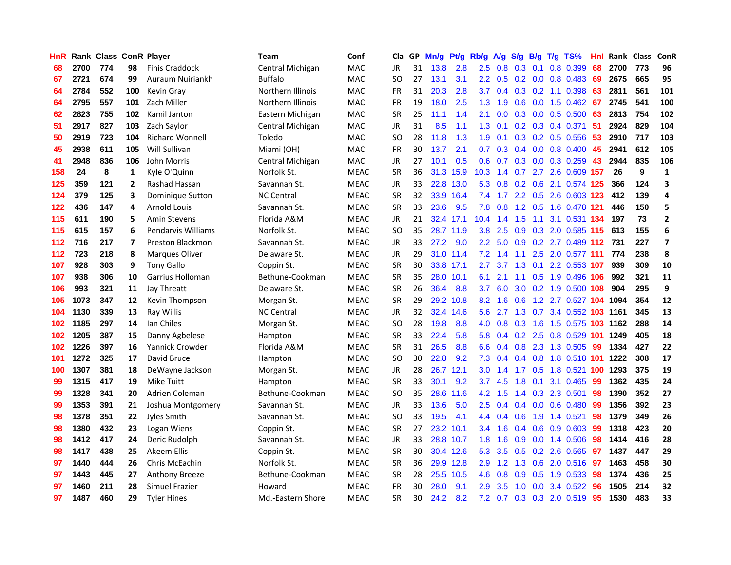| HnR |      | <b>Rank Class ConR Player</b> |              |                         | Team              | Conf        | Cla           |    | GP Mn/g | Pt/g      | Rb/g             | A/g             | <b>S/g</b>    |                 | B/g T/g TS%                | Hnl | Rank Class |     | ConR                    |
|-----|------|-------------------------------|--------------|-------------------------|-------------------|-------------|---------------|----|---------|-----------|------------------|-----------------|---------------|-----------------|----------------------------|-----|------------|-----|-------------------------|
| 68  | 2700 | 774                           | 98           | <b>Finis Craddock</b>   | Central Michigan  | <b>MAC</b>  | JR            | 31 | 13.8    | 2.8       | 2.5              | 0.8             | 0.3           | 0.1             | 0.8 0.399                  | 68  | 2700       | 773 | 96                      |
| 67  | 2721 | 674                           | 99           | Auraum Nuiriankh        | <b>Buffalo</b>    | <b>MAC</b>  | <b>SO</b>     | 27 | 13.1    | 3.1       | 2.2 <sub>2</sub> | 0.5             | 0.2           | 0.0             | 0.8 0.483                  | 69  | 2675       | 665 | 95                      |
| 64  | 2784 | 552                           | 100          | Kevin Gray              | Northern Illinois | <b>MAC</b>  | <b>FR</b>     | 31 | 20.3    | 2.8       | 3.7              | 0.4             |               | $0.3 \quad 0.2$ | 1.1 0.398                  | 63  | 2811       | 561 | 101                     |
| 64  | 2795 | 557                           | 101          | Zach Miller             | Northern Illinois | <b>MAC</b>  | FR            | 19 | 18.0    | 2.5       | 1.3              | 1.9             | 0.6           |                 | $0.0$ 1.5 $0.462$          | 67  | 2745       | 541 | 100                     |
| 62  | 2823 | 755                           | 102          | Kamil Janton            | Eastern Michigan  | MAC         | <b>SR</b>     | 25 | 11.1    | 1.4       | 2.1              | 0.0             |               |                 | $0.3$ 0.0 0.5 0.500        | 63  | 2813       | 754 | 102                     |
| 51  | 2917 | 827                           | 103          | Zach Saylor             | Central Michigan  | <b>MAC</b>  | JR            | 31 | 8.5     | 1.1       | 1.3              | 0.1             |               |                 | $0.2$ $0.3$ $0.4$ $0.371$  | 51  | 2924       | 829 | 104                     |
| 50  | 2919 | 723                           | 104          | <b>Richard Wonnell</b>  | Toledo            | <b>MAC</b>  | <b>SO</b>     | 28 | 11.8    | 1.3       | 1.9              | 0.1             |               |                 | $0.3$ $0.2$ $0.5$ $0.556$  | 53  | 2910       | 717 | 103                     |
| 45  | 2938 | 611                           | 105          | Will Sullivan           | Miami (OH)        | <b>MAC</b>  | <b>FR</b>     | 30 | 13.7    | 2.1       | 0.7              | 0.3             |               |                 | $0.4$ 0.0 0.8 0.400        | 45  | 2941       | 612 | 105                     |
| 41  | 2948 | 836                           | 106          | John Morris             | Central Michigan  | <b>MAC</b>  | JR            | 27 | 10.1    | 0.5       | 0.6              | 0.7             |               |                 | 0.3 0.0 0.3 0.259          | 43  | 2944       | 835 | 106                     |
| 158 | 24   | 8                             | 1            | Kyle O'Quinn            | Norfolk St.       | <b>MEAC</b> | <b>SR</b>     | 36 | 31.3    | 15.9      | 10.3             | 1.4             |               |                 | 0.7 2.7 2.6 0.609 157      |     | 26         | 9   | $\mathbf 1$             |
| 125 | 359  | 121                           | $\mathbf{2}$ | Rashad Hassan           | Savannah St.      | <b>MEAC</b> | <b>JR</b>     | 33 |         | 22.8 13.0 | 5.3              | 0.8             |               | $0.2 \quad 0.6$ | 2.1 0.574 125              |     | 366        | 124 | 3                       |
| 124 | 379  | 125                           | 3            | Dominique Sutton        | <b>NC Central</b> | <b>MEAC</b> | <b>SR</b>     | 32 |         | 33.9 16.4 | 7.4              | 1.7             |               | $2.2 \quad 0.5$ | 2.6 0.603 123              |     | 412        | 139 | 4                       |
| 122 | 436  | 147                           | 4            | <b>Arnold Louis</b>     | Savannah St.      | <b>MEAC</b> | <b>SR</b>     | 33 | 23.6    | 9.5       | 7.8              | 0.8             | 1.2           | 0.5             | 1.6 0.478                  | 121 | 446        | 150 | 5                       |
| 115 | 611  | 190                           | 5            | <b>Amin Stevens</b>     | Florida A&M       | <b>MEAC</b> | JR            | 21 |         | 32.4 17.1 | 10.4             | 1.4             | 1.5           | 1.1             | 3.1 0.531 134              |     | 197        | 73  | $\mathbf{2}$            |
| 115 | 615  | 157                           | 6            | Pendarvis Williams      | Norfolk St.       | <b>MEAC</b> | <sub>SO</sub> | 35 |         | 28.7 11.9 | 3.8              | 2.5             | 0.9           | 0.3             | 2.0 0.585 115              |     | 613        | 155 | 6                       |
| 112 | 716  | 217                           | 7            | <b>Preston Blackmon</b> | Savannah St.      | <b>MEAC</b> | JR            | 33 | 27.2    | 9.0       | $2.2^{\circ}$    | 5.0             | 0.9           |                 | 0.2 2.7 0.489 112          |     | 731        | 227 | $\overline{\mathbf{z}}$ |
| 112 | 723  | 218                           | 8            | <b>Marques Oliver</b>   | Delaware St.      | <b>MEAC</b> | JR            | 29 |         | 31.0 11.4 |                  | $7.2 \quad 1.4$ | $-1.1$        |                 | 2.5 2.0 0.577 111          |     | 774        | 238 | 8                       |
| 107 | 928  | 303                           | 9            | <b>Tony Gallo</b>       | Coppin St.        | <b>MEAC</b> | <b>SR</b>     | 30 |         | 33.8 17.1 | $2.7^{\circ}$    | 3.7             |               |                 | 1.3 0.1 2.2 0.553 107      |     | 939        | 309 | 10                      |
| 107 | 938  | 306                           | 10           | Garrius Holloman        | Bethune-Cookman   | <b>MEAC</b> | <b>SR</b>     | 35 |         | 28.0 10.1 | 6.1              | 2.1             |               |                 | 1.1 0.5 1.9 0.496 106      |     | 992        | 321 | 11                      |
| 106 | 993  | 321                           | 11           | Jay Threatt             | Delaware St.      | <b>MEAC</b> | <b>SR</b>     | 26 | 36.4    | 8.8       | 3.7              | 6.0             |               |                 | 3.0 0.2 1.9 0.500 108      |     | 904        | 295 | 9                       |
| 105 | 1073 | 347                           | 12           | Kevin Thompson          | Morgan St.        | <b>MEAC</b> | <b>SR</b>     | 29 |         | 29.2 10.8 | 8.2              | 1.6             | 0.6           |                 | 1.2 2.7 0.527 104 1094     |     |            | 354 | 12                      |
| 104 | 1130 | 339                           | 13           | Ray Willis              | <b>NC Central</b> | <b>MEAC</b> | <b>JR</b>     | 32 |         | 32.4 14.6 | $5.6^{\circ}$    | 2.7             |               |                 | 1.3 0.7 3.4 0.552 103 1161 |     |            | 345 | 13                      |
| 102 | 1185 | 297                           | 14           | Ian Chiles              | Morgan St.        | <b>MEAC</b> | <sub>SO</sub> | 28 | 19.8    | 8.8       | 4.0              | 0.8             | 0.3           | 1.6             | 1.5 0.575 103              |     | 1162       | 288 | 14                      |
| 102 | 1205 | 387                           | 15           | Danny Agbelese          | Hampton           | <b>MEAC</b> | <b>SR</b>     | 33 | 22.4    | 5.8       | 5.8              | 0.4             |               |                 | 0.2 2.5 0.8 0.529 101      |     | 1249       | 405 | 18                      |
| 102 | 1226 | 397                           | 16           | Yannick Crowder         | Florida A&M       | <b>MEAC</b> | <b>SR</b>     | 31 | 26.5    | 8.8       | 6.6              | 0.4             | 0.8           |                 | 2.3 1.3 0.505              | -99 | 1334       | 427 | 22                      |
| 101 | 1272 | 325                           | 17           | David Bruce             | Hampton           | <b>MEAC</b> | SO.           | 30 | 22.8    | 9.2       | 7.3              | 0.4             | $0.4^{\circ}$ | 0.8             | 1.8 0.518 101              |     | 1222       | 308 | 17                      |
| 100 | 1307 | 381                           | 18           | DeWayne Jackson         | Morgan St.        | <b>MEAC</b> | JR.           | 28 |         | 26.7 12.1 | 3.0              | 1.4             | 1.7           | 0.5             | 1.8 0.521 100              |     | 1293       | 375 | 19                      |
| 99  | 1315 | 417                           | 19           | <b>Mike Tuitt</b>       | Hampton           | <b>MEAC</b> | <b>SR</b>     | 33 | 30.1    | 9.2       | 3.7              | 4.5             | 1.8           | 0.1             | 3.1 0.465                  | -99 | 1362       | 435 | 24                      |
| 99  | 1328 | 341                           | 20           | Adrien Coleman          | Bethune-Cookman   | <b>MEAC</b> | <sub>SO</sub> | 35 | 28.6    | 11.6      | 4.2              | 1.5             | 1.4           |                 | 0.3 2.3 0.501              | 98  | 1390       | 352 | 27                      |
| 99  | 1353 | 391                           | 21           | Joshua Montgomery       | Savannah St.      | <b>MEAC</b> | JR            | 33 | 13.6    | 5.0       | $2.5^{\circ}$    | 0.4             | 0.4           |                 | $0.0\quad 0.6\quad 0.480$  | -99 | 1356       | 392 | 23                      |
| 98  | 1378 | 351                           | 22           | Jyles Smith             | Savannah St.      | <b>MEAC</b> | <b>SO</b>     | 33 | 19.5    | 4.1       |                  |                 | 4.4 0.4 0.6   |                 | 1.9 1.4 0.521              | 98  | 1379       | 349 | 26                      |
| 98  | 1380 | 432                           | 23           | Logan Wiens             | Coppin St.        | <b>MEAC</b> | <b>SR</b>     | 27 |         | 23.2 10.1 |                  | $3.4$ 1.6       |               |                 | $0.4$ 0.6 0.9 0.603        | -99 | 1318       | 423 | 20                      |
| 98  | 1412 | 417                           | 24           | Deric Rudolph           | Savannah St.      | <b>MEAC</b> | JR.           | 33 |         | 28.8 10.7 | 1.8 <sup>°</sup> | 1.6             | 0.9           |                 | 0.0 1.4 0.506              | 98  | 1414       | 416 | 28                      |
| 98  | 1417 | 438                           | 25           | <b>Akeem Ellis</b>      | Coppin St.        | <b>MEAC</b> | <b>SR</b>     | 30 |         | 30.4 12.6 | 5.3              | 3.5             | 0.5           |                 | 0.2 2.6 0.565              | 97  | 1437       | 447 | 29                      |
| 97  | 1440 | 444                           | 26           | Chris McEachin          | Norfolk St.       | <b>MEAC</b> | SR            | 36 |         | 29.9 12.8 | 2.9              | 1.2             | 1.3           | 0.6             | 2.0 0.516                  | 97  | 1463       | 458 | 30                      |
| 97  | 1443 | 445                           | 27           | <b>Anthony Breeze</b>   | Bethune-Cookman   | <b>MEAC</b> | <b>SR</b>     | 28 |         | 25.5 10.5 | 4.6              | 0.8             | 0.9           | 0.5             | 1.9 0.533                  | 98  | 1374       | 436 | 25                      |
| 97  | 1460 | 211                           | 28           | Simuel Frazier          | Howard            | <b>MEAC</b> | <b>FR</b>     | 30 | 28.0    | 9.1       | 2.9              | 3.5             | 1.0           | 0.0             | 3.4 0.522                  | 96  | 1505       | 214 | 32                      |
| 97  | 1487 | 460                           | 29           | <b>Tyler Hines</b>      | Md.-Eastern Shore | <b>MEAC</b> | <b>SR</b>     | 30 | 24.2    | 8.2       |                  |                 |               |                 | 7.2 0.7 0.3 0.3 2.0 0.519  | 95  | 1530       | 483 | 33                      |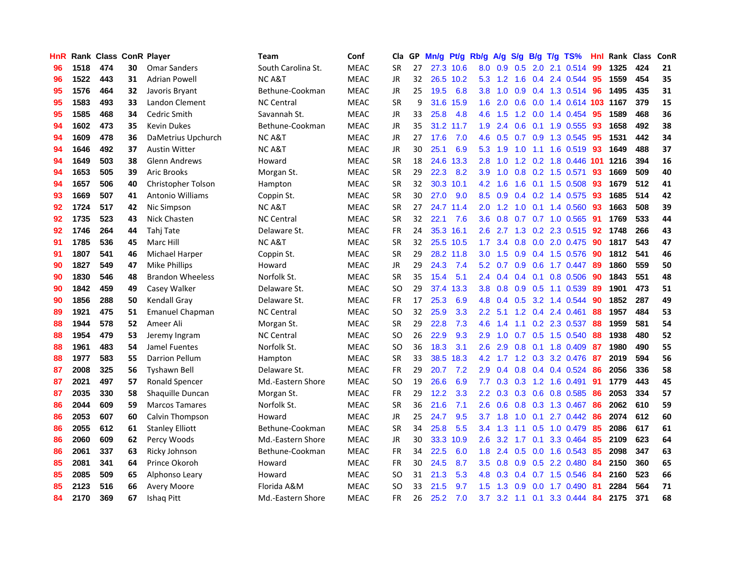| HnR |      | Rank Class ConR Player |    |                         | <b>Team</b>        | Conf        | Cla       | GP | Mn/g | Pt/g Rb/g |                  | A/g                                  | S/g             |                 | $B/g$ T/g TS%              | Hnl  |      | Rank Class | ConR |
|-----|------|------------------------|----|-------------------------|--------------------|-------------|-----------|----|------|-----------|------------------|--------------------------------------|-----------------|-----------------|----------------------------|------|------|------------|------|
| 96  | 1518 | 474                    | 30 | <b>Omar Sanders</b>     | South Carolina St. | <b>MEAC</b> | <b>SR</b> | 27 |      | 27.3 10.6 | 8.0              | 0.9                                  | 0.5             | 2.0             | 2.1 0.514                  | -99  | 1325 | 424        | 21   |
| 96  | 1522 | 443                    | 31 | <b>Adrian Powell</b>    | <b>NCA&amp;T</b>   | <b>MEAC</b> | <b>JR</b> | 32 |      | 26.5 10.2 | 5.3              | 1.2                                  | 1.6             | 0.4             | 2.4 0.544                  | -95  | 1559 | 454        | 35   |
| 95  | 1576 | 464                    | 32 | Javoris Bryant          | Bethune-Cookman    | <b>MEAC</b> | <b>JR</b> | 25 | 19.5 | 6.8       | 3.8              | 1.0                                  | 0.9             |                 | $0.4$ 1.3 0.514            | -96  | 1495 | 435        | 31   |
| 95  | 1583 | 493                    | 33 | Landon Clement          | <b>NC Central</b>  | <b>MEAC</b> | <b>SR</b> | 9  |      | 31.6 15.9 |                  | $1.6$ 2.0                            |                 |                 | 0.6 0.0 1.4 0.614 103 1167 |      |      | 379        | 15   |
| 95  | 1585 | 468                    | 34 | Cedric Smith            | Savannah St.       | <b>MEAC</b> | JR        | 33 | 25.8 | 4.8       |                  | $4.6$ 1.5                            |                 |                 | 1.2 0.0 1.4 0.454          | -95  | 1589 | 468        | 36   |
| 94  | 1602 | 473                    | 35 | <b>Kevin Dukes</b>      | Bethune-Cookman    | <b>MEAC</b> | <b>JR</b> | 35 |      | 31.2 11.7 | 1.9 <sup>°</sup> | 2.4                                  |                 |                 | 0.6 0.1 1.9 0.555          | -93  | 1658 | 492        | 38   |
| 94  | 1609 | 478                    | 36 | DaMetrius Upchurch      | <b>NC A&amp;T</b>  | <b>MEAC</b> | JR        | 27 | 17.6 | 7.0       | 4.6              | 0.5                                  |                 |                 | 0.7 0.9 1.3 0.545          | 95   | 1531 | 442        | 34   |
| 94  | 1646 | 492                    | 37 | <b>Austin Witter</b>    | <b>NCA&amp;T</b>   | MEAC        | <b>JR</b> | 30 | 25.1 | 6.9       | 5.3              | 1.9                                  | 1.0             |                 | $1.1$ 1.6 0.519            | 93   | 1649 | 488        | 37   |
| 94  | 1649 | 503                    | 38 | <b>Glenn Andrews</b>    | Howard             | <b>MEAC</b> | <b>SR</b> | 18 | 24.6 | 13.3      | 2.8              | 1.0                                  |                 |                 | 1.2 0.2 1.8 0.446          | -101 | 1216 | 394        | 16   |
| 94  | 1653 | 505                    | 39 | <b>Aric Brooks</b>      | Morgan St.         | <b>MEAC</b> | <b>SR</b> | 29 | 22.3 | 8.2       | 3.9              | 1.0                                  |                 |                 | 0.8 0.2 1.5 0.571          | 93   | 1669 | 509        | 40   |
| 94  | 1657 | 506                    | 40 | Christopher Tolson      | Hampton            | <b>MEAC</b> | <b>SR</b> | 32 |      | 30.3 10.1 | 4.2              | 1.6                                  | 1.6             |                 | $0.1$ 1.5 0.508            | 93   | 1679 | 512        | 41   |
| 93  | 1669 | 507                    | 41 | <b>Antonio Williams</b> | Coppin St.         | <b>MEAC</b> | <b>SR</b> | 30 | 27.0 | 9.0       | 8.5              | 0.9                                  |                 |                 | $0.4$ 0.2 1.4 0.575        | 93   | 1685 | 514        | 42   |
| 92  | 1724 | 517                    | 42 | Nic Simpson             | <b>NCA&amp;T</b>   | <b>MEAC</b> | <b>SR</b> | 27 |      | 24.7 11.4 | 2.0              | $\mathbf{2}$<br>$\blacktriangleleft$ | 1.0             |                 | $0.1$ 1.4 0.560            | 93   | 1663 | 508        | 39   |
| 92  | 1735 | 523                    | 43 | Nick Chasten            | <b>NC Central</b>  | <b>MEAC</b> | <b>SR</b> | 32 | 22.1 | 7.6       | 3.6              | 0.8                                  | 0.7             |                 | 0.7 1.0 0.565              | 91   | 1769 | 533        | 44   |
| 92  | 1746 | 264                    | 44 | Tahj Tate               | Delaware St.       | <b>MEAC</b> | <b>FR</b> | 24 |      | 35.3 16.1 | 2.6              | 2.7                                  | 1.3             | 0.2             | 2.3 0.515                  | 92   | 1748 | 266        | 43   |
| 91  | 1785 | 536                    | 45 | Marc Hill               | <b>NCA&amp;T</b>   | <b>MEAC</b> | <b>SR</b> | 32 |      | 25.5 10.5 | 1.7 <sub>2</sub> | 3.4                                  |                 |                 | 0.8 0.0 2.0 0.475          | 90   | 1817 | 543        | 47   |
| 91  | 1807 | 541                    | 46 | Michael Harper          | Coppin St.         | <b>MEAC</b> | <b>SR</b> | 29 |      | 28.2 11.8 | 3.0 <sub>1</sub> | 1.5                                  |                 |                 | 0.9 0.4 1.5 0.576          | -90  | 1812 | 541        | 46   |
| 90  | 1827 | 549                    | 47 | Mike Phillips           | Howard             | <b>MEAC</b> | JR        | 29 | 24.3 | 7.4       |                  | $5.2 \quad 0.7$                      |                 |                 | 0.9 0.6 1.7 0.447 89       |      | 1860 | 559        | 50   |
| 90  | 1830 | 546                    | 48 | <b>Brandon Wheeless</b> | Norfolk St.        | <b>MEAC</b> | <b>SR</b> | 35 | 15.4 | 5.1       |                  | $2.4 \quad 0.4$                      |                 |                 | $0.4$ 0.1 0.8 0.506        | 90   | 1843 | 551        | 48   |
| 90  | 1842 | 459                    | 49 | Casey Walker            | Delaware St.       | <b>MEAC</b> | SO.       | 29 |      | 37.4 13.3 | 3.8              | 0.8                                  |                 |                 | 0.9 0.5 1.1 0.539          | -89  | 1901 | 473        | 51   |
| 90  | 1856 | 288                    | 50 | Kendall Gray            | Delaware St.       | <b>MEAC</b> | <b>FR</b> | 17 | 25.3 | 6.9       | 4.8              | 0.4                                  |                 |                 | $0.5$ 3.2 1.4 0.544        | 90   | 1852 | 287        | 49   |
| 89  | 1921 | 475                    | 51 | <b>Emanuel Chapman</b>  | <b>NC Central</b>  | <b>MEAC</b> | <b>SO</b> | 32 | 25.9 | 3.3       | $2.2^{\circ}$    | 5.1                                  |                 |                 | 1.2 0.4 2.4 0.461          | 88   | 1957 | 484        | 53   |
| 88  | 1944 | 578                    | 52 | Ameer Ali               | Morgan St.         | <b>MEAC</b> | <b>SR</b> | 29 | 22.8 | 7.3       | 4.6              | 1.4                                  | 1.1             |                 | 0.2 2.3 0.537              | 88   | 1959 | 581        | 54   |
| 88  | 1954 | 479                    | 53 | Jeremy Ingram           | <b>NC Central</b>  | <b>MEAC</b> | <b>SO</b> | 26 | 22.9 | 9.3       | 2.9              | 1.0                                  | 0.7             |                 | 0.5 1.5 0.540              | 88   | 1938 | 480        | 52   |
| 88  | 1961 | 483                    | 54 | Jamel Fuentes           | Norfolk St.        | <b>MEAC</b> | <b>SO</b> | 36 | 18.3 | 3.1       | 2.6              | 2.9                                  |                 |                 | 0.8 0.1 1.8 0.409          | -87  | 1980 | 490        | 55   |
| 88  | 1977 | 583                    | 55 | <b>Darrion Pellum</b>   | Hampton            | <b>MEAC</b> | <b>SR</b> | 33 |      | 38.5 18.3 | 4.2              | 1.7                                  |                 | $1.2 \quad 0.3$ | 3.2 0.476                  | -87  | 2019 | 594        | 56   |
| 87  | 2008 | 325                    | 56 | <b>Tyshawn Bell</b>     | Delaware St.       | <b>MEAC</b> | <b>FR</b> | 29 | 20.7 | 7.2       | 2.9              | 0.4                                  |                 |                 | 0.8 0.4 0.4 0.524          | 86   | 2056 | 336        | 58   |
| 87  | 2021 | 497                    | 57 | Ronald Spencer          | Md.-Eastern Shore  | <b>MEAC</b> | SO.       | 19 | 26.6 | 6.9       | 7.7              | 0.3                                  | 0.3             |                 | 1.2 1.6 0.491              | 91   | 1779 | 443        | 45   |
| 87  | 2035 | 330                    | 58 | Shaquille Duncan        | Morgan St.         | <b>MEAC</b> | <b>FR</b> | 29 | 12.2 | 3.3       | 2.2 <sub>2</sub> | 0.3                                  |                 | $0.3 \quad 0.6$ | 0.8 0.585                  | 86   | 2053 | 334        | 57   |
| 86  | 2044 | 609                    | 59 | <b>Marcos Tamares</b>   | Norfolk St.        | <b>MEAC</b> | <b>SR</b> | 36 | 21.6 | 7.1       | 2.6              | 0.6                                  |                 |                 | 0.8 0.3 1.3 0.467          | -86  | 2062 | 610        | 59   |
| 86  | 2053 | 607                    | 60 | Calvin Thompson         | Howard             | <b>MEAC</b> | <b>JR</b> | 25 | 24.7 | 9.5       | 3.7              | 1.8                                  | 1.0             |                 | $0.1$ 2.7 $0.442$          | 86   | 2074 | 612        | 60   |
| 86  | 2055 | 612                    | 61 | <b>Stanley Elliott</b>  | Bethune-Cookman    | <b>MEAC</b> | <b>SR</b> | 34 | 25.8 | 5.5       |                  | $3.4 \quad 1.3$                      |                 |                 | 1.1 0.5 1.0 0.479          | -85  | 2086 | 617        | 61   |
| 86  | 2060 | 609                    | 62 | Percy Woods             | Md.-Eastern Shore  | <b>MEAC</b> | JR        | 30 |      | 33.3 10.9 | $2.6^{\circ}$    | 3.2                                  | 1.7             | 0.1             | 3.3 0.464                  | 85   | 2109 | 623        | 64   |
| 86  | 2061 | 337                    | 63 | Ricky Johnson           | Bethune-Cookman    | <b>MEAC</b> | <b>FR</b> | 34 | 22.5 | 6.0       | 1.8              | 2.4                                  |                 | $0.5\ 0.0$      | 1.6 0.543                  | 85   | 2098 | 347        | 63   |
| 85  | 2081 | 341                    | 64 | Prince Okoroh           | Howard             | <b>MEAC</b> | FR        | 30 | 24.5 | 8.7       | 3.5              | 0.8                                  |                 |                 | 0.9 0.5 2.2 0.480          | 84   | 2150 | 360        | 65   |
| 85  | 2085 | 509                    | 65 | Alphonso Leary          | Howard             | <b>MEAC</b> | <b>SO</b> | 31 | 21.3 | 5.3       | 4.8              | 0.3                                  | 0.4             |                 | 0.7 1.5 0.546              | 84   | 2160 | 523        | 66   |
| 85  | 2123 | 516                    | 66 | <b>Avery Moore</b>      | Florida A&M        | <b>MEAC</b> | <b>SO</b> | 33 | 21.5 | 9.7       | 1.5              | 1.3                                  | 0.9             | 0.0             | 1.7 0.490                  | 81   | 2284 | 564        | 71   |
| 84  | 2170 | 369                    | 67 | Ishag Pitt              | Md.-Eastern Shore  | <b>MEAC</b> | <b>FR</b> | 26 | 25.2 | 7.0       | 3.7              |                                      | $3.2 \quad 1.1$ | 0.1             | 3.3 0.444                  | 84   | 2175 | 371        | 68   |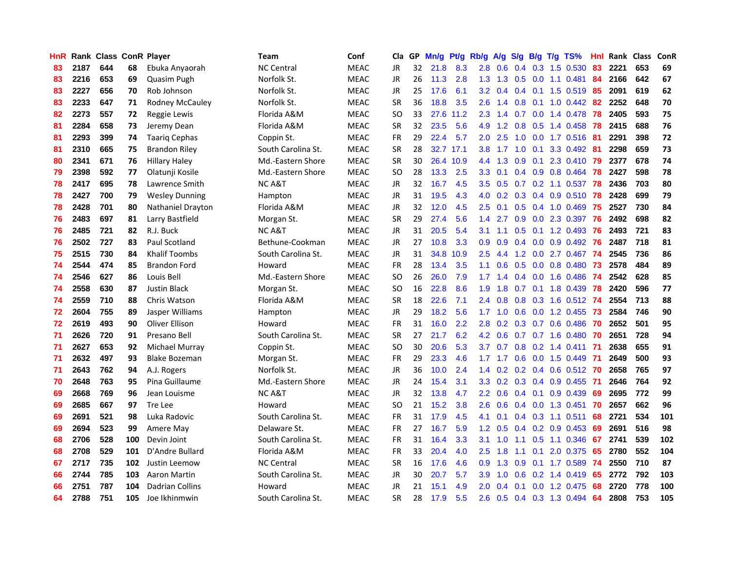| HnR |      | Rank Class ConR Player |     |                        | <b>Team</b>        | Conf        | Cla       |    | GP Mn/g Pt/g Rb/g |           |                  |                 |            |           | A/g S/g B/g T/g TS%  | Hnl  |      | Rank Class | ConR |
|-----|------|------------------------|-----|------------------------|--------------------|-------------|-----------|----|-------------------|-----------|------------------|-----------------|------------|-----------|----------------------|------|------|------------|------|
| 83  | 2187 | 644                    | 68  | Ebuka Anyaorah         | <b>NC Central</b>  | <b>MEAC</b> | JR        | 32 | 21.8              | 8.3       | 2.8              | 0.6             | 0.4        | 0.3       | 1.5 0.530            | 83   | 2221 | 653        | 69   |
| 83  | 2216 | 653                    | 69  | Quasim Pugh            | Norfolk St.        | <b>MEAC</b> | JR        | 26 | 11.3              | 2.8       | 1.3 <sup>°</sup> | 1.3             | 0.5        | 0.0       | $1.1 \t0.481$        | 84   | 2166 | 642        | 67   |
| 83  | 2227 | 656                    | 70  | Rob Johnson            | Norfolk St.        | <b>MEAC</b> | <b>JR</b> | 25 | 17.6              | 6.1       | 3.2              | 0.4             | $0.4$ 0.1  |           | 1.5 0.519            | 85   | 2091 | 619        | 62   |
| 83  | 2233 | 647                    | 71  | <b>Rodney McCauley</b> | Norfolk St.        | <b>MEAC</b> | <b>SR</b> | 36 | 18.8              | 3.5       | 2.6              | 1.4             | $0.8\ 0.1$ |           | 1.0 0.442 82         |      | 2252 | 648        | 70   |
| 82  | 2273 | 557                    | 72  | Reggie Lewis           | Florida A&M        | <b>MEAC</b> | SO.       | 33 |                   | 27.6 11.2 |                  | $2.3$ 1.4       |            |           | 0.7 0.0 1.4 0.478    | -78  | 2405 | 593        | 75   |
| 81  | 2284 | 658                    | 73  | Jeremy Dean            | Florida A&M        | <b>MEAC</b> | <b>SR</b> | 32 | 23.5              | 5.6       | 4.9              | 1.2             |            |           | $0.8$ 0.5 1.4 0.458  | -78  | 2415 | 688        | 76   |
| 81  | 2293 | 399                    | 74  | <b>Taarig Cephas</b>   | Coppin St.         | <b>MEAC</b> | <b>FR</b> | 29 | 22.4              | 5.7       | 2.0 <sub>1</sub> | 2.5             | 1.0        |           | $0.0$ 1.7 0.516      | -81  | 2291 | 398        | 72   |
| 81  | 2310 | 665                    | 75  | Brandon Riley          | South Carolina St. | <b>MEAC</b> | <b>SR</b> | 28 |                   | 32.7 17.1 | 3.8 <sub>1</sub> | 1.7             | 1.0        | 0.1       | 3.3 0.492            | -81  | 2298 | 659        | 73   |
| 80  | 2341 | 671                    | 76  | <b>Hillary Haley</b>   | Md.-Eastern Shore  | <b>MEAC</b> | <b>SR</b> | 30 |                   | 26.4 10.9 | 4.4              | 1.3             | 0.9        | 0.1       | 2.3 0.410            | 79   | 2377 | 678        | 74   |
| 79  | 2398 | 592                    | 77  | Olatunji Kosile        | Md.-Eastern Shore  | <b>MEAC</b> | <b>SO</b> | 28 | 13.3              | 2.5       | 3.3              | 0.1             |            |           | $0.4$ 0.9 0.8 0.464  | 78   | 2427 | 598        | 78   |
| 78  | 2417 | 695                    | 78  | Lawrence Smith         | <b>NCA&amp;T</b>   | <b>MEAC</b> | JR        | 32 | 16.7              | 4.5       | 3.5              | 0.5             |            |           | 0.7 0.2 1.1 0.537    | 78   | 2436 | 703        | 80   |
| 78  | 2427 | 700                    | 79  | <b>Wesley Dunning</b>  | Hampton            | <b>MEAC</b> | JR.       | 31 | 19.5              | 4.3       | 4.0              | 0.2             |            |           | $0.3$ 0.4 0.9 0.510  | 78   | 2428 | 699        | 79   |
| 78  | 2428 | 701                    | 80  | Nathaniel Drayton      | Florida A&M        | <b>MEAC</b> | JR.       | 32 | 12.0              | 4.5       | 2.5              | 0.1             | 0.5        |           | 0.4 1.0 0.469        | -75  | 2527 | 730        | 84   |
| 76  | 2483 | 697                    | 81  | Larry Bastfield        | Morgan St.         | <b>MEAC</b> | <b>SR</b> | 29 | 27.4              | 5.6       | 1.4              | 2.7             | 0.9        | 0.0       | 2.3 0.397            | -76  | 2492 | 698        | 82   |
| 76  | 2485 | 721                    | 82  | R.J. Buck              | <b>NC A&amp;T</b>  | <b>MEAC</b> | JR        | 31 | 20.5              | 5.4       | 3.1              | 1.1             | 0.5        | 0.1       | 1.2 0.493            | -76  | 2493 | 721        | 83   |
| 76  | 2502 | 727                    | 83  | Paul Scotland          | Bethune-Cookman    | <b>MEAC</b> | JR        | 27 | 10.8              | 3.3       | 0.9              | 0.9             |            |           | $0.4$ 0.0 0.9 0.492  | -76  | 2487 | 718        | 81   |
| 75  | 2515 | 730                    | 84  | <b>Khalif Toombs</b>   | South Carolina St. | <b>MEAC</b> | JR        | 31 | 34.8              | 10.9      | $2.5^{\circ}$    | 4.4             |            |           | 1.2 0.0 2.7 0.467 74 |      | 2545 | 736        | 86   |
| 74  | 2544 | 474                    | 85  | <b>Brandon Ford</b>    | Howard             | <b>MEAC</b> | FR        | 28 | 13.4              | 3.5       | 1.1 <sup>2</sup> | 0.6             |            |           | 0.5 0.0 0.8 0.480 73 |      | 2578 | 484        | 89   |
| 74  | 2546 | 627                    | 86  | Louis Bell             | Md.-Eastern Shore  | <b>MEAC</b> | <b>SO</b> | 26 | 26.0              | 7.9       | 1.7 <sub>z</sub> | 1.4             |            |           | $0.4$ 0.0 1.6 0.486  | - 74 | 2542 | 628        | 85   |
| 74  | 2558 | 630                    | 87  | <b>Justin Black</b>    | Morgan St.         | <b>MEAC</b> | SO.       | 16 | 22.8              | 8.6       | 1.9              | 1.8             |            |           | 0.7 0.1 1.8 0.439 78 |      | 2420 | 596        | 77   |
| 74  | 2559 | 710                    | 88  | Chris Watson           | Florida A&M        | <b>MEAC</b> | <b>SR</b> | 18 | 22.6              | 7.1       | $2.4^{\circ}$    | 0.8             |            |           | 0.8 0.3 1.6 0.512 74 |      | 2554 | 713        | 88   |
| 72  | 2604 | 755                    | 89  | Jasper Williams        | Hampton            | <b>MEAC</b> | JR        | 29 | 18.2              | 5.6       | 1.7              | 1.0             |            |           | 0.6 0.0 1.2 0.455    | -73  | 2584 | 746        | 90   |
| 72  | 2619 | 493                    | 90  | <b>Oliver Ellison</b>  | Howard             | <b>MEAC</b> | <b>FR</b> | 31 | 16.0              | 2.2       | 2.8              | 0.2             |            |           | 0.3 0.7 0.6 0.486    | -70  | 2652 | 501        | 95   |
| 71  | 2626 | 720                    | 91  | Presano Bell           | South Carolina St. | <b>MEAC</b> | <b>SR</b> | 27 | 21.7              | 6.2       | 4.2              | 0.6             |            |           | 0.7 0.7 1.6 0.480    | 70   | 2651 | 728        | 94   |
| 71  | 2627 | 653                    | 92  | Michael Murray         | Coppin St.         | <b>MEAC</b> | <b>SO</b> | 30 | 20.6              | 5.3       | 3.7              | 0.7             |            |           | $0.8$ 0.2 1.4 0.411  | -71  | 2638 | 655        | 91   |
| 71  | 2632 | 497                    | 93  | <b>Blake Bozeman</b>   | Morgan St.         | <b>MEAC</b> | <b>FR</b> | 29 | 23.3              | 4.6       | 1.7              | 1.7             | 0.6        | 0.0       | 1.5 0.449            | -71  | 2649 | 500        | 93   |
| 71  | 2643 | 762                    | 94  | A.J. Rogers            | Norfolk St.        | <b>MEAC</b> | JR        | 36 | 10.0              | 2.4       | $1.4^{\circ}$    | 0.2             |            |           | $0.2$ 0.4 0.6 0.512  | -70  | 2658 | 765        | 97   |
| 70  | 2648 | 763                    | 95  | Pina Guillaume         | Md.-Eastern Shore  | <b>MEAC</b> | <b>JR</b> | 24 | 15.4              | 3.1       | 3.3 <sub>2</sub> | 0.2             |            |           | 0.3 0.4 0.9 0.455    | -71  | 2646 | 764        | 92   |
| 69  | 2668 | 769                    | 96  | Jean Louisme           | <b>NC A&amp;T</b>  | <b>MEAC</b> | JR.       | 32 | 13.8              | 4.7       | $2.2\phantom{0}$ | 0.6             |            | $0.4$ 0.1 | 0.9 0.439            | 69   | 2695 | 772        | 99   |
| 69  | 2685 | 667                    | 97  | Tre Lee                | Howard             | <b>MEAC</b> | SO.       | 21 | 15.2              | 3.8       | 2.6              | 0.6             |            |           | 0.4 0.0 1.3 0.451    | 70   | 2657 | 662        | 96   |
| 69  | 2691 | 521                    | 98  | Luka Radovic           | South Carolina St. | <b>MEAC</b> | <b>FR</b> | 31 | 17.9              | 4.5       | 4.1              | 0.1             |            |           | $0.4$ 0.3 1.1 0.511  | 68   | 2721 | 534        | 101  |
| 69  | 2694 | 523                    | 99  | Amere May              | Delaware St.       | <b>MEAC</b> | <b>FR</b> | 27 | 16.7              | 5.9       |                  | $1.2 \quad 0.5$ |            |           | $0.4$ 0.2 0.9 0.453  | -69  | 2691 | 516        | 98   |
| 68  | 2706 | 528                    | 100 | Devin Joint            | South Carolina St. | <b>MEAC</b> | <b>FR</b> | 31 | 16.4              | 3.3       | 3.1              | 1.0             |            |           | 1.1 0.5 1.1 0.346    | -67  | 2741 | 539        | 102  |
| 68  | 2708 | 529                    | 101 | D'Andre Bullard        | Florida A&M        | <b>MEAC</b> | <b>FR</b> | 33 | 20.4              | 4.0       | 2.5              | 1.8             | 1.1        |           | $0.1$ 2.0 $0.375$    | 65   | 2780 | 552        | 104  |
| 67  | 2717 | 735                    | 102 | Justin Leemow          | <b>NC Central</b>  | <b>MEAC</b> | <b>SR</b> | 16 | 17.6              | 4.6       | 0.9              | 1.3             | 0.9        |           | $0.1$ 1.7 $0.589$    | -74  | 2550 | 710        | 87   |
| 66  | 2744 | 785                    | 103 | Aaron Martin           | South Carolina St. | <b>MEAC</b> | JR        | 30 | 20.7              | 5.7       | 3.9              | 1.0             | 0.6        | 0.2       | 1.4 0.419            | 65   | 2772 | 792        | 103  |
| 66  | 2751 | 787                    | 104 | <b>Dadrian Collins</b> | Howard             | <b>MEAC</b> | JR        | 21 | 15.1              | 4.9       | 2.0              | 0.4             | 0.1        | 0.0       | 1.2 0.475            | 68   | 2720 | 778        | 100  |
| 64  | 2788 | 751                    | 105 | Joe Ikhinmwin          | South Carolina St. | <b>MEAC</b> | SR        | 28 | 17.9              | 5.5       | 2.6              | 0.5             |            |           | 0.4 0.3 1.3 0.494 64 |      | 2808 | 753        | 105  |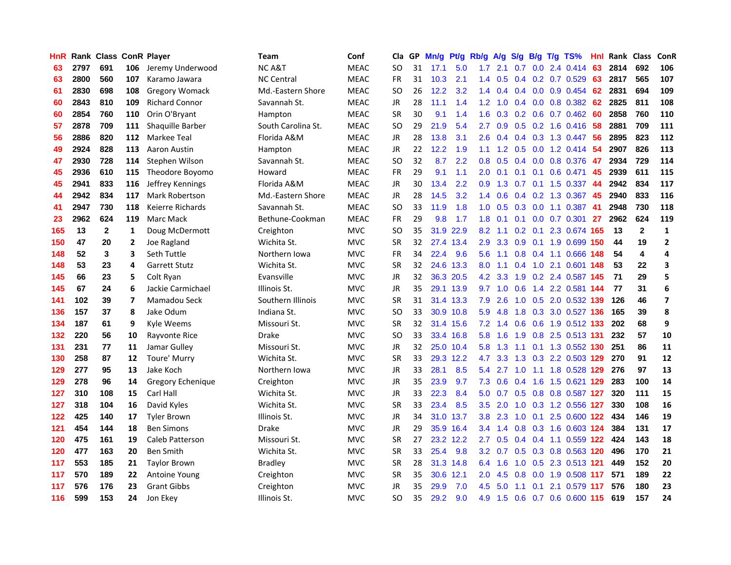| HnR |      | <b>Rank Class ConR Player</b> |                |                        | Team               | Conf        | Cla           |    | GP Mn/g | Pt/g      | Rb/g             | A/g             | <b>S/g</b> |     | B/g T/g TS%                     | Hnl  | Rank Class |                         | ConR                    |
|-----|------|-------------------------------|----------------|------------------------|--------------------|-------------|---------------|----|---------|-----------|------------------|-----------------|------------|-----|---------------------------------|------|------------|-------------------------|-------------------------|
| 63  | 2797 | 691                           | 106            | Jeremy Underwood       | <b>NCA&amp;T</b>   | <b>MEAC</b> | SO            | 31 | 17.1    | 5.0       | 1.7              | 2.1             | 0.7        | 0.0 | 2.4 0.414                       | 63   | 2814       | 692                     | 106                     |
| 63  | 2800 | 560                           | 107            | Karamo Jawara          | <b>NC Central</b>  | <b>MEAC</b> | <b>FR</b>     | 31 | 10.3    | 2.1       | 1.4              | 0.5             | 0.4        | 0.2 | 0.7 0.529                       | 63   | 2817       | 565                     | 107                     |
| 61  | 2830 | 698                           | 108            | <b>Gregory Womack</b>  | Md.-Eastern Shore  | <b>MEAC</b> | <b>SO</b>     | 26 | 12.2    | 3.2       | $1.4^{\circ}$    | 0.4             | 0.4        | 0.0 | 0.9 0.454                       | 62   | 2831       | 694                     | 109                     |
| 60  | 2843 | 810                           | 109            | <b>Richard Connor</b>  | Savannah St.       | <b>MEAC</b> | <b>JR</b>     | 28 | 11.1    | 1.4       |                  | $1.2 \quad 1.0$ |            |     | $0.4$ 0.0 0.8 0.382             | 62   | 2825       | 811                     | 108                     |
| 60  | 2854 | 760                           | 110            | Orin O'Bryant          | Hampton            | <b>MEAC</b> | <b>SR</b>     | 30 | 9.1     | 1.4       | 1.6              |                 |            |     | $0.3$ $0.2$ $0.6$ $0.7$ $0.462$ | -60  | 2858       | 760                     | 110                     |
| 57  | 2878 | 709                           | 111            | Shaquille Barber       | South Carolina St. | <b>MEAC</b> | <b>SO</b>     | 29 | 21.9    | 5.4       | 2.7              | 0.9             |            |     | $0.5$ $0.2$ 1.6 $0.416$         | -58  | 2881       | 709                     | 111                     |
| 56  | 2886 | 820                           | 112            | Markee Teal            | Florida A&M        | <b>MEAC</b> | JR            | 28 | 13.8    | 3.1       | $2.6^{\circ}$    | 0.4             |            |     | $0.4$ 0.3 1.3 0.447             | -56  | 2895       | 823                     | 112                     |
| 49  | 2924 | 828                           | 113            | Aaron Austin           | Hampton            | <b>MEAC</b> | JR            | 22 | 12.2    | 1.9       | 1.1 <sup>1</sup> | 1.2             | 0.5        |     | $0.0$ 1.2 0.414                 | 54   | 2907       | 826                     | 113                     |
| 47  | 2930 | 728                           | 114            | Stephen Wilson         | Savannah St.       | <b>MEAC</b> | <sub>SO</sub> | 32 | 8.7     | 2.2       | 0.8 <sub>0</sub> | 0.5             | 0.4        |     | 0.0 0.8 0.376                   | 47   | 2934       | 729                     | 114                     |
| 45  | 2936 | 610                           | 115            | Theodore Boyomo        | Howard             | <b>MEAC</b> | <b>FR</b>     | 29 | 9.1     | 1.1       | 2.0              | 0.1             | 0.1        | 0.1 | 0.6 0.471                       | 45   | 2939       | 611                     | 115                     |
| 45  | 2941 | 833                           | 116            | Jeffrey Kennings       | Florida A&M        | <b>MEAC</b> | JR            | 30 | 13.4    | 2.2       | 0.9              | 1.3             |            |     | 0.7 0.1 1.5 0.337               | 44   | 2942       | 834                     | 117                     |
| 44  | 2942 | 834                           | 117            | <b>Mark Robertson</b>  | Md.-Eastern Shore  | <b>MEAC</b> | JR.           | 28 | 14.5    | 3.2       | $1.4^{\circ}$    | 0.6             | 0.4        | 0.2 | 1.3 0.367                       | 45   | 2940       | 833                     | 116                     |
| 41  | 2947 | 730                           | 118            | Keierre Richards       | Savannah St.       | <b>MEAC</b> | <b>SO</b>     | 33 | 11.9    | 1.8       | 1.0              | 0.5             | 0.3        | 0.0 | 1.1 0.387                       | 41   | 2948       | 730                     | 118                     |
| 23  | 2962 | 624                           | 119            | Marc Mack              | Bethune-Cookman    | <b>MEAC</b> | FR            | 29 | 9.8     | 1.7       | 1.8              | 0.1             | 0.1        | 0.0 | 0.7 0.301                       | 27   | 2962       | 624                     | 119                     |
| 165 | 13   | $\mathbf{2}$                  | $\mathbf{1}$   | Doug McDermott         | Creighton          | <b>MVC</b>  | <sub>SO</sub> | 35 | 31.9    | 22.9      | 8.2              | 1.1             | 0.2        | 0.1 | 2.3 0.674 165                   |      | 13         | $\mathbf{2}$            | $\mathbf{1}$            |
| 150 | 47   | 20                            | 2              | Joe Ragland            | Wichita St.        | <b>MVC</b>  | <b>SR</b>     | 32 |         | 27.4 13.4 | 2.9              | 3.3             | 0.9        |     | 0.1 1.9 0.699 150               |      | 44         | 19                      | $\mathbf{2}$            |
| 148 | 52   | 3                             | 3              | Seth Tuttle            | Northern Iowa      | <b>MVC</b>  | FR            | 34 | 22.4    | 9.6       | 5.6              | $-1.1$          |            |     | 0.8 0.4 1.1 0.666 148           |      | 54         | $\overline{\mathbf{4}}$ | 4                       |
| 148 | 53   | 23                            | 4              | <b>Garrett Stutz</b>   | Wichita St.        | <b>MVC</b>  | <b>SR</b>     | 32 |         | 24.6 13.3 | 8.0              | 1.1             |            |     | 0.4 1.0 2.1 0.601 148           |      | 53         | 22                      | 3                       |
| 145 | 66   | 23                            | 5              | Colt Ryan              | Evansville         | <b>MVC</b>  | JR            | 32 |         | 36.3 20.5 |                  | 4.2 3.3         |            |     | 1.9 0.2 2.4 0.587 145           |      | 71         | 29                      | 5                       |
| 145 | 67   | 24                            | 6              | Jackie Carmichael      | Illinois St.       | <b>MVC</b>  | JR            | 35 |         | 29.1 13.9 |                  | $9.7 \quad 1.0$ | 0.6        |     | 1.4 2.2 0.581 144               |      | 77         | 31                      | 6                       |
| 141 | 102  | 39                            | $\overline{7}$ | Mamadou Seck           | Southern Illinois  | <b>MVC</b>  | <b>SR</b>     | 31 |         | 31.4 13.3 | 7.9              | 2.6             |            |     | 1.0 0.5 2.0 0.532 139           |      | 126        | 46                      | $\overline{\mathbf{z}}$ |
| 136 | 157  | 37                            | 8              | Jake Odum              | Indiana St.        | <b>MVC</b>  | <sub>SO</sub> | 33 |         | 30.9 10.8 | 5.9              | 4.8             | 1.8        |     | 0.3 3.0 0.527 136               |      | 165        | 39                      | 8                       |
| 134 | 187  | 61                            | 9              | Kyle Weems             | Missouri St.       | <b>MVC</b>  | <b>SR</b>     | 32 |         | 31.4 15.6 | 7.2              | 1.4             | 0.6        |     | 0.6 1.9 0.512 133               |      | 202        | 68                      | 9                       |
| 132 | 220  | 56                            | 10             | Rayvonte Rice          | Drake              | <b>MVC</b>  | SO            | 33 |         | 33.4 16.8 | 5.8              | 1.6             | 1.9        |     | 0.8 2.5 0.513 131               |      | 232        | 57                      | 10                      |
| 131 | 231  | 77                            | 11             | Jamar Gulley           | Missouri St.       | <b>MVC</b>  | <b>JR</b>     | 32 |         | 25.0 10.4 | 5.8              | 1.3             | 1.1        |     | 0.1 1.3 0.552 130               |      | 251        | 86                      | 11                      |
| 130 | 258  | 87                            | 12             | Toure' Murry           | Wichita St.        | <b>MVC</b>  | <b>SR</b>     | 33 |         | 29.3 12.2 | 4.7              | 3.3             | 1.3        | 0.3 | 2.2 0.503 129                   |      | 270        | 91                      | 12                      |
| 129 | 277  | 95                            | 13             | Jake Koch              | Northern Iowa      | <b>MVC</b>  | <b>JR</b>     | 33 | 28.1    | 8.5       | 5.4              | 2.7             | 1.0        | 1.1 | 1.8 0.528 129                   |      | 276        | 97                      | 13                      |
| 129 | 278  | 96                            | 14             | Gregory Echenique      | Creighton          | <b>MVC</b>  | JR            | 35 | 23.9    | 9.7       | 7.3              | 0.6             | 0.4        | 1.6 | 1.5 0.621 129                   |      | 283        | 100                     | 14                      |
| 127 | 310  | 108                           | 15             | Carl Hall              | Wichita St.        | <b>MVC</b>  | JR            | 33 | 22.3    | 8.4       | 5.0              | 0.7             |            |     | 0.5 0.8 0.8 0.587 127           |      | 320        | 111                     | 15                      |
| 127 | 318  | 104                           | 16             | David Kyles            | Wichita St.        | <b>MVC</b>  | <b>SR</b>     | 33 | 23.4    | 8.5       | $3.5^{\circ}$    | 2.0             |            |     | 1.0 0.3 1.2 0.556 127           |      | 330        | 108                     | 16                      |
| 122 | 425  | 140                           | 17             | <b>Tyler Brown</b>     | Illinois St.       | <b>MVC</b>  | JR            | 34 |         | 31.0 13.7 | 3.8 <sup>°</sup> | 2.3             |            |     | 1.0 0.1 2.5 0.600 122           |      | 434        | 146                     | 19                      |
| 121 | 454  | 144                           | 18             | <b>Ben Simons</b>      | <b>Drake</b>       | <b>MVC</b>  | <b>JR</b>     | 29 |         | 35.9 16.4 | 3.4              | 1.4             |            |     | 0.8 0.3 1.6 0.603 124           |      | 384        | 131                     | 17                      |
| 120 | 475  | 161                           | 19             | <b>Caleb Patterson</b> | Missouri St.       | <b>MVC</b>  | <b>SR</b>     | 27 |         | 23.2 12.2 | $2.7^{\circ}$    | 0.5             |            |     | 0.4 0.4 1.1 0.559 122           |      | 424        | 143                     | 18                      |
| 120 | 477  | 163                           | 20             | <b>Ben Smith</b>       | Wichita St.        | <b>MVC</b>  | <b>SR</b>     | 33 | 25.4    | 9.8       | 3.2 <sub>1</sub> | 0.7             |            |     | 0.5 0.3 0.8 0.563 120           |      | 496        | 170                     | 21                      |
| 117 | 553  | 185                           | 21             | <b>Taylor Brown</b>    | <b>Bradley</b>     | <b>MVC</b>  | <b>SR</b>     | 28 |         | 31.3 14.8 | 6.4              | 1.6             | 1.0        |     | 0.5 2.3 0.513 121               |      | 449        | 152                     | 20                      |
| 117 | 570  | 189                           | 22             | <b>Antoine Young</b>   | Creighton          | <b>MVC</b>  | <b>SR</b>     | 35 | 30.6    | 12.1      | 2.0              | 4.5             | 0.8        | 0.0 | 1.9 0.508                       | -117 | 571        | 189                     | 22                      |
| 117 | 576  | 176                           | 23             | <b>Grant Gibbs</b>     | Creighton          | <b>MVC</b>  | <b>JR</b>     | 35 | 29.9    | 7.0       | 4.5              | 5.0             | 1.1        | 0.1 | 2.1 0.579                       | 117  | 576        | 180                     | 23                      |
| 116 | 599  | 153                           | 24             | Jon Ekey               | Illinois St.       | <b>MVC</b>  | <b>SO</b>     | 35 | 29.2    | 9.0       | 4.9              |                 |            |     | 1.5 0.6 0.7 0.6 0.600 115       |      | 619        | 157                     | 24                      |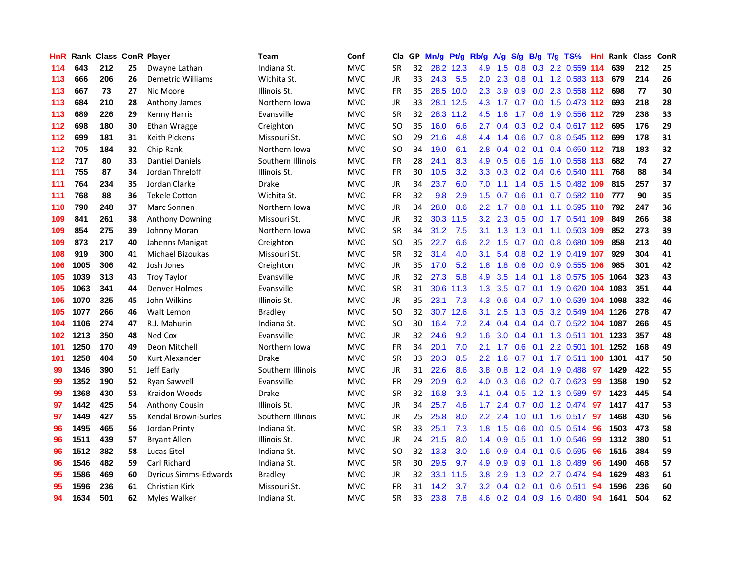| HnR. |      | <b>Rank Class ConR Player</b> |    |                              | Team              | Conf       | Cla           |    | GP Mn/g | Pt/g      | Rb/g             | A/g             |     |                 | S/g B/g T/g TS%                   | Hnl |      | Rank Class | ConR |
|------|------|-------------------------------|----|------------------------------|-------------------|------------|---------------|----|---------|-----------|------------------|-----------------|-----|-----------------|-----------------------------------|-----|------|------------|------|
| 114  | 643  | 212                           | 25 | Dwayne Lathan                | Indiana St.       | <b>MVC</b> | <b>SR</b>     | 32 |         | 28.2 12.3 | 4.9              | 1.5             | 0.8 | 0.3             | 2.2 0.559 114                     |     | 639  | 212        | 25   |
| 113  | 666  | 206                           | 26 | Demetric Williams            | Wichita St.       | <b>MVC</b> | <b>JR</b>     | 33 | 24.3    | 5.5       | 2.0              | 2.3             | 0.8 | 0.1             | 1.2 0.583 113                     |     | 679  | 214        | 26   |
| 113  | 667  | 73                            | 27 | Nic Moore                    | Illinois St.      | <b>MVC</b> | <b>FR</b>     | 35 | 28.5    | 10.0      | $2.3^{\circ}$    | 3.9             | 0.9 |                 | 0.0 2.3 0.558 112                 |     | 698  | 77         | 30   |
| 113  | 684  | 210                           | 28 | Anthony James                | Northern Iowa     | <b>MVC</b> | <b>JR</b>     | 33 |         | 28.1 12.5 |                  |                 |     |                 | 4.3 1.7 0.7 0.0 1.5 0.473 112 693 |     |      | 218        | 28   |
| 113  | 689  | 226                           | 29 | Kenny Harris                 | Evansville        | <b>MVC</b> | <b>SR</b>     | 32 |         | 28.3 11.2 | 4.5              | 1.6             |     |                 | 1.7 0.6 1.9 0.556 112 729         |     |      | 238        | 33   |
| 112  | 698  | 180                           | 30 | Ethan Wragge                 | Creighton         | <b>MVC</b> | <sub>SO</sub> | 35 | 16.0    | 6.6       | $2.7^{\circ}$    | 0.4             |     |                 | 0.3 0.2 0.4 0.617 112             |     | 695  | 176        | 29   |
| 112  | 699  | 181                           | 31 | <b>Keith Pickens</b>         | Missouri St.      | <b>MVC</b> | <b>SO</b>     | 29 | 21.6    | 4.8       | 4.4              | 1.4             |     |                 | 0.6 0.7 0.8 0.545 112             |     | 699  | 178        | 31   |
| 112  | 705  | 184                           | 32 | Chip Rank                    | Northern Iowa     | <b>MVC</b> | SO            | 34 | 19.0    | 6.1       | 2.8 <sup>°</sup> | 0.4             |     |                 | 0.2 0.1 0.4 0.650 112 718         |     |      | 183        | 32   |
| 112  | 717  | 80                            | 33 | <b>Dantiel Daniels</b>       | Southern Illinois | <b>MVC</b> | <b>FR</b>     | 28 | 24.1    | 8.3       | 4.9              | 0.5             | 0.6 | 1.6             | 1.0 0.558 113                     |     | 682  | 74         | 27   |
| 111  | 755  | 87                            | 34 | Jordan Threloff              | Illinois St.      | <b>MVC</b> | <b>FR</b>     | 30 | 10.5    | 3.2       | 3.3 <sub>2</sub> | 0.3             |     |                 | 0.2 0.4 0.6 0.540 111             |     | 768  | 88         | 34   |
| 111  | 764  | 234                           | 35 | Jordan Clarke                | <b>Drake</b>      | <b>MVC</b> | JR            | 34 | 23.7    | 6.0       | 7.0              | 1.1             |     |                 | 1.4 0.5 1.5 0.482 109             |     | 815  | 257        | 37   |
| 111  | 768  | 88                            | 36 | <b>Tekele Cotton</b>         | Wichita St.       | <b>MVC</b> | <b>FR</b>     | 32 | 9.8     | 2.9       | 1.5              | 0.7             | 0.6 | 0.1             | 0.7 0.582 110                     |     | 777  | 90         | 35   |
| 110  | 790  | 248                           | 37 | Marc Sonnen                  | Northern Iowa     | <b>MVC</b> | JR            | 34 | 28.0    | 8.6       | $2.2^{\circ}$    | 1.7             | 0.8 | 0.1             | 1.1 0.595 110                     |     | 792  | 247        | 36   |
| 109  | 841  | 261                           | 38 | <b>Anthony Downing</b>       | Missouri St.      | <b>MVC</b> | JR            | 32 |         | 30.3 11.5 | 3.2 <sub>2</sub> | 2.3             | 0.5 | 0.0             | 1.7 0.541 109                     |     | 849  | 266        | 38   |
| 109  | 854  | 275                           | 39 | Johnny Moran                 | Northern Iowa     | <b>MVC</b> | <b>SR</b>     | 34 | 31.2    | 7.5       | 3.1              | 1.3             | 1.3 | 0.1             | 1.1 0.503 109                     |     | 852  | 273        | 39   |
| 109  | 873  | 217                           | 40 | Jahenns Manigat              | Creighton         | <b>MVC</b> | <sub>SO</sub> | 35 | 22.7    | 6.6       | $2.2^{\circ}$    | 1.5             | 0.7 |                 | 0.0 0.8 0.680 109                 |     | 858  | 213        | 40   |
| 108  | 919  | 300                           | 41 | <b>Michael Bizoukas</b>      | Missouri St.      | <b>MVC</b> | <b>SR</b>     | 32 | 31.4    | 4.0       | 3.1              |                 |     |                 | 5.4 0.8 0.2 1.9 0.419 107         |     | 929  | 304        | 41   |
| 106  | 1005 | 306                           | 42 | Josh Jones                   | Creighton         | <b>MVC</b> | JR            | 35 | 17.0    | 5.2       | 1.8 <sup>1</sup> | 1.8             |     |                 | 0.6 0.0 0.9 0.555 106             |     | 985  | 301        | 42   |
| 105  | 1039 | 313                           | 43 | <b>Troy Taylor</b>           | Evansville        | <b>MVC</b> | JR            | 32 | 27.3    | 5.8       | 4.9              | 3.5             |     |                 | 1.4 0.1 1.8 0.575 105             |     | 1064 | 323        | 43   |
| 105  | 1063 | 341                           | 44 | Denver Holmes                | Evansville        | <b>MVC</b> | <b>SR</b>     | 31 | 30.6    | 11.3      | 1.3 <sup>°</sup> | 3.5             |     |                 | 0.7 0.1 1.9 0.620 104 1083        |     |      | 351        | 44   |
| 105  | 1070 | 325                           | 45 | John Wilkins                 | Illinois St.      | <b>MVC</b> | <b>JR</b>     | 35 | 23.1    | 7.3       | 4.3              | 0.6             |     |                 | 0.4 0.7 1.0 0.539 104 1098        |     |      | 332        | 46   |
| 105  | 1077 | 266                           | 46 | Walt Lemon                   | <b>Bradley</b>    | <b>MVC</b> | <sub>SO</sub> | 32 |         | 30.7 12.6 | 3.1              | 2.5             |     |                 | 1.3 0.5 3.2 0.549 104 1126        |     |      | 278        | 47   |
| 104  | 1106 | 274                           | 47 | R.J. Mahurin                 | Indiana St.       | <b>MVC</b> | <b>SO</b>     | 30 | 16.4    | 7.2       | 2.4              | 0.4             |     |                 | 0.4 0.4 0.7 0.522 104 1087        |     |      | 266        | 45   |
| 102  | 1213 | 350                           | 48 | Ned Cox                      | Evansville        | <b>MVC</b> | <b>JR</b>     | 32 | 24.6    | 9.2       | 1.6              | 3.0             |     |                 | 0.4 0.1 1.3 0.511 101 1233        |     |      | 357        | 48   |
| 101  | 1250 | 170                           | 49 | Deon Mitchell                | Northern Iowa     | <b>MVC</b> | <b>FR</b>     | 34 | 20.1    | 7.0       | 2.1              | 1.7             | 0.6 | 0.1             | 2.2 0.501 101                     |     | 1252 | 168        | 49   |
| 101  | 1258 | 404                           | 50 | Kurt Alexander               | <b>Drake</b>      | <b>MVC</b> | <b>SR</b>     | 33 | 20.3    | 8.5       | $2.2\phantom{0}$ | 1.6             | 0.7 |                 | 0.1 1.7 0.511 100                 |     | 1301 | 417        | 50   |
| 99   | 1346 | 390                           | 51 | Jeff Early                   | Southern Illinois | <b>MVC</b> | <b>JR</b>     | 31 | 22.6    | 8.6       | 3.8              | 0.8             |     |                 | 1.2 0.4 1.9 0.488                 | 97  | 1429 | 422        | 55   |
| 99   | 1352 | 190                           | 52 | <b>Ryan Sawvell</b>          | Evansville        | <b>MVC</b> | FR            | 29 | 20.9    | 6.2       | 4.0              | 0.3             |     |                 | $0.6$ $0.2$ $0.7$ $0.623$         | 99  | 1358 | 190        | 52   |
| 99   | 1368 | 430                           | 53 | Kraidon Woods                | <b>Drake</b>      | <b>MVC</b> | <b>SR</b>     | 32 | 16.8    | 3.3       | 4.1              | 0.4             | 0.5 |                 | 1.2 1.3 0.589                     | -97 | 1423 | 445        | 54   |
| 97   | 1442 | 425                           | 54 | <b>Anthony Cousin</b>        | Illinois St.      | <b>MVC</b> | JR            | 34 | 25.7    | 4.6       | 1.7              | 2.4             |     |                 | 0.7 0.0 1.2 0.474 97              |     | 1417 | 417        | 53   |
| 97   | 1449 | 427                           | 55 | Kendal Brown-Surles          | Southern Illinois | <b>MVC</b> | JR            | 25 | 25.8    | 8.0       |                  | $2.2$ 2.4       |     |                 | 1.0 0.1 1.6 0.517 97              |     | 1468 | 430        | 56   |
| 96   | 1495 | 465                           | 56 | Jordan Printy                | Indiana St.       | <b>MVC</b> | <b>SR</b>     | 33 | 25.1    | 7.3       |                  | $1.8$ 1.5       |     |                 | 0.6 0.0 0.5 0.514                 | -96 | 1503 | 473        | 58   |
| 96   | 1511 | 439                           | 57 | <b>Bryant Allen</b>          | Illinois St.      | <b>MVC</b> | <b>JR</b>     | 24 | 21.5    | 8.0       |                  | $1.4 \quad 0.9$ |     |                 | 0.5 0.1 1.0 0.546                 | -99 | 1312 | 380        | 51   |
| 96   | 1512 | 382                           | 58 | Lucas Eitel                  | Indiana St.       | <b>MVC</b> | <b>SO</b>     | 32 | 13.3    | 3.0       | 1.6              | 0.9             |     | $0.4 \quad 0.1$ | 0.5 0.595                         | 96  | 1515 | 384        | 59   |
| 96   | 1546 | 482                           | 59 | <b>Carl Richard</b>          | Indiana St.       | <b>MVC</b> | <b>SR</b>     | 30 | 29.5    | 9.7       | 4.9              | 0.9             | 0.9 | 0.1             | 1.8 0.489                         | 96  | 1490 | 468        | 57   |
| 95   | 1586 | 469                           | 60 | <b>Dyricus Simms-Edwards</b> | <b>Bradley</b>    | <b>MVC</b> | JR            | 32 | 33.1    | 11.5      | 3.8 <sub>2</sub> | 2.9             | 1.3 |                 | 0.2 2.7 0.474                     | 94  | 1629 | 483        | 61   |
| 95   | 1596 | 236                           | 61 | Christian Kirk               | Missouri St.      | <b>MVC</b> | <b>FR</b>     | 31 | 14.2    | 3.7       | 3.2 <sub>1</sub> | 0.4             | 0.2 | 0.1             | 0.6 0.511                         | 94  | 1596 | 236        | 60   |
| 94   | 1634 | 501                           | 62 | <b>Myles Walker</b>          | Indiana St.       | <b>MVC</b> | <b>SR</b>     | 33 | 23.8    | 7.8       |                  |                 |     |                 | 4.6 0.2 0.4 0.9 1.6 0.480         | 94  | 1641 | 504        | 62   |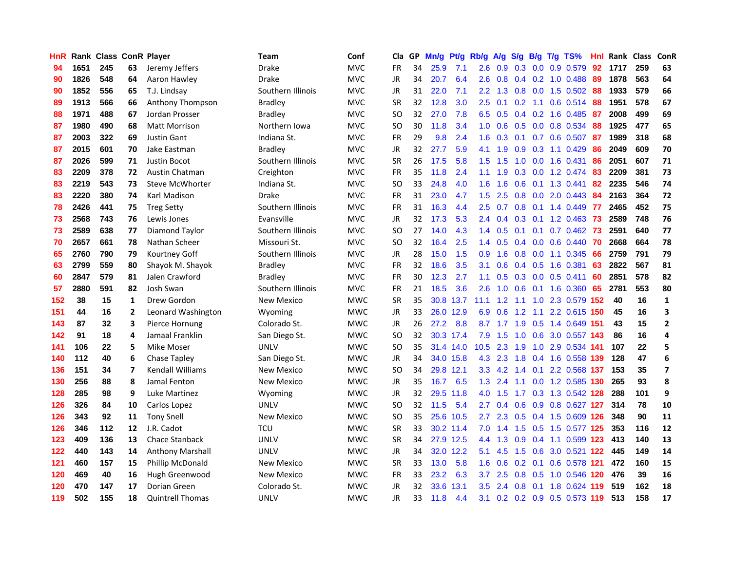| <b>HnR</b> |      |     |                | <b>Rank Class ConR Player</b> | <b>Team</b>       | Conf       | Cla       |    | GP Mn/g | Pt/g      | Rb/g             | A/g             |                 |     | S/g B/g T/g TS%               | Hnl  | Rank Class |     | ConR                    |
|------------|------|-----|----------------|-------------------------------|-------------------|------------|-----------|----|---------|-----------|------------------|-----------------|-----------------|-----|-------------------------------|------|------------|-----|-------------------------|
| 94         | 1651 | 245 | 63             | Jeremy Jeffers                | Drake             | <b>MVC</b> | FR        | 34 | 25.9    | 7.1       | 2.6              | 0.9             | 0.3             | 0.0 | 0.9 0.579                     | 92   | 1717       | 259 | 63                      |
| 90         | 1826 | 548 | 64             | Aaron Hawley                  | <b>Drake</b>      | <b>MVC</b> | JR        | 34 | 20.7    | 6.4       | 2.6              | 0.8             | $0.4 \quad 0.2$ |     | $1.0 \ \ 0.488$               | 89   | 1878       | 563 | 64                      |
| 90         | 1852 | 556 | 65             | T.J. Lindsay                  | Southern Illinois | <b>MVC</b> | JR        | 31 | 22.0    | 7.1       | $2.2^{\circ}$    | 1.3             | 0.8             | 0.0 | 1.5 0.502                     | 88   | 1933       | 579 | 66                      |
| 89         | 1913 | 566 | 66             | Anthony Thompson              | Bradley           | <b>MVC</b> | <b>SR</b> | 32 | 12.8    | 3.0       | 2.5              | 0.1             | 0.2             | 1.1 | $0.6$ $0.514$                 | 88   | 1951       | 578 | 67                      |
| 88         | 1971 | 488 | 67             | Jordan Prosser                | Bradley           | <b>MVC</b> | SO.       | 32 | 27.0    | 7.8       |                  | $6.5\quad 0.5$  |                 |     | $0.4$ 0.2 1.6 0.485           | -87  | 2008       | 499 | 69                      |
| 87         | 1980 | 490 | 68             | <b>Matt Morrison</b>          | Northern Iowa     | <b>MVC</b> | SO.       | 30 | 11.8    | 3.4       | 1.0              | 0.6             |                 |     | $0.5$ 0.0 0.8 0.534           | 88   | 1925       | 477 | 65                      |
| 87         | 2003 | 322 | 69             | <b>Justin Gant</b>            | Indiana St.       | <b>MVC</b> | <b>FR</b> | 29 | 9.8     | 2.4       | 1.6              | 0.3             | 0.1             |     | $0.7$ 0.6 0.507               | 87   | 1989       | 318 | 68                      |
| 87         | 2015 | 601 | 70             | Jake Eastman                  | <b>Bradley</b>    | <b>MVC</b> | JR        | 32 | 27.7    | 5.9       | 4.1              | 1.9             | 0.9             |     | $0.3$ 1.1 $0.429$             | 86   | 2049       | 609 | 70                      |
| 87         | 2026 | 599 | 71             | Justin Bocot                  | Southern Illinois | <b>MVC</b> | <b>SR</b> | 26 | 17.5    | 5.8       | 1.5              | 1.5             | 1.0             | 0.0 | 1.6 0.431                     | 86   | 2051       | 607 | 71                      |
| 83         | 2209 | 378 | 72             | Austin Chatman                | Creighton         | <b>MVC</b> | FR        | 35 | 11.8    | 2.4       | 1.1              | 1.9             | 0.3             |     | 0.0 1.2 0.474                 | 83   | 2209       | 381 | 73                      |
| 83         | 2219 | 543 | 73             | <b>Steve McWhorter</b>        | Indiana St.       | <b>MVC</b> | <b>SO</b> | 33 | 24.8    | 4.0       | 1.6              | 1.6             | 0.6             | 0.1 | 1.3 0.441                     | 82   | 2235       | 546 | 74                      |
| 83         | 2220 | 380 | 74             | Karl Madison                  | <b>Drake</b>      | <b>MVC</b> | <b>FR</b> | 31 | 23.0    | 4.7       | 1.5              | 2.5             | 0.8             | 0.0 | 2.0 0.443                     | 84   | 2163       | 364 | 72                      |
| 78         | 2426 | 441 | 75             | <b>Treg Setty</b>             | Southern Illinois | <b>MVC</b> | <b>FR</b> | 31 | 16.3    | 4.4       | 2.5              | 0.7             | 0.8             | 0.1 | 1.4 0.449                     | -77  | 2465       | 452 | 75                      |
| 73         | 2568 | 743 | 76             | Lewis Jones                   | Evansville        | <b>MVC</b> | <b>JR</b> | 32 | 17.3    | 5.3       | $2.4^{\circ}$    | 0.4             | 0.3             | 0.1 | 1.2 0.463                     | 73   | 2589       | 748 | 76                      |
| 73         | 2589 | 638 | 77             | Diamond Taylor                | Southern Illinois | <b>MVC</b> | <b>SO</b> | 27 | 14.0    | 4.3       | $1.4^{\circ}$    | 0.5             | 0.1             | 0.1 | $0.7$ $0.462$                 | 73   | 2591       | 640 | 77                      |
| 70         | 2657 | 661 | 78             | Nathan Scheer                 | Missouri St.      | <b>MVC</b> | <b>SO</b> | 32 | 16.4    | 2.5       |                  | $1.4 \quad 0.5$ |                 |     | $0.4$ 0.0 0.6 0.440           | -70  | 2668       | 664 | 78                      |
| 65         | 2760 | 790 | 79             | Kourtney Goff                 | Southern Illinois | <b>MVC</b> | JR        | 28 | 15.0    | 1.5       | 0.9              | 1.6             |                 |     | 0.8 0.0 1.1 0.345             | 66   | 2759       | 791 | 79                      |
| 63         | 2799 | 559 | 80             | Shayok M. Shayok              | Bradley           | <b>MVC</b> | <b>FR</b> | 32 | 18.6    | 3.5       | 3.1              | 0.6             |                 |     | $0.4$ $0.5$ 1.6 $0.381$       | 63   | 2822       | 567 | 81                      |
| 60         | 2847 | 579 | 81             | Jalen Crawford                | Bradley           | <b>MVC</b> | <b>FR</b> | 30 | 12.3    | 2.7       | 1.1              | 0.5             |                 |     | $0.3$ 0.0 0.5 0.411           | 60   | 2851       | 578 | 82                      |
| 57         | 2880 | 591 | 82             | Josh Swan                     | Southern Illinois | <b>MVC</b> | <b>FR</b> | 21 | 18.5    | 3.6       | 2.6              | 1.0             |                 |     | 0.6 0.1 1.6 0.360 65          |      | 2781       | 553 | 80                      |
| 152        | 38   | 15  | 1              | Drew Gordon                   | <b>New Mexico</b> | <b>MWC</b> | <b>SR</b> | 35 |         | 30.8 13.7 | 11.1             | 1.2             | 1.1             |     | 1.0 2.3 0.579 152             |      | 40         | 16  | $\mathbf{1}$            |
| 151        | 44   | 16  | 2              | Leonard Washington            | Wyoming           | <b>MWC</b> | JR        | 33 | 26.0    | 12.9      | 6.9              | 0.6             | 1.2             | 1.1 | 2.2 0.615 150                 |      | 45         | 16  | 3                       |
| 143        | 87   | 32  | 3              | Pierce Hornung                | Colorado St.      | <b>MWC</b> | JR        | 26 | 27.2    | 8.8       | 8.7              | 1.7             | 1.9             | 0.5 | 1.4 0.649 151                 |      | 43         | 15  | $\mathbf{2}$            |
| 142        | 91   | 18  | 4              | Jamaal Franklin               | San Diego St.     | <b>MWC</b> | SO.       | 32 |         | 30.3 17.4 | 7.9              | 1.5             | 1.0             | 0.6 | 3.0 0.557 143                 |      | 86         | 16  | 4                       |
| 141        | 106  | 22  | 5              | Mike Moser                    | <b>UNLV</b>       | <b>MWC</b> | SO.       | 35 |         | 31.4 14.0 | 10.5             | 2.3             | 1.9             | 1.0 | 2.9 0.534                     | -141 | 107        | 22  | 5                       |
| 140        | 112  | 40  | 6              | Chase Tapley                  | San Diego St.     | <b>MWC</b> | <b>JR</b> | 34 |         | 34.0 15.8 | 4.3              | 2.3             | 1.8             |     | 0.4 1.6 0.558                 | 139  | 128        | 47  | 6                       |
| 136        | 151  | 34  | $\overline{7}$ | <b>Kendall Williams</b>       | <b>New Mexico</b> | <b>MWC</b> | SO.       | 34 |         | 29.8 12.1 | 3.3 <sub>2</sub> | 4.2             | 1.4             | 0.1 | 2.2 0.568                     | 137  | 153        | 35  | $\overline{\mathbf{z}}$ |
| 130        | 256  | 88  | 8              | Jamal Fenton                  | <b>New Mexico</b> | <b>MWC</b> | JR        | 35 | 16.7    | 6.5       | 1.3              | 2.4             | 1.1             | 0.0 | 1.2 0.585 130                 |      | 265        | 93  | 8                       |
| 128        | 285  | 98  | 9              | Luke Martinez                 | Wyoming           | <b>MWC</b> | JR        | 32 | 29.5    | 11.8      | 4.0              | 1.5             | 1.7             |     | 0.3 1.3 0.542 128             |      | 288        | 101 | 9                       |
| 126        | 326  | 84  | 10             | Carlos Lopez                  | UNLV              | <b>MWC</b> | <b>SO</b> | 32 | 11.5    | 5.4       | 2.7              | 0.4             | 0.6             |     | 0.9 0.8 0.627 127             |      | 314        | 78  | 10                      |
| 126        | 343  | 92  | 11             | <b>Tony Snell</b>             | New Mexico        | <b>MWC</b> | SO.       | 35 |         | 25.6 10.5 | $2.7^{\circ}$    | 2.3             |                 |     | 0.5 0.4 1.5 0.609 126         |      | 348        | 90  | 11                      |
| 126        | 346  | 112 | 12             | J.R. Cadot                    | <b>TCU</b>        | <b>MWC</b> | <b>SR</b> | 33 |         | 30.2 11.4 | 7.0              | 1.4             |                 |     | 1.5 0.5 1.5 0.577 125         |      | 353        | 116 | 12                      |
| 123        | 409  | 136 | 13             | Chace Stanback                | UNLV              | <b>MWC</b> | <b>SR</b> | 34 |         | 27.9 12.5 | 4.4              | 1.3             | 0.9             |     | 0.4 1.1 0.599 123             |      | 413        | 140 | 13                      |
| 122        | 440  | 143 | 14             | <b>Anthony Marshall</b>       | <b>UNLV</b>       | <b>MWC</b> | JR        | 34 |         | 32.0 12.2 | 5.1              | 4.5             | 1.5             | 0.6 | 3.0 0.521 122                 |      | 445        | 149 | 14                      |
| 121        | 460  | 157 | 15             | Phillip McDonald              | New Mexico        | <b>MWC</b> | <b>SR</b> | 33 | 13.0    | 5.8       | 1.6              | 0.6             | 0.2             | 0.1 | 0.6 0.578 121                 |      | 472        | 160 | 15                      |
| 120        | 469  | 40  | 16             | Hugh Greenwood                | <b>New Mexico</b> | <b>MWC</b> | <b>FR</b> | 33 | 23.2    | 6.3       | 3.7              | 2.5             | 0.8             | 0.5 | 1.0 0.546                     | 120  | 476        | 39  | 16                      |
| 120        | 470  | 147 | 17             | Dorian Green                  | Colorado St.      | <b>MWC</b> | JR        | 32 | 33.6    | 13.1      | 3.5              | 2.4             | 0.8             | 0.1 | 1.8 0.624                     | 119  | 519        | 162 | 18                      |
| 119        | 502  | 155 | 18             | <b>Quintrell Thomas</b>       | <b>UNLV</b>       | <b>MWC</b> | <b>JR</b> | 33 | 11.8    | 4.4       |                  |                 |                 |     | 3.1 0.2 0.2 0.9 0.5 0.573 119 |      | 513        | 158 | 17                      |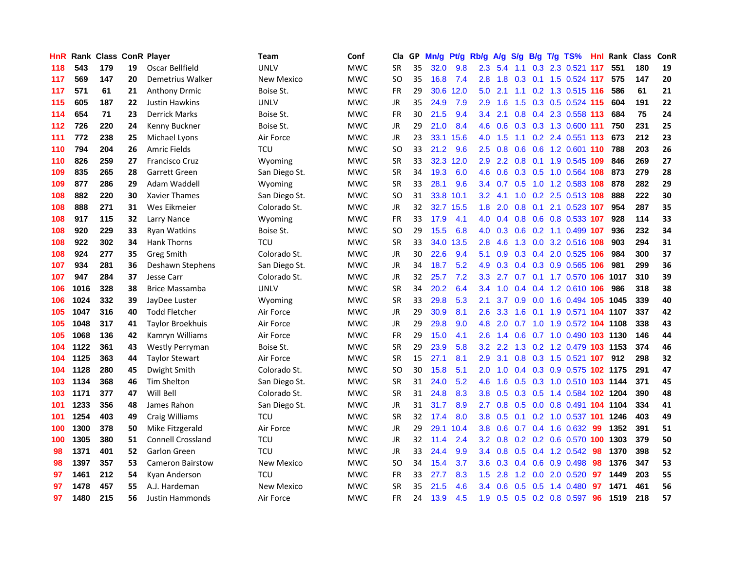| HnR. |      | <b>Rank Class ConR Player</b> |    |                          | Team          | Conf       | Cla           |    | GP Mn/g | Pt/g      | Rb/g             | A/g            | <b>S/g</b> |     | B/g T/g TS%                    | Hnl  | Rank Class |     | ConR |
|------|------|-------------------------------|----|--------------------------|---------------|------------|---------------|----|---------|-----------|------------------|----------------|------------|-----|--------------------------------|------|------------|-----|------|
| 118  | 543  | 179                           | 19 | Oscar Bellfield          | <b>UNLV</b>   | <b>MWC</b> | SR            | 35 | 32.0    | 9.8       | $2.3\phantom{0}$ | 5.4            | 1.1        | 0.3 | 2.3 0.521                      | -117 | 551        | 180 | 19   |
| 117  | 569  | 147                           | 20 | Demetrius Walker         | New Mexico    | <b>MWC</b> | <b>SO</b>     | 35 | 16.8    | 7.4       | 2.8              | 1.8            | 0.3        | 0.1 | 1.5 0.524 117                  |      | 575        | 147 | 20   |
| 117  | 571  | 61                            | 21 | <b>Anthony Drmic</b>     | Boise St.     | <b>MWC</b> | <b>FR</b>     | 29 | 30.6    | 12.0      | 5.0              | 2.1            | 1.1        |     | 0.2 1.3 0.515 116              |      | 586        | 61  | 21   |
| 115  | 605  | 187                           | 22 | <b>Justin Hawkins</b>    | <b>UNLV</b>   | <b>MWC</b> | <b>JR</b>     | 35 | 24.9    | 7.9       | 2.9              | 1.6            |            |     | 1.5 0.3 0.5 0.524 115          |      | 604        | 191 | 22   |
| 114  | 654  | 71                            | 23 | <b>Derrick Marks</b>     | Boise St.     | <b>MWC</b> | <b>FR</b>     | 30 | 21.5    | 9.4       | $3.4^{\circ}$    | 2.1            |            |     | 0.8 0.4 2.3 0.558 113          |      | 684        | 75  | 24   |
| 112  | 726  | 220                           | 24 | Kenny Buckner            | Boise St.     | <b>MWC</b> | JR            | 29 | 21.0    | 8.4       | 4.6              | 0.6            |            |     | 0.3 0.3 1.3 0.600 111          |      | 750        | 231 | 25   |
| 111  | 772  | 238                           | 25 | Michael Lyons            | Air Force     | <b>MWC</b> | JR            | 23 |         | 33.1 15.6 | 4.0              | 1.5            |            |     | 1.1 0.2 2.4 0.551 113          |      | 673        | 212 | 23   |
| 110  | 794  | 204                           | 26 | Amric Fields             | TCU           | <b>MWC</b> | <b>SO</b>     | 33 | 21.2    | 9.6       | $2.5^{\circ}$    | 0.8            | 0.6        |     | 0.6 1.2 0.601 110              |      | 788        | 203 | 26   |
| 110  | 826  | 259                           | 27 | <b>Francisco Cruz</b>    | Wyoming       | <b>MWC</b> | <b>SR</b>     | 33 | 32.3    | 12.0      | 2.9              | 2.2            | 0.8        | 0.1 | 1.9 0.545 109                  |      | 846        | 269 | 27   |
| 109  | 835  | 265                           | 28 | Garrett Green            | San Diego St. | <b>MWC</b> | <b>SR</b>     | 34 | 19.3    | 6.0       | 4.6              | 0.6            |            |     | 0.3 0.5 1.0 0.564 108          |      | 873        | 279 | 28   |
| 109  | 877  | 286                           | 29 | Adam Waddell             | Wyoming       | <b>MWC</b> | <b>SR</b>     | 33 | 28.1    | 9.6       |                  | $3.4\quad 0.7$ | 0.5        |     | 1.0 1.2 0.583 108              |      | 878        | 282 | 29   |
| 108  | 882  | 220                           | 30 | Xavier Thames            | San Diego St. | <b>MWC</b> | <b>SO</b>     | 31 | 33.8    | 10.1      | $3.2\phantom{0}$ | 4.1            | 1.0        |     | 0.2 2.5 0.513 108              |      | 888        | 222 | 30   |
| 108  | 888  | 271                           | 31 | Wes Eikmeier             | Colorado St.  | <b>MWC</b> | JR            | 32 |         | 32.7 15.5 | 1.8              | 2.0            | 0.8        | 0.1 | 2.1 0.523 107                  |      | 954        | 287 | 35   |
| 108  | 917  | 115                           | 32 | Larry Nance              | Wyoming       | <b>MWC</b> | FR            | 33 | 17.9    | 4.1       | 4.0              | 0.4            | 0.8        |     | 0.6 0.8 0.533 107              |      | 928        | 114 | 33   |
| 108  | 920  | 229                           | 33 | <b>Ryan Watkins</b>      | Boise St.     | <b>MWC</b> | <sub>SO</sub> | 29 | 15.5    | 6.8       | 4.0              | 0.3            | 0.6        |     | 0.2 1.1 0.499 107              |      | 936        | 232 | 34   |
| 108  | 922  | 302                           | 34 | Hank Thorns              | <b>TCU</b>    | <b>MWC</b> | <b>SR</b>     | 33 | 34.0    | 13.5      | 2.8              | 4.6            |            |     | 1.3 0.0 3.2 0.516 108          |      | 903        | 294 | 31   |
| 108  | 924  | 277                           | 35 | <b>Greg Smith</b>        | Colorado St.  | <b>MWC</b> | JR            | 30 | 22.6    | 9.4       | 5.1              | 0.9            |            |     | 0.3 0.4 2.0 0.525 106          |      | 984        | 300 | 37   |
| 107  | 934  | 281                           | 36 | Deshawn Stephens         | San Diego St. | <b>MWC</b> | JR            | 34 | 18.7    | 5.2       | 4.9              |                |            |     | 0.3 0.4 0.3 0.9 0.565 106      |      | 981        | 299 | 36   |
| 107  | 947  | 284                           | 37 | Jesse Carr               | Colorado St.  | <b>MWC</b> | JR            | 32 | 25.7    | 7.2       | 3.3 <sub>1</sub> | 2.7            |            |     | 0.7 0.1 1.7 0.570 106          |      | 1017       | 310 | 39   |
| 106  | 1016 | 328                           | 38 | <b>Brice Massamba</b>    | UNLV          | <b>MWC</b> | <b>SR</b>     | 34 | 20.2    | 6.4       | $3.4^{\circ}$    | 1.0            |            |     | 0.4 0.4 1.2 0.610 106          |      | 986        | 318 | 38   |
| 106  | 1024 | 332                           | 39 | JayDee Luster            | Wyoming       | <b>MWC</b> | <b>SR</b>     | 33 | 29.8    | 5.3       | 2.1              | 3.7            |            |     | 0.9 0.0 1.6 0.494 105          |      | 1045       | 339 | 40   |
| 105  | 1047 | 316                           | 40 | <b>Todd Fletcher</b>     | Air Force     | <b>MWC</b> | JR            | 29 | 30.9    | 8.1       | 2.6              | 3.3            | 1.6        | 0.1 | 1.9 0.571 104 1107             |      |            | 337 | 42   |
| 105  | 1048 | 317                           | 41 | <b>Taylor Broekhuis</b>  | Air Force     | <b>MWC</b> | JR            | 29 | 29.8    | 9.0       | 4.8              | 2.0            | 0.7        |     | 1.0 1.9 0.572 104 1108         |      |            | 338 | 43   |
| 105  | 1068 | 136                           | 42 | Kamryn Williams          | Air Force     | <b>MWC</b> | <b>FR</b>     | 29 | 15.0    | 4.1       | 2.6              | 1.4            | 0.6        |     | 0.7 1.0 0.490 103 1130         |      |            | 146 | 44   |
| 104  | 1122 | 361                           | 43 | Westly Perryman          | Boise St.     | <b>MWC</b> | <b>SR</b>     | 29 | 23.9    | 5.8       | 3.2 <sub>2</sub> | 2.2            |            |     | 1.3 0.2 1.2 0.479 103 1153     |      |            | 374 | 46   |
| 104  | 1125 | 363                           | 44 | <b>Taylor Stewart</b>    | Air Force     | <b>MWC</b> | <b>SR</b>     | 15 | 27.1    | 8.1       | 2.9              | 3.1            | 0.8        |     | 0.3 1.5 0.521 107              |      | 912        | 298 | 32   |
| 104  | 1128 | 280                           | 45 | Dwight Smith             | Colorado St.  | <b>MWC</b> | SO            | 30 | 15.8    | 5.1       | 2.0              | 1.0            |            |     | 0.4 0.3 0.9 0.575 102 1175     |      |            | 291 | 47   |
| 103  | 1134 | 368                           | 46 | <b>Tim Shelton</b>       | San Diego St. | <b>MWC</b> | <b>SR</b>     | 31 | 24.0    | 5.2       | 4.6              | 1.6            | 0.5        |     | 0.3 1.0 0.510 103 1144         |      |            | 371 | 45   |
| 103  | 1171 | 377                           | 47 | Will Bell                | Colorado St.  | <b>MWC</b> | <b>SR</b>     | 31 | 24.8    | 8.3       | 3.8 <sub>2</sub> | 0.5            | 0.3        | 0.5 | 1.4 0.584 102 1204             |      |            | 390 | 48   |
| 101  | 1233 | 356                           | 48 | James Rahon              | San Diego St. | <b>MWC</b> | JR            | 31 | 31.7    | 8.9       | $2.7^{\circ}$    |                |            |     | 0.8 0.5 0.0 0.8 0.491 104 1104 |      |            | 334 | 41   |
| 101  | 1254 | 403                           | 49 | Craig Williams           | TCU           | <b>MWC</b> | SR            | 32 | 17.4    | 8.0       |                  | $3.8\quad 0.5$ |            |     | 0.1 0.2 1.0 0.537 101 1246     |      |            | 403 | 49   |
| 100  | 1300 | 378                           | 50 | Mike Fitzgerald          | Air Force     | <b>MWC</b> | <b>JR</b>     | 29 |         | 29.1 10.4 | 3.8 <sup>°</sup> | 0.6            |            |     | $0.7$ $0.4$ 1.6 $0.632$        | -99  | 1352       | 391 | 51   |
| 100  | 1305 | 380                           | 51 | <b>Connell Crossland</b> | <b>TCU</b>    | <b>MWC</b> | JR            | 32 | 11.4    | 2.4       | 3.2 <sub>2</sub> | 0.8            |            |     | 0.2 0.2 0.6 0.570 100          |      | 1303       | 379 | 50   |
| 98   | 1371 | 401                           | 52 | Garlon Green             | <b>TCU</b>    | <b>MWC</b> | JR            | 33 | 24.4    | 9.9       | $3.4^{\circ}$    | 0.8            |            |     | 0.5 0.4 1.2 0.542              | 98   | 1370       | 398 | 52   |
| 98   | 1397 | 357                           | 53 | <b>Cameron Bairstow</b>  | New Mexico    | <b>MWC</b> | <b>SO</b>     | 34 | 15.4    | 3.7       | 3.6              | 0.3            |            |     | $0.4$ 0.6 0.9 0.498            | 98   | 1376       | 347 | 53   |
| 97   | 1461 | 212                           | 54 | Kyan Anderson            | <b>TCU</b>    | <b>MWC</b> | <b>FR</b>     | 33 | 27.7    | 8.3       | 1.5              | 2.8            | 1.2        | 0.0 | 2.0 0.520                      | 97   | 1449       | 203 | 55   |
| 97   | 1478 | 457                           | 55 | A.J. Hardeman            | New Mexico    | <b>MWC</b> | <b>SR</b>     | 35 | 21.5    | 4.6       | $3.4^{\circ}$    | 0.6            | 0.5        | 0.5 | 1.4 0.480                      | 97   | 1471       | 461 | 56   |
| 97   | 1480 | 215                           | 56 | Justin Hammonds          | Air Force     | <b>MWC</b> | <b>FR</b>     | 24 | 13.9    | 4.5       | 1.9              |                |            |     | 0.5 0.5 0.2 0.8 0.597          | 96   | 1519       | 218 | 57   |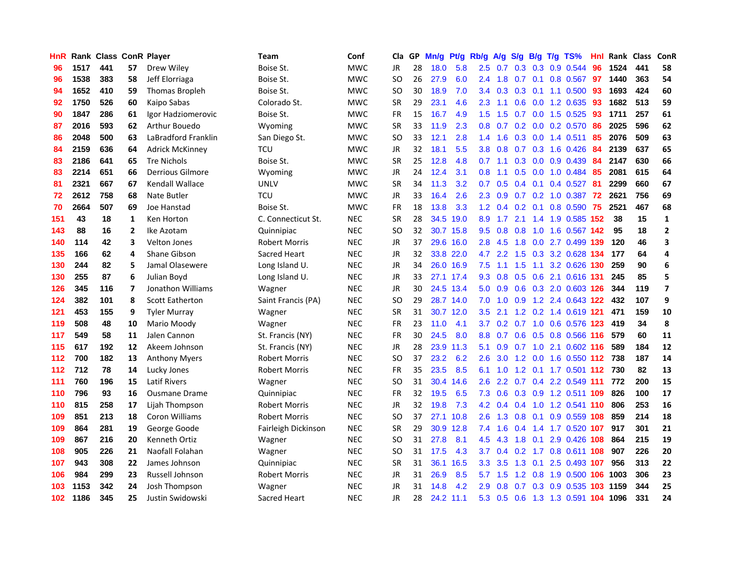| HnR |      | <b>Rank Class ConR Player</b> |                |                         | Team                 | Conf       | Cla       |    | GP Mn/g | Pt/g      | Rb/g             | A/g             | <b>S/g</b>       | B/g              | T/g TS%                | Hnl  | Rank Class |     | ConR                    |
|-----|------|-------------------------------|----------------|-------------------------|----------------------|------------|-----------|----|---------|-----------|------------------|-----------------|------------------|------------------|------------------------|------|------------|-----|-------------------------|
| 96  | 1517 | 441                           | 57             | Drew Wiley              | Boise St.            | <b>MWC</b> | JR        | 28 | 18.0    | 5.8       | 2.5              | 0.7             | 0.3              | 0.3              | 0.9 0.544              | 96   | 1524       | 441 | 58                      |
| 96  | 1538 | 383                           | 58             | Jeff Elorriaga          | Boise St.            | <b>MWC</b> | <b>SO</b> | 26 | 27.9    | 6.0       | 2.4              | 1.8             | 0.7              | 0.1              | 0.8 0.567              | 97   | 1440       | 363 | 54                      |
| 94  | 1652 | 410                           | 59             | <b>Thomas Bropleh</b>   | Boise St.            | <b>MWC</b> | SO        | 30 | 18.9    | 7.0       | 3.4              | 0.3             | 0.3              | 0.1              | 1.1 0.500              | 93   | 1693       | 424 | 60                      |
| 92  | 1750 | 526                           | 60             | Kaipo Sabas             | Colorado St.         | <b>MWC</b> | SR        | 29 | 23.1    | 4.6       | $2.3^{\circ}$    | 1.1             | 0.6              |                  | 0.0 1.2 0.635          | 93   | 1682       | 513 | 59                      |
| 90  | 1847 | 286                           | 61             | Igor Hadziomerovic      | Boise St.            | <b>MWC</b> | <b>FR</b> | 15 | 16.7    | 4.9       | 1.5              | 1.5             |                  |                  | 0.7 0.0 1.5 0.525      | 93   | 1711       | 257 | 61                      |
| 87  | 2016 | 593                           | 62             | Arthur Bouedo           | Wyoming              | <b>MWC</b> | SR        | 33 | 11.9    | 2.3       | 0.8 <sub>0</sub> | 0.7             |                  |                  | $0.2$ 0.0 0.2 0.570    | 86   | 2025       | 596 | 62                      |
| 86  | 2048 | 500                           | 63             | LaBradford Franklin     | San Diego St.        | <b>MWC</b> | <b>SO</b> | 33 | 12.1    | 2.8       | $1.4^{\circ}$    | 1.6             |                  |                  | $0.3$ 0.0 1.4 0.511    | 85   | 2076       | 509 | 63                      |
| 84  | 2159 | 636                           | 64             | <b>Adrick McKinney</b>  | тси                  | <b>MWC</b> | <b>JR</b> | 32 | 18.1    | 5.5       | 3.8 <sub>1</sub> | 0.8             | 0.7              |                  | 0.3 1.6 0.426          | 84   | 2139       | 637 | 65                      |
| 83  | 2186 | 641                           | 65             | <b>Tre Nichols</b>      | Boise St.            | <b>MWC</b> | <b>SR</b> | 25 | 12.8    | 4.8       | 0.7              | 1.1             | 0.3              | 0.0 <sub>1</sub> | 0.9 0.439              | 84   | 2147       | 630 | 66                      |
| 83  | 2214 | 651                           | 66             | <b>Derrious Gilmore</b> | Wyoming              | <b>MWC</b> | JR        | 24 | 12.4    | 3.1       | 0.8              | 1.1             | 0.5              |                  | 0.0 1.0 0.484          | 85   | 2081       | 615 | 64                      |
| 81  | 2321 | 667                           | 67             | <b>Kendall Wallace</b>  | <b>UNLV</b>          | <b>MWC</b> | <b>SR</b> | 34 | 11.3    | 3.2       | 0.7              | 0.5             | $0.4^{\circ}$    | 0.1              | 0.4 0.527              | 81   | 2299       | 660 | 67                      |
| 72  | 2612 | 758                           | 68             | Nate Butler             | <b>TCU</b>           | <b>MWC</b> | <b>JR</b> | 33 | 16.4    | 2.6       | $2.3^{\circ}$    | 0.9             | 0.7              | 0.2              | 1.0 0.387              | 72   | 2621       | 756 | 69                      |
| 70  | 2664 | 507                           | 69             | Joe Hanstad             | Boise St.            | <b>MWC</b> | <b>FR</b> | 18 | 13.8    | 3.3       | 1.2              | 0.4             | 0.2 <sub>0</sub> | 0.1              | 0.8 0.590              | 75   | 2521       | 467 | 68                      |
| 151 | 43   | 18                            | $\mathbf{1}$   | Ken Horton              | C. Connecticut St.   | <b>NEC</b> | <b>SR</b> | 28 |         | 34.5 19.0 | 8.9              | 1.7             | 2.1              | 1.4              | 1.9 0.585              | 152  | 38         | 15  | $\mathbf{1}$            |
| 143 | 88   | 16                            | $\mathbf{2}$   | Ike Azotam              | Quinnipiac           | <b>NEC</b> | SO        | 32 |         | 30.7 15.8 | 9.5              | 0.8             | 0.8              | 1.0              | 1.6 0.567 142          |      | 95         | 18  | $\mathbf{2}$            |
| 140 | 114  | 42                            | 3              | Velton Jones            | <b>Robert Morris</b> | <b>NEC</b> | JR        | 37 |         | 29.6 16.0 | 2.8              | 4.5             | 1.8              |                  | 0.0 2.7 0.499 139      |      | 120        | 46  | 3                       |
| 135 | 166  | 62                            | 4              | <b>Shane Gibson</b>     | Sacred Heart         | <b>NEC</b> | JR        | 32 |         | 33.8 22.0 | 4.7              | 2.2             |                  |                  | 1.5 0.3 3.2 0.628 134  |      | 177        | 64  | 4                       |
| 130 | 244  | 82                            | 5              | Jamal Olasewere         | Long Island U.       | <b>NEC</b> | <b>JR</b> | 34 |         | 26.0 16.9 | 7.5              | 1.1             | 1.5              |                  | 1.1 3.2 0.626 130      |      | 259        | 90  | 6                       |
| 130 | 255  | 87                            | 6              | Julian Boyd             | Long Island U.       | <b>NEC</b> | JR        | 33 |         | 27.1 17.4 |                  | $9.3 \quad 0.8$ |                  |                  | 0.5 0.6 2.1 0.616 131  |      | 245        | 85  | 5                       |
| 126 | 345  | 116                           | $\overline{7}$ | Jonathon Williams       | Wagner               | <b>NEC</b> | JR        | 30 |         | 24.5 13.4 |                  | $5.0 \quad 0.9$ |                  |                  | 0.6 0.3 2.0 0.603 126  |      | 344        | 119 | $\overline{\mathbf{z}}$ |
| 124 | 382  | 101                           | 8              | <b>Scott Eatherton</b>  | Saint Francis (PA)   | <b>NEC</b> | <b>SO</b> | 29 |         | 28.7 14.0 | 7.0              | 1.0             | 0.9              |                  | 1.2 2.4 0.643 122      |      | 432        | 107 | 9                       |
| 121 | 453  | 155                           | 9              | <b>Tyler Murray</b>     | Wagner               | <b>NEC</b> | <b>SR</b> | 31 |         | 30.7 12.0 | 3.5              | 2.1             |                  |                  | 1.2 0.2 1.4 0.619 121  |      | 471        | 159 | 10                      |
| 119 | 508  | 48                            | 10             | Mario Moody             | Wagner               | <b>NEC</b> | <b>FR</b> | 23 | 11.0    | 4.1       | 3.7              | 0.2             | 0.7              |                  | 1.0 0.6 0.576          | -123 | 419        | 34  | 8                       |
| 117 | 549  | 58                            | 11             | Jalen Cannon            | St. Francis (NY)     | <b>NEC</b> | FR        | 30 | 24.5    | 8.0       | 8.8              | 0.7             |                  |                  | 0.6 0.5 0.8 0.566 116  |      | 579        | 60  | 11                      |
| 115 | 617  | 192                           | 12             | Akeem Johnson           | St. Francis (NY)     | <b>NEC</b> | <b>JR</b> | 28 |         | 23.9 11.3 | 5.1              | 0.9             | 0.7              |                  | 1.0 2.1 0.602 116      |      | 589        | 184 | ${\bf 12}$              |
| 112 | 700  | 182                           | 13             | <b>Anthony Myers</b>    | <b>Robert Morris</b> | <b>NEC</b> | SΟ        | 37 | 23.2    | 6.2       | 2.6              | 3.0             | 1.2              | 0.0              | 1.6 0.550 112          |      | 738        | 187 | 14                      |
| 112 | 712  | 78                            | 14             | Lucky Jones             | <b>Robert Morris</b> | <b>NEC</b> | FR        | 35 | 23.5    | 8.5       | 6.1              | 1.0             | $1.2^{\circ}$    |                  | 0.1 1.7 0.501 112      |      | 730        | 82  | 13                      |
| 111 | 760  | 196                           | 15             | <b>Latif Rivers</b>     | Wagner               | <b>NEC</b> | SO        | 31 |         | 30.4 14.6 | 2.6              | 2.2             | 0.7              | 0.4              | 2.2 0.549 111          |      | 772        | 200 | 15                      |
| 110 | 796  | 93                            | 16             | <b>Ousmane Drame</b>    | Quinnipiac           | <b>NEC</b> | <b>FR</b> | 32 | 19.5    | 6.5       | 7.3              | 0.6             |                  | $0.3 \quad 0.9$  | 1.2 0.511 109          |      | 826        | 100 | 17                      |
| 110 | 815  | 258                           | 17             | Lijah Thompson          | <b>Robert Morris</b> | <b>NEC</b> | JR        | 32 | 19.8    | 7.3       | 4.2              | 0.4             | 0.4              | 1.0              | 1.2 0.541 110          |      | 806        | 253 | 16                      |
| 109 | 851  | 213                           | 18             | Coron Williams          | <b>Robert Morris</b> | <b>NEC</b> | SO        | 37 |         | 27.1 10.8 | 2.6              | 1.3             | 0.8              | 0.1              | 0.9 0.559 108          |      | 859        | 214 | 18                      |
| 109 | 864  | 281                           | 19             | George Goode            | Fairleigh Dickinson  | <b>NEC</b> | <b>SR</b> | 29 |         | 30.9 12.8 | 7.4              | 1.6             | 0.4              |                  | 1.4 1.7 0.520 107      |      | 917        | 301 | 21                      |
| 109 | 867  | 216                           | 20             | Kenneth Ortiz           | Wagner               | <b>NEC</b> | SO        | 31 | 27.8    | 8.1       | 4.5              | 4.3             | 1.8              |                  | 0.1 2.9 0.426 108      |      | 864        | 215 | 19                      |
| 108 | 905  | 226                           | 21             | Naofall Folahan         | Wagner               | <b>NEC</b> | SO        | 31 | 17.5    | 4.3       | 3.7              | 0.4             | 0.2              |                  | 1.7 0.8 0.611 108      |      | 907        | 226 | 20                      |
| 107 | 943  | 308                           | 22             | James Johnson           | Quinnipiac           | <b>NEC</b> | <b>SR</b> | 31 |         | 36.1 16.5 | 3.3 <sub>2</sub> | 3.5             | 1.3              | 0.1              | 2.5 0.493 107          |      | 956        | 313 | 22                      |
| 106 | 984  | 299                           | 23             | Russell Johnson         | <b>Robert Morris</b> | <b>NEC</b> | <b>JR</b> | 31 | 26.9    | 8.5       | 5.7              | 1.5             | 1.2              | 0.8              | 1.9 0.500              | 106  | 1003       | 306 | 23                      |
| 103 | 1153 | 342                           | 24             | Josh Thompson           | Wagner               | <b>NEC</b> | JR        | 31 | 14.8    | 4.2       | 2.9              | 0.8             | 0.7              | 0.3              | 0.9 0.535              | 103  | 1159       | 344 | 25                      |
| 102 | 1186 | 345                           | 25             | Justin Swidowski        | Sacred Heart         | <b>NEC</b> | <b>JR</b> | 28 |         | 24.2 11.1 | 5.3              | 0.5             | 0.6              |                  | 1.3 1.3 0.591 104 1096 |      |            | 331 | 24                      |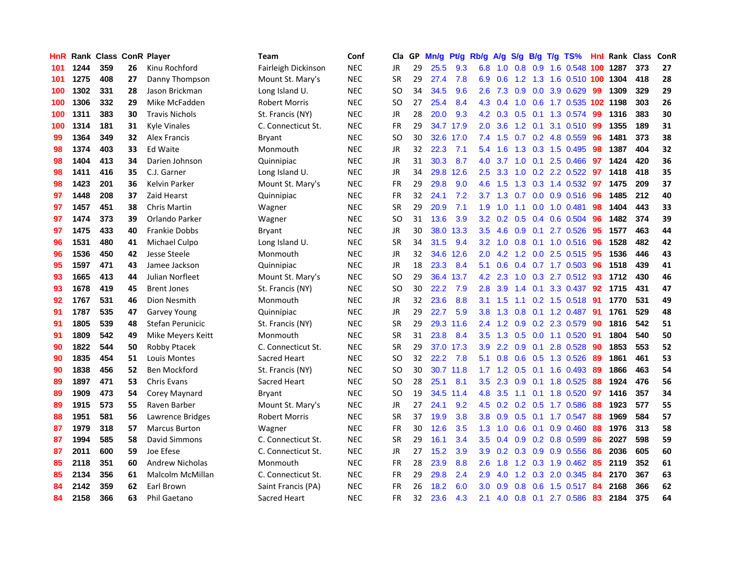| <b>HnR</b> |      | <b>Rank Class ConR Player</b> |    |                        | Team                 | Conf       | Cla       |    | GP Mn/g | Pt/g      | Rb/g             | A/g             |     |                | S/g B/g T/g TS%            | Hnl | Rank Class |     | ConR |
|------------|------|-------------------------------|----|------------------------|----------------------|------------|-----------|----|---------|-----------|------------------|-----------------|-----|----------------|----------------------------|-----|------------|-----|------|
| 101        | 1244 | 359                           | 26 | Kinu Rochford          | Fairleigh Dickinson  | <b>NEC</b> | JR        | 29 | 25.5    | 9.3       | 6.8              | 1.0             | 0.8 | 0.9            | 1.6 0.548                  | 100 | 1287       | 373 | 27   |
| 101        | 1275 | 408                           | 27 | Danny Thompson         | Mount St. Mary's     | <b>NEC</b> | <b>SR</b> | 29 | 27.4    | 7.8       | 6.9              | 0.6             | 1.2 | 1.3            | 1.6 0.510 100              |     | 1304       | 418 | 28   |
| 100        | 1302 | 331                           | 28 | Jason Brickman         | Long Island U.       | <b>NEC</b> | <b>SO</b> | 34 | 34.5    | 9.6       | 2.6              | 7.3             | 0.9 | 0.0            | 3.9 0.629                  | -99 | 1309       | 329 | 29   |
| 100        | 1306 | 332                           | 29 | Mike McFadden          | Robert Morris        | <b>NEC</b> | SO.       | 27 | 25.4    | 8.4       |                  | 4.3 0.4         |     |                | 1.0 0.6 1.7 0.535 102 1198 |     |            | 303 | 26   |
| 100        | 1311 | 383                           | 30 | <b>Travis Nichols</b>  | St. Francis (NY)     | <b>NEC</b> | JR        | 28 | 20.0    | 9.3       |                  |                 |     |                | 4.2 0.3 0.5 0.1 1.3 0.574  | -99 | 1316       | 383 | 30   |
| 100        | 1314 | 181                           | 31 | Kyle Vinales           | C. Connecticut St.   | <b>NEC</b> | <b>FR</b> | 29 |         | 34.7 17.9 | 2.0              | 3.6             |     |                | 1.2 0.1 3.1 0.510          | -99 | 1355       | 189 | 31   |
| 99         | 1364 | 349                           | 32 | <b>Alex Francis</b>    | Bryant               | <b>NEC</b> | <b>SO</b> | 30 |         | 32.6 17.0 | 7.4              | 1.5             |     |                | 0.7 0.2 4.8 0.559          | 96  | 1481       | 373 | 38   |
| 98         | 1374 | 403                           | 33 | <b>Ed Waite</b>        | Monmouth             | <b>NEC</b> | JR        | 32 | 22.3    | 7.1       | 5.4              | 1.6             | 1.3 |                | 0.3 1.5 0.495              | 98  | 1387       | 404 | 32   |
| 98         | 1404 | 413                           | 34 | Darien Johnson         | Quinnipiac           | <b>NEC</b> | JR        | 31 | 30.3    | 8.7       | 4.0              | 3.7             | 1.0 | 0.1            | 2.5 0.466                  | 97  | 1424       | 420 | 36   |
| 98         | 1411 | 416                           | 35 | C.J. Garner            | Long Island U.       | <b>NEC</b> | JR        | 34 | 29.8    | 12.6      | 2.5              | 3.3             | 1.0 |                | 0.2 2.2 0.522              | 97  | 1418       | 418 | 35   |
| 98         | 1423 | 201                           | 36 | Kelvin Parker          | Mount St. Mary's     | <b>NEC</b> | FR        | 29 | 29.8    | 9.0       | 4.6              | 1.5             | 1.3 |                | 0.3 1.4 0.532              | 97  | 1475       | 209 | 37   |
| 97         | 1448 | 208                           | 37 | Zaid Hearst            | Quinnipiac           | <b>NEC</b> | FR        | 32 | 24.1    | 7.2       | 3.7              | 1.3             | 0.7 | 0.0            | 0.9 0.516                  | 96  | 1485       | 212 | 40   |
| 97         | 1457 | 451                           | 38 | <b>Chris Martin</b>    | Wagner               | <b>NEC</b> | <b>SR</b> | 29 | 20.9    | 7.1       | 1.9              | 1.0             | 1.1 | 0.0            | $1.0 \ \ 0.481$            | 98  | 1404       | 443 | 33   |
| 97         | 1474 | 373                           | 39 | Orlando Parker         | Wagner               | <b>NEC</b> | <b>SO</b> | 31 | 13.6    | 3.9       | 3.2 <sub>2</sub> | 0.2             | 0.5 | 0.4            | 0.6 0.504                  | 96  | 1482       | 374 | 39   |
| 97         | 1475 | 433                           | 40 | <b>Frankie Dobbs</b>   | <b>Bryant</b>        | <b>NEC</b> | JR        | 30 | 38.0    | 13.3      | 3.5              | 4.6             | 0.9 | 0.1            | 2.7 0.526                  | 95  | 1577       | 463 | 44   |
| 96         | 1531 | 480                           | 41 | Michael Culpo          | Long Island U.       | <b>NEC</b> | <b>SR</b> | 34 | 31.5    | 9.4       | 3.2              | 1.0             | 0.8 | 0.1            | 1.0 0.516                  | 96  | 1528       | 482 | 42   |
| 96         | 1536 | 450                           | 42 | Jesse Steele           | Monmouth             | <b>NEC</b> | JR        | 32 | 34.6    | 12.6      | 2.0              | 4.2             |     |                | 1.2 0.0 2.5 0.515          | -95 | 1536       | 446 | 43   |
| 95         | 1597 | 471                           | 43 | Jamee Jackson          | Quinnipiac           | <b>NEC</b> | JR        | 18 | 23.3    | 8.4       | 5.1              | 0.6             |     |                | 0.4 0.7 1.7 0.503          | -96 | 1518       | 439 | 41   |
| 93         | 1665 | 413                           | 44 | Julian Norfleet        | Mount St. Mary's     | <b>NEC</b> | SO.       | 29 |         | 36.4 13.7 |                  | 4.2 2.3         |     |                | 1.0 0.3 2.7 0.512 93       |     | 1712       | 430 | 46   |
| 93         | 1678 | 419                           | 45 | <b>Brent Jones</b>     | St. Francis (NY)     | <b>NEC</b> | SO.       | 30 | 22.2    | 7.9       | 2.8              | 3.9             |     |                | 1.4 0.1 3.3 0.437 92       |     | 1715       | 431 | 47   |
| 92         | 1767 | 531                           | 46 | Dion Nesmith           | Monmouth             | <b>NEC</b> | JR        | 32 | 23.6    | 8.8       |                  | $3.1 \quad 1.5$ |     |                | $1.1 \t0.2 \t1.5 \t0.518$  | -91 | 1770       | 531 | 49   |
| 91         | 1787 | 535                           | 47 | <b>Garvey Young</b>    | Quinnipiac           | <b>NEC</b> | JR        | 29 | 22.7    | 5.9       | 3.8 <sup>°</sup> | 1.3             | 0.8 |                | $0.1$ 1.2 0.487            | -91 | 1761       | 529 | 48   |
| 91         | 1805 | 539                           | 48 | Stefan Perunicic       | St. Francis (NY)     | <b>NEC</b> | <b>SR</b> | 29 |         | 29.3 11.6 |                  | $2.4$ 1.2       |     |                | 0.9 0.2 2.3 0.579          | 90  | 1816       | 542 | 51   |
| 91         | 1809 | 542                           | 49 | Mike Meyers Keitt      | Monmouth             | <b>NEC</b> | <b>SR</b> | 31 | 23.8    | 8.4       | 3.5              | 1.3             | 0.5 |                | 0.0 1.1 0.520              | -91 | 1804       | 540 | 50   |
| 90         | 1822 | 544                           | 50 | <b>Robby Ptacek</b>    | C. Connecticut St.   | <b>NEC</b> | <b>SR</b> | 29 | 37.0    | 17.3      | 3.9              | 2.2             |     | $0.9\quad 0.1$ | 2.8 0.528                  | -90 | 1853       | 553 | 52   |
| 90         | 1835 | 454                           | 51 | Louis Montes           | Sacred Heart         | <b>NEC</b> | SO.       | 32 | 22.2    | 7.8       | 5.1              | 0.8             |     |                | 0.6 0.5 1.3 0.526          | -89 | 1861       | 461 | 53   |
| 90         | 1838 | 456                           | 52 | <b>Ben Mockford</b>    | St. Francis (NY)     | <b>NEC</b> | <b>SO</b> | 30 |         | 30.7 11.8 | 1.7 <sup>2</sup> | 1.2             | 0.5 | 0.1            | 1.6 0.493                  | 89  | 1866       | 463 | 54   |
| 89         | 1897 | 471                           | 53 | <b>Chris Evans</b>     | Sacred Heart         | <b>NEC</b> | SO.       | 28 | 25.1    | 8.1       | 3.5              | 2.3             | 0.9 |                | 0.1 1.8 0.525              | 88  | 1924       | 476 | 56   |
| 89         | 1909 | 473                           | 54 | Corey Maynard          | <b>Bryant</b>        | <b>NEC</b> | SO.       | 19 |         | 34.5 11.4 | 4.8              | 3.5             | 1.1 | 0.1            | 1.8 0.520                  | 97  | 1416       | 357 | 34   |
| 89         | 1915 | 573                           | 55 | Raven Barber           | Mount St. Mary's     | <b>NEC</b> | JR        | 27 | 24.1    | 9.2       | 4.5              | 0.2             | 0.2 | 0.5            | 1.7 0.586                  | 88  | 1923       | 577 | 55   |
| 88         | 1951 | 581                           | 56 | Lawrence Bridges       | <b>Robert Morris</b> | <b>NEC</b> | <b>SR</b> | 37 | 19.9    | 3.8       | 3.8              | 0.9             | 0.5 | 0.1            | 1.7 0.547                  | 88  | 1969       | 584 | 57   |
| 87         | 1979 | 318                           | 57 | <b>Marcus Burton</b>   | Wagner               | <b>NEC</b> | FR        | 30 | 12.6    | 3.5       | 1.3              | 1.0             | 0.6 | 0.1            | $0.9$ $0.460$              | 88  | 1976       | 313 | 58   |
| 87         | 1994 | 585                           | 58 | David Simmons          | C. Connecticut St.   | <b>NEC</b> | <b>SR</b> | 29 | 16.1    | 3.4       | 3.5              | 0.4             |     |                | $0.9$ $0.2$ $0.8$ $0.599$  | 86  | 2027       | 598 | 59   |
| 87         | 2011 | 600                           | 59 | Joe Efese              | C. Connecticut St.   | <b>NEC</b> | JR        | 27 | 15.2    | 3.9       | 3.9              | 0.2             |     |                | $0.3$ 0.9 0.9 0.556        | 86  | 2036       | 605 | 60   |
| 85         | 2118 | 351                           | 60 | <b>Andrew Nicholas</b> | Monmouth             | <b>NEC</b> | <b>FR</b> | 28 | 23.9    | 8.8       | 2.6              | 1.8             |     |                | 1.2 0.3 1.9 0.462          | 85  | 2119       | 352 | 61   |
| 85         | 2134 | 356                           | 61 | Malcolm McMillan       | C. Connecticut St.   | <b>NEC</b> | FR        | 29 | 29.8    | 2.4       | 2.9              | 4.0             | 1.2 | 0.3            | 2.0 0.345                  | 84  | 2170       | 367 | 63   |
| 84         | 2142 | 359                           | 62 | Earl Brown             | Saint Francis (PA)   | <b>NEC</b> | <b>FR</b> | 26 | 18.2    | 6.0       | 3.0              | 0.9             | 0.8 | 0.6            | 1.5 0.517                  | 84  | 2168       | 366 | 62   |
| 84         | 2158 | 366                           | 63 | Phil Gaetano           | Sacred Heart         | <b>NEC</b> | <b>FR</b> | 32 | 23.6    | 4.3       | 2.1              | 4.0             |     |                | 0.8 0.1 2.7 0.586          | 83  | 2184       | 375 | 64   |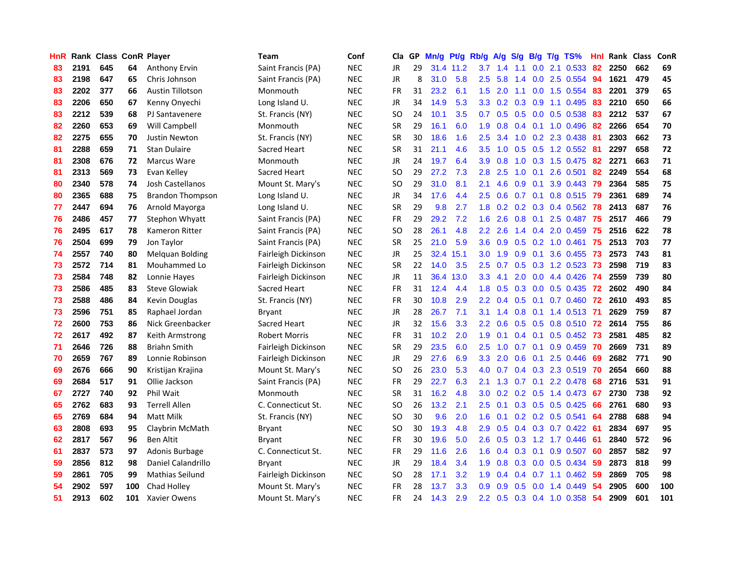| <b>HnR</b> |      |     |     | <b>Rank Class ConR Player</b> | Team                | Conf       | Cla       |    | GP Mn/g Pt/g |           | Rb/g             | A/g             |                |                 | S/g B/g T/g TS%           | Hnl | Rank Class |     | ConR |
|------------|------|-----|-----|-------------------------------|---------------------|------------|-----------|----|--------------|-----------|------------------|-----------------|----------------|-----------------|---------------------------|-----|------------|-----|------|
| 83         | 2191 | 645 | 64  | <b>Anthony Ervin</b>          | Saint Francis (PA)  | <b>NEC</b> | JR        | 29 |              | 31.4 11.2 | 3.7              | 1.4             | 1.1            | 0.0             | 2.1 0.533                 | 82  | 2250       | 662 | 69   |
| 83         | 2198 | 647 | 65  | Chris Johnson                 | Saint Francis (PA)  | <b>NEC</b> | <b>JR</b> | 8  | 31.0         | 5.8       | 2.5              | 5.8             | 1.4            | 0.0             | 2.5 0.554                 | 94  | 1621       | 479 | 45   |
| 83         | 2202 | 377 | 66  | <b>Austin Tillotson</b>       | Monmouth            | <b>NEC</b> | <b>FR</b> | 31 | 23.2         | 6.1       | 1.5              | 2.0             | 1.1            | 0.0             | 1.5 0.554                 | -83 | 2201       | 379 | 65   |
| 83         | 2206 | 650 | 67  | Kenny Onyechi                 | Long Island U.      | <b>NEC</b> | JR        | 34 | 14.9         | 5.3       | 3.3 <sub>2</sub> | 0.2             | $0.3\quad 0.9$ |                 | 1.1 0.495                 | 83  | 2210       | 650 | 66   |
| 83         | 2212 | 539 | 68  | PJ Santavenere                | St. Francis (NY)    | <b>NEC</b> | SO.       | 24 | 10.1         | 3.5       |                  | $0.7 \quad 0.5$ |                |                 | 0.5 0.0 0.5 0.538         | 83  | 2212       | 537 | 67   |
| 82         | 2260 | 653 | 69  | Will Campbell                 | Monmouth            | <b>NEC</b> | <b>SR</b> | 29 | 16.1         | 6.0       | 1.9              | 0.8             |                |                 | $0.4$ 0.1 1.0 0.496       | -82 | 2266       | 654 | 70   |
| 82         | 2275 | 655 | 70  | <b>Justin Newton</b>          | St. Francis (NY)    | <b>NEC</b> | <b>SR</b> | 30 | 18.6         | 1.6       | $2.5^{\circ}$    | 3.4             |                |                 | 1.0 0.2 2.3 0.438         | 81  | 2303       | 662 | 73   |
| 81         | 2288 | 659 | 71  | <b>Stan Dulaire</b>           | <b>Sacred Heart</b> | <b>NEC</b> | <b>SR</b> | 31 | 21.1         | 4.6       | 3.5              | 1.0             |                |                 | $0.5$ $0.5$ 1.2 $0.552$   | 81  | 2297       | 658 | 72   |
| 81         | 2308 | 676 | 72  | Marcus Ware                   | Monmouth            | <b>NEC</b> | JR        | 24 | 19.7         | 6.4       | 3.9              | 0.8             | 1.0            |                 | 0.3 1.5 0.475             | 82  | 2271       | 663 | 71   |
| 81         | 2313 | 569 | 73  | Evan Kelley                   | Sacred Heart        | <b>NEC</b> | <b>SO</b> | 29 | 27.2         | 7.3       | 2.8              | 2.5             | 1.0            | 0.1             | 2.6 0.501                 | 82  | 2249       | 554 | 68   |
| 80         | 2340 | 578 | 74  | Josh Castellanos              | Mount St. Mary's    | <b>NEC</b> | SO.       | 29 | 31.0         | 8.1       | 2.1              | 4.6             | 0.9            | 0.1             | 3.9 0.443                 | 79  | 2364       | 585 | 75   |
| 80         | 2365 | 688 | 75  | <b>Brandon Thompson</b>       | Long Island U.      | <b>NEC</b> | JR        | 34 | 17.6         | 4.4       | 2.5              | 0.6             | 0.7            | 0.1             | 0.8 0.515                 | 79  | 2361       | 689 | 74   |
| 77         | 2447 | 694 | 76  | Arnold Mayorga                | Long Island U.      | <b>NEC</b> | <b>SR</b> | 29 | 9.8          | 2.7       | 1.8              | 0.2             | 0.2            | 0.3             | 0.4 0.562                 | 78  | 2413       | 687 | 76   |
| 76         | 2486 | 457 | 77  | Stephon Whyatt                | Saint Francis (PA)  | <b>NEC</b> | FR        | 29 | 29.2         | 7.2       | 1.6              | 2.6             | 0.8            | 0.1             | 2.5 0.487                 | 75  | 2517       | 466 | 79   |
| 76         | 2495 | 617 | 78  | Kameron Ritter                | Saint Francis (PA)  | <b>NEC</b> | SO.       | 28 | 26.1         | 4.8       | $2.2^{\circ}$    | 2.6             | 1.4            | 0.4             | 2.0 0.459                 | 75  | 2516       | 622 | 78   |
| 76         | 2504 | 699 | 79  | Jon Taylor                    | Saint Francis (PA)  | <b>NEC</b> | <b>SR</b> | 25 | 21.0         | 5.9       | 3.6              | 0.9             | 0.5            | 0.2             | $1.0$ 0.461               | -75 | 2513       | 703 | 77   |
| 74         | 2557 | 740 | 80  | <b>Melquan Bolding</b>        | Fairleigh Dickinson | <b>NEC</b> | JR        | 25 | 32.4         | 15.1      | 3.0 <sub>1</sub> | 1.9             | 0.9            | 0.1             | 3.6 0.455                 | 73  | 2573       | 743 | 81   |
| 73         | 2572 | 714 | 81  | Mouhammed Lo                  | Fairleigh Dickinson | <b>NEC</b> | <b>SR</b> | 22 | 14.0         | 3.5       | 2.5              | 0.7             |                |                 | 0.5 0.3 1.2 0.523         | 73  | 2598       | 719 | 83   |
| 73         | 2584 | 748 | 82  | Lonnie Hayes                  | Fairleigh Dickinson | <b>NEC</b> | JR        | 11 | 36.4         | 13.0      | 3.3 <sub>2</sub> | 4.1             |                |                 | 2.0 0.0 4.4 0.426 74      |     | 2559       | 739 | 80   |
| 73         | 2586 | 485 | 83  | <b>Steve Glowiak</b>          | Sacred Heart        | <b>NEC</b> | <b>FR</b> | 31 | 12.4         | 4.4       | 1.8 <sup>1</sup> | 0.5             |                |                 | 0.3 0.0 0.5 0.435 72      |     | 2602       | 490 | 84   |
| 73         | 2588 | 486 | 84  | Kevin Douglas                 | St. Francis (NY)    | <b>NEC</b> | <b>FR</b> | 30 | 10.8         | 2.9       | $2.2^{\circ}$    | 0.4             |                |                 | 0.5 0.1 0.7 0.460 72      |     | 2610       | 493 | 85   |
| 73         | 2596 | 751 | 85  | Raphael Jordan                | Bryant              | <b>NEC</b> | JR        | 28 | 26.7         | 7.1       | 3.1              | 1.4             |                |                 | 0.8 0.1 1.4 0.513 71      |     | 2629       | 759 | 87   |
| 72         | 2600 | 753 | 86  | Nick Greenbacker              | Sacred Heart        | <b>NEC</b> | JR        | 32 | 15.6         | 3.3       | $2.2^{\circ}$    | 0.6             |                |                 | $0.5$ 0.5 0.8 0.510       | 72  | 2614       | 755 | 86   |
| 72         | 2617 | 492 | 87  | Keith Armstrong               | Robert Morris       | <b>NEC</b> | <b>FR</b> | 31 | 10.2         | 2.0       | 1.9              | 0.1             |                | $0.4 \quad 0.1$ | $0.5 \ \ 0.452$           | -73 | 2581       | 485 | 82   |
| 71         | 2646 | 726 | 88  | <b>Briahn Smith</b>           | Fairleigh Dickinson | <b>NEC</b> | <b>SR</b> | 29 | 23.5         | 6.0       | 2.5              | 1.0             | 0.7            | 0.1             | $0.9$ 0.459               | -70 | 2669       | 731 | 89   |
| 70         | 2659 | 767 | 89  | Lonnie Robinson               | Fairleigh Dickinson | <b>NEC</b> | JR        | 29 | 27.6         | 6.9       | 3.3              | 2.0             | 0.6            | 0.1             | 2.5 0.446                 | 69  | 2682       | 771 | 90   |
| 69         | 2676 | 666 | 90  | Kristijan Krajina             | Mount St. Mary's    | <b>NEC</b> | SO.       | 26 | 23.0         | 5.3       | 4.0              | 0.7             |                | $0.4 \quad 0.3$ | 2.3 0.519                 | 70  | 2654       | 660 | 88   |
| 69         | 2684 | 517 | 91  | Ollie Jackson                 | Saint Francis (PA)  | <b>NEC</b> | FR        | 29 | 22.7         | 6.3       | 2.1              | 1.3             | 0.7            | 0.1             | 2.2 0.478                 | 68  | 2716       | 531 | 91   |
| 67         | 2727 | 740 | 92  | Phil Wait                     | Monmouth            | <b>NEC</b> | <b>SR</b> | 31 | 16.2         | 4.8       | 3.0              | 0.2             | 0.2            | 0.5             | 1.4 0.473                 | 67  | 2730       | 738 | 92   |
| 65         | 2762 | 683 | 93  | <b>Terrell Allen</b>          | C. Connecticut St.  | <b>NEC</b> | <b>SO</b> | 26 | 13.2         | 2.1       | 2.5              | 0.1             |                | $0.3 \quad 0.5$ | $0.5$ 0.425               | 66  | 2761       | 680 | 93   |
| 65         | 2769 | 684 | 94  | Matt Milk                     | St. Francis (NY)    | <b>NEC</b> | <b>SO</b> | 30 | 9.6          | 2.0       | 1.6              | 0.1             |                |                 | $0.2$ 0.2 0.5 0.541       | 64  | 2788       | 688 | 94   |
| 63         | 2808 | 693 | 95  | Claybrin McMath               | Bryant              | <b>NEC</b> | SO.       | 30 | 19.3         | 4.8       | 2.9              | 0.5             |                |                 | $0.4$ $0.3$ $0.7$ $0.422$ | -61 | 2834       | 697 | 95   |
| 62         | 2817 | 567 | 96  | <b>Ben Altit</b>              | Bryant              | <b>NEC</b> | <b>FR</b> | 30 | 19.6         | 5.0       | 2.6              | 0.5             |                |                 | $0.3$ 1.2 1.7 0.446       | -61 | 2840       | 572 | 96   |
| 61         | 2837 | 573 | 97  | Adonis Burbage                | C. Connecticut St.  | <b>NEC</b> | <b>FR</b> | 29 | 11.6         | 2.6       | 1.6              | 0.4             |                | $0.3 \quad 0.1$ | 0.9 0.507                 | 60  | 2857       | 582 | 97   |
| 59         | 2856 | 812 | 98  | Daniel Calandrillo            | Bryant              | <b>NEC</b> | JR        | 29 | 18.4         | 3.4       | 1.9              | 0.8             | 0.3            |                 | 0.0 0.5 0.434             | 59  | 2873       | 818 | 99   |
| 59         | 2861 | 705 | 99  | <b>Mathias Seilund</b>        | Fairleigh Dickinson | <b>NEC</b> | SO.       | 28 | 17.1         | 3.2       | 1.9              | 0.4             | 0.4            |                 | $0.7$ 1.1 $0.462$         | 59  | 2869       | 705 | 98   |
| 54         | 2902 | 597 | 100 | Chad Holley                   | Mount St. Mary's    | <b>NEC</b> | <b>FR</b> | 28 | 13.7         | 3.3       | 0.9              | 0.9             | 0.5            | 0.0             | 1.4 0.449                 | 54  | 2905       | 600 | 100  |
| 51         | 2913 | 602 | 101 | <b>Xavier Owens</b>           | Mount St. Mary's    | <b>NEC</b> | FR        | 24 | 14.3         | 2.9       | $2.2^{\circ}$    | 0.5             |                |                 | $0.3$ 0.4 1.0 0.358       | 54  | 2909       | 601 | 101  |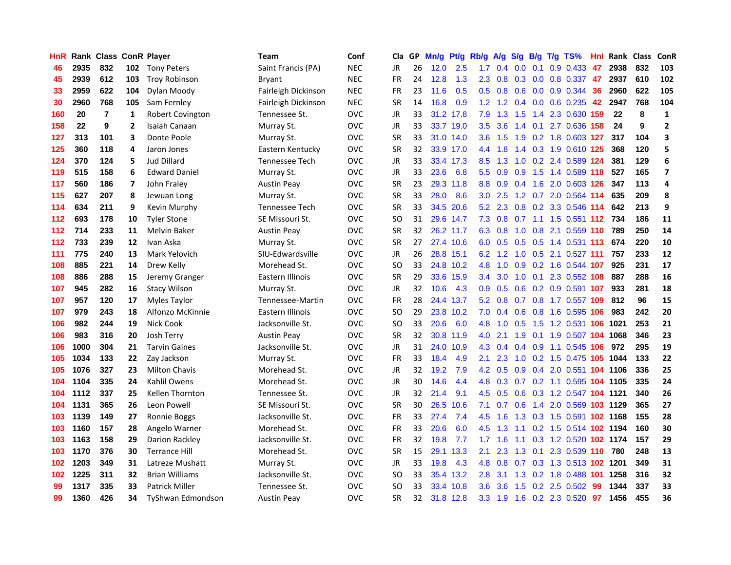| HnR |      |     |     | Rank Class ConR Player   | Team                | Conf       | Cla       |    | GP Mn/g | Pt/g      | Rb/g             | A/g             | <b>S/g</b>      |     | B/g T/g TS%                   | Hnl | Rank Class |     | ConR                    |
|-----|------|-----|-----|--------------------------|---------------------|------------|-----------|----|---------|-----------|------------------|-----------------|-----------------|-----|-------------------------------|-----|------------|-----|-------------------------|
| 46  | 2935 | 832 | 102 | <b>Tony Peters</b>       | Saint Francis (PA)  | <b>NEC</b> | JR.       | 26 | 12.0    | 2.5       | 1.7              | 0.4             | 0.0             | 0.1 | 0.9 0.433                     | 47  | 2938       | 832 | 103                     |
| 45  | 2939 | 612 | 103 | <b>Troy Robinson</b>     | <b>Bryant</b>       | <b>NEC</b> | <b>FR</b> | 24 | 12.8    | 1.3       | $2.3^{\circ}$    | 0.8             | 0.3             | 0.0 | 0.8 0.337                     | -47 | 2937       | 610 | 102                     |
| 33  | 2959 | 622 | 104 | Dylan Moody              | Fairleigh Dickinson | <b>NEC</b> | FR        | 23 | 11.6    | 0.5       | 0.5 <sub>0</sub> | 0.8             | 0.6             | 0.0 | 0.9 0.344                     | 36  | 2960       | 622 | 105                     |
| 30  | 2960 | 768 | 105 | Sam Fernley              | Fairleigh Dickinson | <b>NEC</b> | <b>SR</b> | 14 | 16.8    | 0.9       |                  |                 |                 |     | 1.2 1.2 0.4 0.0 0.6 0.235     | 42  | 2947       | 768 | 104                     |
| 160 | 20   | 7   | 1   | <b>Robert Covington</b>  | Tennessee St.       | OVC        | JR        | 33 |         | 31.2 17.8 | 7.9              |                 |                 |     | 1.3 1.5 1.4 2.3 0.630 159     |     | 22         | 8   | $\mathbf 1$             |
| 158 | 22   | 9   | 2   | Isaiah Canaan            | Murray St.          | <b>OVC</b> | JR        | 33 |         | 33.7 19.0 | 3.5              | 3.6             |                 |     | 1.4 0.1 2.7 0.636 158         |     | 24         | 9   | $\overline{2}$          |
| 127 | 313  | 101 | 3   | Donte Poole              | Murray St.          | <b>OVC</b> | SR        | 33 |         | 31.0 14.0 | 3.6 <sup>2</sup> | 1.5             |                 |     | 1.9 0.2 1.8 0.603 127         |     | 317        | 104 | 3                       |
| 125 | 360  | 118 | 4   | Jaron Jones              | Eastern Kentucky    | <b>OVC</b> | <b>SR</b> | 32 |         | 33.9 17.0 | 4.4              | 1.8             |                 |     | 1.4 0.3 1.9 0.610 125         |     | 368        | 120 | 5                       |
| 124 | 370  | 124 | 5   | <b>Jud Dillard</b>       | Tennessee Tech      | <b>OVC</b> | JR        | 33 |         | 33.4 17.3 | 8.5              | 1.3             | 1.0             |     | 0.2 2.4 0.589 124             |     | 381        | 129 | 6                       |
| 119 | 515  | 158 | 6   | <b>Edward Daniel</b>     | Murray St.          | <b>OVC</b> | JR        | 33 | 23.6    | 6.8       | 5.5 <sub>1</sub> | 0.9             | 0.9             |     | 1.5 1.4 0.589 118             |     | 527        | 165 | $\overline{\mathbf{z}}$ |
| 117 | 560  | 186 | 7   | John Fraley              | <b>Austin Peay</b>  | OVC        | <b>SR</b> | 23 |         | 29.3 11.8 | 8.8              | 0.9             | 0.4             |     | 1.6 2.0 0.603 126             |     | 347        | 113 | 4                       |
| 115 | 627  | 207 | 8   | Jewuan Long              | Murray St.          | OVC        | <b>SR</b> | 33 | 28.0    | 8.6       | 3.0 <sub>2</sub> | 2.5             |                 |     | 1.2 0.7 2.0 0.564 114         |     | 635        | 209 | 8                       |
| 114 | 634  | 211 | 9   | Kevin Murphy             | Tennessee Tech      | OVC        | SR        | 33 | 34.5    | 20.6      | 5.2              | 2.3             | 0.8             |     | 0.2 3.3 0.546 114             |     | 642        | 213 | 9                       |
| 112 | 693  | 178 | 10  | <b>Tyler Stone</b>       | SE Missouri St.     | <b>OVC</b> | SO        | 31 |         | 29.6 14.7 | 7.3              | 0.8             | 0.7             |     | 1.1 1.5 0.551 112             |     | 734        | 186 | 11                      |
| 112 | 714  | 233 | 11  | <b>Melvin Baker</b>      | <b>Austin Peay</b>  | <b>OVC</b> | SR        | 32 |         | 26.2 11.7 | 6.3              | 0.8             | 1.0             | 0.8 | 2.1 0.559 110                 |     | 789        | 250 | 14                      |
| 112 | 733  | 239 | 12  | Ivan Aska                | Murray St.          | <b>OVC</b> | <b>SR</b> | 27 |         | 27.4 10.6 |                  |                 |                 |     | 6.0 0.5 0.5 0.5 1.4 0.531 113 |     | 674        | 220 | 10                      |
| 111 | 775  | 240 | 13  | Mark Yelovich            | SIU-Edwardsville    | <b>OVC</b> | JR        | 26 |         | 28.8 15.1 |                  |                 |                 |     | 6.2 1.2 1.0 0.5 2.1 0.527 111 |     | 757        | 233 | 12                      |
| 108 | 885  | 221 | 14  | Drew Kelly               | Morehead St.        | OVC        | SO        | 33 |         | 24.8 10.2 | 4.8              |                 |                 |     | 1.0 0.9 0.2 1.6 0.544 107     |     | 925        | 231 | 17                      |
| 108 | 886  | 288 | 15  | Jeremy Granger           | Eastern Illinois    | <b>OVC</b> | SR        | 29 |         | 33.6 15.9 | $3.4^{\circ}$    | 3.0             |                 |     | 1.0 0.1 2.3 0.552 108         |     | 887        | 288 | 16                      |
| 107 | 945  | 282 | 16  | <b>Stacy Wilson</b>      | Murray St.          | <b>OVC</b> | JR        | 32 | 10.6    | 4.3       | 0.9 <sup>°</sup> | 0.5             |                 |     | 0.6 0.2 0.9 0.591 107         |     | 933        | 281 | 18                      |
| 107 | 957  | 120 | 17  | Myles Taylor             | Tennessee-Martin    | <b>OVC</b> | <b>FR</b> | 28 |         | 24.4 13.7 |                  | $5.2 \quad 0.8$ |                 |     | 0.7 0.8 1.7 0.557 109         |     | 812        | 96  | 15                      |
| 107 | 979  | 243 | 18  | Alfonzo McKinnie         | Eastern Illinois    | <b>OVC</b> | <b>SO</b> | 29 |         | 23.8 10.2 | 7.0              | 0.4             | 0.6             |     | 0.8 1.6 0.595 106             |     | 983        | 242 | 20                      |
| 106 | 982  | 244 | 19  | <b>Nick Cook</b>         | Jacksonville St.    | <b>OVC</b> | <b>SO</b> | 33 | 20.6    | 6.0       | 4.8              | 1.0             | 0.5             |     | 1.5 1.2 0.531 106             |     | 1021       | 253 | 21                      |
| 106 | 983  | 316 | 20  | Josh Terry               | <b>Austin Peay</b>  | OVC        | SR        | 32 |         | 30.8 11.9 | 4.0              | 2.1             | 1.9             | 0.1 | 1.9 0.507 104                 |     | 1068       | 346 | 23                      |
| 106 | 1000 | 304 | 21  | <b>Tarvin Gaines</b>     | Jacksonville St.    | OVC        | JR.       | 31 |         | 24.0 10.9 | 4.3              | 0.4             | 0.4             |     | 0.9 1.1 0.545 106             |     | 972        | 295 | 19                      |
| 105 | 1034 | 133 | 22  | Zay Jackson              | Murray St.          | OVC        | <b>FR</b> | 33 | 18.4    | 4.9       | 2.1              | 2.3             | 1.0             |     | 0.2 1.5 0.475 105             |     | 1044       | 133 | 22                      |
| 105 | 1076 | 327 | 23  | <b>Milton Chavis</b>     | Morehead St.        | <b>OVC</b> | JR        | 32 | 19.2    | 7.9       | 4.2              | 0.5             | 0.9             |     | 0.4 2.0 0.551 104 1106        |     |            | 336 | 25                      |
| 104 | 1104 | 335 | 24  | Kahlil Owens             | Morehead St.        | OVC        | JR        | 30 | 14.6    | 4.4       | 4.8              | 0.3             |                 |     | 0.7 0.2 1.1 0.595 104 1105    |     |            | 335 | 24                      |
| 104 | 1112 | 337 | 25  | Kellen Thornton          | Tennessee St.       | <b>OVC</b> | JR        | 32 | 21.4    | 9.1       | 4.5              | 0.5             | 0.6             |     | 0.3 1.2 0.547 104 1121        |     |            | 340 | 26                      |
| 104 | 1131 | 365 | 26  | Leon Powell              | SE Missouri St.     | <b>OVC</b> | SR        | 30 | 26.5    | 10.6      | 7.1              |                 | $0.7 \quad 0.6$ |     | 1.4 2.0 0.569 103 1129        |     |            | 365 | 27                      |
| 103 | 1139 | 149 | 27  | Ronnie Boggs             | Jacksonville St.    | <b>OVC</b> | <b>FR</b> | 33 | 27.4    | 7.4       | 4.5              | 1.6             |                 |     | 1.3 0.3 1.5 0.591 102 1168    |     |            | 155 | 28                      |
| 103 | 1160 | 157 | 28  | Angelo Warner            | Morehead St.        | <b>OVC</b> | <b>FR</b> | 33 | 20.6    | 6.0       | 4.5              | 1.3             |                 |     | 1.1 0.2 1.5 0.514 102 1194    |     |            | 160 | 30                      |
| 103 | 1163 | 158 | 29  | Darion Rackley           | Jacksonville St.    | <b>OVC</b> | <b>FR</b> | 32 | 19.8    | 7.7       | 1.7 <sub>z</sub> | 1.6             | 1.1             |     | 0.3 1.2 0.520 102 1174        |     |            | 157 | 29                      |
| 103 | 1170 | 376 | 30  | <b>Terrance Hill</b>     | Morehead St.        | <b>OVC</b> | SR        | 15 |         | 29.1 13.3 | 2.1              | 2.3             | 1.3             |     | 0.1 2.3 0.539 110             |     | 780        | 248 | 13                      |
| 102 | 1203 | 349 | 31  | Latreze Mushatt          | Murray St.          | <b>OVC</b> | JR        | 33 | 19.8    | 4.3       | 4.8              | 0.8             |                 |     | 0.7 0.3 1.3 0.513 102 1201    |     |            | 349 | 31                      |
| 102 | 1225 | 311 | 32  | <b>Brian Williams</b>    | Jacksonville St.    | <b>OVC</b> | SO        | 33 | 35.4    | 13.2      | 2.8              | 3.1             | 1.3             |     | 0.2 1.8 0.488                 | 101 | 1258       | 316 | 32                      |
| 99  | 1317 | 335 | 33  | <b>Patrick Miller</b>    | Tennessee St.       | OVC        | <b>SO</b> | 33 | 33.4    | 10.8      | $3.6\,$          | 3.6             | 1.5             |     | 0.2 2.5 0.502                 | 99  | 1344       | 337 | 33                      |
| 99  | 1360 | 426 | 34  | <b>TyShwan Edmondson</b> | <b>Austin Peav</b>  | OVC        | <b>SR</b> | 32 |         | 31.8 12.8 |                  | $3.3 \quad 1.9$ |                 |     | 1.6 0.2 2.3 0.520 97          |     | 1456       | 455 | 36                      |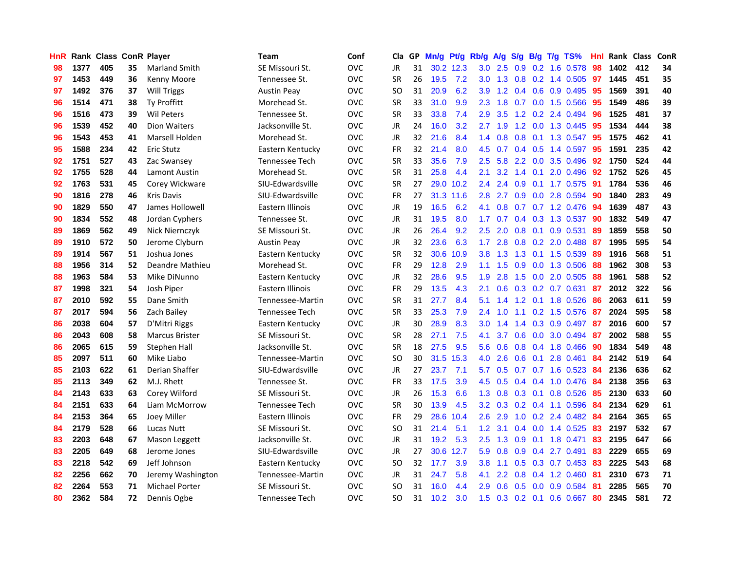| HnR |      | Rank Class ConR Player |    |                       | Team               | Conf       | Cla       |    | GP Mn/g Pt/g Rb/g |           |                  | A/g             |     |                 | S/g B/g T/g TS%           | Hnl | Rank Class |     | <b>ConR</b> |
|-----|------|------------------------|----|-----------------------|--------------------|------------|-----------|----|-------------------|-----------|------------------|-----------------|-----|-----------------|---------------------------|-----|------------|-----|-------------|
| 98  | 1377 | 405                    | 35 | <b>Marland Smith</b>  | SE Missouri St.    | <b>OVC</b> | JR        | 31 |                   | 30.2 12.3 | 3.0              | 2.5             | 0.9 | 0.2             | 1.6 0.578                 | 98  | 1402       | 412 | 34          |
| 97  | 1453 | 449                    | 36 | Kenny Moore           | Tennessee St.      | <b>OVC</b> | <b>SR</b> | 26 | 19.5              | 7.2       | 3.0              | 1.3             | 0.8 | 0.2             | 1.4 0.505                 | 97  | 1445       | 451 | 35          |
| 97  | 1492 | 376                    | 37 | Will Triggs           | Austin Peay        | <b>OVC</b> | <b>SO</b> | 31 | 20.9              | 6.2       | 3.9              | 1.2             |     | $0.4\quad 0.6$  | 0.9 0.495                 | 95  | 1569       | 391 | 40          |
| 96  | 1514 | 471                    | 38 | Ty Proffitt           | Morehead St.       | <b>OVC</b> | <b>SR</b> | 33 | 31.0              | 9.9       | 2.3              | 1.8             |     |                 | 0.7 0.0 1.5 0.566         | 95  | 1549       | 486 | 39          |
| 96  | 1516 | 473                    | 39 | <b>Wil Peters</b>     | Tennessee St.      | <b>OVC</b> | <b>SR</b> | 33 | 33.8              | 7.4       |                  | $2.9$ 3.5       |     |                 | 1.2 0.2 2.4 0.494         | -96 | 1525       | 481 | 37          |
| 96  | 1539 | 452                    | 40 | <b>Dion Waiters</b>   | Jacksonville St.   | <b>OVC</b> | JR        | 24 | 16.0              | 3.2       | 2.7              | 1.9             |     |                 | 1.2 0.0 1.3 0.445         | 95  | 1534       | 444 | 38          |
| 96  | 1543 | 453                    | 41 | Marsell Holden        | Morehead St.       | <b>OVC</b> | JR        | 32 | 21.6              | 8.4       | 1.4              | 0.8             |     |                 | 0.8 0.1 1.3 0.547         | 95  | 1575       | 462 | 41          |
| 95  | 1588 | 234                    | 42 | <b>Eric Stutz</b>     | Eastern Kentucky   | <b>OVC</b> | <b>FR</b> | 32 | 21.4              | 8.0       | 4.5              | 0.7             |     |                 | $0.4$ 0.5 1.4 0.597       | 95  | 1591       | 235 | 42          |
| 92  | 1751 | 527                    | 43 | Zac Swansey           | Tennessee Tech     | <b>OVC</b> | <b>SR</b> | 33 | 35.6              | 7.9       | 2.5              | 5.8             |     |                 | 2.2 0.0 3.5 0.496         | 92  | 1750       | 524 | 44          |
| 92  | 1755 | 528                    | 44 | Lamont Austin         | Morehead St.       | <b>OVC</b> | <b>SR</b> | 31 | 25.8              | 4.4       | 2.1              | 3.2             | 1.4 | 0.1             | 2.0 0.496                 | 92  | 1752       | 526 | 45          |
| 92  | 1763 | 531                    | 45 | Corey Wickware        | SIU-Edwardsville   | <b>OVC</b> | <b>SR</b> | 27 |                   | 29.0 10.2 | 2.4              | 2.4             | 0.9 |                 | 0.1 1.7 0.575             | -91 | 1784       | 536 | 46          |
| 90  | 1816 | 278                    | 46 | <b>Kris Davis</b>     | SIU-Edwardsville   | <b>OVC</b> | <b>FR</b> | 27 |                   | 31.3 11.6 | 2.8              | 2.7             |     |                 | 0.9 0.0 2.8 0.594         | 90  | 1840       | 283 | 49          |
| 90  | 1829 | 550                    | 47 | James Hollowell       | Eastern Illinois   | <b>OVC</b> | <b>JR</b> | 19 | 16.5              | 6.2       | 4.1              | 0.8             | 0.7 |                 | $0.7$ 1.2 $0.476$         | 94  | 1639       | 487 | 43          |
| 90  | 1834 | 552                    | 48 | Jordan Cyphers        | Tennessee St.      | <b>OVC</b> | JR        | 31 | 19.5              | 8.0       | 1.7              | 0.7             |     |                 | $0.4$ $0.3$ $1.3$ $0.537$ | 90  | 1832       | 549 | 47          |
| 89  | 1869 | 562                    | 49 | Nick Niernczyk        | SE Missouri St.    | <b>OVC</b> | JR        | 26 | 26.4              | 9.2       | 2.5              | 2.0             | 0.8 | 0.1             | 0.9 0.531                 | 89  | 1859       | 558 | 50          |
| 89  | 1910 | 572                    | 50 | Jerome Clyburn        | <b>Austin Peay</b> | <b>OVC</b> | <b>JR</b> | 32 | 23.6              | 6.3       | 1.7 <sub>z</sub> | 2.8             |     |                 | 0.8 0.2 2.0 0.488         | -87 | 1995       | 595 | 54          |
| 89  | 1914 | 567                    | 51 | Joshua Jones          | Eastern Kentucky   | <b>OVC</b> | <b>SR</b> | 32 | 30.6              | 10.9      | 3.8 <sup>°</sup> | 1.3             |     | $1.3 \quad 0.1$ | 1.5 0.539                 | -89 | 1916       | 568 | 51          |
| 88  | 1956 | 314                    | 52 | Deandre Mathieu       | Morehead St.       | <b>OVC</b> | <b>FR</b> | 29 | 12.8              | 2.9       |                  | $1.1 \quad 1.5$ |     |                 | 0.9 0.0 1.3 0.506         | 88  | 1962       | 308 | 53          |
| 88  | 1963 | 584                    | 53 | Mike DiNunno          | Eastern Kentucky   | <b>OVC</b> | JR        | 32 | 28.6              | 9.5       |                  | $1.9$ 2.8       |     |                 | 1.5 0.0 2.0 0.505         | -88 | 1961       | 588 | 52          |
| 87  | 1998 | 321                    | 54 | Josh Piper            | Eastern Illinois   | <b>OVC</b> | <b>FR</b> | 29 | 13.5              | 4.3       | 2.1              | 0.6             |     |                 | $0.3$ $0.2$ $0.7$ $0.631$ | -87 | 2012       | 322 | 56          |
| 87  | 2010 | 592                    | 55 | Dane Smith            | Tennessee-Martin   | <b>OVC</b> | <b>SR</b> | 31 | 27.7              | 8.4       | 5.1              | 1.4             |     |                 | 1.2 0.1 1.8 0.526         | -86 | 2063       | 611 | 59          |
| 87  | 2017 | 594                    | 56 | Zach Bailey           | Tennessee Tech     | <b>OVC</b> | <b>SR</b> | 33 | 25.3              | 7.9       | 2.4              | 1.0             |     |                 | 1.1 0.2 1.5 0.576         | 87  | 2024       | 595 | 58          |
| 86  | 2038 | 604                    | 57 | D'Mitri Riggs         | Eastern Kentucky   | <b>OVC</b> | <b>JR</b> | 30 | 28.9              | 8.3       | 3.0              | 1.4             |     |                 | 1.4 0.3 0.9 0.497         | -87 | 2016       | 600 | 57          |
| 86  | 2043 | 608                    | 58 | <b>Marcus Brister</b> | SE Missouri St.    | <b>OVC</b> | <b>SR</b> | 28 | 27.1              | 7.5       | 4.1              | 3.7             |     |                 | 0.6 0.0 3.0 0.494         | -87 | 2002       | 588 | 55          |
| 86  | 2065 | 615                    | 59 | Stephen Hall          | Jacksonville St.   | <b>OVC</b> | <b>SR</b> | 18 | 27.5              | 9.5       | 5.6              | 0.6             |     |                 | 0.8 0.4 1.8 0.466         | -90 | 1834       | 549 | 48          |
| 85  | 2097 | 511                    | 60 | Mike Liabo            | Tennessee-Martin   | <b>OVC</b> | <b>SO</b> | 30 |                   | 31.5 15.3 | 4.0              | 2.6             |     | $0.6 \quad 0.1$ | 2.8 0.461                 | 84  | 2142       | 519 | 64          |
| 85  | 2103 | 622                    | 61 | Derian Shaffer        | SIU-Edwardsville   | <b>OVC</b> | JR        | 27 | 23.7              | 7.1       | 5.7              | 0.5             | 0.7 |                 | 0.7 1.6 0.523             | -84 | 2136       | 636 | 62          |
| 85  | 2113 | 349                    | 62 | M.J. Rhett            | Tennessee St.      | <b>OVC</b> | <b>FR</b> | 33 | 17.5              | 3.9       | 4.5              | 0.5             |     |                 | $0.4$ 0.4 1.0 0.476       | 84  | 2138       | 356 | 63          |
| 84  | 2143 | 633                    | 63 | Corey Wilford         | SE Missouri St.    | OVC        | JR        | 26 | 15.3              | 6.6       | 1.3              | 0.8             |     | $0.3 \quad 0.1$ | 0.8 0.526                 | 85  | 2130       | 633 | 60          |
| 84  | 2151 | 633                    | 64 | Liam McMorrow         | Tennessee Tech     | <b>OVC</b> | <b>SR</b> | 30 | 13.9              | 4.5       | $3.2\phantom{0}$ | 0.3             |     |                 | $0.2$ $0.4$ 1.1 0.596     | 84  | 2134       | 629 | 61          |
| 84  | 2153 | 364                    | 65 | Joey Miller           | Eastern Illinois   | <b>OVC</b> | <b>FR</b> | 29 | 28.6              | 10.4      | 2.6              | 2.9             |     |                 | 1.0 0.2 2.4 0.482         | -84 | 2164       | 365 | 65          |
| 84  | 2179 | 528                    | 66 | Lucas Nutt            | SE Missouri St.    | <b>OVC</b> | <b>SO</b> | 31 | 21.4              | 5.1       | 1.2 <sub>1</sub> | 3.1             |     |                 | $0.4$ 0.0 1.4 0.525       | 83  | 2197       | 532 | 67          |
| 83  | 2203 | 648                    | 67 | Mason Leggett         | Jacksonville St.   | <b>OVC</b> | JR        | 31 | 19.2              | 5.3       | 2.5              | 1.3             |     |                 | $0.9$ 0.1 1.8 0.471       | 83  | 2195       | 647 | 66          |
| 83  | 2205 | 649                    | 68 | Jerome Jones          | SIU-Edwardsville   | <b>OVC</b> | <b>JR</b> | 27 |                   | 30.6 12.7 | 5.9              | 0.8             |     |                 | 0.9 0.4 2.7 0.491         | 83  | 2229       | 655 | 69          |
| 83  | 2218 | 542                    | 69 | Jeff Johnson          | Eastern Kentucky   | <b>OVC</b> | <b>SO</b> | 32 | 17.7              | 3.9       | 3.8              | 1.1             |     |                 | 0.5 0.3 0.7 0.453         | 83  | 2225       | 543 | 68          |
| 82  | 2256 | 662                    | 70 | Jeremy Washington     | Tennessee-Martin   | <b>OVC</b> | JR        | 31 | 24.7              | 5.8       | 4.1              | 2.2             | 0.8 |                 | $0.4$ 1.2 0.460           | 81  | 2310       | 673 | 71          |
| 82  | 2264 | 553                    | 71 | <b>Michael Porter</b> | SE Missouri St.    | <b>OVC</b> | SO.       | 31 | 16.0              | 4.4       | 2.9              | 0.6             | 0.5 | 0.0             | 0.9 0.584                 | -81 | 2285       | 565 | 70          |
| 80  | 2362 | 584                    | 72 | Dennis Ogbe           | Tennessee Tech     | <b>OVC</b> | SO.       | 31 | 10.2              | 3.0       | 1.5              |                 |     |                 | $0.3$ 0.2 0.1 0.6 0.667   | 80  | 2345       | 581 | 72          |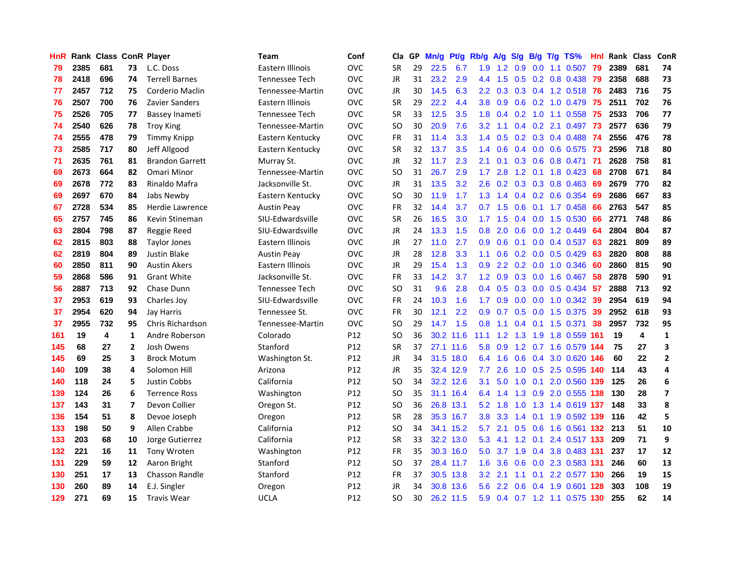| HnR |      | <b>Rank Class ConR Player</b> |                |                        | Team               | Conf            | Cla           | GP | Mn/g | Pt/g      | Rb/g             | <b>A/g</b>      | S/g           |                 | B/g T/g TS%               | Hnl  |      | Rank Class              | ConR         |
|-----|------|-------------------------------|----------------|------------------------|--------------------|-----------------|---------------|----|------|-----------|------------------|-----------------|---------------|-----------------|---------------------------|------|------|-------------------------|--------------|
| 79  | 2385 | 681                           | 73             | L.C. Doss              | Eastern Illinois   | <b>OVC</b>      | SR            | 29 | 22.5 | 6.7       | 1.9              | 1.2             | 0.9           | 0.0             | 1.1 0.507                 | 79   | 2389 | 681                     | 74           |
| 78  | 2418 | 696                           | 74             | <b>Terrell Barnes</b>  | Tennessee Tech     | <b>OVC</b>      | <b>JR</b>     | 31 | 23.2 | 2.9       | 4.4              | 1.5             | 0.5           | 0.2             | 0.8 0.438                 | -79  | 2358 | 688                     | 73           |
| 77  | 2457 | 712                           | 75             | Corderio Maclin        | Tennessee-Martin   | <b>OVC</b>      | <b>JR</b>     | 30 | 14.5 | 6.3       | $2.2^{\circ}$    | 0.3             |               |                 | $0.3$ $0.4$ 1.2 $0.518$   | -76  | 2483 | 716                     | 75           |
| 76  | 2507 | 700                           | 76             | Zavier Sanders         | Eastern Illinois   | ovc             | SR            | 29 | 22.2 | 4.4       | 3.8              | 0.9             |               |                 | 0.6 0.2 1.0 0.479 75      |      | 2511 | 702                     | 76           |
| 75  | 2526 | 705                           | 77             | Bassey Inameti         | Tennessee Tech     | <b>OVC</b>      | SR            | 33 | 12.5 | 3.5       |                  |                 |               |                 | 1.8 0.4 0.2 1.0 1.1 0.558 | -75  | 2533 | 706                     | 77           |
| 74  | 2540 | 626                           | 78             | <b>Troy King</b>       | Tennessee-Martin   | <b>OVC</b>      | SO            | 30 | 20.9 | 7.6       | 3.2 <sub>1</sub> | 1.1             |               |                 | $0.4$ 0.2 2.1 0.497       | -73  | 2577 | 636                     | 79           |
| 74  | 2555 | 478                           | 79             | Timmy Knipp            | Eastern Kentucky   | <b>OVC</b>      | <b>FR</b>     | 31 | 11.4 | 3.3       |                  | $1.4 \quad 0.5$ |               |                 | $0.2$ $0.3$ $0.4$ $0.488$ | - 74 | 2556 | 476                     | 78           |
| 73  | 2585 | 717                           | 80             | Jeff Allgood           | Eastern Kentucky   | <b>OVC</b>      | <b>SR</b>     | 32 | 13.7 | 3.5       | $1.4^{\circ}$    | 0.6             |               |                 | 0.4 0.0 0.6 0.575 73      |      | 2596 | 718                     | 80           |
| 71  | 2635 | 761                           | 81             | <b>Brandon Garrett</b> | Murray St.         | <b>OVC</b>      | JR            | 32 | 11.7 | 2.3       | 2.1              | 0.1             |               |                 | 0.3 0.6 0.8 0.471         | -71  | 2628 | 758                     | 81           |
| 69  | 2673 | 664                           | 82             | Omari Minor            | Tennessee-Martin   | <b>OVC</b>      | <b>SO</b>     | 31 | 26.7 | 2.9       | 1.7              | 2.8             |               |                 | 1.2 0.1 1.8 0.423         | 68   | 2708 | 671                     | 84           |
| 69  | 2678 | 772                           | 83             | Rinaldo Mafra          | Jacksonville St.   | ovc             | JR            | 31 | 13.5 | 3.2       | 2.6              | 0.2             |               |                 | $0.3$ 0.3 0.8 0.463       | -69  | 2679 | 770                     | 82           |
| 69  | 2697 | 670                           | 84             | Jabs Newby             | Eastern Kentucky   | <b>OVC</b>      | <b>SO</b>     | 30 | 11.9 | 1.7       | 1.3              | 1.4             |               |                 | 0.4 0.2 0.6 0.354         | 69   | 2686 | 667                     | 83           |
| 67  | 2728 | 534                           | 85             | <b>Herdie Lawrence</b> | <b>Austin Peay</b> | <b>OVC</b>      | FR            | 32 | 14.4 | 3.7       | 0.7              | 1.5             | 0.6           | 0.1             | 1.7 0.458                 | 66   | 2763 | 547                     | 85           |
| 65  | 2757 | 745                           | 86             | Kevin Stineman         | SIU-Edwardsville   | <b>OVC</b>      | <b>SR</b>     | 26 | 16.5 | 3.0       | 1.7 <sup>2</sup> | 1.5             | $0.4^{\circ}$ | 0.0             | 1.5 0.530                 | 66   | 2771 | 748                     | 86           |
| 63  | 2804 | 798                           | 87             | Reggie Reed            | SIU-Edwardsville   | <b>OVC</b>      | JR            | 24 | 13.3 | 1.5       | 0.8              | 2.0             | 0.6           | 0.0             | 1.2 0.449                 | 64   | 2804 | 804                     | 87           |
| 62  | 2815 | 803                           | 88             | <b>Taylor Jones</b>    | Eastern Illinois   | <b>OVC</b>      | <b>JR</b>     | 27 | 11.0 | 2.7       | 0.9              | 0.6             | 0.1           | 0.0             | 0.4 0.537                 | -63  | 2821 | 809                     | 89           |
| 62  | 2819 | 804                           | 89             | <b>Justin Blake</b>    | <b>Austin Peay</b> | <b>OVC</b>      | JR            | 28 | 12.8 | 3.3       | 1.1              | 0.6             |               |                 | $0.2$ 0.0 0.5 0.429       | 63   | 2820 | 808                     | 88           |
| 60  | 2850 | 811                           | 90             | <b>Austin Akers</b>    | Eastern Illinois   | <b>OVC</b>      | JR            | 29 | 15.4 | 1.3       | 0.9 <sup>°</sup> |                 |               |                 | 2.2 0.2 0.0 1.0 0.346     | -60  | 2860 | 815                     | 90           |
| 59  | 2868 | 586                           | 91             | <b>Grant White</b>     | Jacksonville St.   | <b>OVC</b>      | FR            | 33 | 14.2 | 3.7       |                  | $1.2 \quad 0.9$ |               |                 | 0.3 0.0 1.6 0.467         | -58  | 2878 | 590                     | 91           |
| 56  | 2887 | 713                           | 92             | Chase Dunn             | Tennessee Tech     | <b>OVC</b>      | SO            | 31 | 9.6  | 2.8       |                  | $0.4 \quad 0.5$ |               |                 | $0.3$ 0.0 0.5 0.434       | -57  | 2888 | 713                     | 92           |
| 37  | 2953 | 619                           | 93             | Charles Joy            | SIU-Edwardsville   | <b>OVC</b>      | FR            | 24 | 10.3 | 1.6       | 1.7 <sub>z</sub> | 0.9             |               |                 | $0.0$ $0.0$ $1.0$ $0.342$ | -39  | 2954 | 619                     | 94           |
| 37  | 2954 | 620                           | 94             | Jay Harris             | Tennessee St.      | <b>OVC</b>      | FR            | 30 | 12.1 | 2.2       | 0.9              | 0.7             |               |                 | 0.5 0.0 1.5 0.375         | 39   | 2952 | 618                     | 93           |
| 37  | 2955 | 732                           | 95             | Chris Richardson       | Tennessee-Martin   | <b>OVC</b>      | <b>SO</b>     | 29 | 14.7 | 1.5       | 0.8              | 1.1             |               | $0.4$ 0.1       | 1.5 0.371                 | 38   | 2957 | 732                     | 95           |
| 161 | 19   | 4                             | 1              | Andre Roberson         | Colorado           | P12             | <b>SO</b>     | 36 |      | 30.2 11.6 | 11.1             | 1.2             | 1.3           |                 | 1.9 1.8 0.559 161         |      | 19   | $\overline{\mathbf{4}}$ | $\mathbf{1}$ |
| 145 | 68   | 27                            | $\overline{2}$ | Josh Owens             | Stanford           | P12             | <b>SR</b>     | 37 |      | 27.1 11.6 | 5.8              | 0.9             |               |                 | 1.2 0.7 1.6 0.579 144     |      | 75   | 27                      | 3            |
| 145 | 69   | 25                            | 3              | <b>Brock Motum</b>     | Washington St.     | P12             | JR            | 34 |      | 31.5 18.0 | 6.4              | 1.6             | 0.6           | 0.4             | 3.0 0.620 146             |      | 60   | 22                      | $\mathbf{2}$ |
| 140 | 109  | 38                            | 4              | Solomon Hill           | Arizona            | P <sub>12</sub> | JR            | 35 |      | 32.4 12.9 | 7.7              | 2.6             | 1.0           | 0.5             | 2.5 0.595 140             |      | 114  | 43                      | 4            |
| 140 | 118  | 24                            | 5              | Justin Cobbs           | California         | P12             | <b>SO</b>     | 34 |      | 32.2 12.6 | 3.1              | 5.0             | 1.0           | 0.1             | 2.0 0.560 139             |      | 125  | 26                      | 6            |
| 139 | 124  | 26                            | 6              | <b>Terrence Ross</b>   | Washington         | P12             | <b>SO</b>     | 35 |      | 31.1 16.4 | 6.4              | 1.4             | 1.3           | 0.9             | 2.0 0.555 138             |      | 130  | 28                      | 7            |
| 137 | 143  | 31                            | 7              | Devon Collier          | Oregon St.         | P <sub>12</sub> | <sub>SO</sub> | 36 |      | 26.8 13.1 | 5.2              | 1.8             | 1.0           |                 | 1.3 1.4 0.619 137         |      | 148  | 33                      | 8            |
| 136 | 154  | 51                            | 8              | Devoe Joseph           | Oregon             | P12             | <b>SR</b>     | 28 |      | 35.3 16.7 | 3.8              | 3.3             | 1.4           | 0.1             | 1.9 0.592 139             |      | 116  | 42                      | 5            |
| 133 | 198  | 50                            | 9              | Allen Crabbe           | California         | P <sub>12</sub> | SO            | 34 |      | 34.1 15.2 | 5.7              | 2.1             |               |                 | 0.5 0.6 1.6 0.561 132 213 |      |      | 51                      | 10           |
| 133 | 203  | 68                            | 10             | Jorge Gutierrez        | California         | P <sub>12</sub> | <b>SR</b>     | 33 |      | 32.2 13.0 | 5.3              | 4.1             |               | $1.2 \quad 0.1$ | 2.4 0.517 133             |      | 209  | 71                      | 9            |
| 132 | 221  | 16                            | 11             | <b>Tony Wroten</b>     | Washington         | P <sub>12</sub> | <b>FR</b>     | 35 |      | 30.3 16.0 | 5.0              | 3.7             | 1.9           |                 | 0.4 3.8 0.483 131         |      | 237  | 17                      | 12           |
| 131 | 229  | 59                            | 12             | Aaron Bright           | Stanford           | P12             | SO            | 37 |      | 28.4 11.7 | 1.6              | 3.6             | 0.6           |                 | 0.0 2.3 0.583 131         |      | 246  | 60                      | 13           |
| 130 | 251  | 17                            | 13             | <b>Chasson Randle</b>  | Stanford           | P <sub>12</sub> | <b>FR</b>     | 37 |      | 30.5 13.8 | 3.2 <sub>2</sub> | 2.1             | 1.1           | 0.1             | 2.2 0.577 130             |      | 266  | 19                      | 15           |
| 130 | 260  | 89                            | 14             | E.J. Singler           | Oregon             | P12             | <b>JR</b>     | 34 | 30.8 | 13.6      | 5.6              | 2.2             | 0.6           | 0.4             | 1.9 0.601                 | 128  | 303  | 108                     | 19           |
| 129 | 271  | 69                            | 15             | <b>Travis Wear</b>     | <b>UCLA</b>        | P <sub>12</sub> | SΟ            | 30 |      | 26.2 11.5 | 5.9              |                 |               |                 | 0.4 0.7 1.2 1.1 0.575 130 |      | 255  | 62                      | 14           |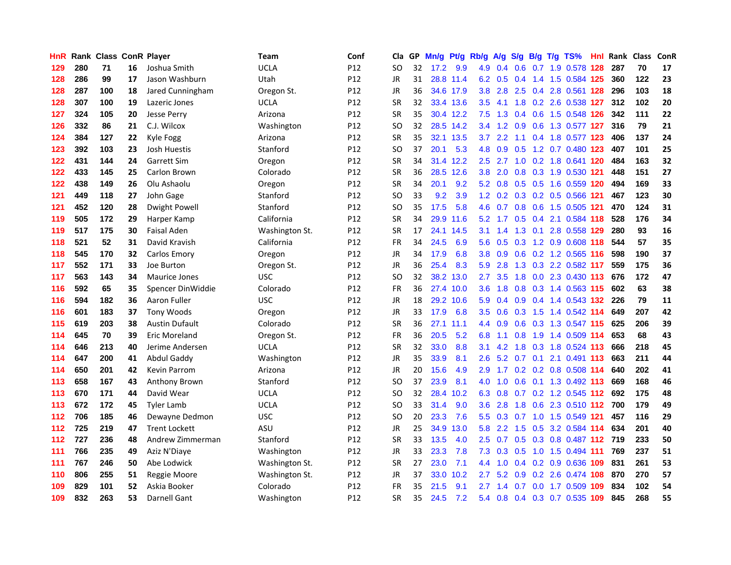| HnR |     | Rank Class ConR Player |    |                       | Team           | Conf | Cla.      |    | GP Mn/g | Pt/g      | Rb/g             | A/g             | S/g             |     | B/g T/g TS%                   | Hnl. | Rank Class |     | ConR |
|-----|-----|------------------------|----|-----------------------|----------------|------|-----------|----|---------|-----------|------------------|-----------------|-----------------|-----|-------------------------------|------|------------|-----|------|
| 129 | 280 | 71                     | 16 | Joshua Smith          | <b>UCLA</b>    | P12  | SO        | 32 | 17.2    | 9.9       | 4.9              | 0.4             | 0.6             | 0.7 | 1.9 0.578                     | 128  | 287        | 70  | 17   |
| 128 | 286 | 99                     | 17 | Jason Washburn        | Utah           | P12  | JR        | 31 |         | 28.8 11.4 | 6.2              | 0.5             | 0.4             | 1.4 | 1.5 0.584 125                 |      | 360        | 122 | 23   |
| 128 | 287 | 100                    | 18 | Jared Cunningham      | Oregon St.     | P12  | <b>JR</b> | 36 |         | 34.6 17.9 | 3.8 <sub>1</sub> | 2.8             | 2.5             |     | 0.4 2.8 0.561 128             |      | 296        | 103 | 18   |
| 128 | 307 | 100                    | 19 | Lazeric Jones         | <b>UCLA</b>    | P12  | <b>SR</b> | 32 |         | 33.4 13.6 | 3.5              | 4.1             |                 |     | 1.8 0.2 2.6 0.538 127         |      | 312        | 102 | 20   |
| 127 | 324 | 105                    | 20 | <b>Jesse Perry</b>    | Arizona        | P12  | <b>SR</b> | 35 |         | 30.4 12.2 | 7.5              |                 |                 |     | 1.3 0.4 0.6 1.5 0.548 126     |      | 342        | 111 | 22   |
| 126 | 332 | 86                     | 21 | C.J. Wilcox           | Washington     | P12  | SO        | 32 |         | 28.5 14.2 | 3.4              |                 | $1.2 \quad 0.9$ |     | 0.6 1.3 0.577 127             |      | 316        | 79  | 21   |
| 124 | 384 | 127                    | 22 | Kyle Fogg             | Arizona        | P12  | <b>SR</b> | 35 |         | 32.1 13.5 | 3.7 <sub>2</sub> | 2.2             |                 |     | 1.1 0.4 1.8 0.577 123         |      | 406        | 137 | 24   |
| 123 | 392 | 103                    | 23 | Josh Huestis          | Stanford       | P12  | SO        | 37 | 20.1    | 5.3       | 4.8              | 0.9             | 0.5             |     | 1.2 0.7 0.480 123             |      | 407        | 101 | 25   |
| 122 | 431 | 144                    | 24 | Garrett Sim           | Oregon         | P12  | <b>SR</b> | 34 |         | 31.4 12.2 | 2.5              | 2.7             |                 |     | 1.0 0.2 1.8 0.641 120         |      | 484        | 163 | 32   |
| 122 | 433 | 145                    | 25 | Carlon Brown          | Colorado       | P12  | <b>SR</b> | 36 |         | 28.5 12.6 | 3.8 <sub>1</sub> | 2.0             | 0.8             |     | 0.3 1.9 0.530 121             |      | 448        | 151 | 27   |
| 122 | 438 | 149                    | 26 | Olu Ashaolu           | Oregon         | P12  | <b>SR</b> | 34 | 20.1    | 9.2       |                  | $5.2 \quad 0.8$ |                 |     | 0.5 0.5 1.6 0.559 120         |      | 494        | 169 | 33   |
| 121 | 449 | 118                    | 27 | John Gage             | Stanford       | P12  | SO        | 33 | 9.2     | 3.9       | 1.2 <sub>1</sub> | 0.2             |                 |     | 0.3 0.2 0.5 0.566 121         |      | 467        | 123 | 30   |
| 121 | 452 | 120                    | 28 | Dwight Powell         | Stanford       | P12  | <b>SO</b> | 35 | 17.5    | 5.8       | 4.6              | 0.7             | 0.8             | 0.6 | 1.5 0.505 121                 |      | 470        | 124 | 31   |
| 119 | 505 | 172                    | 29 | Harper Kamp           | California     | P12  | <b>SR</b> | 34 | 29.9    | 11.6      | 5.2              | 1.7             | 0.5             | 0.4 | 2.1 0.584 118                 |      | 528        | 176 | 34   |
| 119 | 517 | 175                    | 30 | Faisal Aden           | Washington St. | P12  | <b>SR</b> | 17 |         | 24.1 14.5 | 3.1              | 1.4             | 1.3             | 0.1 | 2.8 0.558 129                 |      | 280        | 93  | 16   |
| 118 | 521 | 52                     | 31 | David Kravish         | California     | P12  | FR        | 34 | 24.5    | 6.9       | 5.6              |                 | $0.5 \quad 0.3$ |     | 1.2 0.9 0.608 118             |      | 544        | 57  | 35   |
| 118 | 545 | 170                    | 32 | Carlos Emory          | Oregon         | P12  | JR        | 34 | 17.9    | 6.8       |                  |                 |                 |     | 3.8 0.9 0.6 0.2 1.2 0.565 116 |      | 598        | 190 | 37   |
| 117 | 552 | 171                    | 33 | Joe Burton            | Oregon St.     | P12  | JR        | 36 | 25.4    | 8.3       | 5.9              | 2.8             |                 |     | 1.3 0.3 2.2 0.582 117         |      | 559        | 175 | 36   |
| 117 | 563 | 143                    | 34 | <b>Maurice Jones</b>  | <b>USC</b>     | P12  | SO        | 32 |         | 38.2 13.0 | $2.7^{\circ}$    | 3.5             |                 |     | 1.8 0.0 2.3 0.430 113         |      | 676        | 172 | 47   |
| 116 | 592 | 65                     | 35 | Spencer DinWiddie     | Colorado       | P12  | FR        | 36 |         | 27.4 10.0 | 3.6 <sup>2</sup> | 1.8             |                 |     | 0.8 0.3 1.4 0.563 115         |      | 602        | 63  | 38   |
| 116 | 594 | 182                    | 36 | Aaron Fuller          | <b>USC</b>     | P12  | JR        | 18 |         | 29.2 10.6 | 5.9              | 0.4             |                 |     | 0.9 0.4 1.4 0.543 132         |      | 226        | 79  | 11   |
| 116 | 601 | 183                    | 37 | <b>Tony Woods</b>     | Oregon         | P12  | JR        | 33 | 17.9    | 6.8       | $3.5^{\circ}$    | 0.6             | 0.3             | 1.5 | 1.4 0.542 114                 |      | 649        | 207 | 42   |
| 115 | 619 | 203                    | 38 | <b>Austin Dufault</b> | Colorado       | P12  | <b>SR</b> | 36 | 27.1    | 11.1      | 4.4              | 0.9             | 0.6             |     | 0.3 1.3 0.547 115             |      | 625        | 206 | 39   |
| 114 | 645 | 70                     | 39 | Eric Moreland         | Oregon St.     | P12  | <b>FR</b> | 36 | 20.5    | 5.2       | 6.8              | 1.1             | 0.8             |     | 1.9 1.4 0.509 114             |      | 653        | 68  | 43   |
| 114 | 646 | 213                    | 40 | Jerime Andersen       | <b>UCLA</b>    | P12  | <b>SR</b> | 32 | 33.0    | 8.8       | 3.1              | 4.2             | 1.8             | 0.3 | 1.8 0.524 113                 |      | 666        | 218 | 45   |
| 114 | 647 | 200                    | 41 | Abdul Gaddy           | Washington     | P12  | JR        | 35 | 33.9    | 8.1       | $2.6\,$          | 5.2             | 0.7             | 0.1 | 2.1 0.491 113                 |      | 663        | 211 | 44   |
| 114 | 650 | 201                    | 42 | <b>Kevin Parrom</b>   | Arizona        | P12  | JR        | 20 | 15.6    | 4.9       | 2.9              | 1.7             |                 |     | 0.2 0.2 0.8 0.508 114         |      | 640        | 202 | 41   |
| 113 | 658 | 167                    | 43 | Anthony Brown         | Stanford       | P12  | SO        | 37 | 23.9    | 8.1       | 4.0              | 1.0             | 0.6             |     | 0.1 1.3 0.492 113             |      | 669        | 168 | 46   |
| 113 | 670 | 171                    | 44 | David Wear            | <b>UCLA</b>    | P12  | <b>SO</b> | 32 | 28.4    | 10.2      | 6.3              | 0.8             |                 |     | 0.7 0.2 1.2 0.545 112         |      | 692        | 175 | 48   |
| 113 | 672 | 172                    | 45 | <b>Tyler Lamb</b>     | <b>UCLA</b>    | P12  | SO        | 33 | 31.4    | 9.0       | 3.6              | 2.8             |                 |     | 1.8 0.6 2.3 0.510 112 700     |      |            | 179 | 49   |
| 112 | 706 | 185                    | 46 | Dewayne Dedmon        | <b>USC</b>     | P12  | SO        | 20 | 23.3    | 7.6       |                  |                 |                 |     | 5.5 0.3 0.7 1.0 1.5 0.549 121 |      | 457        | 116 | 29   |
| 112 | 725 | 219                    | 47 | <b>Trent Lockett</b>  | ASU            | P12  | JR        | 25 | 34.9    | 13.0      | 5.8              | $2.2^{\circ}$   |                 |     | 1.5 0.5 3.2 0.584 114         |      | 634        | 201 | 40   |
| 112 | 727 | 236                    | 48 | Andrew Zimmerman      | Stanford       | P12  | <b>SR</b> | 33 | 13.5    | 4.0       | 2.5              |                 |                 |     | 0.7 0.5 0.3 0.8 0.487 112     |      | 719        | 233 | 50   |
| 111 | 766 | 235                    | 49 | Aziz N'Diaye          | Washington     | P12  | JR        | 33 | 23.3    | 7.8       | 7.3              | 0.3             | 0.5             |     | 1.0 1.5 0.494 111             |      | 769        | 237 | 51   |
| 111 | 767 | 246                    | 50 | Abe Lodwick           | Washington St. | P12  | <b>SR</b> | 27 | 23.0    | 7.1       | 4.4              | 1.0             |                 |     | 0.4 0.2 0.9 0.636 109         |      | 831        | 261 | 53   |
| 110 | 806 | 255                    | 51 | Reggie Moore          | Washington St. | P12  | JR        | 37 | 33.0    | 10.2      | 2.7              | 5.2             | 0.9             |     | 0.2 2.6 0.474 108             |      | 870        | 270 | 57   |
| 109 | 829 | 101                    | 52 | Askia Booker          | Colorado       | P12  | FR        | 35 | 21.5    | 9.1       | 2.7              | 1.4             | 0.7             |     | $0.0$ 1.7 $0.509$             | 109  | 834        | 102 | 54   |
| 109 | 832 | 263                    | 53 | Darnell Gant          | Washington     | P12  | <b>SR</b> | 35 | 24.5    | 7.2       |                  |                 |                 |     | 5.4 0.8 0.4 0.3 0.7 0.535 109 |      | 845        | 268 | 55   |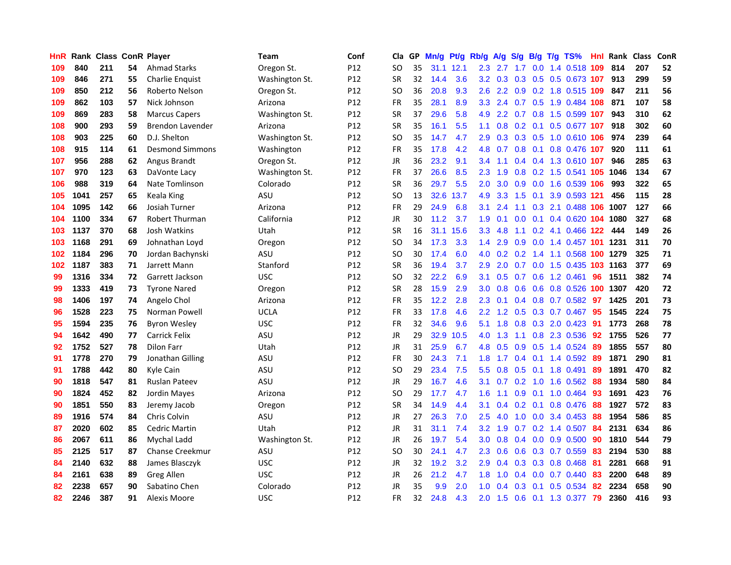| HnR | Rank |     |    | <b>Class ConR Player</b> | Team           | Conf            | Cla           | GP. | Mn/g | Pt/g      | Rb/g             | A/g           | S/g              | B/g              | T/g TS%                            | Hnl | Rank | <b>Class</b> | ConR       |
|-----|------|-----|----|--------------------------|----------------|-----------------|---------------|-----|------|-----------|------------------|---------------|------------------|------------------|------------------------------------|-----|------|--------------|------------|
| 109 | 840  | 211 | 54 | <b>Ahmad Starks</b>      | Oregon St.     | P <sub>12</sub> | SO            | 35  |      | 31.1 12.1 | 2.3              | 2.7           | 1.7              | 0.0              | 1.4 0.518 109                      |     | 814  | 207          | 52         |
| 109 | 846  | 271 | 55 | Charlie Enquist          | Washington St. | P <sub>12</sub> | <b>SR</b>     | 32  | 14.4 | 3.6       |                  |               |                  |                  | 3.2 0.3 0.3 0.5 0.5 0.673 107      |     | 913  | 299          | 59         |
| 109 | 850  | 212 | 56 | Roberto Nelson           | Oregon St.     | P12             | SO            | 36  | 20.8 | 9.3       | 2.6              |               |                  |                  | 2.2 0.9 0.2 1.8 0.515 109          |     | 847  | 211          | 56         |
| 109 | 862  | 103 | 57 | Nick Johnson             | Arizona        | P <sub>12</sub> | FR            | 35  | 28.1 | 8.9       | 3.3 <sup>°</sup> | 2.4           |                  |                  | 0.7 0.5 1.9 0.484 108              |     | 871  | 107          | 58         |
| 109 | 869  | 283 | 58 | <b>Marcus Capers</b>     | Washington St. | P12             | SR            | 37  | 29.6 | 5.8       | 4.9              | $2.2^{\circ}$ |                  |                  | 0.7 0.8 1.5 0.599 107              |     | 943  | 310          | 62         |
| 108 | 900  | 293 | 59 | Brendon Lavender         | Arizona        | P12             | SR            | 35  | 16.1 | 5.5       | 1.1              | 0.8           |                  |                  | 0.2 0.1 0.5 0.677 107              |     | 918  | 302          | 60         |
| 108 | 903  | 225 | 60 | D.J. Shelton             | Washington St. | P12             | <sub>SO</sub> | 35  | 14.7 | 4.7       | 2.9              | 0.3           |                  |                  | 0.3 0.5 1.0 0.610 106              |     | 974  | 239          | 64         |
| 108 | 915  | 114 | 61 | <b>Desmond Simmons</b>   | Washington     | P12             | <b>FR</b>     | 35  | 17.8 | 4.2       | 4.8              | 0.7           |                  | $0.8 \quad 0.1$  | 0.8 0.476 107                      |     | 920  | 111          | 61         |
| 107 | 956  | 288 | 62 | Angus Brandt             | Oregon St.     | P12             | JR            | 36  | 23.2 | 9.1       | 3.4              | 1.1           |                  |                  | $0.4$ 0.4 1.3 0.610 107            |     | 946  | 285          | 63         |
| 107 | 970  | 123 | 63 | DaVonte Lacy             | Washington St. | P12             | <b>FR</b>     | 37  | 26.6 | 8.5       | 2.3              | 1.9           |                  |                  | 0.8 0.2 1.5 0.541 105              |     | 1046 | 134          | 67         |
| 106 | 988  | 319 | 64 | Nate Tomlinson           | Colorado       | P12             | <b>SR</b>     | 36  | 29.7 | 5.5       | 2.0              | 3.0           | 0.9 <sub>o</sub> | 0.0              | 1.6 0.539 106                      |     | 993  | 322          | 65         |
| 105 | 1041 | 257 | 65 | Keala King               | ASU            | P12             | <b>SO</b>     | 13  | 32.6 | 13.7      | 4.9              | 3.3           | 1.5              | 0.1              | 3.9 0.593 121                      |     | 456  | 115          | 28         |
| 104 | 1095 | 142 | 66 | Josiah Turner            | Arizona        | P12             | FR            | 29  | 24.9 | 6.8       | 3.1              | 2.4           | 1.1              | 0.3              | 2.1 0.488 106                      |     | 1007 | 127          | 66         |
| 104 | 1100 | 334 | 67 | Robert Thurman           | California     | P <sub>12</sub> | <b>JR</b>     | 30  | 11.2 | 3.7       | 1.9              | 0.1           | 0.0              | 0.1              | 0.4 0.620 104                      |     | 1080 | 327          | 68         |
| 103 | 1137 | 370 | 68 | Josh Watkins             | Utah           | P <sub>12</sub> | <b>SR</b>     | 16  | 31.1 | 15.6      | 3.3 <sub>1</sub> | 4.8           | 1.1              |                  | $0.2$ 4.1 0.466 122                |     | 444  | 149          | 26         |
| 103 | 1168 | 291 | 69 | Johnathan Loyd           | Oregon         | P12             | SO            | 34  | 17.3 | 3.3       | $1.4^{\circ}$    | 2.9           | 0.9              |                  | 0.0 1.4 0.457 101 1231             |     |      | 311          | 70         |
| 102 | 1184 | 296 | 70 | Jordan Bachynski         | ASU            | P12             | SO            | 30  | 17.4 | 6.0       |                  |               |                  |                  | 4.0 0.2 0.2 1.4 1.1 0.568 100 1279 |     |      | 325          | ${\bf 71}$ |
| 102 | 1187 | 383 | 71 | Jarrett Mann             | Stanford       | P <sub>12</sub> | SR            | 36  | 19.4 | 3.7       | $2.9^{\circ}$    | 2.0           |                  |                  | 0.7 0.0 1.5 0.435 103 1163         |     |      | 377          | 69         |
| 99  | 1316 | 334 | 72 | Garrett Jackson          | <b>USC</b>     | P12             | <b>SO</b>     | 32  | 22.2 | 6.9       | 3.1              | 0.5           |                  |                  | 0.7 0.6 1.2 0.461                  | 96  | 1511 | 382          | 74         |
| 99  | 1333 | 419 | 73 | <b>Tyrone Nared</b>      | Oregon         | P12             | <b>SR</b>     | 28  | 15.9 | 2.9       | 3.0              | 0.8           | 0.6              |                  | 0.6 0.8 0.526 100                  |     | 1307 | 420          | 72         |
| 98  | 1406 | 197 | 74 | Angelo Chol              | Arizona        | P12             | FR            | 35  | 12.2 | 2.8       | $2.3^{\circ}$    | 0.1           |                  |                  | $0.4$ 0.8 0.7 0.582                | 97  | 1425 | 201          | 73         |
| 96  | 1528 | 223 | 75 | Norman Powell            | <b>UCLA</b>    | P12             | <b>FR</b>     | 33  | 17.8 | 4.6       | $2.2^{\circ}$    | 1.2           | 0.5              |                  | 0.3 0.7 0.467                      | 95  | 1545 | 224          | 75         |
| 95  | 1594 | 235 | 76 | <b>Byron Wesley</b>      | <b>USC</b>     | P12             | <b>FR</b>     | 32  | 34.6 | 9.6       | 5.1              | 1.8           |                  |                  | $0.8$ $0.3$ 2.0 $0.423$            | -91 | 1773 | 268          | 78         |
| 94  | 1642 | 490 | 77 | <b>Carrick Felix</b>     | ASU            | P12             | <b>JR</b>     | 29  |      | 32.9 10.5 | 4.0              | 1.3           | 1.1              |                  | 0.8 2.3 0.536                      | 92  | 1755 | 526          | 77         |
| 92  | 1752 | 527 | 78 | <b>Dilon Farr</b>        | Utah           | P12             | <b>JR</b>     | 31  | 25.9 | 6.7       | 4.8              | 0.5           | 0.9              | 0.5              | 1.4 0.524                          | 89  | 1855 | 557          | 80         |
| 91  | 1778 | 270 | 79 | Jonathan Gilling         | ASU            | P12             | <b>FR</b>     | 30  | 24.3 | 7.1       | 1.8              | 1.7           | 0.4              |                  | $0.1$ 1.4 $0.592$                  | 89  | 1871 | 290          | 81         |
| 91  | 1788 | 442 | 80 | Kyle Cain                | ASU            | P12             | SO            | 29  | 23.4 | 7.5       | 5.5              | 0.8           | 0.5              | 0.1              | 1.8 0.491                          | 89  | 1891 | 470          | 82         |
| 90  | 1818 | 547 | 81 | <b>Ruslan Pateev</b>     | ASU            | P12             | <b>JR</b>     | 29  | 16.7 | 4.6       | 3.1              | 0.7           | 0.2              | 1.0              | 1.6 0.562                          | 88  | 1934 | 580          | 84         |
| 90  | 1824 | 452 | 82 | Jordin Mayes             | Arizona        | P12             | SO            | 29  | 17.7 | 4.7       | 1.6              | 1.1           | 0.9              | 0.1              | 1.0 0.464                          | -93 | 1691 | 423          | 76         |
| 90  | 1851 | 550 | 83 | Jeremy Jacob             | Oregon         | P12             | <b>SR</b>     | 34  | 14.9 | 4.4       | 3.1              |               | $0.4$ 0.2 0.1    |                  | 0.8 0.476                          | -88 | 1927 | 572          | 83         |
| 89  | 1916 | 574 | 84 | Chris Colvin             | ASU            | P12             | <b>JR</b>     | 27  | 26.3 | 7.0       | 2.5              | 4.0           |                  |                  | $1.0$ 0.0 3.4 0.453                | -88 | 1954 | 586          | 85         |
| 87  | 2020 | 602 | 85 | Cedric Martin            | Utah           | P <sub>12</sub> | JR            | 31  | 31.1 | 7.4       | 3.2              | 1.9           |                  |                  | $0.7$ $0.2$ 1.4 $0.507$            | 84  | 2131 | 634          | 86         |
| 86  | 2067 | 611 | 86 | <b>Mychal Ladd</b>       | Washington St. | P <sub>12</sub> | <b>JR</b>     | 26  | 19.7 | 5.4       | 3.0 <sub>1</sub> | 0.8           |                  |                  | $0.4$ 0.0 0.9 0.500                | 90  | 1810 | 544          | 79         |
| 85  | 2125 | 517 | 87 | <b>Chanse Creekmur</b>   | ASU            | P12             | SO            | 30  | 24.1 | 4.7       | $2.3\phantom{0}$ | 0.6           | 0.6              |                  | 0.3 0.7 0.559                      | 83  | 2194 | 530          | 88         |
| 84  | 2140 | 632 | 88 | James Blasczyk           | <b>USC</b>     | P12             | <b>JR</b>     | 32  | 19.2 | 3.2       | 2.9              | 0.4           | 0.3              |                  | 0.3 0.8 0.468                      | 81  | 2281 | 668          | 91         |
| 84  | 2161 | 638 | 89 | Greg Allen               | <b>USC</b>     | P <sub>12</sub> | JR            | 26  | 21.2 | 4.7       | 1.8              | 1.0           | 0.4              | 0.0 <sub>1</sub> | 0.7 0.440                          | 83  | 2200 | 648          | 89         |
| 82  | 2238 | 657 | 90 | Sabatino Chen            | Colorado       | P12             | JR            | 35  | 9.9  | 2.0       | 1.0              | 0.4           | 0.3              | 0.1              | 0.5 0.534                          | 82  | 2234 | 658          | 90         |
| 82  | 2246 | 387 | 91 | Alexis Moore             | <b>USC</b>     | P12             | <b>FR</b>     | 32  | 24.8 | 4.3       | 2.0              | 1.5           |                  |                  | 0.6 0.1 1.3 0.377                  | -79 | 2360 | 416          | 93         |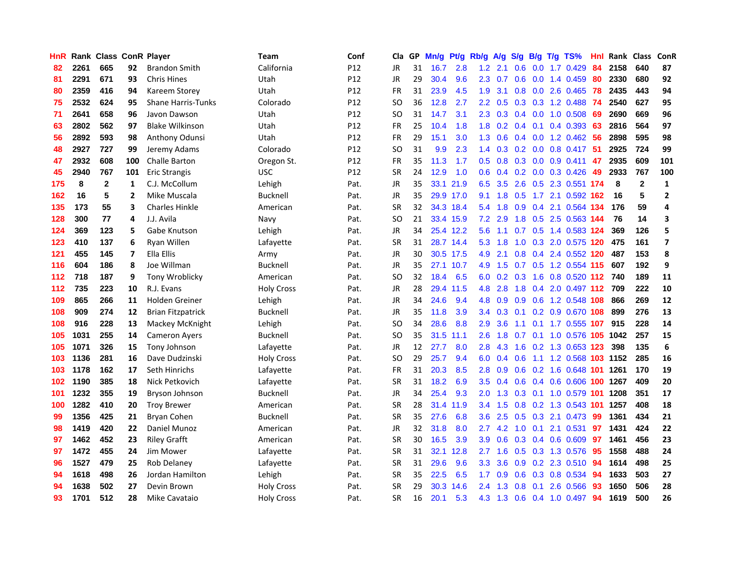| HnR |      | Rank Class ConR Player |     |                           | <b>Team</b>       | Conf            | Cla       |    | GP Mn/g | Pt/g      | Rb/g             | A/g             | S/g              | B/g             | $T/g$ TS%                     | Hnl  | Rank Class |              | ConR                    |
|-----|------|------------------------|-----|---------------------------|-------------------|-----------------|-----------|----|---------|-----------|------------------|-----------------|------------------|-----------------|-------------------------------|------|------------|--------------|-------------------------|
| 82  | 2261 | 665                    | 92  | <b>Brandon Smith</b>      | California        | P <sub>12</sub> | JR        | 31 | 16.7    | 2.8       | 1.2 <sub>2</sub> | 2.1             | 0.6              | 0.0             | 1.7 0.429                     | 84   | 2158       | 640          | 87                      |
| 81  | 2291 | 671                    | 93  | <b>Chris Hines</b>        | Utah              | P12             | JR        | 29 | 30.4    | 9.6       | $2.3^{\circ}$    | 0.7             | 0.6 <sub>0</sub> | 0.0             | 1.4 0.459                     | -80  | 2330       | 680          | 92                      |
| 80  | 2359 | 416                    | 94  | Kareem Storey             | Utah              | P <sub>12</sub> | <b>FR</b> | 31 | 23.9    | 4.5       | 1.9              | 3.1             | 0.8              |                 | 0.0 2.6 0.465                 | 78   | 2435       | 443          | 94                      |
| 75  | 2532 | 624                    | 95  | <b>Shane Harris-Tunks</b> | Colorado          | P12             | SO.       | 36 | 12.8    | 2.7       |                  | $2.2 \quad 0.5$ |                  |                 | 0.3 0.3 1.2 0.488             | -74  | 2540       | 627          | 95                      |
| 71  | 2641 | 658                    | 96  | Javon Dawson              | Utah              | P <sub>12</sub> | SO.       | 31 | 14.7    | 3.1       |                  | $2.3 \quad 0.3$ |                  | $0.4\quad 0.0$  | 1.0 0.508                     | -69  | 2690       | 669          | 96                      |
| 63  | 2802 | 562                    | 97  | <b>Blake Wilkinson</b>    | Utah              | P12             | FR        | 25 | 10.4    | 1.8       | 1.8 <sup>°</sup> | 0.2             |                  |                 | $0.4$ 0.1 0.4 0.393           | 63   | 2816       | 564          | 97                      |
| 56  | 2892 | 593                    | 98  | Anthony Odunsi            | Utah              | P12             | FR        | 29 | 15.1    | 3.0       | 1.3 <sup>°</sup> | 0.6             |                  |                 | $0.4$ 0.0 1.2 0.462           | 56   | 2898       | 595          | 98                      |
| 48  | 2927 | 727                    | 99  | Jeremy Adams              | Colorado          | P12             | <b>SO</b> | 31 | 9.9     | 2.3       | 1.4              | 0.3             |                  |                 | $0.2$ 0.0 0.8 0.417           | -51  | 2925       | 724          | 99                      |
| 47  | 2932 | 608                    | 100 | Challe Barton             | Oregon St.        | P12             | FR        | 35 | 11.3    | 1.7       | 0.5              | 0.8             |                  |                 | $0.3$ 0.0 0.9 0.411           | 47   | 2935       | 609          | 101                     |
| 45  | 2940 | 767                    | 101 | Eric Strangis             | <b>USC</b>        | P12             | <b>SR</b> | 24 | 12.9    | 1.0       | 0.6 <sub>1</sub> | 0.4             |                  |                 | $0.2$ 0.0 0.3 0.426           | 49   | 2933       | 767          | 100                     |
| 175 | 8    | $\mathbf{2}$           | 1   | C.J. McCollum             | Lehigh            | Pat.            | JR        | 35 |         | 33.1 21.9 | 6.5              | 3.5             | 2.6              |                 | 0.5 2.3 0.551                 | 174  | 8          | $\mathbf{2}$ | 1                       |
| 162 | 16   | 5                      | 2   | Mike Muscala              | Bucknell          | Pat.            | JR        | 35 |         | 29.9 17.0 | 9.1              | 1.8             | 0.5              | 1.7             | 2.1 0.592                     | 162  | 16         | 5            | $\overline{2}$          |
| 135 | 173  | 55                     | 3   | <b>Charles Hinkle</b>     | American          | Pat.            | <b>SR</b> | 32 |         | 34.3 18.4 | 5.4              | 1.8             | 0.9              | 0.4             | 2.1 0.564                     | -134 | 176        | 59           | 4                       |
| 128 | 300  | 77                     | 4   | J.J. Avila                | Navy              | Pat.            | <b>SO</b> | 21 |         | 33.4 15.9 | 7.2              | 2.9             | 1.8              | 0.5             | 2.5 0.563 144                 |      | 76         | 14           | 3                       |
| 124 | 369  | 123                    | 5   | Gabe Knutson              | Lehigh            | Pat.            | JR        | 34 |         | 25.4 12.2 | 5.6              | 1.1             | 0.7              | 0.5             | 1.4 0.583 124                 |      | 369        | 126          | 5                       |
| 123 | 410  | 137                    | 6   | Ryan Willen               | Lafayette         | Pat.            | <b>SR</b> | 31 |         | 28.7 14.4 | 5.3              | 1.8             | 1.0              |                 | 0.3 2.0 0.575 120             |      | 475        | 161          | $\overline{\mathbf{z}}$ |
| 121 | 455  | 145                    | 7   | Ella Ellis                | Army              | Pat.            | JR        | 30 |         | 30.5 17.5 | 4.9              | 2.1             |                  |                 | 0.8 0.4 2.4 0.552 120         |      | 487        | 153          | 8                       |
| 116 | 604  | 186                    | 8   | Joe Willman               | Bucknell          | Pat.            | JR        | 35 |         | 27.1 10.7 |                  | 4.9 1.5         |                  |                 | 0.7 0.5 1.2 0.554 115         |      | 607        | 192          | 9                       |
| 112 | 718  | 187                    | 9   | Tony Wroblicky            | American          | Pat.            | SO.       | 32 | 18.4    | 6.5       | 6.0              |                 |                  |                 | 0.2 0.3 1.6 0.8 0.520 112 740 |      |            | 189          | 11                      |
| 112 | 735  | 223                    | 10  | R.J. Evans                | <b>Holy Cross</b> | Pat.            | JR        | 28 |         | 29.4 11.5 | 4.8              | 2.8             | 1.8              |                 | 0.4 2.0 0.497 112 709         |      |            | 222          | 10                      |
| 109 | 865  | 266                    | 11  | Holden Greiner            | Lehigh            | Pat.            | JR        | 34 | 24.6    | 9.4       | 4.8              | 0.9             |                  |                 | 0.9 0.6 1.2 0.548 108         |      | 866        | 269          | 12                      |
| 108 | 909  | 274                    | 12  | <b>Brian Fitzpatrick</b>  | Bucknell          | Pat.            | JR        | 35 | 11.8    | 3.9       | $3.4^{\circ}$    | 0.3             | 0.1              |                 | 0.2 0.9 0.670 108             |      | 899        | 276          | 13                      |
| 108 | 916  | 228                    | 13  | Mackey McKnight           | Lehigh            | Pat.            | <b>SO</b> | 34 | 28.6    | 8.8       | 2.9              | 3.6             | 1.1              |                 | 0.1 1.7 0.555 107             |      | 915        | 228          | 14                      |
| 105 | 1031 | 255                    | 14  | <b>Cameron Ayers</b>      | Bucknell          | Pat.            | SO.       | 35 |         | 31.5 11.1 | 2.6              | 1.8             | 0.7              | 0.1             | 1.0 0.576 105                 |      | 1042       | 257          | 15                      |
| 105 | 1071 | 326                    | 15  | Tony Johnson              | Lafayette         | Pat.            | JR        | 12 | 27.7    | 8.0       | 2.8              | 4.3             | 1.6              |                 | 0.2 1.3 0.653 123             |      | 398        | 135          | 6                       |
| 103 | 1136 | 281                    | 16  | Dave Dudzinski            | <b>Holy Cross</b> | Pat.            | SO.       | 29 | 25.7    | 9.4       | 6.0              | 0.4             | 0.6              |                 | 1.1 1.2 0.568 103 1152        |      |            | 285          | 16                      |
| 103 | 1178 | 162                    | 17  | Seth Hinrichs             | Lafayette         | Pat.            | FR        | 31 | 20.3    | 8.5       | 2.8              | 0.9             | 0.6              |                 | 0.2 1.6 0.648 101             |      | 1261       | 170          | 19                      |
| 102 | 1190 | 385                    | 18  | Nick Petkovich            | Lafayette         | Pat.            | <b>SR</b> | 31 | 18.2    | 6.9       | 3.5              | 0.4             | 0.6              | 0.4             | 0.6 0.606 100                 |      | 1267       | 409          | 20                      |
| 101 | 1232 | 355                    | 19  | Bryson Johnson            | <b>Bucknell</b>   | Pat.            | JR        | 34 | 25.4    | 9.3       | 2.0              | 1.3             |                  | $0.3 \quad 0.1$ | 1.0 0.579 101                 |      | 1208       | 351          | 17                      |
| 100 | 1282 | 410                    | 20  | <b>Troy Brewer</b>        | American          | Pat.            | <b>SR</b> | 28 | 31.4    | 11.9      |                  | $3.4$ 1.5       |                  |                 | 0.8 0.2 1.3 0.543 101 1257    |      |            | 408          | 18                      |
| 99  | 1356 | 425                    | 21  | <b>Bryan Cohen</b>        | Bucknell          | Pat.            | <b>SR</b> | 35 | 27.6    | 6.8       | 3.6              | 2.5             |                  |                 | $0.5$ $0.3$ 2.1 $0.473$       | -99  | 1361       | 434          | 21                      |
| 98  | 1419 | 420                    | 22  | Daniel Munoz              | American          | Pat.            | JR        | 32 | 31.8    | 8.0       | $2.7^{\circ}$    | 4.2             |                  |                 | 1.0 0.1 2.1 0.531             | 97   | 1431       | 424          | 22                      |
| 97  | 1462 | 452                    | 23  | <b>Riley Grafft</b>       | American          | Pat.            | <b>SR</b> | 30 | 16.5    | 3.9       | 3.9              | 0.6             |                  |                 | $0.3$ $0.4$ $0.6$ $0.609$     | 97   | 1461       | 456          | 23                      |
| 97  | 1472 | 455                    | 24  | Jim Mower                 | Lafayette         | Pat.            | <b>SR</b> | 31 |         | 32.1 12.8 | 2.7              | 1.6             |                  |                 | 0.5 0.3 1.3 0.576             | 95   | 1558       | 488          | 24                      |
| 96  | 1527 | 479                    | 25  | Rob Delaney               | Lafayette         | Pat.            | <b>SR</b> | 31 | 29.6    | 9.6       | 3.3 <sub>2</sub> | 3.6             |                  |                 | 0.9 0.2 2.3 0.510             | 94   | 1614       | 498          | 25                      |
| 94  | 1618 | 498                    | 26  | Jordan Hamilton           | Lehigh            | Pat.            | <b>SR</b> | 35 | 22.5    | 6.5       | 1.7              | 0.9             | 0.6              | 0.3             | 0.8 0.534                     | 94   | 1633       | 503          | 27                      |
| 94  | 1638 | 502                    | 27  | Devin Brown               | <b>Holy Cross</b> | Pat.            | SR        | 29 | 30.3    | 14.6      | 2.4              | .3<br>-1        | 0.8              | 0.1             | 2.6 0.566                     | 93   | 1650       | 506          | 28                      |
| 93  | 1701 | 512                    | 28  | Mike Cavataio             | <b>Holy Cross</b> | Pat.            | <b>SR</b> | 16 | 20.1    | 5.3       |                  |                 |                  |                 | 4.3 1.3 0.6 0.4 1.0 0.497     | 94   | 1619       | 500          | 26                      |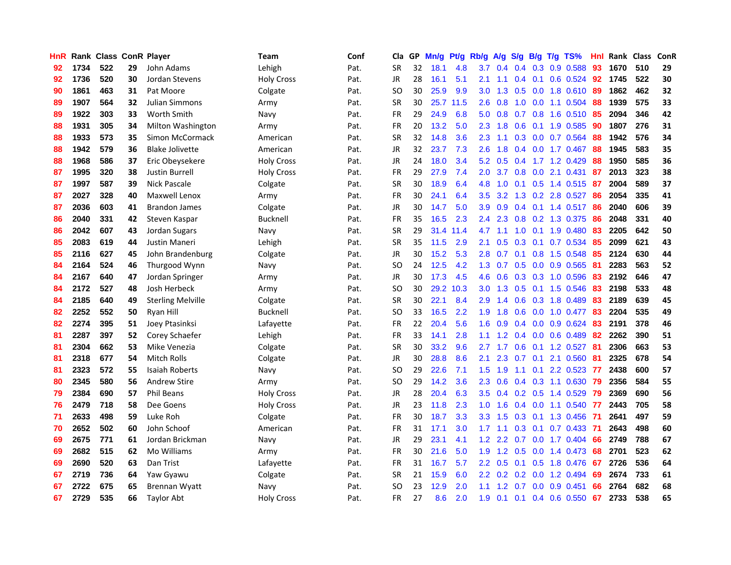| HnR |      | <b>Rank Class ConR Player</b> |    |                          | Team              | Conf | Cla           | GP. | Mn/g | Pt/g      | Rb/g             | A/g             | S/g           | B/g             | T/g TS%                 | Hnl | Rank Class |     | ConR |
|-----|------|-------------------------------|----|--------------------------|-------------------|------|---------------|-----|------|-----------|------------------|-----------------|---------------|-----------------|-------------------------|-----|------------|-----|------|
| 92  | 1734 | 522                           | 29 | John Adams               | Lehigh            | Pat. | <b>SR</b>     | 32  | 18.1 | 4.8       | 3.7              | 0.4             | 0.4           | 0.3             | 0.9 0.588               | 93  | 1670       | 510 | 29   |
| 92  | 1736 | 520                           | 30 | Jordan Stevens           | <b>Holy Cross</b> | Pat. | <b>JR</b>     | 28  | 16.1 | 5.1       | 2.1              | 1.1             |               | $0.4 \quad 0.1$ | $0.6$ 0.524             | -92 | 1745       | 522 | 30   |
| 90  | 1861 | 463                           | 31 | Pat Moore                | Colgate           | Pat. | <b>SO</b>     | 30  | 25.9 | 9.9       | 3.0 <sub>2</sub> | 1.3             |               |                 | 0.5 0.0 1.8 0.610       | -89 | 1862       | 462 | 32   |
| 89  | 1907 | 564                           | 32 | <b>Julian Simmons</b>    | Army              | Pat. | <b>SR</b>     | 30  |      | 25.7 11.5 | 2.6              | 0.8             |               |                 | 1.0 0.0 1.1 0.504       | 88  | 1939       | 575 | 33   |
| 89  | 1922 | 303                           | 33 | <b>Worth Smith</b>       | Navy              | Pat. | <b>FR</b>     | 29  | 24.9 | 6.8       | 5.0              | 0.8             |               |                 | $0.7$ $0.8$ 1.6 $0.510$ | -85 | 2094       | 346 | 42   |
| 88  | 1931 | 305                           | 34 | Milton Washington        | Army              | Pat. | <b>FR</b>     | 20  | 13.2 | 5.0       | 2.3              | 1.8             | 0.6           |                 | $0.1$ 1.9 0.585         | 90  | 1807       | 276 | 31   |
| 88  | 1933 | 573                           | 35 | Simon McCormack          | American          | Pat. | <b>SR</b>     | 32  | 14.8 | 3.6       | 2.3              | 1.1             |               |                 | 0.3 0.0 0.7 0.564       | 88  | 1942       | 576 | 34   |
| 88  | 1942 | 579                           | 36 | <b>Blake Jolivette</b>   | American          | Pat. | <b>JR</b>     | 32  | 23.7 | 7.3       | 2.6              | 1.8             |               | $0.4\quad 0.0$  | 1.7 0.467               | 88  | 1945       | 583 | 35   |
| 88  | 1968 | 586                           | 37 | Eric Obeysekere          | <b>Holy Cross</b> | Pat. | JR            | 24  | 18.0 | 3.4       | 5.2              | 0.5             | $0.4^{\circ}$ |                 | 1.7 1.2 0.429           | 88  | 1950       | 585 | 36   |
| 87  | 1995 | 320                           | 38 | Justin Burrell           | <b>Holy Cross</b> | Pat. | <b>FR</b>     | 29  | 27.9 | 7.4       | 2.0              | 3.7             | 0.8           |                 | $0.0$ 2.1 $0.431$       | 87  | 2013       | 323 | 38   |
| 87  | 1997 | 587                           | 39 | <b>Nick Pascale</b>      | Colgate           | Pat. | <b>SR</b>     | 30  | 18.9 | 6.4       | 4.8              | 1.0             | 0.1           | 0.5             | 1.4 0.515               | -87 | 2004       | 589 | 37   |
| 87  | 2027 | 328                           | 40 | Maxwell Lenox            | Army              | Pat. | <b>FR</b>     | 30  | 24.1 | 6.4       | 3.5              | 3.2             | 1.3           | 0.2             | 2.8 0.527               | -86 | 2054       | 335 | 41   |
| 87  | 2036 | 603                           | 41 | <b>Brandon James</b>     | Colgate           | Pat. | JR            | 30  | 14.7 | 5.0       | 3.9              | 0.9             |               |                 | $0.4$ 0.1 1.4 0.517     | 86  | 2040       | 606 | 39   |
| 86  | 2040 | 331                           | 42 | Steven Kaspar            | Bucknell          | Pat. | <b>FR</b>     | 35  | 16.5 | 2.3       | $2.4\,$          | 2.3             | 0.8           | 0.2             | 1.3 0.375               | 86  | 2048       | 331 | 40   |
| 86  | 2042 | 607                           | 43 | Jordan Sugars            | Navy              | Pat. | <b>SR</b>     | 29  | 31.4 | 11.4      | 4.7              | 1.1             | 1.0           | 0.1             | 1.9 0.480               | -83 | 2205       | 642 | 50   |
| 85  | 2083 | 619                           | 44 | Justin Maneri            | Lehigh            | Pat. | <b>SR</b>     | 35  | 11.5 | 2.9       | 2.1              | 0.5             |               |                 | 0.3 0.1 0.7 0.534       | 85  | 2099       | 621 | 43   |
| 85  | 2116 | 627                           | 45 | John Brandenburg         | Colgate           | Pat. | JR            | 30  | 15.2 | 5.3       |                  | $2.8\quad 0.7$  |               |                 | 0.1 0.8 1.5 0.548       | 85  | 2124       | 630 | 44   |
| 84  | 2164 | 524                           | 46 | Thurgood Wynn            | Navy              | Pat. | SO.           | 24  | 12.5 | 4.2       |                  | $1.3 \quad 0.7$ |               |                 | $0.5$ 0.0 0.9 0.565     | -81 | 2283       | 563 | 52   |
| 84  | 2167 | 640                           | 47 | Jordan Springer          | Army              | Pat. | JR            | 30  | 17.3 | 4.5       | 4.6              | 0.6             |               |                 | $0.3$ $0.3$ 1.0 $0.596$ | 83  | 2192       | 646 | 47   |
| 84  | 2172 | 527                           | 48 | Josh Herbeck             | Army              | Pat. | <b>SO</b>     | 30  |      | 29.2 10.3 | 3.0 <sub>1</sub> | 1.3             |               |                 | 0.5 0.1 1.5 0.546       | 83  | 2198       | 533 | 48   |
| 84  | 2185 | 640                           | 49 | <b>Sterling Melville</b> | Colgate           | Pat. | <b>SR</b>     | 30  | 22.1 | 8.4       | 2.9              | 1.4             | 0.6           |                 | 0.3 1.8 0.489           | 83  | 2189       | 639 | 45   |
| 82  | 2252 | 552                           | 50 | Ryan Hill                | Bucknell          | Pat. | <b>SO</b>     | 33  | 16.5 | 2.2       | 1.9              | 1.8             | 0.6           | 0.0             | 1.0 0.477               | 83  | 2204       | 535 | 49   |
| 82  | 2274 | 395                           | 51 | Joey Ptasinksi           | Lafayette         | Pat. | <b>FR</b>     | 22  | 20.4 | 5.6       | 1.6              | 0.9             |               |                 | $0.4$ 0.0 0.9 0.624     | -83 | 2191       | 378 | 46   |
| 81  | 2287 | 397                           | 52 | Corey Schaefer           | Lehigh            | Pat. | <b>FR</b>     | 33  | 14.1 | 2.8       | 1.1              | 1.2             |               |                 | $0.4$ 0.0 0.6 0.489     | -82 | 2262       | 390 | 51   |
| 81  | 2304 | 662                           | 53 | Mike Venezia             | Colgate           | Pat. | <b>SR</b>     | 30  | 33.2 | 9.6       | 2.7              | 1.7             | 0.6           |                 | $0.1$ 1.2 0.527         | 81  | 2306       | 663 | 53   |
| 81  | 2318 | 677                           | 54 | Mitch Rolls              | Colgate           | Pat. | <b>JR</b>     | 30  | 28.8 | 8.6       | 2.1              | 2.3             | 0.7           | 0.1             | 2.1 0.560               | -81 | 2325       | 678 | 54   |
| 81  | 2323 | 572                           | 55 | Isaiah Roberts           | Navy              | Pat. | <b>SO</b>     | 29  | 22.6 | 7.1       | 1.5              | 1.9             | 1.1           | 0.1             | 2.2 0.523               | -77 | 2438       | 600 | 57   |
| 80  | 2345 | 580                           | 56 | <b>Andrew Stire</b>      | Army              | Pat. | <sub>SO</sub> | 29  | 14.2 | 3.6       | 2.3              | 0.6             |               |                 | $0.4$ $0.3$ 1.1 $0.630$ | -79 | 2356       | 584 | 55   |
| 79  | 2384 | 690                           | 57 | <b>Phil Beans</b>        | <b>Holy Cross</b> | Pat. | <b>JR</b>     | 28  | 20.4 | 6.3       | 3.5              | 0.4             |               | $0.2 \quad 0.5$ | 1.4 0.529               | -79 | 2369       | 690 | 56   |
| 76  | 2479 | 718                           | 58 | Dee Goens                | <b>Holy Cross</b> | Pat. | JR            | 23  | 11.8 | 2.3       | 1.0 <sub>1</sub> | 1.6             |               |                 | 0.4 0.0 1.1 0.540 77    |     | 2443       | 705 | 58   |
| 71  | 2633 | 498                           | 59 | Luke Roh                 | Colgate           | Pat. | <b>FR</b>     | 30  | 18.7 | 3.3       | 3.3 <sub>2</sub> | 1.5             |               |                 | $0.3$ 0.1 1.3 0.456     | -71 | 2641       | 497 | 59   |
| 70  | 2652 | 502                           | 60 | John Schoof              | American          | Pat. | <b>FR</b>     | 31  | 17.1 | 3.0       | 1.7 <sub>z</sub> | 1.1             |               |                 | $0.3$ 0.1 0.7 0.433     | -71 | 2643       | 498 | 60   |
| 69  | 2675 | 771                           | 61 | Jordan Brickman          | Navy              | Pat. | <b>JR</b>     | 29  | 23.1 | 4.1       | 1.2 <sub>1</sub> | $2.2^{\circ}$   |               |                 | 0.7 0.0 1.7 0.404       | -66 | 2749       | 788 | 67   |
| 69  | 2682 | 515                           | 62 | Mo Williams              | Army              | Pat. | FR            | 30  | 21.6 | 5.0       | 1.9              | 1.2             | 0.5           |                 | $0.0$ 1.4 $0.473$       | 68  | 2701       | 523 | 62   |
| 69  | 2690 | 520                           | 63 | Dan Trist                | Lafayette         | Pat. | <b>FR</b>     | 31  | 16.7 | 5.7       | $2.2\,$          | 0.5             | 0.1           | 0.5             | 1.8 0.476               | 67  | 2726       | 536 | 64   |
| 67  | 2719 | 736                           | 64 | Yaw Gyawu                | Colgate           | Pat. | <b>SR</b>     | 21  | 15.9 | 6.0       | 2.2 <sub>2</sub> | 0.2             | 0.2           | 0.0             | 1.2 0.494               | 69  | 2674       | 733 | 61   |
| 67  | 2722 | 675                           | 65 | Brennan Wyatt            | Navy              | Pat. | SO            | 23  | 12.9 | 2.0       | 1.1              | 1.2             | 0.7           | 0.0             | 0.9 0.451               | 66  | 2764       | 682 | 68   |
| 67  | 2729 | 535                           | 66 | <b>Taylor Abt</b>        | <b>Holy Cross</b> | Pat. | <b>FR</b>     | 27  | 8.6  | 2.0       | 1.9              | 0.1             |               |                 | $0.1$ 0.4 0.6 0.550 67  |     | 2733       | 538 | 65   |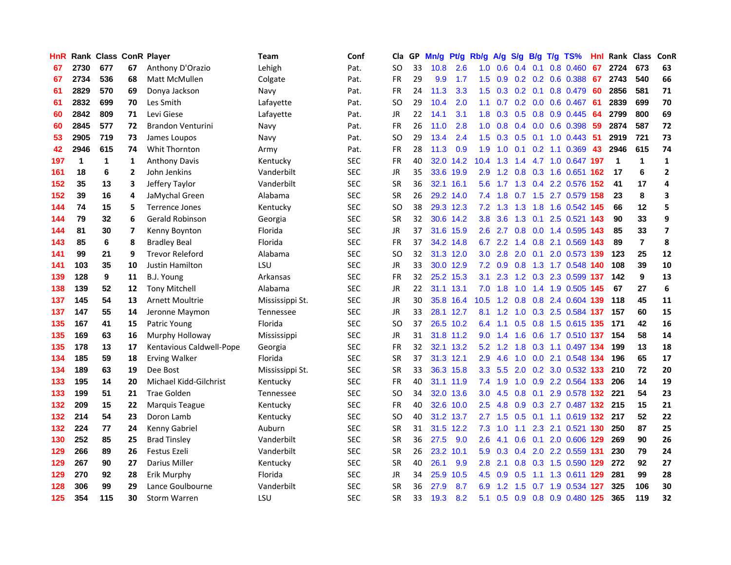| <b>HnR</b> |      | Rank Class ConR Player |                |                          | <b>Team</b>      | Conf       | Cla       |    | GP Mn/g Pt/g Rb/g |           |                  | A/g                     |                 |                 | S/g B/g T/g TS%               | Hnl  | Rank Class  |                | ConR         |
|------------|------|------------------------|----------------|--------------------------|------------------|------------|-----------|----|-------------------|-----------|------------------|-------------------------|-----------------|-----------------|-------------------------------|------|-------------|----------------|--------------|
| 67         | 2730 | 677                    | 67             | Anthony D'Orazio         | Lehigh           | Pat.       | SO        | 33 | 10.8              | 2.6       | 1.0              | 0.6                     | 0.4             | 0.1             | 0.8 0.460                     | 67   | 2724        | 673            | 63           |
| 67         | 2734 | 536                    | 68             | Matt McMullen            | Colgate          | Pat.       | <b>FR</b> | 29 | 9.9               | 1.7       | 1.5              | 0.9                     |                 | $0.2 \quad 0.2$ | 0.6 0.388                     | 67   | 2743        | 540            | 66           |
| 61         | 2829 | 570                    | 69             | Donya Jackson            | Navy             | Pat.       | <b>FR</b> | 24 | 11.3              | 3.3       | 1.5              | 0.3                     | $0.2 \quad 0.1$ |                 | 0.8 0.479                     | -60  | 2856        | 581            | 71           |
| 61         | 2832 | 699                    | 70             | Les Smith                | Lafayette        | Pat.       | <b>SO</b> | 29 | 10.4              | 2.0       | 1.1              | 0.7                     |                 |                 | 0.2 0.0 0.6 0.467             | -61  | 2839        | 699            | 70           |
| 60         | 2842 | 809                    | 71             | Levi Giese               | Lafayette        | Pat.       | JR        | 22 | 14.1              | 3.1       |                  |                         |                 |                 | 1.8 0.3 0.5 0.8 0.9 0.445     | -64  | 2799        | 800            | 69           |
| 60         | 2845 | 577                    | 72             | <b>Brandon Venturini</b> | Navy             | Pat.       | FR        | 26 | 11.0              | 2.8       | 1.0 <sub>1</sub> | 0.8                     |                 |                 | $0.4$ 0.0 0.6 0.398           | -59  | 2874        | 587            | 72           |
| 53         | 2905 | 719                    | 73             | James Loupos             | Navy             | Pat.       | SO.       | 29 | 13.4              | 2.4       | $1.5^{\circ}$    | 0.3                     |                 |                 | $0.5$ 0.1 1.0 0.443           | -51  | 2919        | 721            | 73           |
| 42         | 2946 | 615                    | 74             | Whit Thornton            | Army             | Pat.       | <b>FR</b> | 28 | 11.3              | 0.9       | 1.9              | 1.0                     | 0.1             |                 | $0.2$ 1.1 0.369               | 43   | 2946        | 615            | 74           |
| 197        | 1    | 1                      | 1              | <b>Anthony Davis</b>     | Kentucky         | <b>SEC</b> | <b>FR</b> | 40 | 32.0              | 14.2      | 10.4             | 1.3                     | 1.4             |                 | 4.7 1.0 0.647 197             |      | $\mathbf 1$ | $\mathbf{1}$   | $\mathbf 1$  |
| 161        | 18   | 6                      | $\overline{2}$ | John Jenkins             | Vanderbilt       | <b>SEC</b> | JR        | 35 |                   | 33.6 19.9 | 2.9              | 1.2                     |                 |                 | 0.8 0.3 1.6 0.651             | 162  | 17          | 6              | $\mathbf{2}$ |
| 152        | 35   | 13                     | 3              | Jeffery Taylor           | Vanderbilt       | <b>SEC</b> | <b>SR</b> | 36 |                   | 32.1 16.1 | 5.6              | 1.7                     |                 |                 | 1.3 0.4 2.2 0.576 152         |      | 41          | 17             | 4            |
| 152        | 39   | 16                     | 4              | JaMychal Green           | Alabama          | <b>SEC</b> | <b>SR</b> | 26 |                   | 29.2 14.0 |                  | $7.4$ 1.8               | 0.7             |                 | 1.5 2.7 0.579 158             |      | 23          | 8              | 3            |
| 144        | 74   | 15                     | 5              | <b>Terrence Jones</b>    | Kentuckv         | <b>SEC</b> | <b>SO</b> | 38 |                   | 29.3 12.3 | 7.2              | 1.3                     | 1.3             | 1.8             | 1.6 0.542 145                 |      | 66          | 12             | 5            |
| 144        | 79   | 32                     | 6              | Gerald Robinson          | Georgia          | <b>SEC</b> | <b>SR</b> | 32 |                   | 30.6 14.2 | 3.8 <sub>2</sub> | 3.6                     | 1.3             | 0.1             | 2.5 0.521 143                 |      | 90          | 33             | 9            |
| 144        | 81   | 30                     | 7              | Kenny Boynton            | Florida          | <b>SEC</b> | <b>JR</b> | 37 |                   | 31.6 15.9 | 2.6              | 2.7                     | 0.8             | 0.0             | 1.4 0.595 143                 |      | 85          | 33             | 7            |
| 143        | 85   | 6                      | 8              | <b>Bradley Beal</b>      | Florida          | <b>SEC</b> | <b>FR</b> | 37 |                   | 34.2 14.8 |                  |                         |                 |                 | 6.7 2.2 1.4 0.8 2.1 0.569 143 |      | 89          | $\overline{7}$ | 8            |
| 141        | 99   | 21                     | 9              | <b>Trevor Releford</b>   | Alabama          | <b>SEC</b> | <b>SO</b> | 32 |                   | 31.3 12.0 |                  | $3.0$ $2.8$ $2.0$ $0.1$ |                 |                 | 2.0 0.573 139                 |      | 123         | 25             | ${\bf 12}$   |
| 141        | 103  | 35                     | 10             | <b>Justin Hamilton</b>   | LSU              | <b>SEC</b> | JR        | 33 |                   | 30.0 12.9 |                  | $7.2 \quad 0.9$         |                 |                 | 0.8 1.3 1.7 0.548 140         |      | 108         | 39             | 10           |
| 139        | 128  | 9                      | 11             | B.J. Young               | Arkansas         | <b>SEC</b> | <b>FR</b> | 32 |                   | 25.2 15.3 | 3.1              | 2.3                     |                 |                 | 1.2 0.3 2.3 0.599 137         |      | 142         | 9              | 13           |
| 138        | 139  | 52                     | 12             | <b>Tony Mitchell</b>     | Alabama          | <b>SEC</b> | JR        | 22 |                   | 31.1 13.1 |                  | $7.0$ 1.8               | 1.0             |                 | 1.4 1.9 0.505 145             |      | 67          | 27             | 6            |
| 137        | 145  | 54                     | 13             | Arnett Moultrie          | Mississippi St.  | <b>SEC</b> | JR        | 30 |                   | 35.8 16.4 | 10.5             | 1.2                     | 0.8             |                 | 0.8 2.4 0.604 139             |      | 118         | 45             | 11           |
| 137        | 147  | 55                     | 14             | Jeronne Maymon           | Tennessee        | <b>SEC</b> | JR        | 33 |                   | 28.1 12.7 | 8.1              | 1.2                     | 1.0             |                 | 0.3 2.5 0.584 137             |      | 157         | 60             | 15           |
| 135        | 167  | 41                     | 15             | Patric Young             | Florida          | <b>SEC</b> | SO.       | 37 |                   | 26.5 10.2 | 6.4              | 1.1                     | 0.5             |                 | 0.8 1.5 0.615 135             |      | 171         | 42             | 16           |
| 135        | 169  | 63                     | 16             | Murphy Holloway          | Mississippi      | <b>SEC</b> | JR        | 31 |                   | 31.8 11.2 | 9.0              | 1.4                     | 1.6             | 0.6             | 1.7 0.510 137                 |      | 154         | 58             | 14           |
| 135        | 178  | 13                     | 17             | Kentavious Caldwell-Pope | Georgia          | <b>SEC</b> | <b>FR</b> | 32 |                   | 32.1 13.2 |                  | $5.2 \quad 1.2$         | 1.8             | 0.3             | 1.1 0.497 134                 |      | 199         | 13             | 18           |
| 134        | 185  | 59                     | 18             | <b>Erving Walker</b>     | Florida          | <b>SEC</b> | <b>SR</b> | 37 |                   | 31.3 12.1 | 2.9              | 4.6                     | 1.0             | 0.0             | 2.1 0.548                     | -134 | 196         | 65             | 17           |
| 134        | 189  | 63                     | 19             | Dee Bost                 | Mississippi St.  | <b>SEC</b> | <b>SR</b> | 33 |                   | 36.3 15.8 | 3.3              | 5.5                     | 2.0             | 0.2             | 3.0 0.532 133                 |      | 210         | 72             | 20           |
| 133        | 195  | 14                     | 20             | Michael Kidd-Gilchrist   | Kentucky         | <b>SEC</b> | FR        | 40 |                   | 31.1 11.9 | 7.4              | 1.9                     | 1.0             | 0.9             | 2.2 0.564 133                 |      | 206         | 14             | 19           |
| 133        | 199  | 51                     | 21             | Trae Golden              | <b>Tennessee</b> | <b>SEC</b> | <b>SO</b> | 34 |                   | 32.0 13.6 | 3.0 <sub>2</sub> | 4.5                     | 0.8             | 0.1             | 2.9 0.578 132                 |      | 221         | 54             | 23           |
| 132        | 209  | 15                     | 22             | Marquis Teague           | Kentucky         | <b>SEC</b> | FR        | 40 |                   | 32.6 10.0 | 2.5              | 4.8                     |                 |                 | 0.9 0.3 2.7 0.487 132 215     |      |             | 15             | 21           |
| 132        | 214  | 54                     | 23             | Doron Lamb               | Kentucky         | <b>SEC</b> | SO.       | 40 |                   | 31.2 13.7 |                  | $2.7$ 1.5               |                 |                 | 0.5 0.1 1.1 0.619 132 217     |      |             | 52             | 22           |
| 132        | 224  | 77                     | 24             | Kenny Gabriel            | Auburn           | <b>SEC</b> | <b>SR</b> | 31 |                   | 31.5 12.2 | 7.3              | 1.0                     | 1.1             |                 | 2.3 2.1 0.521 130             |      | 250         | 87             | 25           |
| 130        | 252  | 85                     | 25             | <b>Brad Tinsley</b>      | Vanderbilt       | <b>SEC</b> | <b>SR</b> | 36 | 27.5              | 9.0       | 2.6              | 4.1                     | 0.6             |                 | 0.1 2.0 0.606 129             |      | 269         | 90             | 26           |
| 129        | 266  | 89                     | 26             | Festus Ezeli             | Vanderbilt       | <b>SEC</b> | <b>SR</b> | 26 |                   | 23.2 10.1 | 5.9              | 0.3                     | 0.4             |                 | 2.0 2.2 0.559 131             |      | 230         | 79             | 24           |
| 129        | 267  | 90                     | 27             | Darius Miller            | Kentucky         | <b>SEC</b> | <b>SR</b> | 40 | 26.1              | 9.9       | 2.8              | 2.1                     |                 |                 | 0.8 0.3 1.5 0.590 129         |      | 272         | 92             | 27           |
| 129        | 270  | 92                     | 28             | Erik Murphy              | Florida          | <b>SEC</b> | JR        | 34 | 25.9              | 10.5      | 4.5              | 0.9                     | 0.5             | 1.1             | 1.3 0.611                     | 129  | 281         | 99             | 28           |
| 128        | 306  | 99                     | 29             | Lance Goulbourne         | Vanderbilt       | <b>SEC</b> | <b>SR</b> | 36 | 27.9              | 8.7       | 6.9              | $\overline{2}$<br>-1    | 1.5             | 0.7             | 1.9 0.534                     | 127  | 325         | 106            | 30           |
| 125        | 354  | 115                    | 30             | <b>Storm Warren</b>      | LSU              | <b>SEC</b> | <b>SR</b> | 33 | 19.3              | 8.2       | 5.1              |                         |                 |                 | 0.5 0.9 0.8 0.9 0.480 125     |      | 365         | 119            | 32           |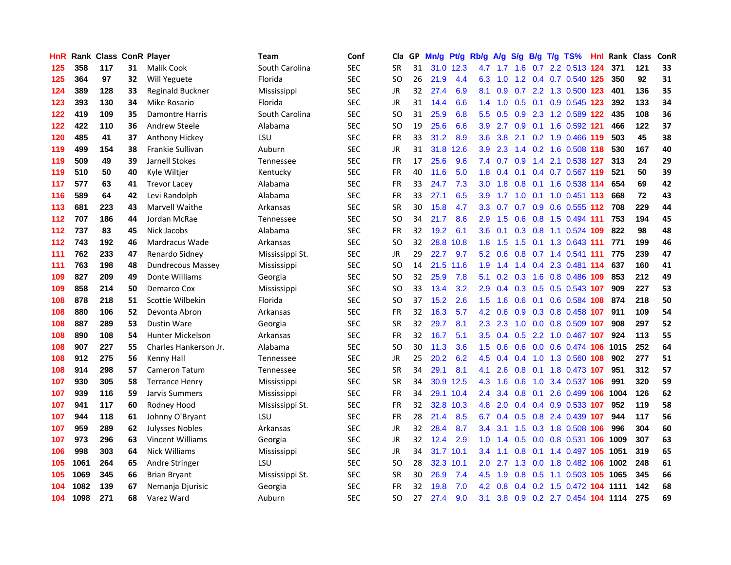| <b>HnR</b> |      | Rank Class ConR Player |    |                          | <b>Team</b>      | Conf       | Cla       |    | GP Mn/g Pt/g |           | Rb/g             | A/g             |                  |                 | S/g B/g T/g TS%            | Hnl | Rank Class |     | ConR |
|------------|------|------------------------|----|--------------------------|------------------|------------|-----------|----|--------------|-----------|------------------|-----------------|------------------|-----------------|----------------------------|-----|------------|-----|------|
| 125        | 358  | 117                    | 31 | Malik Cook               | South Carolina   | <b>SEC</b> | <b>SR</b> | 31 | 31.0         | 12.3      | 4.7              | 1.7             | 1.6              | 0.7             | 2.2 0.513                  | 124 | 371        | 121 | 33   |
| 125        | 364  | 97                     | 32 | Will Yeguete             | Florida          | <b>SEC</b> | SO.       | 26 | 21.9         | 4.4       | 6.3              | 1.0             | 1.2              | 0.4             | 0.7 0.540 125              |     | 350        | 92  | 31   |
| 124        | 389  | 128                    | 33 | Reginald Buckner         | Mississippi      | <b>SEC</b> | JR        | 32 | 27.4         | 6.9       | 8.1              | 0.9             | 0.7              | $2.2^{\circ}$   | 1.3 0.500 123              |     | 401        | 136 | 35   |
| 123        | 393  | 130                    | 34 | Mike Rosario             | Florida          | <b>SEC</b> | JR        | 31 | 14.4         | 6.6       |                  | $1.4$ 1.0       |                  | $0.5 \quad 0.1$ | 0.9 0.545 123              |     | 392        | 133 | 34   |
| 122        | 419  | 109                    | 35 | <b>Damontre Harris</b>   | South Carolina   | <b>SEC</b> | SO.       | 31 | 25.9         | 6.8       | 5.5 <sub>1</sub> | 0.5             |                  |                 | 0.9 2.3 1.2 0.589 122      |     | 435        | 108 | 36   |
| 122        | 422  | 110                    | 36 | <b>Andrew Steele</b>     | Alabama          | <b>SEC</b> | SO.       | 19 | 25.6         | 6.6       | 3.9              | 2.7             |                  |                 | 0.9 0.1 1.6 0.592 121      |     | 466        | 122 | 37   |
| 120        | 485  | 41                     | 37 | Anthony Hickey           | LSU              | <b>SEC</b> | <b>FR</b> | 33 | 31.2         | 8.9       | 3.6              | 3.8             |                  |                 | 2.1 0.2 1.9 0.466 119      |     | 503        | 45  | 38   |
| 119        | 499  | 154                    | 38 | Frankie Sullivan         | Auburn           | <b>SEC</b> | JR        | 31 | 31.8         | 12.6      | 3.9              | 2.3             |                  |                 | 1.4 0.2 1.6 0.508 118      |     | 530        | 167 | 40   |
| 119        | 509  | 49                     | 39 | Jarnell Stokes           | Tennessee        | <b>SEC</b> | <b>FR</b> | 17 | 25.6         | 9.6       | 7.4              | 0.7             | 0.9              | 1.4             | 2.1 0.538 127              |     | 313        | 24  | 29   |
| 119        | 510  | 50                     | 40 | Kyle Wiltjer             | Kentucky         | <b>SEC</b> | <b>FR</b> | 40 | 11.6         | 5.0       | 1.8              | 0.4             | 0.1              |                 | 0.4 0.7 0.567              | 119 | 521        | 50  | 39   |
| 117        | 577  | 63                     | 41 | <b>Trevor Lacey</b>      | Alabama          | <b>SEC</b> | FR        | 33 | 24.7         | 7.3       | 3.0              | 1.8             | 0.8              | 0.1             | 1.6 0.538 114              |     | 654        | 69  | 42   |
| 116        | 589  | 64                     | 42 | Levi Randolph            | Alabama          | <b>SEC</b> | <b>FR</b> | 33 | 27.1         | 6.5       | 3.9              | 1.7             | 1.0              | 0.1             | $1.0 \t0.451 \t113$        |     | 668        | 72  | 43   |
| 113        | 681  | 223                    | 43 | <b>Marvell Waithe</b>    | Arkansas         | <b>SEC</b> | <b>SR</b> | 30 | 15.8         | 4.7       | 3.3              | 0.7             | 0.7              | 0.9             | $0.6$ 0.555 112            |     | 708        | 229 | 44   |
| 112        | 707  | 186                    | 44 | Jordan McRae             | Tennessee        | <b>SEC</b> | SO.       | 34 | 21.7         | 8.6       | 2.9              | 1.5             | 0.6              | 0.8             | 1.5 0.494 111              |     | 753        | 194 | 45   |
| 112        | 737  | 83                     | 45 | Nick Jacobs              | Alabama          | <b>SEC</b> | <b>FR</b> | 32 | 19.2         | 6.1       | 3.6              | 0.1             | 0.3              | 0.8             | 1.1 0.524                  | 109 | 822        | 98  | 48   |
| 112        | 743  | 192                    | 46 | Mardracus Wade           | Arkansas         | <b>SEC</b> | <b>SO</b> | 32 | 28.8         | 10.8      | 1.8              | 1.5             | 1.5              | 0.1             | 1.3 0.643 111              |     | 771        | 199 | 46   |
| 111        | 762  | 233                    | 47 | Renardo Sidney           | Mississippi St.  | <b>SEC</b> | JR        | 29 | 22.7         | 9.7       |                  | $5.2 \quad 0.6$ |                  |                 | 0.8 0.7 1.4 0.541 111      |     | 775        | 239 | 47   |
| 111        | 763  | 198                    | 48 | <b>Dundrecous Massey</b> | Mississippi      | <b>SEC</b> | SO.       | 14 |              | 21.5 11.6 | 1.9              | 1.4             |                  |                 | 1.4 0.4 2.3 0.481 114      |     | 637        | 160 | 41   |
| 109        | 827  | 209                    | 49 | Donte Williams           | Georgia          | <b>SEC</b> | SO.       | 32 | 25.9         | 7.8       | 5.1              |                 |                  |                 | 0.2 0.3 1.6 0.8 0.486 109  |     | 853        | 212 | 49   |
| 109        | 858  | 214                    | 50 | Demarco Cox              | Mississippi      | <b>SEC</b> | SO        | 33 | 13.4         | 3.2       | 2.9              | 0.4             |                  |                 | 0.3 0.5 0.5 0.543 107      |     | 909        | 227 | 53   |
| 108        | 878  | 218                    | 51 | Scottie Wilbekin         | Florida          | <b>SEC</b> | SO.       | 37 | 15.2         | 2.6       | 1.5              | 1.6             | 0.6              |                 | 0.1 0.6 0.584 108          |     | 874        | 218 | 50   |
| 108        | 880  | 106                    | 52 | Devonta Abron            | Arkansas         | <b>SEC</b> | FR        | 32 | 16.3         | 5.7       | 4.2              | 0.6             | 0.9 <sub>o</sub> |                 | 0.3 0.8 0.458 107          |     | 911        | 109 | 54   |
| 108        | 887  | 289                    | 53 | Dustin Ware              | Georgia          | <b>SEC</b> | <b>SR</b> | 32 | 29.7         | 8.1       | 2.3              | 2.3             | 1.0              |                 | 0.0 0.8 0.509 107          |     | 908        | 297 | 52   |
| 108        | 890  | 108                    | 54 | <b>Hunter Mickelson</b>  | Arkansas         | <b>SEC</b> | <b>FR</b> | 32 | 16.7         | 5.1       | 3.5              | 0.4             | 0.5              | $2.2^{\circ}$   | 1.0 0.467 107              |     | 924        | 113 | 55   |
| 108        | 907  | 227                    | 55 | Charles Hankerson Jr.    | Alabama          | <b>SEC</b> | SO.       | 30 | 11.3         | 3.6       | $1.5^{\circ}$    | 0.6             |                  | $0.6\quad 0.0$  | 0.6 0.474 106              |     | 1015       | 252 | 64   |
| 108        | 912  | 275                    | 56 | Kenny Hall               | Tennessee        | <b>SEC</b> | <b>JR</b> | 25 | 20.2         | 6.2       | 4.5              | 0.4             | 0.4              | 1.0             | 1.3 0.560 108              |     | 902        | 277 | 51   |
| 108        | 914  | 298                    | 57 | Cameron Tatum            | <b>Tennessee</b> | <b>SEC</b> | <b>SR</b> | 34 | 29.1         | 8.1       | 4.1              | 2.6             | 0.8              | 0.1             | 1.8 0.473 107              |     | 951        | 312 | 57   |
| 107        | 930  | 305                    | 58 | <b>Terrance Henry</b>    | Mississippi      | <b>SEC</b> | <b>SR</b> | 34 | 30.9         | 12.5      | 4.3              | 1.6             | 0.6              | 1.0             | 3.4 0.537 106              |     | 991        | 320 | 59   |
| 107        | 939  | 116                    | 59 | Jarvis Summers           | Mississippi      | <b>SEC</b> | <b>FR</b> | 34 | 29.1         | 10.4      | $2.4^{\circ}$    | 3.4             | 0.8              | 0.1             | 2.6 0.499 106              |     | 1004       | 126 | 62   |
| 107        | 941  | 117                    | 60 | Rodney Hood              | Mississippi St.  | <b>SEC</b> | FR        | 32 |              | 32.8 10.3 | 4.8              | 2.0             |                  |                 | $0.4$ 0.4 0.9 0.533 107    |     | 952        | 119 | 58   |
| 107        | 944  | 118                    | 61 | Johnny O'Bryant          | LSU              | <b>SEC</b> | FR        | 28 | 21.4         | 8.5       | 6.7              | 0.4             |                  |                 | 0.5 0.8 2.4 0.439 107      |     | 944        | 117 | 56   |
| 107        | 959  | 289                    | 62 | <b>Julysses Nobles</b>   | Arkansas         | <b>SEC</b> | JR        | 32 | 28.4         | 8.7       | 3.4              | 3.1             |                  |                 | 1.5 0.3 1.8 0.508 106      |     | 996        | 304 | 60   |
| 107        | 973  | 296                    | 63 | <b>Vincent Williams</b>  | Georgia          | <b>SEC</b> | JR        | 32 | 12.4         | 2.9       | 1.0 <sub>1</sub> | 1.4             | 0.5              |                 | 0.0 0.8 0.531 106          |     | 1009       | 307 | 63   |
| 106        | 998  | 303                    | 64 | <b>Nick Williams</b>     | Mississippi      | <b>SEC</b> | JR        | 34 |              | 31.7 10.1 | $3.4^{\circ}$    | 1.1             | 0.8              |                 | 0.1 1.4 0.497 105          |     | 1051       | 319 | 65   |
| 105        | 1061 | 264                    | 65 | Andre Stringer           | LSU              | <b>SEC</b> | <b>SO</b> | 28 | 32.3         | 10.1      | 2.0              | 2.7             | 1.3              | 0.0             | 1.8 0.482                  | 106 | 1002       | 248 | 61   |
| 105        | 1069 | 345                    | 66 | <b>Brian Bryant</b>      | Mississippi St.  | <b>SEC</b> | <b>SR</b> | 30 | 26.9         | 7.4       | 4.5              | 1.9             | 0.8              | 0.5             | 1.1 0.503                  | 105 | 1065       | 345 | 66   |
| 104        | 1082 | 139                    | 67 | Nemanja Djurisic         | Georgia          | <b>SEC</b> | FR        | 32 | 19.8         | 7.0       | 4.2 <sub>1</sub> | 0.8             | 0.4              | 0.2             | 1.5 0.472                  | 104 | 1111       | 142 | 68   |
| 104        | 1098 | 271                    | 68 | Varez Ward               | Auburn           | <b>SEC</b> | <b>SO</b> | 27 | 27.4         | 9.0       | 3.1              | 3.8             |                  |                 | 0.9 0.2 2.7 0.454 104 1114 |     |            | 275 | 69   |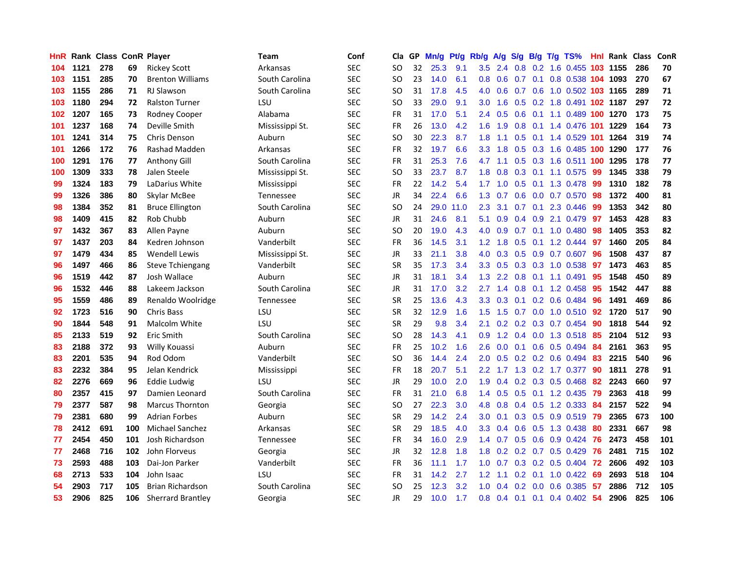| HnR |      | Rank Class ConR Player |     |                          | <b>Team</b>      | Conf       | Cla           |    | GP Mn/g | Pt/g | Rb/g             | A/g             |     |                 | S/g B/g T/g TS%            | Hnl | Rank Class |     | ConR |
|-----|------|------------------------|-----|--------------------------|------------------|------------|---------------|----|---------|------|------------------|-----------------|-----|-----------------|----------------------------|-----|------------|-----|------|
| 104 | 1121 | 278                    | 69  | <b>Rickey Scott</b>      | Arkansas         | <b>SEC</b> | SO            | 32 | 25.3    | 9.1  | 3.5              | 2.4             | 0.8 | 0.2             | 1.6 0.455                  | 103 | 1155       | 286 | 70   |
| 103 | 1151 | 285                    | 70  | <b>Brenton Williams</b>  | South Carolina   | <b>SEC</b> | SO.           | 23 | 14.0    | 6.1  | 0.8              | 0.6             |     | $0.7 \quad 0.1$ | 0.8 0.538 104 1093         |     |            | 270 | 67   |
| 103 | 1155 | 286                    | 71  | <b>RJ Slawson</b>        | South Carolina   | <b>SEC</b> | <b>SO</b>     | 31 | 17.8    | 4.5  | 4.0              | 0.6             | 0.7 | 0.6             | 1.0 0.502 103 1165         |     |            | 289 | 71   |
| 103 | 1180 | 294                    | 72  | <b>Ralston Turner</b>    | LSU              | <b>SEC</b> | <b>SO</b>     | 33 | 29.0    | 9.1  | 3.0              | 1.6             |     |                 | 0.5 0.2 1.8 0.491 102 1187 |     |            | 297 | 72   |
| 102 | 1207 | 165                    | 73  | Rodney Cooper            | Alabama          | <b>SEC</b> | FR            | 31 | 17.0    | 5.1  |                  | 2.4 0.5         |     |                 | 0.6 0.1 1.1 0.489 100 1270 |     |            | 173 | 75   |
| 101 | 1237 | 168                    | 74  | Deville Smith            | Mississippi St.  | <b>SEC</b> | FR            | 26 | 13.0    | 4.2  | 1.6 <sup>1</sup> | 1.9             |     |                 | 0.8 0.1 1.4 0.476 101 1229 |     |            | 164 | 73   |
| 101 | 1241 | 314                    | 75  | Chris Denson             | Auburn           | <b>SEC</b> | SO.           | 30 | 22.3    | 8.7  | 1.8 <sup>°</sup> | 1.1             |     |                 | 0.5 0.1 1.4 0.529 101 1264 |     |            | 319 | 74   |
| 101 | 1266 | 172                    | 76  | Rashad Madden            | Arkansas         | <b>SEC</b> | <b>FR</b>     | 32 | 19.7    | 6.6  | 3.3 <sub>2</sub> | 1.8             |     |                 | 0.5 0.3 1.6 0.485 100      |     | 1290       | 177 | 76   |
| 100 | 1291 | 176                    | 77  | <b>Anthony Gill</b>      | South Carolina   | <b>SEC</b> | <b>FR</b>     | 31 | 25.3    | 7.6  | 4.7              | 1.1             |     |                 | 0.5 0.3 1.6 0.511 100      |     | 1295       | 178 | 77   |
| 100 | 1309 | 333                    | 78  | Jalen Steele             | Mississippi St.  | <b>SEC</b> | <sub>SO</sub> | 33 | 23.7    | 8.7  | 1.8              | 0.8             |     | $0.3$ 0.1       | 1.1 0.575                  | -99 | 1345       | 338 | 79   |
| 99  | 1324 | 183                    | 79  | LaDarius White           | Mississippi      | <b>SEC</b> | FR            | 22 | 14.2    | 5.4  | 1.7              | 1.0             | 0.5 | 0.1             | 1.3 0.478                  | -99 | 1310       | 182 | 78   |
| 99  | 1326 | 386                    | 80  | Skylar McBee             | <b>Tennessee</b> | <b>SEC</b> | JR            | 34 | 22.4    | 6.6  | 1.3              | 0.7             | 0.6 |                 | 0.0 0.7 0.570              | 98  | 1372       | 400 | 81   |
| 98  | 1384 | 352                    | 81  | <b>Bruce Ellington</b>   | South Carolina   | <b>SEC</b> | <b>SO</b>     | 24 | 29.0    | 11.0 | 2.3              | 3.1             | 0.7 | 0.1             | 2.3 0.446                  | -99 | 1353       | 342 | 80   |
| 98  | 1409 | 415                    | 82  | Rob Chubb                | Auburn           | <b>SEC</b> | JR            | 31 | 24.6    | 8.1  | 5.1              | 0.9             |     | $0.4\quad 0.9$  | 2.1 0.479                  | 97  | 1453       | 428 | 83   |
| 97  | 1432 | 367                    | 83  | Allen Payne              | Auburn           | <b>SEC</b> | <b>SO</b>     | 20 | 19.0    | 4.3  | 4.0              | 0.9             | 0.7 | 0.1             | 1.0 0.480                  | 98  | 1405       | 353 | 82   |
| 97  | 1437 | 203                    | 84  | Kedren Johnson           | Vanderbilt       | <b>SEC</b> | <b>FR</b>     | 36 | 14.5    | 3.1  | 1.2 <sub>1</sub> | 1.8             | 0.5 | 0.1             | 1.2 0.444                  | -97 | 1460       | 205 | 84   |
| 97  | 1479 | 434                    | 85  | <b>Wendell Lewis</b>     | Mississippi St.  | <b>SEC</b> | JR            | 33 | 21.1    | 3.8  | 4.0              | 0.3             |     |                 | 0.5 0.9 0.7 0.607          | -96 | 1508       | 437 | 87   |
| 96  | 1497 | 466                    | 86  | <b>Steve Tchiengang</b>  | Vanderbilt       | <b>SEC</b> | SR            | 35 | 17.3    | 3.4  |                  | $3.3 \quad 0.5$ |     |                 | 0.3 0.3 1.0 0.538          | 97  | 1473       | 463 | 85   |
| 96  | 1519 | 442                    | 87  | Josh Wallace             | Auburn           | <b>SEC</b> | JR            | 31 | 18.1    | 3.4  |                  | $1.3$ 2.2       |     |                 | 0.8 0.1 1.1 0.491          | 95  | 1548       | 450 | 89   |
| 96  | 1532 | 446                    | 88  | Lakeem Jackson           | South Carolina   | <b>SEC</b> | JR            | 31 | 17.0    | 3.2  | 2.7              | 1.4             |     |                 | 0.8 0.1 1.2 0.458          | 95  | 1542       | 447 | 88   |
| 95  | 1559 | 486                    | 89  | Renaldo Woolridge        | Tennessee        | <b>SEC</b> | <b>SR</b>     | 25 | 13.6    | 4.3  | 3.3 <sub>1</sub> | 0.3             |     |                 | $0.1$ 0.2 0.6 0.484        | 96  | 1491       | 469 | 86   |
| 92  | 1723 | 516                    | 90  | <b>Chris Bass</b>        | LSU              | <b>SEC</b> | <b>SR</b>     | 32 | 12.9    | 1.6  | 1.5              | 1.5             |     |                 | $0.7$ $0.0$ 1.0 $0.510$    | 92  | 1720       | 517 | 90   |
| 90  | 1844 | 548                    | 91  | Malcolm White            | LSU              | <b>SEC</b> | <b>SR</b>     | 29 | 9.8     | 3.4  | 2.1              | 0.2             |     |                 | 0.2 0.3 0.7 0.454          | -90 | 1818       | 544 | 92   |
| 85  | 2133 | 519                    | 92  | Eric Smith               | South Carolina   | <b>SEC</b> | <b>SO</b>     | 28 | 14.3    | 4.1  | 0.9              | 1.2             |     |                 | 0.4 0.0 1.3 0.518          | 85  | 2104       | 512 | 93   |
| 83  | 2188 | 372                    | 93  | Willy Kouassi            | Auburn           | <b>SEC</b> | FR            | 25 | 10.2    | 1.6  | 2.6              | 0.0             |     |                 | 0.1 0.6 0.5 0.494          | 84  | 2161       | 363 | 95   |
| 83  | 2201 | 535                    | 94  | Rod Odom                 | Vanderbilt       | <b>SEC</b> | SO.           | 36 | 14.4    | 2.4  | 2.0              | 0.5             |     |                 | $0.2$ 0.2 0.6 0.494        | 83  | 2215       | 540 | 96   |
| 83  | 2232 | 384                    | 95  | Jelan Kendrick           | Mississippi      | <b>SEC</b> | <b>FR</b>     | 18 | 20.7    | 5.1  | $2.2^{\circ}$    | 1.7             |     |                 | 1.3 0.2 1.7 0.377          | 90  | 1811       | 278 | 91   |
| 82  | 2276 | 669                    | 96  | Eddie Ludwig             | LSU              | <b>SEC</b> | <b>JR</b>     | 29 | 10.0    | 2.0  | 1.9              | 0.4             |     |                 | 0.2 0.3 0.5 0.468          | 82  | 2243       | 660 | 97   |
| 80  | 2357 | 415                    | 97  | Damien Leonard           | South Carolina   | <b>SEC</b> | <b>FR</b>     | 31 | 21.0    | 6.8  | $1.4^{\circ}$    | 0.5             |     |                 | 0.5 0.1 1.2 0.435          | 79  | 2363       | 418 | 99   |
| 79  | 2377 | 587                    | 98  | Marcus Thornton          | Georgia          | <b>SEC</b> | <b>SO</b>     | 27 | 22.3    | 3.0  | 4.8              | 0.8             |     |                 | $0.4$ 0.5 1.2 0.333        | -84 | 2157       | 522 | 94   |
| 79  | 2381 | 680                    | 99  | <b>Adrian Forbes</b>     | Auburn           | <b>SEC</b> | <b>SR</b>     | 29 | 14.2    | 2.4  | 3.0 <sub>1</sub> | 0.1             |     |                 | $0.3$ $0.5$ $0.9$ $0.519$  | -79 | 2365       | 673 | 100  |
| 78  | 2412 | 691                    | 100 | Michael Sanchez          | Arkansas         | <b>SEC</b> | <b>SR</b>     | 29 | 18.5    | 4.0  | 3.3 <sub>1</sub> | 0.4             |     |                 | $0.6$ $0.5$ 1.3 0.438      | -80 | 2331       | 667 | 98   |
| 77  | 2454 | 450                    | 101 | Josh Richardson          | <b>Tennessee</b> | <b>SEC</b> | <b>FR</b>     | 34 | 16.0    | 2.9  |                  | $1.4 \quad 0.7$ |     |                 | $0.5$ $0.6$ $0.9$ $0.424$  | -76 | 2473       | 458 | 101  |
| 77  | 2468 | 716                    | 102 | John Florveus            | Georgia          | <b>SEC</b> | JR            | 32 | 12.8    | 1.8  | 1.8              | 0.2             |     |                 | $0.2$ 0.7 0.5 0.429        | 76  | 2481       | 715 | 102  |
| 73  | 2593 | 488                    | 103 | Dai-Jon Parker           | Vanderbilt       | <b>SEC</b> | FR            | 36 | 11.1    | 1.7  | 1.0              | 0.7             |     |                 | $0.3$ 0.2 0.5 0.404        | 72  | 2606       | 492 | 103  |
| 68  | 2713 | 533                    | 104 | John Isaac               | LSU              | <b>SEC</b> | <b>FR</b>     | 31 | 14.2    | 2.7  | 1.2 <sub>2</sub> | 1.1             | 0.2 | 0.1             | $1.0 \ \ 0.422$            | 69  | 2693       | 518 | 104  |
| 54  | 2903 | 717                    | 105 | <b>Brian Richardson</b>  | South Carolina   | <b>SEC</b> | SO.           | 25 | 12.3    | 3.2  | 1.0              | 0.4             | 0.2 | 0.0             | 0.6 0.385                  | 57  | 2886       | 712 | 105  |
| 53  | 2906 | 825                    | 106 | <b>Sherrard Brantley</b> | Georgia          | <b>SEC</b> | <b>JR</b>     | 29 | 10.0    | 1.7  |                  |                 |     |                 | 0.8 0.4 0.1 0.1 0.4 0.402  | 54  | 2906       | 825 | 106  |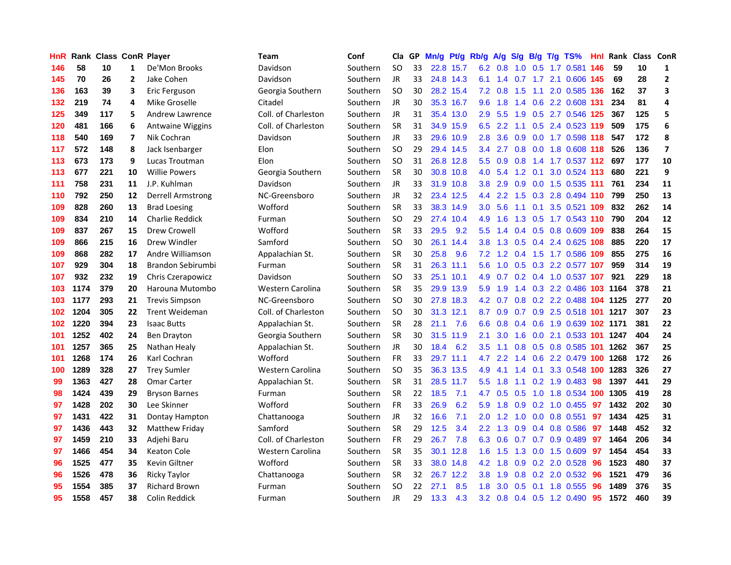| <b>HnR</b> |      | Rank Class ConR Player |                         |                          | Team                | Conf     | Cla       |    | GP Mn/g   |           | Pt/g Rb/g A/g    |           | S/g             |     | B/g T/g TS%                   | Hnl |      | Rank Class ConR |                         |
|------------|------|------------------------|-------------------------|--------------------------|---------------------|----------|-----------|----|-----------|-----------|------------------|-----------|-----------------|-----|-------------------------------|-----|------|-----------------|-------------------------|
| 146        | 58   | 10                     | $\mathbf{1}$            | De'Mon Brooks            | Davidson            | Southern | SO.       | 33 |           | 22.8 15.7 | 6.2              | 0.8       | 1.0             | 0.5 | 1.7 0.581                     | 146 | 59   | 10              | 1                       |
| 145        | 70   | 26                     | $\mathbf{2}$            | Jake Cohen               | Davidson            | Southern | JR.       | 33 |           | 24.8 14.3 | 6.1              | 1.4       | 0.7             | 1.7 | 2.1 0.606 145                 |     | 69   | 28              | $\mathbf{2}$            |
| 136        | 163  | 39                     | 3                       | Eric Ferguson            | Georgia Southern    | Southern | <b>SO</b> | 30 |           | 28.2 15.4 | 7.2              | 0.8       | 1.5             | 1.1 | 2.0 0.585 136                 |     | 162  | 37              | 3                       |
| 132        | 219  | 74                     | 4                       | Mike Groselle            | Citadel             | Southern | JR.       | 30 |           | 35.3 16.7 | 9.6              | 1.8       | 1.4             |     | 0.6 2.2 0.608 131             |     | 234  | 81              | 4                       |
| 125        | 349  | 117                    | 5                       | Andrew Lawrence          | Coll. of Charleston | Southern | JR.       | 31 |           | 35.4 13.0 | 2.9 <sup>°</sup> | 5.5       | 1.9             |     | 0.5 2.7 0.546 125             |     | 367  | 125             | 5                       |
| 120        | 481  | 166                    | 6                       | Antwaine Wiggins         | Coll. of Charleston | Southern | <b>SR</b> | 31 |           | 34.9 15.9 |                  | $6.5$ 2.2 |                 |     | 1.1 0.5 2.4 0.523 119         |     | 509  | 175             | 6                       |
| 118        | 540  | 169                    | $\overline{\mathbf{z}}$ | Nik Cochran              | Davidson            | Southern | JR.       | 33 |           | 29.6 10.9 | 2.8              | 3.6       |                 |     | 0.9 0.0 1.7 0.598 118         |     | 547  | 172             | 8                       |
| 117        | 572  | 148                    | 8                       | Jack Isenbarger          | Elon                | Southern | <b>SO</b> | 29 |           | 29.4 14.5 | 3.4              | 2.7       |                 |     | 0.8 0.0 1.8 0.608 118         |     | 526  | 136             | $\overline{\mathbf{z}}$ |
| 113        | 673  | 173                    | 9                       | Lucas Troutman           | Elon                | Southern | SO        | 31 |           | 26.8 12.8 | 5.5              | 0.9       | 0.8             |     | 1.4 1.7 0.537 112             |     | 697  | 177             | 10                      |
| 113        | 677  | 221                    | 10                      | <b>Willie Powers</b>     | Georgia Southern    | Southern | SR        | 30 |           | 30.8 10.8 | 4.0              | 5.4       | 1.2             | 0.1 | 3.0 0.524 113                 |     | 680  | 221             | 9                       |
| 111        | 758  | 231                    | 11                      | J.P. Kuhlman             | Davidson            | Southern | JR.       | 33 |           | 31.9 10.8 | 3.8 <sub>1</sub> | 2.9       | 0.9             |     | 0.0 1.5 0.535 111             |     | 761  | 234             | 11                      |
| 110        | 792  | 250                    | 12                      | <b>Derrell Armstrong</b> | NC-Greensboro       | Southern | JR        | 32 |           | 23.4 12.5 | 4.4              | 2.2       | 1.5             |     | 0.3 2.8 0.494 110             |     | 799  | 250             | 13                      |
| 109        | 828  | 260                    | 13                      | <b>Brad Loesing</b>      | Wofford             | Southern | <b>SR</b> | 33 |           | 38.3 14.9 | 3.0 <sub>2</sub> | 5.6       | 1.1             | 0.1 | 3.5 0.521 109                 |     | 832  | 262             | 14                      |
| 109        | 834  | 210                    | 14                      | <b>Charlie Reddick</b>   | Furman              | Southern | <b>SO</b> | 29 |           | 27.4 10.4 | 4.9              | 1.6       | 1.3             |     | 0.5 1.7 0.543 110             |     | 790  | 204             | 12                      |
| 109        | 837  | 267                    | 15                      | Drew Crowell             | Wofford             | Southern | <b>SR</b> | 33 | 29.5      | 9.2       | 5.5              | 1.4       | 0.4             | 0.5 | 0.8 0.609 109                 |     | 838  | 264             | 15                      |
| 109        | 866  | 215                    | 16                      | Drew Windler             | Samford             | Southern | <b>SO</b> | 30 |           | 26.1 14.4 | 3.8 <sub>2</sub> | 1.3       | 0.5             |     | 0.4 2.4 0.625                 | 108 | 885  | 220             | 17                      |
| 109        | 868  | 282                    | 17                      | Andre Williamson         | Appalachian St.     | Southern | <b>SR</b> | 30 | 25.8      | 9.6       | 7.2              |           | $1.2 \quad 0.4$ | 1.5 | 1.7 0.586 109                 |     | 855  | 275             | 16                      |
| 107        | 929  | 304                    | 18                      | Brandon Sebirumbi        | Furman              | Southern | <b>SR</b> | 31 |           | 26.3 11.1 | 5.6              |           |                 |     | 1.0 0.5 0.3 2.2 0.577 107     |     | 959  | 314             | 19                      |
| 107        | 932  | 232                    | 19                      | Chris Czerapowicz        | Davidson            | Southern | <b>SO</b> | 33 |           | 25.1 10.1 |                  |           |                 |     | 4.9 0.7 0.2 0.4 1.0 0.537 107 |     | 921  | 229             | 18                      |
| 103        | 1174 | 379                    | 20                      | Harouna Mutombo          | Western Carolina    | Southern | <b>SR</b> | 35 |           | 29.9 13.9 | 5.9              | 1.9       |                 |     | 1.4 0.3 2.2 0.486 103 1164    |     |      | 378             | 21                      |
| 103        | 1177 | 293                    | 21                      | <b>Trevis Simpson</b>    | NC-Greensboro       | Southern | <b>SO</b> | 30 |           | 27.8 18.3 |                  | 4.2 0.7   |                 |     | 0.8 0.2 2.2 0.488 104 1125    |     |      | 277             | 20                      |
| 102        | 1204 | 305                    | 22                      | <b>Trent Weideman</b>    | Coll. of Charleston | Southern | <b>SO</b> | 30 | 31.3 12.1 |           |                  | 8.7 0.9   |                 |     | 0.7 0.9 2.5 0.518 101 1217    |     |      | 307             | 23                      |
| 102        | 1220 | 394                    | 23                      | <b>Isaac Butts</b>       | Appalachian St.     | Southern | SR        | 28 | 21.1      | 7.6       | 6.6              | 0.8       | 0.4             |     | 0.6 1.9 0.639 102 1171        |     |      | 381             | 22                      |
| 101        | 1252 | 402                    | 24                      | Ben Drayton              | Georgia Southern    | Southern | <b>SR</b> | 30 | 31.5      | 11.9      | 2.1              | 3.0       | 1.6             |     | 0.0 2.1 0.533 101             |     | 1247 | 404             | 24                      |
| 101        | 1257 | 365                    | 25                      | Nathan Healy             | Appalachian St.     | Southern | JR        | 30 | 18.4      | 6.2       | 3.5              | 1.1       | 0.8             |     | 0.5 0.8 0.585 101             |     | 1262 | 367             | 25                      |
| 101        | 1268 | 174                    | 26                      | Karl Cochran             | Wofford             | Southern | <b>FR</b> | 33 |           | 29.7 11.1 | 4.7              | 2.2       | 1.4             |     | 0.6 2.2 0.479 100             |     | 1268 | 172             | 26                      |
| 100        | 1289 | 328                    | 27                      | <b>Trey Sumler</b>       | Western Carolina    | Southern | <b>SO</b> | 35 |           | 36.3 13.5 | 4.9              | 4.1       | 1.4             | 0.1 | 3.3 0.548 100                 |     | 1283 | 326             | 27                      |
| 99         | 1363 | 427                    | 28                      | <b>Omar Carter</b>       | Appalachian St.     | Southern | <b>SR</b> | 31 |           | 28.5 11.7 | 5.5 <sub>1</sub> | 1.8       | 1.1             |     | $0.2$ 1.9 0.483               | -98 | 1397 | 441             | 29                      |
| 98         | 1424 | 439                    | 29                      | <b>Bryson Barnes</b>     | Furman              | Southern | SR        | 22 | 18.5      | 7.1       | 4.7              | 0.5       | 0.5             | 1.0 | 1.8 0.534 100                 |     | 1305 | 419             | 28                      |
| 97         | 1428 | 202                    | 30                      | Lee Skinner              | Wofford             | Southern | <b>FR</b> | 33 | 26.9      | 6.2       | 5.9              | 1.8       | 0.9             | 0.2 | 1.0 0.455                     | 97  | 1432 | 202             | 30                      |
| 97         | 1431 | 422                    | 31                      | Dontay Hampton           | Chattanooga         | Southern | JR.       | 32 | 16.6      | 7.1       | 2.0 <sub>1</sub> | 1.2       | 1.0             | 0.0 | 0.8 0.551                     | 97  | 1434 | 425             | 31                      |
| 97         | 1436 | 443                    | 32                      | Matthew Friday           | Samford             | Southern | <b>SR</b> | 29 | 12.5      | 3.4       | $2.2^{\circ}$    | 1.3       | 0.9             |     | $0.4$ 0.8 0.586               | 97  | 1448 | 452             | 32                      |
| 97         | 1459 | 210                    | 33                      | Adjehi Baru              | Coll. of Charleston | Southern | <b>FR</b> | 29 | 26.7      | 7.8       |                  |           |                 |     | 6.3 0.6 0.7 0.7 0.9 0.489     | -97 | 1464 | 206             | 34                      |
| 97         | 1466 | 454                    | 34                      | <b>Keaton Cole</b>       | Western Carolina    | Southern | <b>SR</b> | 35 |           | 30.1 12.8 | 1.6              | 1.5       | 1.3             |     | $0.0$ 1.5 0.609               | 97  | 1454 | 454             | 33                      |
| 96         | 1525 | 477                    | 35                      | Kevin Giltner            | Wofford             | Southern | <b>SR</b> | 33 |           | 38.0 14.8 | 4.2              | 1.8       | 0.9             |     | 0.2 2.0 0.528                 | 96  | 1523 | 480             | 37                      |
| 96         | 1526 | 478                    | 36                      | <b>Ricky Taylor</b>      | Chattanooga         | Southern | <b>SR</b> | 32 |           | 26.7 12.2 | 3.8 <sub>1</sub> | 1.9       | 0.8             |     | 0.2 2.0 0.532                 | 96  | 1521 | 479             | 36                      |
| 95         | 1554 | 385                    | 37                      | <b>Richard Brown</b>     | Furman              | Southern | <b>SO</b> | 22 | 27.1      | 8.5       | 1.8              | 3.0       | 0.5             | 0.1 | 1.8 0.555                     | 96  | 1489 | 376             | 35                      |
| 95         | 1558 | 457                    | 38                      | Colin Reddick            | Furman              | Southern | JR        | 29 | 13.3      | 4.3       |                  |           |                 |     | 3.2 0.8 0.4 0.5 1.2 0.490     | 95  | 1572 | 460             | 39                      |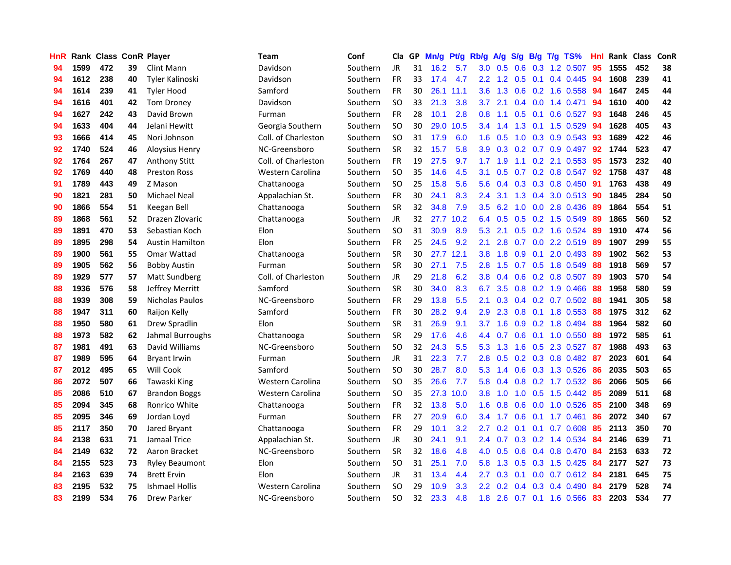| <b>HnR</b> |      | Rank Class ConR Player |    |                        | Team                    | Conf     | Cla       |    | GP Mn/g Pt/g Rb/g |           |                  |                 |     |                 | $A/g$ S/g B/g T/g TS%   | Hnl | Rank Class |     | ConR |
|------------|------|------------------------|----|------------------------|-------------------------|----------|-----------|----|-------------------|-----------|------------------|-----------------|-----|-----------------|-------------------------|-----|------------|-----|------|
| 94         | 1599 | 472                    | 39 | Clint Mann             | Davidson                | Southern | JR        | 31 | 16.2              | 5.7       | 3.0              | 0.5             | 0.6 | 0.3             | 1.2 0.507               | 95  | 1555       | 452 | 38   |
| 94         | 1612 | 238                    | 40 | <b>Tyler Kalinoski</b> | Davidson                | Southern | <b>FR</b> | 33 | 17.4              | 4.7       | $2.2^{\circ}$    | 1.2             | 0.5 | 0.1             | 0.4 0.445               | 94  | 1608       | 239 | 41   |
| 94         | 1614 | 239                    | 41 | <b>Tyler Hood</b>      | Samford                 | Southern | <b>FR</b> | 30 |                   | 26.1 11.1 | 3.6              | 1.3             | 0.6 | 0.2             | 1.6 0.558               | 94  | 1647       | 245 | 44   |
| 94         | 1616 | 401                    | 42 | <b>Tom Droney</b>      | Davidson                | Southern | <b>SO</b> | 33 | 21.3              | 3.8       | 3.7              | 2.1             |     | $0.4 \quad 0.0$ | 1.4 0.471               | 94  | 1610       | 400 | 42   |
| 94         | 1627 | 242                    | 43 | David Brown            | Furman                  | Southern | <b>FR</b> | 28 | 10.1              | 2.8       | 0.8 <sub>0</sub> | 1.1             |     | $0.5 \quad 0.1$ | $0.6$ 0.527             | -93 | 1648       | 246 | 45   |
| 94         | 1633 | 404                    | 44 | Jelani Hewitt          | Georgia Southern        | Southern | <b>SO</b> | 30 |                   | 29.0 10.5 |                  | $3.4 \quad 1.4$ |     |                 | 1.3 0.1 1.5 0.529       | 94  | 1628       | 405 | 43   |
| 93         | 1666 | 414                    | 45 | Nori Johnson           | Coll. of Charleston     | Southern | <b>SO</b> | 31 | 17.9              | 6.0       | 1.6              | 0.5             |     |                 | 1.0 0.3 0.9 0.543       | 93  | 1689       | 422 | 46   |
| 92         | 1740 | 524                    | 46 | <b>Aloysius Henry</b>  | NC-Greensboro           | Southern | <b>SR</b> | 32 | 15.7              | 5.8       | 3.9              | 0.3             |     |                 | 0.2 0.7 0.9 0.497       | 92  | 1744       | 523 | 47   |
| 92         | 1764 | 267                    | 47 | <b>Anthony Stitt</b>   | Coll. of Charleston     | Southern | <b>FR</b> | 19 | 27.5              | 9.7       | 1.7              | 1.9             | 1.1 |                 | 0.2 2.1 0.553           | 95  | 1573       | 232 | 40   |
| 92         | 1769 | 440                    | 48 | <b>Preston Ross</b>    | Western Carolina        | Southern | <b>SO</b> | 35 | 14.6              | 4.5       | 3.1              | 0.5             | 0.7 |                 | 0.2 0.8 0.547           | 92  | 1758       | 437 | 48   |
| 91         | 1789 | 443                    | 49 | Z Mason                | Chattanooga             | Southern | <b>SO</b> | 25 | 15.8              | 5.6       | 5.6              | 0.4             |     |                 | 0.3 0.3 0.8 0.450       | -91 | 1763       | 438 | 49   |
| 90         | 1821 | 281                    | 50 | <b>Michael Neal</b>    | Appalachian St.         | Southern | FR        | 30 | 24.1              | 8.3       | 2.4              | 3.1             |     | $1.3 \quad 0.4$ | 3.0 0.513               | -90 | 1845       | 284 | 50   |
| 90         | 1866 | 554                    | 51 | Keegan Bell            | Chattanooga             | Southern | <b>SR</b> | 32 | 34.8              | 7.9       | 3.5              | 6.2             | 1.0 | 0.0             | 2.8 0.436               | 89  | 1864       | 554 | 51   |
| 89         | 1868 | 561                    | 52 | Drazen Zlovaric        | Chattanooga             | Southern | JR        | 32 |                   | 27.7 10.2 | 6.4              | 0.5             | 0.5 |                 | 0.2 1.5 0.549           | -89 | 1865       | 560 | 52   |
| 89         | 1891 | 470                    | 53 | Sebastian Koch         | Elon                    | Southern | <b>SO</b> | 31 | 30.9              | 8.9       | 5.3              | 2.1             | 0.5 | 0.2             | 1.6 0.524               | 89  | 1910       | 474 | 56   |
| 89         | 1895 | 298                    | 54 | <b>Austin Hamilton</b> | Elon                    | Southern | <b>FR</b> | 25 | 24.5              | 9.2       | 2.1              | 2.8             | 0.7 | 0.0             | 2.2 0.519               | -89 | 1907       | 299 | 55   |
| 89         | 1900 | 561                    | 55 | Omar Wattad            | Chattanooga             | Southern | <b>SR</b> | 30 | 27.7              | 12.1      | 3.8              | 1.8             | 0.9 | 0.1             | 2.0 0.493               | -89 | 1902       | 562 | 53   |
| 89         | 1905 | 562                    | 56 | <b>Bobby Austin</b>    | Furman                  | Southern | <b>SR</b> | 30 | 27.1              | 7.5       | 2.8 <sup>°</sup> | 1.5             |     |                 | $0.7$ $0.5$ 1.8 $0.549$ | -88 | 1918       | 569 | 57   |
| 89         | 1929 | 577                    | 57 | Matt Sundberg          | Coll. of Charleston     | Southern | JR        | 29 | 21.8              | 6.2       |                  | $3.8 \quad 0.4$ |     |                 | $0.6$ 0.2 0.8 0.507     | -89 | 1903       | 570 | 54   |
| 88         | 1936 | 576                    | 58 | Jeffrey Merritt        | Samford                 | Southern | <b>SR</b> | 30 | 34.0              | 8.3       | 6.7              | 3.5             |     |                 | 0.8 0.2 1.9 0.466       | -88 | 1958       | 580 | 59   |
| 88         | 1939 | 308                    | 59 | Nicholas Paulos        | NC-Greensboro           | Southern | <b>FR</b> | 29 | 13.8              | 5.5       | 2.1              | 0.3             |     |                 | $0.4$ 0.2 0.7 0.502     | 88  | 1941       | 305 | 58   |
| 88         | 1947 | 311                    | 60 | Raijon Kelly           | Samford                 | Southern | <b>FR</b> | 30 | 28.2              | 9.4       | 2.9              | 2.3             |     |                 | $0.8$ 0.1 1.8 0.553     | 88  | 1975       | 312 | 62   |
| 88         | 1950 | 580                    | 61 | Drew Spradlin          | Elon                    | Southern | SR        | 31 | 26.9              | 9.1       | 3.7              | 1.6             |     |                 | 0.9 0.2 1.8 0.494       | 88  | 1964       | 582 | 60   |
| 88         | 1973 | 582                    | 62 | Jahmal Burroughs       | Chattanooga             | Southern | <b>SR</b> | 29 | 17.6              | 4.6       | 4.4              | 0.7             | 0.6 | 0.1             | 1.0 0.550               | 88  | 1972       | 585 | 61   |
| 87         | 1981 | 491                    | 63 | David Williams         | NC-Greensboro           | Southern | <b>SO</b> | 32 | 24.3              | 5.5       | 5.3              | 1.3             | 1.6 |                 | $0.5$ 2.3 0.527         | -87 | 1988       | 493 | 63   |
| 87         | 1989 | 595                    | 64 | <b>Bryant Irwin</b>    | Furman                  | Southern | JR        | 31 | 22.3              | 7.7       | 2.8              | 0.5             |     |                 | 0.2 0.3 0.8 0.482       | -87 | 2023       | 601 | 64   |
| 87         | 2012 | 495                    | 65 | Will Cook              | Samford                 | Southern | <b>SO</b> | 30 | 28.7              | 8.0       | 5.3              | 1.4             | 0.6 |                 | 0.3 1.3 0.526           | 86  | 2035       | 503 | 65   |
| 86         | 2072 | 507                    | 66 | Tawaski King           | Western Carolina        | Southern | <b>SO</b> | 35 | 26.6              | 7.7       | 5.8              | 0.4             | 0.8 |                 | 0.2 1.7 0.532           | 86  | 2066       | 505 | 66   |
| 85         | 2086 | 510                    | 67 | <b>Brandon Boggs</b>   | Western Carolina        | Southern | <b>SO</b> | 35 | 27.3              | 10.0      | 3.8              | 1.0             | 1.0 | 0.5             | 1.5 0.442               | 85  | 2089       | 511 | 68   |
| 85         | 2094 | 345                    | 68 | Ronrico White          | Chattanooga             | Southern | <b>FR</b> | 32 | 13.8              | 5.0       | 1.6              | 0.8             | 0.6 | 0.0             | 1.0 0.526               | 85  | 2100       | 348 | 69   |
| 85         | 2095 | 346                    | 69 | Jordan Loyd            | Furman                  | Southern | <b>FR</b> | 27 | 20.9              | 6.0       | 3.4              | 1.7             | 0.6 | 0.1             | 1.7 0.461               | 86  | 2072       | 340 | 67   |
| 85         | 2117 | 350                    | 70 | Jared Bryant           | Chattanooga             | Southern | FR        | 29 | 10.1              | 3.2       | 2.7              | 0.2             |     | $0.1 \quad 0.1$ | $0.7$ 0.608             | 85  | 2113       | 350 | 70   |
| 84         | 2138 | 631                    | 71 | Jamaal Trice           | Appalachian St.         | Southern | <b>JR</b> | 30 | 24.1              | 9.1       |                  | 2.4 0.7         |     |                 | $0.3$ 0.2 1.4 0.534     | -84 | 2146       | 639 | 71   |
| 84         | 2149 | 632                    | 72 | Aaron Bracket          | NC-Greensboro           | Southern | <b>SR</b> | 32 | 18.6              | 4.8       |                  | $4.0\quad 0.5$  |     |                 | 0.6 0.4 0.8 0.470 84    |     | 2153       | 633 | 72   |
| 84         | 2155 | 523                    | 73 | <b>Ryley Beaumont</b>  | Elon                    | Southern | <b>SO</b> | 31 | 25.1              | 7.0       | 5.8              | 1.3             |     |                 | $0.5$ $0.3$ 1.5 $0.425$ | 84  | 2177       | 527 | 73   |
| 84         | 2163 | 639                    | 74 | <b>Brett Ervin</b>     | Elon                    | Southern | JR        | 31 | 13.4              | 4.4       | 2.7              | 0.3             | 0.1 |                 | $0.0$ 0.7 0.612         | 84  | 2181       | 645 | 75   |
| 83         | 2195 | 532                    | 75 | Ishmael Hollis         | <b>Western Carolina</b> | Southern | <b>SO</b> | 29 | 10.9              | 3.3       | $2.2^{\circ}$    | 0.2             |     | $0.4$ 0.3       | 0.4 0.490               | 84  | 2179       | 528 | 74   |
| 83         | 2199 | 534                    | 76 | <b>Drew Parker</b>     | NC-Greensboro           | Southern | <b>SO</b> | 32 | 23.3              | 4.8       | 1.8              | 2.6             |     |                 | 0.7 0.1 1.6 0.566       | 83  | 2203       | 534 | 77   |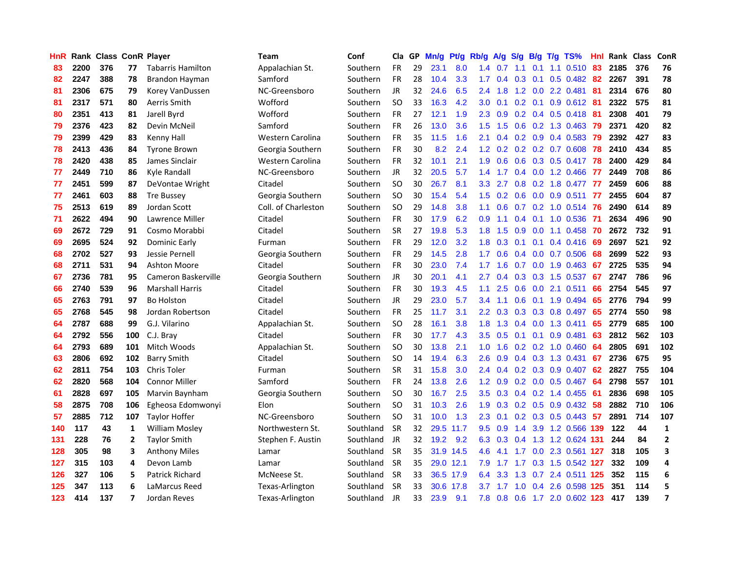| HnR |      | <b>Rank Class ConR Player</b> |     |                        | Team                | Conf      | Cla           | GP. | Mn/g   | Pt/g      | Rb/g             | <b>A/g</b>      | <b>S/g</b> | B/g             | T/g TS%                       | Hnl |         | Rank Class | ConR           |
|-----|------|-------------------------------|-----|------------------------|---------------------|-----------|---------------|-----|--------|-----------|------------------|-----------------|------------|-----------------|-------------------------------|-----|---------|------------|----------------|
| 83  | 2200 | 376                           | 77  | Tabarris Hamilton      | Appalachian St.     | Southern  | <b>FR</b>     | 29  | 23.1   | 8.0       | 1.4              | 0.7             | 1.1        | 0.1             | 1.1 0.510                     | 83  | 2185    | 376        | 76             |
| 82  | 2247 | 388                           | 78  | Brandon Hayman         | Samford             | Southern  | <b>FR</b>     | 28  | 10.4   | 3.3       | 1.7 <sup>2</sup> | 0.4             | 0.3        | 0.1             | $0.5$ 0.482                   | 82  | 2267    | 391        | 78             |
| 81  | 2306 | 675                           | 79  | Korey VanDussen        | NC-Greensboro       | Southern  | <b>JR</b>     | 32  | 24.6   | 6.5       | $2.4^{\circ}$    | 1.8             | 1.2        | 0.0             | 2.2 0.481                     | 81  | 2314    | 676        | 80             |
| 81  | 2317 | 571                           | 80  | Aerris Smith           | Wofford             | Southern  | <b>SO</b>     | 33  | 16.3   | 4.2       | 3.0 <sub>2</sub> | 0.1             |            | $0.2 \quad 0.1$ | 0.9 0.612 81                  |     | 2322    | 575        | 81             |
| 80  | 2351 | 413                           | 81  | Jarell Byrd            | Wofford             | Southern  | FR            | 27  | 12.1   | 1.9       | 2.3              | 0.9             |            |                 | 0.2 0.4 0.5 0.418 81          |     | 2308    | 401        | 79             |
| 79  | 2376 | 423                           | 82  | Devin McNeil           | Samford             | Southern  | <b>FR</b>     | 26  | 13.0   | 3.6       |                  | $1.5$ 1.5       |            |                 | 0.6 0.2 1.3 0.463 79          |     | 2371    | 420        | 82             |
| 79  | 2399 | 429                           | 83  | Kenny Hall             | Western Carolina    | Southern  | <b>FR</b>     | 35  | 11.5   | 1.6       | 2.1              | 0.4             |            |                 | $0.2$ 0.9 0.4 0.583           | -79 | 2392    | 427        | 83             |
| 78  | 2413 | 436                           | 84  | <b>Tyrone Brown</b>    | Georgia Southern    | Southern  | <b>FR</b>     | 30  | 8.2    | 2.4       |                  |                 |            |                 | 1.2 0.2 0.2 0.2 0.7 0.608     | 78  | 2410    | 434        | 85             |
| 78  | 2420 | 438                           | 85  | James Sinclair         | Western Carolina    | Southern  | <b>FR</b>     | 32  | 10.1   | 2.1       | 1.9              | 0.6             |            |                 | 0.6 0.3 0.5 0.417 78          |     | 2400    | 429        | 84             |
| 77  | 2449 | 710                           | 86  | Kyle Randall           | NC-Greensboro       | Southern  | JR            | 32  | 20.5   | 5.7       | $1.4^{\circ}$    | 1.7             |            |                 | 0.4 0.0 1.2 0.466             | -77 | 2449    | 708        | 86             |
| 77  | 2451 | 599                           | 87  | DeVontae Wright        | Citadel             | Southern  | <b>SO</b>     | 30  | 26.7   | 8.1       | 3.3 <sub>1</sub> | 2.7             | 0.8        |                 | $0.2$ 1.8 $0.477$             | 77  | 2459    | 606        | 88             |
| 77  | 2461 | 603                           | 88  | <b>Tre Bussey</b>      | Georgia Southern    | Southern  | <b>SO</b>     | 30  | 15.4   | 5.4       | 1.5 <sub>1</sub> | 0.2             | 0.6        |                 | $0.0$ $0.9$ $0.511$           | 77  | 2455    | 604        | 87             |
| 75  | 2513 | 619                           | 89  | Jordan Scott           | Coll. of Charleston | Southern  | <b>SO</b>     | 29  | 14.8   | 3.8       | 1.1              | 0.6             | 0.7        |                 | $0.2$ 1.0 $0.514$             | 76  | 2490    | 614        | 89             |
| 71  | 2622 | 494                           | 90  | Lawrence Miller        | Citadel             | Southern  | <b>FR</b>     | 30  | 17.9   | 6.2       | 0.9              | 1.1             | 0.4        | 0.1             | 1.0 0.536                     | -71 | 2634    | 496        | 90             |
| 69  | 2672 | 729                           | 91  | Cosmo Morabbi          | Citadel             | Southern  | <b>SR</b>     | 27  | 19.8   | 5.3       | 1.8 <sup>°</sup> | 1.5             | 0.9        | 0.0             | 1.1 0.458                     | 70  | 2672    | 732        | 91             |
| 69  | 2695 | 524                           | 92  | Dominic Early          | Furman              | Southern  | <b>FR</b>     | 29  | 12.0   | 3.2       | 1.8              | 0.3             | 0.1        | 0.1             | 0.4 0.416                     | 69  | 2697    | 521        | 92             |
| 68  | 2702 | 527                           | 93  | Jessie Pernell         | Georgia Southern    | Southern  | <b>FR</b>     | 29  | 14.5   | 2.8       | 1.7 <sup>2</sup> | 0.6             | 0.4        |                 | $0.0$ 0.7 0.506               | 68  | 2699    | 522        | 93             |
| 68  | 2711 | 531                           | 94  | <b>Ashton Moore</b>    | Citadel             | Southern  | <b>FR</b>     | 30  | 23.0   | 7.4       | 1.7              | 1.6             |            |                 | $0.7$ 0.0 1.9 0.463           | -67 | 2725    | 535        | 94             |
| 67  | 2736 | 781                           | 95  | Cameron Baskerville    | Georgia Southern    | Southern  | <b>JR</b>     | 30  | 20.1   | 4.1       | $2.7^{\circ}$    |                 |            |                 | 0.4 0.3 0.3 1.5 0.537         |     | 67 2747 | 786        | 96             |
| 66  | 2740 | 539                           | 96  | <b>Marshall Harris</b> | Citadel             | Southern  | FR            | 30  | 19.3   | 4.5       | $1.1-1$          | 2.5             |            |                 | 0.6 0.0 2.1 0.511             | 66  | 2754    | 545        | 97             |
| 65  | 2763 | 791                           | 97  | <b>Bo Holston</b>      | Citadel             | Southern  | <b>JR</b>     | 29  | 23.0   | 5.7       | $3.4^{\circ}$    | 1.1             | 0.6        |                 | $0.1$ 1.9 0.494               | 65  | 2776    | 794        | 99             |
| 65  | 2768 | 545                           | 98  | Jordan Robertson       | Citadel             | Southern  | <b>FR</b>     | 25  | 11.7   | 3.1       | $2.2^{\circ}$    | 0.3             |            |                 | $0.3$ $0.3$ $0.8$ $0.497$     | 65  | 2774    | 550        | 98             |
| 64  | 2787 | 688                           | 99  | G.J. Vilarino          | Appalachian St.     | Southern  | SO            | 28  | 16.1   | 3.8       | 1.8 <sup>°</sup> | 1.3             |            |                 | $0.4$ 0.0 1.3 0.411           | 65  | 2779    | 685        | 100            |
| 64  | 2792 | 556                           | 100 | C.J. Bray              | Citadel             | Southern  | <b>FR</b>     | 30  | 17.7   | 4.3       | 3.5              | 0.5             | 0.1        | 0.1             | $0.9$ 0.481                   | 63  | 2812    | 562        | 103            |
| 64  | 2793 | 689                           | 101 | Mitch Woods            | Appalachian St.     | Southern  | <b>SO</b>     | 30  | 13.8   | 2.1       | 1.0              | 1.6             |            |                 | $0.2$ 0.2 1.0 0.460           | 64  | 2805    | 691        | 102            |
| 63  | 2806 | 692                           | 102 | <b>Barry Smith</b>     | Citadel             | Southern  | <b>SO</b>     | 14  | 19.4   | 6.3       | 2.6              | 0.9             |            |                 | $0.4$ $0.3$ 1.3 $0.431$       | 67  | 2736    | 675        | 95             |
| 62  | 2811 | 754                           | 103 | Chris Toler            | Furman              | Southern  | <b>SR</b>     | 31  | 15.8   | 3.0       | $2.4^{\circ}$    | 0.4             |            | $0.2 \quad 0.3$ | 0.9 0.407                     | 62  | 2827    | 755        | 104            |
| 62  | 2820 | 568                           | 104 | <b>Connor Miller</b>   | Samford             | Southern  | <b>FR</b>     | 24  | 13.8   | 2.6       | 1.2 <sub>1</sub> | 0.9             |            | $0.2\quad 0.0$  | 0.5 0.467                     | 64  | 2798    | 557        | 101            |
| 61  | 2828 | 697                           | 105 | Marvin Baynham         | Georgia Southern    | Southern  | <sub>SO</sub> | 30  | 16.7   | 2.5       | 3.5              | 0.3             |            |                 | $0.4$ 0.2 1.4 0.455           | -61 | 2836    | 698        | 105            |
| 58  | 2875 | 708                           | 106 | Egheosa Edomwonyi      | Elon                | Southern  | <sub>SO</sub> | 31  | 10.3   | 2.6       | 1.9              | 0.3             |            | $0.2 \quad 0.5$ | $0.9$ $0.432$                 | 58  | 2882    | 710        | 106            |
| 57  | 2885 | 712                           | 107 | <b>Taylor Hoffer</b>   | NC-Greensboro       | Southern  | <sub>SO</sub> | 31  | 10.0   | 1.3       | $2.3^{\circ}$    | 0.1             |            |                 | $0.2$ 0.3 0.5 0.443           | -57 | 2891    | 714        | 107            |
| 140 | 117  | 43                            | 1   | <b>William Mosley</b>  | Northwestern St.    | Southland | <b>SR</b>     | 32  |        | 29.5 11.7 |                  | $9.5 \quad 0.9$ | 1.4        |                 | 3.9 1.2 0.566 139             |     | 122     | 44         | $\mathbf{1}$   |
| 131 | 228  | 76                            | 2   | <b>Taylor Smith</b>    | Stephen F. Austin   | Southland | <b>JR</b>     | 32  | $19.2$ | 9.2       |                  |                 |            |                 | 6.3 0.3 0.4 1.3 1.2 0.624 131 |     | 244     | 84         | $\mathbf{2}$   |
| 128 | 305  | 98                            | 3   | <b>Anthony Miles</b>   | Lamar               | Southland | <b>SR</b>     | 35  |        | 31.9 14.5 | 4.6              | -4.1            | 1.7        |                 | 0.0 2.3 0.561 127             |     | 318     | 105        | 3              |
| 127 | 315  | 103                           | 4   | Devon Lamb             | Lamar               | Southland | <b>SR</b>     | 35  |        | 29.0 12.1 | 7.9              | 1.7             | 1.7        |                 | 0.3 1.5 0.542 127             |     | 332     | 109        | 4              |
| 126 | 327  | 106                           | 5   | Patrick Richard        | McNeese St.         | Southland | <b>SR</b>     | 33  |        | 36.5 17.9 | 6.4              | 3.3             | 1.3        |                 | 0.7 2.4 0.511 125             |     | 352     | 115        | 6              |
| 125 | 347  | 113                           | 6   | LaMarcus Reed          | Texas-Arlington     | Southland | <b>SR</b>     | 33  |        | 30.6 17.8 | 3.7              | 1.7             | 1.0        | 0.4             | 2.6 0.598                     | 125 | 351     | 114        | 5              |
| 123 | 414  | 137                           | 7   | Jordan Reves           | Texas-Arlington     | Southland | JR            | 33  | 23.9   | 9.1       | 7.8              |                 |            |                 | 0.8 0.6 1.7 2.0 0.602 123     |     | 417     | 139        | $\overline{7}$ |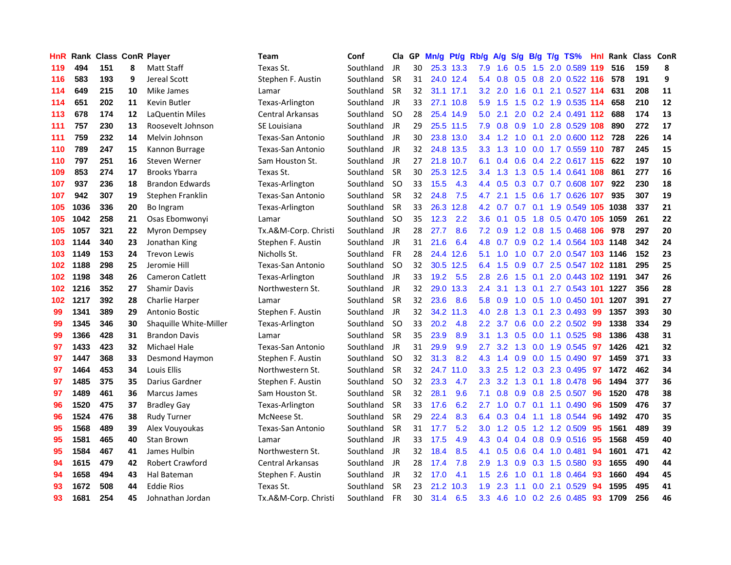| <b>HnR</b> |      | Rank Class ConR Player |    |                        | Team                    | Conf      |               | Cla GP | Mn/g Pt/g Rb/g A/g |           |                  |           | S/q             |     | B/g T/g TS%                |     | Hnl Rank Class ConR |     |    |
|------------|------|------------------------|----|------------------------|-------------------------|-----------|---------------|--------|--------------------|-----------|------------------|-----------|-----------------|-----|----------------------------|-----|---------------------|-----|----|
| 119        | 494  | 151                    | 8  | Matt Staff             | Texas St.               | Southland | JR.           | 30     |                    | 25.3 13.3 | 7.9              | 1.6       | 0.5             | 1.5 | 2.0 0.589 119              |     | 516                 | 159 | 8  |
| 116        | 583  | 193                    | 9  | Jereal Scott           | Stephen F. Austin       | Southland | <b>SR</b>     | 31     |                    | 24.0 12.4 | 5.4              | 0.8       | 0.5             | 0.8 | 2.0 0.522 116              |     | 578                 | 191 | 9  |
| 114        | 649  | 215                    | 10 | Mike James             | Lamar                   | Southland | <b>SR</b>     | 32     |                    | 31.1 17.1 | 3.2 <sub>2</sub> | 2.0       | 1.6             | 0.1 | 2.1 0.527 114              |     | 631                 | 208 | 11 |
| 114        | 651  | 202                    | 11 | Kevin Butler           | Texas-Arlington         | Southland | JR            | 33     |                    | 27.1 10.8 | 5.9              | 1.5       | 1.5             |     | 0.2 1.9 0.535 114          |     | 658                 | 210 | 12 |
| 113        | 678  | 174                    | 12 | LaQuentin Miles        | <b>Central Arkansas</b> | Southland | <b>SO</b>     | 28     |                    | 25.4 14.9 | 5.0              | 2.1       |                 |     | 2.0 0.2 2.4 0.491 112      |     | 688                 | 174 | 13 |
| 111        | 757  | 230                    | 13 | Roosevelt Johnson      | SE Louisiana            | Southland | JR            | 29     |                    | 25.5 11.5 | 7.9              |           | $0.8\ 0.9$      |     | 1.0 2.8 0.529 108          |     | 890                 | 272 | 17 |
| 111        | 759  | 232                    | 14 | Melvin Johnson         | Texas-San Antonio       | Southland | JR            | 30     |                    | 23.8 13.0 |                  | $3.4$ 1.2 |                 |     | 1.0 0.1 2.0 0.600 112 728  |     |                     | 226 | 14 |
| 110        | 789  | 247                    | 15 | Kannon Burrage         | Texas-San Antonio       | Southland | JR            | 32     |                    | 24.8 13.5 | 3.3 <sub>1</sub> | 1.3       |                 |     | 1.0 0.0 1.7 0.559 110      |     | 787                 | 245 | 15 |
| 110        | 797  | 251                    | 16 | Steven Werner          | Sam Houston St.         | Southland | JR            | 27     |                    | 21.8 10.7 | 6.1              | 0.4       |                 |     | 0.6 0.4 2.2 0.617 115      |     | 622                 | 197 | 10 |
| 109        | 853  | 274                    | 17 | <b>Brooks Ybarra</b>   | Texas St.               | Southland | <b>SR</b>     | 30     |                    | 25.3 12.5 | 3.4              | 1.3       |                 |     | 1.3 0.5 1.4 0.641 108      |     | 861                 | 277 | 16 |
| 107        | 937  | 236                    | 18 | <b>Brandon Edwards</b> | Texas-Arlington         | Southland | <b>SO</b>     | 33     | 15.5               | 4.3       | 4.4              | 0.5       | 0.3             |     | 0.7 0.7 0.608 107          |     | 922                 | 230 | 18 |
| 107        | 942  | 307                    | 19 | Stephen Franklin       | Texas-San Antonio       | Southland | <b>SR</b>     | 32     | 24.8               | 7.5       | 4.7              | 2.1       | 1.5             |     | $0.6$ 1.7 $0.626$          | 107 | 935                 | 307 | 19 |
| 105        | 1036 | 336                    | 20 | Bo Ingram              | Texas-Arlington         | Southland | <b>SR</b>     | 33     |                    | 26.3 12.8 |                  | 4.2 0.7   | 0.7             | 0.1 | 1.9 0.549 105 1038         |     |                     | 337 | 21 |
| 105        | 1042 | 258                    | 21 | Osas Ebomwonyi         | Lamar                   | Southland | SO.           | 35     | 12.3               | 2.2       | 3.6 <sub>1</sub> | 0.1       | 0.5             | 1.8 | 0.5 0.470 105              |     | 1059                | 261 | 22 |
| 105        | 1057 | 321                    | 22 | Myron Dempsey          | Tx.A&M-Corp. Christi    | Southland | JR            | 28     | 27.7               | 8.6       | 7.2              | 0.9       | 1.2             | 0.8 | 1.5 0.468                  | 106 | 978                 | 297 | 20 |
| 103        | 1144 | 340                    | 23 | Jonathan King          | Stephen F. Austin       | Southland | <b>JR</b>     | 31     | 21.6               | 6.4       | 4.8              | 0.7       | 0.9             |     | 0.2 1.4 0.564 103 1148     |     |                     | 342 | 24 |
| 103        | 1149 | 153                    | 24 | <b>Trevon Lewis</b>    | Nicholls St.            | Southland | <b>FR</b>     | 28     | 24.4               | 12.6      | 5.1              | 1.0       | 1.0             |     | 0.7 2.0 0.547 103 1146     |     |                     | 152 | 23 |
| 102        | 1188 | 298                    | 25 | Jeromie Hill           | Texas-San Antonio       | Southland | SO.           | 32     |                    | 30.5 12.5 | 6.4              | 1.5       | 0.9             |     | 0.7 2.5 0.547 102 1181     |     |                     | 295 | 25 |
| 102        | 1198 | 348                    | 26 | Cameron Catlett        | Texas-Arlington         | Southland | JR            | 33     | 19.2               | 5.5       | 2.8              | 2.6       |                 |     | 1.5 0.1 2.0 0.443 102 1191 |     |                     | 347 | 26 |
| 102        | 1216 | 352                    | 27 | <b>Shamir Davis</b>    | Northwestern St.        | Southland | JR            | 32     |                    | 29.0 13.3 | $2.4^{\circ}$    | 3.1       |                 |     | 1.3 0.1 2.7 0.543 101 1227 |     |                     | 356 | 28 |
| 102        | 1217 | 392                    | 28 | Charlie Harper         | Lamar                   | Southland | <b>SR</b>     | 32     | 23.6               | 8.6       | 5.8              | 0.9       |                 |     | 1.0 0.5 1.0 0.450 101      |     | 1207                | 391 | 27 |
| 99         | 1341 | 389                    | 29 | <b>Antonio Bostic</b>  | Stephen F. Austin       | Southland | JR            | 32     |                    | 34.2 11.3 | 4.0              | 2.8       |                 |     | 1.3 0.1 2.3 0.493          | -99 | 1357                | 393 | 30 |
| 99         | 1345 | 346                    | 30 | Shaquille White-Miller | Texas-Arlington         | Southland | <sub>SO</sub> | 33     | 20.2               | 4.8       | $2.2^{\circ}$    | 3.7       | 0.6             |     | 0.0 2.2 0.502              | -99 | 1338                | 334 | 29 |
| 99         | 1366 | 428                    | 31 | <b>Brandon Davis</b>   | Lamar                   | Southland | <b>SR</b>     | 35     | 23.9               | 8.9       | 3.1              | 1.3       | 0.5             |     | $0.0$ 1.1 $0.525$          | 98  | 1386                | 438 | 31 |
| 97         | 1433 | 423                    | 32 | Michael Hale           | Texas-San Antonio       | Southland | JR            | 31     | 29.9               | 9.9       | $2.7^{\circ}$    | 3.2       | 1.3             |     | $0.0$ 1.9 $0.545$          | 97  | 1426                | 421 | 32 |
| 97         | 1447 | 368                    | 33 | Desmond Haymon         | Stephen F. Austin       | Southland | SO.           | 32     | 31.3               | 8.2       | 4.3              | 1.4       | 0.9             |     | $0.0$ 1.5 0.490            | -97 | 1459                | 371 | 33 |
| 97         | 1464 | 453                    | 34 | <b>Louis Ellis</b>     | Northwestern St.        | Southland | <b>SR</b>     | 32     |                    | 24.7 11.0 | 3.3              | 2.5       | 1.2             | 0.3 | 2.3 0.495                  | 97  | 1472                | 462 | 34 |
| 97         | 1485 | 375                    | 35 | Darius Gardner         | Stephen F. Austin       | Southland | <b>SO</b>     | 32     | 23.3               | 4.7       | $2.3^{\circ}$    | 3.2       | 1.3             | 0.1 | 1.8 0.478                  | 96  | 1494                | 377 | 36 |
| 97         | 1489 | 461                    | 36 | Marcus James           | Sam Houston St.         | Southland | <b>SR</b>     | 32     | 28.1               | 9.6       | 7.1              | 0.8       | 0.9             | 0.8 | 2.5 0.507                  | 96  | 1520                | 478 | 38 |
| 96         | 1520 | 475                    | 37 | <b>Bradley Gay</b>     | Texas-Arlington         | Southland | <b>SR</b>     | 33     | 17.6               | 6.2       | 2.7              | 1.0       | 0.7             | 0.1 | $1.1 \quad 0.490$          | 96  | 1509                | 476 | 37 |
| 96         | 1524 | 476                    | 38 | <b>Rudy Turner</b>     | McNeese St.             | Southland | <b>SR</b>     | 29     | 22.4               | 8.3       | 6.4              | 0.3       | 0.4             | 1.1 | 1.8 0.544                  | 96  | 1492                | 470 | 35 |
| 95         | 1568 | 489                    | 39 | Alex Vouyoukas         | Texas-San Antonio       | Southland | <b>SR</b>     | 31     | 17.7               | 5.2       | 3.0 <sub>1</sub> |           | $1.2 \quad 0.5$ |     | 1.2 1.2 0.509              | 95  | 1561                | 489 | 39 |
| 95         | 1581 | 465                    | 40 | <b>Stan Brown</b>      | Lamar                   | Southland | JR            | 33     | 17.5               | 4.9       |                  | 4.3 0.4   |                 |     | $0.4$ 0.8 0.9 0.516        | -95 | 1568                | 459 | 40 |
| 95         | 1584 | 467                    | 41 | James Hulbin           | Northwestern St.        | Southland | JR            | 32     | 18.4               | 8.5       | 4.1              | 0.5       | 0.6             |     | 0.4 1.0 0.481              | 94  | 1601                | 471 | 42 |
| 94         | 1615 | 479                    | 42 | <b>Robert Crawford</b> | Central Arkansas        | Southland | JR            | 28     | 17.4               | 7.8       | 2.9              | 1.3       | 0.9             |     | 0.3 1.5 0.580              | 93  | 1655                | 490 | 44 |
| 94         | 1658 | 494                    | 43 | Hal Bateman            | Stephen F. Austin       | Southland | JR            | 32     | 17.0               | 4.1       | 1.5 <sub>1</sub> | 2.6       | 1.0             | 0.1 | 1.8 0.464                  | 93  | 1660                | 494 | 45 |
| 93         | 1672 | 508                    | 44 | <b>Eddie Rios</b>      | Texas St.               | Southland | <b>SR</b>     | 23     | 21.2               | 10.3      | 1.9              | 2.3       | 1.1             | 0.0 | 2.1 0.529                  | 94  | 1595                | 495 | 41 |
| 93         | 1681 | 254                    | 45 | Johnathan Jordan       | Tx.A&M-Corp. Christi    | Southland | <b>FR</b>     | 30     | 31.4               | 6.5       | 3.3 <sub>2</sub> | 4.6       |                 |     | 1.0 0.2 2.6 0.485          | 93  | 1709                | 256 | 46 |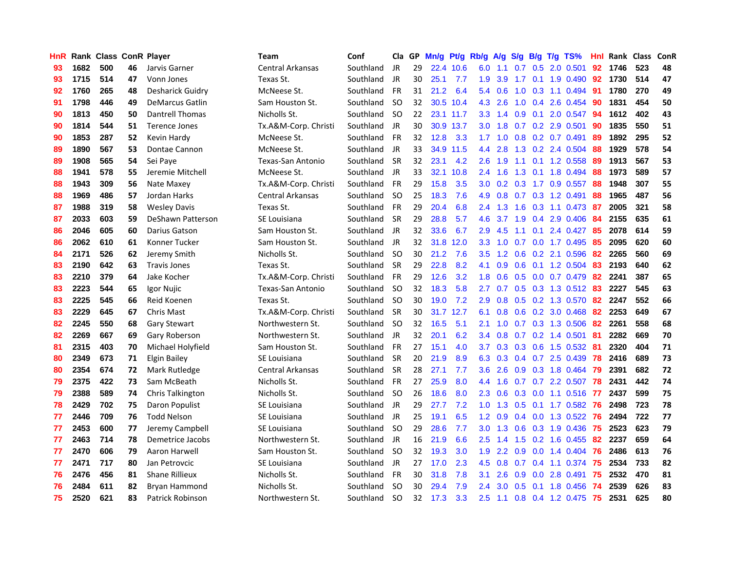| <b>HnR</b> |      | <b>Rank Class ConR Player</b> |    |                         | Team                     | Conf      | Cla           |    | GP Mn/g Pt/g |           | Rb/g             | A/g             |                  |                 | S/g B/g T/g TS%         | Hnl |      | Rank Class | ConR |
|------------|------|-------------------------------|----|-------------------------|--------------------------|-----------|---------------|----|--------------|-----------|------------------|-----------------|------------------|-----------------|-------------------------|-----|------|------------|------|
| 93         | 1682 | 500                           | 46 | Jarvis Garner           | Central Arkansas         | Southland | JR            | 29 |              | 22.4 10.6 | 6.0              | 1.1             | 0.7              | 0.5             | 2.0 0.501               | 92  | 1746 | 523        | 48   |
| 93         | 1715 | 514                           | 47 | Vonn Jones              | Texas St.                | Southland | <b>JR</b>     | 30 | 25.1         | 7.7       | 1.9              | 3.9             | 1.7              | 0.1             | 1.9 0.490               | 92  | 1730 | 514        | 47   |
| 92         | 1760 | 265                           | 48 | Desharick Guidry        | McNeese St.              | Southland | <b>FR</b>     | 31 | 21.2         | 6.4       | 5.4              | 0.6             | 1.0              | 0.3             | 1.1 0.494               | 91  | 1780 | 270        | 49   |
| 91         | 1798 | 446                           | 49 | <b>DeMarcus Gatlin</b>  | Sam Houston St.          | Southland | <b>SO</b>     | 32 |              | 30.5 10.4 | 4.3              | 2.6             |                  |                 | 1.0 0.4 2.6 0.454       | -90 | 1831 | 454        | 50   |
| 90         | 1813 | 450                           | 50 | Dantrell Thomas         | Nicholls St.             | Southland | <b>SO</b>     | 22 |              | 23.1 11.7 |                  | $3.3 \quad 1.4$ |                  |                 | 0.9 0.1 2.0 0.547       | -94 | 1612 | 402        | 43   |
| 90         | 1814 | 544                           | 51 | <b>Terence Jones</b>    | Tx.A&M-Corp. Christi     | Southland | JR            | 30 |              | 30.9 13.7 |                  | $3.0$ 1.8       |                  |                 | 0.7 0.2 2.9 0.501       | 90  | 1835 | 550        | 51   |
| 90         | 1853 | 287                           | 52 | Kevin Hardy             | McNeese St.              | Southland | <b>FR</b>     | 32 | 12.8         | 3.3       |                  | $1.7 \quad 1.0$ |                  |                 | 0.8 0.2 0.7 0.491       | 89  | 1892 | 295        | 52   |
| 89         | 1890 | 567                           | 53 | Dontae Cannon           | McNeese St.              | Southland | JR            | 33 |              | 34.9 11.5 | 4.4              | 2.8             |                  |                 | 1.3 0.2 2.4 0.504       | 88  | 1929 | 578        | 54   |
| 89         | 1908 | 565                           | 54 | Sei Paye                | Texas-San Antonio        | Southland | <b>SR</b>     | 32 | 23.1         | 4.2       | 2.6              | 1.9             | 1.1              |                 | $0.1$ 1.2 0.558         | 89  | 1913 | 567        | 53   |
| 88         | 1941 | 578                           | 55 | Jeremie Mitchell        | McNeese St.              | Southland | JR            | 33 | 32.1         | 10.8      | $2.4^{\circ}$    | 1.6             | 1.3              | 0.1             | 1.8 0.494               | 88  | 1973 | 589        | 57   |
| 88         | 1943 | 309                           | 56 | Nate Maxey              | Tx.A&M-Corp. Christi     | Southland | FR            | 29 | 15.8         | 3.5       | 3.0 <sub>2</sub> | 0.2             | 0.3              |                 | 1.7 0.9 0.557           | 88  | 1948 | 307        | 55   |
| 88         | 1969 | 486                           | 57 | Jordan Harks            | Central Arkansas         | Southland | <b>SO</b>     | 25 | 18.3         | 7.6       | 4.9              | 0.8             |                  |                 | 0.7 0.3 1.2 0.491       | 88  | 1965 | 487        | 56   |
| 87         | 1988 | 319                           | 58 | <b>Wesley Davis</b>     | Texas St.                | Southland | <b>FR</b>     | 29 | 20.4         | 6.8       | $2.4^{\circ}$    | 1.3             | 1.6              | 0.3             | 1.1 0.473               | -87 | 2005 | 321        | 58   |
| 87         | 2033 | 603                           | 59 | DeShawn Patterson       | SE Louisiana             | Southland | <b>SR</b>     | 29 | 28.8         | 5.7       | 4.6              | 3.7             | 1.9              | 0.4             | 2.9 0.406               | 84  | 2155 | 635        | 61   |
| 86         | 2046 | 605                           | 60 | Darius Gatson           | Sam Houston St.          | Southland | JR            | 32 | 33.6         | 6.7       | 2.9              | 4.5             | 1.1              | 0.1             | 2.4 0.427               | 85  | 2078 | 614        | 59   |
| 86         | 2062 | 610                           | 61 | Konner Tucker           | Sam Houston St.          | Southland | JR            | 32 | 31.8         | 12.0      | 3.3              | 1.0             | 0.7              | 0.0             | 1.7 0.495               | 85  | 2095 | 620        | 60   |
| 84         | 2171 | 526                           | 62 | Jeremy Smith            | Nicholls St.             | Southland | <b>SO</b>     | 30 | 21.2         | 7.6       | $3.5^{\circ}$    | 1.2             | 0.6              |                 | 0.2 2.1 0.596           | 82  | 2265 | 560        | 69   |
| 83         | 2190 | 642                           | 63 | <b>Travis Jones</b>     | Texas St.                | Southland | <b>SR</b>     | 29 | 22.8         | 8.2       | 4.1              | 0.9             |                  |                 | 0.6 0.1 1.2 0.504       | -83 | 2193 | 640        | 62   |
| 83         | 2210 | 379                           | 64 | Jake Kocher             | Tx.A&M-Corp. Christi     | Southland | <b>FR</b>     | 29 | 12.6         | 3.2       |                  | $1.8 \t0.6$     |                  |                 | 0.5 0.0 0.7 0.479 82    |     | 2241 | 387        | 65   |
| 83         | 2223 | 544                           | 65 | Igor Nujic              | <b>Texas-San Antonio</b> | Southland | -SO           | 32 | 18.3         | 5.8       | 2.7              | 0.7             |                  |                 | $0.5$ 0.3 1.3 0.512 83  |     | 2227 | 545        | 63   |
| 83         | 2225 | 545                           | 66 | Reid Koenen             | Texas St.                | Southland | <b>SO</b>     | 30 | 19.0         | 7.2       | 2.9              | 0.8             |                  |                 | 0.5 0.2 1.3 0.570 82    |     | 2247 | 552        | 66   |
| 83         | 2229 | 645                           | 67 | Chris Mast              | Tx.A&M-Corp. Christi     | Southland | <b>SR</b>     | 30 |              | 31.7 12.7 | 6.1              | 0.8             |                  |                 | 0.6 0.2 3.0 0.468       | 82  | 2253 | 649        | 67   |
| 82         | 2245 | 550                           | 68 | <b>Gary Stewart</b>     | Northwestern St.         | Southland | <b>SO</b>     | 32 | 16.5         | 5.1       | 2.1              | 1.0             |                  |                 | 0.7 0.3 1.3 0.506       | 82  | 2261 | 558        | 68   |
| 82         | 2269 | 667                           | 69 | Gary Roberson           | Northwestern St.         | Southland | JR            | 32 | 20.1         | 6.2       | 3.4              | 0.8             |                  |                 | $0.7$ $0.2$ 1.4 $0.501$ | 81  | 2282 | 669        | 70   |
| 81         | 2315 | 403                           | 70 | Michael Holyfield       | Sam Houston St.          | Southland | <b>FR</b>     | 27 | 15.1         | 4.0       | 3.7 <sub>2</sub> | 0.3             |                  |                 | $0.3$ 0.6 1.5 0.532     | -81 | 2320 | 404        | 71   |
| 80         | 2349 | 673                           | 71 | Elgin Bailey            | SE Louisiana             | Southland | <b>SR</b>     | 20 | 21.9         | 8.9       | 6.3              | 0.3             |                  |                 | 0.4 0.7 2.5 0.439       | 78  | 2416 | 689        | 73   |
| 80         | 2354 | 674                           | 72 | Mark Rutledge           | Central Arkansas         | Southland | <b>SR</b>     | 28 | 27.1         | 7.7       | 3.6 <sup>°</sup> | 2.6             | 0.9 <sub>o</sub> |                 | 0.3 1.8 0.464           | -79 | 2391 | 682        | 72   |
| 79         | 2375 | 422                           | 73 | Sam McBeath             | Nicholls St.             | Southland | <b>FR</b>     | 27 | 25.9         | 8.0       | 4.4              | 1.6             | 0.7              |                 | 0.7 2.2 0.507           | 78  | 2431 | 442        | 74   |
| 79         | 2388 | 589                           | 74 | Chris Talkington        | Nicholls St.             | Southland | <b>SO</b>     | 26 | 18.6         | 8.0       | 2.3              | 0.6             | 0.3              | 0.0             | 1.1 0.516               | 77  | 2437 | 599        | 75   |
| 78         | 2429 | 702                           | 75 | Daron Populist          | SE Louisiana             | Southland | JR            | 29 | 27.7         | 7.2       | 1.0              | 1.3             |                  | $0.5 \quad 0.1$ | 1.7 0.582               | -76 | 2498 | 723        | 78   |
| 77         | 2446 | 709                           | 76 | <b>Todd Nelson</b>      | SE Louisiana             | Southland | JR            | 25 | 19.1         | 6.5       | 1.2              | 0.9             |                  | $0.4\quad 0.0$  | 1.3 0.522               | 76  | 2494 | 722        | 77   |
| 77         | 2453 | 600                           | 77 | Jeremy Campbell         | SE Louisiana             | Southland | <b>SO</b>     | 29 | 28.6         | 7.7       | 3.0 <sub>2</sub> | 1.3             |                  |                 | 0.6 0.3 1.9 0.436       | 75  | 2523 | 623        | 79   |
| 77         | 2463 | 714                           | 78 | Demetrice Jacobs        | Northwestern St.         | Southland | JR            | 16 | 21.9         | 6.6       |                  | $2.5$ 1.4       |                  |                 | $1.5$ 0.2 1.6 0.455     | -82 | 2237 | 659        | 64   |
| 77         | 2470 | 606                           | 79 | Aaron Harwell           | Sam Houston St.          | Southland | <b>SO</b>     | 32 | 19.3         | 3.0       | 1.9 <sup>°</sup> | 2.2             |                  |                 | $0.9$ 0.0 1.4 0.404     | 76  | 2486 | 613        | 76   |
| 77         | 2471 | 717                           | 80 | Jan Petrovcic           | SE Louisiana             | Southland | JR            | 27 | 17.0         | 2.3       | 4.5              | 0.8             |                  |                 | $0.7$ 0.4 1.1 0.374     | 75  | 2534 | 733        | 82   |
| 76         | 2476 | 456                           | 81 | <b>Shane Rillieux</b>   | Nicholls St.             | Southland | FR            | 30 | 31.8         | 7.8       | 3.1              | 2.6             | 0.9              | 0.0             | 2.8 0.491               | 75  | 2532 | 470        | 81   |
| 76         | 2484 | 611                           | 82 | <b>Bryan Hammond</b>    | Nicholls St.             | Southland | <b>SO</b>     | 30 | 29.4         | 7.9       | 2.4              | 3.0             | 0.5              | 0.1             | 1.8 0.456               | 74  | 2539 | 626        | 83   |
| 75         | 2520 | 621                           | 83 | <b>Patrick Robinson</b> | Northwestern St.         | Southland | <sub>SO</sub> | 32 | 17.3         | 3.3       | $2.5^{\circ}$    | 1.1             |                  |                 | 0.8 0.4 1.2 0.475       | 75  | 2531 | 625        | 80   |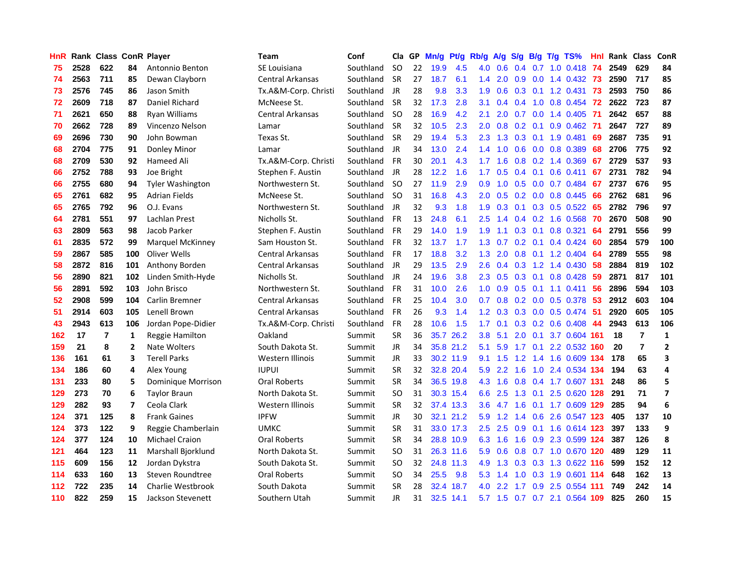| HnR. |      | <b>Rank Class ConR Player</b> |                |                         | Team                    | Conf      | Cla           | GP. | Mn/g Pt/g |           | Rb/g             | <b>A/g</b>      |     |     | S/g B/g T/g TS%               | Hnl  |      | Rank Class     | ConR         |
|------|------|-------------------------------|----------------|-------------------------|-------------------------|-----------|---------------|-----|-----------|-----------|------------------|-----------------|-----|-----|-------------------------------|------|------|----------------|--------------|
| 75   | 2528 | 622                           | 84             | Antonnio Benton         | SE Louisiana            | Southland | SO.           | 22  | 19.9      | 4.5       | 4.0              | 0.6             | 0.4 | 0.7 | $1.0 \ \ 0.418$               | 74   | 2549 | 629            | 84           |
| 74   | 2563 | 711                           | 85             | Dewan Clayborn          | <b>Central Arkansas</b> | Southland | <b>SR</b>     | 27  | 18.7      | 6.1       | $1.4^{\circ}$    | 2.0             | 0.9 | 0.0 | 1.4 0.432 73                  |      | 2590 | 717            | 85           |
| 73   | 2576 | 745                           | 86             | Jason Smith             | Tx.A&M-Corp. Christi    | Southland | <b>JR</b>     | 28  | 9.8       | 3.3       | 1.9              | 0.6             | 0.3 | 0.1 | 1.2 0.431                     | 73   | 2593 | 750            | 86           |
| 72   | 2609 | 718                           | 87             | Daniel Richard          | McNeese St.             | Southland | <b>SR</b>     | 32  | 17.3      | 2.8       | 3.1              | 0.4             | 0.4 | 1.0 | 0.8 0.454                     | 72   | 2622 | 723            | 87           |
| 71   | 2621 | 650                           | 88             | Ryan Williams           | Central Arkansas        | Southland | <b>SO</b>     | 28  | 16.9      | 4.2       | 2.1              | 2.0             |     |     | 0.7 0.0 1.4 0.405             | -71  | 2642 | 657            | 88           |
| 70   | 2662 | 728                           | 89             | Vincenzo Nelson         | Lamar                   | Southland | <b>SR</b>     | 32  | 10.5      | 2.3       | 2.0              |                 |     |     | $0.8$ 0.2 0.1 0.9 0.462       | -71  | 2647 | 727            | 89           |
| 69   | 2696 | 730                           | 90             | John Bowman             | Texas St.               | Southland | <b>SR</b>     | 29  | 19.4      | 5.3       | 2.3              | 1.3             |     |     | $0.3$ 0.1 1.9 0.481           | 69   | 2687 | 735            | 91           |
| 68   | 2704 | 775                           | 91             | Donley Minor            | Lamar                   | Southland | JR            | 34  | 13.0      | 2.4       | $1.4^{\circ}$    | 1.0             | 0.6 |     | $0.0$ 0.8 0.389               | 68   | 2706 | 775            | 92           |
| 68   | 2709 | 530                           | 92             | Hameed Ali              | Tx.A&M-Corp. Christi    | Southland | <b>FR</b>     | 30  | 20.1      | 4.3       | 1.7              | 1.6             |     |     | 0.8 0.2 1.4 0.369             | 67   | 2729 | 537            | 93           |
| 66   | 2752 | 788                           | 93             | Joe Bright              | Stephen F. Austin       | Southland | JR            | 28  | 12.2      | 1.6       | 1.7              | 0.5             | 0.4 | 0.1 | $0.6$ 0.411                   | 67   | 2731 | 782            | 94           |
| 66   | 2755 | 680                           | 94             | <b>Tyler Washington</b> | Northwestern St.        | Southland | <b>SO</b>     | 27  | 11.9      | 2.9       | 0.9              | 1.0             | 0.5 |     | $0.0$ 0.7 0.484               | 67   | 2737 | 676            | 95           |
| 65   | 2761 | 682                           | 95             | <b>Adrian Fields</b>    | McNeese St.             | Southland | -SO           | 31  | 16.8      | 4.3       | 2.0              | 0.5             |     |     | $0.2$ 0.0 0.8 0.445           | 66   | 2762 | 681            | 96           |
| 65   | 2765 | 792                           | 96             | O.J. Evans              | Northwestern St.        | Southland | JR            | 32  | 9.3       | 1.8       | 1.9              | 0.3             | 0.1 |     | $0.3$ 0.5 0.522               | 65   | 2782 | 796            | 97           |
| 64   | 2781 | 551                           | 97             | Lachlan Prest           | Nicholls St.            | Southland | <b>FR</b>     | 13  | 24.8      | 6.1       | $2.5\,$          | 1.4             |     |     | $0.4$ 0.2 1.6 0.568           | 70   | 2670 | 508            | 90           |
| 63   | 2809 | 563                           | 98             | Jacob Parker            | Stephen F. Austin       | Southland | FR            | 29  | 14.0      | 1.9       | 1.9              | 1.1             | 0.3 | 0.1 | $0.8$ 0.321                   | 64   | 2791 | 556            | 99           |
| 61   | 2835 | 572                           | 99             | <b>Marquel McKinney</b> | Sam Houston St.         | Southland | <b>FR</b>     | 32  | 13.7      | 1.7       | 1.3              | 0.7             | 0.2 | 0.1 | 0.4 0.424                     | 60   | 2854 | 579            | 100          |
| 59   | 2867 | 585                           | 100            | Oliver Wells            | <b>Central Arkansas</b> | Southland | FR            | 17  | 18.8      | 3.2       | 1.3 <sub>1</sub> | 2.0             | 0.8 | 0.1 | 1.2 0.404                     | -64  | 2789 | 555            | 98           |
| 58   | 2872 | 816                           | 101            | Anthony Borden          | Central Arkansas        | Southland | JR            | 29  | 13.5      | 2.9       | $2.6^{\circ}$    | 0.4             | 0.3 |     | 1.2 1.4 0.430                 | -58  | 2884 | 819            | 102          |
| 56   | 2890 | 821                           | 102            | Linden Smith-Hyde       | Nicholls St.            | Southland | JR            | 24  | 19.6      | 3.8       |                  |                 |     |     | 2.3 0.5 0.3 0.1 0.8 0.428     | -59  | 2871 | 817            | 101          |
| 56   | 2891 | 592                           | 103            | John Brisco             | Northwestern St.        | Southland | FR            | 31  | 10.0      | 2.6       |                  | $1.0 \quad 0.9$ |     |     | $0.5$ 0.1 1.1 0.411           | 56   | 2896 | 594            | 103          |
| 52   | 2908 | 599                           | 104            | Carlin Bremner          | Central Arkansas        | Southland | <b>FR</b>     | 25  | 10.4      | 3.0       | 0.7              | 0.8             |     |     | 0.2 0.0 0.5 0.378 53          |      | 2912 | 603            | 104          |
| 51   | 2914 | 603                           | 105            | Lenell Brown            | Central Arkansas        | Southland | <b>FR</b>     | 26  | 9.3       | 1.4       | 1.2 <sub>1</sub> | 0.3             |     |     | $0.3$ 0.0 0.5 0.474           | -51  | 2920 | 605            | 105          |
| 43   | 2943 | 613                           | 106            | Jordan Pope-Didier      | Tx.A&M-Corp. Christi    | Southland | <b>FR</b>     | 28  | 10.6      | 1.5       | 1.7              | 0.1             |     |     | $0.3$ 0.2 0.6 0.408           | 44   | 2943 | 613            | 106          |
| 162  | 17   | $\overline{7}$                | 1              | Reggie Hamilton         | Oakland                 | Summit    | <b>SR</b>     | 36  | 35.7      | 26.2      | 3.8              | 5.1             | 2.0 |     | 0.1 3.7 0.604 161             |      | 18   | $\overline{7}$ | $\mathbf{1}$ |
| 159  | 21   | 8                             | $\overline{2}$ | Nate Wolters            | South Dakota St.        | Summit    | JR            | 34  |           | 35.8 21.2 | 5.1              | 5.9             |     |     | 1.7 0.1 2.2 0.532 160         |      | 20   | $\overline{7}$ | $\mathbf{2}$ |
| 136  | 161  | 61                            | 3              | <b>Terell Parks</b>     | Western Illinois        | Summit    | <b>JR</b>     | 33  |           | 30.2 11.9 | 9.1              | 1.5             | 1.2 |     | 1.4 1.6 0.609 134             |      | 178  | 65             | 3            |
| 134  | 186  | 60                            | 4              | Alex Young              | <b>IUPUI</b>            | Summit    | <b>SR</b>     | 32  |           | 32.8 20.4 | 5.9              | $2.2^{\circ}$   | 1.6 | 1.0 | 2.4 0.534 134                 |      | 194  | 63             | 4            |
| 131  | 233  | 80                            | 5              | Dominique Morrison      | Oral Roberts            | Summit    | <b>SR</b>     | 34  |           | 36.5 19.8 | 4.3              | 1.6             | 0.8 |     | 0.4 1.7 0.607 131             |      | 248  | 86             | 5            |
| 129  | 273  | 70                            | 6              | <b>Taylor Braun</b>     | North Dakota St.        | Summit    | <sub>SO</sub> | 31  |           | 30.3 15.4 | 6.6              | 2.5             | 1.3 | 0.1 | 2.5 0.620 128                 |      | 291  | 71             | 7            |
| 129  | 282  | 93                            | 7              | Ceola Clark             | Western Illinois        | Summit    | <b>SR</b>     | 32  |           | 37.4 13.3 | 3.6              | 4.7             | 1.6 | 0.1 | 1.7 0.609 129                 |      | 285  | 94             | 6            |
| 124  | 371  | 125                           | 8              | <b>Frank Gaines</b>     | <b>IPFW</b>             | Summit    | JR            | 30  |           | 32.1 21.2 | 5.9              | 1.2             | 1.4 | 0.6 | 2.6 0.547 123                 |      | 405  | 137            | 10           |
| 124  | 373  | 122                           | 9              | Reggie Chamberlain      | UMKC                    | Summit    | SR            | 31  |           | 33.0 17.3 | 2.5              | 2.5             |     |     | 0.9 0.1 1.6 0.614 123         |      | 397  | 133            | 9            |
| 124  | 377  | 124                           | 10             | <b>Michael Craion</b>   | Oral Roberts            | Summit    | <b>SR</b>     | 34  |           | 28.8 10.9 |                  | 6.3 1.6         |     |     | 1.6 0.9 2.3 0.599 124         |      | 387  | 126            | 8            |
| 121  | 464  | 123                           | 11             | Marshall Bjorklund      | North Dakota St.        | Summit    | <sub>SO</sub> | 31  |           | 26.3 11.6 | 5.9              | 0.6             |     |     | 0.8 0.7 1.0 0.670 120         |      | 489  | 129            | 11           |
| 115  | 609  | 156                           | 12             | Jordan Dykstra          | South Dakota St.        | Summit    | <b>SO</b>     | 32  |           | 24.8 11.3 | 4.9              | 1.3             |     |     | 0.3 0.3 1.3 0.622 116         |      | 599  | 152            | 12           |
| 114  | 633  | 160                           | 13             | Steven Roundtree        | Oral Roberts            | Summit    | <b>SO</b>     | 34  | 25.5      | 9.8       | 5.3              | 1.4             | 1.0 |     | 0.3 1.9 0.601 114             |      | 648  | 162            | 13           |
| 112  | 722  | 235                           | 14             | Charlie Westbrook       | South Dakota            | Summit    | <b>SR</b>     | 28  | 32.4      | 18.7      | 4.0              | 2.2             | 1.7 | 0.9 | 2.5 0.554                     | -111 | 749  | 242            | 14           |
| 110  | 822  | 259                           | 15             | Jackson Stevenett       | Southern Utah           | Summit    | JR            | 31  |           | 32.5 14.1 |                  |                 |     |     | 5.7 1.5 0.7 0.7 2.1 0.564 109 |      | 825  | 260            | 15           |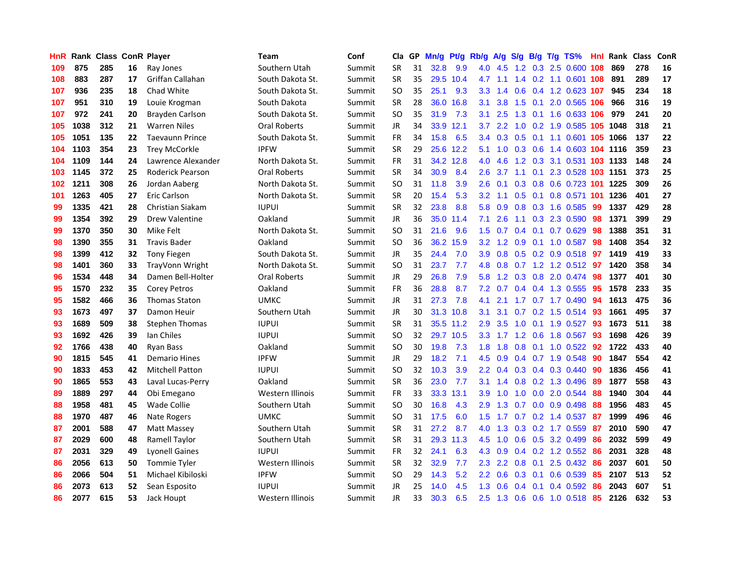| HnR. |      | <b>Rank Class ConR Player</b> |    |                         | Team                | Conf   | Cla           | GP. | Mn/g Pt/g |           | Rb/g             | <b>A/g</b> | <b>S/g</b>    |                 | B/g T/g TS%                        | Hnl | Rank Class |     | <b>ConR</b> |
|------|------|-------------------------------|----|-------------------------|---------------------|--------|---------------|-----|-----------|-----------|------------------|------------|---------------|-----------------|------------------------------------|-----|------------|-----|-------------|
| 109  | 875  | 285                           | 16 | Ray Jones               | Southern Utah       | Summit | <b>SR</b>     | 31  | 32.8      | 9.9       | 4.0              | 4.5        | 1.2           | 0.3             | 2.5 0.600                          | 108 | 869        | 278 | 16          |
| 108  | 883  | 287                           | 17 | Griffan Callahan        | South Dakota St.    | Summit | <b>SR</b>     | 35  |           | 29.5 10.4 | 4.7              | 1.1        | $1.4^{\circ}$ |                 | 0.2 1.1 0.601 108                  |     | 891        | 289 | 17          |
| 107  | 936  | 235                           | 18 | Chad White              | South Dakota St.    | Summit | <b>SO</b>     | 35  | 25.1      | 9.3       | 3.3 <sub>2</sub> | 1.4        | 0.6           | 0.4             | 1.2 0.623 107                      |     | 945        | 234 | 18          |
| 107  | 951  | 310                           | 19 | Louie Krogman           | South Dakota        | Summit | <b>SR</b>     | 28  | 36.0      | 16.8      | 3.1              | 3.8        | 1.5           | 0.1             | 2.0 0.565 106                      |     | 966        | 316 | 19          |
| 107  | 972  | 241                           | 20 | Brayden Carlson         | South Dakota St.    | Summit | <b>SO</b>     | 35  | 31.9      | 7.3       | 3.1              | 2.5        |               |                 | 1.3 0.1 1.6 0.633 106              |     | 979        | 241 | 20          |
| 105  | 1038 | 312                           | 21 | <b>Warren Niles</b>     | <b>Oral Roberts</b> | Summit | <b>JR</b>     | 34  |           | 33.9 12.1 | 3.7              | 2.2        |               |                 | 1.0 0.2 1.9 0.585 105 1048         |     |            | 318 | 21          |
| 105  | 1051 | 135                           | 22 | <b>Taevaunn Prince</b>  | South Dakota St.    | Summit | <b>FR</b>     | 34  | 15.8      | 6.5       |                  |            |               |                 | 3.4 0.3 0.5 0.1 1.1 0.601 105 1066 |     |            | 137 | 22          |
| 104  | 1103 | 354                           | 23 | <b>Trey McCorkle</b>    | <b>IPFW</b>         | Summit | <b>SR</b>     | 29  |           | 25.6 12.2 | 5.1              | 1.0        |               |                 | 0.3 0.6 1.4 0.603 104 1116         |     |            | 359 | 23          |
| 104  | 1109 | 144                           | 24 | Lawrence Alexander      | North Dakota St.    | Summit | <b>FR</b>     | 31  |           | 34.2 12.8 | 4.0              | 4.6        |               |                 | 1.2 0.3 3.1 0.531 103 1133         |     |            | 148 | 24          |
| 103  | 1145 | 372                           | 25 | <b>Roderick Pearson</b> | <b>Oral Roberts</b> | Summit | <b>SR</b>     | 34  | 30.9      | 8.4       | 2.6              | 3.7        | 1.1           | 0.1             | 2.3 0.528 103 1151                 |     |            | 373 | 25          |
| 102  | 1211 | 308                           | 26 | Jordan Aaberg           | North Dakota St.    | Summit | <b>SO</b>     | 31  | 11.8      | 3.9       | 2.6              | 0.1        | 0.3           |                 | 0.8 0.6 0.723 101 1225             |     |            | 309 | 26          |
| 101  | 1263 | 405                           | 27 | Eric Carlson            | North Dakota St.    | Summit | <b>SR</b>     | 20  | 15.4      | 5.3       | 3.2 <sub>2</sub> | 1.1        | 0.5           | 0.1             | 0.8 0.571 101 1236                 |     |            | 401 | 27          |
| 99   | 1335 | 421                           | 28 | <b>Christian Siakam</b> | <b>IUPUI</b>        | Summit | <b>SR</b>     | 32  | 23.8      | 8.8       | 5.8              | 0.9        |               |                 | 0.8 0.3 1.6 0.585                  | 99  | 1337       | 429 | 28          |
| 99   | 1354 | 392                           | 29 | <b>Drew Valentine</b>   | Oakland             | Summit | JR.           | 36  |           | 35.0 11.4 | 7.1              | 2.6        | 1.1           | 0.3             | 2.3 0.590                          | 98  | 1371       | 399 | 29          |
| 99   | 1370 | 350                           | 30 | Mike Felt               | North Dakota St.    | Summit | <b>SO</b>     | 31  | 21.6      | 9.6       | 1.5 <sub>1</sub> | 0.7        |               | $0.4 \quad 0.1$ | $0.7$ $0.629$                      | 98  | 1388       | 351 | 31          |
| 98   | 1390 | 355                           | 31 | <b>Travis Bader</b>     | Oakland             | Summit | <b>SO</b>     | 36  |           | 36.2 15.9 | 3.2 <sub>2</sub> | 1.2        | 0.9           | 0.1             | 1.0 0.587                          | 98  | 1408       | 354 | 32          |
| 98   | 1399 | 412                           | 32 | <b>Tony Fiegen</b>      | South Dakota St.    | Summit | JR            | 35  | 24.4      | 7.0       | 3.9 <sup>°</sup> | 0.8        |               |                 | $0.5$ 0.2 0.9 0.518                | -97 | 1419       | 419 | 33          |
| 98   | 1401 | 360                           | 33 | TrayVonn Wright         | North Dakota St.    | Summit | <b>SO</b>     | 31  | 23.7      | 7.7       | 4.8              |            |               |                 | 0.8 0.7 1.2 1.2 0.512 97           |     | 1420       | 358 | 34          |
| 96   | 1534 | 448                           | 34 | Damen Bell-Holter       | <b>Oral Roberts</b> | Summit | <b>JR</b>     | 29  | 26.8      | 7.9       | 5.8              |            |               |                 | 1.2 0.3 0.8 2.0 0.474 98           |     | 1377       | 401 | 30          |
| 95   | 1570 | 232                           | 35 | <b>Corey Petros</b>     | Oakland             | Summit | FR            | 36  | 28.8      | 8.7       | 7.2              | 0.7        |               |                 | 0.4 0.4 1.3 0.555                  | 95  | 1578       | 233 | 35          |
| 95   | 1582 | 466                           | 36 | <b>Thomas Staton</b>    | <b>UMKC</b>         | Summit | JR            | 31  | 27.3      | 7.8       | 4.1              | 2.1        |               |                 | 1.7 0.7 1.7 0.490 94               |     | 1613       | 475 | 36          |
| 93   | 1673 | 497                           | 37 | Damon Heuir             | Southern Utah       | Summit | <b>JR</b>     | 30  |           | 31.3 10.8 | 3.1              | 3.1        |               |                 | $0.7$ $0.2$ $1.5$ $0.514$          | 93  | 1661       | 495 | 37          |
| 93   | 1689 | 509                           | 38 | <b>Stephen Thomas</b>   | <b>IUPUI</b>        | Summit | <b>SR</b>     | 31  |           | 35.5 11.2 | 2.9              | 3.5        | 1.0           |                 | $0.1$ 1.9 0.527                    | -93 | 1673       | 511 | 38          |
| 93   | 1692 | 426                           | 39 | Ian Chiles              | <b>IUPUI</b>        | Summit | <sub>SO</sub> | 32  |           | 29.7 10.5 | 3.3 <sub>2</sub> | 1.7        |               | $1.2 \quad 0.6$ | 1.8 0.567                          | 93  | 1698       | 426 | 39          |
| 92   | 1766 | 438                           | 40 | <b>Ryan Bass</b>        | Oakland             | Summit | <b>SO</b>     | 30  | 19.8      | 7.3       | 1.8              | 1.8        | 0.8           | 0.1             | 1.0 0.522                          | 92  | 1722       | 433 | 40          |
| 90   | 1815 | 545                           | 41 | <b>Demario Hines</b>    | <b>IPFW</b>         | Summit | <b>JR</b>     | 29  | 18.2      | 7.1       | 4.5              | 0.9        |               |                 | 0.4 0.7 1.9 0.548                  | 90  | 1847       | 554 | 42          |
| 90   | 1833 | 453                           | 42 | <b>Mitchell Patton</b>  | <b>IUPUI</b>        | Summit | <b>SO</b>     | 32  | 10.3      | 3.9       | $2.2^{\circ}$    | 0.4        |               | $0.3 \quad 0.4$ | 0.3 0.440                          | 90  | 1836       | 456 | 41          |
| 90   | 1865 | 553                           | 43 | Laval Lucas-Perry       | Oakland             | Summit | <b>SR</b>     | 36  | 23.0      | 7.7       | 3.1              | 1.4        | 0.8           |                 | $0.2$ 1.3 0.496                    | -89 | 1877       | 558 | 43          |
| 89   | 1889 | 297                           | 44 | Obi Emegano             | Western Illinois    | Summit | FR            | 33  | 33.3      | 13.1      | 3.9              | 1.0        | 1.0           | 0.0             | 2.0 0.544                          | 88  | 1940       | 304 | 44          |
| 88   | 1958 | 481                           | 45 | Wade Collie             | Southern Utah       | Summit | <sub>SO</sub> | 30  | 16.8      | 4.3       | 2.9              | 1.3        | 0.7           | 0.0             | 0.9 0.498                          | 88  | 1956       | 483 | 45          |
| 88   | 1970 | 487                           | 46 | Nate Rogers             | <b>UMKC</b>         | Summit | <b>SO</b>     | 31  | 17.5      | 6.0       | $1.5^{\circ}$    | 1.7        |               |                 | $0.7$ $0.2$ 1.4 $0.537$            | -87 | 1999       | 496 | 46          |
| 87   | 2001 | 588                           | 47 | Matt Massey             | Southern Utah       | Summit | SR            | 31  | 27.2      | 8.7       | 4.0              |            |               |                 | 1.3 0.3 0.2 1.7 0.559              | -87 | 2010       | 590 | 47          |
| 87   | 2029 | 600                           | 48 | <b>Ramell Taylor</b>    | Southern Utah       | Summit | <b>SR</b>     | 31  |           | 29.3 11.3 | 4.5              | 1.0        |               |                 | 0.6 0.5 3.2 0.499                  | 86  | 2032       | 599 | 49          |
| 87   | 2031 | 329                           | 49 | <b>Lyonell Gaines</b>   | <b>IUPUI</b>        | Summit | <b>FR</b>     | 32  | 24.1      | 6.3       | 4.3              | 0.9        |               |                 | $0.4$ 0.2 1.2 0.552                | 86  | 2031       | 328 | 48          |
| 86   | 2056 | 613                           | 50 | <b>Tommie Tyler</b>     | Western Illinois    | Summit | <b>SR</b>     | 32  | 32.9      | 7.7       | 2.3              | 2.2        | 0.8           | 0.1             | 2.5 0.432                          | 86  | 2037       | 601 | 50          |
| 86   | 2066 | 504                           | 51 | Michael Kibiloski       | <b>IPFW</b>         | Summit | <b>SO</b>     | 29  | 14.3      | 5.2       | 2.2              | 0.6        | 0.3           | 0.1             | 0.6 0.539                          | 85  | 2107       | 513 | 52          |
| 86   | 2073 | 613                           | 52 | Sean Esposito           | <b>IUPUI</b>        | Summit | <b>JR</b>     | 25  | 14.0      | 4.5       | 1.3              | 0.6        | 0.4           | 0.1             | 0.4 0.592                          | 86  | 2043       | 607 | 51          |
| 86   | 2077 | 615                           | 53 | Jack Houpt              | Western Illinois    | Summit | JR            | 33  | 30.3      | 6.5       |                  |            |               |                 | 2.5 1.3 0.6 0.6 1.0 0.518          | 85  | 2126       | 632 | 53          |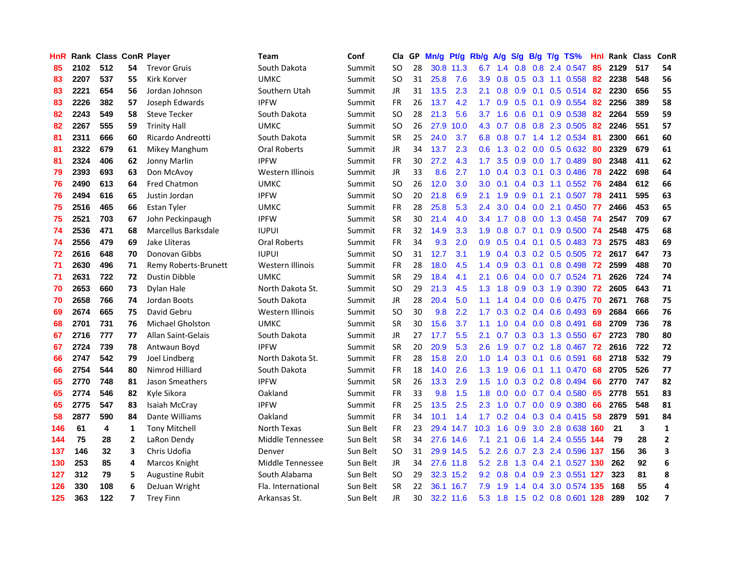| <b>HnR</b> |      | Rank Class ConR Player |                |                         | <b>Team</b>         | Conf     | Cla       |    | GP Mn/g Pt/g |           | Rb/g             | A/g             |                 |                 | S/g B/g T/g TS%           | Hnl  | Rank Class |     | ConR                    |
|------------|------|------------------------|----------------|-------------------------|---------------------|----------|-----------|----|--------------|-----------|------------------|-----------------|-----------------|-----------------|---------------------------|------|------------|-----|-------------------------|
| 85         | 2102 | 512                    | 54             | <b>Trevor Gruis</b>     | South Dakota        | Summit   | SO.       | 28 |              | 30.8 11.3 | 6.7              | 1.4             | 0.8             | 0.8             | 2.4 0.547                 | 85   | 2129       | 517 | 54                      |
| 83         | 2207 | 537                    | 55             | <b>Kirk Korver</b>      | <b>UMKC</b>         | Summit   | <b>SO</b> | 31 | 25.8         | 7.6       | 3.9              | 0.8             | $0.5 \quad 0.3$ |                 | 1.1 0.558                 | 82   | 2238       | 548 | 56                      |
| 83         | 2221 | 654                    | 56             | Jordan Johnson          | Southern Utah       | Summit   | <b>JR</b> | 31 | 13.5         | 2.3       | 2.1              | 0.8             | 0.9             | 0.1             | $0.5$ 0.514               | 82   | 2230       | 656 | 55                      |
| 83         | 2226 | 382                    | 57             | Joseph Edwards          | <b>IPFW</b>         | Summit   | FR        | 26 | 13.7         | 4.2       | 1.7              | 0.9             | $0.5 \quad 0.1$ |                 | 0.9 0.554                 | 82   | 2256       | 389 | 58                      |
| 82         | 2243 | 549                    | 58             | <b>Steve Tecker</b>     | South Dakota        | Summit   | <b>SO</b> | 28 | 21.3         | 5.6       | 3.7              | 1.6             |                 |                 | 0.6 0.1 0.9 0.538         | -82  | 2264       | 559 | 59                      |
| 82         | 2267 | 555                    | 59             | <b>Trinity Hall</b>     | <b>UMKC</b>         | Summit   | SO.       | 26 | 27.9         | 10.0      | 4.3              | 0.7             |                 |                 | 0.8 0.8 2.3 0.505         | 82   | 2246       | 551 | 57                      |
| 81         | 2311 | 666                    | 60             | Ricardo Andreotti       | South Dakota        | Summit   | <b>SR</b> | 25 | 24.0         | 3.7       | 6.8              | 0.8             | 0.7             |                 | 1.4 1.2 0.534             | 81   | 2300       | 661 | 60                      |
| 81         | 2322 | 679                    | 61             | Mikey Manghum           | Oral Roberts        | Summit   | <b>JR</b> | 34 | 13.7         | 2.3       | 0.6 <sub>1</sub> | 1.3             |                 |                 | $0.2$ 0.0 0.5 0.632       | 80   | 2329       | 679 | 61                      |
| 81         | 2324 | 406                    | 62             | Jonny Marlin            | <b>IPFW</b>         | Summit   | <b>FR</b> | 30 | 27.2         | 4.3       | 1.7 <sub>2</sub> | 3.5             | 0.9             | 0.0             | 1.7 0.489                 | 80   | 2348       | 411 | 62                      |
| 79         | 2393 | 693                    | 63             | Don McAvoy              | Western Illinois    | Summit   | JR        | 33 | 8.6          | 2.7       | 1.0              | 0.4             |                 | $0.3 \quad 0.1$ | 0.3 0.486                 | 78   | 2422       | 698 | 64                      |
| 76         | 2490 | 613                    | 64             | <b>Fred Chatmon</b>     | <b>UMKC</b>         | Summit   | SO.       | 26 | 12.0         | 3.0       | 3.0              | 0.1             |                 |                 | 0.4 0.3 1.1 0.552         | 76   | 2484       | 612 | 66                      |
| 76         | 2494 | 616                    | 65             | Justin Jordan           | <b>IPFW</b>         | Summit   | <b>SO</b> | 20 | 21.8         | 6.9       | 2.1              | 1.9             | 0.9             | 0.1             | 2.1 0.507                 | 78   | 2411       | 595 | 63                      |
| 75         | 2516 | 465                    | 66             | <b>Estan Tyler</b>      | <b>UMKC</b>         | Summit   | FR        | 28 | 25.8         | 5.3       | 2.4              | 3.0             | $0.4^{\circ}$   | 0.0             | 2.1 0.450                 | -77  | 2466       | 453 | 65                      |
| 75         | 2521 | 703                    | 67             | John Peckinpaugh        | <b>IPFW</b>         | Summit   | <b>SR</b> | 30 | 21.4         | 4.0       | 3.4              | 1.7             | 0.8             | 0.0             | 1.3 0.458                 | -74  | 2547       | 709 | 67                      |
| 74         | 2536 | 471                    | 68             | Marcellus Barksdale     | <b>IUPUI</b>        | Summit   | FR        | 32 | 14.9         | 3.3       | 1.9              | 0.8             | 0.7             | 0.1             | 0.9 0.500                 | 74   | 2548       | 475 | 68                      |
| 74         | 2556 | 479                    | 69             | Jake Lliteras           | <b>Oral Roberts</b> | Summit   | <b>FR</b> | 34 | 9.3          | 2.0       | 0.9 <sub>0</sub> | 0.5             | $0.4 \quad 0.1$ |                 | $0.5 \ \ 0.483$           | -73  | 2575       | 483 | 69                      |
| 72         | 2616 | 648                    | 70             | Donovan Gibbs           | <b>IUPUI</b>        | Summit   | <b>SO</b> | 31 | 12.7         | 3.1       | 1.9              |                 |                 |                 | $0.4$ 0.3 0.2 0.5 0.505   | 72   | 2617       | 647 | 73                      |
| 71         | 2630 | 496                    | 71             | Remy Roberts-Brunett    | Western Illinois    | Summit   | FR        | 28 | 18.0         | 4.5       |                  | $1.4 \quad 0.9$ |                 |                 | 0.3 0.1 0.8 0.498 72      |      | 2599       | 488 | 70                      |
| 71         | 2631 | 722                    | 72             | Dustin Dibble           | <b>UMKC</b>         | Summit   | <b>SR</b> | 29 | 18.4         | 4.1       | 2.1              | 0.6             |                 |                 | 0.4 0.0 0.7 0.524         | - 71 | 2626       | 724 | 74                      |
| 70         | 2653 | 660                    | 73             | Dylan Hale              | North Dakota St.    | Summit   | SO.       | 29 | 21.3         | 4.5       |                  | $1.3 \quad 1.8$ |                 |                 | 0.9 0.3 1.9 0.390 72      |      | 2605       | 643 | 71                      |
| 70         | 2658 | 766                    | 74             | Jordan Boots            | South Dakota        | Summit   | JR        | 28 | 20.4         | 5.0       | 1.1 <sub>1</sub> | 1.4             |                 |                 | 0.4 0.0 0.6 0.475 70      |      | 2671       | 768 | 75                      |
| 69         | 2674 | 665                    | 75             | David Gebru             | Western Illinois    | Summit   | <b>SO</b> | 30 | 9.8          | 2.2       | 1.7 <sup>2</sup> | 0.3             |                 |                 | $0.2$ 0.4 0.6 0.493       | -69  | 2684       | 666 | 76                      |
| 68         | 2701 | 731                    | 76             | <b>Michael Gholston</b> | <b>UMKC</b>         | Summit   | <b>SR</b> | 30 | 15.6         | 3.7       | 1.1              | 1.0             |                 |                 | $0.4$ 0.0 0.8 0.491       | 68   | 2709       | 736 | 78                      |
| 67         | 2716 | 777                    | 77             | Allan Saint-Gelais      | South Dakota        | Summit   | JR        | 27 | 17.7         | 5.5       | 2.1              | 0.7             |                 |                 | $0.3$ $0.3$ $1.3$ $0.550$ | 67   | 2723       | 780 | 80                      |
| 67         | 2724 | 739                    | 78             | Antwaun Boyd            | <b>IPFW</b>         | Summit   | <b>SR</b> | 20 | 20.9         | 5.3       | 2.6              | 1.9             |                 |                 | 0.7 0.2 1.8 0.467         | 72   | 2616       | 722 | 72                      |
| 66         | 2747 | 542                    | 79             | Joel Lindberg           | North Dakota St.    | Summit   | <b>FR</b> | 28 | 15.8         | 2.0       | 1.0              | 1.4             | 0.3             | 0.1             | 0.6 0.591                 | 68   | 2718       | 532 | 79                      |
| 66         | 2754 | 544                    | 80             | Nimrod Hilliard         | South Dakota        | Summit   | FR.       | 18 | 14.0         | 2.6       | 1.3              | 1.9             | 0.6             |                 | $0.1$ 1.1 0.470           | 68   | 2705       | 526 | 77                      |
| 65         | 2770 | 748                    | 81             | Jason Smeathers         | <b>IPFW</b>         | Summit   | <b>SR</b> | 26 | 13.3         | 2.9       | $1.5^{\circ}$    | 1.0             | 0.3             |                 | 0.2 0.8 0.494             | 66   | 2770       | 747 | 82                      |
| 65         | 2774 | 546                    | 82             | Kyle Sikora             | Oakland             | Summit   | FR        | 33 | 9.8          | 1.5       | 1.8              | 0.0             | 0.0             |                 | 0.7 0.4 0.580             | 65   | 2778       | 551 | 83                      |
| 65         | 2775 | 547                    | 83             | Isaiah McCray           | <b>IPFW</b>         | Summit   | FR        | 25 | 13.5         | 2.5       | 2.3              | 1.0             | 0.7             |                 | 0.0 0.9 0.380             | 66   | 2765       | 548 | 81                      |
| 58         | 2877 | 590                    | 84             | Dante Williams          | Oakland             | Summit   | <b>FR</b> | 34 | 10.1         | 1.4       | 1.7              |                 |                 |                 | $0.2$ 0.4 0.3 0.4 0.415   | 58   | 2879       | 591 | 84                      |
| 146        | 61   | 4                      | 1              | Tony Mitchell           | North Texas         | Sun Belt | <b>FR</b> | 23 |              | 29.4 14.7 | 10.3             | 1.6             | 0.9             |                 | 3.0 2.8 0.638 160         |      | 21         | 3   | 1                       |
| 144        | 75   | 28                     | $\overline{2}$ | LaRon Dendy             | Middle Tennessee    | Sun Belt | <b>SR</b> | 34 |              | 27.6 14.6 | 7.1              | 2.1             | 0.6             |                 | 1.4 2.4 0.555 144         |      | 79         | 28  | $\mathbf{2}$            |
| 137        | 146  | 32                     | 3              | Chris Udofia            | Denver              | Sun Belt | <b>SO</b> | 31 |              | 29.9 14.5 | 5.2              | 2.6             | 0.7             |                 | 2.3 2.4 0.596 137         |      | 156        | 36  | 3                       |
| 130        | 253  | 85                     | 4              | Marcos Knight           | Middle Tennessee    | Sun Belt | JR        | 34 |              | 27.6 11.8 | 5.2              | 2.8             |                 |                 | 1.3 0.4 2.1 0.527 130     |      | 262        | 92  | 6                       |
| 127        | 312  | 79                     | 5              | Augustine Rubit         | South Alabama       | Sun Belt | <b>SO</b> | 29 |              | 32.3 15.2 | 9.2              | 0.8             |                 | $0.4\quad 0.9$  | 2.3 0.551                 | 127  | 323        | 81  | 8                       |
| 126        | 330  | 108                    | 6              | DeJuan Wright           | Fla. International  | Sun Belt | <b>SR</b> | 22 | 36.1         | 16.7      | 7.9              | 1.9             | 1.4             | $0.4^{\circ}$   | 3.0 0.574                 | -135 | 168        | 55  | 4                       |
| 125        | 363  | 122                    | 7              | <b>Trey Finn</b>        | Arkansas St.        | Sun Belt | <b>JR</b> | 30 |              | 32.2 11.6 |                  | $5.3$ 1.8       |                 |                 | 1.5 0.2 0.8 0.601 128     |      | 289        | 102 | $\overline{\mathbf{z}}$ |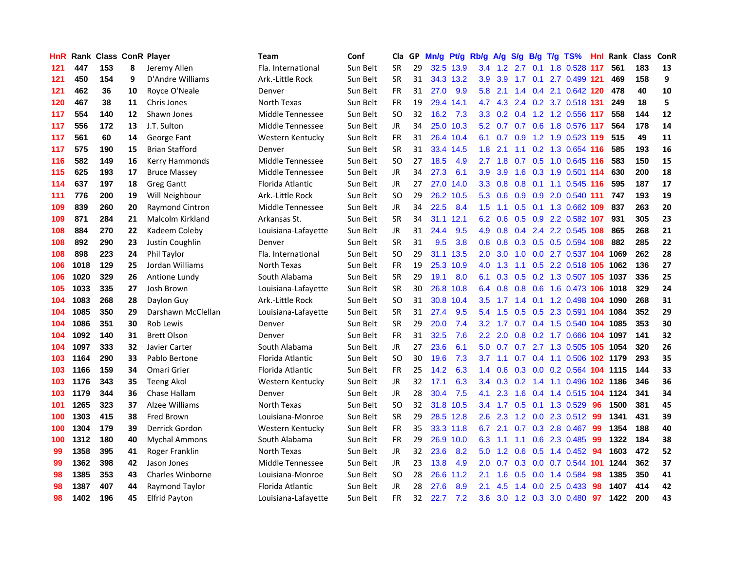| <b>HnR</b> |      | <b>Rank Class ConR Player</b> |    |                         | Team                | Conf     | Cla       |    | GP Mn/g Pt/g Rb/g A/g |           |                  |                 |               |     | S/g B/g T/g TS%                    | Hnl |      | Rank Class | <b>ConR</b> |
|------------|------|-------------------------------|----|-------------------------|---------------------|----------|-----------|----|-----------------------|-----------|------------------|-----------------|---------------|-----|------------------------------------|-----|------|------------|-------------|
| 121        | 447  | 153                           | 8  | Jeremy Allen            | Fla. International  | Sun Belt | SR        | 29 |                       | 32.5 13.9 |                  | $3.4$ 1.2       | 2.7           | 0.1 | 1.8 0.528                          | 117 | 561  | 183        | 13          |
| 121        | 450  | 154                           | 9  | D'Andre Williams        | Ark.-Little Rock    | Sun Belt | <b>SR</b> | 31 |                       | 34.3 13.2 | 3.9              | 3.9             | 1.7           | 0.1 | 2.7 0.499 121                      |     | 469  | 158        | 9           |
| 121        | 462  | 36                            | 10 | Royce O'Neale           | Denver              | Sun Belt | <b>FR</b> | 31 | 27.0                  | 9.9       | 5.8              | 2.1             | $1.4^{\circ}$ |     | 0.4 2.1 0.642 120                  |     | 478  | 40         | 10          |
| 120        | 467  | 38                            | 11 | Chris Jones             | North Texas         | Sun Belt | <b>FR</b> | 19 |                       | 29.4 14.1 | 4.7              |                 |               |     | 4.3 2.4 0.2 3.7 0.518 131          |     | 249  | 18         | 5           |
| 117        | 554  | 140                           | 12 | Shawn Jones             | Middle Tennessee    | Sun Belt | SO        | 32 | 16.2                  | 7.3       |                  |                 |               |     | 3.3 0.2 0.4 1.2 1.2 0.556 117      |     | 558  | 144        | 12          |
| 117        | 556  | 172                           | 13 | J.T. Sulton             | Middle Tennessee    | Sun Belt | JR.       | 34 |                       | 25.0 10.3 |                  |                 |               |     | 5.2 0.7 0.7 0.6 1.8 0.576 117      |     | 564  | 178        | 14          |
| 117        | 561  | 60                            | 14 | George Fant             | Western Kentucky    | Sun Belt | <b>FR</b> | 31 |                       | 26.4 10.4 |                  |                 |               |     | 6.1 0.7 0.9 1.2 1.9 0.523 119      |     | 515  | 49         | 11          |
| 117        | 575  | 190                           | 15 | <b>Brian Stafford</b>   | Denver              | Sun Belt | SR        | 31 |                       | 33.4 14.5 | 1.8 <sup>°</sup> | 2.1             |               |     | 1.1 0.2 1.3 0.654 116              |     | 585  | 193        | 16          |
| 116        | 582  | 149                           | 16 | Kerry Hammonds          | Middle Tennessee    | Sun Belt | SO        | 27 | 18.5                  | 4.9       | 2.7 <sup>2</sup> | 1.8             |               |     | 0.7 0.5 1.0 0.645 116              |     | 583  | 150        | 15          |
| 115        | 625  | 193                           | 17 | <b>Bruce Massey</b>     | Middle Tennessee    | Sun Belt | JR        | 34 | 27.3                  | 6.1       | 3.9              | 3.9             | 1.6           |     | 0.3 1.9 0.501 114                  |     | 630  | 200        | 18          |
| 114        | 637  | 197                           | 18 | <b>Greg Gantt</b>       | Florida Atlantic    | Sun Belt | JR.       | 27 | 27.0                  | 14.0      | 3.3 <sub>2</sub> | 0.8             | 0.8           | 0.1 | 1.1 0.545 116                      |     | 595  | 187        | 17          |
| 111        | 776  | 200                           | 19 | Will Neighbour          | Ark.-Little Rock    | Sun Belt | SO        | 29 |                       | 26.2 10.5 |                  | $5.3 \quad 0.6$ |               |     | 0.9 0.9 2.0 0.540 111              |     | 747  | 193        | 19          |
| 109        | 839  | 260                           | 20 | <b>Raymond Cintron</b>  | Middle Tennessee    | Sun Belt | <b>JR</b> | 34 | 22.5                  | 8.4       | 1.5 <sub>1</sub> | 1.1             | 0.5           |     | 0.1 1.3 0.662 109                  |     | 837  | 263        | 20          |
| 109        | 871  | 284                           | 21 | <b>Malcolm Kirkland</b> | Arkansas St.        | Sun Belt | <b>SR</b> | 34 |                       | 31.1 12.1 | 6.2              | 0.6             |               |     | 0.5 0.9 2.2 0.582 107              |     | 931  | 305        | 23          |
| 108        | 884  | 270                           | 22 | Kadeem Coleby           | Louisiana-Lafayette | Sun Belt | JR        | 31 | 24.4                  | 9.5       | 4.9              | 0.8             | 0.4           |     | 2.4 2.2 0.545 108                  |     | 865  | 268        | 21          |
| 108        | 892  | 290                           | 23 | Justin Coughlin         | Denver              | Sun Belt | <b>SR</b> | 31 | 9.5                   | 3.8       | 0.8 <sub>0</sub> | 0.8             | 0.3           |     | 0.5 0.5 0.594 108                  |     | 882  | 285        | 22          |
| 108        | 898  | 223                           | 24 | Phil Taylor             | Fla. International  | Sun Belt | SO        | 29 | 31.1                  | 13.5      | 2.0 <sub>1</sub> | 3.0             | 1.0           |     | 0.0 2.7 0.537 104                  |     | 1069 | 262        | 28          |
| 106        | 1018 | 129                           | 25 | Jordan Williams         | North Texas         | Sun Belt | <b>FR</b> | 19 |                       | 25.3 10.9 | 4.0              | 1.3             |               |     | 1.1 0.5 2.2 0.518 105 1062         |     |      | 136        | 27          |
| 106        | 1020 | 329                           | 26 | Antione Lundy           | South Alabama       | Sun Belt | <b>SR</b> | 29 | 19.1                  | 8.0       |                  |                 |               |     | 6.1 0.3 0.5 0.2 1.3 0.507 105 1037 |     |      | 336        | 25          |
| 105        | 1033 | 335                           | 27 | Josh Brown              | Louisiana-Lafayette | Sun Belt | <b>SR</b> | 30 |                       | 26.8 10.8 |                  |                 |               |     | 6.4 0.8 0.8 0.6 1.6 0.473 106 1018 |     |      | 329        | 24          |
| 104        | 1083 | 268                           | 28 | Daylon Guy              | Ark.-Little Rock    | Sun Belt | SΟ        | 31 |                       | 30.8 10.4 | $3.5^{\circ}$    |                 |               |     | 1.7 1.4 0.1 1.2 0.498 104 1090     |     |      | 268        | 31          |
| 104        | 1085 | 350                           | 29 | Darshawn McClellan      | Louisiana-Lafayette | Sun Belt | <b>SR</b> | 31 | 27.4                  | 9.5       | 5.4              | 1.5             |               |     | 0.5 0.5 2.3 0.591 104 1084         |     |      | 352        | 29          |
| 104        | 1086 | 351                           | 30 | Rob Lewis               | Denver              | Sun Belt | <b>SR</b> | 29 | 20.0                  | 7.4       | 3.2 <sub>0</sub> | 1.7             |               |     | 0.7 0.4 1.5 0.540 104 1085         |     |      | 353        | 30          |
| 104        | 1092 | 140                           | 31 | <b>Brett Olson</b>      | Denver              | Sun Belt | <b>FR</b> | 31 | 32.5                  | 7.6       |                  | $2.2\quad 2.0$  | 0.8           |     | 0.2 1.7 0.666 104 1097             |     |      | 141        | 32          |
| 104        | 1097 | 333                           | 32 | Javier Carter           | South Alabama       | Sun Belt | JR        | 27 | 23.6                  | 6.1       | 5.0              | 0.7             |               |     | 0.7 2.7 1.3 0.505 105              |     | 1054 | 320        | 26          |
| 103        | 1164 | 290                           | 33 | Pablo Bertone           | Florida Atlantic    | Sun Belt | <b>SO</b> | 30 | 19.6                  | 7.3       | 3.7              | 1.1             |               |     | 0.7 0.4 1.1 0.506 102 1179         |     |      | 293        | 35          |
| 103        | 1166 | 159                           | 34 | Omari Grier             | Florida Atlantic    | Sun Belt | <b>FR</b> | 25 | 14.2                  | 6.3       | $1.4^{\circ}$    | 0.6             |               |     | 0.3 0.0 0.2 0.564 104 1115         |     |      | 144        | 33          |
| 103        | 1176 | 343                           | 35 | <b>Teeng Akol</b>       | Western Kentucky    | Sun Belt | JR.       | 32 | 17.1                  | 6.3       | 3.4              | 0.3             | 0.2           |     | 1.4 1.1 0.496 102 1186             |     |      | 346        | 36          |
| 103        | 1179 | 344                           | 36 | Chase Hallam            | Denver              | Sun Belt | <b>JR</b> | 28 | 30.4                  | 7.5       | 4.1              | 2.3             | 1.6           |     | 0.4 1.4 0.515 104 1124             |     |      | 341        | 34          |
| 101        | 1265 | 323                           | 37 | <b>Alzee Williams</b>   | North Texas         | Sun Belt | <b>SO</b> | 32 | 31.8                  | 10.5      | 3.4              | 1.7             | 0.5           | 0.1 | 1.3 0.529                          | -96 | 1500 | 381        | 45          |
| 100        | 1303 | 415                           | 38 | <b>Fred Brown</b>       | Louisiana-Monroe    | Sun Belt | <b>SR</b> | 29 |                       | 28.5 12.8 | 2.6              | 2.3             |               |     | 1.2 0.0 2.3 0.512                  | -99 | 1341 | 431        | 39          |
| 100        | 1304 | 179                           | 39 | Derrick Gordon          | Western Kentucky    | Sun Belt | FR        | 35 |                       | 33.3 11.8 | 6.7              | 2.1             |               |     | 0.7 0.3 2.8 0.467                  | -99 | 1354 | 188        | 40          |
| 100        | 1312 | 180                           | 40 | <b>Mychal Ammons</b>    | South Alabama       | Sun Belt | <b>FR</b> | 29 |                       | 26.9 10.0 | 6.3              | 1.1             |               |     | 1.1 0.6 2.3 0.485                  | -99 | 1322 | 184        | 38          |
| 99         | 1358 | 395                           | 41 | Roger Franklin          | North Texas         | Sun Belt | JR.       | 32 | 23.6                  | 8.2       | 5.0              | 1.2             | 0.6           |     | $0.5$ 1.4 $0.452$                  | -94 | 1603 | 472        | 52          |
| 99         | 1362 | 398                           | 42 | Jason Jones             | Middle Tennessee    | Sun Belt | JR        | 23 | 13.8                  | 4.9       | 2.0 <sub>1</sub> | 0.7             | 0.3           |     | $0.0$ 0.7 0.544                    | 101 | 1244 | 362        | 37          |
| 98         | 1385 | 353                           | 43 | <b>Charles Winborne</b> | Louisiana-Monroe    | Sun Belt | SO        | 28 | 26.6                  | 11.2      | 2.1              | 1.6             | 0.5           |     | $0.0$ 1.4 0.584                    | 98  | 1385 | 350        | 41          |
| 98         | 1387 | 407                           | 44 | Raymond Taylor          | Florida Atlantic    | Sun Belt | JR.       | 28 | 27.6                  | 8.9       | 2.1              | 4.5             | 1.4           | 0.0 | 2.5 0.433                          | 98  | 1407 | 414        | 42          |
| 98         | 1402 | 196                           | 45 | <b>Elfrid Payton</b>    | Louisiana-Lafayette | Sun Belt | FR        | 32 | 22.7                  | 7.2       | 3.6 <sup>°</sup> |                 |               |     | 3.0 1.2 0.3 3.0 0.480              | 97  | 1422 | 200        | 43          |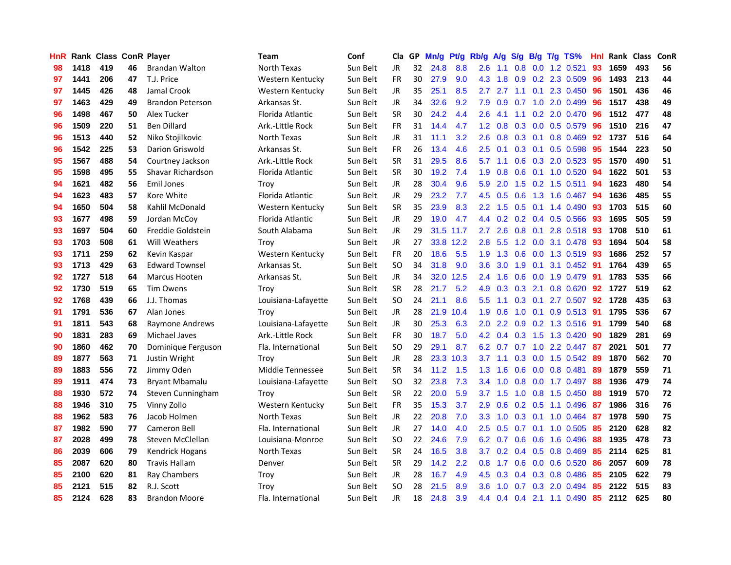| <b>HnR</b> |      | Rank Class ConR Player |    |                         | <b>Team</b>         | Conf     | Cla       |    | GP Mn/g |           | Pt/g Rb/g A/g    |                |                  |                 | S/g B/g T/g TS%           | Hnl |      | Rank Class | ConR |
|------------|------|------------------------|----|-------------------------|---------------------|----------|-----------|----|---------|-----------|------------------|----------------|------------------|-----------------|---------------------------|-----|------|------------|------|
| 98         | 1418 | 419                    | 46 | <b>Brandan Walton</b>   | North Texas         | Sun Belt | JR.       | 32 | 24.8    | 8.8       | 2.6              | 1.1            | 0.8              | 0.0             | 1.2 0.521                 | 93  | 1659 | 493        | 56   |
| 97         | 1441 | 206                    | 47 | T.J. Price              | Western Kentucky    | Sun Belt | <b>FR</b> | 30 | 27.9    | 9.0       | 4.3              | 1.8            | 0.9              | 0.2             | 2.3 0.509                 | 96  | 1493 | 213        | 44   |
| 97         | 1445 | 426                    | 48 | Jamal Crook             | Western Kentucky    | Sun Belt | <b>JR</b> | 35 | 25.1    | 8.5       | 2.7              | 2.7            | 1.1              | 0.1             | 2.3 0.450                 | 96  | 1501 | 436        | 46   |
| 97         | 1463 | 429                    | 49 | <b>Brandon Peterson</b> | Arkansas St.        | Sun Belt | JR        | 34 | 32.6    | 9.2       | 7.9              | 0.9            | 0.7              |                 | 1.0 2.0 0.499             | -96 | 1517 | 438        | 49   |
| 96         | 1498 | 467                    | 50 | Alex Tucker             | Florida Atlantic    | Sun Belt | <b>SR</b> | 30 | 24.2    | 4.4       | 2.6              | 4.1            |                  |                 | $1.1$ 0.2 2.0 0.470       | -96 | 1512 | 477        | 48   |
| 96         | 1509 | 220                    | 51 | <b>Ben Dillard</b>      | Ark.-Little Rock    | Sun Belt | <b>FR</b> | 31 | 14.4    | 4.7       | 1.2 <sub>2</sub> | 0.8            |                  |                 | $0.3$ 0.0 0.5 0.579       | -96 | 1510 | 216        | 47   |
| 96         | 1513 | 440                    | 52 | Niko Stojilkovic        | North Texas         | Sun Belt | <b>JR</b> | 31 | 11.1    | 3.2       | $2.6^{\circ}$    | 0.8            |                  |                 | $0.3$ $0.1$ $0.8$ $0.469$ | 92  | 1737 | 516        | 64   |
| 96         | 1542 | 225                    | 53 | <b>Darion Griswold</b>  | Arkansas St.        | Sun Belt | <b>FR</b> | 26 | 13.4    | 4.6       | 2.5              | 0.1            |                  |                 | 0.3 0.1 0.5 0.598         | 95  | 1544 | 223        | 50   |
| 95         | 1567 | 488                    | 54 | Courtney Jackson        | Ark .- Little Rock  | Sun Belt | SR        | 31 | 29.5    | 8.6       | 5.7              | 1.1            |                  |                 | 0.6 0.3 2.0 0.523         | 95  | 1570 | 490        | 51   |
| 95         | 1598 | 495                    | 55 | Shavar Richardson       | Florida Atlantic    | Sun Belt | <b>SR</b> | 30 | 19.2    | 7.4       | 1.9              | 0.8            | 0.6              | 0.1             | 1.0 0.520                 | 94  | 1622 | 501        | 53   |
| 94         | 1621 | 482                    | 56 | Emil Jones              | Troy                | Sun Belt | JR        | 28 | 30.4    | 9.6       | 5.9              | 2.0            | 1.5              |                 | $0.2$ 1.5 0.511           | 94  | 1623 | 480        | 54   |
| 94         | 1623 | 483                    | 57 | Kore White              | Florida Atlantic    | Sun Belt | JR        | 29 | 23.2    | 7.7       | 4.5              | 0.5            | 0.6              |                 | 1.3 1.6 0.467             | 94  | 1636 | 485        | 55   |
| 94         | 1650 | 504                    | 58 | Kahlil McDonald         | Western Kentucky    | Sun Belt | <b>SR</b> | 35 | 23.9    | 8.3       | $2.2^{\circ}$    | 1.5            | 0.5              | 0.1             | 1.4 0.490                 | 93  | 1703 | 515        | 60   |
| 93         | 1677 | 498                    | 59 | Jordan McCov            | Florida Atlantic    | Sun Belt | <b>JR</b> | 29 | 19.0    | 4.7       | $4.4^{\circ}$    | 0.2            |                  |                 | $0.2$ 0.4 0.5 0.566       | 93  | 1695 | 505        | 59   |
| 93         | 1697 | 504                    | 60 | Freddie Goldstein       | South Alabama       | Sun Belt | <b>JR</b> | 29 |         | 31.5 11.7 | 2.7              | 2.6            | 0.8              | 0.1             | 2.8 0.518                 | 93  | 1708 | 510        | 61   |
| 93         | 1703 | 508                    | 61 | <b>Will Weathers</b>    | Trov                | Sun Belt | JR.       | 27 |         | 33.8 12.2 | 2.8              | 5.5            |                  | $1.2 \quad 0.0$ | 3.1 0.478                 | -93 | 1694 | 504        | 58   |
| 93         | 1711 | 259                    | 62 | Kevin Kaspar            | Western Kentucky    | Sun Belt | <b>FR</b> | 20 | 18.6    | 5.5       | 1.9              | 1.3            |                  | $0.6\quad 0.0$  | 1.3 0.519                 | -93 | 1686 | 252        | 57   |
| 93         | 1713 | 429                    | 63 | <b>Edward Townsel</b>   | Arkansas St.        | Sun Belt | SO.       | 34 | 31.8    | 9.0       | 3.6              | 3.0            |                  | $1.9 \quad 0.1$ | 3.1 0.452 91              |     | 1764 | 439        | 65   |
| 92         | 1727 | 518                    | 64 | <b>Marcus Hooten</b>    | Arkansas St.        | Sun Belt | JR.       | 34 | 32.0    | 12.5      |                  | $2.4$ 1.6      |                  |                 | 0.6 0.0 1.9 0.479 91      |     | 1783 | 535        | 66   |
| 92         | 1730 | 519                    | 65 | <b>Tim Owens</b>        | Trov                | Sun Belt | <b>SR</b> | 28 | 21.7    | 5.2       |                  | $4.9$ 0.3      |                  | $0.3$ 2.1       | $0.8$ 0.620               | 92  | 1727 | 519        | 62   |
| 92         | 1768 | 439                    | 66 | J.J. Thomas             | Louisiana-Lafayette | Sun Belt | <b>SO</b> | 24 | 21.1    | 8.6       | 5.5              | 1.1            |                  |                 | $0.3$ 0.1 2.7 0.507       | 92  | 1728 | 435        | 63   |
| 91         | 1791 | 536                    | 67 | Alan Jones              | Troy                | Sun Belt | JR        | 28 | 21.9    | 10.4      | 1.9              | 0.6            | 1.0              |                 | $0.1$ 0.9 0.513           | -91 | 1795 | 536        | 67   |
| 91         | 1811 | 543                    | 68 | Raymone Andrews         | Louisiana-Lafayette | Sun Belt | JR.       | 30 | 25.3    | 6.3       | 2.0              | 2.2            |                  |                 | $0.9$ $0.2$ 1.3 $0.516$   | 91  | 1799 | 540        | 68   |
| 90         | 1831 | 283                    | 69 | <b>Michael Javes</b>    | Ark .- Little Rock  | Sun Belt | <b>FR</b> | 30 | 18.7    | 5.0       | 4.2              | 0.4            | 0.3              |                 | 1.5 1.3 0.420             | -90 | 1829 | 281        | 69   |
| 90         | 1860 | 462                    | 70 | Dominique Ferguson      | Fla. International  | Sun Belt | <b>SO</b> | 29 | 29.1    | 8.7       | 6.2              | 0.7            | 0.7              |                 | 1.0 2.2 0.447             | -87 | 2021 | 501        | 77   |
| 89         | 1877 | 563                    | 71 | Justin Wright           | Troy                | Sun Belt | JR        | 28 |         | 23.3 10.3 | 3.7              | 1.1            | 0.3 <sub>0</sub> | 0.0             | 1.5 0.542                 | -89 | 1870 | 562        | 70   |
| 89         | 1883 | 556                    | 72 | Jimmy Oden              | Middle Tennessee    | Sun Belt | <b>SR</b> | 34 | 11.2    | 1.5       | 1.3              | 1.6            | 0.6              | 0.0             | 0.8 0.481                 | 89  | 1879 | 559        | 71   |
| 89         | 1911 | 474                    | 73 | <b>Bryant Mbamalu</b>   | Louisiana-Lafayette | Sun Belt | <b>SO</b> | 32 | 23.8    | 7.3       | 3.4              | 1.0            | 0.8              | 0.0             | 1.7 0.497                 | 88  | 1936 | 479        | 74   |
| 88         | 1930 | 572                    | 74 | Steven Cunningham       | Trov                | Sun Belt | <b>SR</b> | 22 | 20.0    | 5.9       | 3.7              | 1.5            | 1.0              | 0.8             | 1.5 0.450                 | 88  | 1919 | 570        | 72   |
| 88         | 1946 | 310                    | 75 | Vinny Zollo             | Western Kentucky    | Sun Belt | <b>FR</b> | 35 | 15.3    | 3.7       | 2.9              | 0.6            |                  | $0.2 \quad 0.5$ | 1.1 0.496                 | -87 | 1986 | 316        | 76   |
| 88         | 1962 | 583                    | 76 | Jacob Holmen            | North Texas         | Sun Belt | JR        | 22 | 20.8    | 7.0       | 3.3 <sub>2</sub> | 1.0            |                  | $0.3 \quad 0.1$ | 1.0 0.464                 | -87 | 1978 | 590        | 75   |
| 87         | 1982 | 590                    | 77 | Cameron Bell            | Fla. International  | Sun Belt | JR        | 27 | 14.0    | 4.0       | $2.5\,$          | 0.5            |                  |                 | $0.7$ 0.1 1.0 0.505       | -85 | 2120 | 628        | 82   |
| 87         | 2028 | 499                    | 78 | Steven McClellan        | Louisiana-Monroe    | Sun Belt | <b>SO</b> | 22 | 24.6    | 7.9       |                  | $6.2\quad 0.7$ |                  | $0.6\quad 0.6$  | 1.6 0.496                 | 88  | 1935 | 478        | 73   |
| 86         | 2039 | 606                    | 79 | Kendrick Hogans         | North Texas         | Sun Belt | <b>SR</b> | 24 | 16.5    | 3.8       | $3.7^{\circ}$    | 0.2            |                  |                 | $0.4$ 0.5 0.8 0.469       | 85  | 2114 | 625        | 81   |
| 85         | 2087 | 620                    | 80 | <b>Travis Hallam</b>    | Denver              | Sun Belt | <b>SR</b> | 29 | 14.2    | 2.2       | $0.8\,$          | 1.7            | 0.6              |                 | 0.0 0.6 0.520             | 86  | 2057 | 609        | 78   |
| 85         | 2100 | 620                    | 81 | <b>Ray Chambers</b>     | Troy                | Sun Belt | <b>JR</b> | 28 | 16.7    | 4.9       | 4.5              | 0.3            | $0.4^{\circ}$    | 0.3             | 0.8 0.486                 | 85  | 2105 | 622        | 79   |
| 85         | 2121 | 515                    | 82 | R.J. Scott              | Trov                | Sun Belt | <b>SO</b> | 28 | 21.5    | 8.9       | 3.6              | 1.0            | 0.7              | 0.3             | 2.0 0.494                 | 85  | 2122 | 515        | 83   |
| 85         | 2124 | 628                    | 83 | <b>Brandon Moore</b>    | Fla. International  | Sun Belt | JR        | 18 | 24.8    | 3.9       |                  |                |                  |                 | 4.4 0.4 0.4 2.1 1.1 0.490 | 85  | 2112 | 625        | 80   |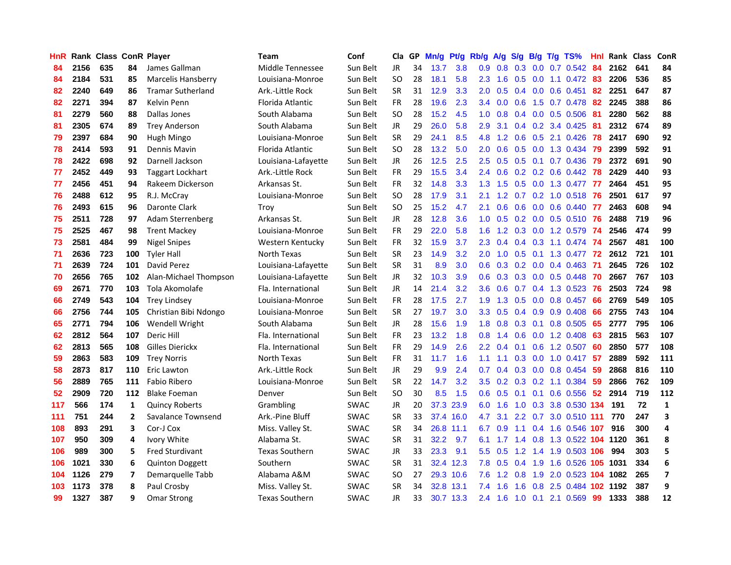| HnR |      | Rank Class ConR Player |                |                          | Team                  | Conf        | Cla       |    | GP Mn/g Pt/g |           | Rb/g             | A/g             |     |                 | S/g B/g T/g TS%                | Hnl | Rank Class |     | <b>ConR</b>             |
|-----|------|------------------------|----------------|--------------------------|-----------------------|-------------|-----------|----|--------------|-----------|------------------|-----------------|-----|-----------------|--------------------------------|-----|------------|-----|-------------------------|
| 84  | 2156 | 635                    | 84             | James Gallman            | Middle Tennessee      | Sun Belt    | JR.       | 34 | 13.7         | 3.8       | 0.9              | 0.8             | 0.3 | 0.0             | $0.7$ $0.542$                  | 84  | 2162       | 641 | 84                      |
| 84  | 2184 | 531                    | 85             | Marcelis Hansberry       | Louisiana-Monroe      | Sun Belt    | SO.       | 28 | 18.1         | 5.8       | $2.3^{\circ}$    | 1.6             | 0.5 | 0.0             | $1.1 \quad 0.472$              | 83  | 2206       | 536 | 85                      |
| 82  | 2240 | 649                    | 86             | <b>Tramar Sutherland</b> | Ark.-Little Rock      | Sun Belt    | <b>SR</b> | 31 | 12.9         | 3.3       | 2.0              | 0.5             |     | $0.4\quad 0.0$  | $0.6$ 0.451                    | 82  | 2251       | 647 | 87                      |
| 82  | 2271 | 394                    | 87             | Kelvin Penn              | Florida Atlantic      | Sun Belt    | <b>FR</b> | 28 | 19.6         | 2.3       | 3.4              | 0.0             | 0.6 |                 | 1.5 0.7 0.478                  | 82  | 2245       | 388 | 86                      |
| 81  | 2279 | 560                    | 88             | Dallas Jones             | South Alabama         | Sun Belt    | SO.       | 28 | 15.2         | 4.5       | 1.0              | 0.8             |     |                 | 0.4 0.0 0.5 0.506              | -81 | 2280       | 562 | 88                      |
| 81  | 2305 | 674                    | 89             | <b>Trey Anderson</b>     | South Alabama         | Sun Belt    | <b>JR</b> | 29 | 26.0         | 5.8       | 2.9              | 3.1             |     |                 | $0.4$ 0.2 3.4 0.425            | -81 | 2312       | 674 | 89                      |
| 79  | 2397 | 684                    | 90             | Hugh Mingo               | Louisiana-Monroe      | Sun Belt    | <b>SR</b> | 29 | 24.1         | 8.5       | 4.8              | 1.2             |     |                 | $0.6$ $0.5$ 2.1 $0.426$        | 78  | 2417       | 690 | 92                      |
| 78  | 2414 | 593                    | 91             | Dennis Mavin             | Florida Atlantic      | Sun Belt    | <b>SO</b> | 28 | 13.2         | 5.0       | $2.0^{\circ}$    | 0.6             |     |                 | $0.5$ 0.0 1.3 0.434            | -79 | 2399       | 592 | 91                      |
| 78  | 2422 | 698                    | 92             | Darnell Jackson          | Louisiana-Lafayette   | Sun Belt    | <b>JR</b> | 26 | 12.5         | 2.5       | 2.5              | 0.5             |     |                 | 0.5 0.1 0.7 0.436              | -79 | 2372       | 691 | 90                      |
| 77  | 2452 | 449                    | 93             | <b>Taggart Lockhart</b>  | Ark.-Little Rock      | Sun Belt    | FR        | 29 | 15.5         | 3.4       | $2.4^{\circ}$    | 0.6             |     |                 | $0.2$ $0.2$ $0.6$ $0.442$      | 78  | 2429       | 440 | 93                      |
| 77  | 2456 | 451                    | 94             | Rakeem Dickerson         | Arkansas St.          | Sun Belt    | <b>FR</b> | 32 | 14.8         | 3.3       | 1.3 <sup>2</sup> | 1.5             |     |                 | 0.5 0.0 1.3 0.477              | 77  | 2464       | 451 | 95                      |
| 76  | 2488 | 612                    | 95             | R.J. McCray              | Louisiana-Monroe      | Sun Belt    | SO.       | 28 | 17.9         | 3.1       | 2.1              | 1.2             |     |                 | $0.7$ $0.2$ 1.0 $0.518$        | -76 | 2501       | 617 | 97                      |
| 76  | 2493 | 615                    | 96             | Daronte Clark            | Troy                  | Sun Belt    | <b>SO</b> | 25 | 15.2         | 4.7       | 2.1              | 0.6             | 0.6 | 0.0             | $0.6$ 0.440                    | -77 | 2463       | 608 | 94                      |
| 75  | 2511 | 728                    | 97             | Adam Sterrenberg         | Arkansas St.          | Sun Belt    | <b>JR</b> | 28 | 12.8         | 3.6       | 1.0              | 0.5             |     | $0.2 \quad 0.0$ | $0.5$ 0.510                    | 76  | 2488       | 719 | 96                      |
| 75  | 2525 | 467                    | 98             | <b>Trent Mackey</b>      | Louisiana-Monroe      | Sun Belt    | FR        | 29 | 22.0         | 5.8       | 1.6              | 1.2             | 0.3 | 0.0             | 1.2 0.579                      | -74 | 2546       | 474 | 99                      |
| 73  | 2581 | 484                    | 99             | <b>Nigel Snipes</b>      | Western Kentucky      | Sun Belt    | <b>FR</b> | 32 | 15.9         | 3.7       | $2.3^{\circ}$    | 0.4             |     | $0.4 \quad 0.3$ | 1.1 0.474 74                   |     | 2567       | 481 | 100                     |
| 71  | 2636 | 723                    | 100            | <b>Tyler Hall</b>        | North Texas           | Sun Belt    | <b>SR</b> | 23 | 14.9         | 3.2       | 2.0 <sub>1</sub> | 1.0             | 0.5 | 0.1             | 1.3 0.477 72                   |     | 2612       | 721 | 101                     |
| 71  | 2639 | 724                    | 101            | David Perez              | Louisiana-Lafayette   | Sun Belt    | <b>SR</b> | 31 | 8.9          | 3.0       | 0.6              |                 |     |                 | 0.3 0.2 0.0 0.4 0.463 71       |     | 2645       | 726 | 102                     |
| 70  | 2656 | 765                    | 102            | Alan-Michael Thompson    | Louisiana-Lafayette   | Sun Belt    | JR        | 32 | 10.3         | 3.9       |                  |                 |     |                 | 0.6 0.3 0.3 0.0 0.5 0.448 70   |     | 2667       | 767 | 103                     |
| 69  | 2671 | 770                    | 103            | Tola Akomolafe           | Fla. International    | Sun Belt    | JR        | 14 | 21.4         | 3.2       |                  | $3.6\quad 0.6$  |     |                 | 0.7 0.4 1.3 0.523 76           |     | 2503       | 724 | 98                      |
| 66  | 2749 | 543                    | 104            | <b>Trey Lindsey</b>      | Louisiana-Monroe      | Sun Belt    | FR        | 28 | 17.5         | 2.7       |                  |                 |     |                 | 1.9 1.3 0.5 0.0 0.8 0.457      | 66  | 2769       | 549 | 105                     |
| 66  | 2756 | 744                    | 105            | Christian Bibi Ndongo    | Louisiana-Monroe      | Sun Belt    | <b>SR</b> | 27 | 19.7         | 3.0       |                  | $3.3 \quad 0.5$ |     |                 | $0.4$ 0.9 0.9 0.408            | 66  | 2755       | 743 | 104                     |
| 65  | 2771 | 794                    | 106            | Wendell Wright           | South Alabama         | Sun Belt    | <b>JR</b> | 28 | 15.6         | 1.9       | 1.8              | 0.8             |     |                 | $0.3$ 0.1 0.8 0.505            | 65  | 2777       | 795 | 106                     |
| 62  | 2812 | 564                    | 107            | Deric Hill               | Fla. International    | Sun Belt    | <b>FR</b> | 23 | 13.2         | 1.8       | 0.8              | 1.4             | 0.6 |                 | $0.0$ 1.2 $0.408$              | 63  | 2815       | 563 | 107                     |
| 62  | 2813 | 565                    | 108            | Gilles Dierickx          | Fla. International    | Sun Belt    | FR        | 29 | 14.9         | 2.6       | $2.2^{\circ}$    | 0.4             |     |                 | $0.1$ $0.6$ $1.2$ $0.507$      | -60 | 2850       | 577 | 108                     |
| 59  | 2863 | 583                    | 109            | <b>Trey Norris</b>       | North Texas           | Sun Belt    | <b>FR</b> | 31 | 11.7         | 1.6       | 1.1              | 1.1             |     |                 | $0.3$ 0.0 1.0 0.417            | 57  | 2889       | 592 | 111                     |
| 58  | 2873 | 817                    | 110            | Eric Lawton              | Ark.-Little Rock      | Sun Belt    | JR        | 29 | 9.9          | 2.4       | 0.7              | 0.4             |     | $0.3 \quad 0.0$ | 0.8 0.454                      | -59 | 2868       | 816 | 110                     |
| 56  | 2889 | 765                    | 111            | Fabio Ribero             | Louisiana-Monroe      | Sun Belt    | <b>SR</b> | 22 | 14.7         | 3.2       | 3.5              | 0.2             |     |                 | $0.3$ $0.2$ 1.1 $0.384$        | 59  | 2866       | 762 | 109                     |
| 52  | 2909 | 720                    | 112            | <b>Blake Foeman</b>      | Denver                | Sun Belt    | <b>SO</b> | 30 | 8.5          | 1.5       | 0.6              | 0.5             | 0.1 | 0.1             | 0.6 0.556                      | 52  | 2914       | 719 | 112                     |
| 117 | 566  | 174                    | $\mathbf{1}$   | <b>Quincy Roberts</b>    | Grambling             | <b>SWAC</b> | <b>JR</b> | 20 |              | 37.3 23.9 | 6.0              | 1.6             | 1.0 |                 | 0.3 3.8 0.530 134              |     | 191        | 72  | $\mathbf{1}$            |
| 111 | 751  | 244                    | $\overline{2}$ | Savalance Townsend       | Ark.-Pine Bluff       | <b>SWAC</b> | <b>SR</b> | 33 |              | 37.4 16.0 | 4.7              | 3.1             |     |                 | 2.2 0.7 3.0 0.510 111          |     | 770        | 247 | 3                       |
| 108 | 893  | 291                    | 3              | Cor-J Cox                | Miss. Valley St.      | <b>SWAC</b> | <b>SR</b> | 34 |              | 26.8 11.1 | 6.7              | 0.9             |     |                 | 1.1 0.4 1.6 0.546 107          |     | 916        | 300 | 4                       |
| 107 | 950  | 309                    | 4              | Ivory White              | Alabama St.           | <b>SWAC</b> | <b>SR</b> | 31 | 32.2         | 9.7       | 6.1              |                 |     |                 | 1.7 1.4 0.8 1.3 0.522 104 1120 |     |            | 361 | 8                       |
| 106 | 989  | 300                    | 5              | <b>Fred Sturdivant</b>   | <b>Texas Southern</b> | <b>SWAC</b> | <b>JR</b> | 33 | 23.3         | 9.1       | 5.5              | 0.5             | 1.2 |                 | 1.4 1.9 0.503 106              |     | 994        | 303 | 5                       |
| 106 | 1021 | 330                    | 6              | <b>Quinton Doggett</b>   | Southern              | <b>SWAC</b> | <b>SR</b> | 31 |              | 32.4 12.3 | 7.8              | 0.5             | 0.4 | 1.9             | 1.6 0.526 105 1031             |     |            | 334 | 6                       |
| 104 | 1126 | 279                    | 7              | Demarquelle Tabb         | Alabama A&M           | <b>SWAC</b> | SO.       | 27 |              | 29.3 10.6 | 7.6              | 1.2             | 0.8 | 1.9             | 2.0 0.523 104 1082             |     |            | 265 | $\overline{\mathbf{z}}$ |
| 103 | 1173 | 378                    | 8              | Paul Crosby              | Miss. Valley St.      | <b>SWAC</b> | <b>SR</b> | 34 | 32.8         | 13.1      | 7.4              | 1.6             | 1.6 | 0.8             | 2.5 0.484 102 1192             |     |            | 387 | 9                       |
| 99  | 1327 | 387                    | 9              | <b>Omar Strong</b>       | <b>Texas Southern</b> | <b>SWAC</b> | JR        | 33 |              | 30.7 13.3 |                  | $2.4$ 1.6       |     |                 | 1.0 0.1 2.1 0.569              | -99 | 1333       | 388 | 12                      |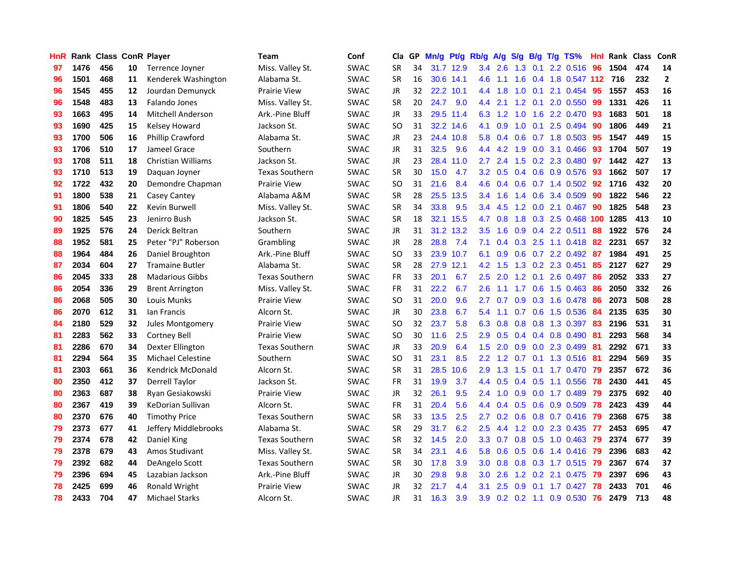| HnR |      | Rank Class ConR Player |    |                           | Team                  | Conf        | Cla       |    | GP Mn/g Pt/g Rb/g |           |                  | A/g             |     |                 | S/g B/g T/g TS%              | Hnl | Rank Class |     | ConR         |
|-----|------|------------------------|----|---------------------------|-----------------------|-------------|-----------|----|-------------------|-----------|------------------|-----------------|-----|-----------------|------------------------------|-----|------------|-----|--------------|
| 97  | 1476 | 456                    | 10 | Terrence Joyner           | Miss. Valley St.      | <b>SWAC</b> | <b>SR</b> | 34 |                   | 31.7 12.9 | 3.4              | 2.6             | 1.3 | 0.1             | 2.2 0.516                    | 96  | 1504       | 474 | 14           |
| 96  | 1501 | 468                    | 11 | Kenderek Washington       | Alabama St.           | SWAC        | <b>SR</b> | 16 |                   | 30.6 14.1 | 4.6              | 1.1             | 1.6 | 0.4             | 1.8 0.547 112                |     | 716        | 232 | $\mathbf{2}$ |
| 96  | 1545 | 455                    | 12 | Jourdan Demunyck          | <b>Prairie View</b>   | <b>SWAC</b> | <b>JR</b> | 32 |                   | 22.2 10.1 | 4.4              | 1.8             | 1.0 | 0.1             | 2.1 0.454                    | 95  | 1557       | 453 | 16           |
| 96  | 1548 | 483                    | 13 | Falando Jones             | Miss. Valley St.      | <b>SWAC</b> | <b>SR</b> | 20 | 24.7              | 9.0       | 4.4              | 2.1             |     | $1.2 \quad 0.1$ | 2.0 0.550                    | -99 | 1331       | 426 | ${\bf 11}$   |
| 93  | 1663 | 495                    | 14 | <b>Mitchell Anderson</b>  | Ark.-Pine Bluff       | <b>SWAC</b> | JR        | 33 |                   | 29.5 11.4 |                  |                 |     |                 | 6.3 1.2 1.0 1.6 2.2 0.470 93 |     | 1683       | 501 | 18           |
| 93  | 1690 | 425                    | 15 | Kelsey Howard             | Jackson St.           | <b>SWAC</b> | SO.       | 31 |                   | 32.2 14.6 | 4.1              | 0.9             |     |                 | 1.0 0.1 2.5 0.494            | 90  | 1806       | 449 | 21           |
| 93  | 1700 | 506                    | 16 | <b>Phillip Crawford</b>   | Alabama St.           | <b>SWAC</b> | JR        | 23 |                   | 24.4 10.8 | 5.8              | 0.4             |     |                 | $0.6$ $0.7$ 1.8 0.503        | 95  | 1547       | 449 | 15           |
| 93  | 1706 | 510                    | 17 | Jameel Grace              | Southern              | <b>SWAC</b> | <b>JR</b> | 31 | 32.5              | 9.6       | 4.4              | 4.2             | 1.9 |                 | 0.0 3.1 0.466                | 93  | 1704       | 507 | 19           |
| 93  | 1708 | 511                    | 18 | <b>Christian Williams</b> | Jackson St.           | <b>SWAC</b> | JR        | 23 |                   | 28.4 11.0 | 2.7              | 2.4             |     |                 | 1.5 0.2 2.3 0.480            | 97  | 1442       | 427 | 13           |
| 93  | 1710 | 513                    | 19 | Daguan Joyner             | <b>Texas Southern</b> | <b>SWAC</b> | <b>SR</b> | 30 | 15.0              | 4.7       | $3.2\phantom{0}$ | 0.5             |     |                 | 0.4 0.6 0.9 0.576            | 93  | 1662       | 507 | 17           |
| 92  | 1722 | 432                    | 20 | Demondre Chapman          | Prairie View          | SWAC        | <b>SO</b> | 31 | 21.6              | 8.4       | 4.6              | 0.4             |     |                 | $0.6$ $0.7$ 1.4 $0.502$      | 92  | 1716       | 432 | 20           |
| 91  | 1800 | 538                    | 21 | Casey Cantey              | Alabama A&M           | SWAC        | <b>SR</b> | 28 |                   | 25.5 13.5 |                  | $3.4$ 1.6       | 1.4 | 0.6             | 3.4 0.509                    | 90  | 1822       | 546 | 22           |
| 91  | 1806 | 540                    | 22 | Kevin Burwell             | Miss. Valley St.      | <b>SWAC</b> | <b>SR</b> | 34 | 33.8              | 9.5       | 3.4              | 4.5             | 1.2 | 0.0             | 2.1 0.467                    | 90  | 1825       | 548 | 23           |
| 90  | 1825 | 545                    | 23 | Jenirro Bush              | Jackson St.           | <b>SWAC</b> | <b>SR</b> | 18 |                   | 32.1 15.5 | 4.7              | 0.8             | 1.8 | 0.3             | 2.5 0.468                    | 100 | 1285       | 413 | 10           |
| 89  | 1925 | 576                    | 24 | Derick Beltran            | Southern              | <b>SWAC</b> | JR        | 31 |                   | 31.2 13.2 | 3.5              | 1.6             | 0.9 | 0.4             | 2.2 0.511                    | 88  | 1922       | 576 | 24           |
| 88  | 1952 | 581                    | 25 | Peter "PJ" Roberson       | Grambling             | <b>SWAC</b> | JR        | 28 | 28.8              | 7.4       | 7.1              | 0.4             | 0.3 | 2.5             | $1.1 \t0.418$                | 82  | 2231       | 657 | 32           |
| 88  | 1964 | 484                    | 26 | Daniel Broughton          | Ark.-Pine Bluff       | <b>SWAC</b> | <b>SO</b> | 33 |                   | 23.9 10.7 | 6.1              | 0.9             |     |                 | $0.6$ $0.7$ $2.2$ $0.492$    | -87 | 1984       | 491 | 25           |
| 87  | 2034 | 604                    | 27 | <b>Tramaine Butler</b>    | Alabama St.           | <b>SWAC</b> | <b>SR</b> | 28 |                   | 27.9 12.1 |                  | $4.2 \quad 1.5$ |     |                 | 1.3 0.2 2.3 0.451            | 85  | 2127       | 627 | 29           |
| 86  | 2045 | 333                    | 28 | <b>Madarious Gibbs</b>    | <b>Texas Southern</b> | <b>SWAC</b> | <b>FR</b> | 33 | 20.1              | 6.7       |                  | $2.5$ 2.0       |     |                 | 1.2 0.1 2.6 0.497            | -86 | 2052       | 333 | 27           |
| 86  | 2054 | 336                    | 29 | <b>Brent Arrington</b>    | Miss. Valley St.      | <b>SWAC</b> | <b>FR</b> | 31 | 22.2              | 6.7       | 2.6              | 1.1             |     |                 | $1.7$ 0.6 1.5 0.463          | -86 | 2050       | 332 | 26           |
| 86  | 2068 | 505                    | 30 | Louis Munks               | <b>Prairie View</b>   | <b>SWAC</b> | <b>SO</b> | 31 | 20.0              | 9.6       | $2.7^{\circ}$    | 0.7             |     |                 | $0.9$ $0.3$ 1.6 $0.478$      | 86  | 2073       | 508 | 28           |
| 86  | 2070 | 612                    | 31 | lan Francis               | Alcorn St.            | <b>SWAC</b> | JR        | 30 | 23.8              | 6.7       | 5.4              | 1.1             |     |                 | $0.7$ $0.6$ 1.5 $0.536$      | 84  | 2135       | 635 | 30           |
| 84  | 2180 | 529                    | 32 | Jules Montgomery          | <b>Prairie View</b>   | <b>SWAC</b> | <b>SO</b> | 32 | 23.7              | 5.8       | 6.3              | 0.8             |     |                 | 0.8 0.8 1.3 0.397            | -83 | 2196       | 531 | 31           |
| 81  | 2283 | 562                    | 33 | Cortney Bell              | <b>Prairie View</b>   | <b>SWAC</b> | <b>SO</b> | 30 | 11.6              | 2.5       | 2.9              | 0.5             |     |                 | $0.4$ 0.4 0.8 0.490          | -81 | 2293       | 568 | 34           |
| 81  | 2286 | 670                    | 34 | Dexter Ellington          | <b>Texas Southern</b> | <b>SWAC</b> | JR        | 33 | 20.9              | 6.4       | 1.5              | 2.0             |     |                 | 0.9 0.0 2.3 0.499            | -81 | 2292       | 671 | 33           |
| 81  | 2294 | 564                    | 35 | <b>Michael Celestine</b>  | Southern              | SWAC        | SO.       | 31 | 23.1              | 8.5       | 2.2              | 1.2             | 0.7 |                 | $0.1$ 1.3 $0.516$            | -81 | 2294       | 569 | 35           |
| 81  | 2303 | 661                    | 36 | Kendrick McDonald         | Alcorn St.            | <b>SWAC</b> | <b>SR</b> | 31 | 28.5              | 10.6      | 2.9              | 1.3             | 1.5 |                 | $0.1$ 1.7 $0.470$            | -79 | 2357       | 672 | 36           |
| 80  | 2350 | 412                    | 37 | <b>Derrell Taylor</b>     | Jackson St.           | <b>SWAC</b> | <b>FR</b> | 31 | 19.9              | 3.7       | 4.4              | 0.5             |     | $0.4$ 0.5       | 1.1 0.556                    | -78 | 2430       | 441 | 45           |
| 80  | 2363 | 687                    | 38 | Ryan Gesiakowski          | <b>Prairie View</b>   | <b>SWAC</b> | <b>JR</b> | 32 | 26.1              | 9.5       | 2.4              | 1.0             | 0.9 | 0.0             | 1.7 0.489                    | 79  | 2375       | 692 | 40           |
| 80  | 2367 | 419                    | 39 | KeDorian Sullivan         | Alcorn St.            | <b>SWAC</b> | <b>FR</b> | 31 | 20.4              | 5.6       | 4.4              | 0.4             |     |                 | 0.5 0.6 0.9 0.509            | 78  | 2423       | 439 | 44           |
| 80  | 2370 | 676                    | 40 | <b>Timothy Price</b>      | <b>Texas Southern</b> | <b>SWAC</b> | <b>SR</b> | 33 | 13.5              | 2.5       | 2.7              | 0.2             |     |                 | $0.6$ 0.8 0.7 0.416          | -79 | 2368       | 675 | 38           |
| 79  | 2373 | 677                    | 41 | Jeffery Middlebrooks      | Alabama St.           | SWAC        | <b>SR</b> | 29 | 31.7              | 6.2       | 2.5              | 4.4             |     |                 | 1.2 0.0 2.3 0.435 77         |     | 2453       | 695 | 47           |
| 79  | 2374 | 678                    | 42 | Daniel King               | <b>Texas Southern</b> | <b>SWAC</b> | <b>SR</b> | 32 | 14.5              | 2.0       | 3.3 <sub>2</sub> | 0.7             |     |                 | $0.8$ $0.5$ 1.0 $0.463$      | -79 | 2374       | 677 | 39           |
| 79  | 2378 | 679                    | 43 | Amos Studivant            | Miss. Valley St.      | <b>SWAC</b> | <b>SR</b> | 34 | 23.1              | 4.6       | 5.8              | 0.6             |     |                 | $0.5$ 0.6 1.4 0.416          | -79 | 2396       | 683 | 42           |
| 79  | 2392 | 682                    | 44 | DeAngelo Scott            | <b>Texas Southern</b> | <b>SWAC</b> | <b>SR</b> | 30 | 17.8              | 3.9       | 3.0 <sub>1</sub> | 0.8             |     |                 | 0.8 0.3 1.7 0.515            | -79 | 2367       | 674 | 37           |
| 79  | 2396 | 694                    | 45 | Lazabian Jackson          | Ark.-Pine Bluff       | <b>SWAC</b> | JR        | 30 | 29.8              | 9.8       | 3.0              | 2.6             | 1.2 | 0.2             | 2.1 0.475                    | 79  | 2397       | 696 | 43           |
| 78  | 2425 | 699                    | 46 | Ronald Wright             | <b>Prairie View</b>   | <b>SWAC</b> | JR        | 32 | 21.7              | 4.4       | 3.1              | 2.5             | 0.9 | 0.1             | 1.7 0.427                    | 78  | 2433       | 701 | 46           |
| 78  | 2433 | 704                    | 47 | <b>Michael Starks</b>     | Alcorn St.            | <b>SWAC</b> | JR        | 31 | 16.3              | 3.9       | 3.9              |                 |     |                 | 0.2 0.2 1.1 0.9 0.530 76     |     | 2479       | 713 | 48           |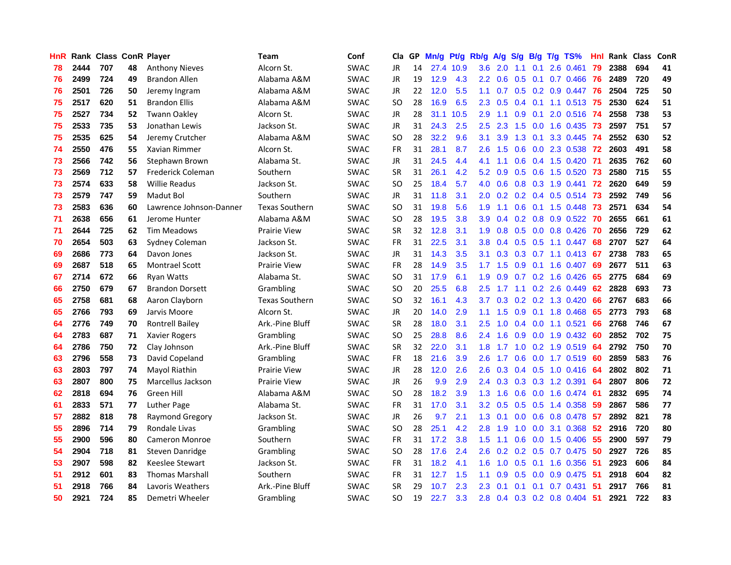| HnR |      | Rank Class ConR Player |    |                         | <b>Team</b>           | Conf        | Cla           | GP. | Mn/g Pt/g Rb/g A/g S/g |           |                  |                 |                  |                 | B/g T/g TS%                  | Hnl |      | Rank Class | ConR |
|-----|------|------------------------|----|-------------------------|-----------------------|-------------|---------------|-----|------------------------|-----------|------------------|-----------------|------------------|-----------------|------------------------------|-----|------|------------|------|
| 78  | 2444 | 707                    | 48 | <b>Anthony Nieves</b>   | Alcorn St.            | <b>SWAC</b> | JR            | 14  |                        | 27.4 10.9 | 3.6              | 2.0             | 1.1              | 0.1             | 2.6 0.461                    | 79  | 2388 | 694        | 41   |
| 76  | 2499 | 724                    | 49 | <b>Brandon Allen</b>    | Alabama A&M           | <b>SWAC</b> | <b>JR</b>     | 19  | 12.9                   | 4.3       | $2.2\phantom{0}$ | 0.6             | 0.5              | 0.1             | 0.7 0.466                    | 76  | 2489 | 720        | 49   |
| 76  | 2501 | 726                    | 50 | Jeremy Ingram           | Alabama A&M           | <b>SWAC</b> | JR            | 22  | 12.0                   | 5.5       | 1.1              | 0.7             |                  |                 | $0.5$ $0.2$ $0.9$ $0.447$ 76 |     | 2504 | 725        | 50   |
| 75  | 2517 | 620                    | 51 | <b>Brandon Ellis</b>    | Alabama A&M           | <b>SWAC</b> | <b>SO</b>     | 28  | 16.9                   | 6.5       | 2.3              | 0.5             |                  |                 | 0.4 0.1 1.1 0.513 75         |     | 2530 | 624        | 51   |
| 75  | 2527 | 734                    | 52 | <b>Twann Oakley</b>     | Alcorn St.            | <b>SWAC</b> | JR            | 28  |                        | 31.1 10.5 | 2.9              | 1.1             |                  | $0.9 \quad 0.1$ | 2.0 0.516 74                 |     | 2558 | 738        | 53   |
| 75  | 2533 | 735                    | 53 | Jonathan Lewis          | Jackson St.           | <b>SWAC</b> | JR            | 31  | 24.3                   | 2.5       | 2.5              | 2.3             | 1.5              | 0.0             | 1.6 0.435                    | -73 | 2597 | 751        | 57   |
| 75  | 2535 | 625                    | 54 | Jeremy Crutcher         | Alabama A&M           | <b>SWAC</b> | SO.           | 28  | 32.2                   | 9.6       | 3.1              | 3.9             | 1.3              | 0.1             | 3.3 0.445                    | -74 | 2552 | 630        | 52   |
| 74  | 2550 | 476                    | 55 | Xavian Rimmer           | Alcorn St.            | <b>SWAC</b> | <b>FR</b>     | 31  | 28.1                   | 8.7       | 2.6              | 1.5             | 0.6              |                 | 0.0 2.3 0.538                | 72  | 2603 | 491        | 58   |
| 73  | 2566 | 742                    | 56 | Stephawn Brown          | Alabama St.           | <b>SWAC</b> | <b>JR</b>     | 31  | 24.5                   | 4.4       | 4.1              | 1.1             | 0.6              |                 | 0.4 1.5 0.420                | -71 | 2635 | 762        | 60   |
| 73  | 2569 | 712                    | 57 | Frederick Coleman       | Southern              | <b>SWAC</b> | <b>SR</b>     | 31  | 26.1                   | 4.2       | 5.2              | 0.9             | 0.5              | 0.6             | 1.5 0.520                    | 73  | 2580 | 715        | 55   |
| 73  | 2574 | 633                    | 58 | <b>Willie Readus</b>    | Jackson St.           | <b>SWAC</b> | <b>SO</b>     | 25  | 18.4                   | 5.7       | 4.0              | 0.6             |                  |                 | 0.8 0.3 1.9 0.441            | 72  | 2620 | 649        | 59   |
| 73  | 2579 | 747                    | 59 | Madut Bol               | Southern              | <b>SWAC</b> | JR            | 31  | 11.8                   | 3.1       | 2.0              | 0.2             | 0.2              |                 | 0.4 0.5 0.514                | 73  | 2592 | 749        | 56   |
| 73  | 2583 | 636                    | 60 | Lawrence Johnson-Danner | <b>Texas Southern</b> | <b>SWAC</b> | <sub>SO</sub> | 31  | 19.8                   | 5.6       | 1.9              | 1.1             | 0.6              |                 | $0.1$ 1.5 $0.448$            | 73  | 2571 | 634        | 54   |
| 71  | 2638 | 656                    | 61 | Jerome Hunter           | Alabama A&M           | <b>SWAC</b> | SO            | 28  | 19.5                   | 3.8       | 3.9              | 0.4             | 0.2              | 0.8             | 0.9 0.522                    | -70 | 2655 | 661        | 61   |
| 71  | 2644 | 725                    | 62 | <b>Tim Meadows</b>      | Prairie View          | <b>SWAC</b> | <b>SR</b>     | 32  | 12.8                   | 3.1       | 1.9              | 0.8             | 0.5              |                 | $0.0$ $0.8$ $0.426$          | 70  | 2656 | 729        | 62   |
| 70  | 2654 | 503                    | 63 | Sydney Coleman          | Jackson St.           | <b>SWAC</b> | <b>FR</b>     | 31  | 22.5                   | 3.1       | 3.8              | 0.4             |                  | $0.5$ 0.5       | 1.1 0.447                    | -68 | 2707 | 527        | 64   |
| 69  | 2686 | 773                    | 64 | Davon Jones             | Jackson St.           | <b>SWAC</b> | JR            | 31  | 14.3                   | 3.5       | 3.1              | 0.3             |                  |                 | $0.3$ 0.7 1.1 0.413 67       |     | 2738 | 783        | 65   |
| 69  | 2687 | 518                    | 65 | <b>Montrael Scott</b>   | <b>Prairie View</b>   | <b>SWAC</b> | FR.           | 28  | 14.9                   | 3.5       | 1.7              | 1.5             |                  |                 | $0.9$ 0.1 1.6 0.407          | -69 | 2677 | 511        | 63   |
| 67  | 2714 | 672                    | 66 | <b>Ryan Watts</b>       | Alabama St.           | <b>SWAC</b> | <b>SO</b>     | 31  | 17.9                   | 6.1       | 1.9              | 0.9             |                  |                 | $0.7$ $0.2$ 1.6 $0.426$      | 65  | 2775 | 684        | 69   |
| 66  | 2750 | 679                    | 67 | <b>Brandon Dorsett</b>  | Grambling             | <b>SWAC</b> | SO            | 20  | 25.5                   | 6.8       | 2.5              | 1.7             |                  |                 | $1.1$ 0.2 2.6 0.449          | 62  | 2828 | 693        | 73   |
| 65  | 2758 | 681                    | 68 | Aaron Clayborn          | <b>Texas Southern</b> | <b>SWAC</b> | SO            | 32  | 16.1                   | 4.3       | 3.7              | 0.3             |                  |                 | $0.2$ 0.2 1.3 0.420          | 66  | 2767 | 683        | 66   |
| 65  | 2766 | 793                    | 69 | Jarvis Moore            | Alcorn St.            | <b>SWAC</b> | <b>JR</b>     | 20  | 14.0                   | 2.9       | 1.1              | 1.5             | 0.9 <sub>0</sub> |                 | 0.1 1.8 0.468                | 65  | 2773 | 793        | 68   |
| 64  | 2776 | 749                    | 70 | <b>Rontrell Bailey</b>  | Ark.-Pine Bluff       | <b>SWAC</b> | <b>SR</b>     | 28  | 18.0                   | 3.1       | 2.5              | 1.0             | 0.4              | 0.0             | 1.1 0.521                    | 66  | 2768 | 746        | 67   |
| 64  | 2783 | 687                    | 71 | <b>Xavier Rogers</b>    | Grambling             | SWAC        | SO            | 25  | 28.8                   | 8.6       | 2.4              | 1.6             | 0.9              |                 | 0.0 1.9 0.432                | -60 | 2852 | 702        | 75   |
| 64  | 2786 | 750                    | 72 | Clay Johnson            | Ark.-Pine Bluff       | <b>SWAC</b> | <b>SR</b>     | 32  | 22.0                   | 3.1       | 1.8              | 1.7             | 1.0              | 0.2             | 1.9 0.519                    | 64  | 2792 | 750        | 70   |
| 63  | 2796 | 558                    | 73 | David Copeland          | Grambling             | <b>SWAC</b> | <b>FR</b>     | 18  | 21.6                   | 3.9       | 2.6              | 1.7             | 0.6              | 0.0             | 1.7 0.519                    | 60  | 2859 | 583        | 76   |
| 63  | 2803 | 797                    | 74 | Mayol Riathin           | <b>Prairie View</b>   | <b>SWAC</b> | JR            | 28  | 12.0                   | 2.6       | 2.6              | 0.3             |                  | $0.4$ 0.5       | $1.0$ 0.416                  | 64  | 2802 | 802        | 71   |
| 63  | 2807 | 800                    | 75 | Marcellus Jackson       | <b>Prairie View</b>   | <b>SWAC</b> | JR            | 26  | 9.9                    | 2.9       | 2.4              | 0.3             |                  | $0.3$ 0.3       | 1.2 0.391                    | -64 | 2807 | 806        | 72   |
| 62  | 2818 | 694                    | 76 | Green Hill              | Alabama A&M           | <b>SWAC</b> | <b>SO</b>     | 28  | 18.2                   | 3.9       | 1.3              | 1.6             | 0.6              | 0.0             | 1.6 0.474                    | -61 | 2832 | 695        | 74   |
| 61  | 2833 | 571                    | 77 | Luther Page             | Alabama St.           | <b>SWAC</b> | <b>FR</b>     | 31  | 17.0                   | 3.1       |                  | $3.2 \quad 0.5$ |                  |                 | $0.5$ $0.5$ 1.4 $0.358$      | -59 | 2867 | 586        | 77   |
| 57  | 2882 | 818                    | 78 | <b>Raymond Gregory</b>  | Jackson St.           | <b>SWAC</b> | JR            | 26  | 9.7                    | 2.1       | 1.3              | 0.1             |                  |                 | $0.0$ $0.6$ $0.8$ $0.478$    | -57 | 2892 | 821        | 78   |
| 55  | 2896 | 714                    | 79 | Rondale Livas           | Grambling             | <b>SWAC</b> | <b>SO</b>     | 28  | 25.1                   | 4.2       | 2.8              | 1.9             | 1.0              | 0.0             | 3.1 0.368                    | 52  | 2916 | 720        | 80   |
| 55  | 2900 | 596                    | 80 | <b>Cameron Monroe</b>   | Southern              | <b>SWAC</b> | <b>FR</b>     | 31  | 17.2                   | 3.8       | 1.5              | 1.1             | 0.6              |                 | 0.0 1.5 0.406                | -55 | 2900 | 597        | 79   |
| 54  | 2904 | 718                    | 81 | Steven Danridge         | Grambling             | <b>SWAC</b> | <b>SO</b>     | 28  | 17.6                   | 2.4       | 2.6              | 0.2             |                  |                 | 0.2 0.5 0.7 0.475            | 50  | 2927 | 726        | 85   |
| 53  | 2907 | 598                    | 82 | <b>Keeslee Stewart</b>  | Jackson St.           | <b>SWAC</b> | <b>FR</b>     | 31  | 18.2                   | 4.1       | 1.6              | 1.0             | 0.5              |                 | $0.1$ 1.6 0.356              | 51  | 2923 | 606        | 84   |
| 51  | 2912 | 601                    | 83 | <b>Thomas Marshall</b>  | Southern              | <b>SWAC</b> | <b>FR</b>     | 31  | 12.7                   | 1.5       | 1.1              | 0.9             | 0.5              | 0.0             | 0.9 0.475                    | 51  | 2918 | 604        | 82   |
| 51  | 2918 | 766                    | 84 | Lavoris Weathers        | Ark.-Pine Bluff       | <b>SWAC</b> | <b>SR</b>     | 29  | 10.7                   | 2.3       | 2.3              | 0.1             | 0.1              | 0.1             | 0.7 0.431                    | -51 | 2917 | 766        | 81   |
| 50  | 2921 | 724                    | 85 | Demetri Wheeler         | Grambling             | <b>SWAC</b> | <b>SO</b>     | 19  | 22.7                   | 3.3       | 2.8              | 0.4             |                  |                 | 0.3 0.2 0.8 0.404            | -51 | 2921 | 722        | 83   |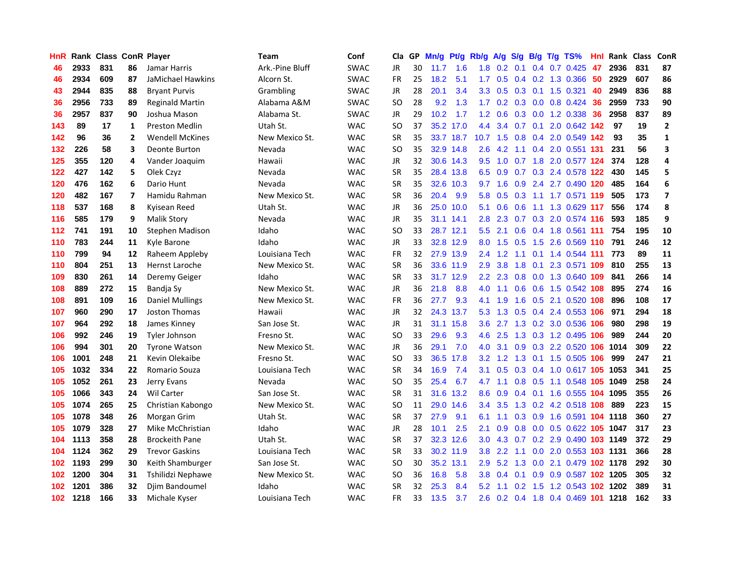| HnR              |      | <b>Rank Class ConR Player</b> |                |                        | Team            | Conf        | Cla           |    | GP Mn/g | Pt/g      | Rb/g             | A/g             | <b>S/g</b> |                  | B/g T/g TS%                        | Hnl  | Rank Class ConR |     |                          |
|------------------|------|-------------------------------|----------------|------------------------|-----------------|-------------|---------------|----|---------|-----------|------------------|-----------------|------------|------------------|------------------------------------|------|-----------------|-----|--------------------------|
| 46               | 2933 | 831                           | 86             | Jamar Harris           | Ark.-Pine Bluff | <b>SWAC</b> | JR            | 30 | 11.7    | 1.6       | 1.8              | 0.2             | 0.1        | 0.4              | $0.7$ $0.425$                      | 47   | 2936            | 831 | 87                       |
| 46               | 2934 | 609                           | 87             | JaMichael Hawkins      | Alcorn St.      | <b>SWAC</b> | <b>FR</b>     | 25 | 18.2    | 5.1       | 1.7              | 0.5             |            | $0.4 \quad 0.2$  | 1.3 0.366                          | 50   | 2929            | 607 | 86                       |
| 43               | 2944 | 835                           | 88             | <b>Bryant Purvis</b>   | Grambling       | <b>SWAC</b> | JR            | 28 | 20.1    | 3.4       | 3.3 <sub>2</sub> | 0.5             | 0.3        | 0.1              | 1.5 0.321                          | 40   | 2949            | 836 | 88                       |
| 36               | 2956 | 733                           | 89             | <b>Reginald Martin</b> | Alabama A&M     | <b>SWAC</b> | <b>SO</b>     | 28 | 9.2     | 1.3       |                  |                 |            |                  | 1.7 0.2 0.3 0.0 0.8 0.424          | 36   | 2959            | 733 | 90                       |
| 36               | 2957 | 837                           | 90             | Joshua Mason           | Alabama St.     | <b>SWAC</b> | <b>JR</b>     | 29 | 10.2    | 1.7       |                  | $1.2 \quad 0.6$ |            |                  | 0.3 0.0 1.2 0.338                  | 36   | 2958            | 837 | 89                       |
| 143              | 89   | 17                            | 1              | <b>Preston Medlin</b>  | Utah St.        | <b>WAC</b>  | <sub>SO</sub> | 37 |         | 35.2 17.0 | 4.4              | 3.4             |            |                  | 0.7 0.1 2.0 0.642 142              |      | 97              | 19  | $\overline{2}$           |
| 142              | 96   | 36                            | $\overline{2}$ | <b>Wendell McKines</b> | New Mexico St.  | <b>WAC</b>  | <b>SR</b>     | 35 |         | 33.7 18.7 | 10.7             | 1.5             |            |                  | 0.8 0.4 2.0 0.549 142              |      | 93              | 35  | $\mathbf{1}$             |
| 132              | 226  | 58                            | 3              | Deonte Burton          | Nevada          | <b>WAC</b>  | <b>SO</b>     | 35 |         | 32.9 14.8 | 2.6              | 4.2             | 1.1        |                  | 0.4 2.0 0.551 131                  |      | 231             | 56  | 3                        |
| 125              | 355  | 120                           | 4              | Vander Joaquim         | Hawaii          | <b>WAC</b>  | JR            | 32 |         | 30.6 14.3 | 9.5              | 1.0             | 0.7        |                  | 1.8 2.0 0.577 124                  |      | 374             | 128 | 4                        |
| 122              | 427  | 142                           | 5              | Olek Czyz              | Nevada          | <b>WAC</b>  | <b>SR</b>     | 35 |         | 28.4 13.8 | 6.5              | 0.9             | 0.7        |                  | 0.3 2.4 0.578 122                  |      | 430             | 145 | 5                        |
| 120              | 476  | 162                           | 6              | Dario Hunt             | Nevada          | <b>WAC</b>  | <b>SR</b>     | 35 |         | 32.6 10.3 | 9.7              | 1.6             | 0.9        |                  | 2.4 2.7 0.490 120                  |      | 485             | 164 | 6                        |
| 120              | 482  | 167                           | 7              | Hamidu Rahman          | New Mexico St.  | <b>WAC</b>  | <b>SR</b>     | 36 | 20.4    | 9.9       | 5.8              | 0.5             | 0.3        | 1.1              | 1.7 0.571 119                      |      | 505             | 173 | $\overline{\phantom{a}}$ |
| 118              | 537  | 168                           | 8              | Kyisean Reed           | Utah St.        | <b>WAC</b>  | JR            | 36 |         | 25.0 10.0 | 5.1              | 0.6             | 0.6        | 1.1              | 1.3 0.629 117                      |      | 556             | 174 | 8                        |
| 116              | 585  | 179                           | 9              | <b>Malik Story</b>     | Nevada          | <b>WAC</b>  | JR            | 35 |         | 31.1 14.1 | 2.8              | 2.3             | 0.7        | 0.3              | 2.0 0.574 116                      |      | 593             | 185 | 9                        |
| 112              | 741  | 191                           | 10             | <b>Stephen Madison</b> | Idaho           | <b>WAC</b>  | <sub>SO</sub> | 33 |         | 28.7 12.1 | 5.5 <sub>1</sub> | 2.1             | 0.6        |                  | 0.4 1.8 0.561 111                  |      | 754             | 195 | 10                       |
| 110              | 783  | 244                           | 11             | Kyle Barone            | Idaho           | <b>WAC</b>  | <b>JR</b>     | 33 |         | 32.8 12.9 | 8.0              | 1.5             | 0.5        | 1.5              | 2.6 0.569 110                      |      | 791             | 246 | ${\bf 12}$               |
| 110              | 799  | 94                            | 12             | Raheem Appleby         | Louisiana Tech  | <b>WAC</b>  | FR            | 32 |         | 27.9 13.9 |                  | $2.4$ 1.2       |            |                  | 1.1 0.1 1.4 0.544 111              |      | 773             | 89  | ${\bf 11}$               |
| 110              | 804  | 251                           | 13             | Hernst Laroche         | New Mexico St.  | <b>WAC</b>  | <b>SR</b>     | 36 |         | 33.6 11.9 | 2.9              | 3.8             |            | $1.8 \quad 0.1$  | 2.3 0.571 109                      |      | 810             | 255 | 13                       |
| 109              | 830  | 261                           | 14             | Deremy Geiger          | Idaho           | <b>WAC</b>  | <b>SR</b>     | 33 |         | 31.7 12.9 | $2.2^{\circ}$    |                 |            |                  | 2.3 0.8 0.0 1.3 0.640 109          |      | 841             | 266 | 14                       |
| 108              | 889  | 272                           | 15             | Bandja Sy              | New Mexico St.  | <b>WAC</b>  | JR            | 36 | 21.8    | 8.8       | 4.0              | 1.1             |            |                  | 0.6 0.6 1.5 0.542 108              |      | 895             | 274 | 16                       |
| 108              | 891  | 109                           | 16             | <b>Daniel Mullings</b> | New Mexico St.  | <b>WAC</b>  | <b>FR</b>     | 36 | 27.7    | 9.3       | 4.1              | 1.9             | 1.6        |                  | 0.5 2.1 0.520 108                  |      | 896             | 108 | 17                       |
| 107              | 960  | 290                           | 17             | Joston Thomas          | Hawaii          | <b>WAC</b>  | JR            | 32 |         | 24.3 13.7 | 5.3              | 1.3             | 0.5        |                  | 0.4 2.4 0.553 106                  |      | 971             | 294 | 18                       |
| 107              | 964  | 292                           | 18             | James Kinney           | San Jose St.    | <b>WAC</b>  | JR            | 31 |         | 31.1 15.8 | 3.6 <sup>°</sup> | 2.7             |            |                  | 1.3 0.2 3.0 0.536                  | 106  | 980             | 298 | 19                       |
| 106              | 992  | 246                           | 19             | Tyler Johnson          | Fresno St.      | <b>WAC</b>  | <b>SO</b>     | 33 | 29.6    | 9.3       | 4.6              | 2.5             |            |                  | 1.3 0.3 1.2 0.495                  | -106 | 989             | 244 | 20                       |
| 106              | 994  | 301                           | 20             | <b>Tyrone Watson</b>   | New Mexico St.  | <b>WAC</b>  | JR            | 36 | 29.1    | 7.0       | 4.0              | 3.1             | 0.9        |                  | 0.3 2.2 0.520 106                  |      | 1014            | 309 | 22                       |
| 106              | 1001 | 248                           | 21             | Kevin Olekaibe         | Fresno St.      | <b>WAC</b>  | <b>SO</b>     | 33 | 36.5    | 17.8      | 3.2              | 1.2             | 1.3        |                  | $0.1$ 1.5 0.505                    | 106  | 999             | 247 | 21                       |
| 105              | 1032 | 334                           | 22             | Romario Souza          | Louisiana Tech  | <b>WAC</b>  | <b>SR</b>     | 34 | 16.9    | 7.4       | 3.1              | 0.5             | 0.3        | 0.4              | 1.0 0.617 105                      |      | 1053            | 341 | 25                       |
| 105              | 1052 | 261                           | 23             | Jerry Evans            | Nevada          | <b>WAC</b>  | SO            | 35 | 25.4    | 6.7       | 4.7              | 1.1             | 0.8        | 0.5              | 1.1 0.548 105                      |      | 1049            | 258 | 24                       |
| 105              | 1066 | 343                           | 24             | <b>Wil Carter</b>      | San Jose St.    | <b>WAC</b>  | <b>SR</b>     | 31 | 31.6    | 13.2      | 8.6              | 0.9             | 0.4        | 0.1              | 1.6 0.555 104                      |      | 1095            | 355 | 26                       |
| 105              | 1074 | 265                           | 25             | Christian Kabongo      | New Mexico St.  | <b>WAC</b>  | <b>SO</b>     | 11 |         | 29.0 14.6 |                  | $3.4$ $3.5$     |            |                  | 1.3 0.2 4.2 0.518 108              |      | 889             | 223 | 15                       |
| 105              | 1078 | 348                           | 26             | Morgan Grim            | Utah St.        | <b>WAC</b>  | SR            | 37 | 27.9    | 9.1       | 6.1              | 1.1             |            |                  | 0.3 0.9 1.6 0.591 104 1118         |      |                 | 360 | 27                       |
| 105              | 1079 | 328                           | 27             | Mike McChristian       | Idaho           | <b>WAC</b>  | <b>JR</b>     | 28 | 10.1    | 2.5       | 2.1              | 0.9             |            |                  | 0.8 0.0 0.5 0.622 105 1047         |      |                 | 317 | 23                       |
| 104              | 1113 | 358                           | 28             | <b>Brockeith Pane</b>  | Utah St.        | <b>WAC</b>  | <b>SR</b>     | 37 |         | 32.3 12.6 | 3.0 <sub>1</sub> | 4.3             | 0.7        |                  | 0.2 2.9 0.490 103 1149             |      |                 | 372 | 29                       |
| 104              | 1124 | 362                           | 29             | <b>Trevor Gaskins</b>  | Louisiana Tech  | <b>WAC</b>  | <b>SR</b>     | 33 |         | 30.2 11.9 | 3.8 <sup>°</sup> | 2.2             | 1.1        | 0.0 <sub>1</sub> | 2.0 0.553 103 1131                 |      |                 | 366 | 28                       |
| 102              | 1193 | 299                           | 30             | Keith Shamburger       | San Jose St.    | <b>WAC</b>  | <b>SO</b>     | 30 |         | 35.2 13.1 | 2.9              | 5.2             | 1.3        | 0.0              | 2.1 0.479 102 1178                 |      |                 | 292 | 30                       |
| 102              | 1200 | 304                           | 31             | Tshilidzi Nephawe      | New Mexico St.  | <b>WAC</b>  | <b>SO</b>     | 36 | 16.8    | 5.8       | 3.8 <sub>2</sub> | 0.4             | 0.1        | 0.9              | 0.9 0.587                          |      | 102 1205        | 305 | 32                       |
| 102              | 1201 | 386                           | 32             | Djim Bandoumel         | Idaho           | WAC         | <b>SR</b>     | 32 | 25.3    | 8.4       | 5.2              | 1.1             | 0.2        | 1.5              | 1.2 0.543                          |      | 102 1202        | 389 | 31                       |
| 102 <sub>1</sub> | 1218 | 166                           | 33             | Michale Kyser          | Louisiana Tech  | <b>WAC</b>  | <b>FR</b>     | 33 | 13.5    | 3.7       |                  |                 |            |                  | 2.6 0.2 0.4 1.8 0.4 0.469 101 1218 |      |                 | 162 | 33                       |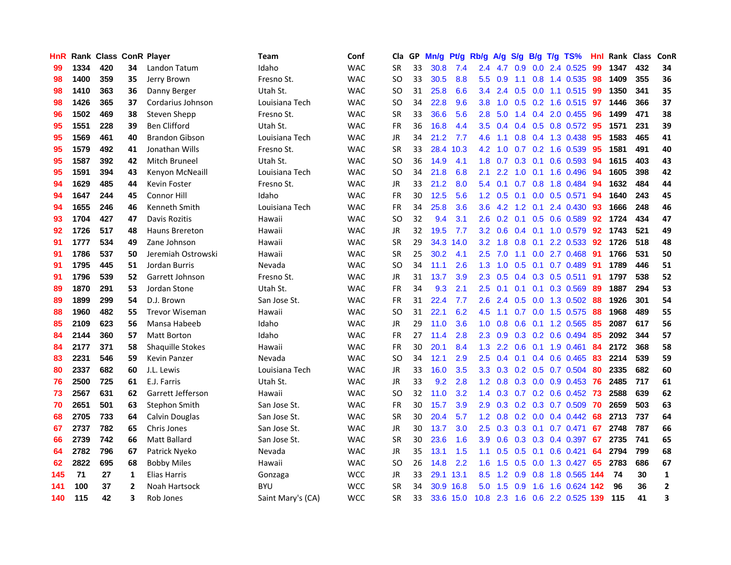| <b>HnR</b> |      |     |                | Rank Class ConR Player  | Team              | Conf       | Cla       |    | GP Mn/g | Pt/g      | Rb/g             | A/g             | S/g B/g       |                 | $T/g$ TS%                      | Hnl |      | Rank Class | ConR         |
|------------|------|-----|----------------|-------------------------|-------------------|------------|-----------|----|---------|-----------|------------------|-----------------|---------------|-----------------|--------------------------------|-----|------|------------|--------------|
| 99         | 1334 | 420 | 34             | Landon Tatum            | Idaho             | <b>WAC</b> | <b>SR</b> | 33 | 30.8    | 7.4       | 2.4              | 4.7             | 0.9           | 0.0             | 2.4 0.525                      | 99  | 1347 | 432        | 34           |
| 98         | 1400 | 359 | 35             | Jerry Brown             | Fresno St.        | <b>WAC</b> | SO.       | 33 | 30.5    | 8.8       | 5.5              | 0.9             | 1.1           | 0.8             | 1.4 0.535                      | -98 | 1409 | 355        | 36           |
| 98         | 1410 | 363 | 36             | Danny Berger            | Utah St.          | <b>WAC</b> | <b>SO</b> | 31 | 25.8    | 6.6       | $3.4^{\circ}$    | 2.4             |               |                 | $0.5$ 0.0 1.1 0.515            | -99 | 1350 | 341        | 35           |
| 98         | 1426 | 365 | 37             | Cordarius Johnson       | Louisiana Tech    | <b>WAC</b> | <b>SO</b> | 34 | 22.8    | 9.6       | 3.8 <sub>1</sub> |                 |               |                 | 1.0 0.5 0.2 1.6 0.515 97       |     | 1446 | 366        | 37           |
| 96         | 1502 | 469 | 38             | Steven Shepp            | Fresno St.        | <b>WAC</b> | <b>SR</b> | 33 | 36.6    | 5.6       | 2.8              | 5.0             |               |                 | 1.4 0.4 2.0 0.455              | -96 | 1499 | 471        | 38           |
| 95         | 1551 | 228 | 39             | <b>Ben Clifford</b>     | Utah St.          | <b>WAC</b> | <b>FR</b> | 36 | 16.8    | 4.4       | $3.5^{\circ}$    | 0.4             |               |                 | $0.4$ $0.5$ $0.8$ $0.572$      | 95  | 1571 | 231        | 39           |
| 95         | 1569 | 461 | 40             | <b>Brandon Gibson</b>   | Louisiana Tech    | <b>WAC</b> | <b>JR</b> | 34 | 21.2    | 7.7       | 4.6              | 1.1             |               |                 | $0.8$ 0.4 1.3 0.438            | 95  | 1583 | 465        | 41           |
| 95         | 1579 | 492 | 41             | Jonathan Wills          | Fresno St.        | WAC        | <b>SR</b> | 33 |         | 28.4 10.3 | 4.2              | 1.0             |               |                 | 0.7 0.2 1.6 0.539              | 95  | 1581 | 491        | 40           |
| 95         | 1587 | 392 | 42             | <b>Mitch Bruneel</b>    | Utah St.          | <b>WAC</b> | <b>SO</b> | 36 | 14.9    | 4.1       | 1.8              | 0.7             |               | $0.3 \quad 0.1$ | 0.6 0.593                      | 94  | 1615 | 403        | 43           |
| 95         | 1591 | 394 | 43             | Kenyon McNeaill         | Louisiana Tech    | <b>WAC</b> | <b>SO</b> | 34 | 21.8    | 6.8       | 2.1              | 2.2             | 1.0           | 0.1             | 1.6 0.496                      | 94  | 1605 | 398        | 42           |
| 94         | 1629 | 485 | 44             | <b>Kevin Foster</b>     | Fresno St.        | <b>WAC</b> | JR.       | 33 | 21.2    | 8.0       | 5.4              | 0.1             | 0.7           | 0.8             | 1.8 0.484                      | 94  | 1632 | 484        | 44           |
| 94         | 1647 | 244 | 45             | Connor Hill             | Idaho             | <b>WAC</b> | <b>FR</b> | 30 | 12.5    | 5.6       | 1.2              | 0.5             | 0.1           | 0.0             | 0.5 0.571                      | 94  | 1640 | 243        | 45           |
| 94         | 1655 | 246 | 46             | Kenneth Smith           | Louisiana Tech    | <b>WAC</b> | <b>FR</b> | 34 | 25.8    | 3.6       | 3.6 <sup>2</sup> | 4.2             | $1.2^{\circ}$ | 0.1             | 2.4 0.430                      | -93 | 1666 | 248        | 46           |
| 93         | 1704 | 427 | 47             | Davis Rozitis           | Hawaii            | <b>WAC</b> | <b>SO</b> | 32 | 9.4     | 3.1       | 2.6              | 0.2             | 0.1           | 0.5             | 0.6 0.589                      | 92  | 1724 | 434        | 47           |
| 92         | 1726 | 517 | 48             | Hauns Brereton          | Hawaii            | <b>WAC</b> | <b>JR</b> | 32 | 19.5    | 7.7       | 3.2 <sub>2</sub> | 0.6             |               | $0.4 \quad 0.1$ | 1.0 0.579                      | 92  | 1743 | 521        | 49           |
| 91         | 1777 | 534 | 49             | Zane Johnson            | Hawaii            | <b>WAC</b> | <b>SR</b> | 29 |         | 34.3 14.0 | 3.2              | 1.8             |               | $0.8\quad 0.1$  | 2.2 0.533                      | 92  | 1726 | 518        | 48           |
| 91         | 1786 | 537 | 50             | Jeremiah Ostrowski      | Hawaii            | <b>WAC</b> | <b>SR</b> | 25 | 30.2    | 4.1       |                  | 2.5 7.0         |               |                 | 1.1 0.0 2.7 0.468 91           |     | 1766 | 531        | 50           |
| 91         | 1795 | 445 | 51             | Jordan Burris           | Nevada            | <b>WAC</b> | SO.       | 34 | 11.1    | 2.6       |                  | $1.3 \quad 1.0$ |               |                 | 0.5 0.1 0.7 0.489 91           |     | 1789 | 446        | 51           |
| 91         | 1796 | 539 | 52             | Garrett Johnson         | Fresno St.        | <b>WAC</b> | JR        | 31 | 13.7    | 3.9       | 2.3              | 0.5             |               |                 | 0.4 0.3 0.5 0.511 91           |     | 1797 | 538        | 52           |
| 89         | 1870 | 291 | 53             | Jordan Stone            | Utah St.          | <b>WAC</b> | FR        | 34 | 9.3     | 2.1       | $2.5\,$          | 0.1             |               |                 | $0.1$ 0.1 0.3 0.569            | -89 | 1887 | 294        | 53           |
| 89         | 1899 | 299 | 54             | D.J. Brown              | San Jose St.      | <b>WAC</b> | <b>FR</b> | 31 | 22.4    | 7.7       | 2.6              | 2.4             |               |                 | 0.5 0.0 1.3 0.502              | 88  | 1926 | 301        | 54           |
| 88         | 1960 | 482 | 55             | <b>Trevor Wiseman</b>   | Hawaii            | <b>WAC</b> | <b>SO</b> | 31 | 22.1    | 6.2       | 4.5              | 1.1             | 0.7           |                 | 0.0 1.5 0.575                  | 88  | 1968 | 489        | 55           |
| 85         | 2109 | 623 | 56             | Mansa Habeeb            | Idaho             | <b>WAC</b> | JR        | 29 | 11.0    | 3.6       | 1.0 <sub>1</sub> | 0.8             |               |                 | $0.6$ 0.1 1.2 0.565            | -85 | 2087 | 617        | 56           |
| 84         | 2144 | 360 | 57             | Matt Borton             | Idaho             | <b>WAC</b> | <b>FR</b> | 27 | 11.4    | 2.8       | 2.3              | 0.9             |               |                 | $0.3$ 0.2 0.6 0.494            | -85 | 2092 | 344        | 57           |
| 84         | 2177 | 371 | 58             | <b>Shaquille Stokes</b> | Hawaii            | <b>WAC</b> | <b>FR</b> | 30 | 20.1    | 8.4       | 1.3 <sup>°</sup> | 2.2             | 0.6           |                 | $0.1$ 1.9 0.461                | -84 | 2172 | 368        | 58           |
| 83         | 2231 | 546 | 59             | Kevin Panzer            | Nevada            | <b>WAC</b> | <b>SO</b> | 34 | 12.1    | 2.9       | 2.5              | 0.4             |               |                 | $0.1$ 0.4 0.6 0.465            | -83 | 2214 | 539        | 59           |
| 80         | 2337 | 682 | 60             | J.L. Lewis              | Louisiana Tech    | <b>WAC</b> | JR        | 33 | 16.0    | 3.5       | 3.3              | 0.3             |               | $0.2 \quad 0.5$ | 0.7 0.504                      | 80  | 2335 | 682        | 60           |
| 76         | 2500 | 725 | 61             | E.J. Farris             | Utah St.          | <b>WAC</b> | JR        | 33 | 9.2     | 2.8       | 1.2 <sub>2</sub> | 0.8             |               |                 | $0.3$ 0.0 0.9 0.453            | 76  | 2485 | 717        | 61           |
| 73         | 2567 | 631 | 62             | Garrett Jefferson       | Hawaii            | <b>WAC</b> | <b>SO</b> | 32 | 11.0    | 3.2       |                  | $1.4 \quad 0.3$ |               |                 | $0.7$ $0.2$ $0.6$ $0.452$      | 73  | 2588 | 639        | 62           |
| 70         | 2651 | 501 | 63             | Stephon Smith           | San Jose St.      | <b>WAC</b> | <b>FR</b> | 30 | 15.7    | 3.9       |                  | $2.9$ 0.3       |               |                 | 0.2 0.3 0.7 0.509 70           |     | 2659 | 503        | 63           |
| 68         | 2705 | 733 | 64             | Calvin Douglas          | San Jose St.      | <b>WAC</b> | <b>SR</b> | 30 | 20.4    | 5.7       |                  | $1.2 \quad 0.8$ |               |                 | $0.2$ 0.0 0.4 0.442            | -68 | 2713 | 737        | 64           |
| 67         | 2737 | 782 | 65             | Chris Jones             | San Jose St.      | <b>WAC</b> | JR        | 30 | 13.7    | 3.0       | $2.5\,$          | 0.3             |               |                 | 0.3 0.1 0.7 0.471              | 67  | 2748 | 787        | 66           |
| 66         | 2739 | 742 | 66             | Matt Ballard            | San Jose St.      | <b>WAC</b> | <b>SR</b> | 30 | 23.6    | 1.6       | 3.9              | 0.6             |               |                 | 0.3 0.3 0.4 0.397              | 67  | 2735 | 741        | 65           |
| 64         | 2782 | 796 | 67             | Patrick Nyeko           | Nevada            | <b>WAC</b> | <b>JR</b> | 35 | 13.1    | 1.5       | 1.1              | 0.5             |               | $0.5 \quad 0.1$ | $0.6$ 0.421                    | 64  | 2794 | 799        | 68           |
| 62         | 2822 | 695 | 68             | <b>Bobby Miles</b>      | Hawaii            | <b>WAC</b> | <b>SO</b> | 26 | 14.8    | 2.2       | 1.6              | 1.5             | 0.5           | 0.0             | 1.3 0.427                      | 65  | 2783 | 686        | 67           |
| 145        | 71   | 27  | 1              | Elias Harris            | Gonzaga           | <b>WCC</b> | JR        | 33 |         | 29.1 13.1 | 8.5              | 1.2             | 0.9           |                 | 0.8 1.8 0.565 144              |     | -74  | 30         | 1            |
| 141        | 100  | 37  | $\overline{2}$ | Noah Hartsock           | <b>BYU</b>        | <b>WCC</b> | <b>SR</b> | 34 |         | 30.9 16.8 | 5.0              | 1.5             | 0.9           | 1.6             | 1.6 0.624                      | 142 | 96   | 36         | $\mathbf{2}$ |
| 140        | 115  | 42  | 3              | Rob Jones               | Saint Mary's (CA) | <b>WCC</b> | <b>SR</b> | 33 |         | 33.6 15.0 |                  |                 |               |                 | 10.8 2.3 1.6 0.6 2.2 0.525 139 |     | 115  | 41         | 3            |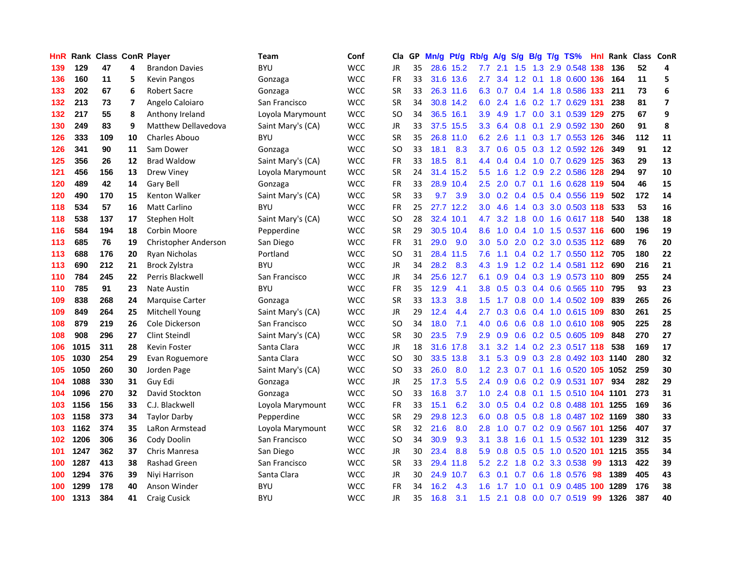| HnR |      | Rank Class ConR Player |    |                            | Team              | Conf       | Cla           |    | GP Mn/g Pt/g |           | Rb/g             | A/g |               |     | S/g B/g T/g TS%            | Hnl |      | Rank Class ConR |                         |
|-----|------|------------------------|----|----------------------------|-------------------|------------|---------------|----|--------------|-----------|------------------|-----|---------------|-----|----------------------------|-----|------|-----------------|-------------------------|
| 139 | 129  | 47                     | 4  | <b>Brandon Davies</b>      | <b>BYU</b>        | <b>WCC</b> | JR            | 35 |              | 28.6 15.2 | 7.7              | 2.1 | .5<br>1.      | 1.3 | 2.9 0.548                  | 138 | 136  | 52              | 4                       |
| 136 | 160  | 11                     | 5  | <b>Kevin Pangos</b>        | Gonzaga           | <b>WCC</b> | <b>FR</b>     | 33 |              | 31.6 13.6 | 2.7              | 3.4 | 1.2           | 0.1 | 1.8 0.600 136              |     | 164  | 11              | 5                       |
| 133 | 202  | 67                     | 6  | <b>Robert Sacre</b>        | Gonzaga           | <b>WCC</b> | <b>SR</b>     | 33 |              | 26.3 11.6 | 6.3              | 0.7 | 0.4           | 1.4 | 1.8 0.586 133              |     | 211  | 73              | 6                       |
| 132 | 213  | 73                     | 7  | Angelo Caloiaro            | San Francisco     | <b>WCC</b> | <b>SR</b>     | 34 |              | 30.8 14.2 | 6.0              | 2.4 | 1.6           |     | 0.2 1.7 0.629 131          |     | 238  | 81              | $\overline{\mathbf{z}}$ |
| 132 | 217  | 55                     | 8  | Anthony Ireland            | Loyola Marymount  | <b>WCC</b> | SO            | 34 |              | 36.5 16.1 | 3.9              | 4.9 |               |     | 1.7 0.0 3.1 0.539 129      |     | 275  | 67              | 9                       |
| 130 | 249  | 83                     | 9  | <b>Matthew Dellavedova</b> | Saint Mary's (CA) | <b>WCC</b> | JR            | 33 |              | 37.5 15.5 | 3.3 <sub>1</sub> | 6.4 | 0.8           |     | 0.1 2.9 0.592 130          |     | 260  | 91              | 8                       |
| 126 | 333  | 109                    | 10 | Charles Abouo              | <b>BYU</b>        | <b>WCC</b> | <b>SR</b>     | 35 |              | 26.8 11.0 | 6.2              | 2.6 | 1.1           |     | 0.3 1.7 0.553 126          |     | 346  | 112             | 11                      |
| 126 | 341  | 90                     | 11 | Sam Dower                  | Gonzaga           | <b>WCC</b> | SO            | 33 | 18.1         | 8.3       | 3.7 <sub>2</sub> | 0.6 | 0.5           |     | 0.3 1.2 0.592 126          |     | 349  | 91              | 12                      |
| 125 | 356  | 26                     | 12 | <b>Brad Waldow</b>         | Saint Mary's (CA) | <b>WCC</b> | <b>FR</b>     | 33 | 18.5         | 8.1       | 4.4              | 0.4 | 0.4           |     | 1.0 0.7 0.629 125          |     | 363  | 29              | 13                      |
| 121 | 456  | 156                    | 13 | Drew Viney                 | Loyola Marymount  | <b>WCC</b> | <b>SR</b>     | 24 | 31.4         | 15.2      | $5.5^{\circ}$    | 1.6 | 1.2           |     | 0.9 2.2 0.586              | 128 | 294  | 97              | 10                      |
| 120 | 489  | 42                     | 14 | Gary Bell                  | Gonzaga           | <b>WCC</b> | <b>FR</b>     | 33 |              | 28.9 10.4 | 2.5              | 2.0 | 0.7           | 0.1 | 1.6 0.628 119              |     | 504  | 46              | 15                      |
| 120 | 490  | 170                    | 15 | Kenton Walker              | Saint Mary's (CA) | <b>WCC</b> | <b>SR</b>     | 33 | 9.7          | 3.9       | 3.0              | 0.2 | $0.4^{\circ}$ | 0.5 | 0.4 0.556 119              |     | 502  | 172             | 14                      |
| 118 | 534  | 57                     | 16 | <b>Matt Carlino</b>        | <b>BYU</b>        | <b>WCC</b> | <b>FR</b>     | 25 |              | 27.7 12.2 | 3.0              | 4.6 | $1.4^{\circ}$ | 0.3 | 3.0 0.503 118              |     | 533  | 53              | 16                      |
| 118 | 538  | 137                    | 17 | Stephen Holt               | Saint Mary's (CA) | <b>WCC</b> | SO            | 28 |              | 32.4 10.1 | 4.7              | 3.2 | 1.8           | 0.0 | 1.6 0.617 118              |     | 540  | 138             | 18                      |
| 116 | 584  | 194                    | 18 | Corbin Moore               | Pepperdine        | <b>WCC</b> | SR            | 29 |              | 30.5 10.4 | 8.6              | 1.0 | 0.4           | 1.0 | 1.5 0.537 116              |     | 600  | 196             | 19                      |
| 113 | 685  | 76                     | 19 | Christopher Anderson       | San Diego         | <b>WCC</b> | <b>FR</b>     | 31 | 29.0         | 9.0       | 3.0 <sub>2</sub> | 5.0 | 2.0           |     | 0.2 3.0 0.535 112          |     | 689  | 76              | 20                      |
| 113 | 688  | 176                    | 20 | Ryan Nicholas              | Portland          | <b>WCC</b> | SO            | 31 |              | 28.4 11.5 | 7.6              | 1.1 |               |     | 0.4 0.2 1.7 0.550 112 705  |     |      | 180             | 22                      |
| 113 | 690  | 212                    | 21 | Brock Zylstra              | <b>BYU</b>        | <b>WCC</b> | <b>JR</b>     | 34 | 28.2         | 8.3       | 4.3              | 1.9 |               |     | 1.2 0.2 1.4 0.581 112      |     | 690  | 216             | 21                      |
| 110 | 784  | 245                    | 22 | Perris Blackwell           | San Francisco     | <b>WCC</b> | JR            | 34 |              | 25.6 12.7 | 6.1              | 0.9 |               |     | 0.4 0.3 1.9 0.573 110      |     | 809  | 255             | 24                      |
| 110 | 785  | 91                     | 23 | <b>Nate Austin</b>         | <b>BYU</b>        | <b>WCC</b> | FR            | 35 | 12.9         | 4.1       | 3.8 <sup>°</sup> | 0.5 |               |     | 0.3 0.4 0.6 0.565 110      |     | 795  | 93              | 23                      |
| 109 | 838  | 268                    | 24 | <b>Marquise Carter</b>     | Gonzaga           | <b>WCC</b> | <b>SR</b>     | 33 | 13.3         | 3.8       | $1.5^{\circ}$    | 1.7 |               |     | 0.8 0.0 1.4 0.502 109      |     | 839  | 265             | 26                      |
| 109 | 849  | 264                    | 25 | Mitchell Young             | Saint Mary's (CA) | <b>WCC</b> | <b>JR</b>     | 29 | 12.4         | 4.4       | $2.7^{\circ}$    | 0.3 | 0.6           |     | 0.4 1.0 0.615 109          |     | 830  | 261             | 25                      |
| 108 | 879  | 219                    | 26 | Cole Dickerson             | San Francisco     | <b>WCC</b> | <sub>SO</sub> | 34 | 18.0         | 7.1       | 4.0              | 0.6 | 0.6           |     | 0.8 1.0 0.610 108          |     | 905  | 225             | 28                      |
| 108 | 908  | 296                    | 27 | <b>Clint Steindl</b>       | Saint Mary's (CA) | <b>WCC</b> | <b>SR</b>     | 30 | 23.5         | 7.9       | 2.9              | 0.9 | 0.6           |     | 0.2 0.5 0.605 109          |     | 848  | 270             | 27                      |
| 106 | 1015 | 311                    | 28 | Kevin Foster               | Santa Clara       | <b>WCC</b> | JR            | 18 |              | 31.6 17.8 | 3.1              | 3.2 |               |     | 1.4 0.2 2.3 0.517 118      |     | 538  | 169             | 17                      |
| 105 | 1030 | 254                    | 29 | Evan Roguemore             | Santa Clara       | <b>WCC</b> | SO            | 30 | 33.5         | 13.8      | 3.1              | 5.3 | 0.9           | 0.3 | 2.8 0.492 103              |     | 1140 | 280             | 32                      |
| 105 | 1050 | 260                    | 30 | Jorden Page                | Saint Mary's (CA) | <b>WCC</b> | <b>SO</b>     | 33 | 26.0         | 8.0       | 1.2 <sub>1</sub> | 2.3 | 0.7           |     | 0.1 1.6 0.520 105          |     | 1052 | 259             | 30                      |
| 104 | 1088 | 330                    | 31 | Guy Edi                    | Gonzaga           | <b>WCC</b> | <b>JR</b>     | 25 | 17.3         | 5.5       | 2.4              | 0.9 | 0.6           |     | 0.2 0.9 0.531 107          |     | 934  | 282             | 29                      |
| 104 | 1096 | 270                    | 32 | David Stockton             | Gonzaga           | <b>WCC</b> | SO            | 33 | 16.8         | 3.7       | 1.0              | 2.4 | 0.8           | 0.1 | 1.5 0.510 104 1101         |     |      | 273             | 31                      |
| 103 | 1156 | 156                    | 33 | C.J. Blackwell             | Loyola Marymount  | <b>WCC</b> | <b>FR</b>     | 33 | 15.1         | 6.2       | 3.0 <sub>1</sub> | 0.5 |               |     | 0.4 0.2 0.8 0.488 101      |     | 1255 | 169             | 36                      |
| 103 | 1158 | 373                    | 34 | <b>Taylor Darby</b>        | Pepperdine        | <b>WCC</b> | SR            | 29 | 29.8         | 12.3      | 6.0              | 0.8 |               |     | 0.5 0.8 1.8 0.487 102 1169 |     |      | 380             | 33                      |
| 103 | 1162 | 374                    | 35 | LaRon Armstead             | Loyola Marymount  | <b>WCC</b> | <b>SR</b>     | 32 | 21.6         | 8.0       | 2.8              | 1.0 |               |     | 0.7 0.2 0.9 0.567 101      |     | 1256 | 407             | 37                      |
| 102 | 1206 | 306                    | 36 | Cody Doolin                | San Francisco     | <b>WCC</b> | SO            | 34 | 30.9         | 9.3       | 3.1              | 3.8 | 1.6           |     | 0.1 1.5 0.532 101          |     | 1239 | 312             | 35                      |
| 101 | 1247 | 362                    | 37 | Chris Manresa              | San Diego         | <b>WCC</b> | <b>JR</b>     | 30 | 23.4         | 8.8       | 5.9              | 0.8 | 0.5           | 0.5 | 1.0 0.520 101              |     | 1215 | 355             | 34                      |
| 100 | 1287 | 413                    | 38 | Rashad Green               | San Francisco     | <b>WCC</b> | <b>SR</b>     | 33 | 29.4         | 11.8      | 5.2              | 2.2 | 1.8           |     | 0.2 3.3 0.538              | 99  | 1313 | 422             | 39                      |
| 100 | 1294 | 376                    | 39 | Niyi Harrison              | Santa Clara       | <b>WCC</b> | <b>JR</b>     | 30 | 24.9         | 10.7      | 6.3              | 0.1 | 0.7           | 0.6 | 1.8 0.576                  | 98  | 1389 | 405             | 43                      |
| 100 | 1299 | 178                    | 40 | Anson Winder               | BYU               | <b>WCC</b> | <b>FR</b>     | 34 | 16.2         | 4.3       | 1.6              | 1.7 | 1.0           | 0.1 | 0.9 0.485                  | 100 | 1289 | 176             | 38                      |
| 100 | 1313 | 384                    | 41 | <b>Craig Cusick</b>        | <b>BYU</b>        | <b>WCC</b> | <b>JR</b>     | 35 | 16.8         | 3.1       | 1.5              | 2.1 |               |     | 0.8 0.0 0.7 0.519          | -99 | 1326 | 387             | 40                      |